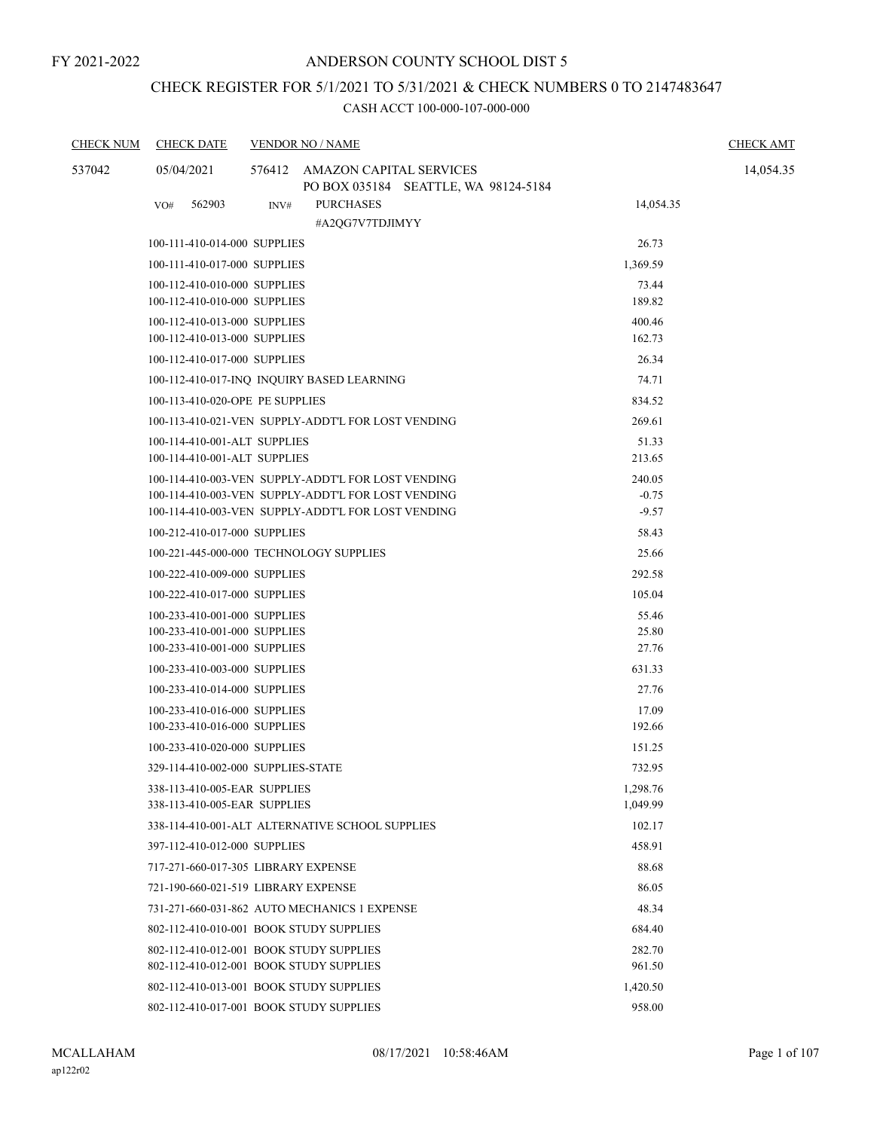## CHECK REGISTER FOR 5/1/2021 TO 5/31/2021 & CHECK NUMBERS 0 TO 2147483647

| <b>CHECK NUM</b> | <b>CHECK DATE</b>                                            | <b>VENDOR NO / NAME</b>                                                | <b>CHECK AMT</b> |  |
|------------------|--------------------------------------------------------------|------------------------------------------------------------------------|------------------|--|
| 537042           | 05/04/2021                                                   | 576412 AMAZON CAPITAL SERVICES<br>PO BOX 035184 SEATTLE, WA 98124-5184 | 14,054.35        |  |
|                  | 562903<br>VO#                                                | <b>PURCHASES</b><br>INV#<br>#A2QG7V7TDJIMYY                            | 14,054.35        |  |
|                  | 100-111-410-014-000 SUPPLIES                                 |                                                                        | 26.73            |  |
|                  | 100-111-410-017-000 SUPPLIES                                 |                                                                        | 1,369.59         |  |
|                  | 100-112-410-010-000 SUPPLIES                                 |                                                                        | 73.44            |  |
|                  | 100-112-410-010-000 SUPPLIES                                 |                                                                        | 189.82           |  |
|                  | 100-112-410-013-000 SUPPLIES                                 |                                                                        | 400.46           |  |
|                  | 100-112-410-013-000 SUPPLIES                                 |                                                                        | 162.73           |  |
|                  | 100-112-410-017-000 SUPPLIES                                 |                                                                        | 26.34            |  |
|                  |                                                              | 100-112-410-017-INQ INQUIRY BASED LEARNING                             | 74.71            |  |
|                  | 100-113-410-020-OPE PE SUPPLIES                              |                                                                        | 834.52           |  |
|                  |                                                              | 100-113-410-021-VEN SUPPLY-ADDT'L FOR LOST VENDING                     | 269.61           |  |
|                  | 100-114-410-001-ALT SUPPLIES<br>100-114-410-001-ALT SUPPLIES |                                                                        | 51.33<br>213.65  |  |
|                  |                                                              | 100-114-410-003-VEN SUPPLY-ADDT'L FOR LOST VENDING                     | 240.05           |  |
|                  |                                                              | 100-114-410-003-VEN SUPPLY-ADDT'L FOR LOST VENDING                     | $-0.75$          |  |
|                  |                                                              | 100-114-410-003-VEN SUPPLY-ADDT'L FOR LOST VENDING                     | $-9.57$          |  |
|                  | 100-212-410-017-000 SUPPLIES                                 |                                                                        | 58.43            |  |
|                  |                                                              | 100-221-445-000-000 TECHNOLOGY SUPPLIES                                | 25.66            |  |
|                  | 100-222-410-009-000 SUPPLIES                                 |                                                                        | 292.58           |  |
|                  | 100-222-410-017-000 SUPPLIES                                 |                                                                        | 105.04           |  |
|                  | 100-233-410-001-000 SUPPLIES                                 |                                                                        | 55.46            |  |
|                  | 100-233-410-001-000 SUPPLIES                                 |                                                                        | 25.80            |  |
|                  | 100-233-410-001-000 SUPPLIES                                 |                                                                        | 27.76            |  |
|                  | 100-233-410-003-000 SUPPLIES                                 |                                                                        | 631.33           |  |
|                  | 100-233-410-014-000 SUPPLIES                                 |                                                                        | 27.76            |  |
|                  | 100-233-410-016-000 SUPPLIES<br>100-233-410-016-000 SUPPLIES |                                                                        | 17.09<br>192.66  |  |
|                  | 100-233-410-020-000 SUPPLIES                                 |                                                                        | 151.25           |  |
|                  |                                                              | 329-114-410-002-000 SUPPLIES-STATE                                     | 732.95           |  |
|                  | 338-113-410-005-EAR SUPPLIES                                 |                                                                        | 1,298.76         |  |
|                  | 338-113-410-005-EAR SUPPLIES                                 |                                                                        | 1,049.99         |  |
|                  |                                                              | 338-114-410-001-ALT ALTERNATIVE SCHOOL SUPPLIES                        | 102.17           |  |
|                  | 397-112-410-012-000 SUPPLIES                                 |                                                                        | 458.91           |  |
|                  |                                                              | 717-271-660-017-305 LIBRARY EXPENSE                                    | 88.68            |  |
|                  |                                                              | 721-190-660-021-519 LIBRARY EXPENSE                                    | 86.05            |  |
|                  |                                                              | 731-271-660-031-862 AUTO MECHANICS 1 EXPENSE                           | 48.34            |  |
|                  |                                                              | 802-112-410-010-001 BOOK STUDY SUPPLIES                                | 684.40           |  |
|                  |                                                              | 802-112-410-012-001 BOOK STUDY SUPPLIES                                | 282.70           |  |
|                  |                                                              | 802-112-410-012-001 BOOK STUDY SUPPLIES                                | 961.50           |  |
|                  |                                                              | 802-112-410-013-001 BOOK STUDY SUPPLIES                                | 1,420.50         |  |
|                  |                                                              | 802-112-410-017-001 BOOK STUDY SUPPLIES                                | 958.00           |  |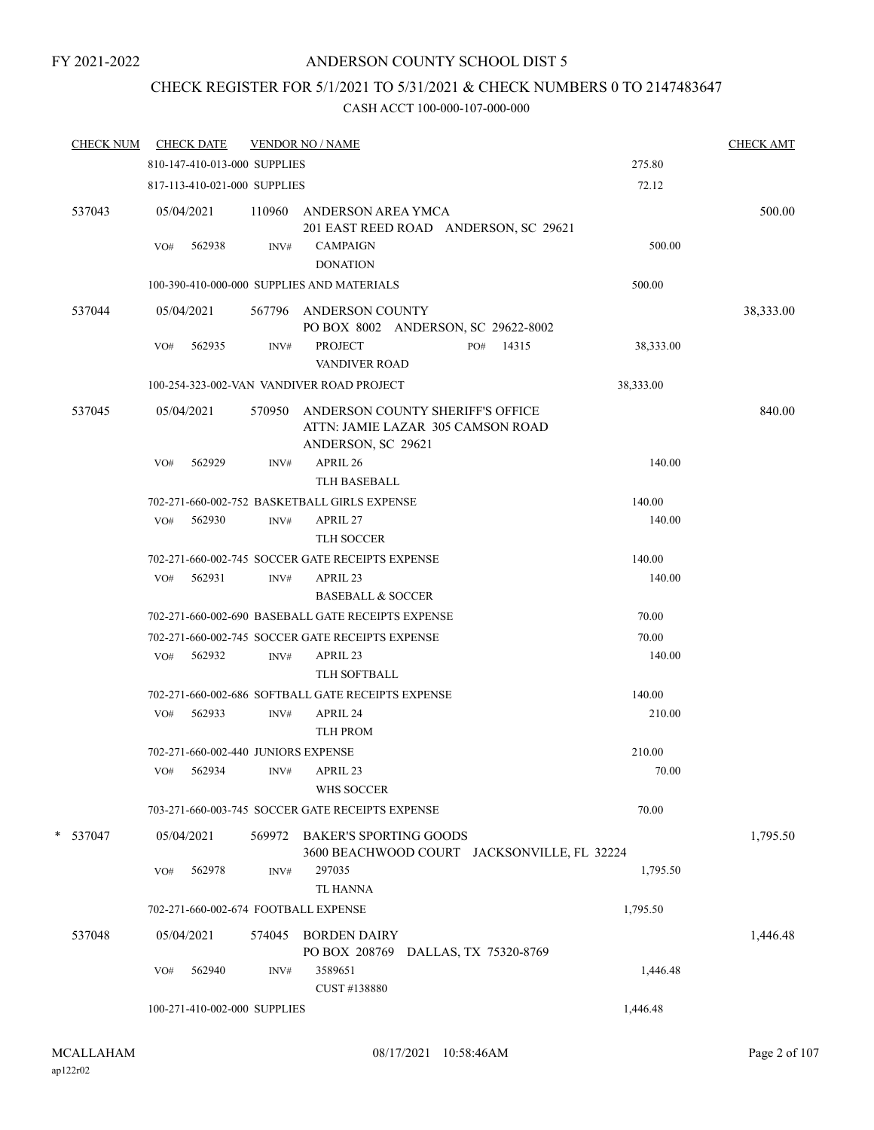## ANDERSON COUNTY SCHOOL DIST 5

# CHECK REGISTER FOR 5/1/2021 TO 5/31/2021 & CHECK NUMBERS 0 TO 2147483647

| <b>CHECK NUM</b> |     | <b>CHECK DATE</b>                   |        | <b>VENDOR NO / NAME</b>                                                                     |                       |           | <b>CHECK AMT</b> |
|------------------|-----|-------------------------------------|--------|---------------------------------------------------------------------------------------------|-----------------------|-----------|------------------|
|                  |     | 810-147-410-013-000 SUPPLIES        |        |                                                                                             |                       | 275.80    |                  |
|                  |     | 817-113-410-021-000 SUPPLIES        |        |                                                                                             |                       | 72.12     |                  |
| 537043           |     | 05/04/2021                          | 110960 | ANDERSON AREA YMCA<br>201 EAST REED ROAD ANDERSON, SC 29621                                 |                       |           | 500.00           |
|                  | VO# | 562938                              | INV#   | <b>CAMPAIGN</b>                                                                             |                       | 500.00    |                  |
|                  |     |                                     |        | <b>DONATION</b>                                                                             |                       |           |                  |
|                  |     |                                     |        | 100-390-410-000-000 SUPPLIES AND MATERIALS                                                  |                       | 500.00    |                  |
| 537044           |     | 05/04/2021                          |        | 567796 ANDERSON COUNTY<br>PO BOX 8002 ANDERSON, SC 29622-8002                               |                       |           | 38,333.00        |
|                  | VO# | 562935                              | INV#   | <b>PROJECT</b><br><b>VANDIVER ROAD</b>                                                      | PO# 14315             | 38,333.00 |                  |
|                  |     |                                     |        | 100-254-323-002-VAN VANDIVER ROAD PROJECT                                                   |                       | 38,333.00 |                  |
| 537045           |     | 05/04/2021                          | 570950 | ANDERSON COUNTY SHERIFF'S OFFICE<br>ATTN: JAMIE LAZAR 305 CAMSON ROAD<br>ANDERSON, SC 29621 |                       |           | 840.00           |
|                  | VO# | 562929                              | INV#   | APRIL 26                                                                                    |                       | 140.00    |                  |
|                  |     |                                     |        | <b>TLH BASEBALL</b>                                                                         |                       |           |                  |
|                  |     |                                     |        | 702-271-660-002-752 BASKETBALL GIRLS EXPENSE                                                |                       | 140.00    |                  |
|                  | VO# | 562930                              | INV#   | APRIL 27                                                                                    |                       | 140.00    |                  |
|                  |     |                                     |        | TLH SOCCER                                                                                  |                       |           |                  |
|                  |     |                                     |        | 702-271-660-002-745 SOCCER GATE RECEIPTS EXPENSE                                            |                       | 140.00    |                  |
|                  | VO# | 562931                              | INV#   | APRIL 23<br><b>BASEBALL &amp; SOCCER</b>                                                    |                       | 140.00    |                  |
|                  |     |                                     |        | 702-271-660-002-690 BASEBALL GATE RECEIPTS EXPENSE                                          |                       | 70.00     |                  |
|                  |     |                                     |        | 702-271-660-002-745 SOCCER GATE RECEIPTS EXPENSE                                            |                       | 70.00     |                  |
|                  |     | VO# 562932                          | INV#   | APRIL 23                                                                                    |                       | 140.00    |                  |
|                  |     |                                     |        | <b>TLH SOFTBALL</b>                                                                         |                       |           |                  |
|                  |     |                                     |        | 702-271-660-002-686 SOFTBALL GATE RECEIPTS EXPENSE                                          |                       | 140.00    |                  |
|                  | VO# | 562933                              | INV#   | APRIL 24                                                                                    |                       | 210.00    |                  |
|                  |     |                                     |        | <b>TLH PROM</b>                                                                             |                       |           |                  |
|                  |     | 702-271-660-002-440 JUNIORS EXPENSE |        |                                                                                             |                       | 210.00    |                  |
|                  | VO# | 562934                              | INV#   | APRIL 23                                                                                    |                       | 70.00     |                  |
|                  |     |                                     |        | WHS SOCCER                                                                                  |                       |           |                  |
|                  |     |                                     |        | 703-271-660-003-745 SOCCER GATE RECEIPTS EXPENSE                                            |                       | 70.00     |                  |
| * 537047         |     | 05/04/2021                          |        | 569972 BAKER'S SPORTING GOODS<br>3600 BEACHWOOD COURT JACKSONVILLE, FL 32224                |                       |           | 1,795.50         |
|                  | VO# | 562978                              | INV#   | 297035                                                                                      |                       | 1,795.50  |                  |
|                  |     |                                     |        | <b>TL HANNA</b>                                                                             |                       |           |                  |
|                  |     |                                     |        | 702-271-660-002-674 FOOTBALL EXPENSE                                                        |                       | 1,795.50  |                  |
| 537048           |     | 05/04/2021                          | 574045 | <b>BORDEN DAIRY</b>                                                                         |                       |           | 1,446.48         |
|                  |     |                                     |        | PO BOX 208769                                                                               | DALLAS, TX 75320-8769 |           |                  |
|                  | VO# | 562940                              | INV#   | 3589651                                                                                     |                       | 1,446.48  |                  |
|                  |     |                                     |        | CUST #138880                                                                                |                       |           |                  |
|                  |     | 100-271-410-002-000 SUPPLIES        |        |                                                                                             |                       | 1,446.48  |                  |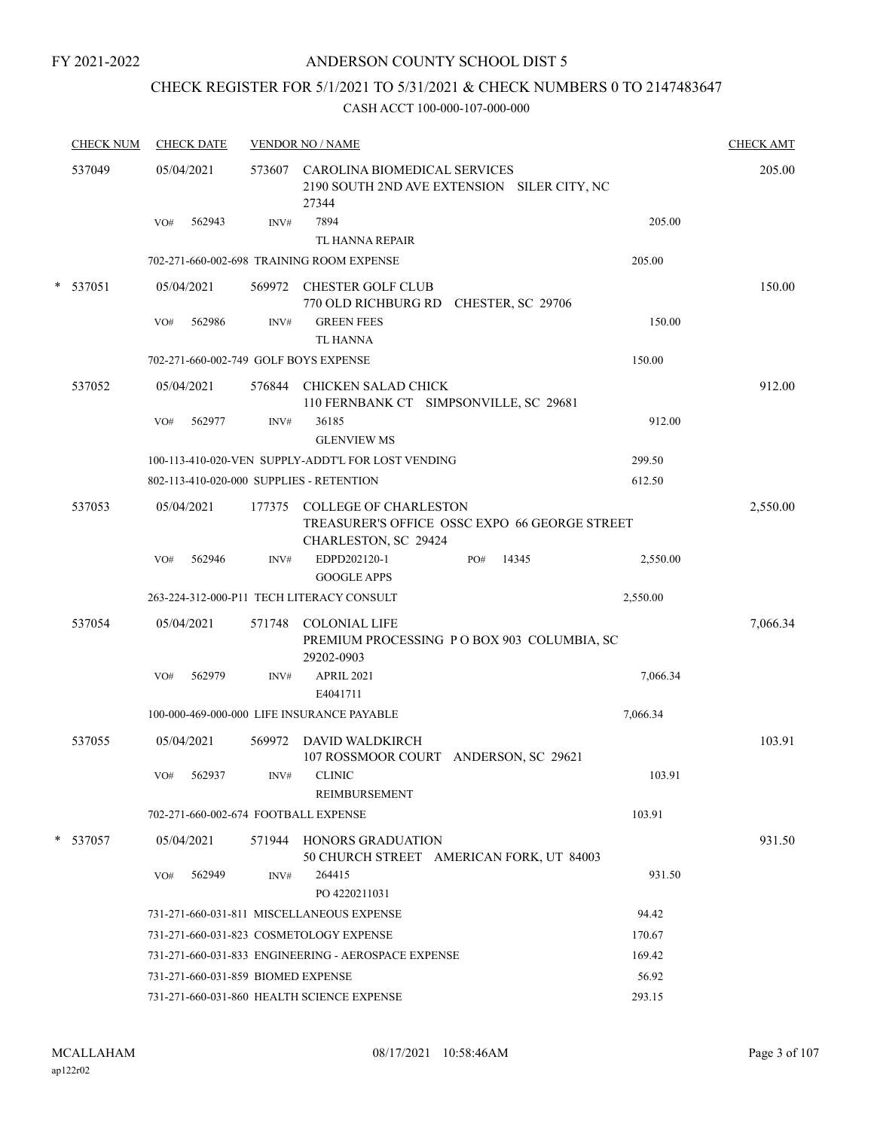## ANDERSON COUNTY SCHOOL DIST 5

## CHECK REGISTER FOR 5/1/2021 TO 5/31/2021 & CHECK NUMBERS 0 TO 2147483647

| <b>CHECK NUM</b> | <b>CHECK DATE</b>                        |        | <b>VENDOR NO / NAME</b>                                                                               |              |          | <b>CHECK AMT</b> |
|------------------|------------------------------------------|--------|-------------------------------------------------------------------------------------------------------|--------------|----------|------------------|
| 537049           | 05/04/2021                               | 573607 | CAROLINA BIOMEDICAL SERVICES<br>2190 SOUTH 2ND AVE EXTENSION SILER CITY, NC<br>27344                  |              |          | 205.00           |
|                  | 562943<br>VO#                            | INV#   | 7894<br>TL HANNA REPAIR                                                                               |              | 205.00   |                  |
|                  |                                          |        | 702-271-660-002-698 TRAINING ROOM EXPENSE                                                             |              | 205.00   |                  |
| * 537051         | 05/04/2021                               |        | 569972 CHESTER GOLF CLUB                                                                              |              |          | 150.00           |
|                  |                                          |        | 770 OLD RICHBURG RD CHESTER, SC 29706                                                                 |              |          |                  |
|                  | 562986<br>VO#                            | INV#   | <b>GREEN FEES</b><br><b>TL HANNA</b>                                                                  |              | 150.00   |                  |
|                  | 702-271-660-002-749 GOLF BOYS EXPENSE    |        |                                                                                                       |              | 150.00   |                  |
| 537052           | 05/04/2021                               | 576844 | CHICKEN SALAD CHICK<br>110 FERNBANK CT SIMPSONVILLE, SC 29681                                         |              |          | 912.00           |
|                  | 562977<br>VO#                            | INV#   | 36185<br><b>GLENVIEW MS</b>                                                                           |              | 912.00   |                  |
|                  |                                          |        | 100-113-410-020-VEN SUPPLY-ADDT'L FOR LOST VENDING                                                    |              | 299.50   |                  |
|                  | 802-113-410-020-000 SUPPLIES - RETENTION |        |                                                                                                       |              | 612.50   |                  |
| 537053           | 05/04/2021                               | 177375 | <b>COLLEGE OF CHARLESTON</b><br>TREASURER'S OFFICE OSSC EXPO 66 GEORGE STREET<br>CHARLESTON, SC 29424 |              |          | 2,550.00         |
|                  | VO#<br>562946                            | INV#   | EDPD202120-1<br><b>GOOGLE APPS</b>                                                                    | 14345<br>PO# | 2,550.00 |                  |
|                  |                                          |        | 263-224-312-000-P11 TECH LITERACY CONSULT                                                             |              | 2,550.00 |                  |
| 537054           | 05/04/2021                               | 571748 | <b>COLONIAL LIFE</b><br>PREMIUM PROCESSING PO BOX 903 COLUMBIA, SC<br>29202-0903                      |              |          | 7,066.34         |
|                  | 562979<br>VO#                            | INV#   | APRIL 2021<br>E4041711                                                                                |              | 7,066.34 |                  |
|                  |                                          |        | 100-000-469-000-000 LIFE INSURANCE PAYABLE                                                            |              | 7,066.34 |                  |
| 537055           | 05/04/2021                               | 569972 | DAVID WALDKIRCH<br>107 ROSSMOOR COURT ANDERSON, SC 29621                                              |              |          | 103.91           |
|                  | 562937<br>VO#                            |        | INV# CLINIC<br><b>REIMBURSEMENT</b>                                                                   |              | 103.91   |                  |
|                  | 702-271-660-002-674 FOOTBALL EXPENSE     |        |                                                                                                       |              | 103.91   |                  |
| * 537057         | 05/04/2021                               |        | 571944 HONORS GRADUATION<br>50 CHURCH STREET AMERICAN FORK, UT 84003                                  |              |          | 931.50           |
|                  | 562949<br>VO#                            | INV#   | 264415<br>PO 4220211031                                                                               |              | 931.50   |                  |
|                  |                                          |        | 731-271-660-031-811 MISCELLANEOUS EXPENSE                                                             |              | 94.42    |                  |
|                  |                                          |        | 731-271-660-031-823 COSMETOLOGY EXPENSE                                                               |              | 170.67   |                  |
|                  |                                          |        | 731-271-660-031-833 ENGINEERING - AEROSPACE EXPENSE                                                   |              | 169.42   |                  |
|                  | 731-271-660-031-859 BIOMED EXPENSE       |        |                                                                                                       |              | 56.92    |                  |
|                  |                                          |        | 731-271-660-031-860 HEALTH SCIENCE EXPENSE                                                            |              | 293.15   |                  |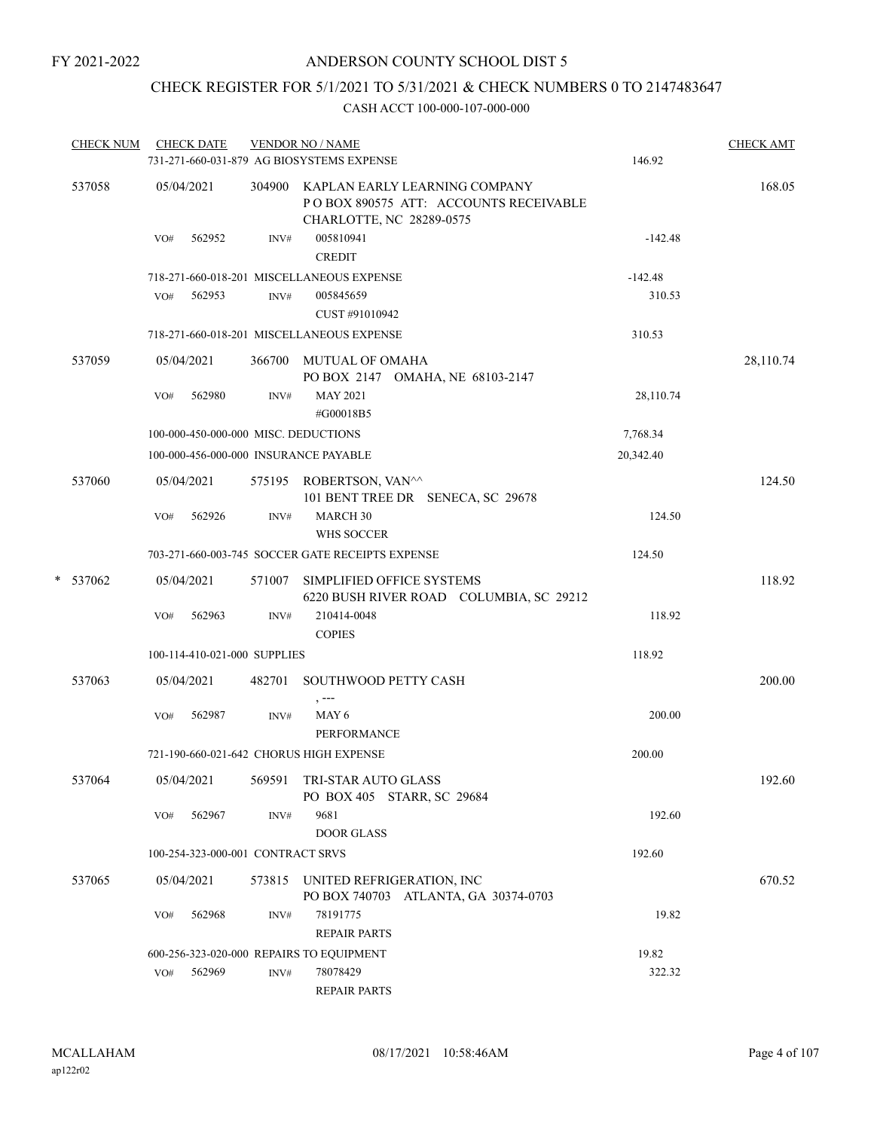## CHECK REGISTER FOR 5/1/2021 TO 5/31/2021 & CHECK NUMBERS 0 TO 2147483647

| <b>CHECK NUM</b> |     | <b>CHECK DATE</b>                 |        | <b>VENDOR NO / NAME</b><br>731-271-660-031-879 AG BIOSYSTEMS EXPENSE                                      | 146.92    | <b>CHECK AMT</b> |
|------------------|-----|-----------------------------------|--------|-----------------------------------------------------------------------------------------------------------|-----------|------------------|
| 537058           |     | 05/04/2021                        |        | 304900 KAPLAN EARLY LEARNING COMPANY<br>POBOX 890575 ATT: ACCOUNTS RECEIVABLE<br>CHARLOTTE, NC 28289-0575 |           | 168.05           |
|                  | VO# | 562952                            | INV#   | 005810941<br><b>CREDIT</b>                                                                                | $-142.48$ |                  |
|                  |     |                                   |        | 718-271-660-018-201 MISCELLANEOUS EXPENSE                                                                 | $-142.48$ |                  |
|                  | VO# | 562953                            | INV#   | 005845659<br>CUST #91010942                                                                               | 310.53    |                  |
|                  |     |                                   |        | 718-271-660-018-201 MISCELLANEOUS EXPENSE                                                                 | 310.53    |                  |
| 537059           |     | 05/04/2021                        |        | 366700 MUTUAL OF OMAHA<br>PO BOX 2147 OMAHA, NE 68103-2147                                                |           | 28,110.74        |
|                  | VO# | 562980                            | INV#   | <b>MAY 2021</b><br>#G00018B5                                                                              | 28,110.74 |                  |
|                  |     |                                   |        | 100-000-450-000-000 MISC. DEDUCTIONS                                                                      | 7,768.34  |                  |
|                  |     |                                   |        | 100-000-456-000-000 INSURANCE PAYABLE                                                                     | 20,342.40 |                  |
| 537060           |     | 05/04/2021                        |        | 575195 ROBERTSON, VAN^^<br>101 BENT TREE DR SENECA, SC 29678                                              |           | 124.50           |
|                  | VO# | 562926                            | INV#   | MARCH 30<br>WHS SOCCER                                                                                    | 124.50    |                  |
|                  |     |                                   |        | 703-271-660-003-745 SOCCER GATE RECEIPTS EXPENSE                                                          | 124.50    |                  |
| * 537062         |     | 05/04/2021                        |        | 571007 SIMPLIFIED OFFICE SYSTEMS<br>6220 BUSH RIVER ROAD COLUMBIA, SC 29212                               |           | 118.92           |
|                  | VO# | 562963                            | INV#   | 210414-0048<br><b>COPIES</b>                                                                              | 118.92    |                  |
|                  |     | 100-114-410-021-000 SUPPLIES      |        |                                                                                                           | 118.92    |                  |
| 537063           |     | 05/04/2021                        |        | 482701 SOUTHWOOD PETTY CASH<br>$, --$                                                                     |           | 200.00           |
|                  | VO# | 562987                            | INV#   | MAY <sub>6</sub><br>PERFORMANCE                                                                           | 200.00    |                  |
|                  |     |                                   |        | 721-190-660-021-642 CHORUS HIGH EXPENSE                                                                   | 200.00    |                  |
| 537064           |     |                                   |        | 05/04/2021 569591 TRI-STAR AUTO GLASS<br>PO BOX 405 STARR, SC 29684                                       |           | 192.60           |
|                  | VO# | 562967                            | INV#   | 9681<br><b>DOOR GLASS</b>                                                                                 | 192.60    |                  |
|                  |     | 100-254-323-000-001 CONTRACT SRVS |        |                                                                                                           | 192.60    |                  |
| 537065           |     | 05/04/2021                        | 573815 | UNITED REFRIGERATION, INC<br>PO BOX 740703 ATLANTA, GA 30374-0703                                         |           | 670.52           |
|                  | VO# | 562968                            | INV#   | 78191775<br><b>REPAIR PARTS</b>                                                                           | 19.82     |                  |
|                  |     |                                   |        | 600-256-323-020-000 REPAIRS TO EQUIPMENT                                                                  | 19.82     |                  |
|                  | VO# | 562969                            | INV#   | 78078429<br><b>REPAIR PARTS</b>                                                                           | 322.32    |                  |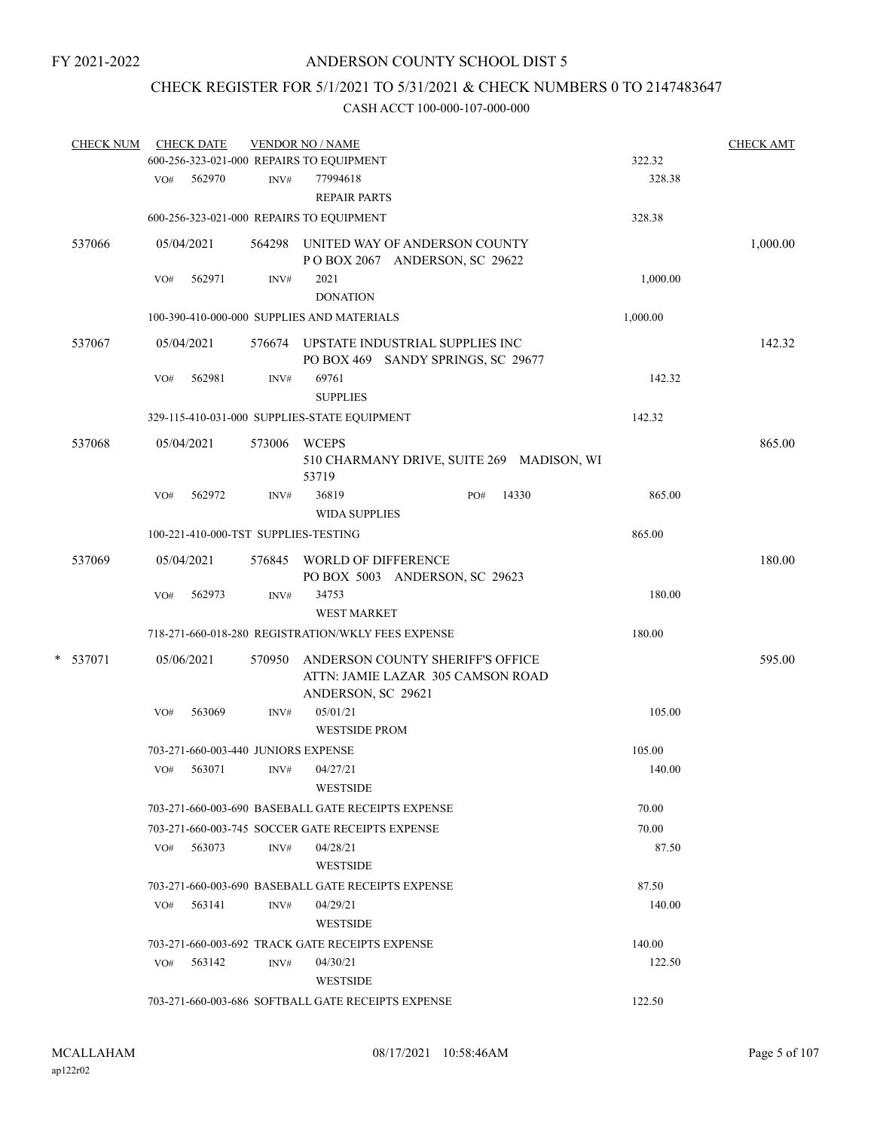## CHECK REGISTER FOR 5/1/2021 TO 5/31/2021 & CHECK NUMBERS 0 TO 2147483647

| <b>CHECK NUM</b> |     | <b>CHECK DATE</b>                    |        | <b>VENDOR NO / NAME</b>                            |                                                                              |          | <b>CHECK AMT</b> |
|------------------|-----|--------------------------------------|--------|----------------------------------------------------|------------------------------------------------------------------------------|----------|------------------|
|                  |     |                                      |        | 600-256-323-021-000 REPAIRS TO EQUIPMENT           |                                                                              | 322.32   |                  |
|                  | VO# | 562970                               | INV#   | 77994618<br><b>REPAIR PARTS</b>                    |                                                                              | 328.38   |                  |
|                  |     |                                      |        | 600-256-323-021-000 REPAIRS TO EQUIPMENT           |                                                                              | 328.38   |                  |
| 537066           |     | 05/04/2021                           |        |                                                    | 564298 UNITED WAY OF ANDERSON COUNTY<br>POBOX 2067 ANDERSON, SC 29622        |          | 1,000.00         |
|                  | VO# | 562971                               | INV#   | 2021<br><b>DONATION</b>                            |                                                                              | 1,000.00 |                  |
|                  |     |                                      |        | 100-390-410-000-000 SUPPLIES AND MATERIALS         |                                                                              | 1,000.00 |                  |
| 537067           |     | 05/04/2021                           |        |                                                    | 576674 UPSTATE INDUSTRIAL SUPPLIES INC<br>PO BOX 469 SANDY SPRINGS, SC 29677 |          | 142.32           |
|                  | VO# | 562981                               | INV#   | 69761<br><b>SUPPLIES</b>                           |                                                                              | 142.32   |                  |
|                  |     |                                      |        | 329-115-410-031-000 SUPPLIES-STATE EQUIPMENT       |                                                                              | 142.32   |                  |
| 537068           |     | 05/04/2021                           | 573006 | <b>WCEPS</b><br>53719                              | 510 CHARMANY DRIVE, SUITE 269 MADISON, WI                                    |          | 865.00           |
|                  | VO# | 562972                               | INV#   | 36819<br><b>WIDA SUPPLIES</b>                      | 14330<br>PO#                                                                 | 865.00   |                  |
|                  |     | 100-221-410-000-TST SUPPLIES-TESTING |        |                                                    |                                                                              | 865.00   |                  |
| 537069           |     | 05/04/2021                           |        | 576845 WORLD OF DIFFERENCE                         | PO BOX 5003 ANDERSON, SC 29623                                               |          | 180.00           |
|                  | VO# | 562973                               | INV#   | 34753<br><b>WEST MARKET</b>                        |                                                                              | 180.00   |                  |
|                  |     |                                      |        | 718-271-660-018-280 REGISTRATION/WKLY FEES EXPENSE |                                                                              | 180.00   |                  |
| * 537071         |     | 05/06/2021                           | 570950 | ANDERSON, SC 29621                                 | ANDERSON COUNTY SHERIFF'S OFFICE<br>ATTN: JAMIE LAZAR 305 CAMSON ROAD        |          | 595.00           |
|                  | VO# | 563069                               | INV#   | 05/01/21<br><b>WESTSIDE PROM</b>                   |                                                                              | 105.00   |                  |
|                  |     | 703-271-660-003-440 JUNIORS EXPENSE  |        |                                                    |                                                                              | 105.00   |                  |
|                  | VO# | 563071                               | INV#   | 04/27/21<br><b>WESTSIDE</b>                        |                                                                              | 140.00   |                  |
|                  |     |                                      |        | 703-271-660-003-690 BASEBALL GATE RECEIPTS EXPENSE |                                                                              | 70.00    |                  |
|                  |     |                                      |        | 703-271-660-003-745 SOCCER GATE RECEIPTS EXPENSE   |                                                                              | 70.00    |                  |
|                  | VO# | 563073                               | INV#   | 04/28/21<br><b>WESTSIDE</b>                        |                                                                              | 87.50    |                  |
|                  |     |                                      |        | 703-271-660-003-690 BASEBALL GATE RECEIPTS EXPENSE |                                                                              | 87.50    |                  |
|                  | VO# | 563141                               | INV#   | 04/29/21<br><b>WESTSIDE</b>                        |                                                                              | 140.00   |                  |
|                  |     |                                      |        | 703-271-660-003-692 TRACK GATE RECEIPTS EXPENSE    |                                                                              | 140.00   |                  |
|                  | VO# | 563142                               | INV#   | 04/30/21<br>WESTSIDE                               |                                                                              | 122.50   |                  |
|                  |     |                                      |        | 703-271-660-003-686 SOFTBALL GATE RECEIPTS EXPENSE |                                                                              | 122.50   |                  |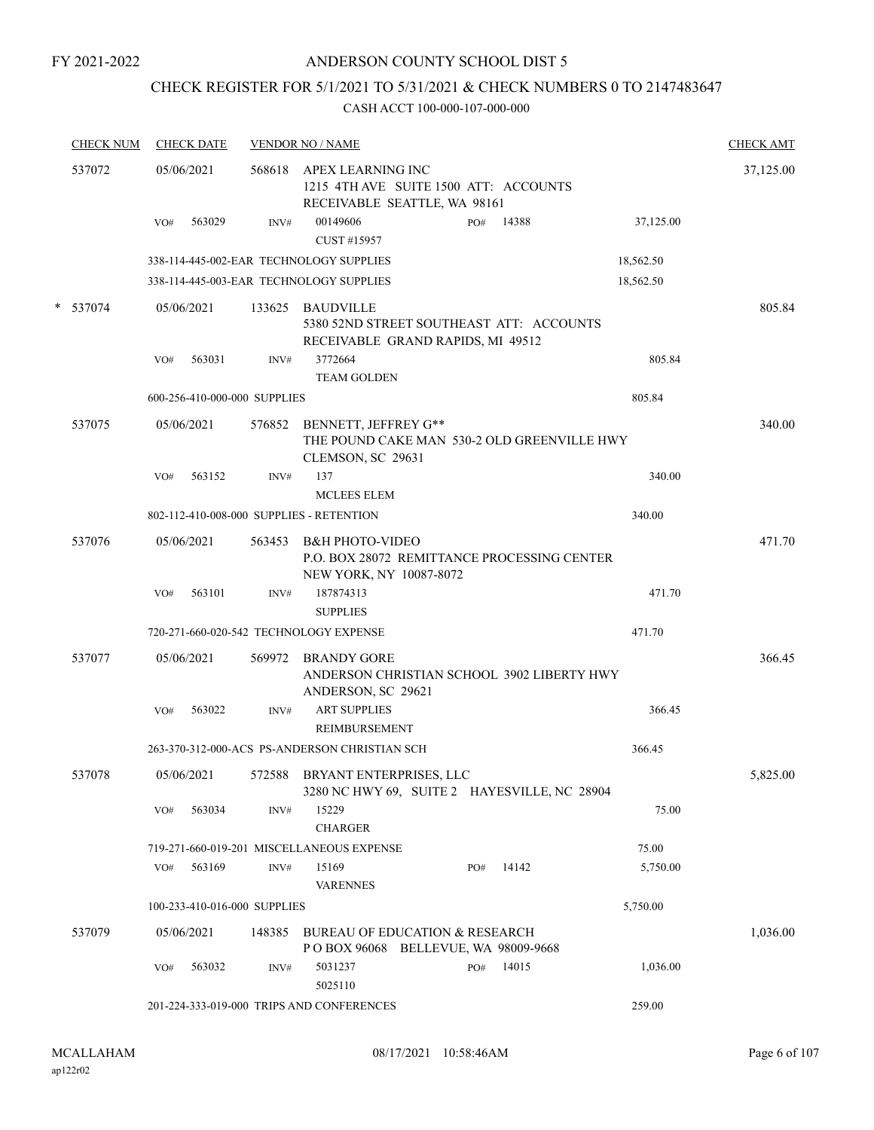## ANDERSON COUNTY SCHOOL DIST 5

## CHECK REGISTER FOR 5/1/2021 TO 5/31/2021 & CHECK NUMBERS 0 TO 2147483647

|   | <b>CHECK NUM</b> |     | <b>CHECK DATE</b> |                              | <b>VENDOR NO / NAME</b>                                               |     |                                              |           | <b>CHECK AMT</b> |
|---|------------------|-----|-------------------|------------------------------|-----------------------------------------------------------------------|-----|----------------------------------------------|-----------|------------------|
|   | 537072           |     | 05/06/2021        | 568618                       | APEX LEARNING INC<br>RECEIVABLE SEATTLE, WA 98161                     |     | 1215 4TH AVE SUITE 1500 ATT: ACCOUNTS        |           | 37,125.00        |
|   |                  | VO# | 563029            | INV#                         | 00149606<br>CUST #15957                                               | PO# | 14388                                        | 37,125.00 |                  |
|   |                  |     |                   |                              | 338-114-445-002-EAR TECHNOLOGY SUPPLIES                               |     |                                              | 18,562.50 |                  |
|   |                  |     |                   |                              | 338-114-445-003-EAR TECHNOLOGY SUPPLIES                               |     |                                              | 18,562.50 |                  |
| * | 537074           |     | 05/06/2021        |                              | 133625 BAUDVILLE<br>RECEIVABLE GRAND RAPIDS, MI 49512                 |     | 5380 52ND STREET SOUTHEAST ATT: ACCOUNTS     |           | 805.84           |
|   |                  | VO# | 563031            | INV#                         | 3772664<br><b>TEAM GOLDEN</b>                                         |     |                                              | 805.84    |                  |
|   |                  |     |                   | 600-256-410-000-000 SUPPLIES |                                                                       |     |                                              | 805.84    |                  |
|   | 537075           |     | 05/06/2021        | 576852                       | BENNETT, JEFFREY G**<br>CLEMSON, SC 29631                             |     | THE POUND CAKE MAN 530-2 OLD GREENVILLE HWY  |           | 340.00           |
|   |                  | VO# | 563152            | INV#                         | 137<br><b>MCLEES ELEM</b>                                             |     |                                              | 340.00    |                  |
|   |                  |     |                   |                              | 802-112-410-008-000 SUPPLIES - RETENTION                              |     |                                              | 340.00    |                  |
|   | 537076           |     | 05/06/2021        | 563453                       | <b>B&amp;H PHOTO-VIDEO</b><br>NEW YORK, NY 10087-8072                 |     | P.O. BOX 28072 REMITTANCE PROCESSING CENTER  |           | 471.70           |
|   |                  | VO# | 563101            | INV#                         | 187874313<br><b>SUPPLIES</b>                                          |     |                                              | 471.70    |                  |
|   |                  |     |                   |                              | 720-271-660-020-542 TECHNOLOGY EXPENSE                                |     |                                              | 471.70    |                  |
|   | 537077           |     |                   |                              |                                                                       |     |                                              |           | 366.45           |
|   |                  |     | 05/06/2021        | 569972                       | <b>BRANDY GORE</b><br>ANDERSON, SC 29621                              |     | ANDERSON CHRISTIAN SCHOOL 3902 LIBERTY HWY   |           |                  |
|   |                  | VO# | 563022            | INV#                         | <b>ART SUPPLIES</b><br>REIMBURSEMENT                                  |     |                                              | 366.45    |                  |
|   |                  |     |                   |                              | 263-370-312-000-ACS PS-ANDERSON CHRISTIAN SCH                         |     |                                              | 366.45    |                  |
|   | 537078           |     | 05/06/2021        |                              | 572588 BRYANT ENTERPRISES, LLC                                        |     | 3280 NC HWY 69, SUITE 2 HAYESVILLE, NC 28904 |           | 5,825.00         |
|   |                  | VO# | 563034            | INV#                         | 15229<br><b>CHARGER</b>                                               |     |                                              | 75.00     |                  |
|   |                  |     |                   |                              | 719-271-660-019-201 MISCELLANEOUS EXPENSE                             |     |                                              | 75.00     |                  |
|   |                  | VO# | 563169            | INV#                         | 15169<br><b>VARENNES</b>                                              | PO# | 14142                                        | 5,750.00  |                  |
|   |                  |     |                   | 100-233-410-016-000 SUPPLIES |                                                                       |     |                                              | 5,750.00  |                  |
|   | 537079           |     | 05/06/2021        | 148385                       | BUREAU OF EDUCATION & RESEARCH<br>POBOX 96068 BELLEVUE, WA 98009-9668 |     |                                              |           | 1,036.00         |
|   |                  | VO# | 563032            | INV#                         | 5031237<br>5025110                                                    | PO# | 14015                                        | 1,036.00  |                  |
|   |                  |     |                   |                              | 201-224-333-019-000 TRIPS AND CONFERENCES                             |     |                                              | 259.00    |                  |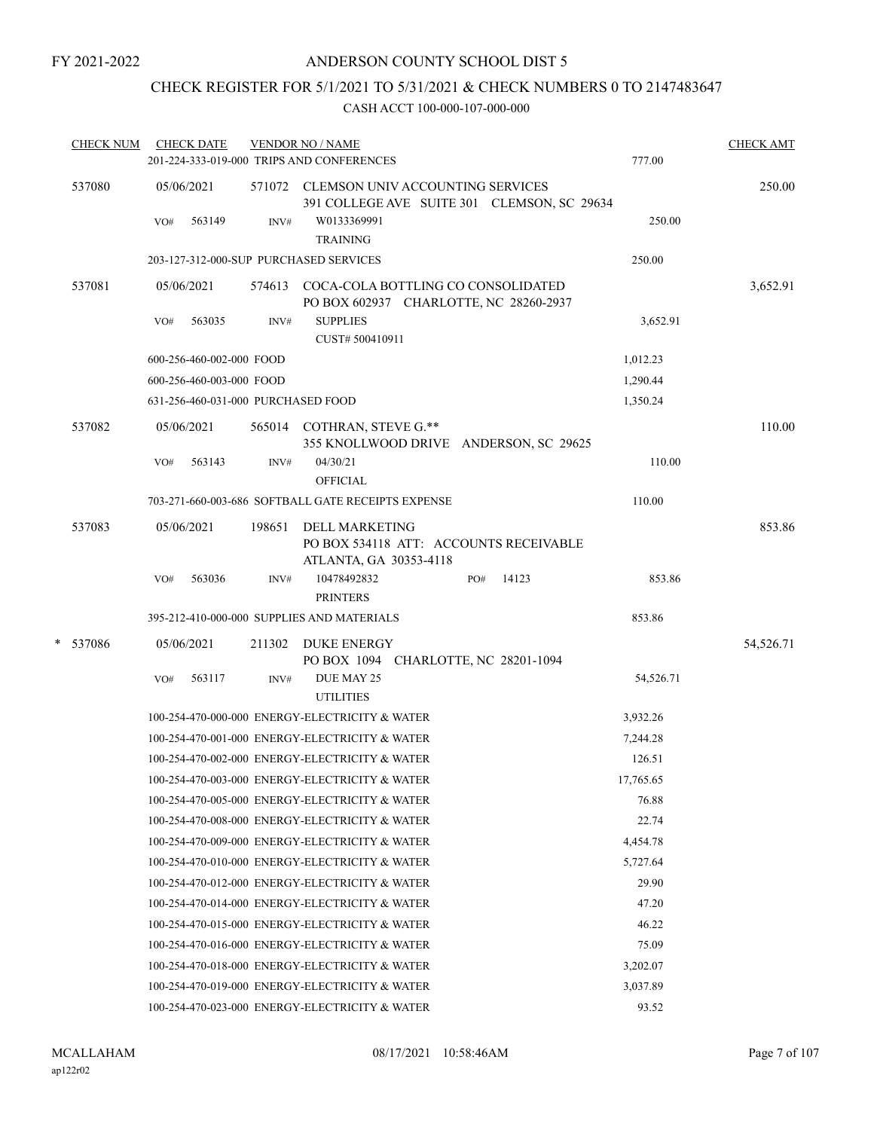## CHECK REGISTER FOR 5/1/2021 TO 5/31/2021 & CHECK NUMBERS 0 TO 2147483647

| <b>CHECK NUM</b> |     | <b>CHECK DATE</b>                  |        | <b>VENDOR NO / NAME</b><br>201-224-333-019-000 TRIPS AND CONFERENCES |                                                                                     | 777.00    | <b>CHECK AMT</b> |
|------------------|-----|------------------------------------|--------|----------------------------------------------------------------------|-------------------------------------------------------------------------------------|-----------|------------------|
| 537080           |     | 05/06/2021                         |        | 571072 CLEMSON UNIV ACCOUNTING SERVICES                              | 391 COLLEGE AVE SUITE 301 CLEMSON, SC 29634                                         |           | 250.00           |
|                  | VO# | 563149                             | INV#   | W0133369991<br><b>TRAINING</b>                                       |                                                                                     | 250.00    |                  |
|                  |     |                                    |        | 203-127-312-000-SUP PURCHASED SERVICES                               |                                                                                     | 250.00    |                  |
| 537081           |     | 05/06/2021                         |        |                                                                      | 574613 COCA-COLA BOTTLING CO CONSOLIDATED<br>PO BOX 602937 CHARLOTTE, NC 28260-2937 |           | 3,652.91         |
|                  | VO# | 563035                             | INV#   | <b>SUPPLIES</b><br>CUST# 500410911                                   |                                                                                     | 3,652.91  |                  |
|                  |     | 600-256-460-002-000 FOOD           |        |                                                                      |                                                                                     | 1,012.23  |                  |
|                  |     | 600-256-460-003-000 FOOD           |        |                                                                      |                                                                                     | 1,290.44  |                  |
|                  |     | 631-256-460-031-000 PURCHASED FOOD |        |                                                                      |                                                                                     | 1,350.24  |                  |
| 537082           |     | 05/06/2021                         |        | 565014 COTHRAN, STEVE G.**                                           | 355 KNOLLWOOD DRIVE ANDERSON, SC 29625                                              |           | 110.00           |
|                  | VO# | 563143                             | INV#   | 04/30/21<br><b>OFFICIAL</b>                                          |                                                                                     | 110.00    |                  |
|                  |     |                                    |        | 703-271-660-003-686 SOFTBALL GATE RECEIPTS EXPENSE                   |                                                                                     | 110.00    |                  |
| 537083           |     | 05/06/2021                         | 198651 | DELL MARKETING<br>ATLANTA, GA 30353-4118                             | PO BOX 534118 ATT: ACCOUNTS RECEIVABLE                                              |           | 853.86           |
|                  | VO# | 563036                             | INV#   | 10478492832<br><b>PRINTERS</b>                                       | 14123<br>PO#                                                                        | 853.86    |                  |
|                  |     |                                    |        | 395-212-410-000-000 SUPPLIES AND MATERIALS                           |                                                                                     | 853.86    |                  |
| * 537086         |     | 05/06/2021                         |        | 211302 DUKE ENERGY                                                   | PO BOX 1094 CHARLOTTE, NC 28201-1094                                                |           | 54,526.71        |
|                  | VO# | 563117                             | INV#   | DUE MAY 25<br><b>UTILITIES</b>                                       |                                                                                     | 54,526.71 |                  |
|                  |     |                                    |        | 100-254-470-000-000 ENERGY-ELECTRICITY & WATER                       |                                                                                     | 3,932.26  |                  |
|                  |     |                                    |        | 100-254-470-001-000 ENERGY-ELECTRICITY & WATER                       |                                                                                     | 7,244.28  |                  |
|                  |     |                                    |        | 100-254-470-002-000 ENERGY-ELECTRICITY & WATER                       |                                                                                     | 126.51    |                  |
|                  |     |                                    |        | 100-254-470-003-000 ENERGY-ELECTRICITY & WATER                       |                                                                                     | 17,765.65 |                  |
|                  |     |                                    |        | 100-254-470-005-000 ENERGY-ELECTRICITY & WATER                       |                                                                                     | 76.88     |                  |
|                  |     |                                    |        | 100-254-470-008-000 ENERGY-ELECTRICITY & WATER                       |                                                                                     | 22.74     |                  |
|                  |     |                                    |        | 100-254-470-009-000 ENERGY-ELECTRICITY & WATER                       |                                                                                     | 4,454.78  |                  |
|                  |     |                                    |        | 100-254-470-010-000 ENERGY-ELECTRICITY & WATER                       |                                                                                     | 5,727.64  |                  |
|                  |     |                                    |        | 100-254-470-012-000 ENERGY-ELECTRICITY & WATER                       |                                                                                     | 29.90     |                  |
|                  |     |                                    |        | 100-254-470-014-000 ENERGY-ELECTRICITY & WATER                       |                                                                                     | 47.20     |                  |
|                  |     |                                    |        | 100-254-470-015-000 ENERGY-ELECTRICITY & WATER                       |                                                                                     | 46.22     |                  |
|                  |     |                                    |        | 100-254-470-016-000 ENERGY-ELECTRICITY & WATER                       |                                                                                     | 75.09     |                  |
|                  |     |                                    |        | 100-254-470-018-000 ENERGY-ELECTRICITY & WATER                       |                                                                                     | 3,202.07  |                  |
|                  |     |                                    |        | 100-254-470-019-000 ENERGY-ELECTRICITY & WATER                       |                                                                                     | 3,037.89  |                  |
|                  |     |                                    |        | 100-254-470-023-000 ENERGY-ELECTRICITY & WATER                       |                                                                                     | 93.52     |                  |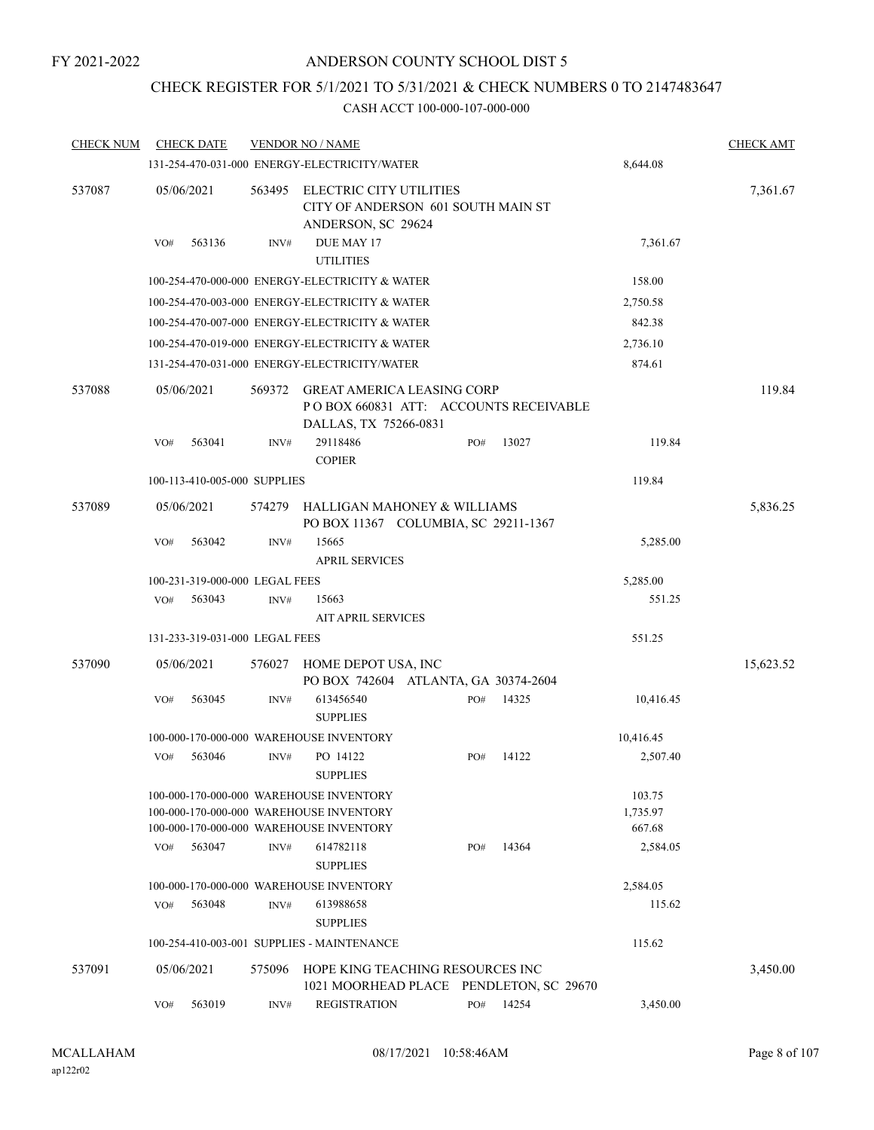## CHECK REGISTER FOR 5/1/2021 TO 5/31/2021 & CHECK NUMBERS 0 TO 2147483647

| <b>CHECK NUM</b> |            | <b>CHECK DATE</b>              |        | <b>VENDOR NO / NAME</b>                                                                                                                    |     |       |                                          | <b>CHECK AMT</b> |
|------------------|------------|--------------------------------|--------|--------------------------------------------------------------------------------------------------------------------------------------------|-----|-------|------------------------------------------|------------------|
|                  |            |                                |        | 131-254-470-031-000 ENERGY-ELECTRICITY/WATER                                                                                               |     |       | 8,644.08                                 |                  |
| 537087           | 05/06/2021 |                                | 563495 | <b>ELECTRIC CITY UTILITIES</b><br>CITY OF ANDERSON 601 SOUTH MAIN ST<br>ANDERSON, SC 29624                                                 |     |       |                                          | 7,361.67         |
|                  | VO#        | 563136                         | INV#   | DUE MAY 17<br><b>UTILITIES</b>                                                                                                             |     |       | 7,361.67                                 |                  |
|                  |            |                                |        | 100-254-470-000-000 ENERGY-ELECTRICITY & WATER                                                                                             |     |       | 158.00                                   |                  |
|                  |            |                                |        | 100-254-470-003-000 ENERGY-ELECTRICITY & WATER                                                                                             |     |       | 2,750.58                                 |                  |
|                  |            |                                |        | 100-254-470-007-000 ENERGY-ELECTRICITY & WATER                                                                                             |     |       | 842.38                                   |                  |
|                  |            |                                |        | 100-254-470-019-000 ENERGY-ELECTRICITY & WATER                                                                                             |     |       | 2,736.10                                 |                  |
|                  |            |                                |        | 131-254-470-031-000 ENERGY-ELECTRICITY/WATER                                                                                               |     |       | 874.61                                   |                  |
| 537088           | 05/06/2021 |                                | 569372 | <b>GREAT AMERICA LEASING CORP</b><br>PO BOX 660831 ATT: ACCOUNTS RECEIVABLE<br>DALLAS, TX 75266-0831                                       |     |       |                                          | 119.84           |
|                  | VO#        | 563041                         | INV#   | 29118486<br><b>COPIER</b>                                                                                                                  | PO# | 13027 | 119.84                                   |                  |
|                  |            | 100-113-410-005-000 SUPPLIES   |        |                                                                                                                                            |     |       | 119.84                                   |                  |
| 537089           | 05/06/2021 |                                | 574279 | HALLIGAN MAHONEY & WILLIAMS<br>PO BOX 11367 COLUMBIA, SC 29211-1367                                                                        |     |       |                                          | 5,836.25         |
|                  | VO#        | 563042                         | INV#   | 15665<br><b>APRIL SERVICES</b>                                                                                                             |     |       | 5,285.00                                 |                  |
|                  |            | 100-231-319-000-000 LEGAL FEES |        |                                                                                                                                            |     |       | 5,285.00                                 |                  |
|                  | VO#        | 563043                         | INV#   | 15663<br><b>AIT APRIL SERVICES</b>                                                                                                         |     |       | 551.25                                   |                  |
|                  |            | 131-233-319-031-000 LEGAL FEES |        |                                                                                                                                            |     |       | 551.25                                   |                  |
| 537090           | 05/06/2021 |                                | 576027 | HOME DEPOT USA, INC<br>PO BOX 742604 ATLANTA, GA 30374-2604                                                                                |     |       |                                          | 15,623.52        |
|                  | VO#        | 563045                         | INV#   | 613456540<br><b>SUPPLIES</b>                                                                                                               | PO# | 14325 | 10,416.45                                |                  |
|                  |            |                                |        | 100-000-170-000-000 WAREHOUSE INVENTORY                                                                                                    |     |       | 10,416.45                                |                  |
|                  | VO#        | 563046                         | INV#   | PO 14122<br><b>SUPPLIES</b>                                                                                                                | PO# | 14122 | 2,507.40                                 |                  |
|                  | VO#        | 563047                         | INV#   | 100-000-170-000-000 WAREHOUSE INVENTORY<br>100-000-170-000-000 WAREHOUSE INVENTORY<br>100-000-170-000-000 WAREHOUSE INVENTORY<br>614782118 | PO# | 14364 | 103.75<br>1,735.97<br>667.68<br>2,584.05 |                  |
|                  |            |                                |        | <b>SUPPLIES</b>                                                                                                                            |     |       |                                          |                  |
|                  |            |                                |        | 100-000-170-000-000 WAREHOUSE INVENTORY                                                                                                    |     |       | 2,584.05                                 |                  |
|                  | VO#        | 563048                         | INV#   | 613988658<br><b>SUPPLIES</b>                                                                                                               |     |       | 115.62                                   |                  |
|                  |            |                                |        | 100-254-410-003-001 SUPPLIES - MAINTENANCE                                                                                                 |     |       | 115.62                                   |                  |
| 537091           | 05/06/2021 |                                | 575096 | HOPE KING TEACHING RESOURCES INC<br>1021 MOORHEAD PLACE PENDLETON, SC 29670                                                                |     |       |                                          | 3,450.00         |
|                  | VO#        | 563019                         | INV#   | <b>REGISTRATION</b>                                                                                                                        | PO# | 14254 | 3,450.00                                 |                  |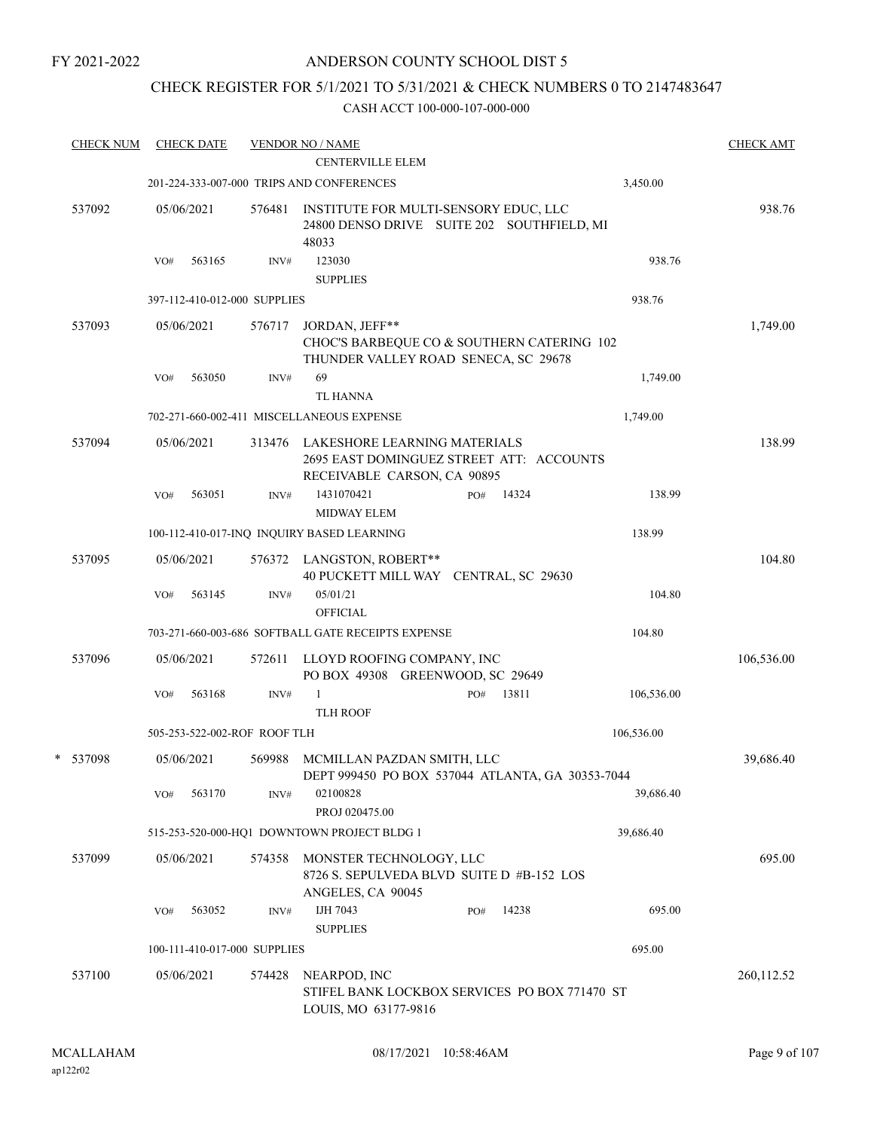### CHECK REGISTER FOR 5/1/2021 TO 5/31/2021 & CHECK NUMBERS 0 TO 2147483647

| <b>CHECK NUM</b> |     | <b>CHECK DATE</b>            |        | <b>VENDOR NO / NAME</b>                                                                                        |     |       |            | <b>CHECK AMT</b> |
|------------------|-----|------------------------------|--------|----------------------------------------------------------------------------------------------------------------|-----|-------|------------|------------------|
|                  |     |                              |        | <b>CENTERVILLE ELEM</b>                                                                                        |     |       |            |                  |
|                  |     |                              |        | 201-224-333-007-000 TRIPS AND CONFERENCES                                                                      |     |       | 3,450.00   |                  |
| 537092           |     | 05/06/2021                   | 576481 | INSTITUTE FOR MULTI-SENSORY EDUC, LLC<br>24800 DENSO DRIVE SUITE 202 SOUTHFIELD, MI<br>48033                   |     |       |            | 938.76           |
|                  | VO# | 563165                       | INV#   | 123030<br><b>SUPPLIES</b>                                                                                      |     |       | 938.76     |                  |
|                  |     | 397-112-410-012-000 SUPPLIES |        |                                                                                                                |     |       | 938.76     |                  |
| 537093           |     | 05/06/2021                   | 576717 | JORDAN, JEFF**<br>CHOC'S BARBEQUE CO & SOUTHERN CATERING 102<br>THUNDER VALLEY ROAD SENECA, SC 29678           |     |       |            | 1,749.00         |
|                  | VO# | 563050                       | INV#   | 69<br><b>TL HANNA</b>                                                                                          |     |       | 1,749.00   |                  |
|                  |     |                              |        | 702-271-660-002-411 MISCELLANEOUS EXPENSE                                                                      |     |       | 1,749.00   |                  |
| 537094           |     | 05/06/2021                   |        | 313476 LAKESHORE LEARNING MATERIALS<br>2695 EAST DOMINGUEZ STREET ATT: ACCOUNTS<br>RECEIVABLE CARSON, CA 90895 |     |       |            | 138.99           |
|                  | VO# | 563051                       | INV#   | 1431070421                                                                                                     | PO# | 14324 | 138.99     |                  |
|                  |     |                              |        | <b>MIDWAY ELEM</b><br>100-112-410-017-INQ INQUIRY BASED LEARNING                                               |     |       | 138.99     |                  |
|                  |     |                              |        |                                                                                                                |     |       |            |                  |
| 537095           | VO# | 05/06/2021<br>563145         | INV#   | 576372 LANGSTON, ROBERT**<br>40 PUCKETT MILL WAY CENTRAL, SC 29630<br>05/01/21                                 |     |       | 104.80     | 104.80           |
|                  |     |                              |        | <b>OFFICIAL</b>                                                                                                |     |       |            |                  |
|                  |     |                              |        | 703-271-660-003-686 SOFTBALL GATE RECEIPTS EXPENSE                                                             |     |       | 104.80     |                  |
| 537096           |     | 05/06/2021                   | 572611 | LLOYD ROOFING COMPANY, INC<br>PO BOX 49308 GREENWOOD, SC 29649                                                 |     |       |            | 106,536.00       |
|                  | VO# | 563168                       | INV#   | 1                                                                                                              | PO# | 13811 | 106,536.00 |                  |
|                  |     |                              |        | <b>TLH ROOF</b>                                                                                                |     |       |            |                  |
|                  |     | 505-253-522-002-ROF ROOF TLH |        |                                                                                                                |     |       | 106,536.00 |                  |
| * 537098         |     | 05/06/2021                   | 569988 | MCMILLAN PAZDAN SMITH, LLC<br>DEPT 999450 PO BOX 537044 ATLANTA, GA 30353-7044                                 |     |       |            | 39,686.40        |
|                  | VO# | 563170                       | INV#   | 02100828<br>PROJ 020475.00                                                                                     |     |       | 39,686.40  |                  |
|                  |     |                              |        | 515-253-520-000-HQ1 DOWNTOWN PROJECT BLDG 1                                                                    |     |       | 39,686.40  |                  |
| 537099           |     | 05/06/2021                   | 574358 | MONSTER TECHNOLOGY, LLC<br>8726 S. SEPULVEDA BLVD SUITE D #B-152 LOS<br>ANGELES, CA 90045                      |     |       |            | 695.00           |
|                  | VO# | 563052                       | INV#   | IJH 7043<br><b>SUPPLIES</b>                                                                                    | PO# | 14238 | 695.00     |                  |
|                  |     | 100-111-410-017-000 SUPPLIES |        |                                                                                                                |     |       | 695.00     |                  |
| 537100           |     | 05/06/2021                   | 574428 | NEARPOD, INC<br>STIFEL BANK LOCKBOX SERVICES PO BOX 771470 ST<br>LOUIS, MO 63177-9816                          |     |       |            | 260,112.52       |
|                  |     |                              |        |                                                                                                                |     |       |            |                  |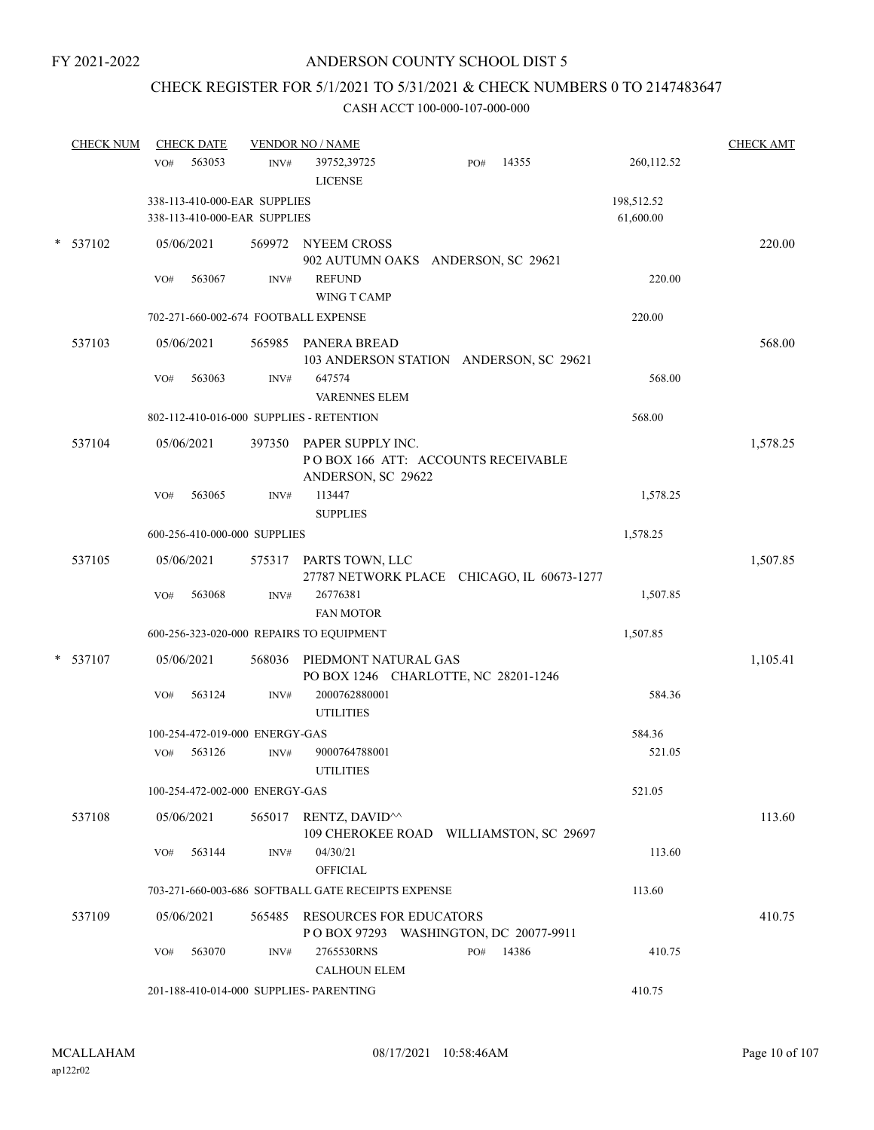## CHECK REGISTER FOR 5/1/2021 TO 5/31/2021 & CHECK NUMBERS 0 TO 2147483647

| <b>CHECK NUM</b> | <b>CHECK DATE</b>                                            |        | <b>VENDOR NO / NAME</b>                                                              |     |       |                         | <b>CHECK AMT</b> |
|------------------|--------------------------------------------------------------|--------|--------------------------------------------------------------------------------------|-----|-------|-------------------------|------------------|
|                  | 563053<br>VO#                                                | INV#   | 39752,39725<br><b>LICENSE</b>                                                        | PO# | 14355 | 260,112.52              |                  |
|                  | 338-113-410-000-EAR SUPPLIES<br>338-113-410-000-EAR SUPPLIES |        |                                                                                      |     |       | 198,512.52<br>61,600.00 |                  |
| * 537102         | 05/06/2021                                                   |        | 569972 NYEEM CROSS<br>902 AUTUMN OAKS ANDERSON, SC 29621                             |     |       |                         | 220.00           |
|                  | 563067<br>VO#                                                | INV#   | <b>REFUND</b><br>WING T CAMP                                                         |     |       | 220.00                  |                  |
|                  | 702-271-660-002-674 FOOTBALL EXPENSE                         |        |                                                                                      |     |       | 220.00                  |                  |
| 537103           | 05/06/2021                                                   |        | 565985 PANERA BREAD<br>103 ANDERSON STATION ANDERSON, SC 29621                       |     |       |                         | 568.00           |
|                  | VO#<br>563063                                                | INV#   | 647574<br><b>VARENNES ELEM</b>                                                       |     |       | 568.00                  |                  |
|                  | 802-112-410-016-000 SUPPLIES - RETENTION                     |        |                                                                                      |     |       | 568.00                  |                  |
| 537104           | 05/06/2021                                                   |        | 397350 PAPER SUPPLY INC.<br>POBOX 166 ATT: ACCOUNTS RECEIVABLE<br>ANDERSON, SC 29622 |     |       |                         | 1,578.25         |
|                  | 563065<br>VO#                                                | INV#   | 113447<br><b>SUPPLIES</b>                                                            |     |       | 1,578.25                |                  |
|                  | 600-256-410-000-000 SUPPLIES                                 |        |                                                                                      |     |       | 1,578.25                |                  |
| 537105           | 05/06/2021                                                   |        | 575317 PARTS TOWN, LLC<br>27787 NETWORK PLACE CHICAGO, IL 60673-1277                 |     |       |                         | 1,507.85         |
|                  | 563068<br>VO#                                                | INV#   | 26776381<br><b>FAN MOTOR</b>                                                         |     |       | 1,507.85                |                  |
|                  | 600-256-323-020-000 REPAIRS TO EQUIPMENT                     |        |                                                                                      |     |       | 1,507.85                |                  |
| $*$ 537107       | 05/06/2021                                                   | 568036 | PIEDMONT NATURAL GAS<br>PO BOX 1246 CHARLOTTE, NC 28201-1246                         |     |       |                         | 1,105.41         |
|                  | 563124<br>VO#                                                | INV#   | 2000762880001<br><b>UTILITIES</b>                                                    |     |       | 584.36                  |                  |
|                  | 100-254-472-019-000 ENERGY-GAS                               |        |                                                                                      |     |       | 584.36                  |                  |
|                  | 563126<br>VO#                                                | INV#   | 9000764788001<br><b>UTILITIES</b>                                                    |     |       | 521.05                  |                  |
|                  | 100-254-472-002-000 ENERGY-GAS                               |        |                                                                                      |     |       | 521.05                  |                  |
| 537108           | 05/06/2021                                                   |        | 565017 RENTZ, DAVID <sup>^^</sup><br>109 CHEROKEE ROAD WILLIAMSTON, SC 29697         |     |       |                         | 113.60           |
|                  | 563144<br>VO#                                                | INV#   | 04/30/21<br><b>OFFICIAL</b>                                                          |     |       | 113.60                  |                  |
|                  |                                                              |        | 703-271-660-003-686 SOFTBALL GATE RECEIPTS EXPENSE                                   |     |       | 113.60                  |                  |
| 537109           | 05/06/2021                                                   | 565485 | <b>RESOURCES FOR EDUCATORS</b><br>POBOX 97293 WASHINGTON, DC 20077-9911              |     |       |                         | 410.75           |
|                  | 563070<br>VO#                                                | INV#   | 2765530RNS<br><b>CALHOUN ELEM</b>                                                    | PO# | 14386 | 410.75                  |                  |
|                  | 201-188-410-014-000 SUPPLIES- PARENTING                      |        |                                                                                      |     |       | 410.75                  |                  |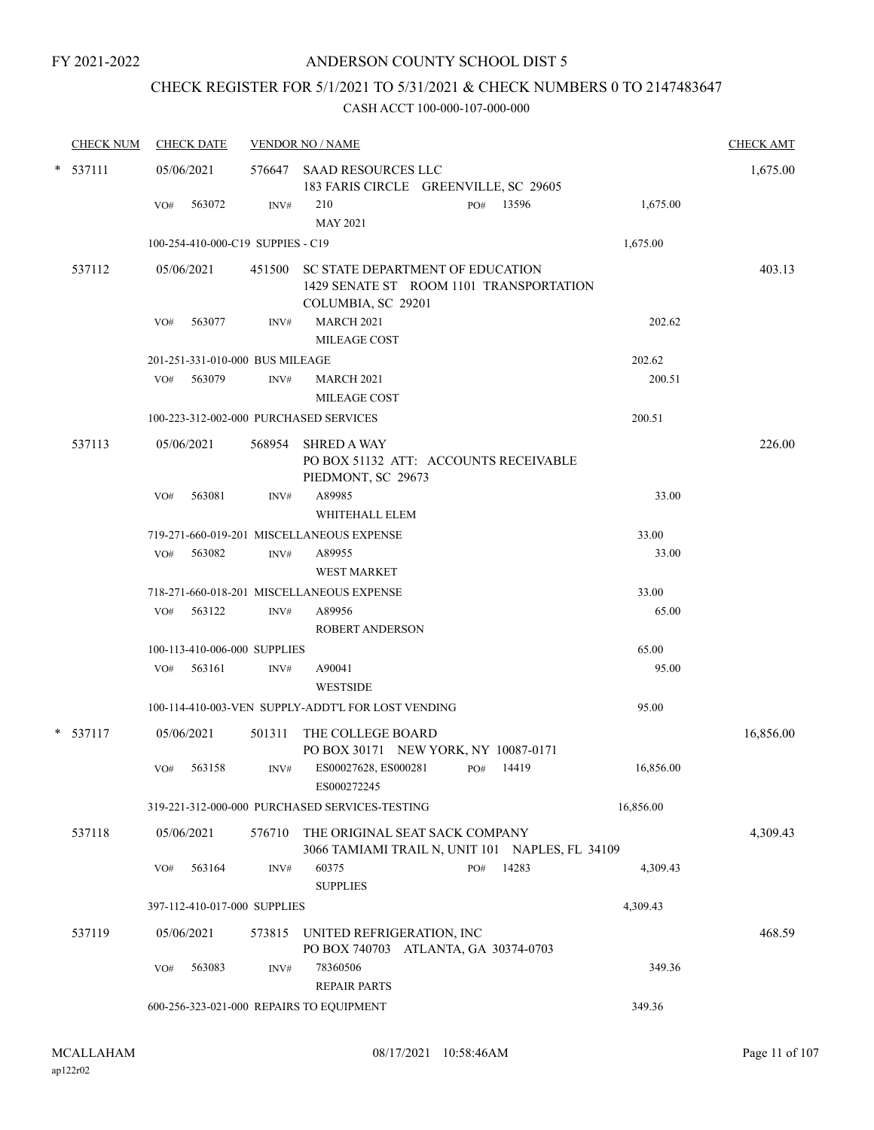## CHECK REGISTER FOR 5/1/2021 TO 5/31/2021 & CHECK NUMBERS 0 TO 2147483647

| <b>CHECK NUM</b> |     | <b>CHECK DATE</b>                 |        | <b>VENDOR NO / NAME</b>                                                            | <b>CHECK AMT</b> |
|------------------|-----|-----------------------------------|--------|------------------------------------------------------------------------------------|------------------|
| $*$ 537111       |     | 05/06/2021                        |        | 576647 SAAD RESOURCES LLC<br>183 FARIS CIRCLE GREENVILLE, SC 29605                 | 1,675.00         |
|                  | VO# | 563072                            | INV#   | 210<br>PO# 13596<br>1,675.00<br><b>MAY 2021</b>                                    |                  |
|                  |     | 100-254-410-000-C19 SUPPIES - C19 |        | 1,675.00                                                                           |                  |
| 537112           |     | 05/06/2021                        |        | 451500 SC STATE DEPARTMENT OF EDUCATION<br>1429 SENATE ST ROOM 1101 TRANSPORTATION | 403.13           |
|                  | VO# | 563077                            | INV#   | COLUMBIA, SC 29201<br><b>MARCH 2021</b><br>202.62<br>MILEAGE COST                  |                  |
|                  |     | 201-251-331-010-000 BUS MILEAGE   |        | 202.62                                                                             |                  |
|                  | VO# | 563079                            | INV#   | <b>MARCH 2021</b><br>200.51<br>MILEAGE COST                                        |                  |
|                  |     |                                   |        | 200.51<br>100-223-312-002-000 PURCHASED SERVICES                                   |                  |
| 537113           |     | 05/06/2021                        |        | 568954 SHRED A WAY<br>PO BOX 51132 ATT: ACCOUNTS RECEIVABLE<br>PIEDMONT, SC 29673  | 226.00           |
|                  | VO# | 563081                            | INV#   | A89985<br>33.00<br>WHITEHALL ELEM                                                  |                  |
|                  |     |                                   |        | 719-271-660-019-201 MISCELLANEOUS EXPENSE<br>33.00                                 |                  |
|                  | VO# | 563082                            | INV#   | A89955<br>33.00<br><b>WEST MARKET</b>                                              |                  |
|                  |     |                                   |        | 718-271-660-018-201 MISCELLANEOUS EXPENSE<br>33.00                                 |                  |
|                  | VO# | 563122                            | INV#   | 65.00<br>A89956<br><b>ROBERT ANDERSON</b>                                          |                  |
|                  |     | 100-113-410-006-000 SUPPLIES      |        | 65.00                                                                              |                  |
|                  | VO# | 563161                            | INV#   | 95.00<br>A90041<br><b>WESTSIDE</b>                                                 |                  |
|                  |     |                                   |        | 100-114-410-003-VEN SUPPLY-ADDT'L FOR LOST VENDING<br>95.00                        |                  |
| $*$ 537117       |     | 05/06/2021                        | 501311 | THE COLLEGE BOARD<br>PO BOX 30171 NEW YORK, NY 10087-0171                          | 16,856.00        |
|                  | VO# | 563158                            | INV#   | ES00027628, ES000281<br>16,856.00<br>14419<br>PO#<br>ES000272245                   |                  |
|                  |     |                                   |        | 319-221-312-000-000 PURCHASED SERVICES-TESTING<br>16,856.00                        |                  |
| 537118           |     | 05/06/2021                        | 576710 | THE ORIGINAL SEAT SACK COMPANY<br>3066 TAMIAMI TRAIL N, UNIT 101 NAPLES, FL 34109  | 4,309.43         |
|                  | VO# | 563164                            | INV#   | 60375<br>14283<br>4,309.43<br>PO#<br><b>SUPPLIES</b>                               |                  |
|                  |     | 397-112-410-017-000 SUPPLIES      |        | 4,309.43                                                                           |                  |
| 537119           |     | 05/06/2021                        |        | 573815 UNITED REFRIGERATION, INC<br>PO BOX 740703 ATLANTA, GA 30374-0703           | 468.59           |
|                  | VO# | 563083                            | INV#   | 78360506<br>349.36<br><b>REPAIR PARTS</b>                                          |                  |
|                  |     |                                   |        | 600-256-323-021-000 REPAIRS TO EQUIPMENT<br>349.36                                 |                  |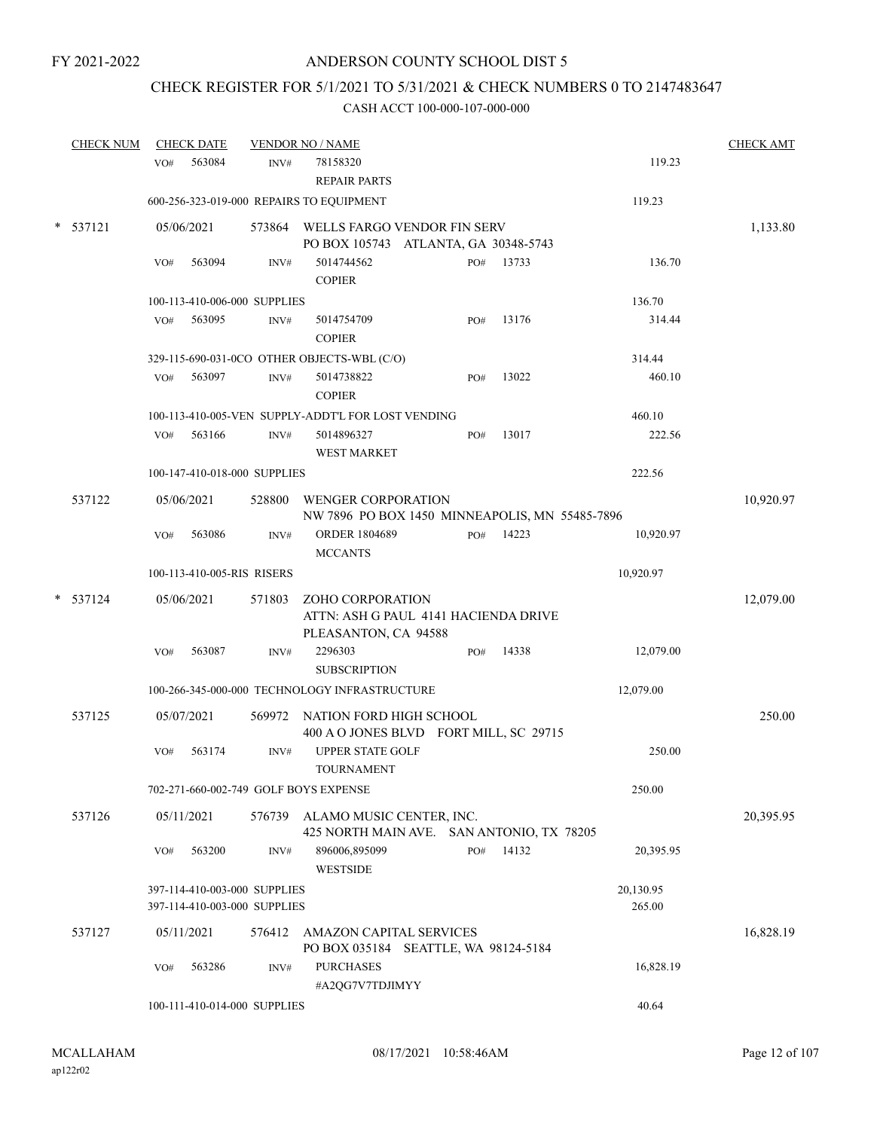## CHECK REGISTER FOR 5/1/2021 TO 5/31/2021 & CHECK NUMBERS 0 TO 2147483647

| <b>CHECK NUM</b> |                              | <b>CHECK DATE</b> |                                                              | <b>VENDOR NO / NAME</b>                                                          |  |     |       |                     | <b>CHECK AMT</b> |
|------------------|------------------------------|-------------------|--------------------------------------------------------------|----------------------------------------------------------------------------------|--|-----|-------|---------------------|------------------|
|                  | VO#                          | 563084            | INV#                                                         | 78158320<br><b>REPAIR PARTS</b>                                                  |  |     |       | 119.23              |                  |
|                  |                              |                   |                                                              | 600-256-323-019-000 REPAIRS TO EQUIPMENT                                         |  |     |       | 119.23              |                  |
| * 537121         |                              | 05/06/2021        |                                                              | 573864 WELLS FARGO VENDOR FIN SERV<br>PO BOX 105743 ATLANTA, GA 30348-5743       |  |     |       |                     | 1,133.80         |
|                  | VO#                          | 563094            | INV#                                                         | 5014744562<br><b>COPIER</b>                                                      |  | PO# | 13733 | 136.70              |                  |
|                  |                              |                   | 100-113-410-006-000 SUPPLIES                                 |                                                                                  |  |     |       | 136.70              |                  |
|                  | VO#                          | 563095            | INV#                                                         | 5014754709<br><b>COPIER</b>                                                      |  | PO# | 13176 | 314.44              |                  |
|                  |                              |                   |                                                              | 329-115-690-031-0CO OTHER OBJECTS-WBL (C/O)                                      |  |     |       | 314.44              |                  |
|                  | VO#                          | 563097            | INV#                                                         | 5014738822<br><b>COPIER</b>                                                      |  | PO# | 13022 | 460.10              |                  |
|                  |                              |                   |                                                              | 100-113-410-005-VEN SUPPLY-ADDT'L FOR LOST VENDING                               |  |     |       | 460.10              |                  |
|                  | VO#                          | 563166            | INV#                                                         | 5014896327<br><b>WEST MARKET</b>                                                 |  | PO# | 13017 | 222.56              |                  |
|                  |                              |                   | 100-147-410-018-000 SUPPLIES                                 |                                                                                  |  |     |       | 222.56              |                  |
| 537122           |                              | 05/06/2021        | 528800                                                       | WENGER CORPORATION<br>NW 7896 PO BOX 1450 MINNEAPOLIS, MN 55485-7896             |  |     |       |                     | 10,920.97        |
|                  | VO#                          | 563086            | INV#                                                         | <b>ORDER 1804689</b><br><b>MCCANTS</b>                                           |  | PO# | 14223 | 10,920.97           |                  |
|                  |                              |                   | 100-113-410-005-RIS RISERS                                   |                                                                                  |  |     |       | 10,920.97           |                  |
| $*$ 537124       |                              | 05/06/2021        | 571803                                                       | ZOHO CORPORATION<br>ATTN: ASH G PAUL 4141 HACIENDA DRIVE<br>PLEASANTON, CA 94588 |  |     |       |                     | 12,079.00        |
|                  | VO#                          | 563087            | INV#                                                         | 2296303<br><b>SUBSCRIPTION</b>                                                   |  | PO# | 14338 | 12,079.00           |                  |
|                  |                              |                   |                                                              | 100-266-345-000-000 TECHNOLOGY INFRASTRUCTURE                                    |  |     |       | 12,079.00           |                  |
| 537125           |                              | 05/07/2021        | 569972                                                       | NATION FORD HIGH SCHOOL<br>400 A O JONES BLVD FORT MILL, SC 29715                |  |     |       |                     | 250.00           |
|                  | VO#                          | 563174            | INV#                                                         | <b>UPPER STATE GOLF</b><br><b>TOURNAMENT</b>                                     |  |     |       | 250.00              |                  |
|                  |                              |                   |                                                              | 702-271-660-002-749 GOLF BOYS EXPENSE                                            |  |     |       | 250.00              |                  |
| 537126           |                              | 05/11/2021        |                                                              | 576739 ALAMO MUSIC CENTER, INC.<br>425 NORTH MAIN AVE. SAN ANTONIO, TX 78205     |  |     |       |                     | 20,395.95        |
|                  | VO#                          | 563200            | INV#                                                         | 896006,895099<br><b>WESTSIDE</b>                                                 |  | PO# | 14132 | 20,395.95           |                  |
|                  |                              |                   | 397-114-410-003-000 SUPPLIES<br>397-114-410-003-000 SUPPLIES |                                                                                  |  |     |       | 20,130.95<br>265.00 |                  |
| 537127           |                              | 05/11/2021        | 576412                                                       | <b>AMAZON CAPITAL SERVICES</b><br>PO BOX 035184 SEATTLE, WA 98124-5184           |  |     |       |                     | 16,828.19        |
|                  | VO#                          | 563286            | INV#                                                         | <b>PURCHASES</b><br>#A2QG7V7TDJIMYY                                              |  |     |       | 16,828.19           |                  |
|                  | 100-111-410-014-000 SUPPLIES |                   |                                                              |                                                                                  |  |     |       | 40.64               |                  |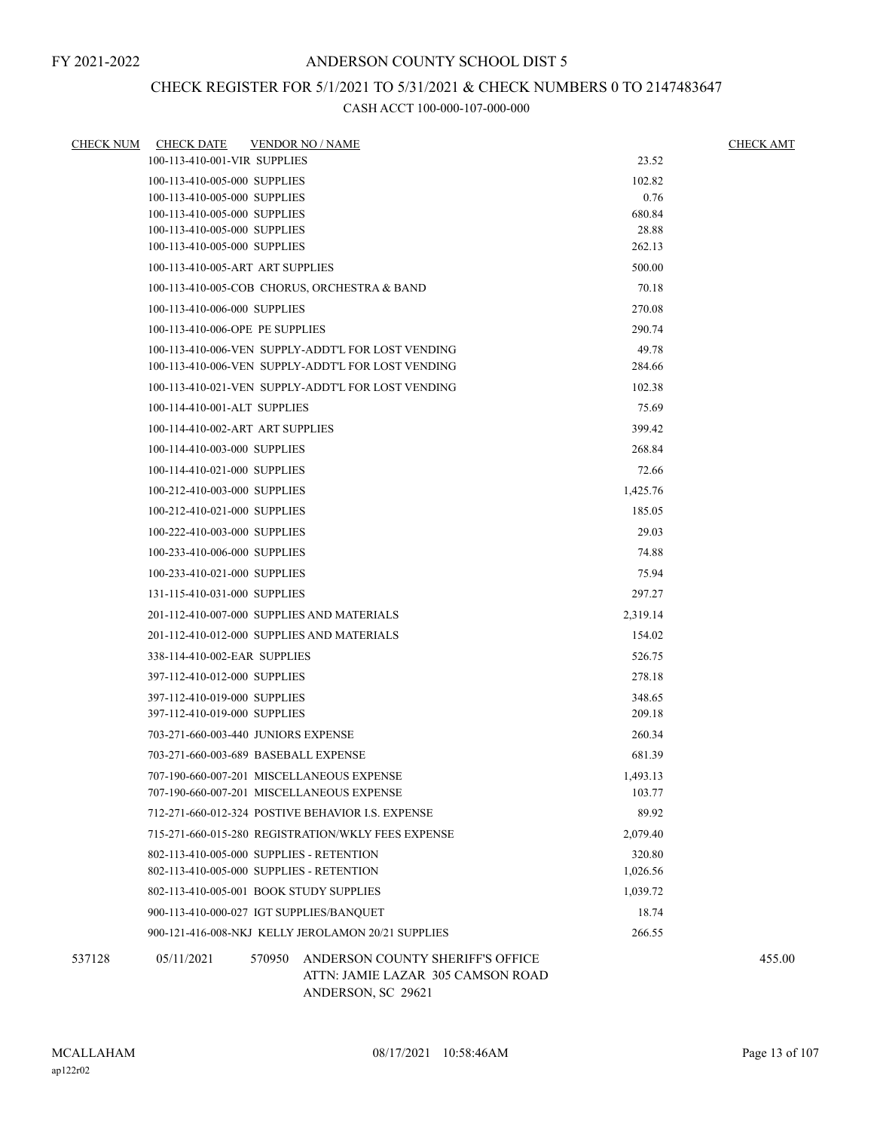## CHECK REGISTER FOR 5/1/2021 TO 5/31/2021 & CHECK NUMBERS 0 TO 2147483647

|        | CHECK NUM CHECK DATE                                                                 |        | <b>VENDOR NO / NAME</b>                                                                     |                    | <b>CHECK AMT</b> |
|--------|--------------------------------------------------------------------------------------|--------|---------------------------------------------------------------------------------------------|--------------------|------------------|
|        | 100-113-410-001-VIR SUPPLIES                                                         |        |                                                                                             | 23.52              |                  |
|        | 100-113-410-005-000 SUPPLIES                                                         |        |                                                                                             | 102.82             |                  |
|        | 100-113-410-005-000 SUPPLIES<br>100-113-410-005-000 SUPPLIES                         |        |                                                                                             | 0.76<br>680.84     |                  |
|        | 100-113-410-005-000 SUPPLIES                                                         |        |                                                                                             | 28.88              |                  |
|        | 100-113-410-005-000 SUPPLIES                                                         |        |                                                                                             | 262.13             |                  |
|        | 100-113-410-005-ART ART SUPPLIES                                                     |        |                                                                                             | 500.00             |                  |
|        |                                                                                      |        | 100-113-410-005-COB CHORUS, ORCHESTRA & BAND                                                | 70.18              |                  |
|        | 100-113-410-006-000 SUPPLIES                                                         |        |                                                                                             | 270.08             |                  |
|        | 100-113-410-006-OPE PE SUPPLIES                                                      |        |                                                                                             | 290.74             |                  |
|        |                                                                                      |        | 100-113-410-006-VEN SUPPLY-ADDT'L FOR LOST VENDING                                          | 49.78              |                  |
|        |                                                                                      |        | 100-113-410-006-VEN SUPPLY-ADDT'L FOR LOST VENDING                                          | 284.66             |                  |
|        |                                                                                      |        | 100-113-410-021-VEN SUPPLY-ADDT'L FOR LOST VENDING                                          | 102.38             |                  |
|        | 100-114-410-001-ALT SUPPLIES                                                         |        |                                                                                             | 75.69              |                  |
|        | 100-114-410-002-ART ART SUPPLIES                                                     |        |                                                                                             | 399.42             |                  |
|        | 100-114-410-003-000 SUPPLIES                                                         |        |                                                                                             | 268.84             |                  |
|        | 100-114-410-021-000 SUPPLIES                                                         |        |                                                                                             | 72.66              |                  |
|        | 100-212-410-003-000 SUPPLIES                                                         |        |                                                                                             | 1,425.76           |                  |
|        | 100-212-410-021-000 SUPPLIES                                                         |        |                                                                                             | 185.05             |                  |
|        | 100-222-410-003-000 SUPPLIES                                                         |        |                                                                                             | 29.03              |                  |
|        | 100-233-410-006-000 SUPPLIES                                                         |        |                                                                                             | 74.88              |                  |
|        | 100-233-410-021-000 SUPPLIES                                                         |        |                                                                                             | 75.94              |                  |
|        | 131-115-410-031-000 SUPPLIES                                                         |        |                                                                                             | 297.27             |                  |
|        | 201-112-410-007-000 SUPPLIES AND MATERIALS                                           |        |                                                                                             | 2,319.14           |                  |
|        | 201-112-410-012-000 SUPPLIES AND MATERIALS                                           |        |                                                                                             | 154.02             |                  |
|        | 338-114-410-002-EAR SUPPLIES                                                         |        |                                                                                             | 526.75             |                  |
|        | 397-112-410-012-000 SUPPLIES                                                         |        |                                                                                             | 278.18             |                  |
|        | 397-112-410-019-000 SUPPLIES                                                         |        |                                                                                             | 348.65             |                  |
|        | 397-112-410-019-000 SUPPLIES                                                         |        |                                                                                             | 209.18             |                  |
|        | 703-271-660-003-440 JUNIORS EXPENSE                                                  |        |                                                                                             | 260.34             |                  |
|        | 703-271-660-003-689 BASEBALL EXPENSE                                                 |        |                                                                                             | 681.39             |                  |
|        |                                                                                      |        | 707-190-660-007-201 MISCELLANEOUS EXPENSE                                                   | 1,493.13           |                  |
|        | 707-190-660-007-201 MISCELLANEOUS EXPENSE                                            |        |                                                                                             | 103.77             |                  |
|        |                                                                                      |        | 712-271-660-012-324 POSTIVE BEHAVIOR I.S. EXPENSE                                           | 89.92              |                  |
|        |                                                                                      |        | 715-271-660-015-280 REGISTRATION/WKLY FEES EXPENSE                                          | 2.079.40           |                  |
|        | 802-113-410-005-000 SUPPLIES - RETENTION<br>802-113-410-005-000 SUPPLIES - RETENTION |        |                                                                                             | 320.80<br>1,026.56 |                  |
|        | 802-113-410-005-001 BOOK STUDY SUPPLIES                                              |        |                                                                                             | 1.039.72           |                  |
|        | 900-113-410-000-027 IGT SUPPLIES/BANOUET                                             |        |                                                                                             | 18.74              |                  |
|        |                                                                                      |        | 900-121-416-008-NKJ KELLY JEROLAMON 20/21 SUPPLIES                                          | 266.55             |                  |
|        |                                                                                      |        |                                                                                             |                    |                  |
| 537128 | 05/11/2021                                                                           | 570950 | ANDERSON COUNTY SHERIFF'S OFFICE<br>ATTN: JAMIE LAZAR 305 CAMSON ROAD<br>ANDERSON, SC 29621 |                    | 455.00           |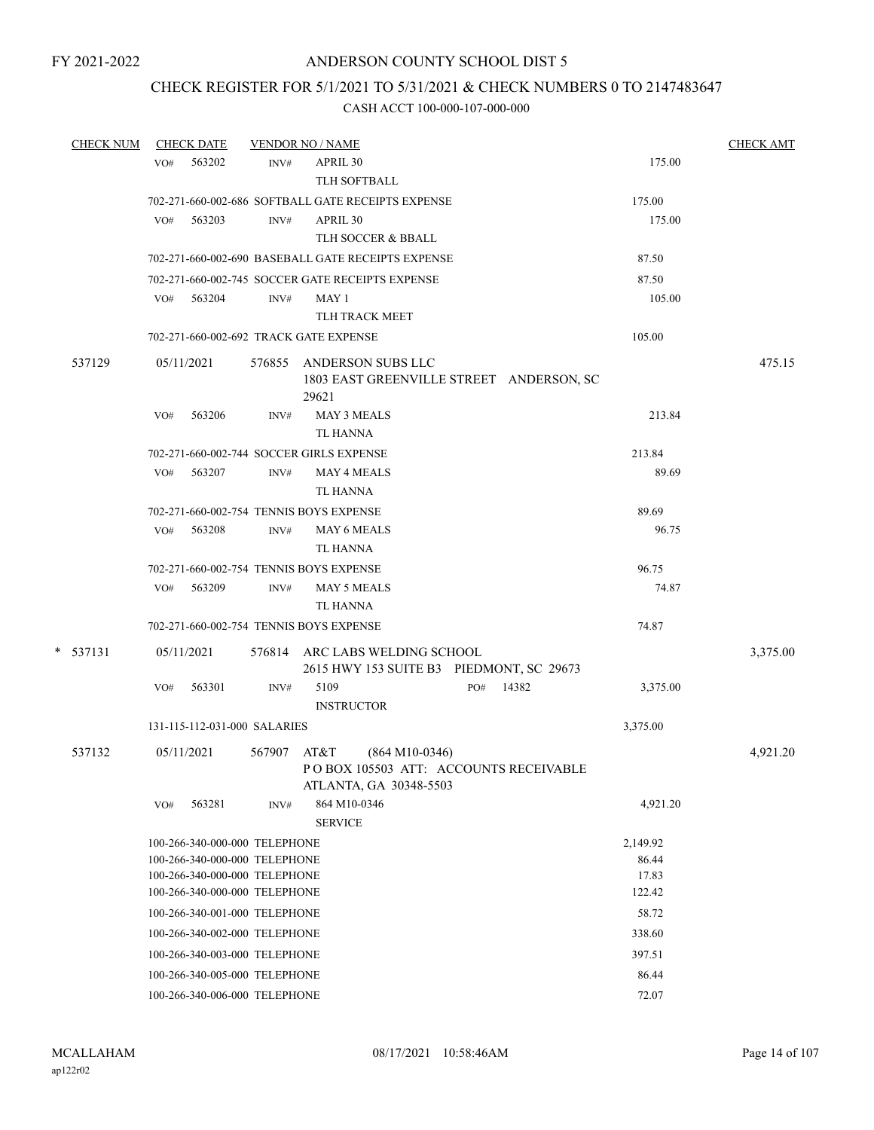## CHECK REGISTER FOR 5/1/2021 TO 5/31/2021 & CHECK NUMBERS 0 TO 2147483647

| <b>CHECK NUM</b> |     | <b>CHECK DATE</b>             |        | <b>VENDOR NO / NAME</b>                                                                     |  |     |       |  |          | <b>CHECK AMT</b> |  |
|------------------|-----|-------------------------------|--------|---------------------------------------------------------------------------------------------|--|-----|-------|--|----------|------------------|--|
|                  | VO# | 563202                        | INV#   | APRIL 30<br>TLH SOFTBALL                                                                    |  |     |       |  | 175.00   |                  |  |
|                  |     |                               |        | 702-271-660-002-686 SOFTBALL GATE RECEIPTS EXPENSE                                          |  |     |       |  | 175.00   |                  |  |
|                  | VO# | 563203                        | INV#   | APRIL 30                                                                                    |  |     |       |  | 175.00   |                  |  |
|                  |     |                               |        | TLH SOCCER & BBALL                                                                          |  |     |       |  |          |                  |  |
|                  |     |                               |        | 702-271-660-002-690 BASEBALL GATE RECEIPTS EXPENSE                                          |  |     |       |  | 87.50    |                  |  |
|                  |     |                               |        | 702-271-660-002-745 SOCCER GATE RECEIPTS EXPENSE                                            |  |     |       |  | 87.50    |                  |  |
|                  | VO# | 563204                        | INV#   | MAY 1                                                                                       |  |     |       |  | 105.00   |                  |  |
|                  |     |                               |        | TLH TRACK MEET                                                                              |  |     |       |  |          |                  |  |
|                  |     |                               |        | 702-271-660-002-692 TRACK GATE EXPENSE                                                      |  |     |       |  | 105.00   |                  |  |
| 537129           |     | 05/11/2021                    | 576855 | ANDERSON SUBS LLC<br>1803 EAST GREENVILLE STREET ANDERSON, SC<br>29621                      |  |     |       |  |          | 475.15           |  |
|                  | VO# | 563206                        | INV#   | <b>MAY 3 MEALS</b><br>TL HANNA                                                              |  |     |       |  | 213.84   |                  |  |
|                  |     |                               |        | 702-271-660-002-744 SOCCER GIRLS EXPENSE                                                    |  |     |       |  | 213.84   |                  |  |
|                  | VO# | 563207                        | INV#   | <b>MAY 4 MEALS</b>                                                                          |  |     |       |  | 89.69    |                  |  |
|                  |     |                               |        | <b>TL HANNA</b>                                                                             |  |     |       |  |          |                  |  |
|                  |     |                               |        | 702-271-660-002-754 TENNIS BOYS EXPENSE                                                     |  |     |       |  | 89.69    |                  |  |
|                  | VO# | 563208                        | INV#   | <b>MAY 6 MEALS</b>                                                                          |  |     |       |  | 96.75    |                  |  |
|                  |     |                               |        | <b>TL HANNA</b>                                                                             |  |     |       |  |          |                  |  |
|                  |     |                               |        | 702-271-660-002-754 TENNIS BOYS EXPENSE                                                     |  |     |       |  | 96.75    |                  |  |
|                  | VO# | 563209                        | INV#   | <b>MAY 5 MEALS</b><br>TL HANNA                                                              |  |     |       |  | 74.87    |                  |  |
|                  |     |                               |        | 702-271-660-002-754 TENNIS BOYS EXPENSE                                                     |  |     |       |  | 74.87    |                  |  |
| $*$ 537131       |     | 05/11/2021                    |        | 576814 ARC LABS WELDING SCHOOL<br>2615 HWY 153 SUITE B3 PIEDMONT, SC 29673                  |  |     |       |  |          | 3,375.00         |  |
|                  | VO# | 563301                        | INV#   | 5109<br><b>INSTRUCTOR</b>                                                                   |  | PO# | 14382 |  | 3,375.00 |                  |  |
|                  |     | 131-115-112-031-000 SALARIES  |        |                                                                                             |  |     |       |  | 3,375.00 |                  |  |
| 537132           |     | 05/11/2021                    | 567907 | AT&T<br>$(864 M10-0346)$<br>POBOX 105503 ATT: ACCOUNTS RECEIVABLE<br>ATLANTA, GA 30348-5503 |  |     |       |  |          | 4,921.20         |  |
|                  | VO# | 563281                        | INV#   | 864 M10-0346<br><b>SERVICE</b>                                                              |  |     |       |  | 4,921.20 |                  |  |
|                  |     | 100-266-340-000-000 TELEPHONE |        |                                                                                             |  |     |       |  | 2,149.92 |                  |  |
|                  |     | 100-266-340-000-000 TELEPHONE |        |                                                                                             |  |     |       |  | 86.44    |                  |  |
|                  |     | 100-266-340-000-000 TELEPHONE |        |                                                                                             |  |     |       |  | 17.83    |                  |  |
|                  |     | 100-266-340-000-000 TELEPHONE |        |                                                                                             |  |     |       |  | 122.42   |                  |  |
|                  |     | 100-266-340-001-000 TELEPHONE |        |                                                                                             |  |     |       |  | 58.72    |                  |  |
|                  |     | 100-266-340-002-000 TELEPHONE |        |                                                                                             |  |     |       |  | 338.60   |                  |  |
|                  |     | 100-266-340-003-000 TELEPHONE |        |                                                                                             |  |     |       |  | 397.51   |                  |  |
|                  |     | 100-266-340-005-000 TELEPHONE |        |                                                                                             |  |     |       |  | 86.44    |                  |  |
|                  |     | 100-266-340-006-000 TELEPHONE |        |                                                                                             |  |     |       |  | 72.07    |                  |  |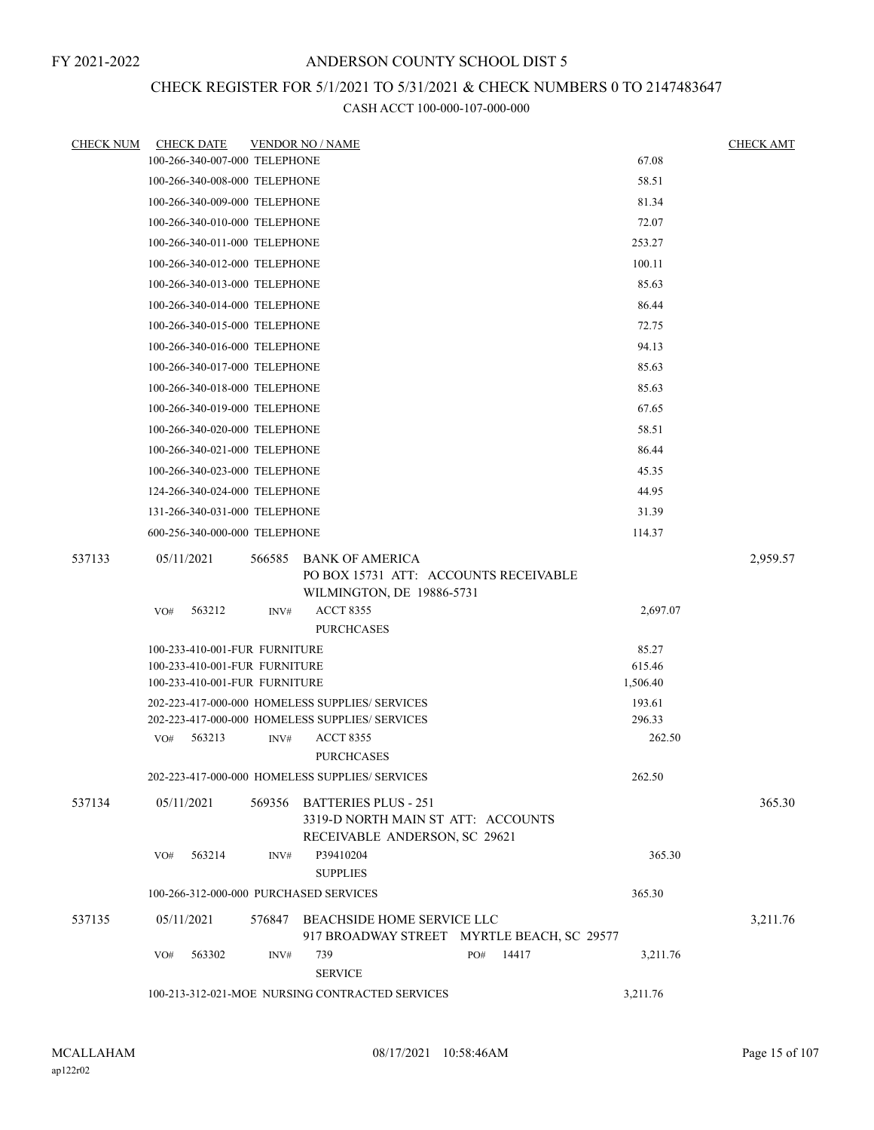## CHECK REGISTER FOR 5/1/2021 TO 5/31/2021 & CHECK NUMBERS 0 TO 2147483647

| <b>CHECK NUM</b> |            | <b>CHECK DATE</b>             |        | <b>VENDOR NO / NAME</b>                                                                            |     |          |                  | <b>CHECK AMT</b> |
|------------------|------------|-------------------------------|--------|----------------------------------------------------------------------------------------------------|-----|----------|------------------|------------------|
|                  |            | 100-266-340-007-000 TELEPHONE |        |                                                                                                    |     |          | 67.08            |                  |
|                  |            | 100-266-340-008-000 TELEPHONE |        |                                                                                                    |     |          | 58.51            |                  |
|                  |            | 100-266-340-009-000 TELEPHONE |        |                                                                                                    |     |          | 81.34            |                  |
|                  |            | 100-266-340-010-000 TELEPHONE |        |                                                                                                    |     |          | 72.07            |                  |
|                  |            | 100-266-340-011-000 TELEPHONE |        |                                                                                                    |     |          | 253.27           |                  |
|                  |            | 100-266-340-012-000 TELEPHONE |        |                                                                                                    |     |          | 100.11           |                  |
|                  |            | 100-266-340-013-000 TELEPHONE |        |                                                                                                    |     |          | 85.63            |                  |
|                  |            | 100-266-340-014-000 TELEPHONE |        |                                                                                                    |     |          | 86.44            |                  |
|                  |            | 100-266-340-015-000 TELEPHONE |        |                                                                                                    |     |          | 72.75            |                  |
|                  |            | 100-266-340-016-000 TELEPHONE |        | 94.13                                                                                              |     |          |                  |                  |
|                  |            | 100-266-340-017-000 TELEPHONE |        | 85.63                                                                                              |     |          |                  |                  |
|                  |            | 100-266-340-018-000 TELEPHONE |        | 85.63                                                                                              |     |          |                  |                  |
|                  |            | 100-266-340-019-000 TELEPHONE |        |                                                                                                    |     |          | 67.65            |                  |
|                  |            | 100-266-340-020-000 TELEPHONE |        |                                                                                                    |     |          | 58.51            |                  |
|                  |            | 100-266-340-021-000 TELEPHONE |        |                                                                                                    |     |          | 86.44            |                  |
|                  |            | 100-266-340-023-000 TELEPHONE |        |                                                                                                    |     |          | 45.35            |                  |
|                  |            | 124-266-340-024-000 TELEPHONE |        |                                                                                                    |     |          | 44.95            |                  |
|                  |            | 131-266-340-031-000 TELEPHONE |        |                                                                                                    |     |          | 31.39            |                  |
|                  |            | 600-256-340-000-000 TELEPHONE |        |                                                                                                    |     |          | 114.37           |                  |
| 537133           | 05/11/2021 |                               | 566585 | BANK OF AMERICA<br>PO BOX 15731 ATT: ACCOUNTS RECEIVABLE<br>WILMINGTON, DE 19886-5731              |     |          |                  | 2,959.57         |
|                  | VO#        | 563212                        | INV#   | <b>ACCT 8355</b><br><b>PURCHCASES</b>                                                              |     |          | 2,697.07         |                  |
|                  |            | 100-233-410-001-FUR FURNITURE |        |                                                                                                    |     | 85.27    |                  |                  |
|                  |            | 100-233-410-001-FUR FURNITURE |        |                                                                                                    |     | 615.46   |                  |                  |
|                  |            | 100-233-410-001-FUR FURNITURE |        |                                                                                                    |     | 1,506.40 |                  |                  |
|                  |            |                               |        | 202-223-417-000-000 HOMELESS SUPPLIES/ SERVICES                                                    |     |          | 193.61           |                  |
|                  | VO#        | 563213                        | INV#   | 202-223-417-000-000 HOMELESS SUPPLIES/ SERVICES<br><b>ACCT 8355</b>                                |     |          | 296.33<br>262.50 |                  |
|                  |            |                               |        | <b>PURCHCASES</b>                                                                                  |     |          |                  |                  |
|                  |            |                               |        | 202-223-417-000-000 HOMELESS SUPPLIES/ SERVICES                                                    |     |          | 262.50           |                  |
| 537134           | 05/11/2021 |                               | 569356 | <b>BATTERIES PLUS - 251</b><br>3319-D NORTH MAIN ST ATT: ACCOUNTS<br>RECEIVABLE ANDERSON, SC 29621 |     |          |                  | 365.30           |
|                  | VO#        | 563214                        | INV#   | P39410204<br><b>SUPPLIES</b>                                                                       |     |          | 365.30           |                  |
|                  |            |                               |        | 100-266-312-000-000 PURCHASED SERVICES                                                             |     |          | 365.30           |                  |
| 537135           | 05/11/2021 |                               | 576847 | BEACHSIDE HOME SERVICE LLC<br>917 BROADWAY STREET MYRTLE BEACH, SC 29577                           |     |          |                  | 3,211.76         |
|                  | VO#        | 563302                        | INV#   | 739<br><b>SERVICE</b>                                                                              | PO# | 14417    | 3,211.76         |                  |
|                  |            |                               |        | 100-213-312-021-MOE NURSING CONTRACTED SERVICES                                                    |     |          | 3,211.76         |                  |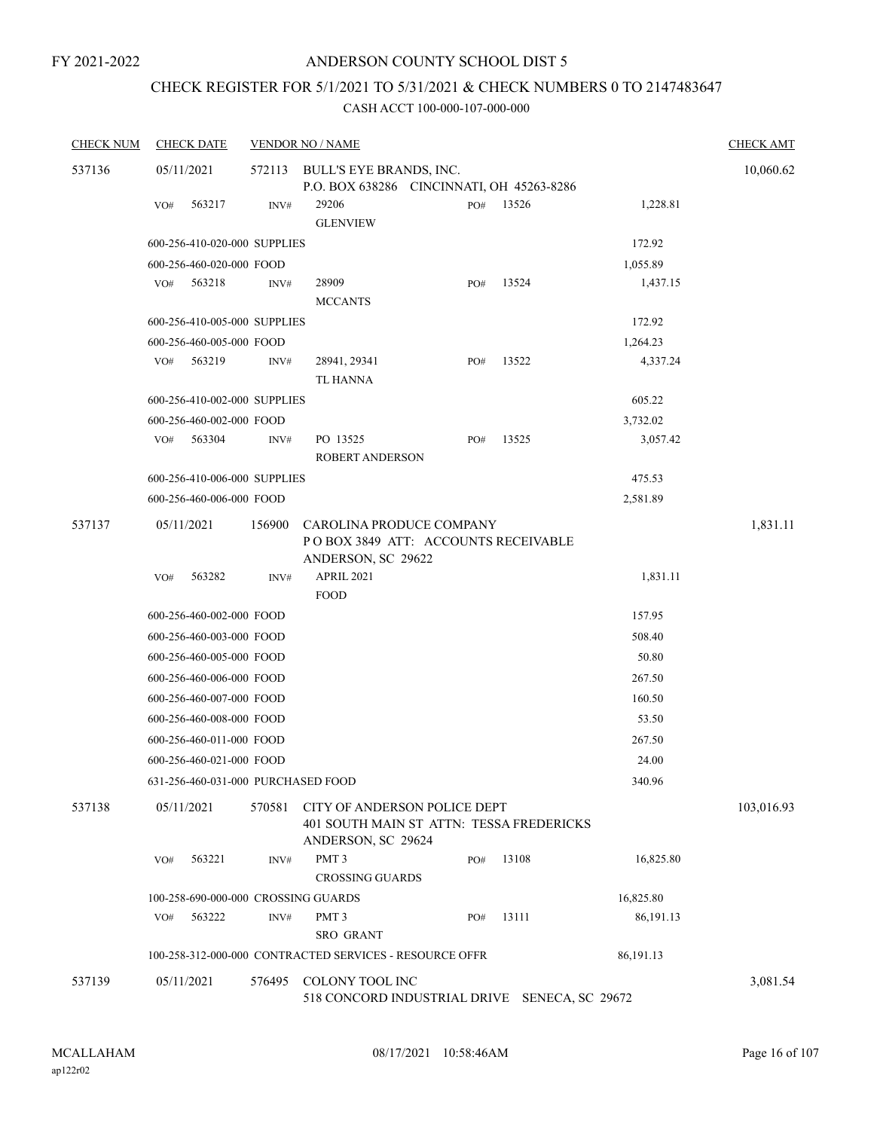# CHECK REGISTER FOR 5/1/2021 TO 5/31/2021 & CHECK NUMBERS 0 TO 2147483647

| <b>CHECK NUM</b> | <b>CHECK DATE</b>                   |        | <b>VENDOR NO / NAME</b>                                                                        |     |       |           | <b>CHECK AMT</b> |
|------------------|-------------------------------------|--------|------------------------------------------------------------------------------------------------|-----|-------|-----------|------------------|
| 537136           | 05/11/2021                          | 572113 | BULL'S EYE BRANDS, INC.<br>P.O. BOX 638286 CINCINNATI, OH 45263-8286                           |     |       |           | 10,060.62        |
|                  | 563217<br>VO#                       | INV#   | 29206<br><b>GLENVIEW</b>                                                                       | PO# | 13526 | 1,228.81  |                  |
|                  | 600-256-410-020-000 SUPPLIES        |        |                                                                                                |     |       | 172.92    |                  |
|                  | 600-256-460-020-000 FOOD            |        |                                                                                                |     |       | 1,055.89  |                  |
|                  | 563218<br>VO#                       | INV#   | 28909<br><b>MCCANTS</b>                                                                        | PO# | 13524 | 1,437.15  |                  |
|                  | 600-256-410-005-000 SUPPLIES        |        |                                                                                                |     |       | 172.92    |                  |
|                  | 600-256-460-005-000 FOOD            |        |                                                                                                |     |       | 1,264.23  |                  |
|                  | 563219<br>VO#                       | INV#   | 28941, 29341<br>TL HANNA                                                                       | PO# | 13522 | 4,337.24  |                  |
|                  | 600-256-410-002-000 SUPPLIES        |        |                                                                                                |     |       | 605.22    |                  |
|                  | 600-256-460-002-000 FOOD            |        |                                                                                                |     |       | 3,732.02  |                  |
|                  | 563304<br>VO#                       | INV#   | PO 13525<br><b>ROBERT ANDERSON</b>                                                             | PO# | 13525 | 3,057.42  |                  |
|                  | 600-256-410-006-000 SUPPLIES        |        |                                                                                                |     |       | 475.53    |                  |
|                  | 600-256-460-006-000 FOOD            |        |                                                                                                |     |       | 2,581.89  |                  |
| 537137           | 05/11/2021                          | 156900 | CAROLINA PRODUCE COMPANY<br>POBOX 3849 ATT: ACCOUNTS RECEIVABLE<br>ANDERSON, SC 29622          |     |       |           | 1,831.11         |
|                  | 563282<br>VO#                       | INV#   | APRIL 2021<br><b>FOOD</b>                                                                      |     |       | 1,831.11  |                  |
|                  | 600-256-460-002-000 FOOD            |        |                                                                                                |     |       | 157.95    |                  |
|                  | 600-256-460-003-000 FOOD            |        |                                                                                                |     |       | 508.40    |                  |
|                  | 600-256-460-005-000 FOOD            |        |                                                                                                |     |       | 50.80     |                  |
|                  | 600-256-460-006-000 FOOD            |        |                                                                                                |     |       | 267.50    |                  |
|                  | 600-256-460-007-000 FOOD            |        |                                                                                                |     |       | 160.50    |                  |
|                  | 600-256-460-008-000 FOOD            |        |                                                                                                |     |       | 53.50     |                  |
|                  | 600-256-460-011-000 FOOD            |        |                                                                                                |     |       | 267.50    |                  |
|                  | 600-256-460-021-000 FOOD            |        |                                                                                                |     |       | 24.00     |                  |
|                  | 631-256-460-031-000 PURCHASED FOOD  |        |                                                                                                |     |       | 340.96    |                  |
| 537138           | 05/11/2021                          | 570581 | CITY OF ANDERSON POLICE DEPT<br>401 SOUTH MAIN ST ATTN: TESSA FREDERICKS<br>ANDERSON, SC 29624 |     |       |           | 103,016.93       |
|                  | 563221<br>VO#                       | INV#   | PMT <sub>3</sub><br><b>CROSSING GUARDS</b>                                                     | PO# | 13108 | 16,825.80 |                  |
|                  | 100-258-690-000-000 CROSSING GUARDS |        |                                                                                                |     |       | 16,825.80 |                  |
|                  | 563222<br>VO#                       | INV#   | PMT <sub>3</sub><br>SRO GRANT                                                                  | PO# | 13111 | 86,191.13 |                  |
|                  |                                     |        | 100-258-312-000-000 CONTRACTED SERVICES - RESOURCE OFFR                                        |     |       | 86,191.13 |                  |
| 537139           | 05/11/2021                          | 576495 | COLONY TOOL INC<br>518 CONCORD INDUSTRIAL DRIVE SENECA, SC 29672                               |     |       |           | 3,081.54         |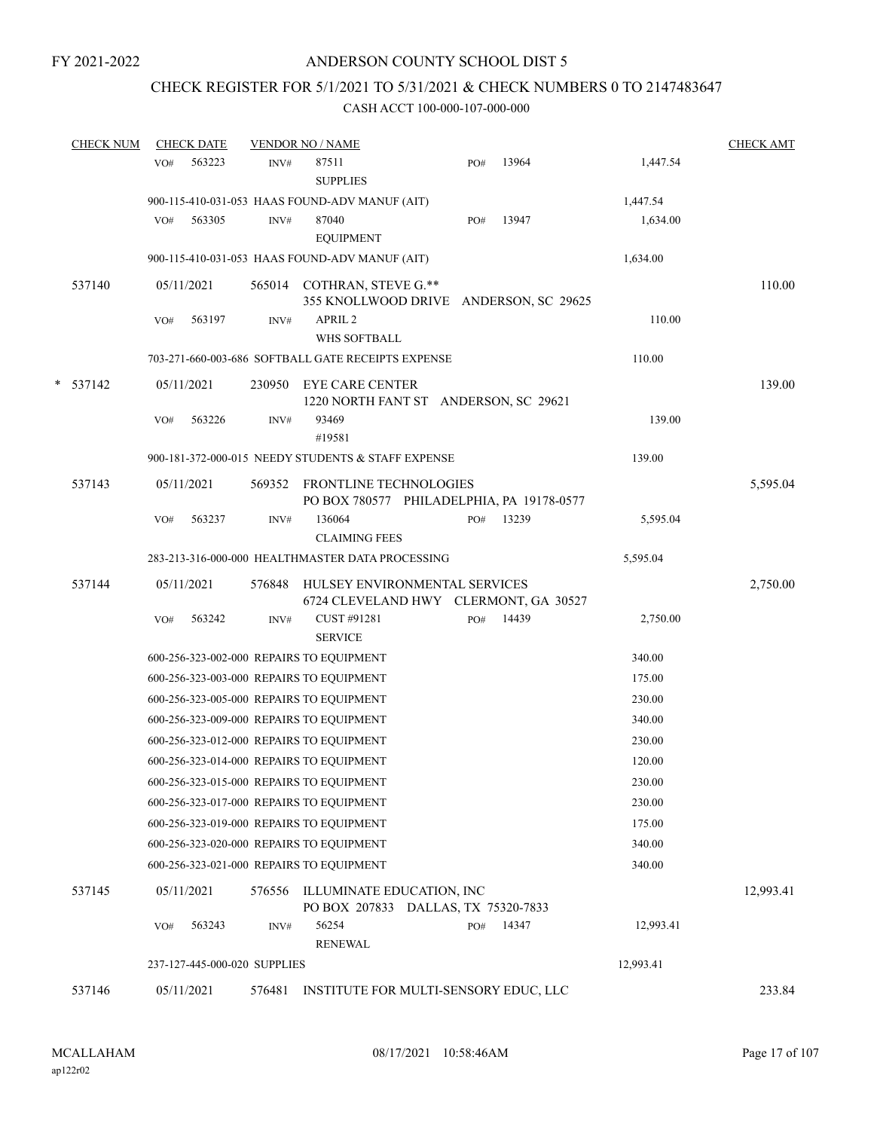## CHECK REGISTER FOR 5/1/2021 TO 5/31/2021 & CHECK NUMBERS 0 TO 2147483647

| <b>CHECK NUM</b> |     | <b>CHECK DATE</b>            |        | <b>VENDOR NO / NAME</b>                                          |     |                                           |           | <b>CHECK AMT</b> |
|------------------|-----|------------------------------|--------|------------------------------------------------------------------|-----|-------------------------------------------|-----------|------------------|
|                  | VO# | 563223                       | INV#   | 87511<br><b>SUPPLIES</b>                                         | PO# | 13964                                     | 1,447.54  |                  |
|                  |     |                              |        | 900-115-410-031-053 HAAS FOUND-ADV MANUF (AIT)                   |     |                                           | 1,447.54  |                  |
|                  | VO# | 563305                       | INV#   | 87040<br><b>EQUIPMENT</b>                                        | PO# | 13947                                     | 1,634.00  |                  |
|                  |     |                              |        | 900-115-410-031-053 HAAS FOUND-ADV MANUF (AIT)                   |     |                                           | 1,634.00  |                  |
| 537140           |     | 05/11/2021                   |        | 565014 COTHRAN, STEVE G.**                                       |     | 355 KNOLLWOOD DRIVE ANDERSON, SC 29625    |           | 110.00           |
|                  | VO# | 563197                       | INV#   | APRIL <sub>2</sub><br>WHS SOFTBALL                               |     |                                           | 110.00    |                  |
|                  |     |                              |        | 703-271-660-003-686 SOFTBALL GATE RECEIPTS EXPENSE               |     |                                           | 110.00    |                  |
| $*$ 537142       |     | 05/11/2021                   | 230950 | <b>EYE CARE CENTER</b><br>1220 NORTH FANT ST ANDERSON, SC 29621  |     |                                           |           | 139.00           |
|                  | VO# | 563226                       | INV#   | 93469<br>#19581                                                  |     |                                           | 139.00    |                  |
|                  |     |                              |        | 900-181-372-000-015 NEEDY STUDENTS & STAFF EXPENSE               |     |                                           | 139.00    |                  |
| 537143           |     | 05/11/2021                   | 569352 | FRONTLINE TECHNOLOGIES                                           |     | PO BOX 780577 PHILADELPHIA, PA 19178-0577 |           | 5,595.04         |
|                  | VO# | 563237                       | INV#   | 136064<br><b>CLAIMING FEES</b>                                   | PO# | 13239                                     | 5,595.04  |                  |
|                  |     |                              |        | 283-213-316-000-000 HEALTHMASTER DATA PROCESSING                 |     |                                           | 5,595.04  |                  |
| 537144           |     | 05/11/2021                   | 576848 | HULSEY ENVIRONMENTAL SERVICES                                    |     | 6724 CLEVELAND HWY CLERMONT, GA 30527     |           | 2,750.00         |
|                  | VO# | 563242                       | INV#   | CUST #91281<br><b>SERVICE</b>                                    | PO# | 14439                                     | 2,750.00  |                  |
|                  |     |                              |        | 600-256-323-002-000 REPAIRS TO EQUIPMENT                         |     |                                           | 340.00    |                  |
|                  |     |                              |        | 600-256-323-003-000 REPAIRS TO EQUIPMENT                         |     |                                           | 175.00    |                  |
|                  |     |                              |        | 600-256-323-005-000 REPAIRS TO EQUIPMENT                         |     |                                           | 230.00    |                  |
|                  |     |                              |        | 600-256-323-009-000 REPAIRS TO EQUIPMENT                         |     |                                           | 340.00    |                  |
|                  |     |                              |        | 600-256-323-012-000 REPAIRS TO EQUIPMENT                         |     |                                           | 230.00    |                  |
|                  |     |                              |        | 600-256-323-014-000 REPAIRS TO EQUIPMENT                         |     |                                           | 120.00    |                  |
|                  |     |                              |        | 600-256-323-015-000 REPAIRS TO EQUIPMENT                         |     |                                           | 230.00    |                  |
|                  |     |                              |        | 600-256-323-017-000 REPAIRS TO EQUIPMENT                         |     |                                           | 230.00    |                  |
|                  |     |                              |        | 600-256-323-019-000 REPAIRS TO EQUIPMENT                         |     |                                           | 175.00    |                  |
|                  |     |                              |        | 600-256-323-020-000 REPAIRS TO EQUIPMENT                         |     |                                           | 340.00    |                  |
|                  |     |                              |        | 600-256-323-021-000 REPAIRS TO EQUIPMENT                         |     |                                           | 340.00    |                  |
| 537145           |     | 05/11/2021                   | 576556 | ILLUMINATE EDUCATION, INC<br>PO BOX 207833 DALLAS, TX 75320-7833 |     |                                           |           | 12,993.41        |
|                  | VO# | 563243                       | INV#   | 56254<br><b>RENEWAL</b>                                          | PO# | 14347                                     | 12,993.41 |                  |
|                  |     | 237-127-445-000-020 SUPPLIES |        |                                                                  |     |                                           | 12,993.41 |                  |
| 537146           |     | 05/11/2021                   | 576481 | INSTITUTE FOR MULTI-SENSORY EDUC, LLC                            |     |                                           |           | 233.84           |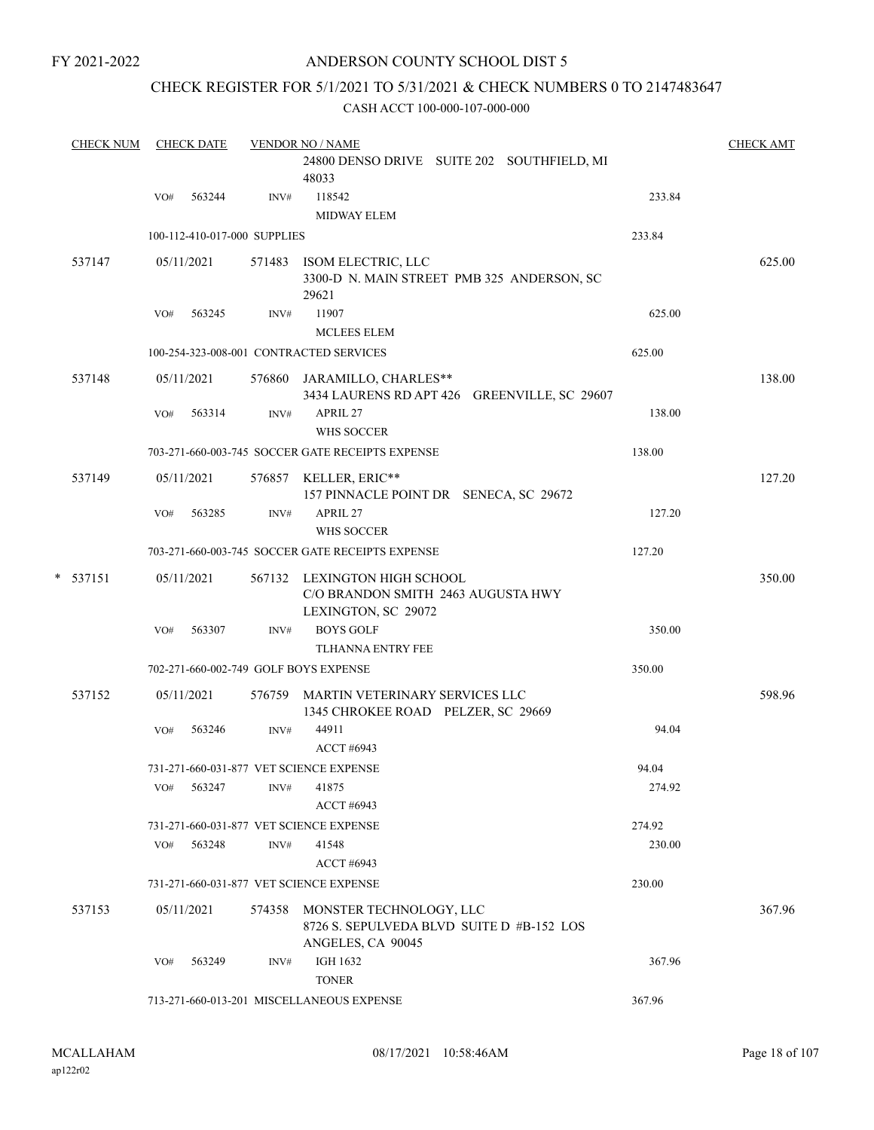## ANDERSON COUNTY SCHOOL DIST 5

#### CHECK REGISTER FOR 5/1/2021 TO 5/31/2021 & CHECK NUMBERS 0 TO 2147483647

| <b>CHECK NUM</b> |     | <b>CHECK DATE</b> |                              | <b>VENDOR NO / NAME</b>                                                                          |        | <b>CHECK AMT</b> |
|------------------|-----|-------------------|------------------------------|--------------------------------------------------------------------------------------------------|--------|------------------|
|                  |     |                   |                              | 24800 DENSO DRIVE SUITE 202 SOUTHFIELD, MI<br>48033                                              |        |                  |
|                  | VO# | 563244            | INV#                         | 118542<br><b>MIDWAY ELEM</b>                                                                     | 233.84 |                  |
|                  |     |                   | 100-112-410-017-000 SUPPLIES |                                                                                                  | 233.84 |                  |
| 537147           |     | 05/11/2021        |                              | 571483 ISOM ELECTRIC, LLC<br>3300-D N. MAIN STREET PMB 325 ANDERSON, SC<br>29621                 |        | 625.00           |
|                  | VO# | 563245            | INV#                         | 11907                                                                                            | 625.00 |                  |
|                  |     |                   |                              | MCLEES ELEM                                                                                      |        |                  |
|                  |     |                   |                              | 100-254-323-008-001 CONTRACTED SERVICES                                                          | 625.00 |                  |
| 537148           |     | 05/11/2021        |                              | 576860 JARAMILLO, CHARLES**<br>3434 LAURENS RD APT 426 GREENVILLE, SC 29607                      |        | 138.00           |
|                  | VO# | 563314            | INV#                         | APRIL 27<br>WHS SOCCER                                                                           | 138.00 |                  |
|                  |     |                   |                              | 703-271-660-003-745 SOCCER GATE RECEIPTS EXPENSE                                                 | 138.00 |                  |
| 537149           |     | 05/11/2021        |                              | 576857 KELLER, ERIC**<br>157 PINNACLE POINT DR SENECA, SC 29672                                  |        | 127.20           |
|                  | VO# | 563285            | INV#                         | APRIL 27<br>WHS SOCCER                                                                           | 127.20 |                  |
|                  |     |                   |                              | 703-271-660-003-745 SOCCER GATE RECEIPTS EXPENSE                                                 | 127.20 |                  |
| $*$ 537151       |     | 05/11/2021        |                              | 567132 LEXINGTON HIGH SCHOOL<br>C/O BRANDON SMITH 2463 AUGUSTA HWY<br>LEXINGTON, SC 29072        |        | 350.00           |
|                  | VO# | 563307            | INV#                         | <b>BOYS GOLF</b><br>TLHANNA ENTRY FEE                                                            | 350.00 |                  |
|                  |     |                   |                              | 702-271-660-002-749 GOLF BOYS EXPENSE                                                            | 350.00 |                  |
| 537152           |     | 05/11/2021        |                              | 576759 MARTIN VETERINARY SERVICES LLC<br>1345 CHROKEE ROAD PELZER, SC 29669                      |        | 598.96           |
|                  | VO# | 563246            | INV#                         | 44911<br><b>ACCT #6943</b>                                                                       | 94.04  |                  |
|                  |     |                   |                              | 731-271-660-031-877 VET SCIENCE EXPENSE                                                          | 94.04  |                  |
|                  | VO# | 563247            | INV#                         | 41875<br><b>ACCT #6943</b>                                                                       | 274.92 |                  |
|                  |     |                   |                              | 731-271-660-031-877 VET SCIENCE EXPENSE                                                          | 274.92 |                  |
|                  | VO# | 563248            | INV#                         | 41548<br><b>ACCT #6943</b>                                                                       | 230.00 |                  |
|                  |     |                   |                              | 731-271-660-031-877 VET SCIENCE EXPENSE                                                          | 230.00 |                  |
| 537153           |     | 05/11/2021        |                              | 574358 MONSTER TECHNOLOGY, LLC<br>8726 S. SEPULVEDA BLVD SUITE D #B-152 LOS<br>ANGELES, CA 90045 |        | 367.96           |
|                  | VO# | 563249            | INV#                         | <b>IGH 1632</b><br><b>TONER</b>                                                                  | 367.96 |                  |
|                  |     |                   |                              | 713-271-660-013-201 MISCELLANEOUS EXPENSE                                                        | 367.96 |                  |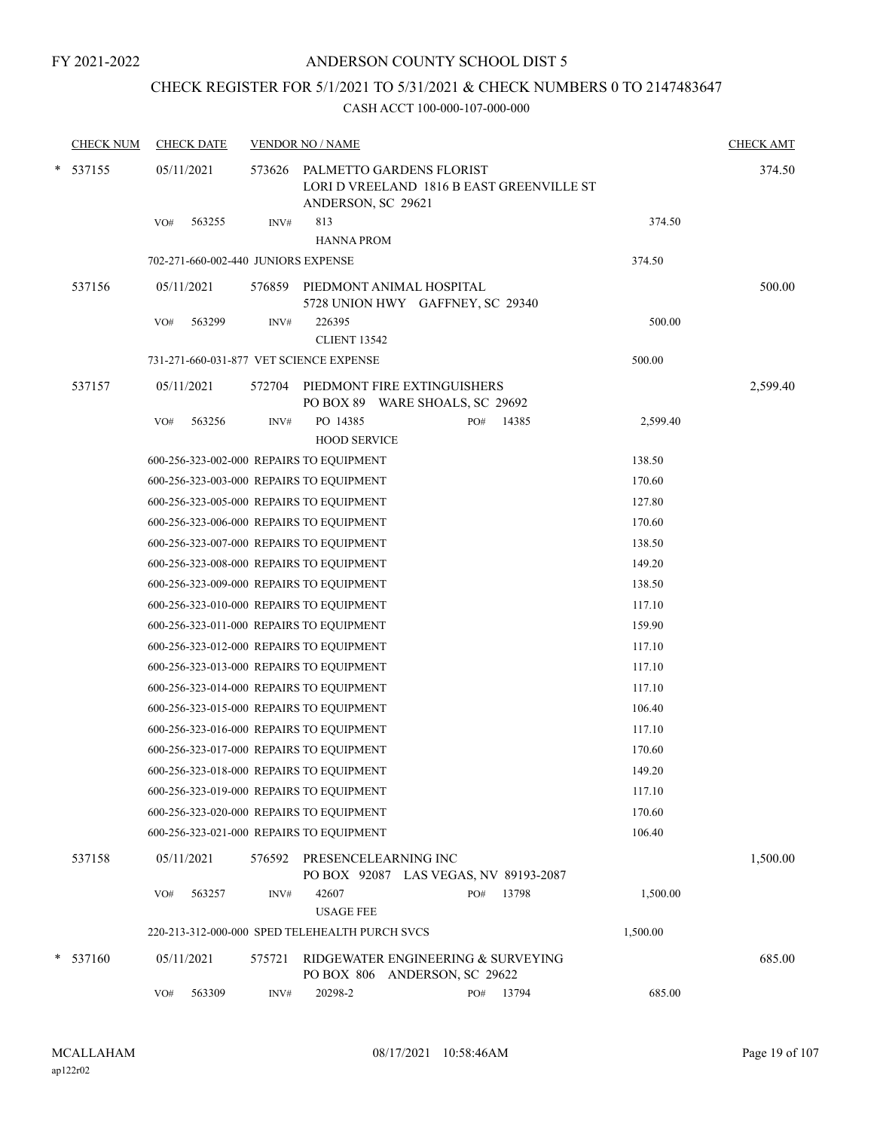## CHECK REGISTER FOR 5/1/2021 TO 5/31/2021 & CHECK NUMBERS 0 TO 2147483647

| <b>CHECK NUM</b> | <b>CHECK DATE</b>                              |        | <b>VENDOR NO / NAME</b>         |                                                                       |       |          | <b>CHECK AMT</b> |
|------------------|------------------------------------------------|--------|---------------------------------|-----------------------------------------------------------------------|-------|----------|------------------|
| $*$ 537155       | 05/11/2021                                     | 573626 | ANDERSON, SC 29621              | PALMETTO GARDENS FLORIST<br>LORI D VREELAND 1816 B EAST GREENVILLE ST |       |          | 374.50           |
|                  | 563255<br>VO#                                  | INV#   | 813                             |                                                                       |       | 374.50   |                  |
|                  |                                                |        | <b>HANNA PROM</b>               |                                                                       |       |          |                  |
|                  | 702-271-660-002-440 JUNIORS EXPENSE            |        |                                 |                                                                       |       | 374.50   |                  |
| 537156           | 05/11/2021                                     |        |                                 | 576859 PIEDMONT ANIMAL HOSPITAL<br>5728 UNION HWY GAFFNEY, SC 29340   |       |          | 500.00           |
|                  | 563299<br>VO#                                  | INV#   | 226395<br><b>CLIENT 13542</b>   |                                                                       |       | 500.00   |                  |
|                  | 731-271-660-031-877 VET SCIENCE EXPENSE        |        |                                 |                                                                       |       | 500.00   |                  |
| 537157           | 05/11/2021                                     |        |                                 | 572704 PIEDMONT FIRE EXTINGUISHERS<br>PO BOX 89 WARE SHOALS, SC 29692 |       |          | 2,599.40         |
|                  | 563256<br>VO#                                  | INV#   | PO 14385<br><b>HOOD SERVICE</b> | PO#                                                                   | 14385 | 2,599.40 |                  |
|                  | 600-256-323-002-000 REPAIRS TO EQUIPMENT       |        |                                 |                                                                       |       | 138.50   |                  |
|                  | 600-256-323-003-000 REPAIRS TO EQUIPMENT       |        |                                 |                                                                       |       | 170.60   |                  |
|                  | 600-256-323-005-000 REPAIRS TO EQUIPMENT       |        |                                 |                                                                       |       | 127.80   |                  |
|                  | 600-256-323-006-000 REPAIRS TO EQUIPMENT       |        |                                 |                                                                       |       | 170.60   |                  |
|                  | 600-256-323-007-000 REPAIRS TO EQUIPMENT       |        |                                 |                                                                       |       | 138.50   |                  |
|                  | 600-256-323-008-000 REPAIRS TO EQUIPMENT       |        |                                 |                                                                       |       | 149.20   |                  |
|                  | 600-256-323-009-000 REPAIRS TO EQUIPMENT       |        |                                 |                                                                       |       | 138.50   |                  |
|                  | 600-256-323-010-000 REPAIRS TO EQUIPMENT       |        |                                 |                                                                       |       | 117.10   |                  |
|                  | 600-256-323-011-000 REPAIRS TO EQUIPMENT       |        |                                 |                                                                       |       | 159.90   |                  |
|                  | 600-256-323-012-000 REPAIRS TO EQUIPMENT       |        |                                 |                                                                       |       | 117.10   |                  |
|                  | 600-256-323-013-000 REPAIRS TO EQUIPMENT       |        |                                 |                                                                       |       | 117.10   |                  |
|                  | 600-256-323-014-000 REPAIRS TO EQUIPMENT       |        |                                 |                                                                       |       | 117.10   |                  |
|                  | 600-256-323-015-000 REPAIRS TO EQUIPMENT       |        |                                 |                                                                       |       | 106.40   |                  |
|                  | 600-256-323-016-000 REPAIRS TO EQUIPMENT       |        |                                 |                                                                       |       | 117.10   |                  |
|                  | 600-256-323-017-000 REPAIRS TO EQUIPMENT       |        |                                 |                                                                       |       | 170.60   |                  |
|                  | 600-256-323-018-000 REPAIRS TO EQUIPMENT       |        |                                 |                                                                       |       | 149.20   |                  |
|                  | 600-256-323-019-000 REPAIRS TO EQUIPMENT       |        |                                 |                                                                       |       | 117.10   |                  |
|                  | 600-256-323-020-000 REPAIRS TO EQUIPMENT       |        |                                 |                                                                       |       | 170.60   |                  |
|                  | 600-256-323-021-000 REPAIRS TO EQUIPMENT       |        |                                 |                                                                       |       | 106.40   |                  |
| 537158           | 05/11/2021                                     | 576592 | PRESENCELEARNING INC            | PO BOX 92087 LAS VEGAS, NV 89193-2087                                 |       |          | 1,500.00         |
|                  | 563257<br>VO#                                  | INV#   | 42607                           | PO#                                                                   | 13798 | 1,500.00 |                  |
|                  |                                                |        | <b>USAGE FEE</b>                |                                                                       |       |          |                  |
|                  | 220-213-312-000-000 SPED TELEHEALTH PURCH SVCS |        |                                 |                                                                       |       | 1,500.00 |                  |
| $* 537160$       | 05/11/2021                                     | 575721 |                                 | RIDGEWATER ENGINEERING & SURVEYING<br>PO BOX 806 ANDERSON, SC 29622   |       |          | 685.00           |
|                  | VO#<br>563309                                  | INV#   | 20298-2                         | PO#                                                                   | 13794 | 685.00   |                  |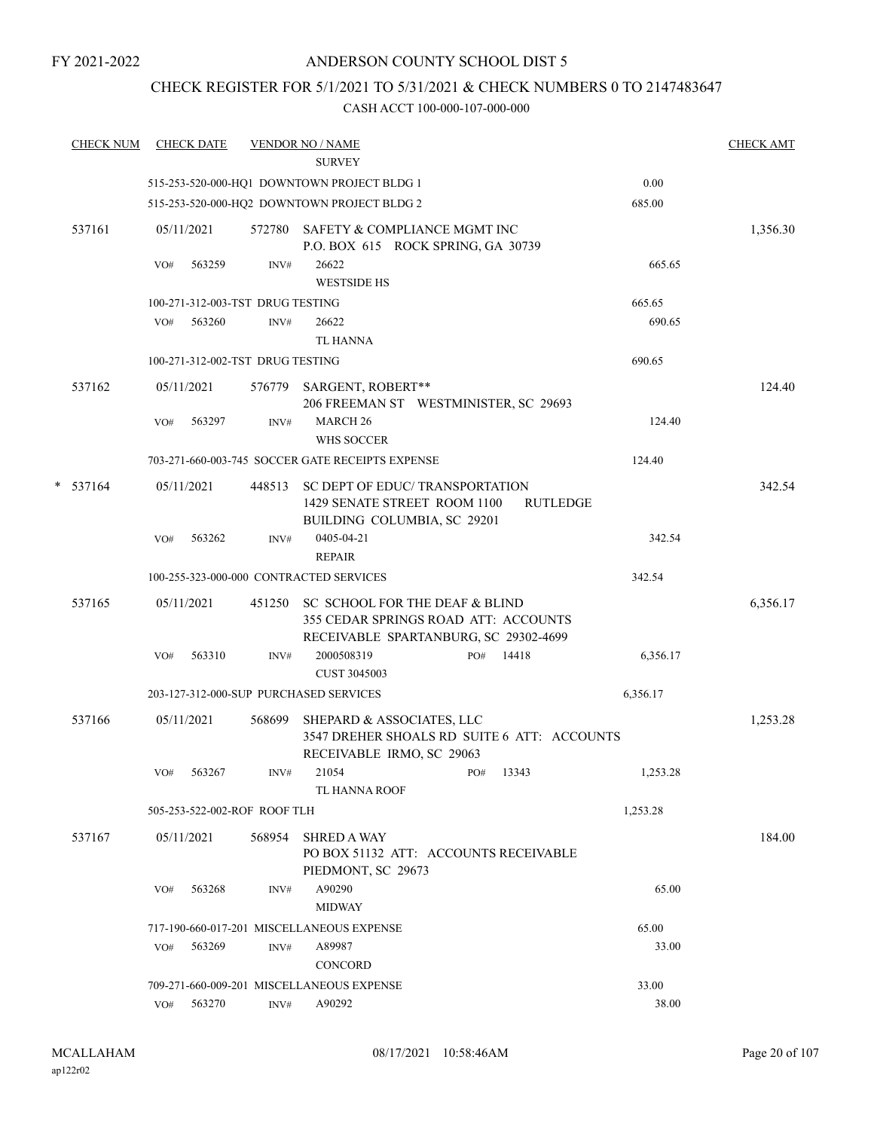## ANDERSON COUNTY SCHOOL DIST 5

## CHECK REGISTER FOR 5/1/2021 TO 5/31/2021 & CHECK NUMBERS 0 TO 2147483647

| <b>CHECK NUM</b> |     | <b>CHECK DATE</b>                |        | <b>VENDOR NO / NAME</b><br><b>SURVEY</b>                                                                        |           |     |                 |          | <b>CHECK AMT</b> |
|------------------|-----|----------------------------------|--------|-----------------------------------------------------------------------------------------------------------------|-----------|-----|-----------------|----------|------------------|
|                  |     |                                  |        | 515-253-520-000-HQ1 DOWNTOWN PROJECT BLDG 1                                                                     |           |     |                 | 0.00     |                  |
|                  |     |                                  |        | 515-253-520-000-HQ2 DOWNTOWN PROJECT BLDG 2                                                                     |           |     |                 | 685.00   |                  |
| 537161           |     | 05/11/2021                       | 572780 | SAFETY & COMPLIANCE MGMT INC<br>P.O. BOX 615 ROCK SPRING, GA 30739                                              |           |     |                 |          | 1,356.30         |
|                  | VO# | 563259                           | INV#   | 26622<br><b>WESTSIDE HS</b>                                                                                     |           |     |                 | 665.65   |                  |
|                  |     | 100-271-312-003-TST DRUG TESTING |        |                                                                                                                 |           |     |                 | 665.65   |                  |
|                  | VO# | 563260                           | INV#   | 26622<br><b>TL HANNA</b>                                                                                        |           |     |                 | 690.65   |                  |
|                  |     | 100-271-312-002-TST DRUG TESTING |        |                                                                                                                 |           |     |                 | 690.65   |                  |
| 537162           |     | 05/11/2021                       |        | 576779 SARGENT, ROBERT**<br>206 FREEMAN ST WESTMINISTER, SC 29693                                               |           |     |                 |          | 124.40           |
|                  | VO# | 563297                           | INV#   | <b>MARCH 26</b><br>WHS SOCCER                                                                                   |           |     |                 | 124.40   |                  |
|                  |     |                                  |        | 703-271-660-003-745 SOCCER GATE RECEIPTS EXPENSE                                                                |           |     |                 | 124.40   |                  |
| $*$ 537164       |     | 05/11/2021                       | 448513 | SC DEPT OF EDUC/TRANSPORTATION<br>1429 SENATE STREET ROOM 1100<br>BUILDING COLUMBIA, SC 29201                   |           |     | <b>RUTLEDGE</b> |          | 342.54           |
|                  | VO# | 563262                           | INV#   | 0405-04-21<br><b>REPAIR</b>                                                                                     |           |     |                 | 342.54   |                  |
|                  |     |                                  |        | 100-255-323-000-000 CONTRACTED SERVICES                                                                         |           |     |                 | 342.54   |                  |
| 537165           |     | 05/11/2021                       | 451250 | SC SCHOOL FOR THE DEAF & BLIND<br>355 CEDAR SPRINGS ROAD ATT: ACCOUNTS<br>RECEIVABLE SPARTANBURG, SC 29302-4699 |           |     |                 |          | 6,356.17         |
|                  | VO# | 563310                           | INV#   | 2000508319<br><b>CUST 3045003</b>                                                                               |           | PO# | 14418           | 6,356.17 |                  |
|                  |     |                                  |        | 203-127-312-000-SUP PURCHASED SERVICES                                                                          |           |     |                 | 6,356.17 |                  |
| 537166           |     | 05/11/2021                       | 568699 | SHEPARD & ASSOCIATES, LLC<br>3547 DREHER SHOALS RD SUITE 6 ATT: ACCOUNTS<br>RECEIVABLE IRMO, SC 29063           |           |     |                 |          | 1,253.28         |
|                  | VO# | 563267                           | INV#   | 21054<br>TL HANNA ROOF                                                                                          | PO# 13343 |     |                 | 1,253.28 |                  |
|                  |     | 505-253-522-002-ROF ROOF TLH     |        |                                                                                                                 |           |     |                 | 1,253.28 |                  |
| 537167           |     | 05/11/2021                       | 568954 | <b>SHRED A WAY</b><br>PO BOX 51132 ATT: ACCOUNTS RECEIVABLE<br>PIEDMONT, SC 29673                               |           |     |                 |          | 184.00           |
|                  | VO# | 563268                           | INV#   | A90290<br><b>MIDWAY</b>                                                                                         |           |     |                 | 65.00    |                  |
|                  |     |                                  |        | 717-190-660-017-201 MISCELLANEOUS EXPENSE                                                                       |           |     |                 | 65.00    |                  |
|                  | VO# | 563269                           | INV#   | A89987<br>CONCORD                                                                                               |           |     |                 | 33.00    |                  |
|                  |     |                                  |        | 709-271-660-009-201 MISCELLANEOUS EXPENSE                                                                       |           |     |                 | 33.00    |                  |
|                  |     | VO# 563270                       | INV#   | A90292                                                                                                          |           |     |                 | 38.00    |                  |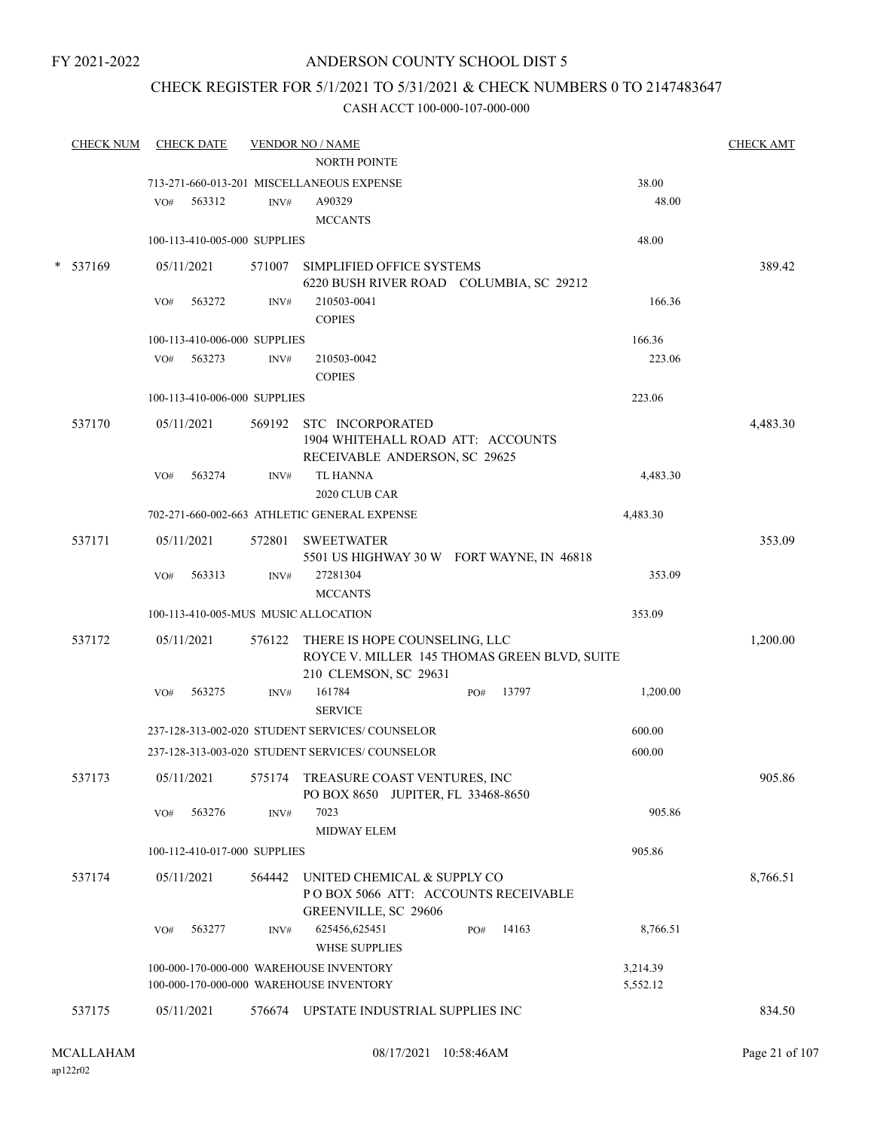## ANDERSON COUNTY SCHOOL DIST 5

## CHECK REGISTER FOR 5/1/2021 TO 5/31/2021 & CHECK NUMBERS 0 TO 2147483647

|        | <b>CHECK NUM</b> |     | <b>CHECK DATE</b>            |        | <b>VENDOR NO / NAME</b>                                                                                       |     |       |                      | <b>CHECK AMT</b> |
|--------|------------------|-----|------------------------------|--------|---------------------------------------------------------------------------------------------------------------|-----|-------|----------------------|------------------|
|        |                  |     |                              |        | <b>NORTH POINTE</b>                                                                                           |     |       |                      |                  |
|        |                  |     |                              |        | 713-271-660-013-201 MISCELLANEOUS EXPENSE                                                                     |     |       | 38.00                |                  |
|        |                  | VO# | 563312                       | INV#   | A90329                                                                                                        |     |       | 48.00                |                  |
|        |                  |     |                              |        | <b>MCCANTS</b>                                                                                                |     |       |                      |                  |
|        |                  |     | 100-113-410-005-000 SUPPLIES |        |                                                                                                               |     |       | 48.00                |                  |
| $\ast$ | 537169           |     | 05/11/2021                   |        | 571007 SIMPLIFIED OFFICE SYSTEMS<br>6220 BUSH RIVER ROAD COLUMBIA, SC 29212                                   |     |       |                      | 389.42           |
|        |                  | VO# | 563272                       | INV#   | 210503-0041<br><b>COPIES</b>                                                                                  |     |       | 166.36               |                  |
|        |                  |     | 100-113-410-006-000 SUPPLIES |        |                                                                                                               |     |       | 166.36               |                  |
|        |                  |     | VO# 563273                   | INV#   | 210503-0042                                                                                                   |     |       | 223.06               |                  |
|        |                  |     |                              |        | <b>COPIES</b>                                                                                                 |     |       |                      |                  |
|        |                  |     | 100-113-410-006-000 SUPPLIES |        |                                                                                                               |     |       | 223.06               |                  |
|        | 537170           |     | 05/11/2021                   |        | 569192 STC INCORPORATED<br>1904 WHITEHALL ROAD ATT: ACCOUNTS<br>RECEIVABLE ANDERSON, SC 29625                 |     |       |                      | 4,483.30         |
|        |                  | VO# | 563274                       | INV#   | <b>TL HANNA</b>                                                                                               |     |       | 4,483.30             |                  |
|        |                  |     |                              |        | 2020 CLUB CAR                                                                                                 |     |       |                      |                  |
|        |                  |     |                              |        | 702-271-660-002-663 ATHLETIC GENERAL EXPENSE                                                                  |     |       | 4,483.30             |                  |
|        |                  |     |                              |        |                                                                                                               |     |       |                      |                  |
|        | 537171           |     | 05/11/2021                   |        | 572801 SWEETWATER<br>5501 US HIGHWAY 30 W FORT WAYNE, IN 46818                                                |     |       |                      | 353.09           |
|        |                  | VO# | 563313                       | INV#   | 27281304                                                                                                      |     |       | 353.09               |                  |
|        |                  |     |                              |        | <b>MCCANTS</b>                                                                                                |     |       |                      |                  |
|        |                  |     |                              |        | 100-113-410-005-MUS MUSIC ALLOCATION                                                                          |     |       | 353.09               |                  |
|        | 537172           |     | 05/11/2021                   |        | 576122 THERE IS HOPE COUNSELING, LLC<br>ROYCE V. MILLER 145 THOMAS GREEN BLVD, SUITE<br>210 CLEMSON, SC 29631 |     |       |                      | 1,200.00         |
|        |                  | VO# | 563275                       | INV#   | 161784<br><b>SERVICE</b>                                                                                      | PO# | 13797 | 1,200.00             |                  |
|        |                  |     |                              |        |                                                                                                               |     |       |                      |                  |
|        |                  |     |                              |        | 237-128-313-002-020 STUDENT SERVICES/COUNSELOR                                                                |     |       | 600.00               |                  |
|        |                  |     |                              |        | 237-128-313-003-020 STUDENT SERVICES/ COUNSELOR                                                               |     |       | 600.00               |                  |
|        | 537173           |     | 05/11/2021                   |        | 575174 TREASURE COAST VENTURES, INC<br>PO BOX 8650 JUPITER, FL 33468-8650                                     |     |       |                      | 905.86           |
|        |                  | VO# | 563276                       | INV#   | 7023<br>MIDWAY ELEM                                                                                           |     |       | 905.86               |                  |
|        |                  |     | 100-112-410-017-000 SUPPLIES |        |                                                                                                               |     |       | 905.86               |                  |
|        | 537174           |     | 05/11/2021                   | 564442 | UNITED CHEMICAL & SUPPLY CO<br>POBOX 5066 ATT: ACCOUNTS RECEIVABLE                                            |     |       |                      | 8,766.51         |
|        |                  | VO# | 563277                       | INV#   | GREENVILLE, SC 29606<br>625456,625451<br>WHSE SUPPLIES                                                        | PO# | 14163 | 8,766.51             |                  |
|        |                  |     |                              |        | 100-000-170-000-000 WAREHOUSE INVENTORY<br>100-000-170-000-000 WAREHOUSE INVENTORY                            |     |       | 3,214.39<br>5,552.12 |                  |
|        |                  |     |                              |        |                                                                                                               |     |       |                      |                  |
|        | 537175           |     | 05/11/2021                   |        | 576674 UPSTATE INDUSTRIAL SUPPLIES INC                                                                        |     |       |                      | 834.50           |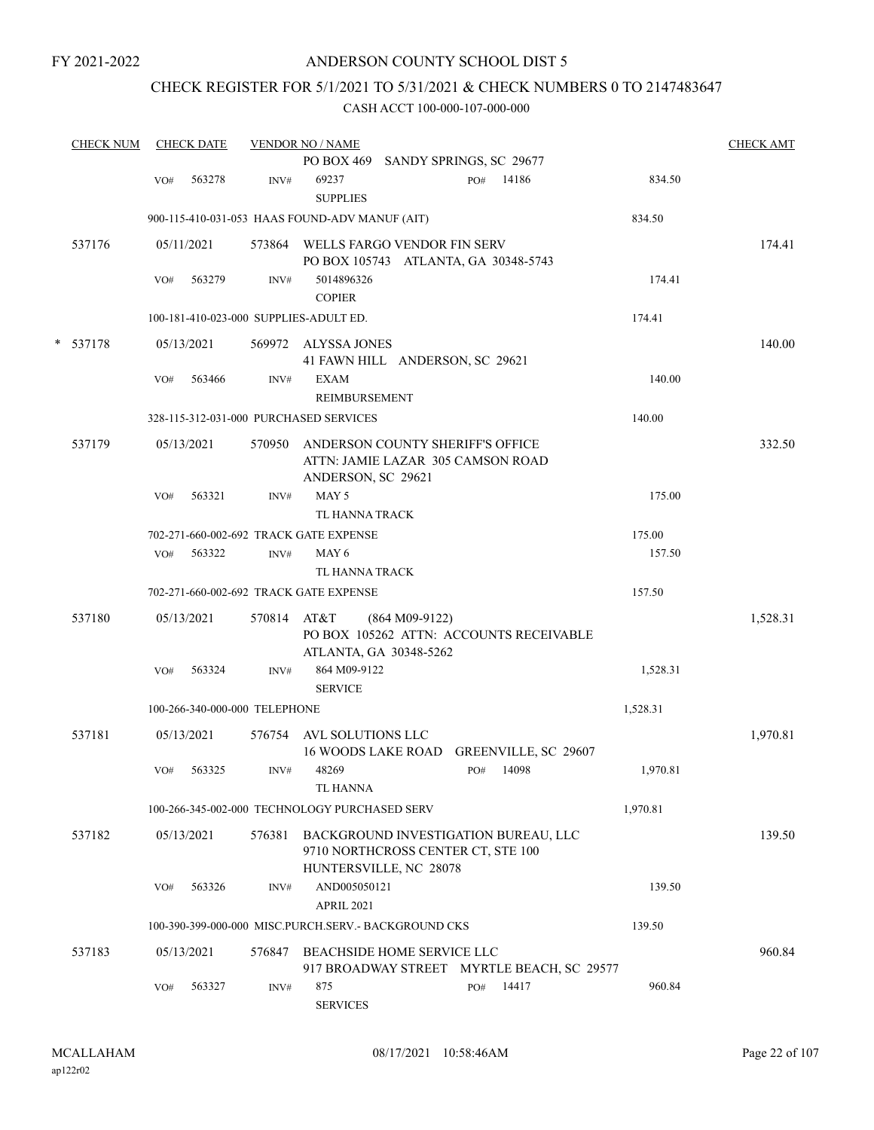## ANDERSON COUNTY SCHOOL DIST 5

## CHECK REGISTER FOR 5/1/2021 TO 5/31/2021 & CHECK NUMBERS 0 TO 2147483647

|   | <b>CHECK NUM</b> |     | <b>CHECK DATE</b>             |        | <b>VENDOR NO / NAME</b>                                                                              |                  |     |                      |          | <b>CHECK AMT</b> |
|---|------------------|-----|-------------------------------|--------|------------------------------------------------------------------------------------------------------|------------------|-----|----------------------|----------|------------------|
|   |                  |     |                               |        | PO BOX 469 SANDY SPRINGS, SC 29677                                                                   |                  |     |                      |          |                  |
|   |                  | VO# | 563278                        | INV#   | 69237<br><b>SUPPLIES</b>                                                                             |                  | PO# | 14186                | 834.50   |                  |
|   |                  |     |                               |        | 900-115-410-031-053 HAAS FOUND-ADV MANUF (AIT)                                                       |                  |     |                      | 834.50   |                  |
|   | 537176           |     | 05/11/2021                    |        | 573864 WELLS FARGO VENDOR FIN SERV<br>PO BOX 105743 ATLANTA, GA 30348-5743                           |                  |     |                      |          | 174.41           |
|   |                  | VO# | 563279                        | INV#   | 5014896326<br><b>COPIER</b>                                                                          |                  |     |                      | 174.41   |                  |
|   |                  |     |                               |        | 100-181-410-023-000 SUPPLIES-ADULT ED.                                                               |                  |     |                      | 174.41   |                  |
| * | 537178           |     | 05/13/2021                    |        | 569972 ALYSSA JONES<br>41 FAWN HILL ANDERSON, SC 29621                                               |                  |     |                      |          | 140.00           |
|   |                  | VO# | 563466                        | INV#   | <b>EXAM</b><br>REIMBURSEMENT                                                                         |                  |     |                      | 140.00   |                  |
|   |                  |     |                               |        | 328-115-312-031-000 PURCHASED SERVICES                                                               |                  |     |                      | 140.00   |                  |
|   | 537179           |     | 05/13/2021                    | 570950 | ANDERSON COUNTY SHERIFF'S OFFICE<br>ATTN: JAMIE LAZAR 305 CAMSON ROAD<br>ANDERSON, SC 29621          |                  |     |                      |          | 332.50           |
|   |                  | VO# | 563321                        | INV#   | MAY 5<br>TL HANNA TRACK                                                                              |                  |     |                      | 175.00   |                  |
|   |                  |     |                               |        | 702-271-660-002-692 TRACK GATE EXPENSE                                                               |                  |     |                      | 175.00   |                  |
|   |                  | VO# | 563322                        | INV#   | MAY 6<br>TL HANNA TRACK                                                                              |                  |     |                      | 157.50   |                  |
|   |                  |     |                               |        | 702-271-660-002-692 TRACK GATE EXPENSE                                                               |                  |     |                      | 157.50   |                  |
|   | 537180           |     | 05/13/2021                    | 570814 | AT&T<br>PO BOX 105262 ATTN: ACCOUNTS RECEIVABLE<br>ATLANTA, GA 30348-5262                            | $(864 M09-9122)$ |     |                      |          | 1,528.31         |
|   |                  | VO# | 563324                        | INV#   | 864 M09-9122<br><b>SERVICE</b>                                                                       |                  |     |                      | 1,528.31 |                  |
|   |                  |     | 100-266-340-000-000 TELEPHONE |        |                                                                                                      |                  |     |                      | 1,528.31 |                  |
|   | 537181           |     | 05/13/2021                    |        | 576754 AVL SOLUTIONS LLC<br>16 WOODS LAKE ROAD                                                       |                  |     | GREENVILLE, SC 29607 |          | 1,970.81         |
|   |                  | VO# | 563325                        | INV#   | 48269<br><b>TL HANNA</b>                                                                             |                  | PO# | 14098                | 1,970.81 |                  |
|   |                  |     |                               |        | 100-266-345-002-000 TECHNOLOGY PURCHASED SERV                                                        |                  |     |                      | 1,970.81 |                  |
|   | 537182           |     | 05/13/2021                    | 576381 | BACKGROUND INVESTIGATION BUREAU, LLC<br>9710 NORTHCROSS CENTER CT, STE 100<br>HUNTERSVILLE, NC 28078 |                  |     |                      |          | 139.50           |
|   |                  | VO# | 563326                        | INV#   | AND005050121<br><b>APRIL 2021</b>                                                                    |                  |     |                      | 139.50   |                  |
|   |                  |     |                               |        | 100-390-399-000-000 MISC.PURCH.SERV.- BACKGROUND CKS                                                 |                  |     |                      | 139.50   |                  |
|   | 537183           |     | 05/13/2021                    | 576847 | BEACHSIDE HOME SERVICE LLC<br>917 BROADWAY STREET MYRTLE BEACH, SC 29577                             |                  |     |                      |          | 960.84           |
|   |                  | VO# | 563327                        | INV#   | 875<br><b>SERVICES</b>                                                                               |                  | PO# | 14417                | 960.84   |                  |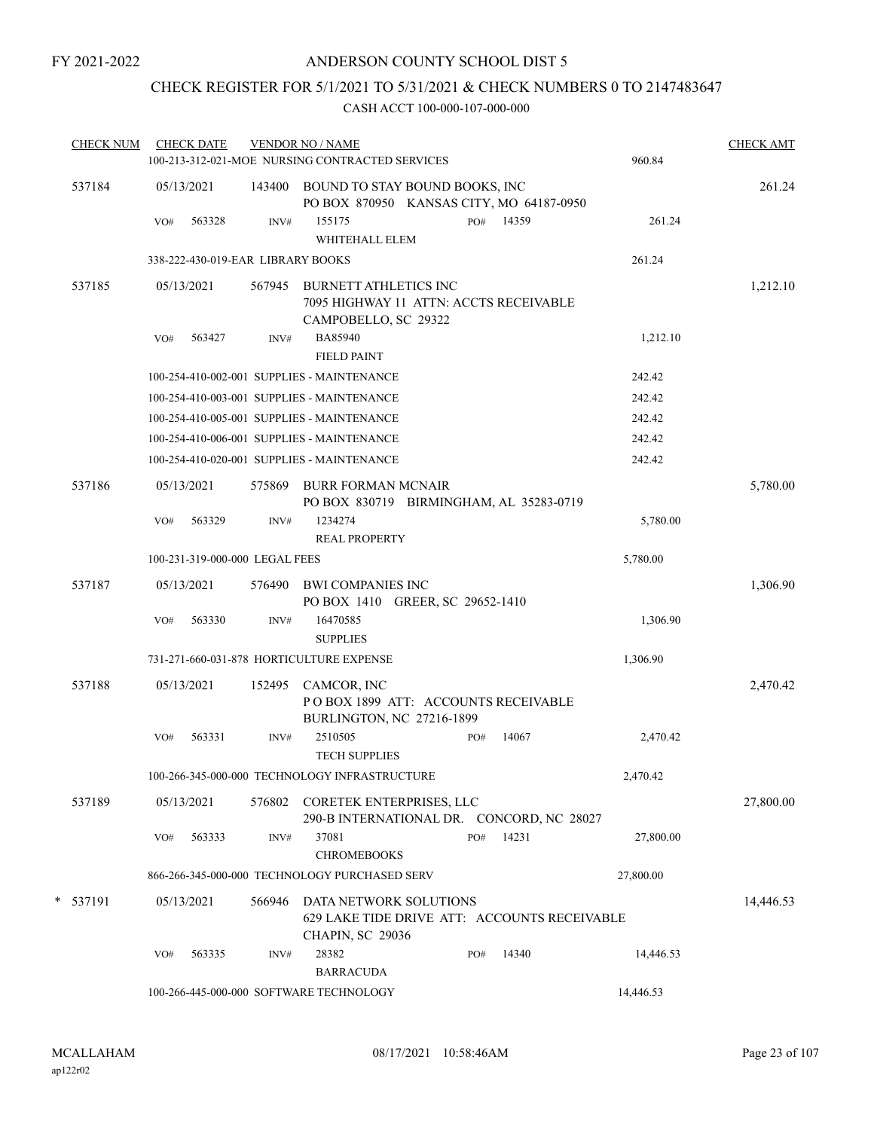## CHECK REGISTER FOR 5/1/2021 TO 5/31/2021 & CHECK NUMBERS 0 TO 2147483647

| <b>CHECK NUM</b> |     | <b>CHECK DATE</b>                 |        | <b>VENDOR NO / NAME</b>                                                                           |     |           |           | <b>CHECK AMT</b> |
|------------------|-----|-----------------------------------|--------|---------------------------------------------------------------------------------------------------|-----|-----------|-----------|------------------|
|                  |     |                                   |        | 100-213-312-021-MOE NURSING CONTRACTED SERVICES                                                   |     |           | 960.84    |                  |
| 537184           |     | 05/13/2021                        |        | 143400 BOUND TO STAY BOUND BOOKS, INC<br>PO BOX 870950 KANSAS CITY, MO 64187-0950                 |     |           |           | 261.24           |
|                  | VO# | 563328                            | INV#   | 155175                                                                                            |     | PO# 14359 | 261.24    |                  |
|                  |     |                                   |        | WHITEHALL ELEM                                                                                    |     |           |           |                  |
|                  |     | 338-222-430-019-EAR LIBRARY BOOKS |        |                                                                                                   |     |           | 261.24    |                  |
| 537185           |     | 05/13/2021                        | 567945 | <b>BURNETT ATHLETICS INC</b><br>7095 HIGHWAY 11 ATTN: ACCTS RECEIVABLE<br>CAMPOBELLO, SC 29322    |     |           |           | 1,212.10         |
|                  | VO# | 563427                            | INV#   | BA85940<br><b>FIELD PAINT</b>                                                                     |     |           | 1,212.10  |                  |
|                  |     |                                   |        | 100-254-410-002-001 SUPPLIES - MAINTENANCE                                                        |     |           | 242.42    |                  |
|                  |     |                                   |        | 100-254-410-003-001 SUPPLIES - MAINTENANCE                                                        |     |           | 242.42    |                  |
|                  |     |                                   |        | 100-254-410-005-001 SUPPLIES - MAINTENANCE                                                        |     |           | 242.42    |                  |
|                  |     |                                   |        | 100-254-410-006-001 SUPPLIES - MAINTENANCE                                                        |     |           | 242.42    |                  |
|                  |     |                                   |        | 100-254-410-020-001 SUPPLIES - MAINTENANCE                                                        |     |           | 242.42    |                  |
| 537186           |     | 05/13/2021                        | 575869 | <b>BURR FORMAN MCNAIR</b><br>PO BOX 830719 BIRMINGHAM, AL 35283-0719                              |     |           |           | 5,780.00         |
|                  | VO# | 563329                            | INV#   | 1234274<br><b>REAL PROPERTY</b>                                                                   |     |           | 5,780.00  |                  |
|                  |     | 100-231-319-000-000 LEGAL FEES    |        |                                                                                                   |     |           | 5,780.00  |                  |
| 537187           |     | 05/13/2021                        |        | 576490 BWI COMPANIES INC<br>PO BOX 1410 GREER, SC 29652-1410                                      |     |           |           | 1,306.90         |
|                  | VO# | 563330                            | INV#   | 16470585<br><b>SUPPLIES</b>                                                                       |     |           | 1,306.90  |                  |
|                  |     |                                   |        | 731-271-660-031-878 HORTICULTURE EXPENSE                                                          |     |           | 1,306.90  |                  |
| 537188           |     | 05/13/2021                        |        | 152495 CAMCOR, INC<br>POBOX 1899 ATT: ACCOUNTS RECEIVABLE<br><b>BURLINGTON, NC 27216-1899</b>     |     |           |           | 2,470.42         |
|                  | VO# | 563331                            | INV#   | 2510505<br><b>TECH SUPPLIES</b>                                                                   | PO# | 14067     | 2,470.42  |                  |
|                  |     |                                   |        | 100-266-345-000-000 TECHNOLOGY INFRASTRUCTURE                                                     |     |           | 2,470.42  |                  |
| 537189           |     | 05/13/2021                        | 576802 | CORETEK ENTERPRISES, LLC<br>290-B INTERNATIONAL DR. CONCORD, NC 28027                             |     |           |           | 27,800.00        |
|                  | VO# | 563333                            | INV#   | 37081<br><b>CHROMEBOOKS</b>                                                                       | PO# | 14231     | 27,800.00 |                  |
|                  |     |                                   |        | 866-266-345-000-000 TECHNOLOGY PURCHASED SERV                                                     |     |           | 27,800.00 |                  |
| * 537191         |     | 05/13/2021                        | 566946 | DATA NETWORK SOLUTIONS<br>629 LAKE TIDE DRIVE ATT: ACCOUNTS RECEIVABLE<br><b>CHAPIN, SC 29036</b> |     |           |           | 14,446.53        |
|                  | VO# | 563335                            | INV#   | 28382<br><b>BARRACUDA</b>                                                                         | PO# | 14340     | 14,446.53 |                  |
|                  |     |                                   |        | 100-266-445-000-000 SOFTWARE TECHNOLOGY                                                           |     |           | 14,446.53 |                  |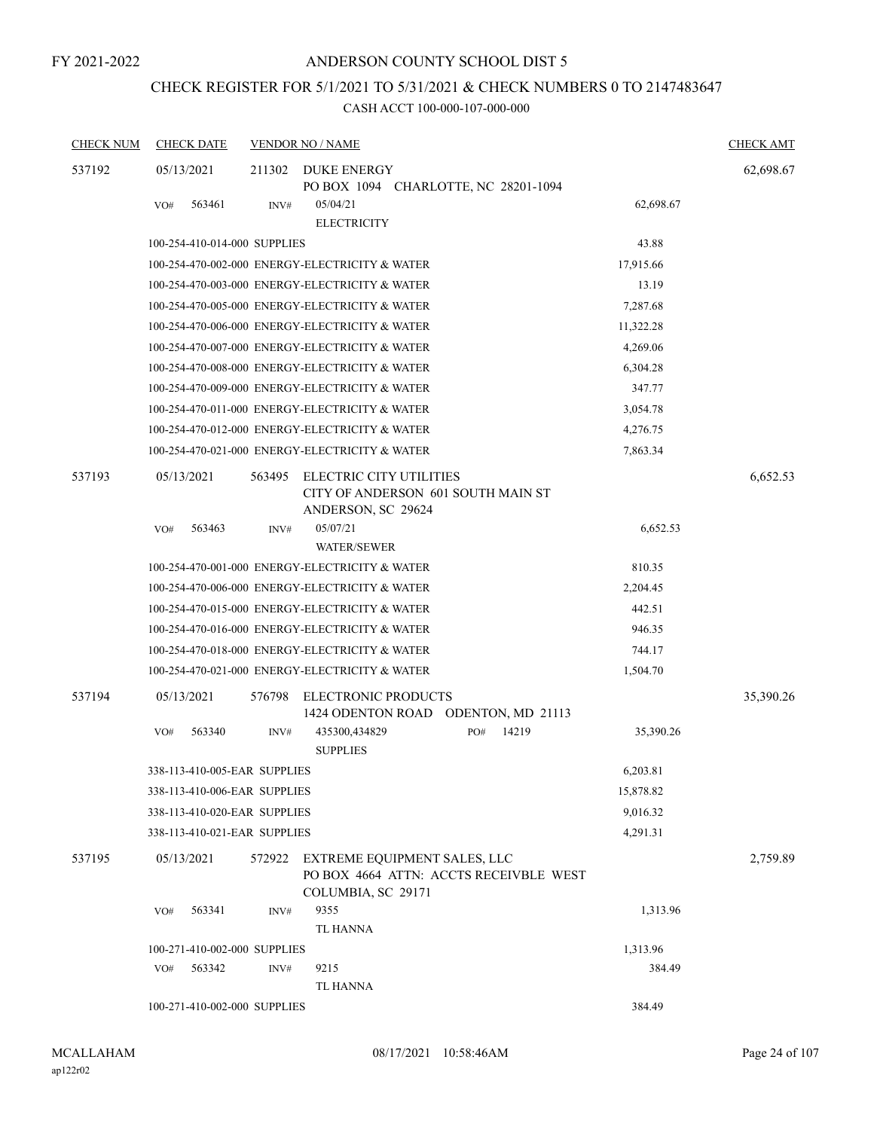## CHECK REGISTER FOR 5/1/2021 TO 5/31/2021 & CHECK NUMBERS 0 TO 2147483647

| <b>CHECK NUM</b> | <b>CHECK DATE</b>                              |        | <b>VENDOR NO / NAME</b>                                                                      |     |       |           | <b>CHECK AMT</b> |
|------------------|------------------------------------------------|--------|----------------------------------------------------------------------------------------------|-----|-------|-----------|------------------|
| 537192           | 05/13/2021                                     | 211302 | <b>DUKE ENERGY</b><br>PO BOX 1094 CHARLOTTE, NC 28201-1094                                   |     |       |           | 62,698.67        |
|                  | 563461<br>VO#                                  | INV#   | 05/04/21<br><b>ELECTRICITY</b>                                                               |     |       | 62,698.67 |                  |
|                  | 100-254-410-014-000 SUPPLIES                   |        |                                                                                              |     |       | 43.88     |                  |
|                  | 100-254-470-002-000 ENERGY-ELECTRICITY & WATER |        |                                                                                              |     |       | 17,915.66 |                  |
|                  | 100-254-470-003-000 ENERGY-ELECTRICITY & WATER |        |                                                                                              |     |       | 13.19     |                  |
|                  | 100-254-470-005-000 ENERGY-ELECTRICITY & WATER |        |                                                                                              |     |       | 7,287.68  |                  |
|                  | 100-254-470-006-000 ENERGY-ELECTRICITY & WATER |        |                                                                                              |     |       | 11,322.28 |                  |
|                  | 100-254-470-007-000 ENERGY-ELECTRICITY & WATER |        |                                                                                              |     |       | 4,269.06  |                  |
|                  | 100-254-470-008-000 ENERGY-ELECTRICITY & WATER |        |                                                                                              |     |       | 6,304.28  |                  |
|                  | 100-254-470-009-000 ENERGY-ELECTRICITY & WATER |        |                                                                                              |     |       | 347.77    |                  |
|                  | 100-254-470-011-000 ENERGY-ELECTRICITY & WATER |        |                                                                                              |     |       | 3,054.78  |                  |
|                  | 100-254-470-012-000 ENERGY-ELECTRICITY & WATER |        |                                                                                              |     |       | 4,276.75  |                  |
|                  | 100-254-470-021-000 ENERGY-ELECTRICITY & WATER |        |                                                                                              |     |       | 7,863.34  |                  |
| 537193           | 05/13/2021                                     | 563495 | ELECTRIC CITY UTILITIES<br>CITY OF ANDERSON 601 SOUTH MAIN ST                                |     |       |           | 6,652.53         |
|                  | 563463<br>VO#                                  | INV#   | ANDERSON, SC 29624<br>05/07/21<br><b>WATER/SEWER</b>                                         |     |       | 6,652.53  |                  |
|                  | 100-254-470-001-000 ENERGY-ELECTRICITY & WATER |        |                                                                                              |     |       | 810.35    |                  |
|                  | 100-254-470-006-000 ENERGY-ELECTRICITY & WATER |        |                                                                                              |     |       | 2,204.45  |                  |
|                  | 100-254-470-015-000 ENERGY-ELECTRICITY & WATER |        |                                                                                              |     |       | 442.51    |                  |
|                  | 100-254-470-016-000 ENERGY-ELECTRICITY & WATER |        |                                                                                              |     |       | 946.35    |                  |
|                  | 100-254-470-018-000 ENERGY-ELECTRICITY & WATER |        |                                                                                              |     |       | 744.17    |                  |
|                  | 100-254-470-021-000 ENERGY-ELECTRICITY & WATER |        |                                                                                              |     |       | 1,504.70  |                  |
| 537194           | 05/13/2021                                     | 576798 | ELECTRONIC PRODUCTS<br>1424 ODENTON ROAD ODENTON, MD 21113                                   |     |       |           | 35,390.26        |
|                  | VO#<br>563340                                  | INV#   | 435300,434829<br><b>SUPPLIES</b>                                                             | PO# | 14219 | 35,390.26 |                  |
|                  | 338-113-410-005-EAR SUPPLIES                   |        |                                                                                              |     |       | 6,203.81  |                  |
|                  | 338-113-410-006-EAR SUPPLIES                   |        |                                                                                              |     |       | 15,878.82 |                  |
|                  | 338-113-410-020-EAR SUPPLIES                   |        |                                                                                              |     |       | 9,016.32  |                  |
|                  | 338-113-410-021-EAR SUPPLIES                   |        |                                                                                              |     |       | 4,291.31  |                  |
| 537195           | 05/13/2021                                     | 572922 | EXTREME EQUIPMENT SALES, LLC<br>PO BOX 4664 ATTN: ACCTS RECEIVBLE WEST<br>COLUMBIA, SC 29171 |     |       |           | 2,759.89         |
|                  | 563341<br>VO#                                  | INV#   | 9355<br><b>TL HANNA</b>                                                                      |     |       | 1,313.96  |                  |
|                  | 100-271-410-002-000 SUPPLIES                   |        |                                                                                              |     |       | 1,313.96  |                  |
|                  | 563342<br>VO#                                  | INV#   | 9215<br>TL HANNA                                                                             |     |       | 384.49    |                  |
|                  | 100-271-410-002-000 SUPPLIES                   |        |                                                                                              |     |       | 384.49    |                  |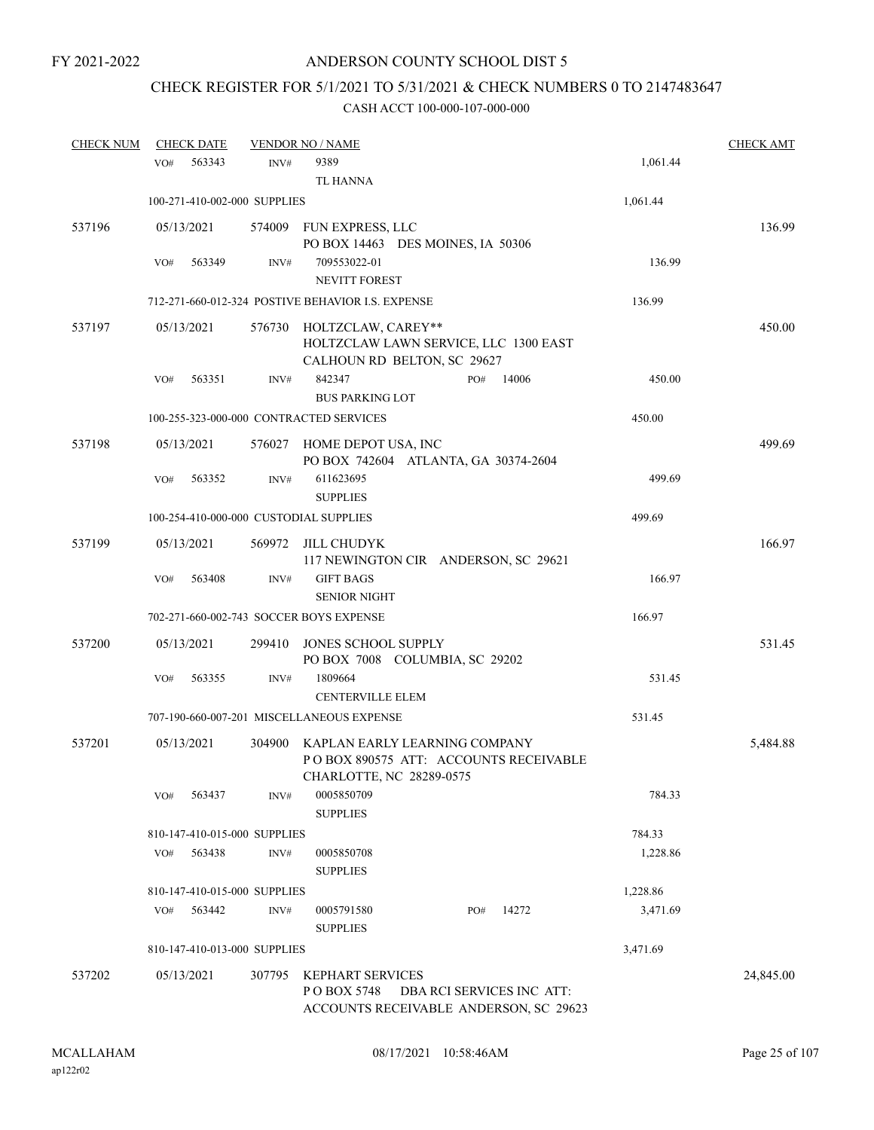# CHECK REGISTER FOR 5/1/2021 TO 5/31/2021 & CHECK NUMBERS 0 TO 2147483647

| <b>CHECK NUM</b> |     | <b>CHECK DATE</b>            |        | <b>VENDOR NO / NAME</b>                                            |     |                           |          | <b>CHECK AMT</b> |
|------------------|-----|------------------------------|--------|--------------------------------------------------------------------|-----|---------------------------|----------|------------------|
|                  | VO# | 563343                       | INV#   | 9389                                                               |     |                           | 1,061.44 |                  |
|                  |     |                              |        | TL HANNA                                                           |     |                           |          |                  |
|                  |     | 100-271-410-002-000 SUPPLIES |        |                                                                    |     |                           | 1,061.44 |                  |
| 537196           |     | 05/13/2021                   |        | 574009 FUN EXPRESS, LLC                                            |     |                           |          | 136.99           |
|                  |     |                              |        | PO BOX 14463 DES MOINES, IA 50306                                  |     |                           |          |                  |
|                  | VO# | 563349                       | INV#   | 709553022-01                                                       |     |                           | 136.99   |                  |
|                  |     |                              |        | <b>NEVITT FOREST</b>                                               |     |                           |          |                  |
|                  |     |                              |        | 712-271-660-012-324 POSTIVE BEHAVIOR I.S. EXPENSE                  |     |                           | 136.99   |                  |
| 537197           |     | 05/13/2021                   | 576730 | HOLTZCLAW, CAREY**                                                 |     |                           |          | 450.00           |
|                  |     |                              |        | HOLTZCLAW LAWN SERVICE, LLC 1300 EAST                              |     |                           |          |                  |
|                  |     |                              |        | CALHOUN RD BELTON, SC 29627                                        |     |                           |          |                  |
|                  | VO# | 563351                       | INV#   | 842347                                                             | PO# | 14006                     | 450.00   |                  |
|                  |     |                              |        | <b>BUS PARKING LOT</b>                                             |     |                           |          |                  |
|                  |     |                              |        | 100-255-323-000-000 CONTRACTED SERVICES                            |     |                           | 450.00   |                  |
| 537198           |     | 05/13/2021                   |        | 576027 HOME DEPOT USA, INC                                         |     |                           |          | 499.69           |
|                  |     |                              |        | PO BOX 742604 ATLANTA, GA 30374-2604                               |     |                           |          |                  |
|                  | VO# | 563352                       | INV#   | 611623695                                                          |     |                           | 499.69   |                  |
|                  |     |                              |        | <b>SUPPLIES</b>                                                    |     |                           |          |                  |
|                  |     |                              |        | 100-254-410-000-000 CUSTODIAL SUPPLIES                             |     |                           | 499.69   |                  |
| 537199           |     | 05/13/2021                   | 569972 | JILL CHUDYK                                                        |     |                           |          | 166.97           |
|                  |     |                              |        | 117 NEWINGTON CIR ANDERSON, SC 29621                               |     |                           |          |                  |
|                  | VO# | 563408                       | INV#   | <b>GIFT BAGS</b>                                                   |     |                           | 166.97   |                  |
|                  |     |                              |        | <b>SENIOR NIGHT</b>                                                |     |                           |          |                  |
|                  |     |                              |        | 702-271-660-002-743 SOCCER BOYS EXPENSE                            |     |                           | 166.97   |                  |
| 537200           |     | 05/13/2021                   | 299410 | JONES SCHOOL SUPPLY                                                |     |                           |          | 531.45           |
|                  |     |                              |        | PO BOX 7008 COLUMBIA, SC 29202                                     |     |                           |          |                  |
|                  | VO# | 563355                       | INV#   | 1809664<br><b>CENTERVILLE ELEM</b>                                 |     |                           | 531.45   |                  |
|                  |     |                              |        | 707-190-660-007-201 MISCELLANEOUS EXPENSE                          |     |                           | 531.45   |                  |
|                  |     |                              |        |                                                                    |     |                           |          |                  |
| 537201           |     | 05/13/2021                   | 304900 | KAPLAN EARLY LEARNING COMPANY                                      |     |                           |          | 5,484.88         |
|                  |     |                              |        | PO BOX 890575 ATT: ACCOUNTS RECEIVABLE<br>CHARLOTTE, NC 28289-0575 |     |                           |          |                  |
|                  | VO# | 563437                       | INV#   | 0005850709                                                         |     |                           | 784.33   |                  |
|                  |     |                              |        | <b>SUPPLIES</b>                                                    |     |                           |          |                  |
|                  |     | 810-147-410-015-000 SUPPLIES |        |                                                                    |     |                           | 784.33   |                  |
|                  | VO# | 563438                       | INV#   | 0005850708                                                         |     |                           | 1,228.86 |                  |
|                  |     |                              |        | <b>SUPPLIES</b>                                                    |     |                           |          |                  |
|                  |     | 810-147-410-015-000 SUPPLIES |        |                                                                    |     |                           | 1,228.86 |                  |
|                  | VO# | 563442                       | INV#   | 0005791580                                                         | PO# | 14272                     | 3,471.69 |                  |
|                  |     |                              |        | <b>SUPPLIES</b>                                                    |     |                           |          |                  |
|                  |     | 810-147-410-013-000 SUPPLIES |        |                                                                    |     |                           | 3,471.69 |                  |
| 537202           |     | 05/13/2021                   | 307795 | <b>KEPHART SERVICES</b>                                            |     |                           |          | 24,845.00        |
|                  |     |                              |        | PO BOX 5748                                                        |     | DBA RCI SERVICES INC ATT: |          |                  |
|                  |     |                              |        | ACCOUNTS RECEIVABLE ANDERSON, SC 29623                             |     |                           |          |                  |
|                  |     |                              |        |                                                                    |     |                           |          |                  |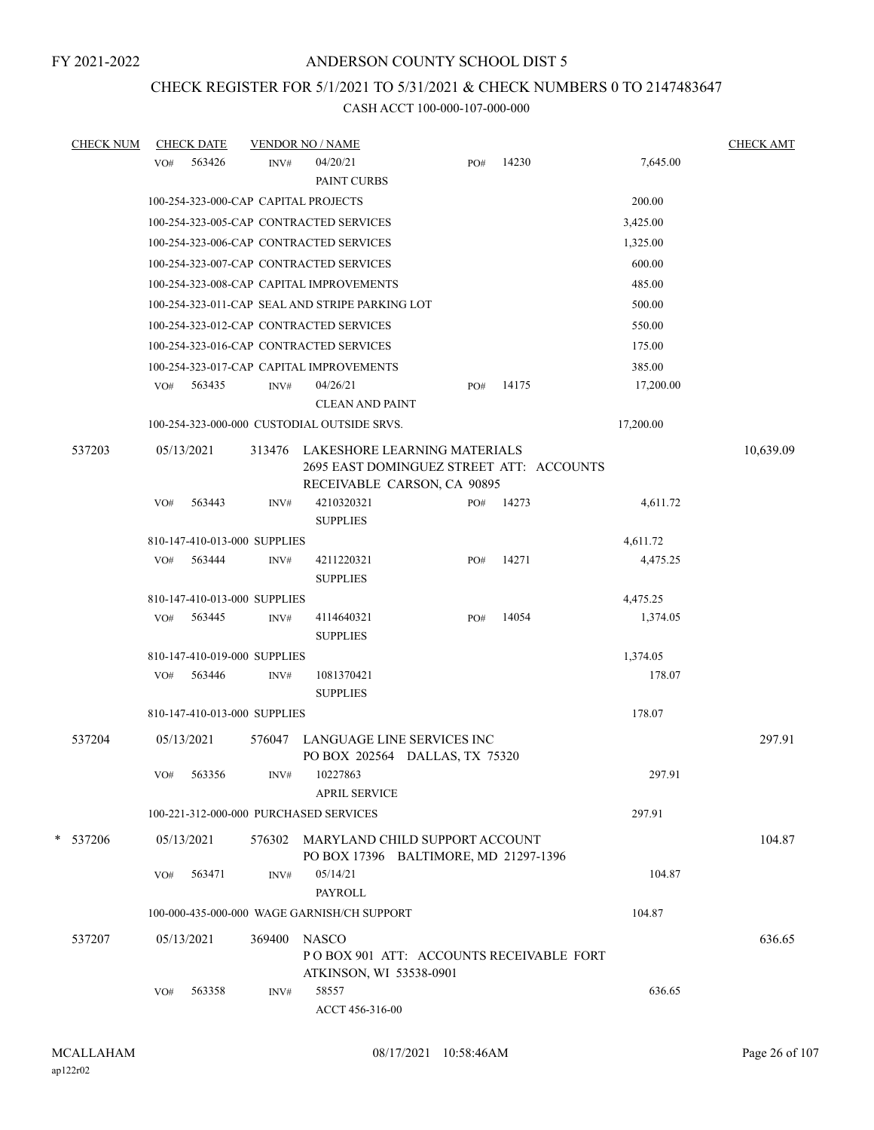## CHECK REGISTER FOR 5/1/2021 TO 5/31/2021 & CHECK NUMBERS 0 TO 2147483647

| <b>CHECK NUM</b> |     | <b>CHECK DATE</b> |                              | <b>VENDOR NO / NAME</b>                         |                                                                                                         |       |           | <b>CHECK AMT</b> |
|------------------|-----|-------------------|------------------------------|-------------------------------------------------|---------------------------------------------------------------------------------------------------------|-------|-----------|------------------|
|                  | VO# | 563426            | INV#                         | 04/20/21<br>PAINT CURBS                         | PO#                                                                                                     | 14230 | 7,645.00  |                  |
|                  |     |                   |                              | 100-254-323-000-CAP CAPITAL PROJECTS            |                                                                                                         |       | 200.00    |                  |
|                  |     |                   |                              | 100-254-323-005-CAP CONTRACTED SERVICES         |                                                                                                         |       | 3,425.00  |                  |
|                  |     |                   |                              | 100-254-323-006-CAP CONTRACTED SERVICES         |                                                                                                         |       | 1,325.00  |                  |
|                  |     |                   |                              | 100-254-323-007-CAP CONTRACTED SERVICES         |                                                                                                         |       | 600.00    |                  |
|                  |     |                   |                              | 100-254-323-008-CAP CAPITAL IMPROVEMENTS        |                                                                                                         |       | 485.00    |                  |
|                  |     |                   |                              | 100-254-323-011-CAP SEAL AND STRIPE PARKING LOT |                                                                                                         |       | 500.00    |                  |
|                  |     |                   |                              | 100-254-323-012-CAP CONTRACTED SERVICES         |                                                                                                         |       | 550.00    |                  |
|                  |     |                   |                              | 100-254-323-016-CAP CONTRACTED SERVICES         |                                                                                                         |       | 175.00    |                  |
|                  |     |                   |                              | 100-254-323-017-CAP CAPITAL IMPROVEMENTS        |                                                                                                         |       | 385.00    |                  |
|                  | VO# | 563435            | INV#                         | 04/26/21<br><b>CLEAN AND PAINT</b>              | PO#                                                                                                     | 14175 | 17,200.00 |                  |
|                  |     |                   |                              | 100-254-323-000-000 CUSTODIAL OUTSIDE SRVS.     |                                                                                                         |       | 17,200.00 |                  |
| 537203           |     | 05/13/2021        | 313476                       |                                                 | LAKESHORE LEARNING MATERIALS<br>2695 EAST DOMINGUEZ STREET ATT: ACCOUNTS<br>RECEIVABLE CARSON, CA 90895 |       |           | 10,639.09        |
|                  | VO# | 563443            | INV#                         | 4210320321                                      | PO#                                                                                                     | 14273 | 4,611.72  |                  |
|                  |     |                   |                              | <b>SUPPLIES</b>                                 |                                                                                                         |       |           |                  |
|                  |     |                   | 810-147-410-013-000 SUPPLIES |                                                 |                                                                                                         |       | 4,611.72  |                  |
|                  | VO# | 563444            | INV#                         | 4211220321<br><b>SUPPLIES</b>                   | PO#                                                                                                     | 14271 | 4,475.25  |                  |
|                  |     |                   | 810-147-410-013-000 SUPPLIES |                                                 |                                                                                                         |       | 4,475.25  |                  |
|                  | VO# | 563445            | INV#                         | 4114640321<br><b>SUPPLIES</b>                   | PO#                                                                                                     | 14054 | 1,374.05  |                  |
|                  |     |                   | 810-147-410-019-000 SUPPLIES |                                                 |                                                                                                         |       | 1,374.05  |                  |
|                  | VO# | 563446            | INV#                         | 1081370421<br><b>SUPPLIES</b>                   |                                                                                                         |       | 178.07    |                  |
|                  |     |                   | 810-147-410-013-000 SUPPLIES |                                                 |                                                                                                         |       | 178.07    |                  |
| 537204           |     | 05/13/2021        | 576047                       |                                                 | LANGUAGE LINE SERVICES INC<br>PO BOX 202564 DALLAS, TX 75320                                            |       |           | 297.91           |
|                  | VO# | 563356            | INV#                         | 10227863<br><b>APRIL SERVICE</b>                |                                                                                                         |       | 297.91    |                  |
|                  |     |                   |                              | 100-221-312-000-000 PURCHASED SERVICES          |                                                                                                         |       | 297.91    |                  |
| * 537206         |     | 05/13/2021        |                              |                                                 | 576302 MARYLAND CHILD SUPPORT ACCOUNT<br>PO BOX 17396 BALTIMORE, MD 21297-1396                          |       |           | 104.87           |
|                  | VO# | 563471            | INV#                         | 05/14/21<br><b>PAYROLL</b>                      |                                                                                                         |       | 104.87    |                  |
|                  |     |                   |                              | 100-000-435-000-000 WAGE GARNISH/CH SUPPORT     |                                                                                                         |       | 104.87    |                  |
| 537207           |     | 05/13/2021        | 369400                       | <b>NASCO</b><br>ATKINSON, WI 53538-0901         | POBOX 901 ATT: ACCOUNTS RECEIVABLE FORT                                                                 |       |           | 636.65           |
|                  | VO# | 563358            | INV#                         | 58557<br>ACCT 456-316-00                        |                                                                                                         |       | 636.65    |                  |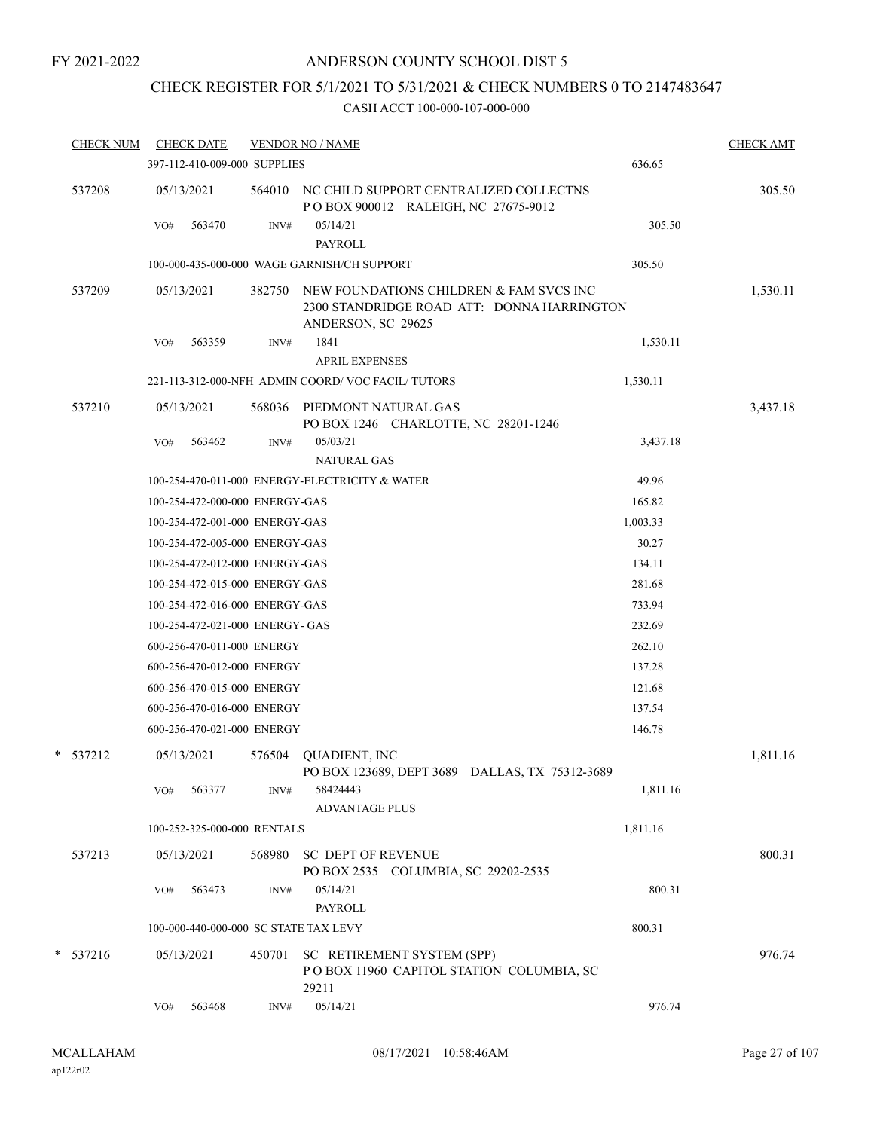## ANDERSON COUNTY SCHOOL DIST 5

## CHECK REGISTER FOR 5/1/2021 TO 5/31/2021 & CHECK NUMBERS 0 TO 2147483647

| <b>CHECK NUM</b> |     | <b>CHECK DATE</b>               |        | <b>VENDOR NO / NAME</b>                                                                                     |          | <b>CHECK AMT</b> |
|------------------|-----|---------------------------------|--------|-------------------------------------------------------------------------------------------------------------|----------|------------------|
|                  |     | 397-112-410-009-000 SUPPLIES    |        |                                                                                                             | 636.65   |                  |
| 537208           |     | 05/13/2021                      | 564010 | NC CHILD SUPPORT CENTRALIZED COLLECTNS<br>PO BOX 900012 RALEIGH, NC 27675-9012                              |          | 305.50           |
|                  | VO# | 563470                          | INV#   | 05/14/21<br><b>PAYROLL</b>                                                                                  | 305.50   |                  |
|                  |     |                                 |        | 100-000-435-000-000 WAGE GARNISH/CH SUPPORT                                                                 | 305.50   |                  |
| 537209           |     | 05/13/2021                      | 382750 | NEW FOUNDATIONS CHILDREN & FAM SVCS INC<br>2300 STANDRIDGE ROAD ATT: DONNA HARRINGTON<br>ANDERSON, SC 29625 |          | 1,530.11         |
|                  | VO# | 563359                          | INV#   | 1841                                                                                                        | 1,530.11 |                  |
|                  |     |                                 |        | <b>APRIL EXPENSES</b>                                                                                       |          |                  |
|                  |     |                                 |        | 221-113-312-000-NFH ADMIN COORD/VOC FACIL/TUTORS                                                            | 1,530.11 |                  |
| 537210           |     | 05/13/2021                      | 568036 | PIEDMONT NATURAL GAS<br>PO BOX 1246 CHARLOTTE, NC 28201-1246                                                |          | 3,437.18         |
|                  | VO# | 563462                          | INV#   | 05/03/21<br><b>NATURAL GAS</b>                                                                              | 3,437.18 |                  |
|                  |     |                                 |        | 100-254-470-011-000 ENERGY-ELECTRICITY & WATER                                                              | 49.96    |                  |
|                  |     | 100-254-472-000-000 ENERGY-GAS  |        |                                                                                                             | 165.82   |                  |
|                  |     | 100-254-472-001-000 ENERGY-GAS  |        |                                                                                                             | 1,003.33 |                  |
|                  |     | 100-254-472-005-000 ENERGY-GAS  |        |                                                                                                             | 30.27    |                  |
|                  |     | 100-254-472-012-000 ENERGY-GAS  |        |                                                                                                             | 134.11   |                  |
|                  |     | 100-254-472-015-000 ENERGY-GAS  |        |                                                                                                             | 281.68   |                  |
|                  |     | 100-254-472-016-000 ENERGY-GAS  |        |                                                                                                             | 733.94   |                  |
|                  |     | 100-254-472-021-000 ENERGY- GAS |        |                                                                                                             | 232.69   |                  |
|                  |     | 600-256-470-011-000 ENERGY      |        |                                                                                                             | 262.10   |                  |
|                  |     | 600-256-470-012-000 ENERGY      |        |                                                                                                             | 137.28   |                  |
|                  |     | 600-256-470-015-000 ENERGY      |        |                                                                                                             | 121.68   |                  |
|                  |     | 600-256-470-016-000 ENERGY      |        |                                                                                                             | 137.54   |                  |
|                  |     | 600-256-470-021-000 ENERGY      |        |                                                                                                             | 146.78   |                  |
| $*$ 537212       |     | 05/13/2021                      | 576504 | <b>QUADIENT, INC</b><br>PO BOX 123689, DEPT 3689 DALLAS, TX 75312-3689                                      |          | 1,811.16         |
|                  | VO# | 563377                          | INV#   | 58424443<br><b>ADVANTAGE PLUS</b>                                                                           | 1,811.16 |                  |
|                  |     | 100-252-325-000-000 RENTALS     |        |                                                                                                             | 1,811.16 |                  |
| 537213           |     | 05/13/2021                      | 568980 | <b>SC DEPT OF REVENUE</b><br>PO BOX 2535 COLUMBIA, SC 29202-2535                                            |          | 800.31           |
|                  | VO# | 563473                          | INV#   | 05/14/21<br><b>PAYROLL</b>                                                                                  | 800.31   |                  |
|                  |     |                                 |        | 100-000-440-000-000 SC STATE TAX LEVY                                                                       | 800.31   |                  |
| $*$ 537216       |     | 05/13/2021                      | 450701 | SC RETIREMENT SYSTEM (SPP)<br>POBOX 11960 CAPITOL STATION COLUMBIA, SC<br>29211                             |          | 976.74           |
|                  | VO# | 563468                          | INV#   | 05/14/21                                                                                                    | 976.74   |                  |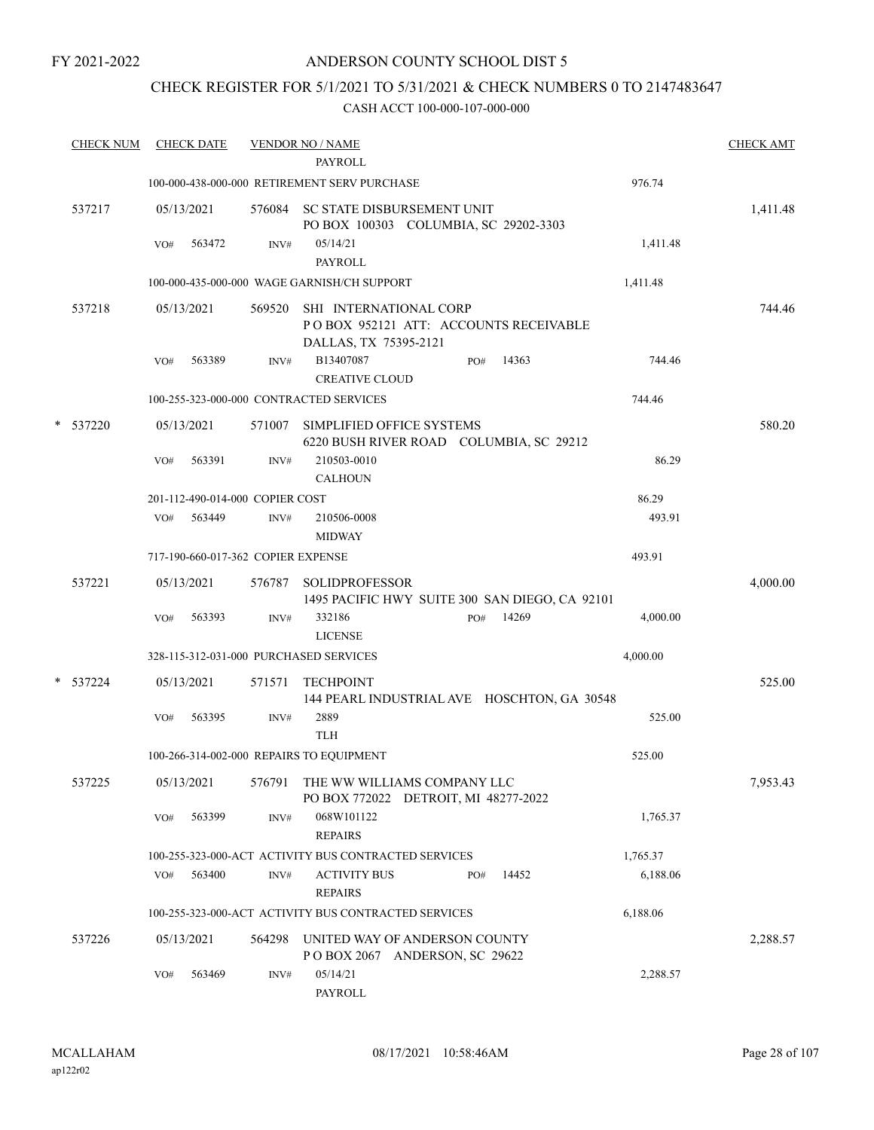## ANDERSON COUNTY SCHOOL DIST 5

## CHECK REGISTER FOR 5/1/2021 TO 5/31/2021 & CHECK NUMBERS 0 TO 2147483647

| <b>CHECK NUM</b> |     | <b>CHECK DATE</b> |                                    | <b>VENDOR NO / NAME</b><br><b>PAYROLL</b>                                                |     |       |          | <b>CHECK AMT</b> |
|------------------|-----|-------------------|------------------------------------|------------------------------------------------------------------------------------------|-----|-------|----------|------------------|
|                  |     |                   |                                    | 100-000-438-000-000 RETIREMENT SERV PURCHASE                                             |     |       | 976.74   |                  |
| 537217           |     | 05/13/2021        |                                    | 576084 SC STATE DISBURSEMENT UNIT<br>PO BOX 100303 COLUMBIA, SC 29202-3303               |     |       |          | 1,411.48         |
|                  | VO# | 563472            | INV#                               | 05/14/21<br><b>PAYROLL</b>                                                               |     |       | 1,411.48 |                  |
|                  |     |                   |                                    | 100-000-435-000-000 WAGE GARNISH/CH SUPPORT                                              |     |       | 1,411.48 |                  |
| 537218           |     | 05/13/2021        | 569520                             | SHI INTERNATIONAL CORP<br>POBOX 952121 ATT: ACCOUNTS RECEIVABLE<br>DALLAS, TX 75395-2121 |     |       |          | 744.46           |
|                  | VO# | 563389            | INV#                               | B13407087<br><b>CREATIVE CLOUD</b>                                                       | PO# | 14363 | 744.46   |                  |
|                  |     |                   |                                    | 100-255-323-000-000 CONTRACTED SERVICES                                                  |     |       | 744.46   |                  |
| * 537220         |     | 05/13/2021        | 571007                             | SIMPLIFIED OFFICE SYSTEMS<br>6220 BUSH RIVER ROAD COLUMBIA, SC 29212                     |     |       |          | 580.20           |
|                  | VO# | 563391            | INV#                               | 210503-0010<br><b>CALHOUN</b>                                                            |     |       | 86.29    |                  |
|                  |     |                   | 201-112-490-014-000 COPIER COST    |                                                                                          |     |       | 86.29    |                  |
|                  | VO# | 563449            | INV#                               | 210506-0008<br><b>MIDWAY</b>                                                             |     |       | 493.91   |                  |
|                  |     |                   | 717-190-660-017-362 COPIER EXPENSE |                                                                                          |     |       | 493.91   |                  |
| 537221           |     | 05/13/2021        | 576787                             | <b>SOLIDPROFESSOR</b><br>1495 PACIFIC HWY SUITE 300 SAN DIEGO, CA 92101                  |     |       |          | 4,000.00         |
|                  | VO# | 563393            | INV#                               | 332186<br><b>LICENSE</b>                                                                 | PO# | 14269 | 4,000.00 |                  |
|                  |     |                   |                                    | 328-115-312-031-000 PURCHASED SERVICES                                                   |     |       | 4,000.00 |                  |
| * 537224         |     | 05/13/2021        | 571571                             | <b>TECHPOINT</b><br>144 PEARL INDUSTRIAL AVE HOSCHTON, GA 30548                          |     |       |          | 525.00           |
|                  | VO# | 563395            | INV#                               | 2889<br><b>TLH</b>                                                                       |     |       | 525.00   |                  |
|                  |     |                   |                                    | 100-266-314-002-000 REPAIRS TO EQUIPMENT                                                 |     |       | 525.00   |                  |
| 537225           |     | 05/13/2021        | 576791                             | THE WW WILLIAMS COMPANY LLC<br>PO BOX 772022 DETROIT, MI 48277-2022                      |     |       |          | 7,953.43         |
|                  | VO# | 563399            | INV#                               | 068W101122<br><b>REPAIRS</b>                                                             |     |       | 1,765.37 |                  |
|                  |     |                   |                                    | 100-255-323-000-ACT ACTIVITY BUS CONTRACTED SERVICES                                     |     |       | 1,765.37 |                  |
|                  | VO# | 563400            | INV#                               | <b>ACTIVITY BUS</b><br><b>REPAIRS</b>                                                    | PO# | 14452 | 6,188.06 |                  |
|                  |     |                   |                                    | 100-255-323-000-ACT ACTIVITY BUS CONTRACTED SERVICES                                     |     |       | 6,188.06 |                  |
| 537226           |     | 05/13/2021        | 564298                             | UNITED WAY OF ANDERSON COUNTY<br>POBOX 2067 ANDERSON, SC 29622                           |     |       |          | 2,288.57         |
|                  | VO# | 563469            | INV#                               | 05/14/21<br>PAYROLL                                                                      |     |       | 2,288.57 |                  |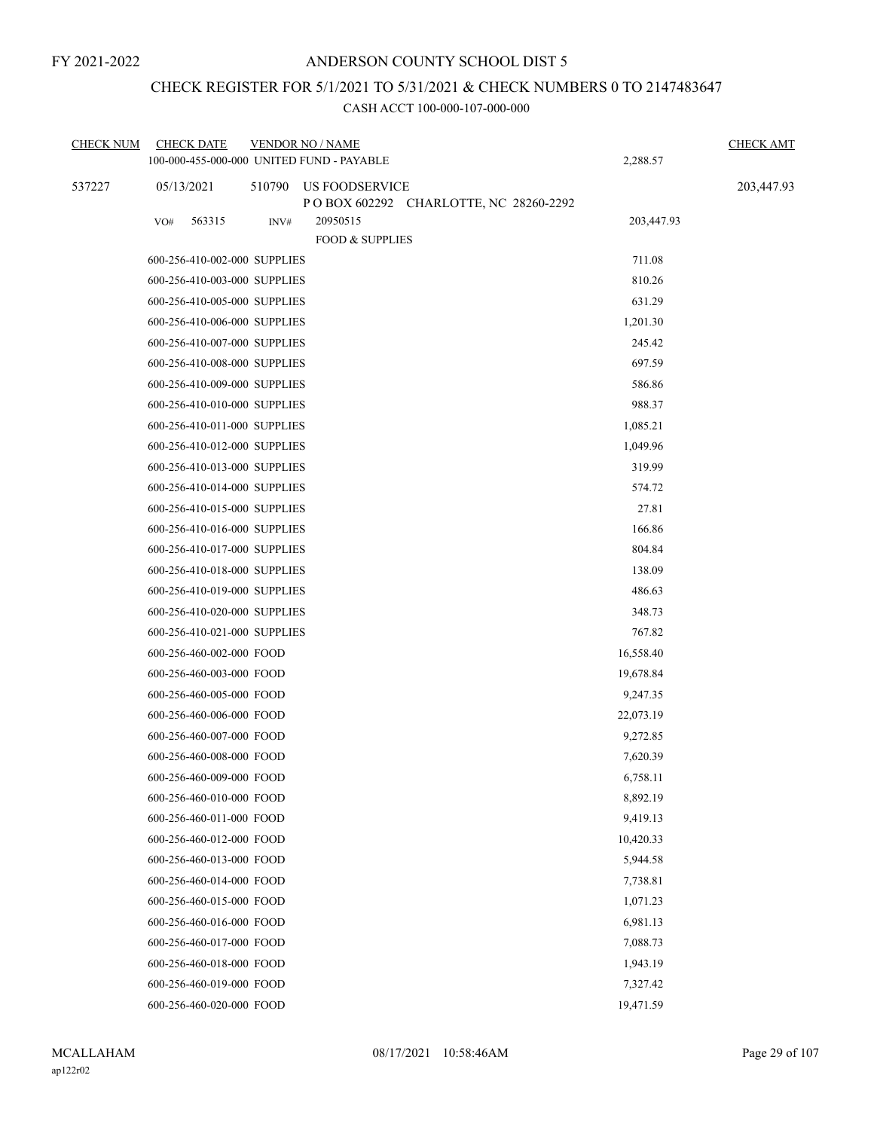## CHECK REGISTER FOR 5/1/2021 TO 5/31/2021 & CHECK NUMBERS 0 TO 2147483647

| <b>CHECK NUM</b> | <b>CHECK DATE</b><br>100-000-455-000-000 UNITED FUND - PAYABLE |        | <b>VENDOR NO / NAME</b>                                        | 2,288.57   | <b>CHECK AMT</b> |
|------------------|----------------------------------------------------------------|--------|----------------------------------------------------------------|------------|------------------|
|                  |                                                                |        |                                                                |            |                  |
| 537227           | 05/13/2021                                                     | 510790 | <b>US FOODSERVICE</b><br>POBOX 602292 CHARLOTTE, NC 28260-2292 |            | 203,447.93       |
|                  | 563315<br>VO#                                                  | INV#   | 20950515                                                       | 203,447.93 |                  |
|                  |                                                                |        | <b>FOOD &amp; SUPPLIES</b>                                     |            |                  |
|                  | 600-256-410-002-000 SUPPLIES                                   |        |                                                                | 711.08     |                  |
|                  | 600-256-410-003-000 SUPPLIES                                   |        |                                                                | 810.26     |                  |
|                  | 600-256-410-005-000 SUPPLIES                                   |        |                                                                | 631.29     |                  |
|                  | 600-256-410-006-000 SUPPLIES                                   |        |                                                                | 1,201.30   |                  |
|                  | 600-256-410-007-000 SUPPLIES                                   |        |                                                                | 245.42     |                  |
|                  | 600-256-410-008-000 SUPPLIES                                   |        |                                                                | 697.59     |                  |
|                  | 600-256-410-009-000 SUPPLIES                                   |        |                                                                | 586.86     |                  |
|                  | 600-256-410-010-000 SUPPLIES                                   |        |                                                                | 988.37     |                  |
|                  | 600-256-410-011-000 SUPPLIES                                   |        |                                                                | 1,085.21   |                  |
|                  | 600-256-410-012-000 SUPPLIES                                   |        |                                                                | 1,049.96   |                  |
|                  | 600-256-410-013-000 SUPPLIES                                   |        |                                                                | 319.99     |                  |
|                  | 600-256-410-014-000 SUPPLIES                                   |        |                                                                | 574.72     |                  |
|                  | 600-256-410-015-000 SUPPLIES                                   |        |                                                                | 27.81      |                  |
|                  | 600-256-410-016-000 SUPPLIES                                   |        |                                                                | 166.86     |                  |
|                  | 600-256-410-017-000 SUPPLIES                                   |        |                                                                | 804.84     |                  |
|                  | 600-256-410-018-000 SUPPLIES                                   |        |                                                                | 138.09     |                  |
|                  | 600-256-410-019-000 SUPPLIES                                   |        |                                                                | 486.63     |                  |
|                  | 600-256-410-020-000 SUPPLIES                                   |        |                                                                | 348.73     |                  |
|                  | 600-256-410-021-000 SUPPLIES                                   |        |                                                                | 767.82     |                  |
|                  | 600-256-460-002-000 FOOD                                       |        |                                                                | 16,558.40  |                  |
|                  | 600-256-460-003-000 FOOD                                       |        |                                                                | 19,678.84  |                  |
|                  | 600-256-460-005-000 FOOD                                       |        |                                                                | 9,247.35   |                  |
|                  | 600-256-460-006-000 FOOD                                       |        |                                                                | 22,073.19  |                  |
|                  | 600-256-460-007-000 FOOD                                       |        |                                                                | 9,272.85   |                  |
|                  | 600-256-460-008-000 FOOD                                       |        |                                                                | 7,620.39   |                  |
|                  | 600-256-460-009-000 FOOD                                       |        |                                                                | 6,758.11   |                  |
|                  | 600-256-460-010-000 FOOD                                       |        |                                                                | 8,892.19   |                  |
|                  | 600-256-460-011-000 FOOD                                       |        |                                                                | 9,419.13   |                  |
|                  | 600-256-460-012-000 FOOD                                       |        |                                                                | 10,420.33  |                  |
|                  | 600-256-460-013-000 FOOD                                       |        |                                                                | 5,944.58   |                  |
|                  | 600-256-460-014-000 FOOD                                       |        |                                                                | 7,738.81   |                  |
|                  | 600-256-460-015-000 FOOD                                       |        |                                                                | 1,071.23   |                  |
|                  | 600-256-460-016-000 FOOD                                       |        |                                                                | 6,981.13   |                  |
|                  | 600-256-460-017-000 FOOD                                       |        |                                                                | 7,088.73   |                  |
|                  | 600-256-460-018-000 FOOD                                       |        |                                                                | 1,943.19   |                  |
|                  | 600-256-460-019-000 FOOD                                       |        |                                                                | 7,327.42   |                  |
|                  | 600-256-460-020-000 FOOD                                       |        |                                                                | 19,471.59  |                  |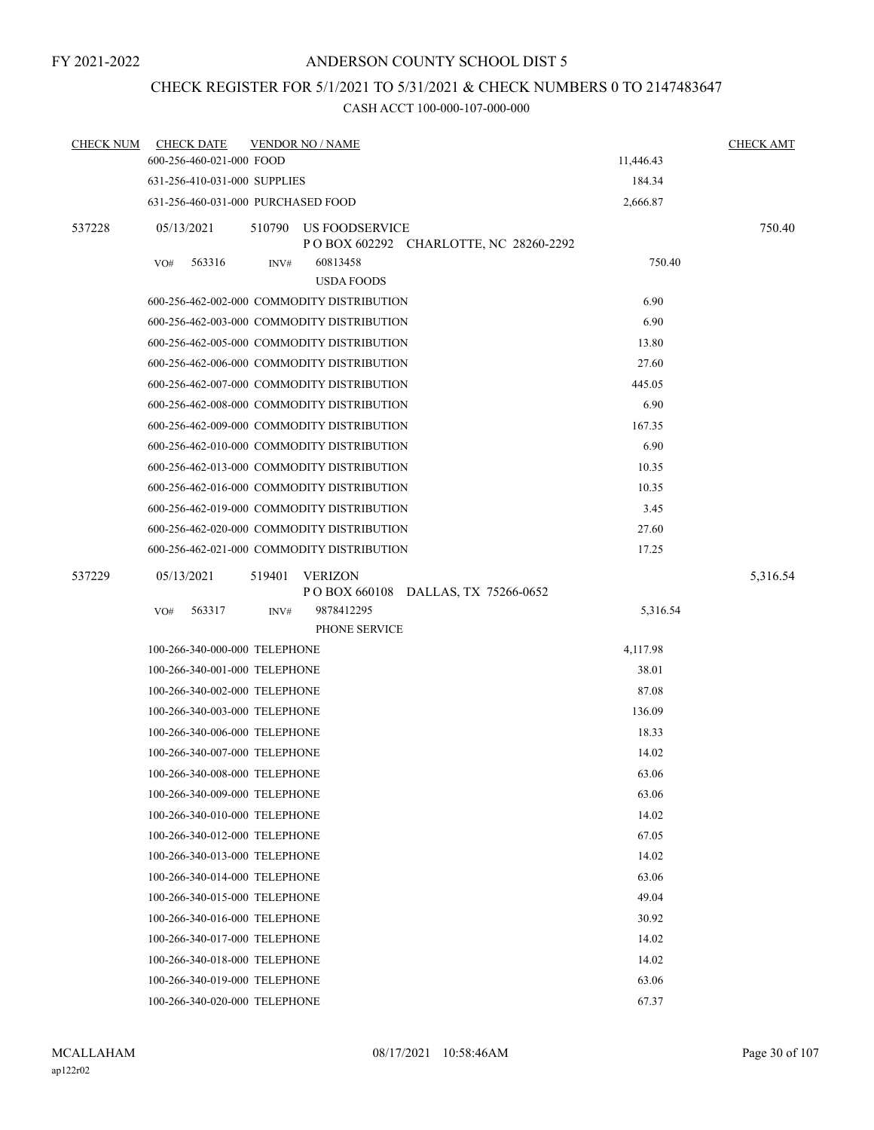## CHECK REGISTER FOR 5/1/2021 TO 5/31/2021 & CHECK NUMBERS 0 TO 2147483647

| <b>CHECK NUM</b> | <b>CHECK DATE</b>                  |        | <b>VENDOR NO / NAME</b>                    |                                         |           | <b>CHECK AMT</b> |
|------------------|------------------------------------|--------|--------------------------------------------|-----------------------------------------|-----------|------------------|
|                  | 600-256-460-021-000 FOOD           |        |                                            |                                         | 11,446.43 |                  |
|                  | 631-256-410-031-000 SUPPLIES       |        |                                            |                                         | 184.34    |                  |
|                  | 631-256-460-031-000 PURCHASED FOOD |        |                                            |                                         | 2,666.87  |                  |
| 537228           | 05/13/2021                         | 510790 | US FOODSERVICE                             | P O BOX 602292 CHARLOTTE, NC 28260-2292 |           | 750.40           |
|                  | 563316<br>VO#                      | INV#   | 60813458<br><b>USDA FOODS</b>              |                                         | 750.40    |                  |
|                  |                                    |        | 600-256-462-002-000 COMMODITY DISTRIBUTION |                                         | 6.90      |                  |
|                  |                                    |        | 600-256-462-003-000 COMMODITY DISTRIBUTION |                                         | 6.90      |                  |
|                  |                                    |        | 600-256-462-005-000 COMMODITY DISTRIBUTION |                                         | 13.80     |                  |
|                  |                                    |        | 600-256-462-006-000 COMMODITY DISTRIBUTION |                                         | 27.60     |                  |
|                  |                                    |        | 600-256-462-007-000 COMMODITY DISTRIBUTION |                                         | 445.05    |                  |
|                  |                                    |        | 600-256-462-008-000 COMMODITY DISTRIBUTION |                                         | 6.90      |                  |
|                  |                                    |        | 600-256-462-009-000 COMMODITY DISTRIBUTION |                                         | 167.35    |                  |
|                  |                                    |        | 600-256-462-010-000 COMMODITY DISTRIBUTION |                                         | 6.90      |                  |
|                  |                                    |        | 600-256-462-013-000 COMMODITY DISTRIBUTION |                                         | 10.35     |                  |
|                  |                                    |        | 600-256-462-016-000 COMMODITY DISTRIBUTION |                                         | 10.35     |                  |
|                  |                                    |        | 600-256-462-019-000 COMMODITY DISTRIBUTION |                                         | 3.45      |                  |
|                  |                                    |        | 600-256-462-020-000 COMMODITY DISTRIBUTION |                                         | 27.60     |                  |
|                  |                                    |        | 600-256-462-021-000 COMMODITY DISTRIBUTION |                                         | 17.25     |                  |
| 537229           | 05/13/2021                         | 519401 | VERIZON                                    | POBOX 660108 DALLAS, TX 75266-0652      |           | 5,316.54         |
|                  | VO#<br>563317                      | INV#   | 9878412295                                 |                                         | 5,316.54  |                  |
|                  |                                    |        | PHONE SERVICE                              |                                         |           |                  |
|                  | 100-266-340-000-000 TELEPHONE      |        |                                            |                                         | 4,117.98  |                  |
|                  | 100-266-340-001-000 TELEPHONE      |        |                                            |                                         | 38.01     |                  |
|                  | 100-266-340-002-000 TELEPHONE      |        |                                            |                                         | 87.08     |                  |
|                  | 100-266-340-003-000 TELEPHONE      |        |                                            |                                         | 136.09    |                  |
|                  | 100-266-340-006-000 TELEPHONE      |        |                                            |                                         | 18.33     |                  |
|                  | 100-266-340-007-000 TELEPHONE      |        |                                            |                                         | 14.02     |                  |
|                  | 100-266-340-008-000 TELEPHONE      |        |                                            |                                         | 63.06     |                  |
|                  | 100-266-340-009-000 TELEPHONE      |        |                                            |                                         | 63.06     |                  |
|                  | 100-266-340-010-000 TELEPHONE      |        |                                            |                                         | 14.02     |                  |
|                  | 100-266-340-012-000 TELEPHONE      |        |                                            |                                         | 67.05     |                  |
|                  | 100-266-340-013-000 TELEPHONE      |        |                                            |                                         | 14.02     |                  |
|                  | 100-266-340-014-000 TELEPHONE      |        |                                            |                                         | 63.06     |                  |
|                  | 100-266-340-015-000 TELEPHONE      |        |                                            |                                         | 49.04     |                  |
|                  | 100-266-340-016-000 TELEPHONE      |        |                                            |                                         | 30.92     |                  |
|                  | 100-266-340-017-000 TELEPHONE      |        |                                            |                                         | 14.02     |                  |
|                  | 100-266-340-018-000 TELEPHONE      |        |                                            |                                         | 14.02     |                  |
|                  | 100-266-340-019-000 TELEPHONE      |        |                                            |                                         | 63.06     |                  |
|                  | 100-266-340-020-000 TELEPHONE      |        |                                            |                                         | 67.37     |                  |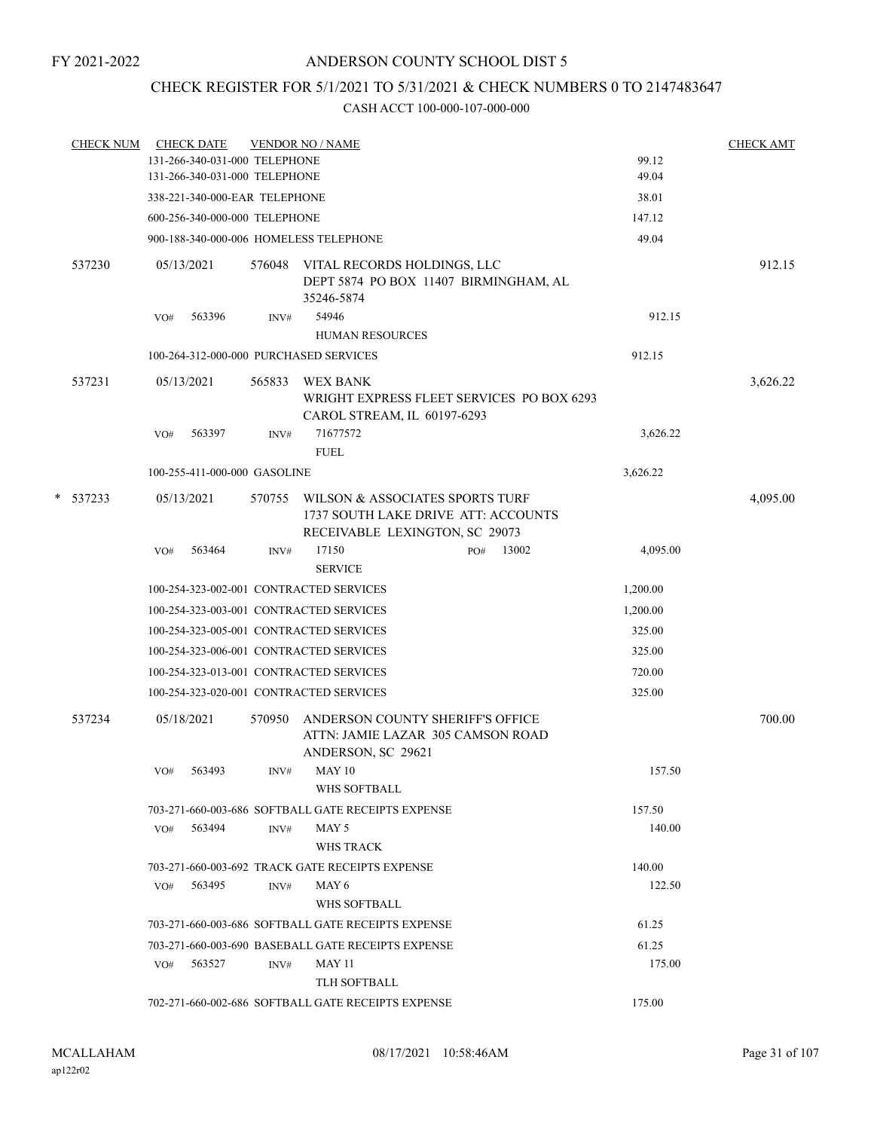## CHECK REGISTER FOR 5/1/2021 TO 5/31/2021 & CHECK NUMBERS 0 TO 2147483647

| <b>CHECK NUM</b> |     | <b>CHECK DATE</b>             |        | <b>VENDOR NO / NAME</b>                                               |                 | <b>CHECK AMT</b> |
|------------------|-----|-------------------------------|--------|-----------------------------------------------------------------------|-----------------|------------------|
|                  |     | 131-266-340-031-000 TELEPHONE |        |                                                                       | 99.12           |                  |
|                  |     | 131-266-340-031-000 TELEPHONE |        |                                                                       | 49.04           |                  |
|                  |     | 338-221-340-000-EAR TELEPHONE |        |                                                                       | 38.01           |                  |
|                  |     | 600-256-340-000-000 TELEPHONE |        |                                                                       | 147.12          |                  |
|                  |     |                               |        | 900-188-340-000-006 HOMELESS TELEPHONE                                | 49.04           |                  |
| 537230           |     | 05/13/2021                    |        | 576048 VITAL RECORDS HOLDINGS, LLC                                    |                 | 912.15           |
|                  |     |                               |        | DEPT 5874 PO BOX 11407 BIRMINGHAM, AL<br>35246-5874                   |                 |                  |
|                  | VO# | 563396                        | INV#   | 54946                                                                 | 912.15          |                  |
|                  |     |                               |        | <b>HUMAN RESOURCES</b>                                                |                 |                  |
|                  |     |                               |        | 100-264-312-000-000 PURCHASED SERVICES                                | 912.15          |                  |
| 537231           |     | 05/13/2021                    | 565833 | WEX BANK                                                              |                 | 3,626.22         |
|                  |     |                               |        | WRIGHT EXPRESS FLEET SERVICES PO BOX 6293                             |                 |                  |
|                  |     |                               |        | CAROL STREAM, IL 60197-6293                                           |                 |                  |
|                  | VO# | 563397                        | INV#   | 71677572                                                              | 3,626.22        |                  |
|                  |     |                               |        | <b>FUEL</b>                                                           |                 |                  |
|                  |     | 100-255-411-000-000 GASOLINE  |        |                                                                       | 3,626.22        |                  |
| $*$ 537233       |     | 05/13/2021                    | 570755 | WILSON & ASSOCIATES SPORTS TURF                                       |                 | 4,095.00         |
|                  |     |                               |        | 1737 SOUTH LAKE DRIVE ATT: ACCOUNTS                                   |                 |                  |
|                  |     |                               |        | RECEIVABLE LEXINGTON, SC 29073                                        |                 |                  |
|                  | VO# | 563464                        | INV#   | 17150<br>13002<br>PO#<br><b>SERVICE</b>                               | 4,095.00        |                  |
|                  |     |                               |        | 100-254-323-002-001 CONTRACTED SERVICES                               | 1,200.00        |                  |
|                  |     |                               |        | 100-254-323-003-001 CONTRACTED SERVICES                               | 1,200.00        |                  |
|                  |     |                               |        | 100-254-323-005-001 CONTRACTED SERVICES                               | 325.00          |                  |
|                  |     |                               |        | 100-254-323-006-001 CONTRACTED SERVICES                               | 325.00          |                  |
|                  |     |                               |        | 100-254-323-013-001 CONTRACTED SERVICES                               | 720.00          |                  |
|                  |     |                               |        | 100-254-323-020-001 CONTRACTED SERVICES                               | 325.00          |                  |
|                  |     |                               |        |                                                                       |                 |                  |
| 537234           |     | 05/18/2021                    | 570950 | ANDERSON COUNTY SHERIFF'S OFFICE<br>ATTN: JAMIE LAZAR 305 CAMSON ROAD |                 | 700.00           |
|                  |     |                               |        | ANDERSON, SC 29621                                                    |                 |                  |
|                  | VO# | 563493                        |        | $INV#$ MAY 10                                                         | 157.50          |                  |
|                  |     |                               |        | <b>WHS SOFTBALL</b>                                                   |                 |                  |
|                  |     |                               |        | 703-271-660-003-686 SOFTBALL GATE RECEIPTS EXPENSE                    | 157.50          |                  |
|                  |     | $VO#$ 563494                  | INV#   | MAY 5                                                                 | 140.00          |                  |
|                  |     |                               |        | WHS TRACK                                                             |                 |                  |
|                  |     |                               |        | 703-271-660-003-692 TRACK GATE RECEIPTS EXPENSE                       | 140.00          |                  |
|                  |     | VO# 563495                    | INV#   | MAY 6                                                                 | 122.50          |                  |
|                  |     |                               |        | WHS SOFTBALL                                                          |                 |                  |
|                  |     |                               |        | 703-271-660-003-686 SOFTBALL GATE RECEIPTS EXPENSE                    | 61.25           |                  |
|                  |     |                               |        | 703-271-660-003-690 BASEBALL GATE RECEIPTS EXPENSE                    | 61.25<br>175.00 |                  |
|                  |     | VO# 563527                    | INV#   | <b>MAY 11</b><br>TLH SOFTBALL                                         |                 |                  |
|                  |     |                               |        | 702-271-660-002-686 SOFTBALL GATE RECEIPTS EXPENSE                    | 175.00          |                  |
|                  |     |                               |        |                                                                       |                 |                  |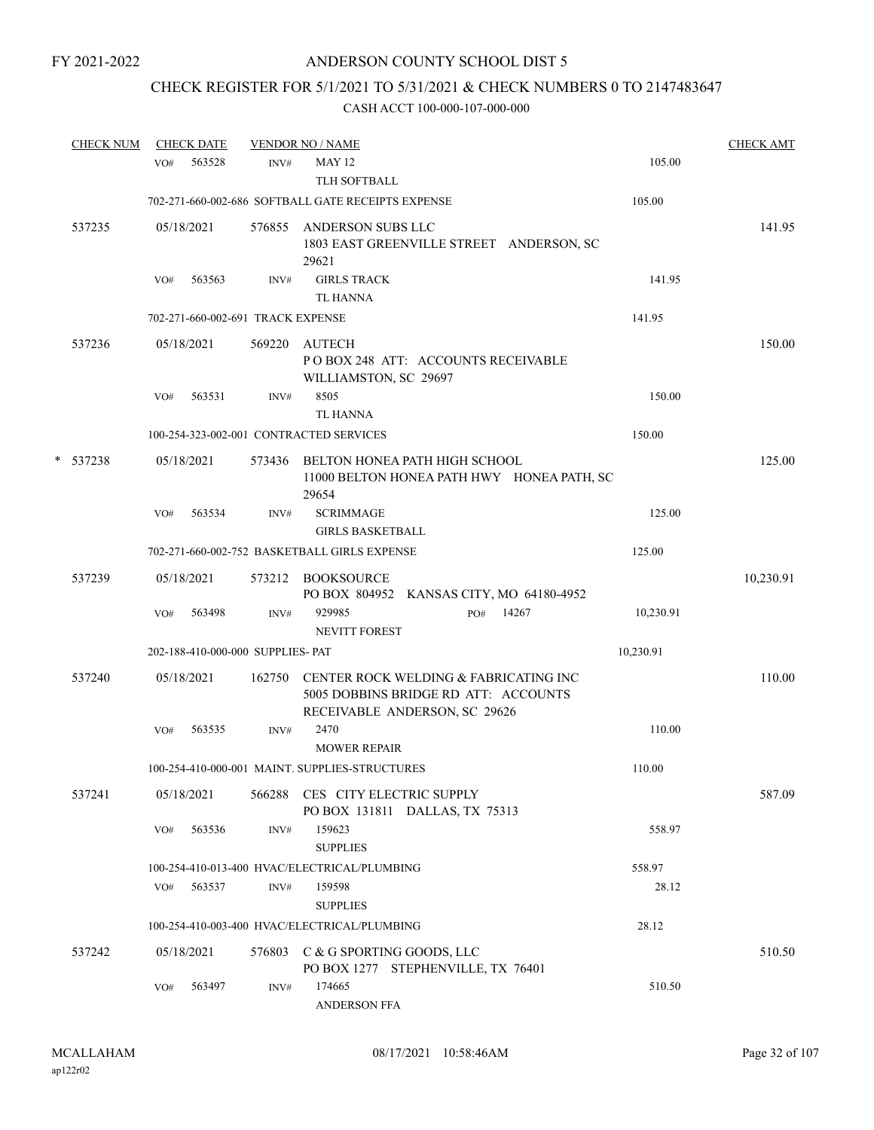## CHECK REGISTER FOR 5/1/2021 TO 5/31/2021 & CHECK NUMBERS 0 TO 2147483647

|   | <b>CHECK NUM</b> |     | <b>CHECK DATE</b> |                                   | <b>VENDOR NO / NAME</b>                                                                                        |     |       |           | <b>CHECK AMT</b> |
|---|------------------|-----|-------------------|-----------------------------------|----------------------------------------------------------------------------------------------------------------|-----|-------|-----------|------------------|
|   |                  | VO# | 563528            | INV#                              | <b>MAY 12</b><br>TLH SOFTBALL                                                                                  |     |       | 105.00    |                  |
|   |                  |     |                   |                                   | 702-271-660-002-686 SOFTBALL GATE RECEIPTS EXPENSE                                                             |     |       | 105.00    |                  |
|   | 537235           |     | 05/18/2021        | 576855                            | ANDERSON SUBS LLC<br>1803 EAST GREENVILLE STREET ANDERSON, SC<br>29621                                         |     |       |           | 141.95           |
|   |                  | VO# | 563563            | INV#                              | <b>GIRLS TRACK</b><br><b>TL HANNA</b>                                                                          |     |       | 141.95    |                  |
|   |                  |     |                   | 702-271-660-002-691 TRACK EXPENSE |                                                                                                                |     |       | 141.95    |                  |
|   | 537236           |     | 05/18/2021        | 569220                            | <b>AUTECH</b><br>POBOX 248 ATT: ACCOUNTS RECEIVABLE<br>WILLIAMSTON, SC 29697                                   |     |       |           | 150.00           |
|   |                  | VO# | 563531            | INV#                              | 8505<br>TL HANNA                                                                                               |     |       | 150.00    |                  |
|   |                  |     |                   |                                   | 100-254-323-002-001 CONTRACTED SERVICES                                                                        |     |       | 150.00    |                  |
| * | 537238           |     | 05/18/2021        |                                   | 573436 BELTON HONEA PATH HIGH SCHOOL<br>11000 BELTON HONEA PATH HWY HONEA PATH, SC<br>29654                    |     |       |           | 125.00           |
|   |                  | VO# | 563534            | INV#                              | <b>SCRIMMAGE</b><br><b>GIRLS BASKETBALL</b>                                                                    |     |       | 125.00    |                  |
|   |                  |     |                   |                                   | 702-271-660-002-752 BASKETBALL GIRLS EXPENSE                                                                   |     |       | 125.00    |                  |
|   | 537239           |     | 05/18/2021        |                                   | 573212 BOOKSOURCE<br>PO BOX 804952 KANSAS CITY, MO 64180-4952                                                  |     |       |           | 10,230.91        |
|   |                  | VO# | 563498            | INV#                              | 929985<br>NEVITT FOREST                                                                                        | PO# | 14267 | 10,230.91 |                  |
|   |                  |     |                   | 202-188-410-000-000 SUPPLIES- PAT |                                                                                                                |     |       | 10,230.91 |                  |
|   | 537240           |     | 05/18/2021        | 162750                            | CENTER ROCK WELDING & FABRICATING INC<br>5005 DOBBINS BRIDGE RD ATT: ACCOUNTS<br>RECEIVABLE ANDERSON, SC 29626 |     |       |           | 110.00           |
|   |                  | VO# | 563535            | INV#                              | 2470<br><b>MOWER REPAIR</b>                                                                                    |     |       | 110.00    |                  |
|   |                  |     |                   |                                   | 100-254-410-000-001 MAINT. SUPPLIES-STRUCTURES                                                                 |     |       | 110.00    |                  |
|   | 537241           |     | 05/18/2021        |                                   | 566288 CES CITY ELECTRIC SUPPLY<br>PO BOX 131811 DALLAS, TX 75313                                              |     |       |           | 587.09           |
|   |                  | VO# | 563536            | INV#                              | 159623<br><b>SUPPLIES</b>                                                                                      |     |       | 558.97    |                  |
|   |                  |     |                   |                                   | 100-254-410-013-400 HVAC/ELECTRICAL/PLUMBING                                                                   |     |       | 558.97    |                  |
|   |                  |     | VO# 563537        | INV#                              | 159598<br><b>SUPPLIES</b>                                                                                      |     |       | 28.12     |                  |
|   |                  |     |                   |                                   | 100-254-410-003-400 HVAC/ELECTRICAL/PLUMBING                                                                   |     |       | 28.12     |                  |
|   | 537242           |     | 05/18/2021        |                                   | 576803 C & G SPORTING GOODS, LLC<br>PO BOX 1277 STEPHENVILLE, TX 76401                                         |     |       |           | 510.50           |
|   |                  | VO# | 563497            | INV#                              | 174665<br><b>ANDERSON FFA</b>                                                                                  |     |       | 510.50    |                  |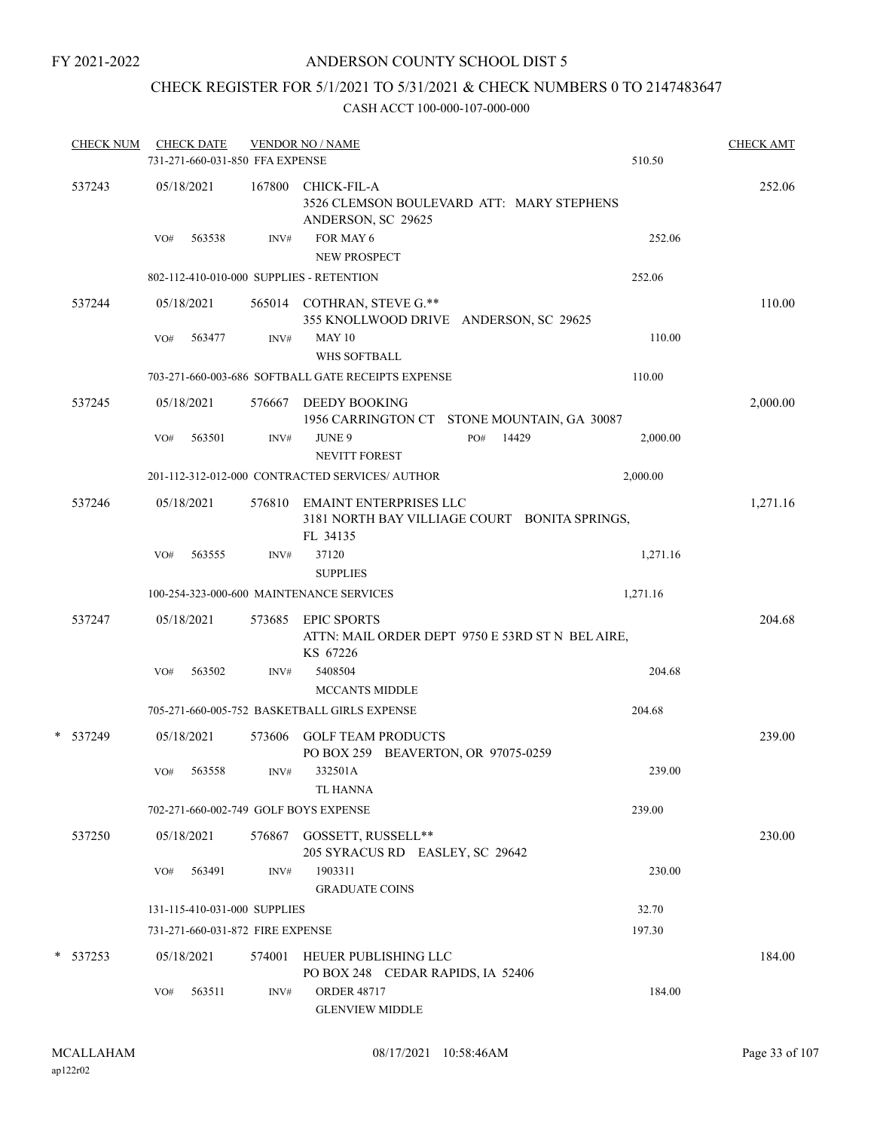## ANDERSON COUNTY SCHOOL DIST 5

## CHECK REGISTER FOR 5/1/2021 TO 5/31/2021 & CHECK NUMBERS 0 TO 2147483647

| <b>CHECK NUM</b> |     | <b>CHECK DATE</b> | 731-271-660-031-850 FFA EXPENSE  | <b>VENDOR NO / NAME</b>                                                                    |              | 510.50   | <b>CHECK AMT</b> |
|------------------|-----|-------------------|----------------------------------|--------------------------------------------------------------------------------------------|--------------|----------|------------------|
| 537243           |     | 05/18/2021        | 167800                           | CHICK-FIL-A<br>3526 CLEMSON BOULEVARD ATT: MARY STEPHENS<br>ANDERSON, SC 29625             |              |          | 252.06           |
|                  | VO# | 563538            | INV#                             | FOR MAY 6<br><b>NEW PROSPECT</b>                                                           |              | 252.06   |                  |
|                  |     |                   |                                  | 802-112-410-010-000 SUPPLIES - RETENTION                                                   |              | 252.06   |                  |
| 537244           |     | 05/18/2021        |                                  | 565014 COTHRAN, STEVE G.**<br>355 KNOLLWOOD DRIVE ANDERSON, SC 29625                       |              |          | 110.00           |
|                  | VO# | 563477            | INV#                             | <b>MAY 10</b><br><b>WHS SOFTBALL</b>                                                       |              | 110.00   |                  |
|                  |     |                   |                                  | 703-271-660-003-686 SOFTBALL GATE RECEIPTS EXPENSE                                         |              | 110.00   |                  |
| 537245           |     | 05/18/2021        | 576667                           | DEEDY BOOKING<br>1956 CARRINGTON CT STONE MOUNTAIN, GA 30087                               |              |          | 2,000.00         |
|                  | VO# | 563501            | INV#                             | <b>JUNE 9</b><br><b>NEVITT FOREST</b>                                                      | 14429<br>PO# | 2,000.00 |                  |
|                  |     |                   |                                  | 201-112-312-012-000 CONTRACTED SERVICES/ AUTHOR                                            |              | 2,000.00 |                  |
| 537246           |     | 05/18/2021        |                                  | 576810 EMAINT ENTERPRISES LLC<br>3181 NORTH BAY VILLIAGE COURT BONITA SPRINGS,<br>FL 34135 |              |          | 1,271.16         |
|                  | VO# | 563555            | INV#                             | 37120<br><b>SUPPLIES</b>                                                                   |              | 1,271.16 |                  |
|                  |     |                   |                                  | 100-254-323-000-600 MAINTENANCE SERVICES                                                   |              | 1,271.16 |                  |
| 537247           |     | 05/18/2021        | 573685                           | <b>EPIC SPORTS</b><br>ATTN: MAIL ORDER DEPT 9750 E 53RD ST N BEL AIRE,<br>KS 67226         |              |          | 204.68           |
|                  | VO# | 563502            | INV#                             | 5408504<br><b>MCCANTS MIDDLE</b>                                                           |              | 204.68   |                  |
|                  |     |                   |                                  | 705-271-660-005-752 BASKETBALL GIRLS EXPENSE                                               |              | 204.68   |                  |
| *<br>537249      |     | 05/18/2021        | 573606                           | <b>GOLF TEAM PRODUCTS</b><br>PO BOX 259 BEAVERTON, OR 97075-0259                           |              |          | 239.00           |
|                  | VO# | 563558            | INV#                             | 332501A<br>TL HANNA                                                                        |              | 239.00   |                  |
|                  |     |                   |                                  | 702-271-660-002-749 GOLF BOYS EXPENSE                                                      |              | 239.00   |                  |
| 537250           |     | 05/18/2021        |                                  | 576867 GOSSETT, RUSSELL**<br>205 SYRACUS RD EASLEY, SC 29642                               |              |          | 230.00           |
|                  | VO# | 563491            | INV#                             | 1903311<br><b>GRADUATE COINS</b>                                                           |              | 230.00   |                  |
|                  |     |                   | 131-115-410-031-000 SUPPLIES     |                                                                                            |              | 32.70    |                  |
|                  |     |                   | 731-271-660-031-872 FIRE EXPENSE |                                                                                            |              | 197.30   |                  |
| $* 537253$       |     | 05/18/2021        | 574001                           | HEUER PUBLISHING LLC<br>PO BOX 248 CEDAR RAPIDS, IA 52406                                  |              |          | 184.00           |
|                  | VO# | 563511            | INV#                             | <b>ORDER 48717</b><br><b>GLENVIEW MIDDLE</b>                                               |              | 184.00   |                  |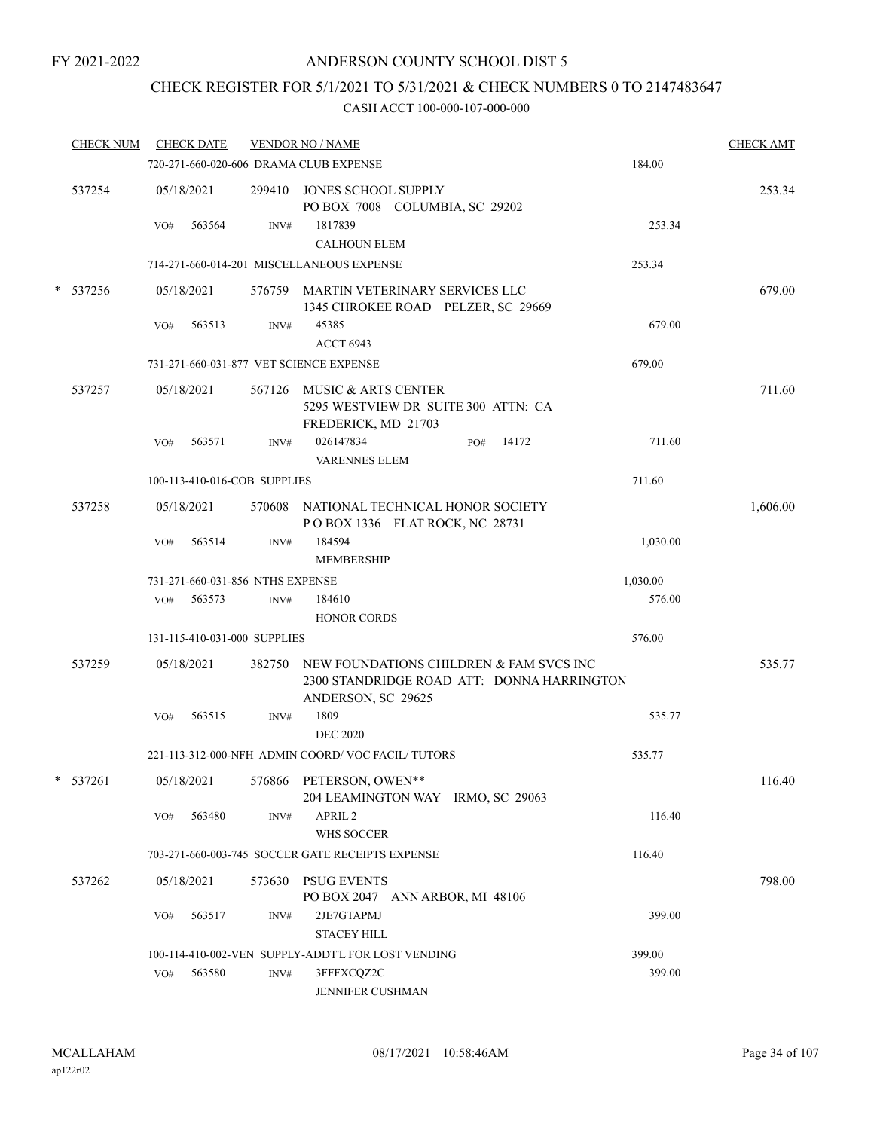## CHECK REGISTER FOR 5/1/2021 TO 5/31/2021 & CHECK NUMBERS 0 TO 2147483647

|   | <b>CHECK NUM</b> |     | <b>CHECK DATE</b> |                                  | <b>VENDOR NO / NAME</b>                                                                                            |          | <b>CHECK AMT</b> |
|---|------------------|-----|-------------------|----------------------------------|--------------------------------------------------------------------------------------------------------------------|----------|------------------|
|   |                  |     |                   |                                  | 720-271-660-020-606 DRAMA CLUB EXPENSE                                                                             | 184.00   |                  |
|   | 537254           |     | 05/18/2021        |                                  | 299410 JONES SCHOOL SUPPLY<br>PO BOX 7008 COLUMBIA, SC 29202                                                       |          | 253.34           |
|   |                  | VO# | 563564            | INV#                             | 1817839<br><b>CALHOUN ELEM</b>                                                                                     | 253.34   |                  |
|   |                  |     |                   |                                  | 714-271-660-014-201 MISCELLANEOUS EXPENSE                                                                          | 253.34   |                  |
|   | * 537256         |     | 05/18/2021        |                                  | 576759 MARTIN VETERINARY SERVICES LLC<br>1345 CHROKEE ROAD PELZER, SC 29669                                        |          | 679.00           |
|   |                  | VO# | 563513            | INV#                             | 45385<br><b>ACCT 6943</b>                                                                                          | 679.00   |                  |
|   |                  |     |                   |                                  | 731-271-660-031-877 VET SCIENCE EXPENSE                                                                            | 679.00   |                  |
|   | 537257           |     | 05/18/2021        |                                  | 567126 MUSIC & ARTS CENTER<br>5295 WESTVIEW DR SUITE 300 ATTN: CA<br>FREDERICK, MD 21703                           |          | 711.60           |
|   |                  | VO# | 563571            | INV#                             | 026147834<br>14172<br>PO#<br><b>VARENNES ELEM</b>                                                                  | 711.60   |                  |
|   |                  |     |                   | 100-113-410-016-COB SUPPLIES     |                                                                                                                    | 711.60   |                  |
|   | 537258           |     | 05/18/2021        |                                  | 570608 NATIONAL TECHNICAL HONOR SOCIETY<br>POBOX 1336 FLAT ROCK, NC 28731                                          |          | 1,606.00         |
|   |                  | VO# | 563514            | INV#                             | 184594<br><b>MEMBERSHIP</b>                                                                                        | 1,030.00 |                  |
|   |                  |     |                   | 731-271-660-031-856 NTHS EXPENSE |                                                                                                                    | 1,030.00 |                  |
|   |                  | VO# | 563573            | INV#                             | 184610                                                                                                             | 576.00   |                  |
|   |                  |     |                   |                                  | <b>HONOR CORDS</b>                                                                                                 |          |                  |
|   |                  |     |                   | 131-115-410-031-000 SUPPLIES     |                                                                                                                    | 576.00   |                  |
|   | 537259           |     | 05/18/2021        |                                  | 382750 NEW FOUNDATIONS CHILDREN & FAM SVCS INC<br>2300 STANDRIDGE ROAD ATT: DONNA HARRINGTON<br>ANDERSON, SC 29625 |          | 535.77           |
|   |                  | VO# | 563515            | INV#                             | 1809<br><b>DEC 2020</b>                                                                                            | 535.77   |                  |
|   |                  |     |                   |                                  | 221-113-312-000-NFH ADMIN COORD/VOC FACIL/TUTORS                                                                   | 535.77   |                  |
| * | 537261           |     | 05/18/2021        |                                  | 576866 PETERSON, OWEN**<br>204 LEAMINGTON WAY IRMO, SC 29063                                                       |          | 116.40           |
|   |                  | VO# | 563480            | INV#                             | APRIL <sub>2</sub><br>WHS SOCCER                                                                                   | 116.40   |                  |
|   |                  |     |                   |                                  | 703-271-660-003-745 SOCCER GATE RECEIPTS EXPENSE                                                                   | 116.40   |                  |
|   | 537262           |     | 05/18/2021        | 573630                           | <b>PSUG EVENTS</b><br>PO BOX 2047 ANN ARBOR, MI 48106                                                              |          | 798.00           |
|   |                  | VO# | 563517            | INV#                             | 2JE7GTAPMJ<br><b>STACEY HILL</b>                                                                                   | 399.00   |                  |
|   |                  |     |                   |                                  | 100-114-410-002-VEN SUPPLY-ADDT'L FOR LOST VENDING                                                                 | 399.00   |                  |
|   |                  | VO# | 563580            | INV#                             | 3FFFXCQZ2C<br>JENNIFER CUSHMAN                                                                                     | 399.00   |                  |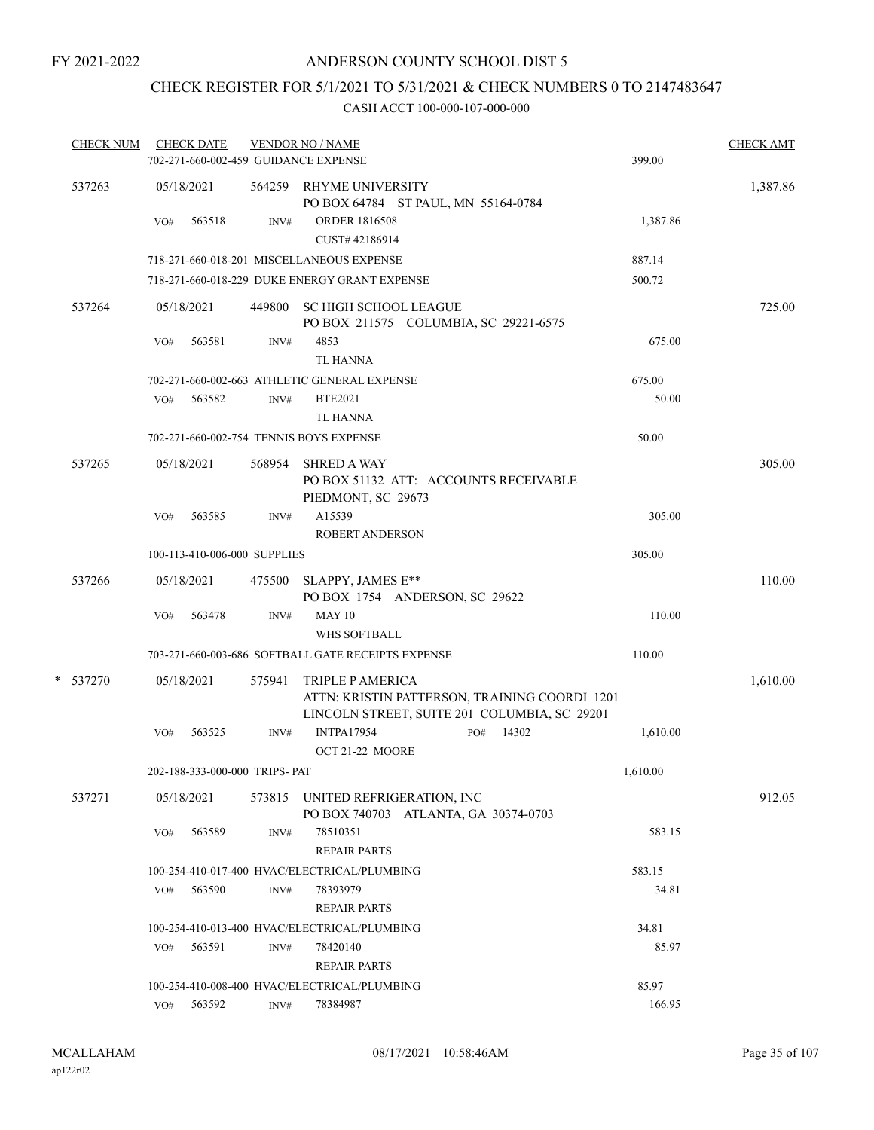## CHECK REGISTER FOR 5/1/2021 TO 5/31/2021 & CHECK NUMBERS 0 TO 2147483647

| <b>CHECK NUM</b> |     | <b>CHECK DATE</b>              |        | <b>VENDOR NO / NAME</b>                                                  |                                                                                               |          | <b>CHECK AMT</b> |
|------------------|-----|--------------------------------|--------|--------------------------------------------------------------------------|-----------------------------------------------------------------------------------------------|----------|------------------|
|                  |     |                                |        | 702-271-660-002-459 GUIDANCE EXPENSE                                     |                                                                                               | 399.00   |                  |
| 537263           |     | 05/18/2021                     |        | 564259 RHYME UNIVERSITY<br>PO BOX 64784 ST PAUL, MN 55164-0784           |                                                                                               |          | 1,387.86         |
|                  | VO# | 563518                         | INV#   | <b>ORDER 1816508</b><br>CUST# 42186914                                   |                                                                                               | 1,387.86 |                  |
|                  |     |                                |        | 718-271-660-018-201 MISCELLANEOUS EXPENSE                                |                                                                                               | 887.14   |                  |
|                  |     |                                |        | 718-271-660-018-229 DUKE ENERGY GRANT EXPENSE                            |                                                                                               | 500.72   |                  |
| 537264           |     | 05/18/2021                     | 449800 | SC HIGH SCHOOL LEAGUE<br>PO BOX 211575 COLUMBIA, SC 29221-6575           |                                                                                               |          | 725.00           |
|                  | VO# | 563581                         | INV#   | 4853<br>TL HANNA                                                         |                                                                                               | 675.00   |                  |
|                  |     |                                |        | 702-271-660-002-663 ATHLETIC GENERAL EXPENSE                             |                                                                                               | 675.00   |                  |
|                  | VO# | 563582                         | INV#   | <b>BTE2021</b><br>TL HANNA                                               |                                                                                               | 50.00    |                  |
|                  |     |                                |        | 702-271-660-002-754 TENNIS BOYS EXPENSE                                  |                                                                                               | 50.00    |                  |
| 537265           |     | 05/18/2021                     | 568954 | <b>SHRED A WAY</b><br>PIEDMONT, SC 29673                                 | PO BOX 51132 ATT: ACCOUNTS RECEIVABLE                                                         |          | 305.00           |
|                  | VO# | 563585                         | INV#   | A15539<br><b>ROBERT ANDERSON</b>                                         |                                                                                               | 305.00   |                  |
|                  |     | 100-113-410-006-000 SUPPLIES   |        |                                                                          |                                                                                               | 305.00   |                  |
| 537266           |     | 05/18/2021                     | 475500 | SLAPPY, JAMES E**<br>PO BOX 1754 ANDERSON, SC 29622                      |                                                                                               |          | 110.00           |
|                  | VO# | 563478                         | INV#   | <b>MAY 10</b><br>WHS SOFTBALL                                            |                                                                                               | 110.00   |                  |
|                  |     |                                |        | 703-271-660-003-686 SOFTBALL GATE RECEIPTS EXPENSE                       |                                                                                               | 110.00   |                  |
| * 537270         |     | 05/18/2021                     | 575941 | TRIPLE P AMERICA                                                         | ATTN: KRISTIN PATTERSON, TRAINING COORDI 1201<br>LINCOLN STREET, SUITE 201 COLUMBIA, SC 29201 |          | 1,610.00         |
|                  | VO# | 563525                         | INV#   | <b>INTPA17954</b><br>OCT 21-22 MOORE                                     | 14302<br>PO#                                                                                  | 1,610.00 |                  |
|                  |     | 202-188-333-000-000 TRIPS- PAT |        |                                                                          |                                                                                               | 1,610.00 |                  |
| 537271           |     | 05/18/2021                     |        | 573815 UNITED REFRIGERATION, INC<br>PO BOX 740703 ATLANTA, GA 30374-0703 |                                                                                               |          | 912.05           |
|                  | VO# | 563589                         | INV#   | 78510351<br><b>REPAIR PARTS</b>                                          |                                                                                               | 583.15   |                  |
|                  |     |                                |        | 100-254-410-017-400 HVAC/ELECTRICAL/PLUMBING                             |                                                                                               | 583.15   |                  |
|                  | VO# | 563590                         | INV#   | 78393979<br><b>REPAIR PARTS</b>                                          |                                                                                               | 34.81    |                  |
|                  |     |                                |        | 100-254-410-013-400 HVAC/ELECTRICAL/PLUMBING                             |                                                                                               | 34.81    |                  |
|                  | VO# | 563591                         | INV#   | 78420140<br><b>REPAIR PARTS</b>                                          |                                                                                               | 85.97    |                  |
|                  |     |                                |        | 100-254-410-008-400 HVAC/ELECTRICAL/PLUMBING                             |                                                                                               | 85.97    |                  |
|                  | VO# | 563592                         | INV#   | 78384987                                                                 |                                                                                               | 166.95   |                  |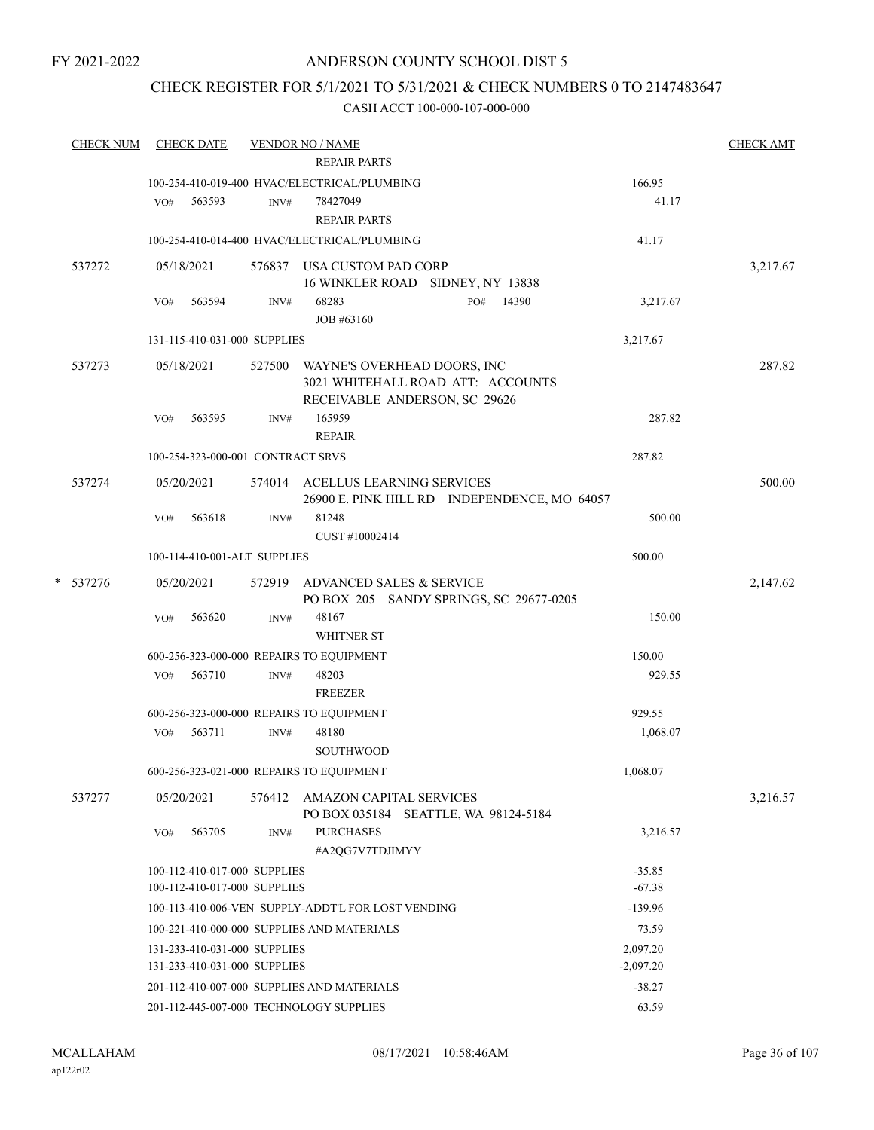#### CHECK REGISTER FOR 5/1/2021 TO 5/31/2021 & CHECK NUMBERS 0 TO 2147483647

| <b>CHECK NUM</b> |        |     | <b>CHECK DATE</b>            | <b>VENDOR NO / NAME</b><br><b>REPAIR PARTS</b> |                                                                                                   |              |           | <b>CHECK AMT</b> |
|------------------|--------|-----|------------------------------|------------------------------------------------|---------------------------------------------------------------------------------------------------|--------------|-----------|------------------|
|                  |        |     |                              |                                                | 100-254-410-019-400 HVAC/ELECTRICAL/PLUMBING                                                      |              | 166.95    |                  |
|                  |        | VO# | 563593                       | INV#                                           | 78427049                                                                                          |              | 41.17     |                  |
|                  |        |     |                              |                                                | <b>REPAIR PARTS</b>                                                                               |              |           |                  |
|                  |        |     |                              |                                                | 100-254-410-014-400 HVAC/ELECTRICAL/PLUMBING                                                      |              | 41.17     |                  |
|                  | 537272 |     | 05/18/2021                   |                                                | 576837 USA CUSTOM PAD CORP                                                                        |              |           | 3,217.67         |
|                  |        |     |                              |                                                | 16 WINKLER ROAD SIDNEY, NY 13838                                                                  |              |           |                  |
|                  |        | VO# | 563594                       | INV#                                           | 68283                                                                                             | 14390<br>PO# | 3,217.67  |                  |
|                  |        |     |                              |                                                | JOB #63160                                                                                        |              |           |                  |
|                  |        |     |                              | 131-115-410-031-000 SUPPLIES                   |                                                                                                   |              | 3,217.67  |                  |
|                  | 537273 |     | 05/18/2021                   | 527500                                         | WAYNE'S OVERHEAD DOORS, INC<br>3021 WHITEHALL ROAD ATT: ACCOUNTS<br>RECEIVABLE ANDERSON, SC 29626 |              |           | 287.82           |
|                  |        | VO# | 563595                       | INV#                                           | 165959<br><b>REPAIR</b>                                                                           |              | 287.82    |                  |
|                  |        |     |                              | 100-254-323-000-001 CONTRACT SRVS              |                                                                                                   |              | 287.82    |                  |
|                  | 537274 |     | 05/20/2021                   |                                                |                                                                                                   |              |           | 500.00           |
|                  |        |     |                              |                                                | 574014 ACELLUS LEARNING SERVICES<br>26900 E. PINK HILL RD INDEPENDENCE, MO 64057                  |              |           |                  |
|                  |        | VO# | 563618                       | INV#                                           | 81248                                                                                             |              | 500.00    |                  |
|                  |        |     |                              |                                                | CUST #10002414                                                                                    |              |           |                  |
|                  |        |     |                              | 100-114-410-001-ALT SUPPLIES                   |                                                                                                   |              | 500.00    |                  |
| *                | 537276 |     | 05/20/2021                   |                                                | 572919 ADVANCED SALES & SERVICE<br>PO BOX 205 SANDY SPRINGS, SC 29677-0205                        |              |           | 2,147.62         |
|                  |        | VO# | 563620                       | INV#                                           | 48167<br><b>WHITNER ST</b>                                                                        |              | 150.00    |                  |
|                  |        |     |                              |                                                | 600-256-323-000-000 REPAIRS TO EQUIPMENT                                                          |              | 150.00    |                  |
|                  |        | VO# | 563710                       | INV#                                           | 48203                                                                                             |              | 929.55    |                  |
|                  |        |     |                              |                                                | <b>FREEZER</b>                                                                                    |              |           |                  |
|                  |        |     |                              |                                                | 600-256-323-000-000 REPAIRS TO EQUIPMENT                                                          |              | 929.55    |                  |
|                  |        | VO# | 563711                       | INV#                                           | 48180                                                                                             |              | 1,068.07  |                  |
|                  |        |     |                              |                                                | <b>SOUTHWOOD</b>                                                                                  |              |           |                  |
|                  |        |     |                              |                                                | 600-256-323-021-000 REPAIRS TO EOUIPMENT                                                          |              | 1,068.07  |                  |
|                  | 537277 |     | 05/20/2021                   |                                                | 576412 AMAZON CAPITAL SERVICES<br>PO BOX 035184 SEATTLE, WA 98124-5184                            |              |           | 3,216.57         |
|                  |        | VO# | 563705                       | INV#                                           | <b>PURCHASES</b><br>#A2QG7V7TDJIMYY                                                               |              | 3,216.57  |                  |
|                  |        |     |                              | 100-112-410-017-000 SUPPLIES                   |                                                                                                   |              | $-35.85$  |                  |
|                  |        |     |                              | 100-112-410-017-000 SUPPLIES                   |                                                                                                   |              | $-67.38$  |                  |
|                  |        |     |                              |                                                | 100-113-410-006-VEN SUPPLY-ADDT'L FOR LOST VENDING                                                |              | $-139.96$ |                  |
|                  |        |     |                              |                                                | 100-221-410-000-000 SUPPLIES AND MATERIALS                                                        |              | 73.59     |                  |
|                  |        |     |                              | 131-233-410-031-000 SUPPLIES                   | 2,097.20                                                                                          |              |           |                  |
|                  |        |     | 131-233-410-031-000 SUPPLIES |                                                | $-2,097.20$                                                                                       |              |           |                  |
|                  |        |     |                              |                                                | 201-112-410-007-000 SUPPLIES AND MATERIALS                                                        | $-38.27$     |           |                  |
|                  |        |     |                              |                                                | 201-112-445-007-000 TECHNOLOGY SUPPLIES                                                           |              | 63.59     |                  |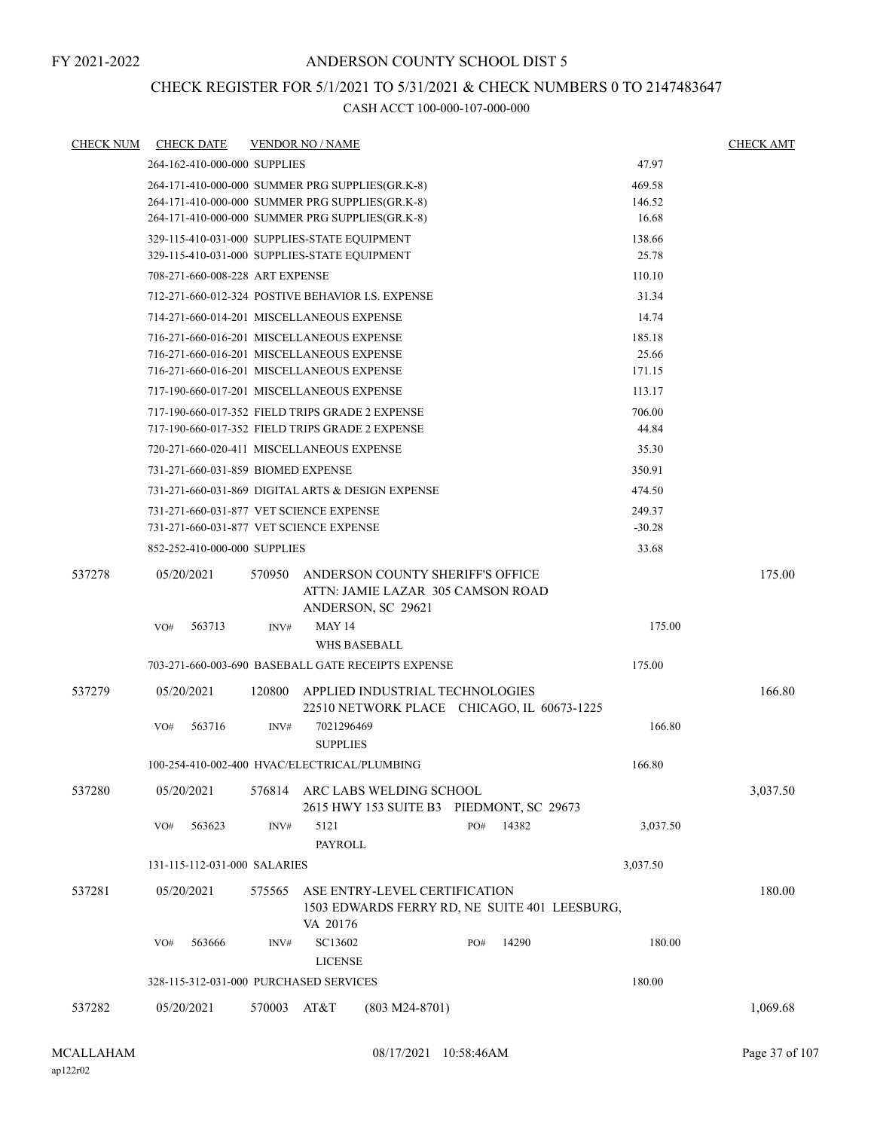### CHECK REGISTER FOR 5/1/2021 TO 5/31/2021 & CHECK NUMBERS 0 TO 2147483647

| CHECK NUM | <b>CHECK DATE</b>                       |        | <b>VENDOR NO / NAME</b>                                                                            |                                               |                 | <b>CHECK AMT</b> |
|-----------|-----------------------------------------|--------|----------------------------------------------------------------------------------------------------|-----------------------------------------------|-----------------|------------------|
|           | 264-162-410-000-000 SUPPLIES            |        |                                                                                                    |                                               | 47.97           |                  |
|           |                                         |        | 264-171-410-000-000 SUMMER PRG SUPPLIES(GR.K-8)                                                    |                                               | 469.58          |                  |
|           |                                         |        | 264-171-410-000-000 SUMMER PRG SUPPLIES(GR.K-8)                                                    |                                               | 146.52          |                  |
|           |                                         |        | 264-171-410-000-000 SUMMER PRG SUPPLIES(GR.K-8)                                                    |                                               | 16.68           |                  |
|           |                                         |        | 329-115-410-031-000 SUPPLIES-STATE EQUIPMENT                                                       |                                               | 138.66          |                  |
|           |                                         |        | 329-115-410-031-000 SUPPLIES-STATE EQUIPMENT                                                       |                                               | 25.78           |                  |
|           | 708-271-660-008-228 ART EXPENSE         |        |                                                                                                    |                                               | 110.10          |                  |
|           |                                         |        | 712-271-660-012-324 POSTIVE BEHAVIOR I.S. EXPENSE                                                  |                                               | 31.34           |                  |
|           |                                         |        | 714-271-660-014-201 MISCELLANEOUS EXPENSE                                                          |                                               | 14.74           |                  |
|           |                                         |        | 716-271-660-016-201 MISCELLANEOUS EXPENSE                                                          |                                               | 185.18          |                  |
|           |                                         |        | 716-271-660-016-201 MISCELLANEOUS EXPENSE<br>716-271-660-016-201 MISCELLANEOUS EXPENSE             |                                               | 25.66           |                  |
|           |                                         |        |                                                                                                    |                                               | 171.15          |                  |
|           |                                         |        | 717-190-660-017-201 MISCELLANEOUS EXPENSE                                                          |                                               | 113.17          |                  |
|           |                                         |        | 717-190-660-017-352 FIELD TRIPS GRADE 2 EXPENSE<br>717-190-660-017-352 FIELD TRIPS GRADE 2 EXPENSE |                                               | 706.00<br>44.84 |                  |
|           |                                         |        |                                                                                                    |                                               |                 |                  |
|           |                                         |        | 720-271-660-020-411 MISCELLANEOUS EXPENSE                                                          |                                               | 35.30           |                  |
|           | 731-271-660-031-859 BIOMED EXPENSE      |        |                                                                                                    |                                               | 350.91          |                  |
|           |                                         |        | 731-271-660-031-869 DIGITAL ARTS & DESIGN EXPENSE                                                  |                                               | 474.50          |                  |
|           | 731-271-660-031-877 VET SCIENCE EXPENSE |        |                                                                                                    |                                               | 249.37          |                  |
|           | 731-271-660-031-877 VET SCIENCE EXPENSE |        |                                                                                                    |                                               | $-30.28$        |                  |
|           | 852-252-410-000-000 SUPPLIES            |        |                                                                                                    |                                               | 33.68           |                  |
| 537278    | 05/20/2021                              | 570950 | ANDERSON COUNTY SHERIFF'S OFFICE<br>ATTN: JAMIE LAZAR 305 CAMSON ROAD<br>ANDERSON, SC 29621        |                                               |                 | 175.00           |
|           | 563713<br>VO#                           | INV#   | <b>MAY 14</b><br>WHS BASEBALL                                                                      |                                               | 175.00          |                  |
|           |                                         |        |                                                                                                    |                                               |                 |                  |
|           |                                         |        | 703-271-660-003-690 BASEBALL GATE RECEIPTS EXPENSE                                                 |                                               | 175.00          |                  |
| 537279    | 05/20/2021                              | 120800 | APPLIED INDUSTRIAL TECHNOLOGIES                                                                    | 22510 NETWORK PLACE CHICAGO, IL 60673-1225    |                 | 166.80           |
|           | 563716<br>VO#                           | INV#   | 7021296469<br><b>SUPPLIES</b>                                                                      |                                               | 166.80          |                  |
|           |                                         |        | 100-254-410-002-400 HVAC/ELECTRICAL/PLUMBING                                                       |                                               | 166.80          |                  |
| 537280    | 05/20/2021                              | 576814 | ARC LABS WELDING SCHOOL<br>2615 HWY 153 SUITE B3 PIEDMONT, SC 29673                                |                                               |                 | 3,037.50         |
|           | 563623<br>VO#                           | INV#   | 5121<br><b>PAYROLL</b>                                                                             | 14382<br>PO#                                  | 3,037.50        |                  |
|           | 131-115-112-031-000 SALARIES            |        |                                                                                                    |                                               | 3,037.50        |                  |
|           |                                         |        |                                                                                                    |                                               |                 |                  |
| 537281    | 05/20/2021                              | 575565 | ASE ENTRY-LEVEL CERTIFICATION                                                                      | 1503 EDWARDS FERRY RD, NE SUITE 401 LEESBURG, |                 | 180.00           |
|           | 563666<br>VO#                           | INV#   | VA 20176<br>SC13602<br><b>LICENSE</b>                                                              | 14290<br>PO#                                  | 180.00          |                  |
|           | 328-115-312-031-000 PURCHASED SERVICES  |        |                                                                                                    |                                               | 180.00          |                  |
|           |                                         |        |                                                                                                    |                                               |                 |                  |
| 537282    | 05/20/2021                              | 570003 | AT&T<br>$(803 M24-8701)$                                                                           |                                               |                 | 1,069.68         |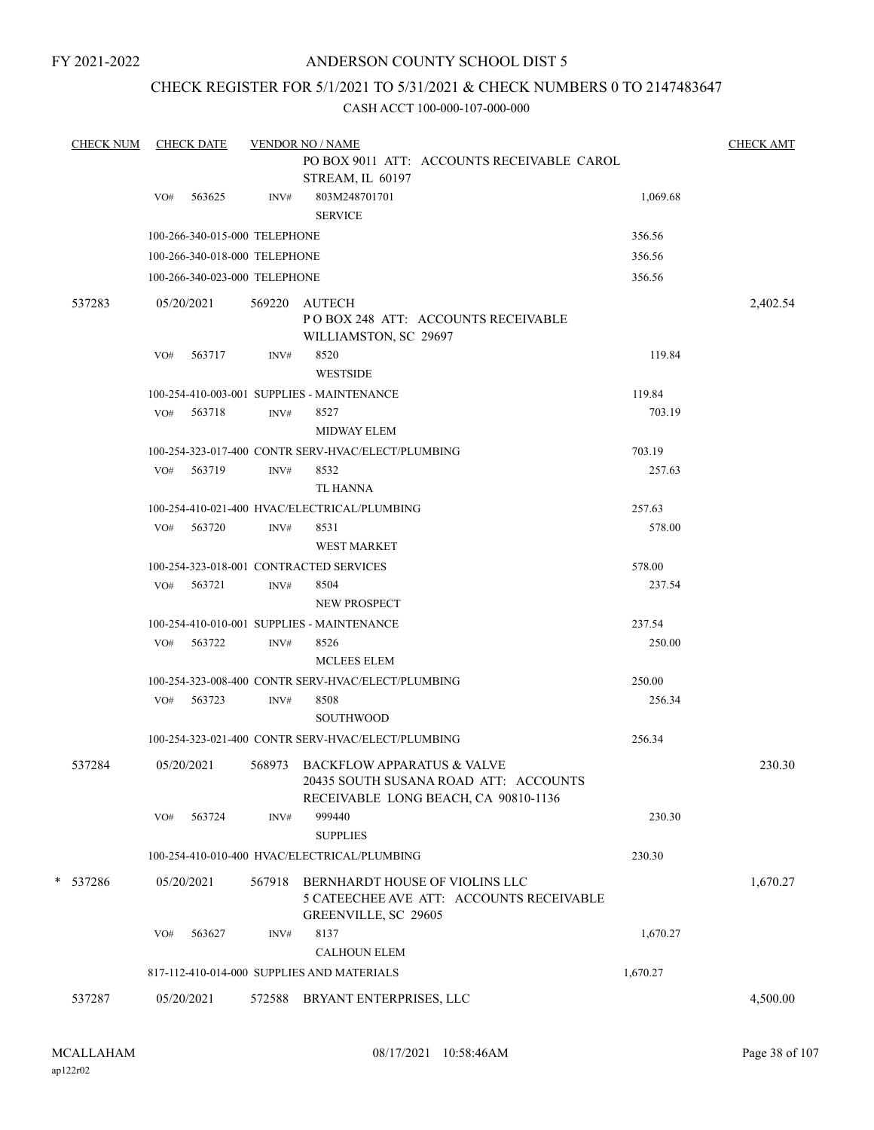### ANDERSON COUNTY SCHOOL DIST 5

### CHECK REGISTER FOR 5/1/2021 TO 5/31/2021 & CHECK NUMBERS 0 TO 2147483647

| <b>CHECK NUM</b> |     | <b>CHECK DATE</b>             |        | <b>VENDOR NO / NAME</b>                                                                                            |          | <b>CHECK AMT</b> |
|------------------|-----|-------------------------------|--------|--------------------------------------------------------------------------------------------------------------------|----------|------------------|
|                  |     |                               |        | PO BOX 9011 ATT: ACCOUNTS RECEIVABLE CAROL                                                                         |          |                  |
|                  |     |                               |        | STREAM, IL 60197                                                                                                   |          |                  |
|                  | VO# | 563625                        | INV#   | 803M248701701<br><b>SERVICE</b>                                                                                    | 1,069.68 |                  |
|                  |     | 100-266-340-015-000 TELEPHONE |        |                                                                                                                    | 356.56   |                  |
|                  |     | 100-266-340-018-000 TELEPHONE |        |                                                                                                                    | 356.56   |                  |
|                  |     | 100-266-340-023-000 TELEPHONE |        |                                                                                                                    | 356.56   |                  |
|                  |     |                               |        |                                                                                                                    |          |                  |
| 537283           |     | 05/20/2021                    | 569220 | AUTECH<br>PO BOX 248 ATT: ACCOUNTS RECEIVABLE<br>WILLIAMSTON, SC 29697                                             |          | 2,402.54         |
|                  | VO# | 563717                        | INV#   | 8520<br><b>WESTSIDE</b>                                                                                            | 119.84   |                  |
|                  |     |                               |        | 100-254-410-003-001 SUPPLIES - MAINTENANCE                                                                         | 119.84   |                  |
|                  | VO# | 563718                        | INV#   | 8527                                                                                                               | 703.19   |                  |
|                  |     |                               |        | <b>MIDWAY ELEM</b>                                                                                                 |          |                  |
|                  |     |                               |        | 100-254-323-017-400 CONTR SERV-HVAC/ELECT/PLUMBING                                                                 | 703.19   |                  |
|                  |     | VO# 563719                    | INV#   | 8532                                                                                                               | 257.63   |                  |
|                  |     |                               |        | <b>TL HANNA</b>                                                                                                    |          |                  |
|                  |     |                               |        | 100-254-410-021-400 HVAC/ELECTRICAL/PLUMBING                                                                       | 257.63   |                  |
|                  | VO# | 563720                        | INV#   | 8531                                                                                                               | 578.00   |                  |
|                  |     |                               |        | <b>WEST MARKET</b>                                                                                                 |          |                  |
|                  |     |                               |        | 100-254-323-018-001 CONTRACTED SERVICES                                                                            | 578.00   |                  |
|                  | VO# | 563721                        | INV#   | 8504                                                                                                               | 237.54   |                  |
|                  |     |                               |        | NEW PROSPECT                                                                                                       |          |                  |
|                  |     |                               |        | 100-254-410-010-001 SUPPLIES - MAINTENANCE                                                                         | 237.54   |                  |
|                  | VO# | 563722                        | INV#   | 8526<br><b>MCLEES ELEM</b>                                                                                         | 250.00   |                  |
|                  |     |                               |        | 100-254-323-008-400 CONTR SERV-HVAC/ELECT/PLUMBING                                                                 | 250.00   |                  |
|                  | VO# | 563723                        | INV#   | 8508                                                                                                               | 256.34   |                  |
|                  |     |                               |        | <b>SOUTHWOOD</b>                                                                                                   |          |                  |
|                  |     |                               |        | 100-254-323-021-400 CONTR SERV-HVAC/ELECT/PLUMBING                                                                 | 256.34   |                  |
| 537284           |     | 05/20/2021                    |        | 568973 BACKFLOW APPARATUS & VALVE<br>20435 SOUTH SUSANA ROAD ATT: ACCOUNTS<br>RECEIVABLE LONG BEACH, CA 90810-1136 |          | 230.30           |
|                  | VO# | 563724                        | INV#   | 999440                                                                                                             | 230.30   |                  |
|                  |     |                               |        | <b>SUPPLIES</b>                                                                                                    |          |                  |
|                  |     |                               |        | 100-254-410-010-400 HVAC/ELECTRICAL/PLUMBING                                                                       | 230.30   |                  |
| * 537286         |     | 05/20/2021                    | 567918 | BERNHARDT HOUSE OF VIOLINS LLC<br>5 CATEECHEE AVE ATT: ACCOUNTS RECEIVABLE<br>GREENVILLE, SC 29605                 |          | 1,670.27         |
|                  | VO# | 563627                        | INV#   | 8137                                                                                                               | 1,670.27 |                  |
|                  |     |                               |        | <b>CALHOUN ELEM</b>                                                                                                |          |                  |
|                  |     |                               |        | 817-112-410-014-000 SUPPLIES AND MATERIALS                                                                         | 1,670.27 |                  |
| 537287           |     | 05/20/2021                    | 572588 | BRYANT ENTERPRISES, LLC                                                                                            |          | 4,500.00         |
|                  |     |                               |        |                                                                                                                    |          |                  |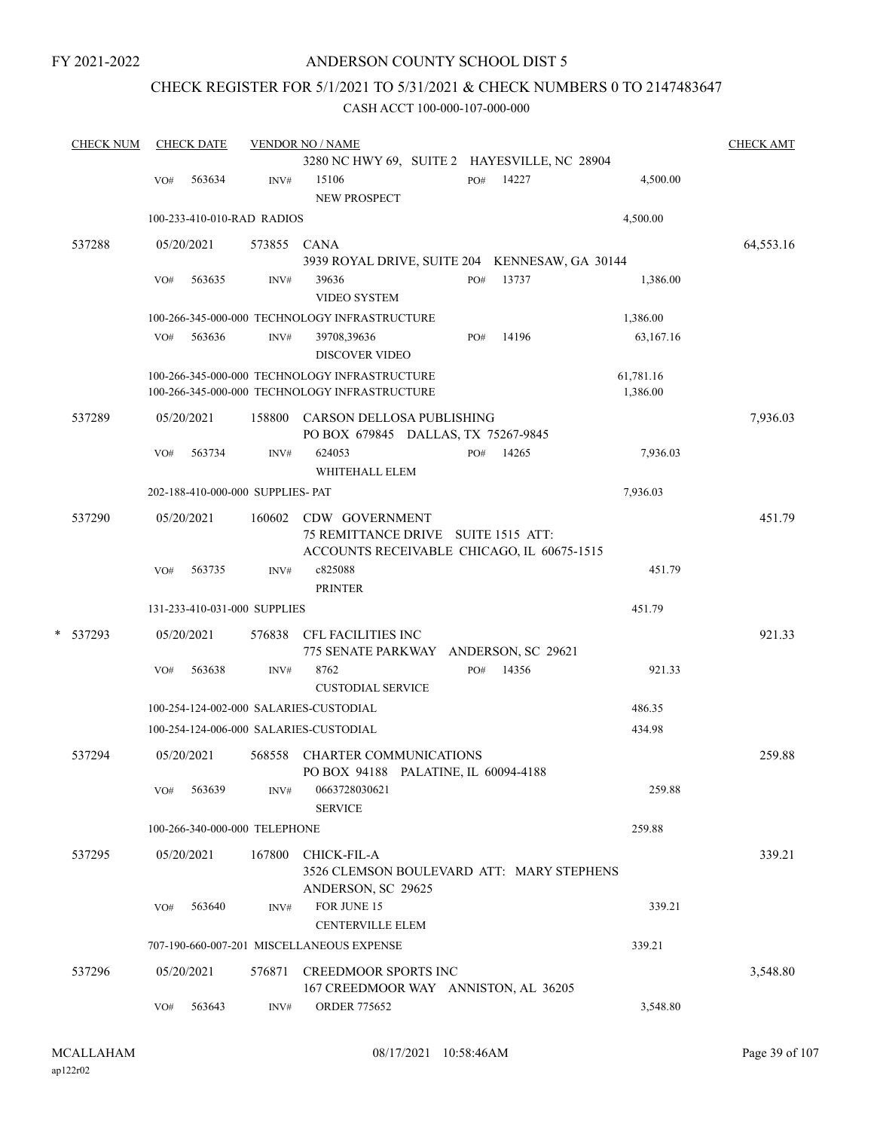### ANDERSON COUNTY SCHOOL DIST 5

### CHECK REGISTER FOR 5/1/2021 TO 5/31/2021 & CHECK NUMBERS 0 TO 2147483647

|        | <b>CHECK NUM</b> |     | <b>CHECK DATE</b>                 |             | <b>VENDOR NO / NAME</b>                                               |     |       |           | <b>CHECK AMT</b> |
|--------|------------------|-----|-----------------------------------|-------------|-----------------------------------------------------------------------|-----|-------|-----------|------------------|
|        |                  |     |                                   |             | 3280 NC HWY 69, SUITE 2 HAYESVILLE, NC 28904                          |     |       |           |                  |
|        |                  | VO# | 563634                            | INV#        | 15106<br><b>NEW PROSPECT</b>                                          | PO# | 14227 | 4,500.00  |                  |
|        |                  |     | 100-233-410-010-RAD RADIOS        |             |                                                                       |     |       | 4,500.00  |                  |
|        | 537288           |     | 05/20/2021                        | 573855 CANA |                                                                       |     |       |           | 64,553.16        |
|        |                  |     |                                   |             | 3939 ROYAL DRIVE, SUITE 204 KENNESAW, GA 30144                        |     |       |           |                  |
|        |                  | VO# | 563635                            | INV#        | 39636<br>VIDEO SYSTEM                                                 | PO# | 13737 | 1,386.00  |                  |
|        |                  |     |                                   |             | 100-266-345-000-000 TECHNOLOGY INFRASTRUCTURE                         |     |       | 1,386.00  |                  |
|        |                  | VO# | 563636                            | INV#        | 39708,39636<br><b>DISCOVER VIDEO</b>                                  | PO# | 14196 | 63,167.16 |                  |
|        |                  |     |                                   |             | 100-266-345-000-000 TECHNOLOGY INFRASTRUCTURE                         |     |       | 61,781.16 |                  |
|        |                  |     |                                   |             | 100-266-345-000-000 TECHNOLOGY INFRASTRUCTURE                         |     |       | 1,386.00  |                  |
|        | 537289           |     | 05/20/2021                        |             | 158800 CARSON DELLOSA PUBLISHING                                      |     |       |           | 7,936.03         |
|        |                  |     |                                   |             | PO BOX 679845 DALLAS, TX 75267-9845                                   |     |       |           |                  |
|        |                  | VO# | 563734                            | INV#        | 624053                                                                | PO# | 14265 | 7,936.03  |                  |
|        |                  |     |                                   |             | WHITEHALL ELEM                                                        |     |       |           |                  |
|        |                  |     | 202-188-410-000-000 SUPPLIES- PAT |             |                                                                       |     |       | 7,936.03  |                  |
|        | 537290           |     | 05/20/2021                        | 160602      | CDW GOVERNMENT<br>75 REMITTANCE DRIVE SUITE 1515 ATT:                 |     |       |           | 451.79           |
|        |                  |     |                                   |             | ACCOUNTS RECEIVABLE CHICAGO, IL 60675-1515                            |     |       |           |                  |
|        |                  | VO# | 563735                            | INV#        | c825088<br><b>PRINTER</b>                                             |     |       | 451.79    |                  |
|        |                  |     | 131-233-410-031-000 SUPPLIES      |             |                                                                       |     |       | 451.79    |                  |
| $\ast$ | 537293           |     | 05/20/2021                        | 576838      | CFL FACILITIES INC<br>775 SENATE PARKWAY ANDERSON, SC 29621           |     |       |           | 921.33           |
|        |                  | VO# | 563638                            | INV#        | 8762<br><b>CUSTODIAL SERVICE</b>                                      | PO# | 14356 | 921.33    |                  |
|        |                  |     |                                   |             | 100-254-124-002-000 SALARIES-CUSTODIAL                                |     |       | 486.35    |                  |
|        |                  |     |                                   |             | 100-254-124-006-000 SALARIES-CUSTODIAL                                |     |       | 434.98    |                  |
|        | 537294           |     | 05/20/2021                        | 568558      | <b>CHARTER COMMUNICATIONS</b><br>PO BOX 94188 PALATINE, IL 60094-4188 |     |       |           | 259.88           |
|        |                  | VO# | 563639                            | INV#        | 0663728030621<br><b>SERVICE</b>                                       |     |       | 259.88    |                  |
|        |                  |     | 100-266-340-000-000 TELEPHONE     |             |                                                                       |     |       | 259.88    |                  |
|        | 537295           |     | 05/20/2021                        | 167800      | CHICK-FIL-A<br>3526 CLEMSON BOULEVARD ATT: MARY STEPHENS              |     |       |           | 339.21           |
|        |                  | VO# | 563640                            | INV#        | ANDERSON, SC 29625<br>FOR JUNE 15                                     |     |       | 339.21    |                  |
|        |                  |     |                                   |             | <b>CENTERVILLE ELEM</b><br>707-190-660-007-201 MISCELLANEOUS EXPENSE  |     |       | 339.21    |                  |
|        |                  |     |                                   |             |                                                                       |     |       |           |                  |
|        | 537296           |     | 05/20/2021                        | 576871      | <b>CREEDMOOR SPORTS INC</b><br>167 CREEDMOOR WAY ANNISTON, AL 36205   |     |       |           | 3,548.80         |
|        |                  | VO# | 563643                            | INV#        | <b>ORDER 775652</b>                                                   |     |       | 3,548.80  |                  |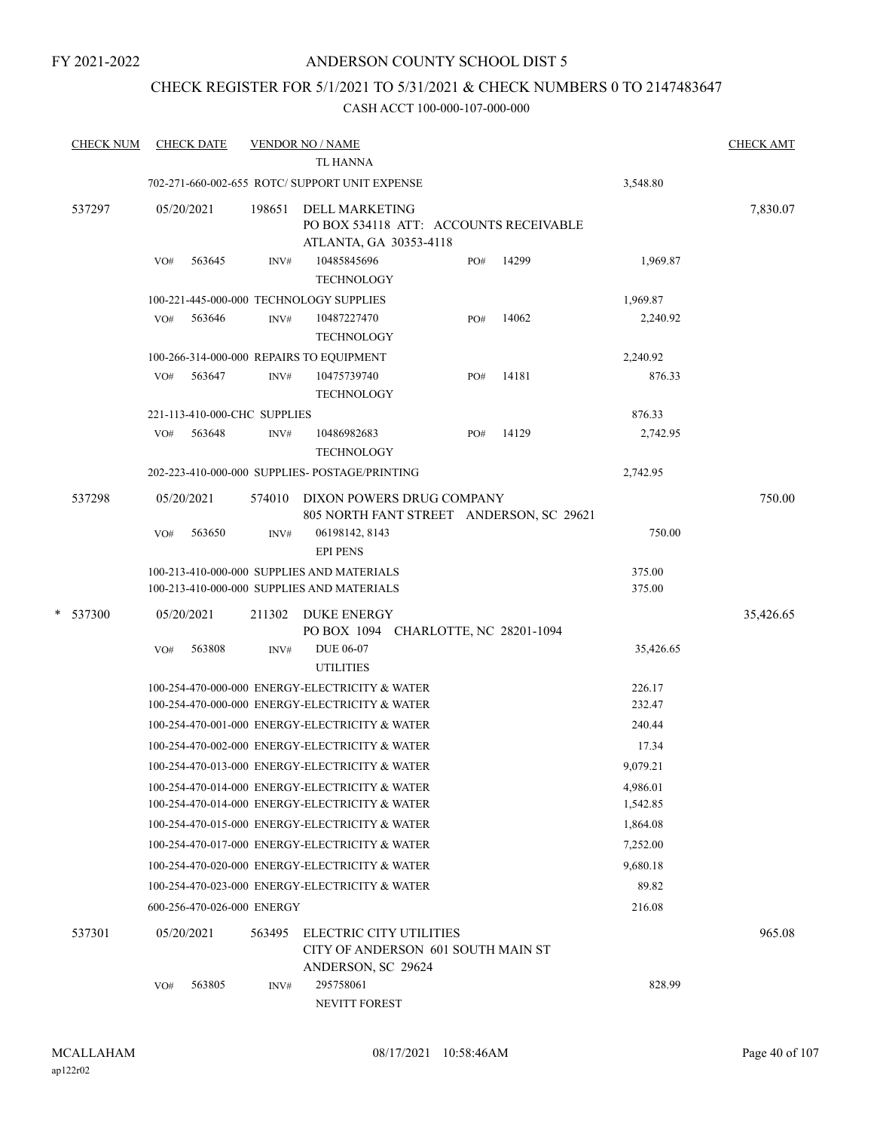### ANDERSON COUNTY SCHOOL DIST 5

### CHECK REGISTER FOR 5/1/2021 TO 5/31/2021 & CHECK NUMBERS 0 TO 2147483647

| <b>CHECK NUM</b> | <b>CHECK DATE</b>                        |        | <b>VENDOR NO / NAME</b><br>TL HANNA                                                              |     |       |                      | <b>CHECK AMT</b> |
|------------------|------------------------------------------|--------|--------------------------------------------------------------------------------------------------|-----|-------|----------------------|------------------|
|                  |                                          |        | 702-271-660-002-655 ROTC/ SUPPORT UNIT EXPENSE                                                   |     |       | 3,548.80             |                  |
| 537297           | 05/20/2021                               | 198651 | DELL MARKETING<br>PO BOX 534118 ATT: ACCOUNTS RECEIVABLE<br>ATLANTA, GA 30353-4118               |     |       |                      | 7,830.07         |
|                  | 563645<br>VO#                            | INV#   | 10485845696<br><b>TECHNOLOGY</b>                                                                 | PO# | 14299 | 1,969.87             |                  |
|                  | 100-221-445-000-000 TECHNOLOGY SUPPLIES  |        |                                                                                                  |     |       | 1,969.87             |                  |
|                  | 563646<br>VO#                            | INV#   | 10487227470<br><b>TECHNOLOGY</b>                                                                 | PO# | 14062 | 2,240.92             |                  |
|                  | 100-266-314-000-000 REPAIRS TO EQUIPMENT |        |                                                                                                  |     |       | 2,240.92             |                  |
|                  | 563647<br>VO#                            | INV#   | 10475739740<br><b>TECHNOLOGY</b>                                                                 | PO# | 14181 | 876.33               |                  |
|                  | 221-113-410-000-CHC SUPPLIES             |        |                                                                                                  |     |       | 876.33               |                  |
|                  | 563648<br>VO#                            | INV#   | 10486982683<br><b>TECHNOLOGY</b>                                                                 | PO# | 14129 | 2,742.95             |                  |
|                  |                                          |        | 202-223-410-000-000 SUPPLIES- POSTAGE/PRINTING                                                   |     |       | 2,742.95             |                  |
| 537298           | 05/20/2021                               | 574010 | DIXON POWERS DRUG COMPANY<br>805 NORTH FANT STREET ANDERSON, SC 29621                            |     |       |                      | 750.00           |
|                  | 563650<br>VO#                            | INV#   | 06198142, 8143<br><b>EPI PENS</b>                                                                |     |       | 750.00               |                  |
|                  |                                          |        | 100-213-410-000-000 SUPPLIES AND MATERIALS                                                       |     |       | 375.00               |                  |
|                  |                                          |        | 100-213-410-000-000 SUPPLIES AND MATERIALS                                                       |     |       | 375.00               |                  |
| * 537300         | 05/20/2021                               | 211302 | <b>DUKE ENERGY</b><br>PO BOX 1094 CHARLOTTE, NC 28201-1094                                       |     |       |                      | 35,426.65        |
|                  | 563808<br>VO#                            | INV#   | DUE 06-07<br><b>UTILITIES</b>                                                                    |     |       | 35,426.65            |                  |
|                  |                                          |        | 100-254-470-000-000 ENERGY-ELECTRICITY & WATER                                                   |     |       | 226.17               |                  |
|                  |                                          |        | 100-254-470-000-000 ENERGY-ELECTRICITY & WATER                                                   |     |       | 232.47               |                  |
|                  |                                          |        | 100-254-470-001-000 ENERGY-ELECTRICITY & WATER                                                   |     |       | 240.44               |                  |
|                  |                                          |        | 100-254-470-002-000 ENERGY-ELECTRICITY & WATER                                                   |     |       | 17.34                |                  |
|                  |                                          |        | 100-254-470-013-000 ENERGY-ELECTRICITY & WATER                                                   |     |       | 9,079.21             |                  |
|                  |                                          |        | 100-254-470-014-000 ENERGY-ELECTRICITY & WATER<br>100-254-470-014-000 ENERGY-ELECTRICITY & WATER |     |       | 4,986.01             |                  |
|                  |                                          |        | 100-254-470-015-000 ENERGY-ELECTRICITY & WATER                                                   |     |       | 1,542.85             |                  |
|                  |                                          |        |                                                                                                  |     |       | 1,864.08             |                  |
|                  |                                          |        | 100-254-470-017-000 ENERGY-ELECTRICITY & WATER<br>100-254-470-020-000 ENERGY-ELECTRICITY & WATER |     |       | 7,252.00<br>9,680.18 |                  |
|                  |                                          |        | 100-254-470-023-000 ENERGY-ELECTRICITY & WATER                                                   |     |       | 89.82                |                  |
|                  | 600-256-470-026-000 ENERGY               |        |                                                                                                  |     |       | 216.08               |                  |
|                  |                                          |        |                                                                                                  |     |       |                      |                  |
| 537301           | 05/20/2021                               | 563495 | ELECTRIC CITY UTILITIES<br>CITY OF ANDERSON 601 SOUTH MAIN ST<br>ANDERSON, SC 29624              |     |       |                      | 965.08           |
|                  | 563805<br>VO#                            | INV#   | 295758061<br>NEVITT FOREST                                                                       |     |       | 828.99               |                  |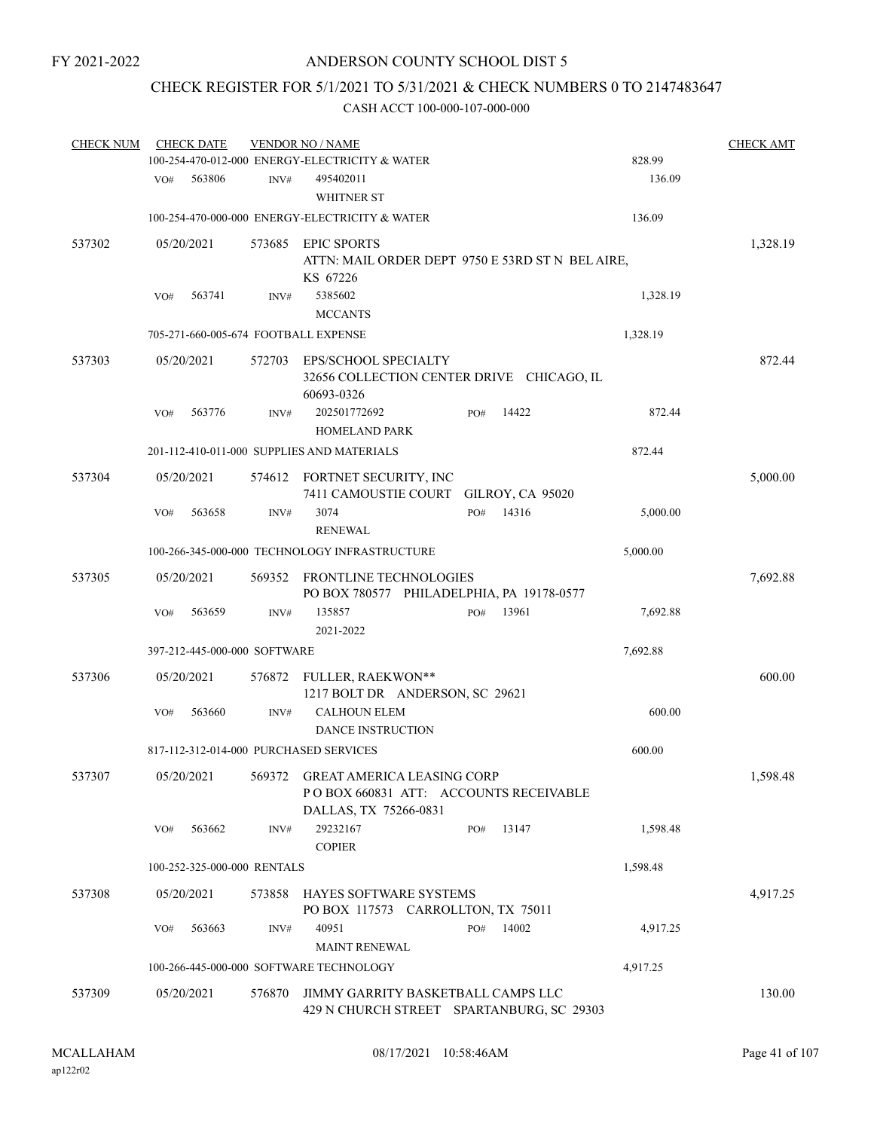### CHECK REGISTER FOR 5/1/2021 TO 5/31/2021 & CHECK NUMBERS 0 TO 2147483647

| <b>CHECK NUM</b> |     | <b>CHECK DATE</b>            |        | <b>VENDOR NO / NAME</b>                                                                |     |       |                  | <b>CHECK AMT</b> |
|------------------|-----|------------------------------|--------|----------------------------------------------------------------------------------------|-----|-------|------------------|------------------|
|                  |     | 563806                       |        | 100-254-470-012-000 ENERGY-ELECTRICITY & WATER                                         |     |       | 828.99<br>136.09 |                  |
|                  | VO# |                              | INV#   | 495402011<br><b>WHITNER ST</b>                                                         |     |       |                  |                  |
|                  |     |                              |        | 100-254-470-000-000 ENERGY-ELECTRICITY & WATER                                         |     |       | 136.09           |                  |
|                  |     |                              |        |                                                                                        |     |       |                  |                  |
| 537302           |     | 05/20/2021                   | 573685 | <b>EPIC SPORTS</b><br>ATTN: MAIL ORDER DEPT 9750 E 53RD ST N BEL AIRE,                 |     |       |                  | 1,328.19         |
|                  |     |                              |        | KS 67226                                                                               |     |       |                  |                  |
|                  | VO# | 563741                       | INV#   | 5385602                                                                                |     |       | 1,328.19         |                  |
|                  |     |                              |        | <b>MCCANTS</b>                                                                         |     |       |                  |                  |
|                  |     |                              |        | 705-271-660-005-674 FOOTBALL EXPENSE                                                   |     |       | 1,328.19         |                  |
| 537303           |     | 05/20/2021                   | 572703 | EPS/SCHOOL SPECIALTY<br>32656 COLLECTION CENTER DRIVE CHICAGO, IL                      |     |       |                  | 872.44           |
|                  |     |                              |        | 60693-0326                                                                             |     |       |                  |                  |
|                  | VO# | 563776                       | INV#   | 202501772692                                                                           | PO# | 14422 | 872.44           |                  |
|                  |     |                              |        | <b>HOMELAND PARK</b>                                                                   |     |       |                  |                  |
|                  |     |                              |        | 201-112-410-011-000 SUPPLIES AND MATERIALS                                             |     |       | 872.44           |                  |
| 537304           |     | 05/20/2021                   |        | 574612 FORTNET SECURITY, INC                                                           |     |       |                  | 5,000.00         |
|                  | VO# | 563658                       | INV#   | 7411 CAMOUSTIE COURT GILROY, CA 95020<br>3074                                          | PO# | 14316 | 5,000.00         |                  |
|                  |     |                              |        | <b>RENEWAL</b>                                                                         |     |       |                  |                  |
|                  |     |                              |        | 100-266-345-000-000 TECHNOLOGY INFRASTRUCTURE                                          |     |       | 5,000.00         |                  |
| 537305           |     | 05/20/2021                   | 569352 | FRONTLINE TECHNOLOGIES                                                                 |     |       |                  | 7,692.88         |
|                  |     |                              |        | PO BOX 780577 PHILADELPHIA, PA 19178-0577                                              |     |       |                  |                  |
|                  | VO# | 563659                       | INV#   | 135857                                                                                 | PO# | 13961 | 7,692.88         |                  |
|                  |     |                              |        | 2021-2022                                                                              |     |       |                  |                  |
|                  |     | 397-212-445-000-000 SOFTWARE |        |                                                                                        |     |       | 7,692.88         |                  |
| 537306           |     | 05/20/2021                   | 576872 | FULLER, RAEKWON**<br>1217 BOLT DR ANDERSON, SC 29621                                   |     |       |                  | 600.00           |
|                  | VO# | 563660                       | INV#   | <b>CALHOUN ELEM</b>                                                                    |     |       | 600.00           |                  |
|                  |     |                              |        | <b>DANCE INSTRUCTION</b>                                                               |     |       |                  |                  |
|                  |     |                              |        | 817-112-312-014-000 PURCHASED SERVICES                                                 |     |       | 600.00           |                  |
| 537307           |     |                              |        | 05/20/2021 569372 GREAT AMERICA LEASING CORP<br>PO BOX 660831 ATT: ACCOUNTS RECEIVABLE |     |       |                  | 1,598.48         |
|                  |     |                              |        | DALLAS, TX 75266-0831                                                                  |     |       |                  |                  |
|                  | VO# | 563662                       | INV#   | 29232167<br><b>COPIER</b>                                                              | PO# | 13147 | 1,598.48         |                  |
|                  |     | 100-252-325-000-000 RENTALS  |        |                                                                                        |     |       | 1,598.48         |                  |
|                  |     |                              |        |                                                                                        |     |       |                  |                  |
| 537308           |     | 05/20/2021                   | 573858 | HAYES SOFTWARE SYSTEMS<br>PO BOX 117573 CARROLLTON, TX 75011                           |     |       |                  | 4,917.25         |
|                  | VO# | 563663                       | INV#   | 40951<br><b>MAINT RENEWAL</b>                                                          | PO# | 14002 | 4,917.25         |                  |
|                  |     |                              |        | 100-266-445-000-000 SOFTWARE TECHNOLOGY                                                |     |       | 4,917.25         |                  |
| 537309           |     | 05/20/2021                   | 576870 | JIMMY GARRITY BASKETBALL CAMPS LLC<br>429 N CHURCH STREET SPARTANBURG, SC 29303        |     |       |                  | 130.00           |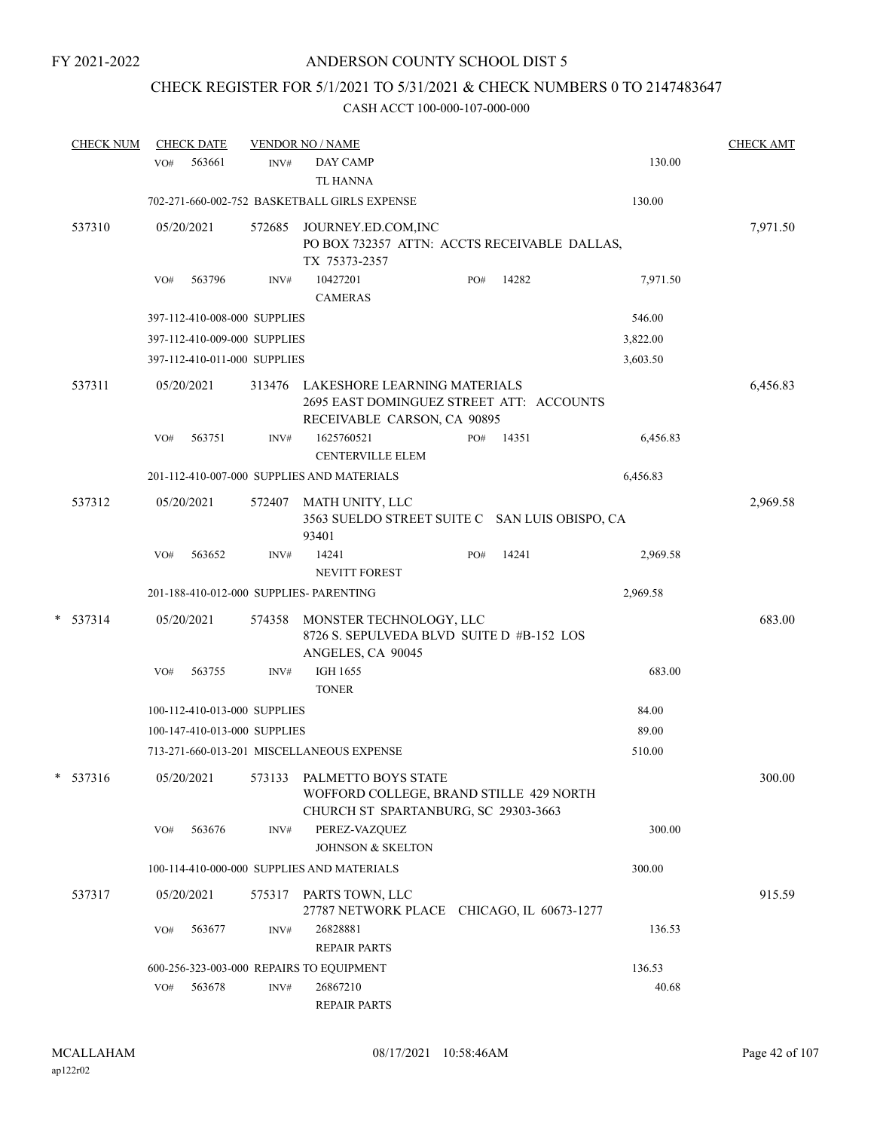### CHECK REGISTER FOR 5/1/2021 TO 5/31/2021 & CHECK NUMBERS 0 TO 2147483647

| <b>CHECK NUM</b> |            | <b>CHECK DATE</b> |                              | <b>VENDOR NO / NAME</b>                                                                                       |     |       |          | <b>CHECK AMT</b> |
|------------------|------------|-------------------|------------------------------|---------------------------------------------------------------------------------------------------------------|-----|-------|----------|------------------|
|                  | VO#        | 563661            | INV#                         | DAY CAMP<br><b>TL HANNA</b>                                                                                   |     |       | 130.00   |                  |
|                  |            |                   |                              | 702-271-660-002-752 BASKETBALL GIRLS EXPENSE                                                                  |     |       | 130.00   |                  |
| 537310           | 05/20/2021 |                   | 572685                       | JOURNEY.ED.COM,INC<br>PO BOX 732357 ATTN: ACCTS RECEIVABLE DALLAS,<br>TX 75373-2357                           |     |       |          | 7,971.50         |
|                  | VO#        | 563796            | INV#                         | 10427201<br><b>CAMERAS</b>                                                                                    | PO# | 14282 | 7,971.50 |                  |
|                  |            |                   | 397-112-410-008-000 SUPPLIES |                                                                                                               |     |       | 546.00   |                  |
|                  |            |                   | 397-112-410-009-000 SUPPLIES |                                                                                                               |     |       | 3,822.00 |                  |
|                  |            |                   | 397-112-410-011-000 SUPPLIES |                                                                                                               |     |       | 3,603.50 |                  |
| 537311           | 05/20/2021 |                   | 313476                       | LAKESHORE LEARNING MATERIALS<br>2695 EAST DOMINGUEZ STREET ATT: ACCOUNTS<br>RECEIVABLE CARSON, CA 90895       |     |       |          | 6,456.83         |
|                  | VO#        | 563751            | INV#                         | 1625760521<br><b>CENTERVILLE ELEM</b>                                                                         | PO# | 14351 | 6,456.83 |                  |
|                  |            |                   |                              | 201-112-410-007-000 SUPPLIES AND MATERIALS                                                                    |     |       | 6,456.83 |                  |
| 537312           | 05/20/2021 |                   | 572407                       | MATH UNITY, LLC<br>3563 SUELDO STREET SUITE C SAN LUIS OBISPO, CA<br>93401                                    |     |       |          | 2,969.58         |
|                  | VO#        | 563652            | INV#                         | 14241<br><b>NEVITT FOREST</b>                                                                                 | PO# | 14241 | 2,969.58 |                  |
|                  |            |                   |                              | 201-188-410-012-000 SUPPLIES- PARENTING                                                                       |     |       | 2,969.58 |                  |
| *<br>537314      | 05/20/2021 |                   | 574358                       | MONSTER TECHNOLOGY, LLC<br>8726 S. SEPULVEDA BLVD SUITE D #B-152 LOS<br>ANGELES, CA 90045                     |     |       |          | 683.00           |
|                  | VO#        | 563755            | INV#                         | <b>IGH 1655</b><br><b>TONER</b>                                                                               |     |       | 683.00   |                  |
|                  |            |                   | 100-112-410-013-000 SUPPLIES |                                                                                                               |     |       | 84.00    |                  |
|                  |            |                   | 100-147-410-013-000 SUPPLIES |                                                                                                               |     |       | 89.00    |                  |
|                  |            |                   |                              | 713-271-660-013-201 MISCELLANEOUS EXPENSE                                                                     |     |       | 510.00   |                  |
| 537316<br>*      |            | 05/20/2021        |                              | 573133 PALMETTO BOYS STATE<br>WOFFORD COLLEGE, BRAND STILLE 429 NORTH<br>CHURCH ST SPARTANBURG, SC 29303-3663 |     |       |          | 300.00           |
|                  | VO#        | 563676            | INV#                         | PEREZ-VAZQUEZ<br>JOHNSON & SKELTON                                                                            |     |       | 300.00   |                  |
|                  |            |                   |                              | 100-114-410-000-000 SUPPLIES AND MATERIALS                                                                    |     |       | 300.00   |                  |
| 537317           | 05/20/2021 |                   | 575317                       | PARTS TOWN, LLC<br>27787 NETWORK PLACE CHICAGO, IL 60673-1277                                                 |     |       |          | 915.59           |
|                  | VO#        | 563677            | INV#                         | 26828881<br><b>REPAIR PARTS</b>                                                                               |     |       | 136.53   |                  |
|                  |            |                   |                              | 600-256-323-003-000 REPAIRS TO EQUIPMENT                                                                      |     |       | 136.53   |                  |
|                  | VO#        | 563678            | INV#                         | 26867210<br><b>REPAIR PARTS</b>                                                                               |     |       | 40.68    |                  |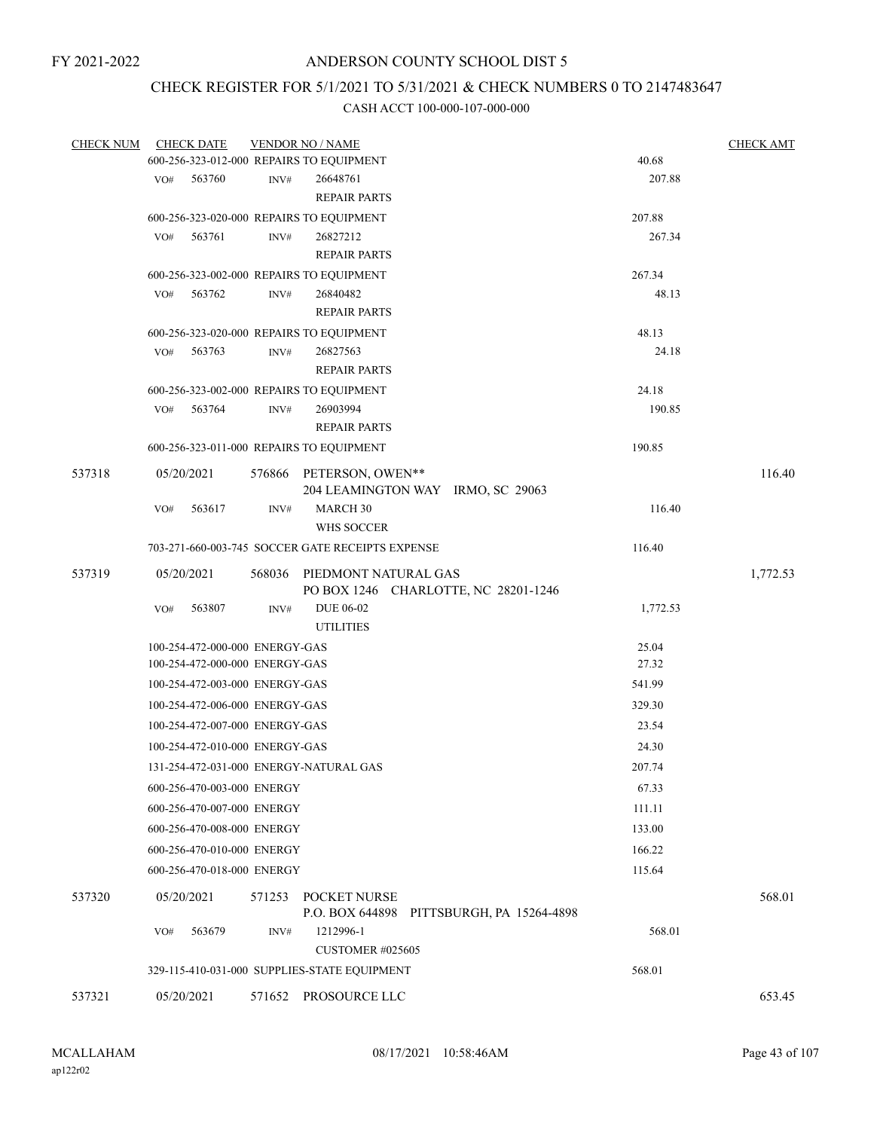### CHECK REGISTER FOR 5/1/2021 TO 5/31/2021 & CHECK NUMBERS 0 TO 2147483647

| <b>CHECK NUM</b> | <b>CHECK DATE</b>                        |                | <b>VENDOR NO / NAME</b>                                |          | <b>CHECK AMT</b> |
|------------------|------------------------------------------|----------------|--------------------------------------------------------|----------|------------------|
|                  | 600-256-323-012-000 REPAIRS TO EQUIPMENT |                |                                                        | 40.68    |                  |
|                  | 563760<br>VO#                            | $\text{INV}\#$ | 26648761                                               | 207.88   |                  |
|                  |                                          |                | <b>REPAIR PARTS</b>                                    |          |                  |
|                  | 600-256-323-020-000 REPAIRS TO EQUIPMENT |                |                                                        | 207.88   |                  |
|                  | 563761<br>VO#                            | INV#           | 26827212                                               | 267.34   |                  |
|                  |                                          |                | <b>REPAIR PARTS</b>                                    |          |                  |
|                  | 600-256-323-002-000 REPAIRS TO EQUIPMENT |                |                                                        | 267.34   |                  |
|                  | 563762<br>VO#                            | INV#           | 26840482                                               | 48.13    |                  |
|                  |                                          |                | <b>REPAIR PARTS</b>                                    |          |                  |
|                  | 600-256-323-020-000 REPAIRS TO EQUIPMENT |                |                                                        | 48.13    |                  |
|                  | 563763<br>VO#                            | INV#           | 26827563                                               | 24.18    |                  |
|                  |                                          |                | <b>REPAIR PARTS</b>                                    |          |                  |
|                  | 600-256-323-002-000 REPAIRS TO EQUIPMENT |                |                                                        | 24.18    |                  |
|                  | 563764<br>VO#                            | INV#           | 26903994                                               | 190.85   |                  |
|                  |                                          |                | <b>REPAIR PARTS</b>                                    |          |                  |
|                  | 600-256-323-011-000 REPAIRS TO EQUIPMENT |                |                                                        | 190.85   |                  |
| 537318           | 05/20/2021                               |                | 576866 PETERSON, OWEN**                                |          | 116.40           |
|                  |                                          |                | 204 LEAMINGTON WAY IRMO, SC 29063                      |          |                  |
|                  | 563617<br>VO#                            | INV#           | MARCH 30                                               | 116.40   |                  |
|                  |                                          |                | WHS SOCCER                                             |          |                  |
|                  |                                          |                | 703-271-660-003-745 SOCCER GATE RECEIPTS EXPENSE       | 116.40   |                  |
| 537319           | 05/20/2021                               |                | 568036 PIEDMONT NATURAL GAS                            |          | 1,772.53         |
|                  |                                          |                | PO BOX 1246 CHARLOTTE, NC 28201-1246                   |          |                  |
|                  | 563807<br>VO#                            | INV#           | <b>DUE 06-02</b>                                       | 1,772.53 |                  |
|                  |                                          |                | <b>UTILITIES</b>                                       |          |                  |
|                  | 100-254-472-000-000 ENERGY-GAS           |                |                                                        | 25.04    |                  |
|                  | 100-254-472-000-000 ENERGY-GAS           |                |                                                        | 27.32    |                  |
|                  | 100-254-472-003-000 ENERGY-GAS           |                |                                                        | 541.99   |                  |
|                  | 100-254-472-006-000 ENERGY-GAS           |                |                                                        | 329.30   |                  |
|                  | 100-254-472-007-000 ENERGY-GAS           |                |                                                        | 23.54    |                  |
|                  | 100-254-472-010-000 ENERGY-GAS           |                |                                                        | 24.30    |                  |
|                  | 131-254-472-031-000 ENERGY-NATURAL GAS   |                |                                                        | 207.74   |                  |
|                  | 600-256-470-003-000 ENERGY               |                |                                                        | 67.33    |                  |
|                  | 600-256-470-007-000 ENERGY               |                |                                                        | 111.11   |                  |
|                  |                                          |                |                                                        |          |                  |
|                  | 600-256-470-008-000 ENERGY               |                |                                                        | 133.00   |                  |
|                  | 600-256-470-010-000 ENERGY               |                |                                                        | 166.22   |                  |
|                  | 600-256-470-018-000 ENERGY               |                |                                                        | 115.64   |                  |
| 537320           | 05/20/2021                               | 571253         | POCKET NURSE                                           |          | 568.01           |
|                  | 563679                                   |                | P.O. BOX 644898 PITTSBURGH, PA 15264-4898<br>1212996-1 | 568.01   |                  |
|                  | VO#                                      | INV#           | <b>CUSTOMER #025605</b>                                |          |                  |
|                  |                                          |                |                                                        |          |                  |
|                  |                                          |                | 329-115-410-031-000 SUPPLIES-STATE EQUIPMENT           | 568.01   |                  |
| 537321           | 05/20/2021                               |                | 571652 PROSOURCE LLC                                   |          | 653.45           |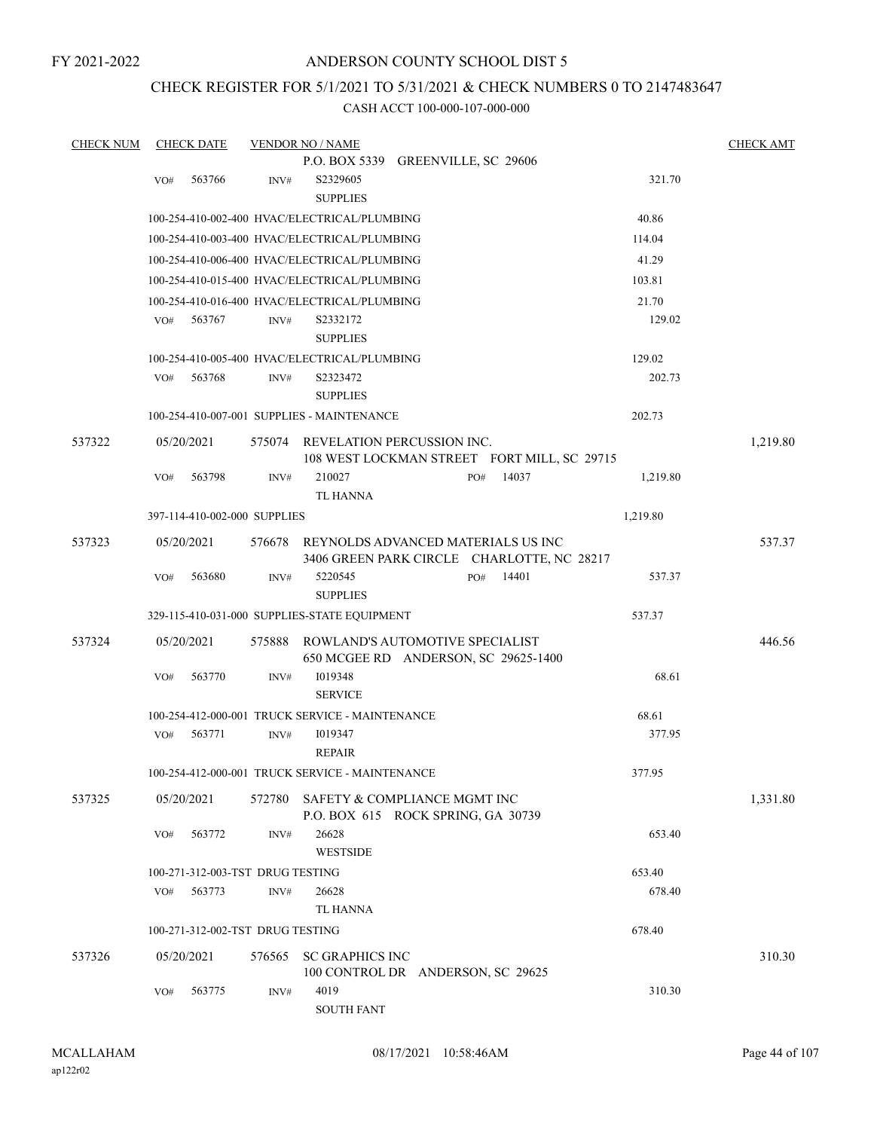### ANDERSON COUNTY SCHOOL DIST 5

### CHECK REGISTER FOR 5/1/2021 TO 5/31/2021 & CHECK NUMBERS 0 TO 2147483647

| <b>CHECK NUM</b> |     | <b>CHECK DATE</b> |                                  | <b>VENDOR NO / NAME</b>                         |     |       |          |        | <b>CHECK AMT</b> |
|------------------|-----|-------------------|----------------------------------|-------------------------------------------------|-----|-------|----------|--------|------------------|
|                  |     |                   |                                  | P.O. BOX 5339 GREENVILLE, SC 29606              |     |       |          |        |                  |
|                  | VO# | 563766            | INV#                             | S2329605                                        |     |       |          | 321.70 |                  |
|                  |     |                   |                                  | <b>SUPPLIES</b>                                 |     |       |          |        |                  |
|                  |     |                   |                                  | 100-254-410-002-400 HVAC/ELECTRICAL/PLUMBING    |     |       | 40.86    |        |                  |
|                  |     |                   |                                  | 100-254-410-003-400 HVAC/ELECTRICAL/PLUMBING    |     |       | 114.04   |        |                  |
|                  |     |                   |                                  | 100-254-410-006-400 HVAC/ELECTRICAL/PLUMBING    |     |       | 41.29    |        |                  |
|                  |     |                   |                                  | 100-254-410-015-400 HVAC/ELECTRICAL/PLUMBING    |     |       | 103.81   |        |                  |
|                  |     |                   |                                  | 100-254-410-016-400 HVAC/ELECTRICAL/PLUMBING    |     |       | 21.70    |        |                  |
|                  | VO# | 563767            | INV#                             | S2332172                                        |     |       |          | 129.02 |                  |
|                  |     |                   |                                  | <b>SUPPLIES</b>                                 |     |       |          |        |                  |
|                  |     |                   |                                  | 100-254-410-005-400 HVAC/ELECTRICAL/PLUMBING    |     |       | 129.02   |        |                  |
|                  | VO# | 563768            | INV#                             | S2323472                                        |     |       |          | 202.73 |                  |
|                  |     |                   |                                  | <b>SUPPLIES</b>                                 |     |       |          |        |                  |
|                  |     |                   |                                  | 100-254-410-007-001 SUPPLIES - MAINTENANCE      |     |       | 202.73   |        |                  |
| 537322           |     | 05/20/2021        | 575074                           | REVELATION PERCUSSION INC.                      |     |       |          |        | 1,219.80         |
|                  |     |                   |                                  | 108 WEST LOCKMAN STREET FORT MILL, SC 29715     |     |       |          |        |                  |
|                  | VO# | 563798            | INV#                             | 210027                                          | PO# | 14037 | 1,219.80 |        |                  |
|                  |     |                   |                                  | TL HANNA                                        |     |       |          |        |                  |
|                  |     |                   | 397-114-410-002-000 SUPPLIES     |                                                 |     |       | 1,219.80 |        |                  |
| 537323           |     | 05/20/2021        | 576678                           | REYNOLDS ADVANCED MATERIALS US INC              |     |       |          |        | 537.37           |
|                  |     |                   |                                  | 3406 GREEN PARK CIRCLE CHARLOTTE, NC 28217      |     |       |          |        |                  |
|                  | VO# | 563680            | INV#                             | 5220545                                         | PO# | 14401 |          | 537.37 |                  |
|                  |     |                   |                                  | <b>SUPPLIES</b>                                 |     |       |          |        |                  |
|                  |     |                   |                                  | 329-115-410-031-000 SUPPLIES-STATE EQUIPMENT    |     |       | 537.37   |        |                  |
| 537324           |     | 05/20/2021        | 575888                           | ROWLAND'S AUTOMOTIVE SPECIALIST                 |     |       |          |        | 446.56           |
|                  |     |                   |                                  | 650 MCGEE RD ANDERSON, SC 29625-1400            |     |       |          |        |                  |
|                  | VO# | 563770            | INV#                             | 1019348                                         |     |       |          | 68.61  |                  |
|                  |     |                   |                                  | <b>SERVICE</b>                                  |     |       |          |        |                  |
|                  |     |                   |                                  | 100-254-412-000-001 TRUCK SERVICE - MAINTENANCE |     |       | 68.61    |        |                  |
|                  | VO# | 563771            | INV#                             | 1019347                                         |     |       | 377.95   |        |                  |
|                  |     |                   |                                  | <b>REPAIR</b>                                   |     |       |          |        |                  |
|                  |     |                   |                                  | 100-254-412-000-001 TRUCK SERVICE - MAINTENANCE |     |       | 377.95   |        |                  |
| 537325           |     | 05/20/2021        | 572780                           | SAFETY & COMPLIANCE MGMT INC                    |     |       |          |        | 1,331.80         |
|                  |     |                   |                                  | P.O. BOX 615 ROCK SPRING, GA 30739              |     |       |          |        |                  |
|                  | VO# | 563772            | INV#                             | 26628                                           |     |       |          | 653.40 |                  |
|                  |     |                   |                                  | <b>WESTSIDE</b>                                 |     |       |          |        |                  |
|                  |     |                   | 100-271-312-003-TST DRUG TESTING |                                                 |     |       | 653.40   |        |                  |
|                  | VO# | 563773            | INV#                             | 26628                                           |     |       |          | 678.40 |                  |
|                  |     |                   |                                  | TL HANNA                                        |     |       |          |        |                  |
|                  |     |                   | 100-271-312-002-TST DRUG TESTING |                                                 |     |       | 678.40   |        |                  |
| 537326           |     | 05/20/2021        | 576565                           | <b>SC GRAPHICS INC</b>                          |     |       |          |        | 310.30           |
|                  |     |                   |                                  | 100 CONTROL DR ANDERSON, SC 29625               |     |       |          |        |                  |
|                  | VO# | 563775            | INV#                             | 4019                                            |     |       |          | 310.30 |                  |
|                  |     |                   |                                  | <b>SOUTH FANT</b>                               |     |       |          |        |                  |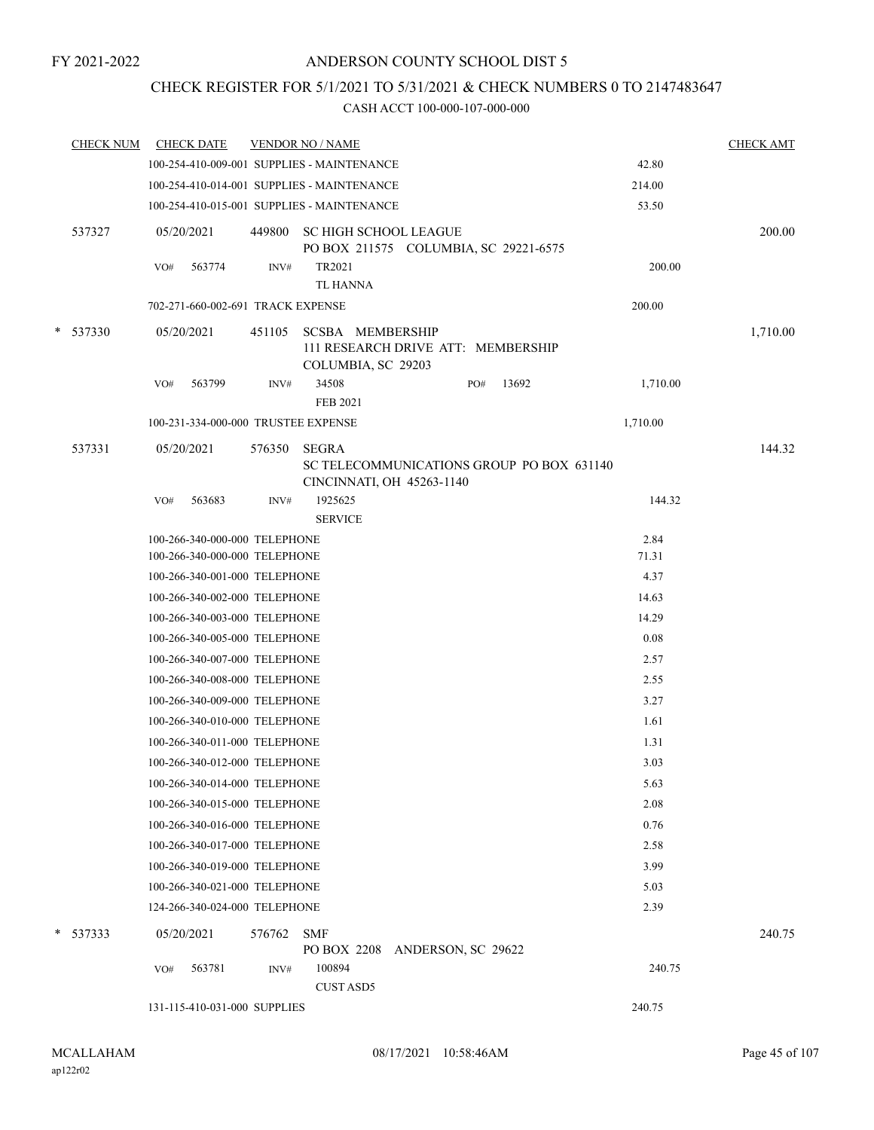### CHECK REGISTER FOR 5/1/2021 TO 5/31/2021 & CHECK NUMBERS 0 TO 2147483647

|   | <b>CHECK NUM</b> | <b>CHECK DATE</b>                                              |        | <b>VENDOR NO / NAME</b>                                                             |     |       |               | <b>CHECK AMT</b> |
|---|------------------|----------------------------------------------------------------|--------|-------------------------------------------------------------------------------------|-----|-------|---------------|------------------|
|   |                  | 100-254-410-009-001 SUPPLIES - MAINTENANCE                     |        |                                                                                     |     |       | 42.80         |                  |
|   |                  | 100-254-410-014-001 SUPPLIES - MAINTENANCE                     |        |                                                                                     |     |       | 214.00        |                  |
|   |                  | 100-254-410-015-001 SUPPLIES - MAINTENANCE                     |        |                                                                                     |     |       | 53.50         |                  |
|   | 537327           | 05/20/2021                                                     | 449800 | <b>SC HIGH SCHOOL LEAGUE</b><br>PO BOX 211575 COLUMBIA, SC 29221-6575               |     |       |               | 200.00           |
|   |                  | 563774<br>VO#                                                  | INV#   | TR2021                                                                              |     |       | 200.00        |                  |
|   |                  |                                                                |        | TL HANNA                                                                            |     |       |               |                  |
|   |                  | 702-271-660-002-691 TRACK EXPENSE                              |        |                                                                                     |     |       | 200.00        |                  |
| * | 537330           | 05/20/2021                                                     | 451105 | <b>SCSBA MEMBERSHIP</b><br>111 RESEARCH DRIVE ATT: MEMBERSHIP<br>COLUMBIA, SC 29203 |     |       |               | 1,710.00         |
|   |                  | 563799<br>VO#                                                  | INV#   | 34508<br>FEB 2021                                                                   | PO# | 13692 | 1,710.00      |                  |
|   |                  | 100-231-334-000-000 TRUSTEE EXPENSE                            |        |                                                                                     |     |       | 1,710.00      |                  |
|   | 537331           | 05/20/2021                                                     | 576350 | <b>SEGRA</b><br>SC TELECOMMUNICATIONS GROUP PO BOX 631140                           |     |       |               | 144.32           |
|   |                  | 563683<br>VO#                                                  | INV#   | CINCINNATI, OH 45263-1140<br>1925625                                                |     |       | 144.32        |                  |
|   |                  |                                                                |        | <b>SERVICE</b>                                                                      |     |       |               |                  |
|   |                  | 100-266-340-000-000 TELEPHONE<br>100-266-340-000-000 TELEPHONE |        |                                                                                     |     |       | 2.84<br>71.31 |                  |
|   |                  | 100-266-340-001-000 TELEPHONE                                  |        |                                                                                     |     |       | 4.37          |                  |
|   |                  | 100-266-340-002-000 TELEPHONE                                  |        |                                                                                     |     |       | 14.63         |                  |
|   |                  | 100-266-340-003-000 TELEPHONE                                  |        |                                                                                     |     |       | 14.29         |                  |
|   |                  | 100-266-340-005-000 TELEPHONE                                  |        |                                                                                     |     |       | 0.08          |                  |
|   |                  | 100-266-340-007-000 TELEPHONE                                  |        |                                                                                     |     |       | 2.57          |                  |
|   |                  | 100-266-340-008-000 TELEPHONE                                  |        |                                                                                     |     |       | 2.55          |                  |
|   |                  | 100-266-340-009-000 TELEPHONE                                  |        |                                                                                     |     |       | 3.27          |                  |
|   |                  | 100-266-340-010-000 TELEPHONE                                  |        |                                                                                     |     |       | 1.61          |                  |
|   |                  | 100-266-340-011-000 TELEPHONE                                  |        |                                                                                     |     |       | 1.31          |                  |
|   |                  | 100-266-340-012-000 TELEPHONE                                  |        |                                                                                     |     |       | 3.03          |                  |
|   |                  | 100-266-340-014-000 TELEPHONE                                  |        |                                                                                     |     |       | 5.63          |                  |
|   |                  | 100-266-340-015-000 TELEPHONE                                  |        |                                                                                     |     |       | 2.08          |                  |
|   |                  | 100-266-340-016-000 TELEPHONE                                  |        |                                                                                     |     |       | 0.76          |                  |
|   |                  | 100-266-340-017-000 TELEPHONE                                  |        |                                                                                     |     |       | 2.58          |                  |
|   |                  | 100-266-340-019-000 TELEPHONE                                  |        |                                                                                     |     |       | 3.99          |                  |
|   |                  | 100-266-340-021-000 TELEPHONE                                  |        |                                                                                     |     |       | 5.03          |                  |
|   |                  | 124-266-340-024-000 TELEPHONE                                  |        |                                                                                     |     |       | 2.39          |                  |
| * | 537333           | 05/20/2021                                                     | 576762 | <b>SMF</b>                                                                          |     |       |               | 240.75           |
|   |                  |                                                                |        | PO BOX 2208 ANDERSON, SC 29622                                                      |     |       |               |                  |
|   |                  | 563781<br>VO#                                                  | INV#   | 100894                                                                              |     |       | 240.75        |                  |
|   |                  |                                                                |        | <b>CUST ASD5</b>                                                                    |     |       |               |                  |
|   |                  | 131-115-410-031-000 SUPPLIES                                   |        |                                                                                     |     |       | 240.75        |                  |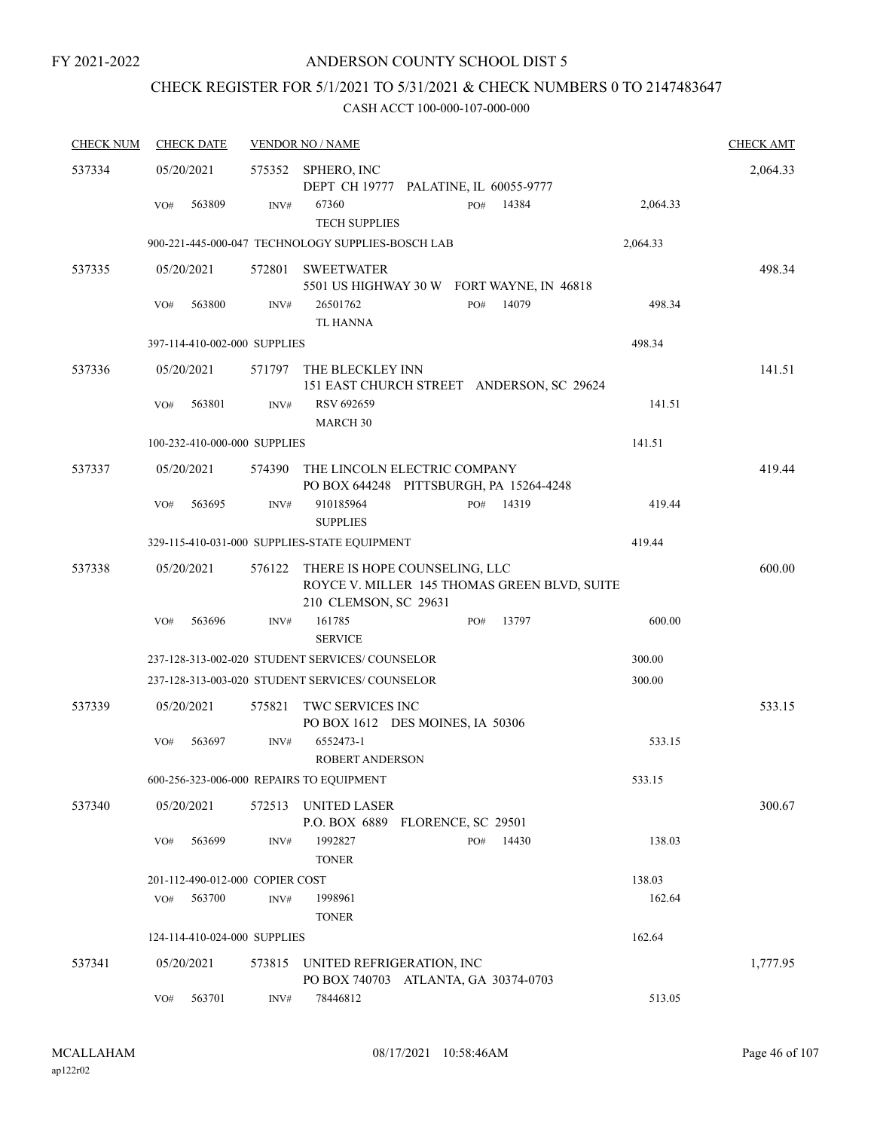### CHECK REGISTER FOR 5/1/2021 TO 5/31/2021 & CHECK NUMBERS 0 TO 2147483647

| <b>CHECK NUM</b> | <b>CHECK DATE</b>                        |                | <b>VENDOR NO / NAME</b>                                                                                       |          | <b>CHECK AMT</b> |
|------------------|------------------------------------------|----------------|---------------------------------------------------------------------------------------------------------------|----------|------------------|
| 537334           | 05/20/2021                               |                | 575352 SPHERO, INC<br>DEPT CH 19777 PALATINE, IL 60055-9777                                                   |          | 2,064.33         |
|                  | 563809<br>VO#                            | $\text{INV}\#$ | 67360<br>14384<br>PO#<br><b>TECH SUPPLIES</b>                                                                 | 2,064.33 |                  |
|                  |                                          |                | 900-221-445-000-047 TECHNOLOGY SUPPLIES-BOSCH LAB                                                             | 2,064.33 |                  |
| 537335           | 05/20/2021                               |                | 572801 SWEETWATER<br>5501 US HIGHWAY 30 W FORT WAYNE, IN 46818                                                |          | 498.34           |
|                  | 563800<br>VO#                            | INV#           | 14079<br>26501762<br>PO#<br><b>TL HANNA</b>                                                                   | 498.34   |                  |
|                  | 397-114-410-002-000 SUPPLIES             |                |                                                                                                               | 498.34   |                  |
| 537336           | 05/20/2021                               |                | 571797 THE BLECKLEY INN<br>151 EAST CHURCH STREET ANDERSON, SC 29624                                          |          | 141.51           |
|                  | 563801<br>VO#                            | INV#           | RSV 692659<br>MARCH <sub>30</sub>                                                                             | 141.51   |                  |
|                  | 100-232-410-000-000 SUPPLIES             |                |                                                                                                               | 141.51   |                  |
| 537337           | 05/20/2021                               | 574390         | THE LINCOLN ELECTRIC COMPANY<br>PO BOX 644248 PITTSBURGH, PA 15264-4248                                       |          | 419.44           |
|                  | 563695<br>VO#                            | INV#           | 910185964<br>14319<br>PO#<br><b>SUPPLIES</b>                                                                  | 419.44   |                  |
|                  |                                          |                | 329-115-410-031-000 SUPPLIES-STATE EQUIPMENT                                                                  | 419.44   |                  |
| 537338           | 05/20/2021                               |                | 576122 THERE IS HOPE COUNSELING, LLC<br>ROYCE V. MILLER 145 THOMAS GREEN BLVD, SUITE<br>210 CLEMSON, SC 29631 |          | 600.00           |
|                  | 563696<br>VO#                            | INV#           | 161785<br>PO#<br>13797<br><b>SERVICE</b>                                                                      | 600.00   |                  |
|                  |                                          |                | 237-128-313-002-020 STUDENT SERVICES/ COUNSELOR                                                               | 300.00   |                  |
|                  |                                          |                | 237-128-313-003-020 STUDENT SERVICES/ COUNSELOR                                                               | 300.00   |                  |
| 537339           | 05/20/2021                               | 575821         | TWC SERVICES INC<br>PO BOX 1612 DES MOINES, IA 50306                                                          |          | 533.15           |
|                  | 563697<br>VO#                            | INV#           | 6552473-1<br>ROBERT ANDERSON                                                                                  | 533.15   |                  |
|                  | 600-256-323-006-000 REPAIRS TO EQUIPMENT |                |                                                                                                               | 533.15   |                  |
| 537340           | 05/20/2021                               | 572513         | UNITED LASER<br>P.O. BOX 6889 FLORENCE, SC 29501                                                              |          | 300.67           |
|                  | 563699<br>VO#                            | INV#           | 1992827<br>14430<br>PO#<br><b>TONER</b>                                                                       | 138.03   |                  |
|                  | 201-112-490-012-000 COPIER COST          |                |                                                                                                               | 138.03   |                  |
|                  | 563700<br>VO#                            | INV#           | 1998961<br><b>TONER</b>                                                                                       | 162.64   |                  |
|                  | 124-114-410-024-000 SUPPLIES             |                |                                                                                                               | 162.64   |                  |
| 537341           | 05/20/2021                               | 573815         | UNITED REFRIGERATION, INC<br>PO BOX 740703 ATLANTA, GA 30374-0703                                             |          | 1,777.95         |
|                  | 563701<br>VO#                            | INV#           | 78446812                                                                                                      | 513.05   |                  |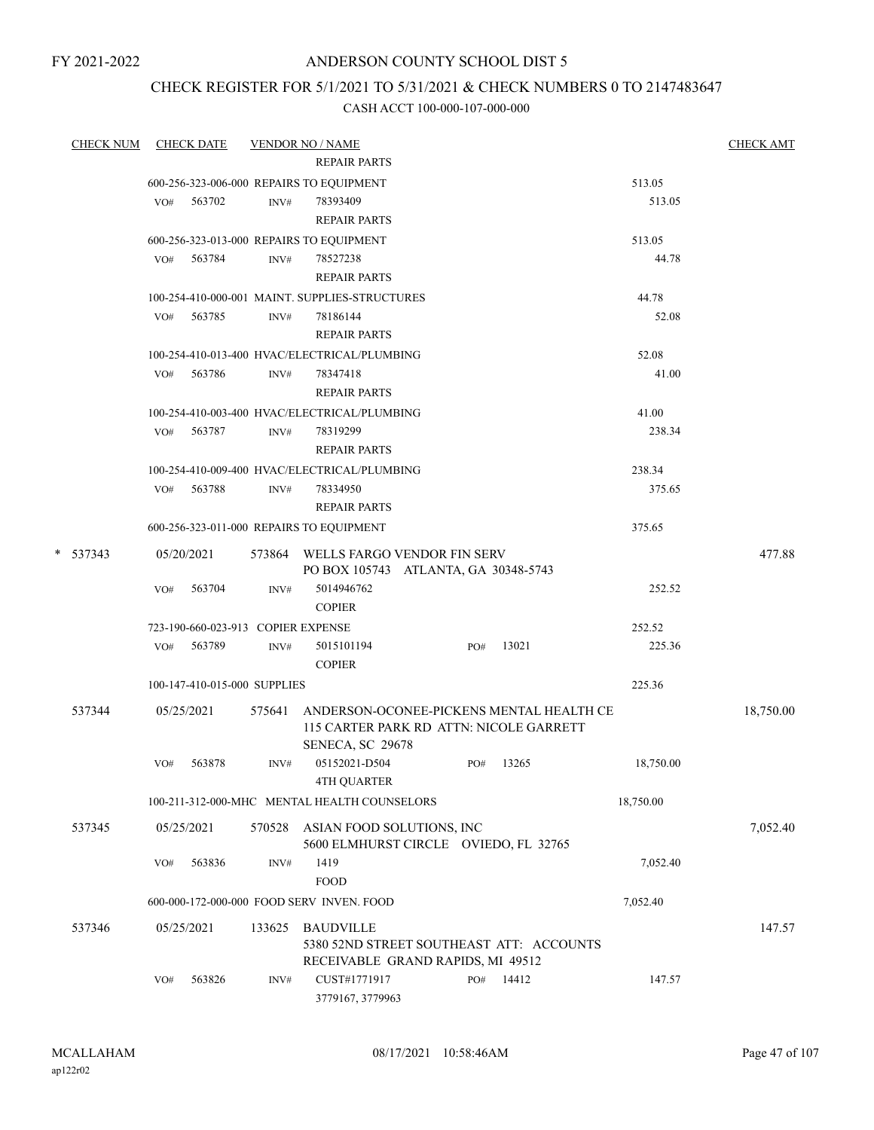### ANDERSON COUNTY SCHOOL DIST 5

### CHECK REGISTER FOR 5/1/2021 TO 5/31/2021 & CHECK NUMBERS 0 TO 2147483647

| <b>CHECK NUM</b> |     | <b>CHECK DATE</b>                  |        | <b>VENDOR NO / NAME</b><br><b>REPAIR PARTS</b>                                      |     |       |           | <b>CHECK AMT</b> |
|------------------|-----|------------------------------------|--------|-------------------------------------------------------------------------------------|-----|-------|-----------|------------------|
|                  |     |                                    |        | 600-256-323-006-000 REPAIRS TO EQUIPMENT                                            |     |       | 513.05    |                  |
|                  | VO# | 563702                             | INV#   | 78393409                                                                            |     |       | 513.05    |                  |
|                  |     |                                    |        | <b>REPAIR PARTS</b>                                                                 |     |       |           |                  |
|                  |     |                                    |        | 600-256-323-013-000 REPAIRS TO EQUIPMENT                                            |     |       | 513.05    |                  |
|                  |     | VO# 563784                         | INV#   | 78527238                                                                            |     |       | 44.78     |                  |
|                  |     |                                    |        | <b>REPAIR PARTS</b>                                                                 |     |       |           |                  |
|                  |     |                                    |        | 100-254-410-000-001 MAINT. SUPPLIES-STRUCTURES                                      |     |       | 44.78     |                  |
|                  | VO# | 563785                             | INV#   | 78186144                                                                            |     |       | 52.08     |                  |
|                  |     |                                    |        | <b>REPAIR PARTS</b>                                                                 |     |       |           |                  |
|                  |     |                                    |        | 100-254-410-013-400 HVAC/ELECTRICAL/PLUMBING                                        |     |       | 52.08     |                  |
|                  | VO# | 563786                             | INV#   | 78347418                                                                            |     |       | 41.00     |                  |
|                  |     |                                    |        | <b>REPAIR PARTS</b>                                                                 |     |       |           |                  |
|                  |     |                                    |        | 100-254-410-003-400 HVAC/ELECTRICAL/PLUMBING                                        |     |       | 41.00     |                  |
|                  |     | VO# 563787                         | INV#   | 78319299                                                                            |     |       | 238.34    |                  |
|                  |     |                                    |        | <b>REPAIR PARTS</b>                                                                 |     |       |           |                  |
|                  |     |                                    |        | 100-254-410-009-400 HVAC/ELECTRICAL/PLUMBING                                        |     |       | 238.34    |                  |
|                  | VO# | 563788                             | INV#   | 78334950                                                                            |     |       | 375.65    |                  |
|                  |     |                                    |        | <b>REPAIR PARTS</b>                                                                 |     |       |           |                  |
|                  |     |                                    |        | 600-256-323-011-000 REPAIRS TO EQUIPMENT                                            |     |       | 375.65    |                  |
| $* 537343$       |     | 05/20/2021                         |        | 573864 WELLS FARGO VENDOR FIN SERV<br>PO BOX 105743 ATLANTA, GA 30348-5743          |     |       |           | 477.88           |
|                  | VO# | 563704                             | INV#   | 5014946762                                                                          |     |       | 252.52    |                  |
|                  |     |                                    |        | <b>COPIER</b>                                                                       |     |       |           |                  |
|                  |     | 723-190-660-023-913 COPIER EXPENSE |        |                                                                                     |     |       | 252.52    |                  |
|                  | VO# | 563789                             | INV#   | 5015101194                                                                          | PO# | 13021 | 225.36    |                  |
|                  |     |                                    |        | <b>COPIER</b>                                                                       |     |       |           |                  |
|                  |     | 100-147-410-015-000 SUPPLIES       |        |                                                                                     |     |       | 225.36    |                  |
| 537344           |     | 05/25/2021                         | 575641 | ANDERSON-OCONEE-PICKENS MENTAL HEALTH CE<br>115 CARTER PARK RD ATTN: NICOLE GARRETT |     |       |           | 18,750.00        |
|                  |     | 563878                             | INV#   | SENECA, SC 29678<br>05152021-D504                                                   | PO# | 13265 | 18,750.00 |                  |
|                  | VO# |                                    |        | <b>4TH QUARTER</b>                                                                  |     |       |           |                  |
|                  |     |                                    |        | 100-211-312-000-MHC MENTAL HEALTH COUNSELORS                                        |     |       | 18,750.00 |                  |
|                  |     |                                    |        |                                                                                     |     |       |           |                  |
| 537345           |     | 05/25/2021                         | 570528 | ASIAN FOOD SOLUTIONS, INC                                                           |     |       |           | 7,052.40         |
|                  |     |                                    |        | 5600 ELMHURST CIRCLE OVIEDO, FL 32765<br>1419                                       |     |       |           |                  |
|                  | VO# | 563836                             | INV#   | <b>FOOD</b>                                                                         |     |       | 7,052.40  |                  |
|                  |     |                                    |        | 600-000-172-000-000 FOOD SERV INVEN. FOOD                                           |     |       | 7,052.40  |                  |
|                  |     |                                    |        |                                                                                     |     |       |           |                  |
| 537346           |     | 05/25/2021                         | 133625 | <b>BAUDVILLE</b>                                                                    |     |       |           | 147.57           |
|                  |     |                                    |        | 5380 52ND STREET SOUTHEAST ATT: ACCOUNTS                                            |     |       |           |                  |
|                  | VO# | 563826                             | INV#   | RECEIVABLE GRAND RAPIDS, MI 49512<br>CUST#1771917                                   | PO# | 14412 | 147.57    |                  |
|                  |     |                                    |        | 3779167, 3779963                                                                    |     |       |           |                  |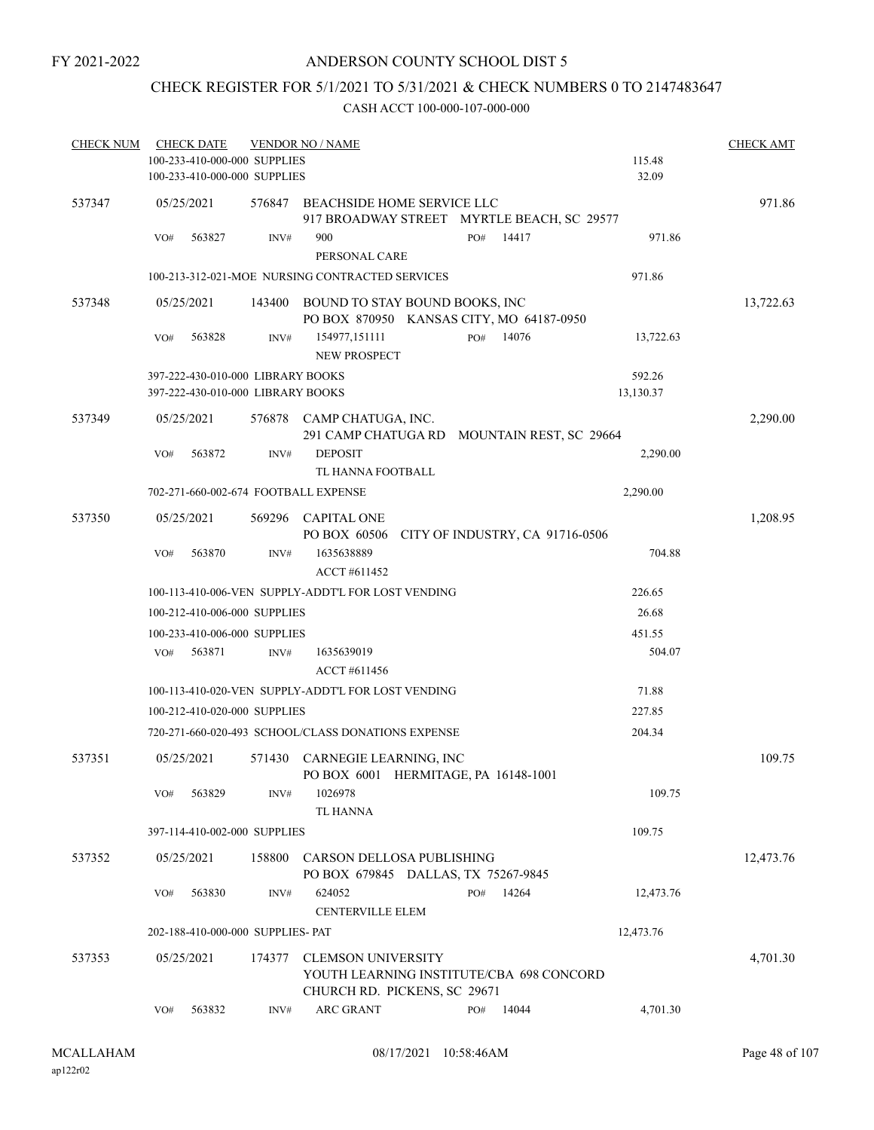### ANDERSON COUNTY SCHOOL DIST 5

### CHECK REGISTER FOR 5/1/2021 TO 5/31/2021 & CHECK NUMBERS 0 TO 2147483647

| <b>CHECK NUM</b> | <b>CHECK DATE</b><br>100-233-410-000-000 SUPPLIES |        | <b>VENDOR NO / NAME</b>                                                                        |              | 115.48    | <b>CHECK AMT</b> |
|------------------|---------------------------------------------------|--------|------------------------------------------------------------------------------------------------|--------------|-----------|------------------|
|                  | 100-233-410-000-000 SUPPLIES                      |        |                                                                                                |              | 32.09     |                  |
| 537347           | 05/25/2021                                        |        | 576847 BEACHSIDE HOME SERVICE LLC<br>917 BROADWAY STREET MYRTLE BEACH, SC 29577                |              |           | 971.86           |
|                  | 563827<br>VO#                                     | INV#   | 900<br>PERSONAL CARE                                                                           | 14417<br>PO# | 971.86    |                  |
|                  |                                                   |        | 100-213-312-021-MOE NURSING CONTRACTED SERVICES                                                |              | 971.86    |                  |
| 537348           | 05/25/2021                                        |        | 143400 BOUND TO STAY BOUND BOOKS, INC<br>PO BOX 870950 KANSAS CITY, MO 64187-0950              |              |           | 13,722.63        |
|                  | 563828<br>VO#                                     | INV#   | 154977,151111<br>NEW PROSPECT                                                                  | PO#<br>14076 | 13,722.63 |                  |
|                  | 397-222-430-010-000 LIBRARY BOOKS                 |        |                                                                                                |              | 592.26    |                  |
|                  | 397-222-430-010-000 LIBRARY BOOKS                 |        |                                                                                                |              | 13,130.37 |                  |
| 537349           | 05/25/2021                                        | 576878 | CAMP CHATUGA, INC.<br>291 CAMP CHATUGA RD MOUNTAIN REST, SC 29664                              |              |           | 2,290.00         |
|                  | VO#<br>563872                                     | INV#   | <b>DEPOSIT</b>                                                                                 |              | 2,290.00  |                  |
|                  |                                                   |        | TL HANNA FOOTBALL                                                                              |              |           |                  |
|                  | 702-271-660-002-674 FOOTBALL EXPENSE              |        |                                                                                                |              | 2,290.00  |                  |
| 537350           | 05/25/2021                                        |        | 569296 CAPITAL ONE<br>PO BOX 60506 CITY OF INDUSTRY, CA 91716-0506                             |              |           | 1,208.95         |
|                  | 563870<br>VO#                                     | INV#   | 1635638889<br>ACCT #611452                                                                     |              | 704.88    |                  |
|                  |                                                   |        | 100-113-410-006-VEN SUPPLY-ADDT'L FOR LOST VENDING                                             |              | 226.65    |                  |
|                  | 100-212-410-006-000 SUPPLIES                      |        |                                                                                                |              | 26.68     |                  |
|                  | 100-233-410-006-000 SUPPLIES                      |        |                                                                                                |              | 451.55    |                  |
|                  | 563871<br>VO#                                     | INV#   | 1635639019                                                                                     |              | 504.07    |                  |
|                  |                                                   |        | ACCT #611456                                                                                   |              |           |                  |
|                  |                                                   |        | 100-113-410-020-VEN SUPPLY-ADDT'L FOR LOST VENDING                                             |              | 71.88     |                  |
|                  | 100-212-410-020-000 SUPPLIES                      |        |                                                                                                |              | 227.85    |                  |
|                  |                                                   |        | 720-271-660-020-493 SCHOOL/CLASS DONATIONS EXPENSE                                             |              | 204.34    |                  |
| 537351           | 05/25/2021                                        |        | 571430 CARNEGIE LEARNING, INC<br>PO BOX 6001 HERMITAGE, PA 16148-1001                          |              |           | 109.75           |
|                  | 563829<br>VO#                                     | INV#   | 1026978<br>TL HANNA                                                                            |              | 109.75    |                  |
|                  | 397-114-410-002-000 SUPPLIES                      |        |                                                                                                |              | 109.75    |                  |
| 537352           | 05/25/2021                                        | 158800 | CARSON DELLOSA PUBLISHING                                                                      |              |           | 12,473.76        |
|                  | 563830<br>VO#                                     | INV#   | PO BOX 679845 DALLAS, TX 75267-9845<br>624052<br>CENTERVILLE ELEM                              | 14264<br>PO# | 12,473.76 |                  |
|                  | 202-188-410-000-000 SUPPLIES- PAT                 |        |                                                                                                |              | 12,473.76 |                  |
|                  |                                                   |        |                                                                                                |              |           |                  |
| 537353           | 05/25/2021                                        | 174377 | CLEMSON UNIVERSITY<br>YOUTH LEARNING INSTITUTE/CBA 698 CONCORD<br>CHURCH RD. PICKENS, SC 29671 |              |           | 4,701.30         |
|                  | 563832<br>VO#                                     | INV#   | <b>ARC GRANT</b>                                                                               | 14044<br>PO# | 4,701.30  |                  |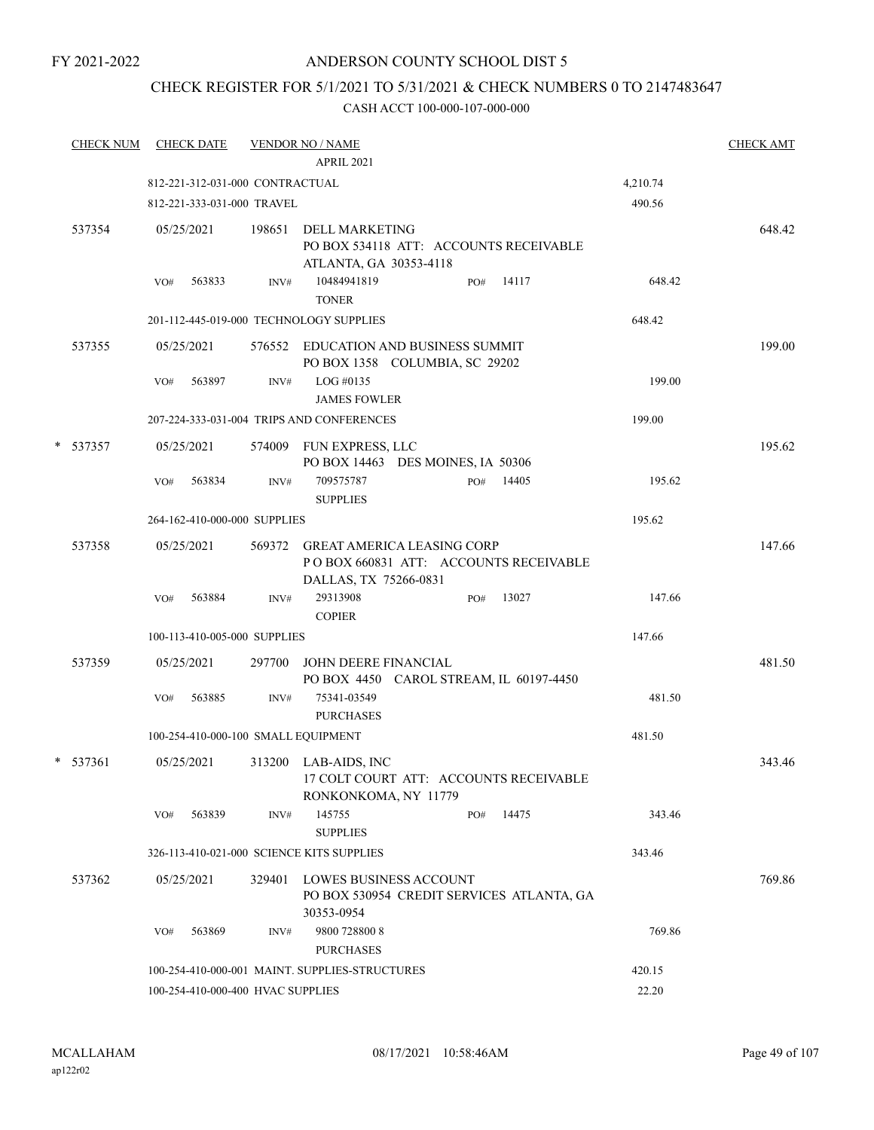### ANDERSON COUNTY SCHOOL DIST 5

## CHECK REGISTER FOR 5/1/2021 TO 5/31/2021 & CHECK NUMBERS 0 TO 2147483647

|   | <b>CHECK NUM</b> |     | <b>CHECK DATE</b>                 |        | <b>VENDOR NO / NAME</b><br>APRIL 2021                                                  |     |       |          | <b>CHECK AMT</b> |
|---|------------------|-----|-----------------------------------|--------|----------------------------------------------------------------------------------------|-----|-------|----------|------------------|
|   |                  |     | 812-221-312-031-000 CONTRACTUAL   |        |                                                                                        |     |       |          |                  |
|   |                  |     |                                   |        |                                                                                        |     |       | 4,210.74 |                  |
|   |                  |     | 812-221-333-031-000 TRAVEL        |        |                                                                                        |     |       | 490.56   |                  |
|   | 537354           |     | 05/25/2021                        |        | 198651 DELL MARKETING<br>PO BOX 534118 ATT: ACCOUNTS RECEIVABLE                        |     |       |          | 648.42           |
|   |                  | VO# | 563833                            | INV#   | ATLANTA, GA 30353-4118<br>10484941819<br><b>TONER</b>                                  | PO# | 14117 | 648.42   |                  |
|   |                  |     |                                   |        | 201-112-445-019-000 TECHNOLOGY SUPPLIES                                                |     |       | 648.42   |                  |
|   | 537355           |     | 05/25/2021                        |        | 576552 EDUCATION AND BUSINESS SUMMIT<br>PO BOX 1358 COLUMBIA, SC 29202                 |     |       |          | 199.00           |
|   |                  | VO# | 563897                            | INV#   | LOG #0135<br><b>JAMES FOWLER</b>                                                       |     |       | 199.00   |                  |
|   |                  |     |                                   |        | 207-224-333-031-004 TRIPS AND CONFERENCES                                              |     |       | 199.00   |                  |
| * | 537357           |     | 05/25/2021                        |        | 574009 FUN EXPRESS, LLC<br>PO BOX 14463 DES MOINES, IA 50306                           |     |       |          | 195.62           |
|   |                  | VO# | 563834                            | INV#   | 709575787<br><b>SUPPLIES</b>                                                           | PO# | 14405 | 195.62   |                  |
|   |                  |     | 264-162-410-000-000 SUPPLIES      |        |                                                                                        |     |       | 195.62   |                  |
|   | 537358           |     | 05/25/2021                        |        | 569372 GREAT AMERICA LEASING CORP<br>POBOX 660831 ATT: ACCOUNTS RECEIVABLE             |     |       |          | 147.66           |
|   |                  | VO# | 563884                            | INV#   | DALLAS, TX 75266-0831<br>29313908<br><b>COPIER</b>                                     | PO# | 13027 | 147.66   |                  |
|   |                  |     | 100-113-410-005-000 SUPPLIES      |        |                                                                                        |     |       | 147.66   |                  |
|   | 537359           |     | 05/25/2021                        | 297700 | JOHN DEERE FINANCIAL<br>PO BOX 4450 CAROL STREAM, IL 60197-4450                        |     |       |          | 481.50           |
|   |                  | VO# | 563885                            | INV#   | 75341-03549<br><b>PURCHASES</b>                                                        |     |       | 481.50   |                  |
|   |                  |     |                                   |        | 100-254-410-000-100 SMALL EQUIPMENT                                                    |     |       | 481.50   |                  |
|   | $* 537361$       |     | 05/25/2021                        |        | 313200 LAB-AIDS, INC<br>17 COLT COURT ATT: ACCOUNTS RECEIVABLE<br>RONKONKOMA, NY 11779 |     |       |          | 343.46           |
|   |                  | VO# | 563839                            | INV#   | 145755<br><b>SUPPLIES</b>                                                              | PO# | 14475 | 343.46   |                  |
|   |                  |     |                                   |        | 326-113-410-021-000 SCIENCE KITS SUPPLIES                                              |     |       | 343.46   |                  |
|   | 537362           |     | 05/25/2021                        | 329401 | LOWES BUSINESS ACCOUNT<br>PO BOX 530954 CREDIT SERVICES ATLANTA, GA<br>30353-0954      |     |       |          | 769.86           |
|   |                  | VO# | 563869                            | INV#   | 9800 728800 8<br><b>PURCHASES</b>                                                      |     |       | 769.86   |                  |
|   |                  |     |                                   |        | 100-254-410-000-001 MAINT. SUPPLIES-STRUCTURES                                         |     |       | 420.15   |                  |
|   |                  |     | 100-254-410-000-400 HVAC SUPPLIES |        |                                                                                        |     |       | 22.20    |                  |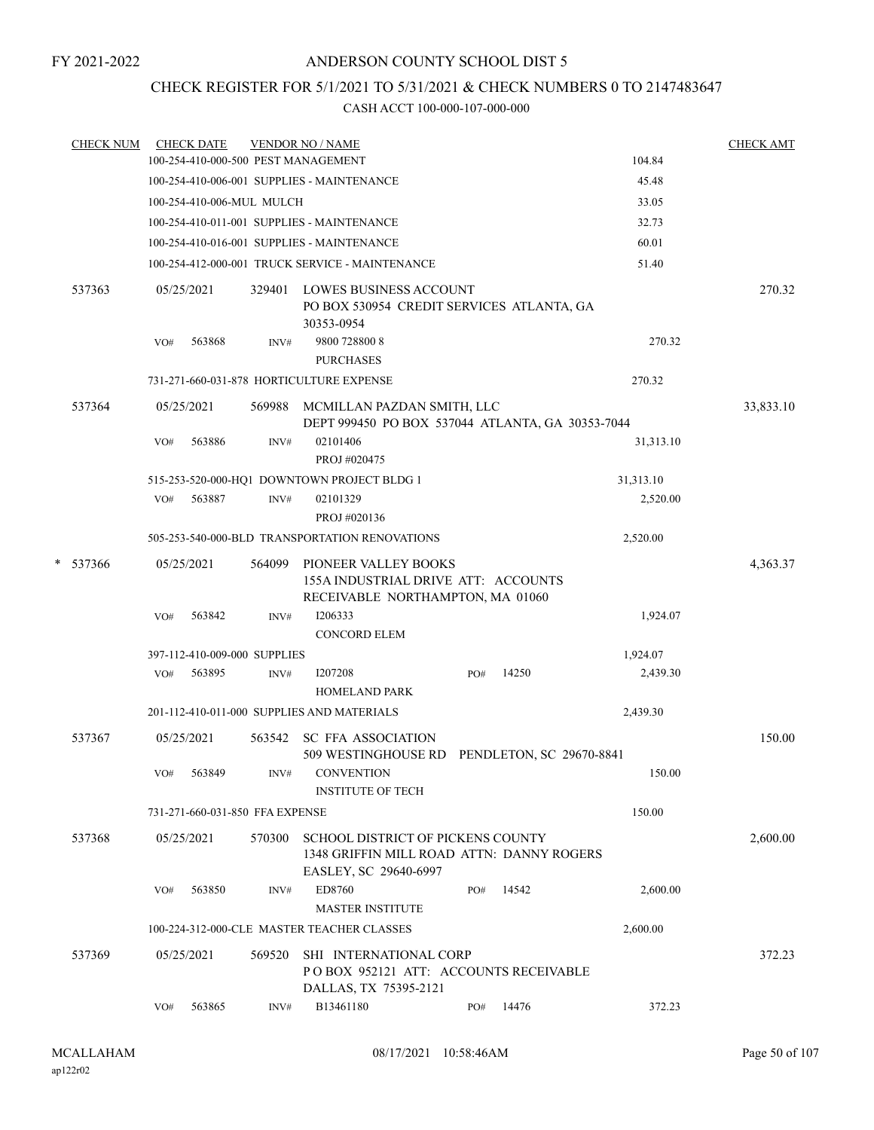### CHECK REGISTER FOR 5/1/2021 TO 5/31/2021 & CHECK NUMBERS 0 TO 2147483647

|   | <b>CHECK NUM</b> |     | <b>CHECK DATE</b>               |        | <b>VENDOR NO / NAME</b><br>100-254-410-000-500 PEST MANAGEMENT                                          |     |       | 104.84    | <b>CHECK AMT</b> |
|---|------------------|-----|---------------------------------|--------|---------------------------------------------------------------------------------------------------------|-----|-------|-----------|------------------|
|   |                  |     |                                 |        | 100-254-410-006-001 SUPPLIES - MAINTENANCE                                                              |     |       |           |                  |
|   |                  |     |                                 |        |                                                                                                         |     |       | 45.48     |                  |
|   |                  |     | 100-254-410-006-MUL MULCH       |        |                                                                                                         |     |       | 33.05     |                  |
|   |                  |     |                                 |        | 100-254-410-011-001 SUPPLIES - MAINTENANCE                                                              |     |       | 32.73     |                  |
|   |                  |     |                                 |        | 100-254-410-016-001 SUPPLIES - MAINTENANCE                                                              |     |       | 60.01     |                  |
|   |                  |     |                                 |        | 100-254-412-000-001 TRUCK SERVICE - MAINTENANCE                                                         |     |       | 51.40     |                  |
|   | 537363           |     | 05/25/2021                      | 329401 | LOWES BUSINESS ACCOUNT<br>PO BOX 530954 CREDIT SERVICES ATLANTA, GA<br>30353-0954                       |     |       |           | 270.32           |
|   |                  | VO# | 563868                          | INV#   | 9800 728800 8<br><b>PURCHASES</b>                                                                       |     |       | 270.32    |                  |
|   |                  |     |                                 |        | 731-271-660-031-878 HORTICULTURE EXPENSE                                                                |     |       | 270.32    |                  |
|   | 537364           |     | 05/25/2021                      | 569988 | MCMILLAN PAZDAN SMITH, LLC<br>DEPT 999450 PO BOX 537044 ATLANTA, GA 30353-7044                          |     |       |           | 33,833.10        |
|   |                  | VO# | 563886                          | INV#   | 02101406<br>PROJ #020475                                                                                |     |       | 31,313.10 |                  |
|   |                  |     |                                 |        | 515-253-520-000-HQ1 DOWNTOWN PROJECT BLDG 1                                                             |     |       | 31,313.10 |                  |
|   |                  | VO# | 563887                          | INV#   | 02101329                                                                                                |     |       | 2,520.00  |                  |
|   |                  |     |                                 |        | PROJ #020136                                                                                            |     |       |           |                  |
|   |                  |     |                                 |        | 505-253-540-000-BLD TRANSPORTATION RENOVATIONS                                                          |     |       | 2,520.00  |                  |
| * | 537366           |     | 05/25/2021                      | 564099 | PIONEER VALLEY BOOKS<br>155A INDUSTRIAL DRIVE ATT: ACCOUNTS                                             |     |       |           | 4,363.37         |
|   |                  | VO# | 563842                          | INV#   | RECEIVABLE NORTHAMPTON, MA 01060<br>1206333<br><b>CONCORD ELEM</b>                                      |     |       | 1,924.07  |                  |
|   |                  |     | 397-112-410-009-000 SUPPLIES    |        |                                                                                                         |     |       | 1,924.07  |                  |
|   |                  | VO# | 563895                          | INV#   | I207208                                                                                                 | PO# | 14250 | 2,439.30  |                  |
|   |                  |     |                                 |        | <b>HOMELAND PARK</b>                                                                                    |     |       |           |                  |
|   |                  |     |                                 |        | 201-112-410-011-000 SUPPLIES AND MATERIALS                                                              |     |       | 2,439.30  |                  |
|   | 537367           |     | 05/25/2021                      | 563542 | SC FFA ASSOCIATION<br>509 WESTINGHOUSE RD PENDLETON, SC 29670-8841                                      |     |       |           | 150.00           |
|   |                  | VO# | 563849                          | INV#   | CONVENTION<br><b>INSTITUTE OF TECH</b>                                                                  |     |       | 150.00    |                  |
|   |                  |     | 731-271-660-031-850 FFA EXPENSE |        |                                                                                                         |     |       | 150.00    |                  |
|   | 537368           |     | 05/25/2021                      | 570300 | SCHOOL DISTRICT OF PICKENS COUNTY<br>1348 GRIFFIN MILL ROAD ATTN: DANNY ROGERS<br>EASLEY, SC 29640-6997 |     |       |           | 2,600.00         |
|   |                  | VO# | 563850                          | INV#   | ED8760<br><b>MASTER INSTITUTE</b>                                                                       | PO# | 14542 | 2,600.00  |                  |
|   |                  |     |                                 |        | 100-224-312-000-CLE MASTER TEACHER CLASSES                                                              |     |       | 2.600.00  |                  |
|   | 537369           |     | 05/25/2021                      | 569520 | SHI INTERNATIONAL CORP<br>POBOX 952121 ATT: ACCOUNTS RECEIVABLE<br>DALLAS, TX 75395-2121                |     |       |           | 372.23           |
|   |                  | VO# | 563865                          | INV#   | B13461180                                                                                               | PO# | 14476 | 372.23    |                  |
|   |                  |     |                                 |        |                                                                                                         |     |       |           |                  |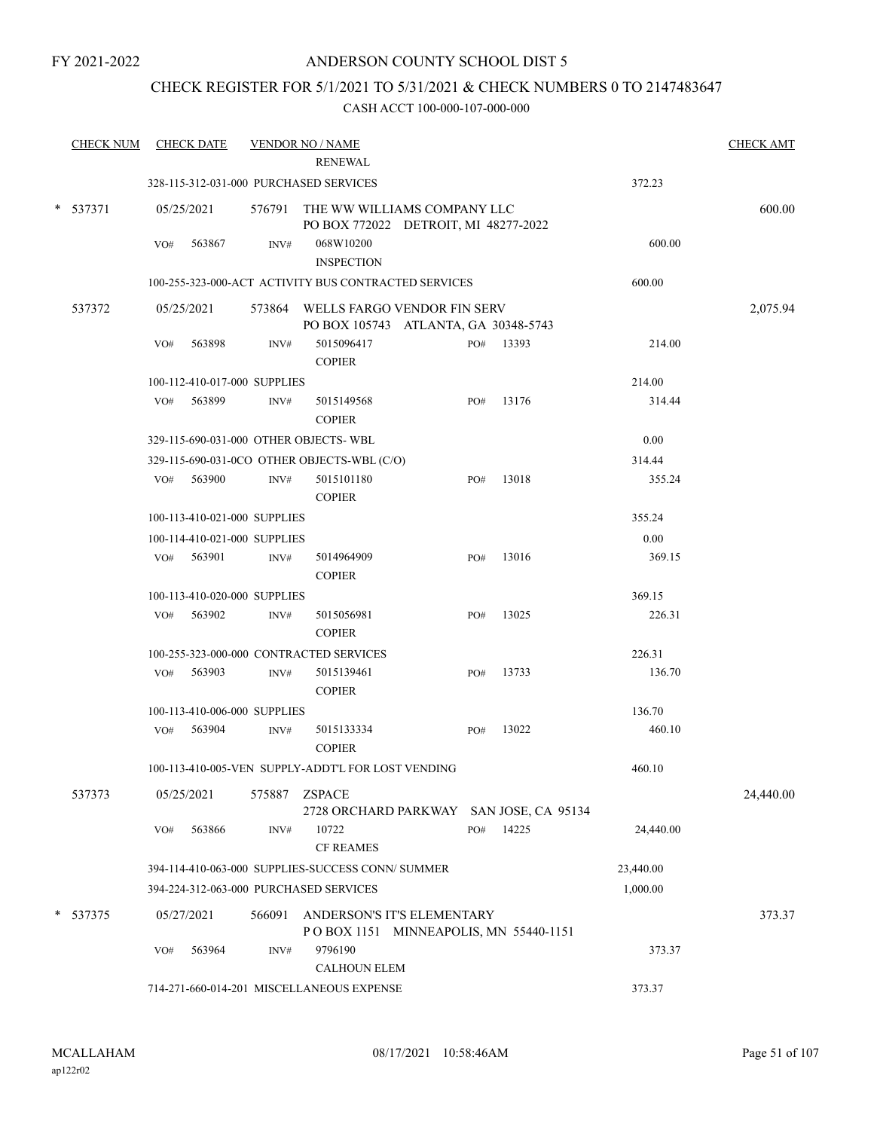### CHECK REGISTER FOR 5/1/2021 TO 5/31/2021 & CHECK NUMBERS 0 TO 2147483647

| <b>CHECK NUM</b> |     | <b>CHECK DATE</b>            |        | <b>VENDOR NO / NAME</b><br><b>RENEWAL</b>                                  |     |       |           | <b>CHECK AMT</b> |
|------------------|-----|------------------------------|--------|----------------------------------------------------------------------------|-----|-------|-----------|------------------|
|                  |     |                              |        | 328-115-312-031-000 PURCHASED SERVICES                                     |     |       | 372.23    |                  |
| * 537371         |     | 05/25/2021                   |        | 576791 THE WW WILLIAMS COMPANY LLC<br>PO BOX 772022 DETROIT, MI 48277-2022 |     |       |           | 600.00           |
|                  | VO# | 563867                       | INV#   | 068W10200<br><b>INSPECTION</b>                                             |     |       | 600.00    |                  |
|                  |     |                              |        | 100-255-323-000-ACT ACTIVITY BUS CONTRACTED SERVICES                       |     |       | 600.00    |                  |
| 537372           |     | 05/25/2021                   |        | 573864 WELLS FARGO VENDOR FIN SERV<br>PO BOX 105743 ATLANTA, GA 30348-5743 |     |       |           | 2,075.94         |
|                  | VO# | 563898                       | INV#   | 5015096417<br><b>COPIER</b>                                                | PO# | 13393 | 214.00    |                  |
|                  |     | 100-112-410-017-000 SUPPLIES |        |                                                                            |     |       | 214.00    |                  |
|                  | VO# | 563899                       | INV#   | 5015149568<br><b>COPIER</b>                                                | PO# | 13176 | 314.44    |                  |
|                  |     |                              |        | 329-115-690-031-000 OTHER OBJECTS-WBL                                      |     |       | 0.00      |                  |
|                  |     |                              |        | 329-115-690-031-0CO OTHER OBJECTS-WBL (C/O)                                |     |       | 314.44    |                  |
|                  |     | VO# 563900                   | INV#   | 5015101180<br><b>COPIER</b>                                                | PO# | 13018 | 355.24    |                  |
|                  |     | 100-113-410-021-000 SUPPLIES |        |                                                                            |     |       | 355.24    |                  |
|                  |     | 100-114-410-021-000 SUPPLIES |        |                                                                            |     |       | 0.00      |                  |
|                  |     | VO# 563901                   | INV#   | 5014964909<br><b>COPIER</b>                                                | PO# | 13016 | 369.15    |                  |
|                  |     | 100-113-410-020-000 SUPPLIES |        |                                                                            |     |       | 369.15    |                  |
|                  | VO# | 563902                       | INV#   | 5015056981<br><b>COPIER</b>                                                | PO# | 13025 | 226.31    |                  |
|                  |     |                              |        | 100-255-323-000-000 CONTRACTED SERVICES                                    |     |       | 226.31    |                  |
|                  | VO# | 563903                       | INV#   | 5015139461<br><b>COPIER</b>                                                | PO# | 13733 | 136.70    |                  |
|                  |     | 100-113-410-006-000 SUPPLIES |        |                                                                            |     |       | 136.70    |                  |
|                  |     | VO# 563904                   | INV#   | 5015133334<br><b>COPIER</b>                                                | PO# | 13022 | 460.10    |                  |
|                  |     |                              |        | 100-113-410-005-VEN SUPPLY-ADDT'L FOR LOST VENDING                         |     |       | 460.10    |                  |
| 537373           |     | 05/25/2021                   | 575887 | <b>ZSPACE</b><br>2728 ORCHARD PARKWAY SAN JOSE, CA 95134                   |     |       |           | 24,440.00        |
|                  | VO# | 563866                       | INV#   | 10722<br><b>CF REAMES</b>                                                  | PO# | 14225 | 24,440.00 |                  |
|                  |     |                              |        | 394-114-410-063-000 SUPPLIES-SUCCESS CONN/ SUMMER                          |     |       | 23,440.00 |                  |
|                  |     |                              |        | 394-224-312-063-000 PURCHASED SERVICES                                     |     |       | 1,000.00  |                  |
| $*$ 537375       |     | 05/27/2021                   | 566091 | ANDERSON'S IT'S ELEMENTARY<br>POBOX 1151 MINNEAPOLIS, MN 55440-1151        |     |       |           | 373.37           |
|                  | VO# | 563964                       | INV#   | 9796190<br><b>CALHOUN ELEM</b>                                             |     |       | 373.37    |                  |
|                  |     |                              |        | 714-271-660-014-201 MISCELLANEOUS EXPENSE                                  |     |       | 373.37    |                  |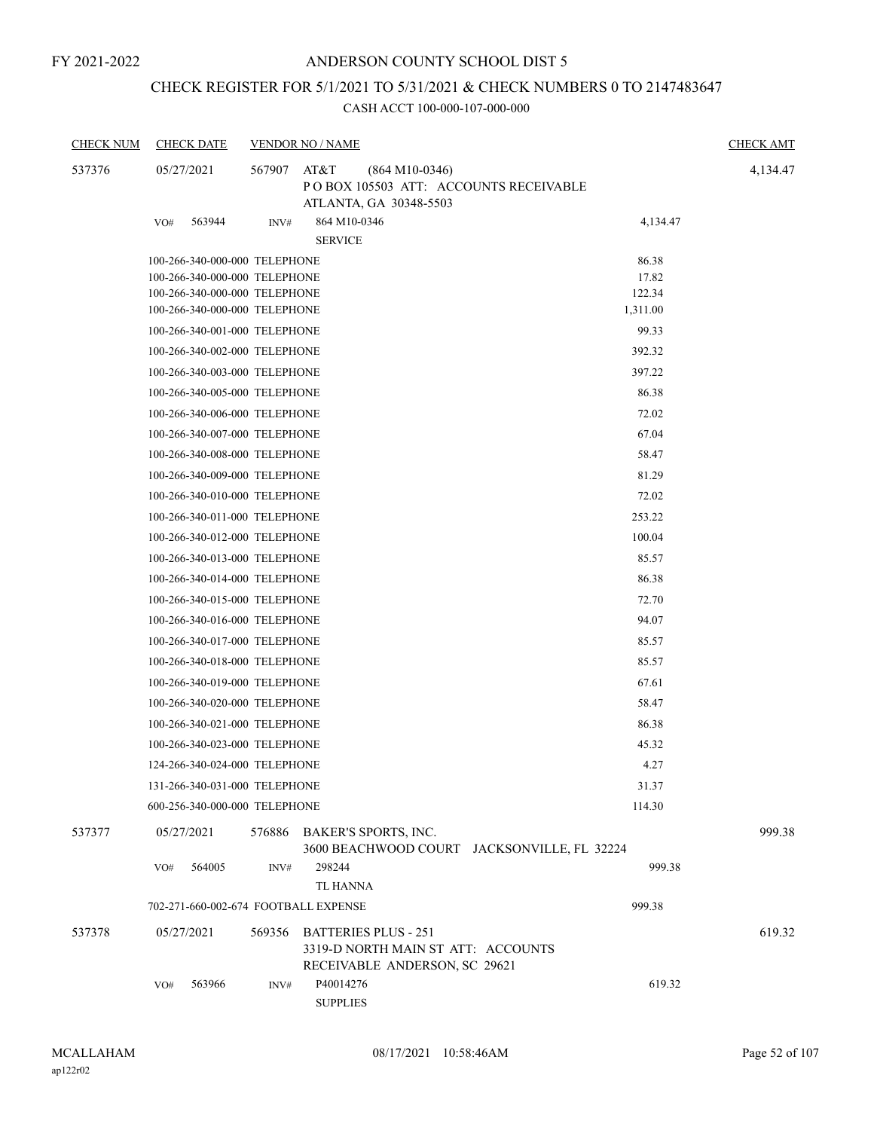### CHECK REGISTER FOR 5/1/2021 TO 5/31/2021 & CHECK NUMBERS 0 TO 2147483647

| <b>CHECK NUM</b> | <b>CHECK DATE</b>                    |        | <b>VENDOR NO / NAME</b>                                                                            |                                             | <b>CHECK AMT</b> |
|------------------|--------------------------------------|--------|----------------------------------------------------------------------------------------------------|---------------------------------------------|------------------|
| 537376           | 05/27/2021                           | 567907 | AT&T<br>$(864 M10-0346)$<br>POBOX 105503 ATT: ACCOUNTS RECEIVABLE<br>ATLANTA, GA 30348-5503        |                                             | 4,134.47         |
|                  | 563944<br>VO#                        | INV#   | 864 M10-0346<br><b>SERVICE</b>                                                                     | 4,134.47                                    |                  |
|                  | 100-266-340-000-000 TELEPHONE        |        |                                                                                                    | 86.38                                       |                  |
|                  | 100-266-340-000-000 TELEPHONE        |        |                                                                                                    | 17.82                                       |                  |
|                  | 100-266-340-000-000 TELEPHONE        |        |                                                                                                    | 122.34                                      |                  |
|                  | 100-266-340-000-000 TELEPHONE        |        |                                                                                                    | 1,311.00                                    |                  |
|                  | 100-266-340-001-000 TELEPHONE        |        |                                                                                                    | 99.33                                       |                  |
|                  | 100-266-340-002-000 TELEPHONE        |        |                                                                                                    | 392.32                                      |                  |
|                  | 100-266-340-003-000 TELEPHONE        |        |                                                                                                    | 397.22                                      |                  |
|                  | 100-266-340-005-000 TELEPHONE        |        |                                                                                                    | 86.38                                       |                  |
|                  | 100-266-340-006-000 TELEPHONE        |        |                                                                                                    | 72.02                                       |                  |
|                  | 100-266-340-007-000 TELEPHONE        |        |                                                                                                    | 67.04                                       |                  |
|                  | 100-266-340-008-000 TELEPHONE        |        |                                                                                                    | 58.47                                       |                  |
|                  | 100-266-340-009-000 TELEPHONE        |        |                                                                                                    | 81.29                                       |                  |
|                  | 100-266-340-010-000 TELEPHONE        |        |                                                                                                    | 72.02                                       |                  |
|                  | 100-266-340-011-000 TELEPHONE        |        |                                                                                                    | 253.22                                      |                  |
|                  | 100-266-340-012-000 TELEPHONE        |        |                                                                                                    | 100.04                                      |                  |
|                  | 100-266-340-013-000 TELEPHONE        |        |                                                                                                    | 85.57                                       |                  |
|                  | 100-266-340-014-000 TELEPHONE        |        |                                                                                                    | 86.38                                       |                  |
|                  | 100-266-340-015-000 TELEPHONE        |        |                                                                                                    | 72.70                                       |                  |
|                  | 100-266-340-016-000 TELEPHONE        |        |                                                                                                    | 94.07                                       |                  |
|                  | 100-266-340-017-000 TELEPHONE        |        |                                                                                                    | 85.57                                       |                  |
|                  | 100-266-340-018-000 TELEPHONE        |        |                                                                                                    | 85.57                                       |                  |
|                  | 100-266-340-019-000 TELEPHONE        |        |                                                                                                    | 67.61                                       |                  |
|                  | 100-266-340-020-000 TELEPHONE        |        |                                                                                                    | 58.47                                       |                  |
|                  | 100-266-340-021-000 TELEPHONE        |        |                                                                                                    | 86.38                                       |                  |
|                  | 100-266-340-023-000 TELEPHONE        |        |                                                                                                    | 45.32                                       |                  |
|                  | 124-266-340-024-000 TELEPHONE        |        |                                                                                                    | 4.27                                        |                  |
|                  | 131-266-340-031-000 TELEPHONE        |        |                                                                                                    | 31.37                                       |                  |
|                  | 600-256-340-000-000 TELEPHONE        |        |                                                                                                    | 114.30                                      |                  |
| 537377           | 05/27/2021                           | 576886 | BAKER'S SPORTS, INC.                                                                               | 3600 BEACHWOOD COURT JACKSONVILLE, FL 32224 | 999.38           |
|                  | 564005<br>VO#                        | INV#   | 298244<br><b>TL HANNA</b>                                                                          | 999.38                                      |                  |
|                  | 702-271-660-002-674 FOOTBALL EXPENSE |        |                                                                                                    | 999.38                                      |                  |
| 537378           | 05/27/2021                           | 569356 | <b>BATTERIES PLUS - 251</b><br>3319-D NORTH MAIN ST ATT: ACCOUNTS<br>RECEIVABLE ANDERSON, SC 29621 |                                             | 619.32           |
|                  | 563966<br>VO#                        | INV#   | P40014276<br><b>SUPPLIES</b>                                                                       | 619.32                                      |                  |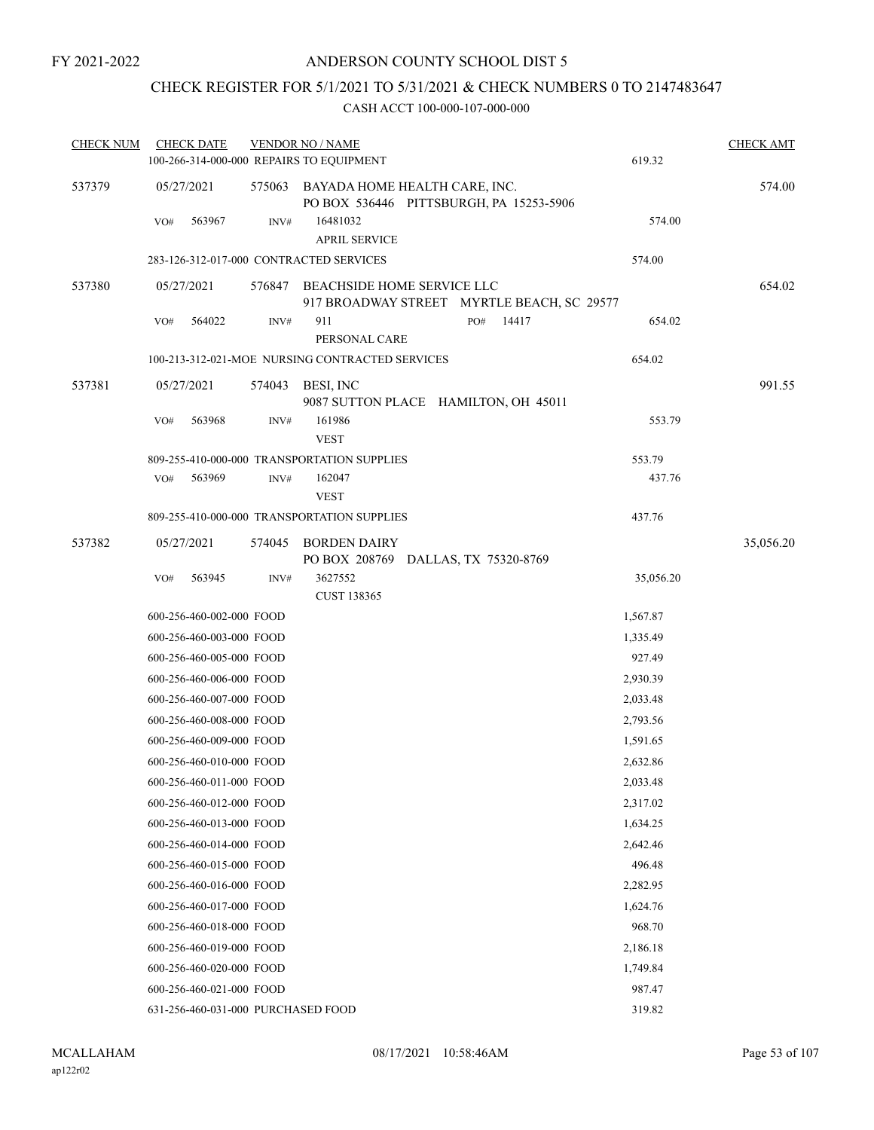### CHECK REGISTER FOR 5/1/2021 TO 5/31/2021 & CHECK NUMBERS 0 TO 2147483647

| <b>CHECK NUM</b> | <b>CHECK DATE</b><br>100-266-314-000-000 REPAIRS TO EQUIPMENT |        | <b>VENDOR NO / NAME</b>                                                         | 619.32    | <b>CHECK AMT</b> |
|------------------|---------------------------------------------------------------|--------|---------------------------------------------------------------------------------|-----------|------------------|
| 537379           | 05/27/2021                                                    |        | 575063 BAYADA HOME HEALTH CARE, INC.<br>PO BOX 536446 PITTSBURGH, PA 15253-5906 |           | 574.00           |
|                  | 563967<br>VO#                                                 | INV#   | 16481032<br><b>APRIL SERVICE</b>                                                | 574.00    |                  |
|                  | 283-126-312-017-000 CONTRACTED SERVICES                       |        |                                                                                 | 574.00    |                  |
| 537380           | 05/27/2021                                                    | 576847 | BEACHSIDE HOME SERVICE LLC<br>917 BROADWAY STREET MYRTLE BEACH, SC 29577        |           | 654.02           |
|                  | 564022<br>VO#                                                 | INV#   | 911<br>14417<br>PO#<br>PERSONAL CARE                                            | 654.02    |                  |
|                  |                                                               |        | 100-213-312-021-MOE NURSING CONTRACTED SERVICES                                 | 654.02    |                  |
| 537381           | 05/27/2021                                                    | 574043 | BESI, INC<br>9087 SUTTON PLACE HAMILTON, OH 45011                               |           | 991.55           |
|                  | 563968<br>VO#                                                 | INV#   | 161986<br><b>VEST</b>                                                           | 553.79    |                  |
|                  |                                                               |        | 809-255-410-000-000 TRANSPORTATION SUPPLIES                                     | 553.79    |                  |
|                  | VO#<br>563969                                                 | INV#   | 162047<br><b>VEST</b>                                                           | 437.76    |                  |
|                  |                                                               |        | 809-255-410-000-000 TRANSPORTATION SUPPLIES                                     | 437.76    |                  |
| 537382           | 05/27/2021                                                    | 574045 | <b>BORDEN DAIRY</b>                                                             |           | 35,056.20        |
|                  | 563945<br>VO#                                                 | INV#   | PO BOX 208769 DALLAS, TX 75320-8769<br>3627552<br><b>CUST 138365</b>            | 35,056.20 |                  |
|                  | 600-256-460-002-000 FOOD                                      |        |                                                                                 | 1,567.87  |                  |
|                  | 600-256-460-003-000 FOOD                                      |        |                                                                                 | 1,335.49  |                  |
|                  | 600-256-460-005-000 FOOD                                      |        |                                                                                 | 927.49    |                  |
|                  | 600-256-460-006-000 FOOD                                      |        |                                                                                 | 2,930.39  |                  |
|                  | 600-256-460-007-000 FOOD                                      |        |                                                                                 | 2,033.48  |                  |
|                  | 600-256-460-008-000 FOOD                                      |        |                                                                                 | 2,793.56  |                  |
|                  | 600-256-460-009-000 FOOD                                      |        |                                                                                 | 1,591.65  |                  |
|                  | 600-256-460-010-000 FOOD                                      |        |                                                                                 | 2,632.86  |                  |
|                  | 600-256-460-011-000 FOOD                                      |        |                                                                                 | 2,033.48  |                  |
|                  | 600-256-460-012-000 FOOD                                      |        |                                                                                 | 2,317.02  |                  |
|                  | 600-256-460-013-000 FOOD                                      |        |                                                                                 | 1,634.25  |                  |
|                  | 600-256-460-014-000 FOOD                                      |        |                                                                                 | 2,642.46  |                  |
|                  | 600-256-460-015-000 FOOD                                      |        |                                                                                 | 496.48    |                  |
|                  | 600-256-460-016-000 FOOD                                      |        |                                                                                 | 2,282.95  |                  |
|                  | 600-256-460-017-000 FOOD                                      |        |                                                                                 | 1,624.76  |                  |
|                  | 600-256-460-018-000 FOOD                                      |        |                                                                                 | 968.70    |                  |
|                  | 600-256-460-019-000 FOOD                                      |        |                                                                                 | 2,186.18  |                  |
|                  | 600-256-460-020-000 FOOD                                      |        |                                                                                 | 1,749.84  |                  |
|                  | 600-256-460-021-000 FOOD                                      |        |                                                                                 | 987.47    |                  |
|                  | 631-256-460-031-000 PURCHASED FOOD                            |        |                                                                                 | 319.82    |                  |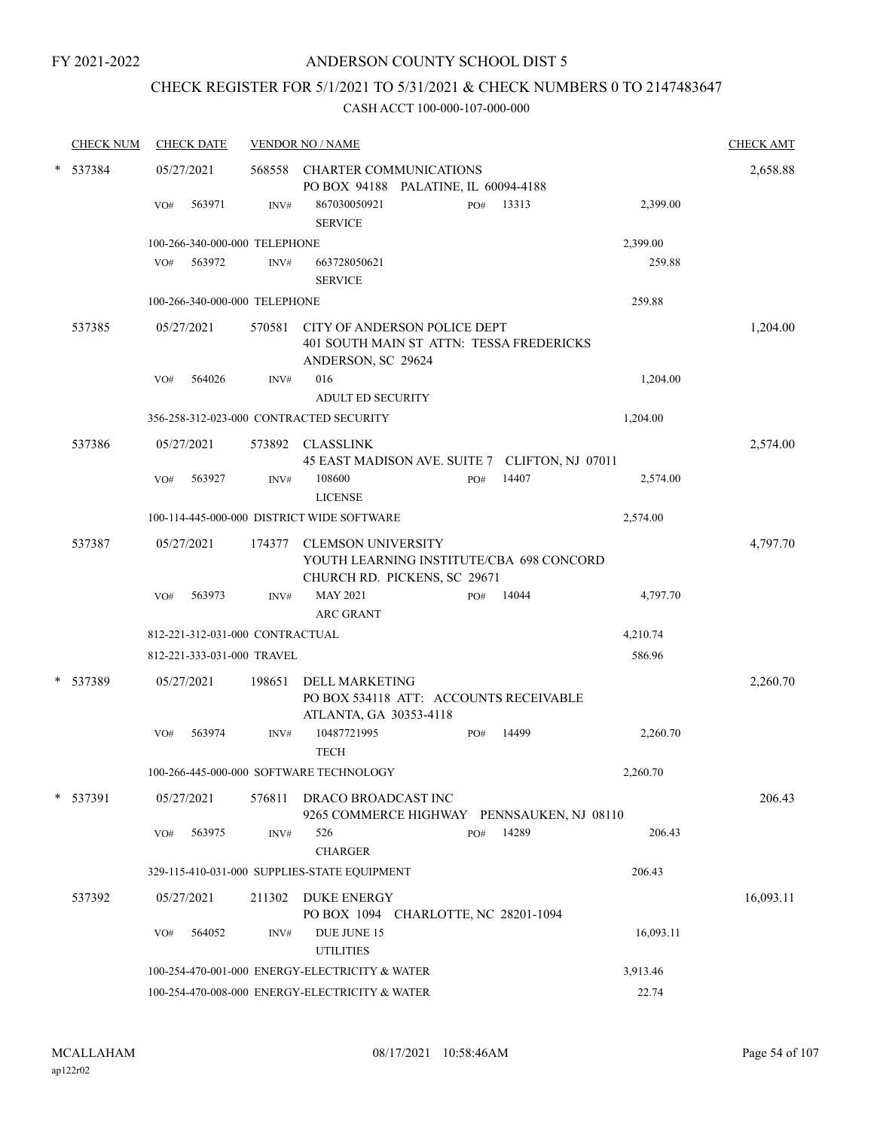### CHECK REGISTER FOR 5/1/2021 TO 5/31/2021 & CHECK NUMBERS 0 TO 2147483647

| <b>CHECK NUM</b> |            | <b>CHECK DATE</b> |                                 | <b>VENDOR NO / NAME</b>                                                                        |     |       |           | <b>CHECK AMT</b> |
|------------------|------------|-------------------|---------------------------------|------------------------------------------------------------------------------------------------|-----|-------|-----------|------------------|
| * 537384         | 05/27/2021 |                   |                                 | 568558 CHARTER COMMUNICATIONS                                                                  |     |       |           | 2,658.88         |
|                  |            |                   |                                 | PO BOX 94188 PALATINE, IL 60094-4188                                                           |     | 13313 | 2,399.00  |                  |
|                  | VO#        | 563971            | INV#                            | 867030050921<br><b>SERVICE</b>                                                                 | PO# |       |           |                  |
|                  |            |                   | 100-266-340-000-000 TELEPHONE   |                                                                                                |     |       | 2,399.00  |                  |
|                  | VO#        | 563972            | INV#                            | 663728050621                                                                                   |     |       | 259.88    |                  |
|                  |            |                   |                                 | <b>SERVICE</b>                                                                                 |     |       |           |                  |
|                  |            |                   | 100-266-340-000-000 TELEPHONE   |                                                                                                |     |       | 259.88    |                  |
| 537385           | 05/27/2021 |                   | 570581                          | CITY OF ANDERSON POLICE DEPT<br>401 SOUTH MAIN ST ATTN: TESSA FREDERICKS<br>ANDERSON, SC 29624 |     |       |           | 1,204.00         |
|                  | VO#        | 564026            | INV#                            | 016                                                                                            |     |       | 1,204.00  |                  |
|                  |            |                   |                                 | <b>ADULT ED SECURITY</b>                                                                       |     |       |           |                  |
|                  |            |                   |                                 | 356-258-312-023-000 CONTRACTED SECURITY                                                        |     |       | 1,204.00  |                  |
|                  |            |                   |                                 |                                                                                                |     |       |           |                  |
| 537386           | 05/27/2021 |                   |                                 | 573892 CLASSLINK<br>45 EAST MADISON AVE. SUITE 7 CLIFTON, NJ 07011                             |     |       |           | 2,574.00         |
|                  | VO#        | 563927            | INV#                            | 108600                                                                                         | PO# | 14407 | 2,574.00  |                  |
|                  |            |                   |                                 | <b>LICENSE</b>                                                                                 |     |       |           |                  |
|                  |            |                   |                                 | 100-114-445-000-000 DISTRICT WIDE SOFTWARE                                                     |     |       | 2,574.00  |                  |
| 537387           | 05/27/2021 |                   | 174377                          | <b>CLEMSON UNIVERSITY</b><br>YOUTH LEARNING INSTITUTE/CBA 698 CONCORD                          |     |       |           | 4,797.70         |
|                  |            |                   |                                 | CHURCH RD. PICKENS, SC 29671                                                                   |     |       |           |                  |
|                  | VO#        | 563973            | INV#                            | <b>MAY 2021</b><br><b>ARC GRANT</b>                                                            | PO# | 14044 | 4,797.70  |                  |
|                  |            |                   | 812-221-312-031-000 CONTRACTUAL |                                                                                                |     |       | 4,210.74  |                  |
|                  |            |                   | 812-221-333-031-000 TRAVEL      |                                                                                                |     |       | 586.96    |                  |
|                  |            |                   |                                 |                                                                                                |     |       |           |                  |
| * 537389         | 05/27/2021 |                   | 198651                          | <b>DELL MARKETING</b><br>PO BOX 534118 ATT: ACCOUNTS RECEIVABLE                                |     |       |           | 2,260.70         |
|                  |            |                   |                                 | ATLANTA, GA 30353-4118                                                                         |     |       |           |                  |
|                  | VO#        | 563974            | INV#                            | 10487721995                                                                                    | PO# | 14499 | 2,260.70  |                  |
|                  |            |                   |                                 | <b>TECH</b>                                                                                    |     |       |           |                  |
|                  |            |                   |                                 | 100-266-445-000-000 SOFTWARE TECHNOLOGY                                                        |     |       | 2,260.70  |                  |
|                  |            |                   |                                 |                                                                                                |     |       |           |                  |
| $*$ 537391       | 05/27/2021 |                   | 576811                          | DRACO BROADCAST INC<br>9265 COMMERCE HIGHWAY PENNSAUKEN, NJ 08110                              |     |       |           | 206.43           |
|                  | VO#        | 563975            | INV#                            | 526                                                                                            | PO# | 14289 | 206.43    |                  |
|                  |            |                   |                                 | <b>CHARGER</b>                                                                                 |     |       |           |                  |
|                  |            |                   |                                 | 329-115-410-031-000 SUPPLIES-STATE EQUIPMENT                                                   |     |       | 206.43    |                  |
| 537392           | 05/27/2021 |                   | 211302                          | DUKE ENERGY<br>PO BOX 1094 CHARLOTTE, NC 28201-1094                                            |     |       |           | 16,093.11        |
|                  | VO#        | 564052            | INV#                            | DUE JUNE 15<br><b>UTILITIES</b>                                                                |     |       | 16,093.11 |                  |
|                  |            |                   |                                 | 100-254-470-001-000 ENERGY-ELECTRICITY & WATER                                                 |     |       | 3,913.46  |                  |
|                  |            |                   |                                 | 100-254-470-008-000 ENERGY-ELECTRICITY & WATER                                                 |     |       | 22.74     |                  |
|                  |            |                   |                                 |                                                                                                |     |       |           |                  |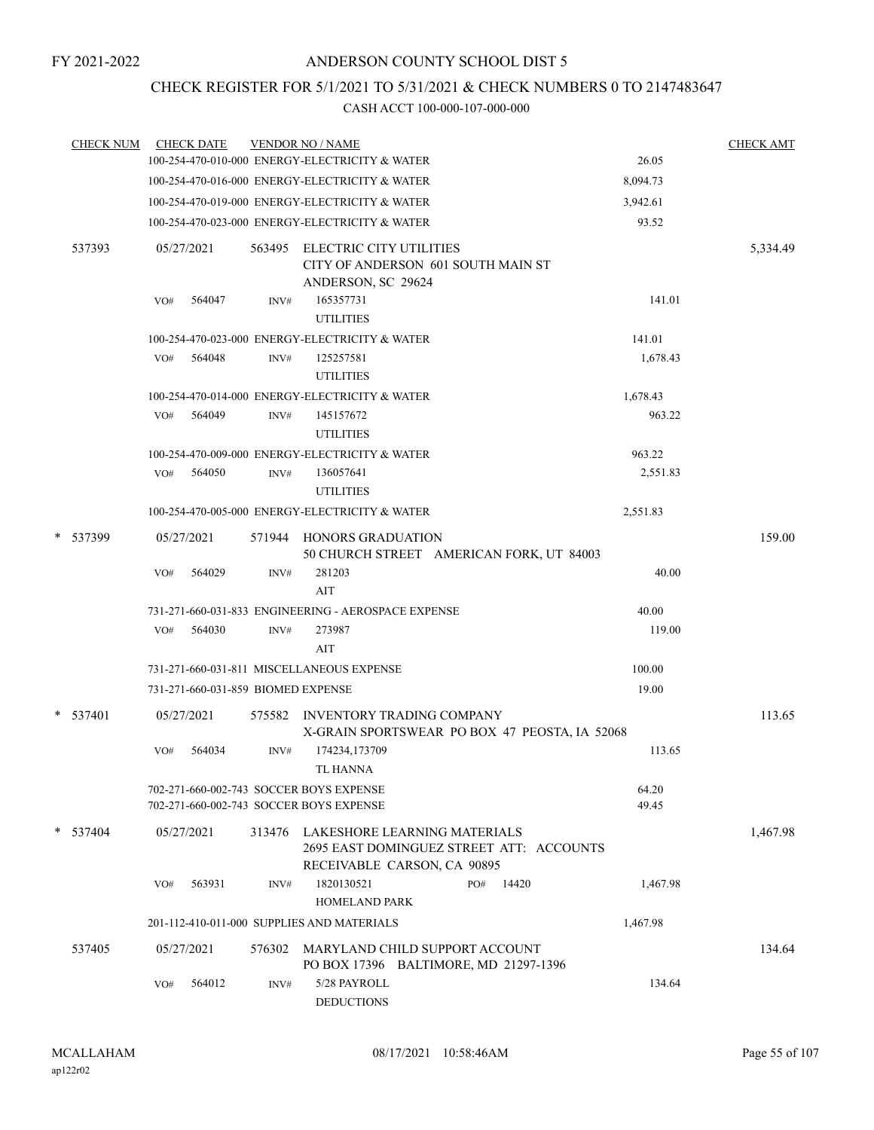### CHECK REGISTER FOR 5/1/2021 TO 5/31/2021 & CHECK NUMBERS 0 TO 2147483647

| <b>CHECK NUM</b> |     | <b>CHECK DATE</b>                  |        | <b>VENDOR NO / NAME</b>                                                            |                                               |                | <b>CHECK AMT</b> |
|------------------|-----|------------------------------------|--------|------------------------------------------------------------------------------------|-----------------------------------------------|----------------|------------------|
|                  |     |                                    |        | 100-254-470-010-000 ENERGY-ELECTRICITY & WATER                                     |                                               | 26.05          |                  |
|                  |     |                                    |        | 100-254-470-016-000 ENERGY-ELECTRICITY & WATER                                     |                                               | 8,094.73       |                  |
|                  |     |                                    |        | 100-254-470-019-000 ENERGY-ELECTRICITY & WATER                                     |                                               | 3,942.61       |                  |
|                  |     |                                    |        | 100-254-470-023-000 ENERGY-ELECTRICITY & WATER                                     |                                               | 93.52          |                  |
| 537393           |     | 05/27/2021                         | 563495 | ELECTRIC CITY UTILITIES<br>CITY OF ANDERSON 601 SOUTH MAIN ST                      |                                               |                | 5,334.49         |
|                  | VO# | 564047                             | INV#   | ANDERSON, SC 29624<br>165357731                                                    |                                               | 141.01         |                  |
|                  |     |                                    |        | <b>UTILITIES</b>                                                                   |                                               |                |                  |
|                  |     |                                    |        | 100-254-470-023-000 ENERGY-ELECTRICITY & WATER                                     |                                               | 141.01         |                  |
|                  | VO# | 564048                             | INV#   | 125257581<br><b>UTILITIES</b>                                                      |                                               | 1,678.43       |                  |
|                  |     |                                    |        | 100-254-470-014-000 ENERGY-ELECTRICITY & WATER                                     |                                               | 1,678.43       |                  |
|                  |     | VO# 564049                         | INV#   | 145157672<br><b>UTILITIES</b>                                                      |                                               | 963.22         |                  |
|                  |     |                                    |        | 100-254-470-009-000 ENERGY-ELECTRICITY & WATER                                     |                                               | 963.22         |                  |
|                  |     | VO# 564050                         | INV#   | 136057641<br><b>UTILITIES</b>                                                      |                                               | 2,551.83       |                  |
|                  |     |                                    |        | 100-254-470-005-000 ENERGY-ELECTRICITY & WATER                                     |                                               | 2,551.83       |                  |
| * 537399         |     | 05/27/2021                         |        | 571944 HONORS GRADUATION                                                           | 50 CHURCH STREET AMERICAN FORK, UT 84003      |                | 159.00           |
|                  | VO# | 564029                             | INV#   | 281203<br>AIT                                                                      |                                               | 40.00          |                  |
|                  |     |                                    |        | 731-271-660-031-833 ENGINEERING - AEROSPACE EXPENSE                                |                                               | 40.00          |                  |
|                  | VO# | 564030                             | INV#   | 273987<br>AIT                                                                      |                                               | 119.00         |                  |
|                  |     |                                    |        | 731-271-660-031-811 MISCELLANEOUS EXPENSE                                          |                                               | 100.00         |                  |
|                  |     | 731-271-660-031-859 BIOMED EXPENSE |        |                                                                                    |                                               | 19.00          |                  |
|                  |     |                                    |        |                                                                                    |                                               |                |                  |
| $*$ 537401       |     | 05/27/2021                         |        | 575582 INVENTORY TRADING COMPANY                                                   | X-GRAIN SPORTSWEAR PO BOX 47 PEOSTA, IA 52068 |                | 113.65           |
|                  | VO# | 564034                             | INV#   | 174234,173709<br>TL HANNA                                                          |                                               | 113.65         |                  |
|                  |     |                                    |        | 702-271-660-002-743 SOCCER BOYS EXPENSE<br>702-271-660-002-743 SOCCER BOYS EXPENSE |                                               | 64.20<br>49.45 |                  |
| $* 537404$       |     | 05/27/2021                         |        | 313476 LAKESHORE LEARNING MATERIALS<br>RECEIVABLE CARSON, CA 90895                 | 2695 EAST DOMINGUEZ STREET ATT: ACCOUNTS      |                | 1,467.98         |
|                  | VO# | 563931                             | INV#   | 1820130521<br><b>HOMELAND PARK</b>                                                 | 14420<br>PO#                                  | 1,467.98       |                  |
|                  |     |                                    |        | 201-112-410-011-000 SUPPLIES AND MATERIALS                                         |                                               | 1,467.98       |                  |
| 537405           |     | 05/27/2021                         |        | 576302 MARYLAND CHILD SUPPORT ACCOUNT                                              | PO BOX 17396 BALTIMORE, MD 21297-1396         |                | 134.64           |
|                  | VO# | 564012                             | INV#   | 5/28 PAYROLL<br><b>DEDUCTIONS</b>                                                  |                                               | 134.64         |                  |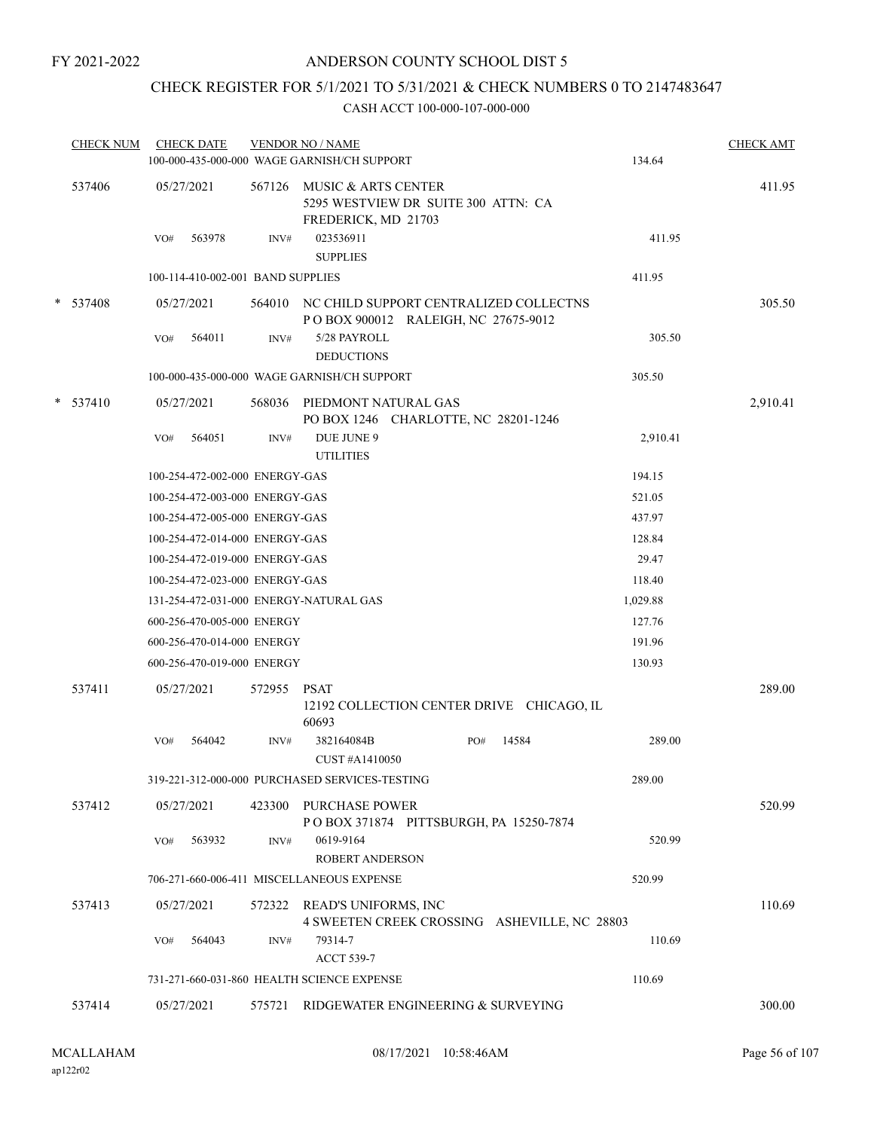### ANDERSON COUNTY SCHOOL DIST 5

### CHECK REGISTER FOR 5/1/2021 TO 5/31/2021 & CHECK NUMBERS 0 TO 2147483647

| <b>CHECK NUM</b> | <b>CHECK DATE</b>                      |                | <b>VENDOR NO / NAME</b><br>100-000-435-000-000 WAGE GARNISH/CH SUPPORT               | 134.64   | <b>CHECK AMT</b> |
|------------------|----------------------------------------|----------------|--------------------------------------------------------------------------------------|----------|------------------|
| 537406           | 05/27/2021                             | 567126         | MUSIC & ARTS CENTER<br>5295 WESTVIEW DR SUITE 300 ATTN: CA<br>FREDERICK, MD 21703    |          | 411.95           |
|                  | 563978<br>VO#                          | $\text{INV}\#$ | 023536911<br><b>SUPPLIES</b>                                                         | 411.95   |                  |
|                  | 100-114-410-002-001 BAND SUPPLIES      |                |                                                                                      | 411.95   |                  |
| * 537408         | 05/27/2021                             |                | 564010 NC CHILD SUPPORT CENTRALIZED COLLECTNS<br>POBOX 900012 RALEIGH, NC 27675-9012 |          | 305.50           |
|                  | 564011<br>VO#                          | INV#           | 5/28 PAYROLL<br><b>DEDUCTIONS</b>                                                    | 305.50   |                  |
|                  |                                        |                | 100-000-435-000-000 WAGE GARNISH/CH SUPPORT                                          | 305.50   |                  |
| $*$ 537410       | 05/27/2021                             |                | 568036 PIEDMONT NATURAL GAS<br>PO BOX 1246 CHARLOTTE, NC 28201-1246                  |          | 2,910.41         |
|                  | 564051<br>VO#                          | INV#           | DUE JUNE 9<br><b>UTILITIES</b>                                                       | 2,910.41 |                  |
|                  | 100-254-472-002-000 ENERGY-GAS         |                |                                                                                      | 194.15   |                  |
|                  | 100-254-472-003-000 ENERGY-GAS         |                |                                                                                      | 521.05   |                  |
|                  | 100-254-472-005-000 ENERGY-GAS         |                |                                                                                      | 437.97   |                  |
|                  | 100-254-472-014-000 ENERGY-GAS         |                |                                                                                      | 128.84   |                  |
|                  | 100-254-472-019-000 ENERGY-GAS         |                |                                                                                      | 29.47    |                  |
|                  | 100-254-472-023-000 ENERGY-GAS         |                |                                                                                      | 118.40   |                  |
|                  | 131-254-472-031-000 ENERGY-NATURAL GAS |                |                                                                                      | 1,029.88 |                  |
|                  | 600-256-470-005-000 ENERGY             |                |                                                                                      | 127.76   |                  |
|                  | 600-256-470-014-000 ENERGY             |                |                                                                                      | 191.96   |                  |
|                  | 600-256-470-019-000 ENERGY             |                |                                                                                      | 130.93   |                  |
| 537411           | 05/27/2021                             | 572955         | <b>PSAT</b><br>12192 COLLECTION CENTER DRIVE CHICAGO, IL<br>60693                    |          | 289.00           |
|                  | 564042<br>VO#                          | INV#           | 382164084B<br>14584<br>PO#<br>CUST#A1410050                                          | 289.00   |                  |
|                  |                                        |                | 319-221-312-000-000 PURCHASED SERVICES-TESTING                                       | 289.00   |                  |
| 537412           | 05/27/2021                             |                | 423300 PURCHASE POWER<br>POBOX 371874 PITTSBURGH, PA 15250-7874                      |          | 520.99           |
|                  | 563932<br>VO#                          | INV#           | 0619-9164<br><b>ROBERT ANDERSON</b>                                                  | 520.99   |                  |
|                  |                                        |                | 706-271-660-006-411 MISCELLANEOUS EXPENSE                                            | 520.99   |                  |
| 537413           | 05/27/2021                             |                | 572322 READ'S UNIFORMS, INC<br>4 SWEETEN CREEK CROSSING ASHEVILLE, NC 28803          |          | 110.69           |
|                  | 564043<br>VO#                          | INV#           | 79314-7<br><b>ACCT 539-7</b>                                                         | 110.69   |                  |
|                  |                                        |                | 731-271-660-031-860 HEALTH SCIENCE EXPENSE                                           | 110.69   |                  |
| 537414           | 05/27/2021                             | 575721         | RIDGEWATER ENGINEERING & SURVEYING                                                   |          | 300.00           |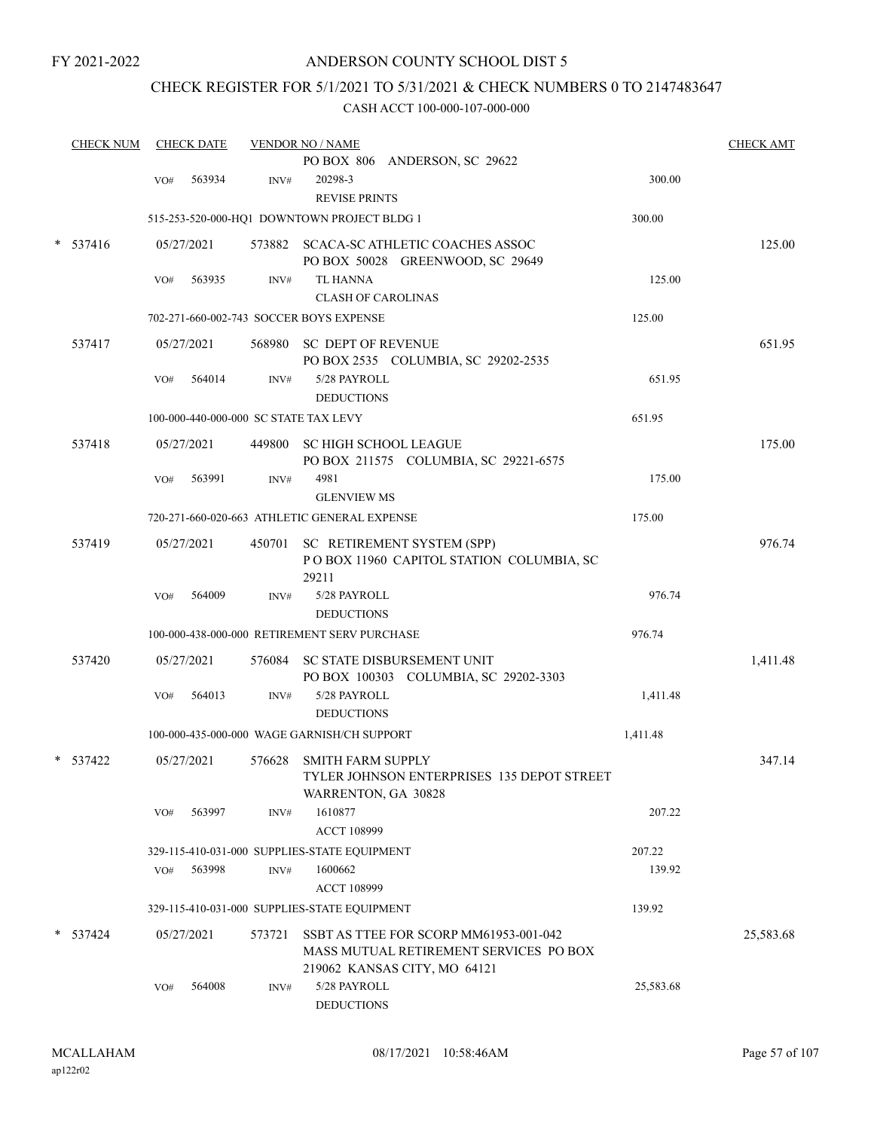### CHECK REGISTER FOR 5/1/2021 TO 5/31/2021 & CHECK NUMBERS 0 TO 2147483647

| <b>CHECK NUM</b> |     | <b>CHECK DATE</b> |        | <b>VENDOR NO / NAME</b>                                                                                          |           | <b>CHECK AMT</b> |
|------------------|-----|-------------------|--------|------------------------------------------------------------------------------------------------------------------|-----------|------------------|
|                  |     |                   |        | PO BOX 806 ANDERSON, SC 29622                                                                                    |           |                  |
|                  | VO# | 563934            | INV#   | 20298-3                                                                                                          | 300.00    |                  |
|                  |     |                   |        | <b>REVISE PRINTS</b>                                                                                             |           |                  |
|                  |     |                   |        | 515-253-520-000-HQ1 DOWNTOWN PROJECT BLDG 1                                                                      | 300.00    |                  |
| $*$ 537416       |     | 05/27/2021        |        | 573882 SCACA-SC ATHLETIC COACHES ASSOC<br>PO BOX 50028 GREENWOOD, SC 29649                                       |           | 125.00           |
|                  | VO# | 563935            | INV#   | <b>TL HANNA</b>                                                                                                  | 125.00    |                  |
|                  |     |                   |        | <b>CLASH OF CAROLINAS</b>                                                                                        |           |                  |
|                  |     |                   |        | 702-271-660-002-743 SOCCER BOYS EXPENSE                                                                          | 125.00    |                  |
| 537417           |     | 05/27/2021        |        | 568980 SC DEPT OF REVENUE<br>PO BOX 2535 COLUMBIA, SC 29202-2535                                                 |           | 651.95           |
|                  | VO# | 564014            | INV#   | 5/28 PAYROLL<br><b>DEDUCTIONS</b>                                                                                | 651.95    |                  |
|                  |     |                   |        | 100-000-440-000-000 SC STATE TAX LEVY                                                                            | 651.95    |                  |
| 537418           |     | 05/27/2021        |        | 449800 SC HIGH SCHOOL LEAGUE<br>PO BOX 211575 COLUMBIA, SC 29221-6575                                            |           | 175.00           |
|                  | VO# | 563991            | INV#   | 4981<br><b>GLENVIEW MS</b>                                                                                       | 175.00    |                  |
|                  |     |                   |        | 720-271-660-020-663 ATHLETIC GENERAL EXPENSE                                                                     | 175.00    |                  |
| 537419           |     | 05/27/2021        |        | 450701 SC RETIREMENT SYSTEM (SPP)<br>POBOX 11960 CAPITOL STATION COLUMBIA, SC<br>29211                           |           | 976.74           |
|                  | VO# | 564009            | INV#   | 5/28 PAYROLL                                                                                                     | 976.74    |                  |
|                  |     |                   |        | <b>DEDUCTIONS</b>                                                                                                |           |                  |
|                  |     |                   |        | 100-000-438-000-000 RETIREMENT SERV PURCHASE                                                                     | 976.74    |                  |
| 537420           |     | 05/27/2021        |        | 576084 SC STATE DISBURSEMENT UNIT<br>PO BOX 100303 COLUMBIA, SC 29202-3303                                       |           | 1,411.48         |
|                  | VO# | 564013            | INV#   | 5/28 PAYROLL<br><b>DEDUCTIONS</b>                                                                                | 1,411.48  |                  |
|                  |     |                   |        | 100-000-435-000-000 WAGE GARNISH/CH SUPPORT                                                                      | 1,411.48  |                  |
| $*$ 537422       |     | 05/27/2021        | 576628 | <b>SMITH FARM SUPPLY</b><br>TYLER JOHNSON ENTERPRISES 135 DEPOT STREET<br>WARRENTON, GA 30828                    |           | 347.14           |
|                  | VO# | 563997            | INV#   | 1610877<br>ACCT 108999                                                                                           | 207.22    |                  |
|                  |     |                   |        | 329-115-410-031-000 SUPPLIES-STATE EQUIPMENT                                                                     | 207.22    |                  |
|                  | VO# | 563998            | INV#   | 1600662                                                                                                          | 139.92    |                  |
|                  |     |                   |        | <b>ACCT 108999</b>                                                                                               |           |                  |
|                  |     |                   |        | 329-115-410-031-000 SUPPLIES-STATE EQUIPMENT                                                                     | 139.92    |                  |
| $* 537424$       |     | 05/27/2021        | 573721 | SSBT AS TTEE FOR SCORP MM61953-001-042<br>MASS MUTUAL RETIREMENT SERVICES PO BOX<br>219062 KANSAS CITY, MO 64121 |           | 25,583.68        |
|                  | VO# | 564008            | INV#   | 5/28 PAYROLL<br><b>DEDUCTIONS</b>                                                                                | 25,583.68 |                  |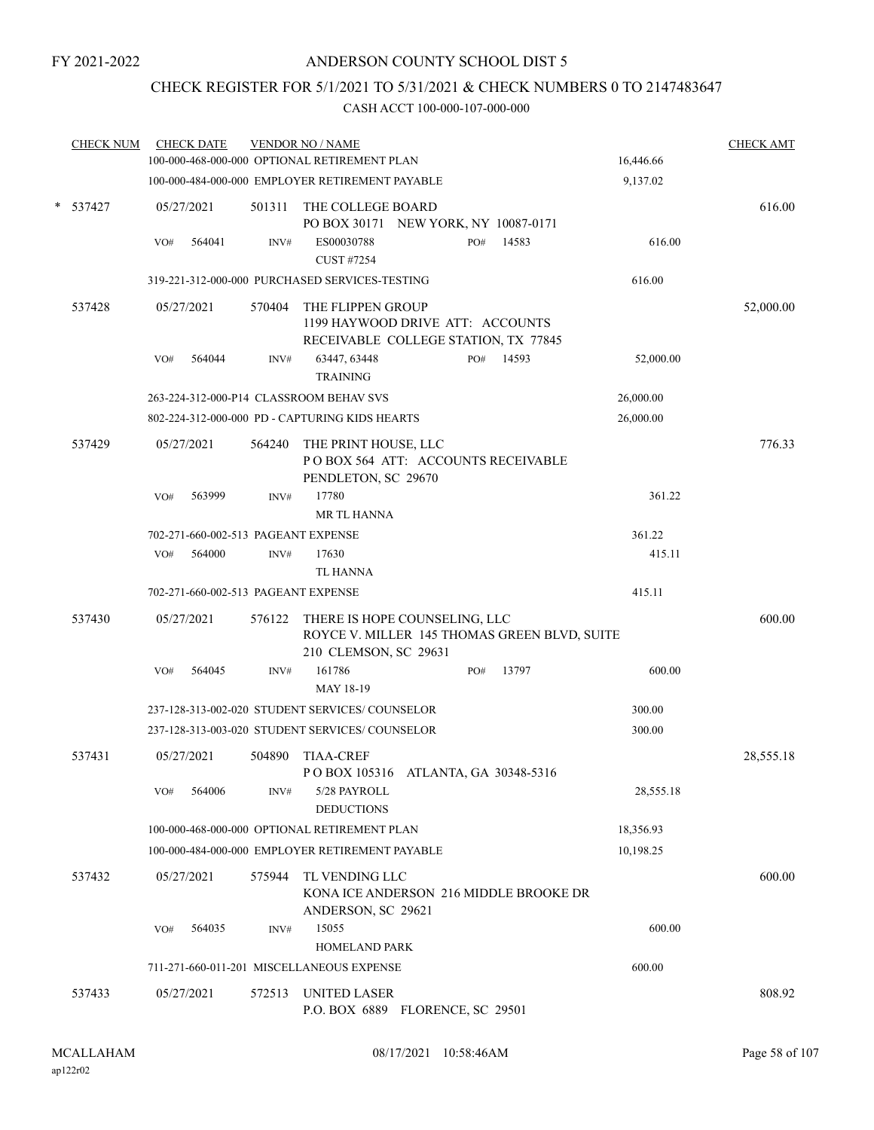### CHECK REGISTER FOR 5/1/2021 TO 5/31/2021 & CHECK NUMBERS 0 TO 2147483647

| <b>CHECK NUM</b> |     | <b>CHECK DATE</b>                   |        | <b>VENDOR NO / NAME</b><br>100-000-468-000-000 OPTIONAL RETIREMENT PLAN                                       |     |       | 16,446.66 | <b>CHECK AMT</b> |
|------------------|-----|-------------------------------------|--------|---------------------------------------------------------------------------------------------------------------|-----|-------|-----------|------------------|
|                  |     |                                     |        | 100-000-484-000-000 EMPLOYER RETIREMENT PAYABLE                                                               |     |       | 9,137.02  |                  |
| $*$ 537427       |     | 05/27/2021                          | 501311 | THE COLLEGE BOARD<br>PO BOX 30171 NEW YORK, NY 10087-0171                                                     |     |       |           | 616.00           |
|                  | VO# | 564041                              | INV#   | ES00030788<br><b>CUST #7254</b>                                                                               | PO# | 14583 | 616.00    |                  |
|                  |     |                                     |        | 319-221-312-000-000 PURCHASED SERVICES-TESTING                                                                |     |       | 616.00    |                  |
| 537428           |     | 05/27/2021                          | 570404 | THE FLIPPEN GROUP<br>1199 HAYWOOD DRIVE ATT: ACCOUNTS<br>RECEIVABLE COLLEGE STATION, TX 77845                 |     |       |           | 52,000.00        |
|                  | VO# | 564044                              | INV#   | 63447, 63448<br><b>TRAINING</b>                                                                               | PO# | 14593 | 52,000.00 |                  |
|                  |     |                                     |        | 263-224-312-000-P14 CLASSROOM BEHAV SVS                                                                       |     |       | 26,000.00 |                  |
|                  |     |                                     |        | 802-224-312-000-000 PD - CAPTURING KIDS HEARTS                                                                |     |       | 26,000.00 |                  |
| 537429           |     | 05/27/2021                          | 564240 | THE PRINT HOUSE, LLC<br>POBOX 564 ATT: ACCOUNTS RECEIVABLE<br>PENDLETON, SC 29670                             |     |       |           | 776.33           |
|                  | VO# | 563999                              | INV#   | 17780<br>MR TL HANNA                                                                                          |     |       | 361.22    |                  |
|                  |     | 702-271-660-002-513 PAGEANT EXPENSE |        |                                                                                                               |     |       | 361.22    |                  |
|                  | VO# | 564000                              | INV#   | 17630<br>TL HANNA                                                                                             |     |       | 415.11    |                  |
|                  |     | 702-271-660-002-513 PAGEANT EXPENSE |        |                                                                                                               |     |       | 415.11    |                  |
| 537430           |     | 05/27/2021                          |        | 576122 THERE IS HOPE COUNSELING, LLC<br>ROYCE V. MILLER 145 THOMAS GREEN BLVD, SUITE<br>210 CLEMSON, SC 29631 |     |       |           | 600.00           |
|                  | VO# | 564045                              | INV#   | 161786<br>MAY 18-19                                                                                           | PO# | 13797 | 600.00    |                  |
|                  |     |                                     |        | 237-128-313-002-020 STUDENT SERVICES/COUNSELOR                                                                |     |       | 300.00    |                  |
|                  |     |                                     |        | 237-128-313-003-020 STUDENT SERVICES/ COUNSELOR                                                               |     |       | 300.00    |                  |
| 537431           |     | 05/27/2021                          | 504890 | <b>TIAA-CREF</b><br>P O BOX 105316 ATLANTA, GA 30348-5316                                                     |     |       |           | 28,555.18        |
|                  | VO# | 564006                              | INV#   | 5/28 PAYROLL<br><b>DEDUCTIONS</b>                                                                             |     |       | 28,555.18 |                  |
|                  |     |                                     |        | 100-000-468-000-000 OPTIONAL RETIREMENT PLAN                                                                  |     |       | 18,356.93 |                  |
|                  |     |                                     |        | 100-000-484-000-000 EMPLOYER RETIREMENT PAYABLE                                                               |     |       | 10,198.25 |                  |
| 537432           |     | 05/27/2021                          | 575944 | TL VENDING LLC<br>KONA ICE ANDERSON 216 MIDDLE BROOKE DR<br>ANDERSON, SC 29621                                |     |       |           | 600.00           |
|                  | VO# | 564035                              | INV#   | 15055<br><b>HOMELAND PARK</b>                                                                                 |     |       | 600.00    |                  |
|                  |     |                                     |        | 711-271-660-011-201 MISCELLANEOUS EXPENSE                                                                     |     |       | 600.00    |                  |
| 537433           |     | 05/27/2021                          |        | 572513 UNITED LASER<br>P.O. BOX 6889 FLORENCE, SC 29501                                                       |     |       |           | 808.92           |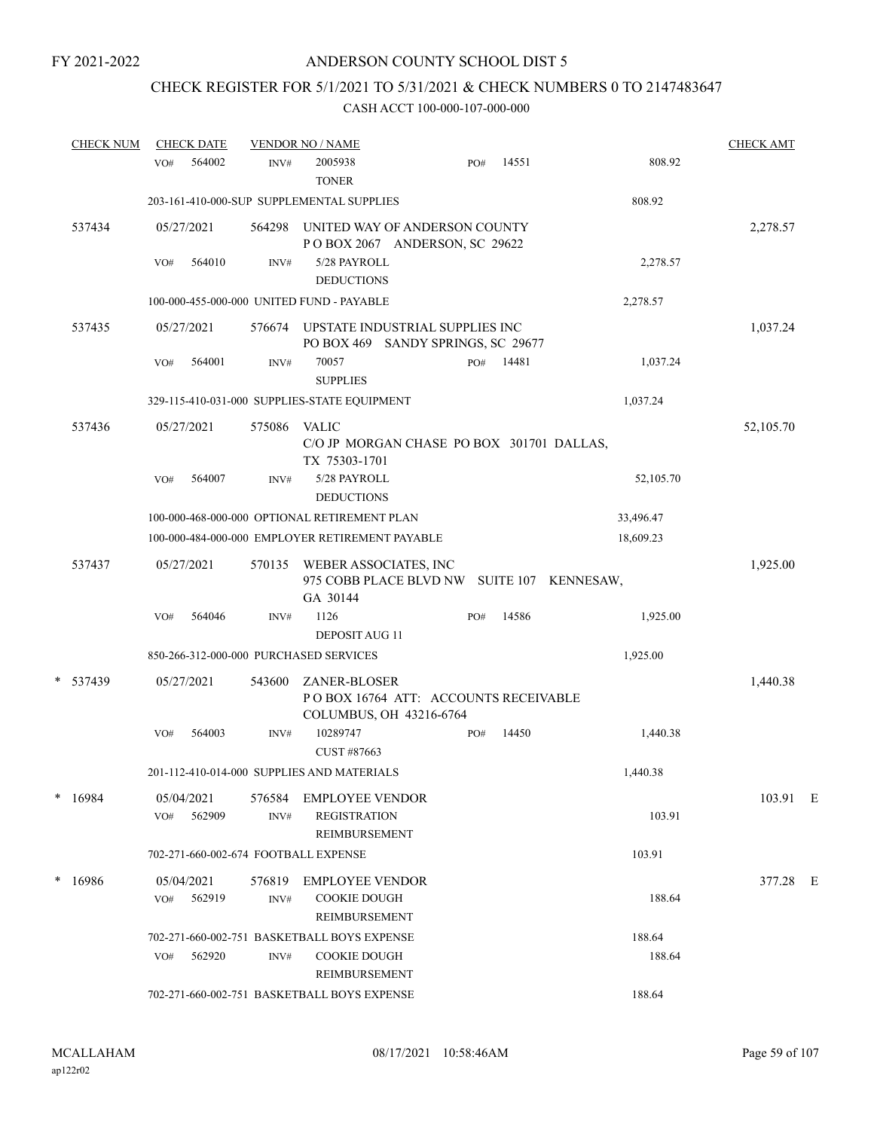# CHECK REGISTER FOR 5/1/2021 TO 5/31/2021 & CHECK NUMBERS 0 TO 2147483647

| <b>CHECK NUM</b> | <b>CHECK DATE</b>                      |                | <b>VENDOR NO / NAME</b>                                                                |     |       |           | <b>CHECK AMT</b> |  |
|------------------|----------------------------------------|----------------|----------------------------------------------------------------------------------------|-----|-------|-----------|------------------|--|
|                  | 564002<br>VO#                          | INV#           | 2005938<br><b>TONER</b>                                                                | PO# | 14551 | 808.92    |                  |  |
|                  |                                        |                | 203-161-410-000-SUP SUPPLEMENTAL SUPPLIES                                              |     |       | 808.92    |                  |  |
| 537434           | 05/27/2021                             | 564298         | UNITED WAY OF ANDERSON COUNTY<br>POBOX 2067 ANDERSON, SC 29622                         |     |       |           | 2,278.57         |  |
|                  | 564010<br>VO#                          | INV#           | 5/28 PAYROLL<br><b>DEDUCTIONS</b>                                                      |     |       | 2,278.57  |                  |  |
|                  |                                        |                | 100-000-455-000-000 UNITED FUND - PAYABLE                                              |     |       | 2,278.57  |                  |  |
| 537435           | 05/27/2021                             | 576674         | UPSTATE INDUSTRIAL SUPPLIES INC<br>PO BOX 469 SANDY SPRINGS, SC 29677                  |     |       |           | 1,037.24         |  |
|                  | VO#<br>564001                          | INV#           | 70057<br><b>SUPPLIES</b>                                                               | PO# | 14481 | 1,037.24  |                  |  |
|                  |                                        |                | 329-115-410-031-000 SUPPLIES-STATE EQUIPMENT                                           |     |       | 1,037.24  |                  |  |
| 537436           | 05/27/2021                             | 575086         | VALIC<br>C/O JP MORGAN CHASE PO BOX 301701 DALLAS,<br>TX 75303-1701                    |     |       |           | 52,105.70        |  |
|                  | 564007<br>VO#                          | INV#           | 5/28 PAYROLL<br><b>DEDUCTIONS</b>                                                      |     |       | 52,105.70 |                  |  |
|                  |                                        |                | 100-000-468-000-000 OPTIONAL RETIREMENT PLAN                                           |     |       | 33,496.47 |                  |  |
|                  |                                        |                | 100-000-484-000-000 EMPLOYER RETIREMENT PAYABLE                                        |     |       | 18,609.23 |                  |  |
| 537437           | 05/27/2021                             | 570135         | WEBER ASSOCIATES, INC<br>975 COBB PLACE BLVD NW SUITE 107 KENNESAW,<br>GA 30144        |     |       |           | 1,925.00         |  |
|                  | 564046<br>VO#                          | INV#           | 1126<br><b>DEPOSIT AUG 11</b>                                                          | PO# | 14586 | 1,925.00  |                  |  |
|                  | 850-266-312-000-000 PURCHASED SERVICES |                |                                                                                        |     |       | 1,925.00  |                  |  |
| * 537439         | 05/27/2021                             | 543600         | <b>ZANER-BLOSER</b><br>POBOX 16764 ATT: ACCOUNTS RECEIVABLE<br>COLUMBUS, OH 43216-6764 |     |       |           | 1,440.38         |  |
|                  | VO#<br>564003                          | INV#           | 10289747<br>CUST #87663                                                                | PO# | 14450 | 1,440.38  |                  |  |
|                  |                                        |                | 201-112-410-014-000 SUPPLIES AND MATERIALS                                             |     |       | 1,440.38  |                  |  |
| $* 16984$        | 05/04/2021<br>562909<br>VO#            | 576584<br>INV# | EMPLOYEE VENDOR<br><b>REGISTRATION</b><br>REIMBURSEMENT                                |     |       | 103.91    | 103.91 E         |  |
|                  | 702-271-660-002-674 FOOTBALL EXPENSE   |                |                                                                                        |     |       | 103.91    |                  |  |
| $*16986$         | 05/04/2021<br>562919<br>VO#            | 576819<br>INV# | <b>EMPLOYEE VENDOR</b><br><b>COOKIE DOUGH</b><br>REIMBURSEMENT                         |     |       | 188.64    | 377.28 E         |  |
|                  |                                        |                | 702-271-660-002-751 BASKETBALL BOYS EXPENSE                                            |     |       | 188.64    |                  |  |
|                  | 562920<br>VO#                          | INV#           | <b>COOKIE DOUGH</b><br>REIMBURSEMENT                                                   |     |       | 188.64    |                  |  |
|                  |                                        |                | 702-271-660-002-751 BASKETBALL BOYS EXPENSE                                            |     |       | 188.64    |                  |  |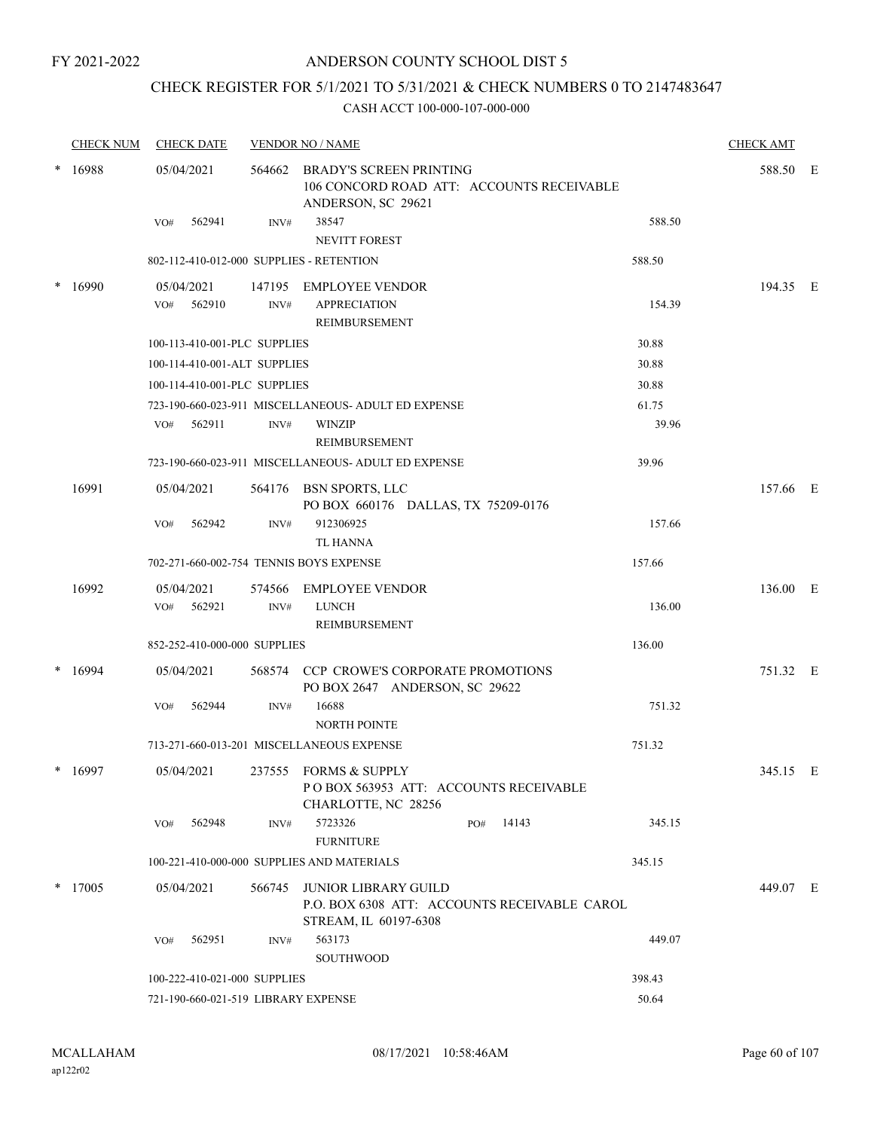### ANDERSON COUNTY SCHOOL DIST 5

### CHECK REGISTER FOR 5/1/2021 TO 5/31/2021 & CHECK NUMBERS 0 TO 2147483647

|   | <b>CHECK NUM</b> | <b>CHECK DATE</b>                        |        | <b>VENDOR NO / NAME</b>                                                                              |        | <b>CHECK AMT</b> |  |
|---|------------------|------------------------------------------|--------|------------------------------------------------------------------------------------------------------|--------|------------------|--|
|   | 16988            | 05/04/2021                               | 564662 | <b>BRADY'S SCREEN PRINTING</b><br>106 CONCORD ROAD ATT: ACCOUNTS RECEIVABLE<br>ANDERSON, SC 29621    |        | 588.50 E         |  |
|   |                  | 562941<br>VO#                            | INV#   | 38547<br>NEVITT FOREST                                                                               | 588.50 |                  |  |
|   |                  | 802-112-410-012-000 SUPPLIES - RETENTION |        |                                                                                                      | 588.50 |                  |  |
|   | 16990            | 05/04/2021                               |        | 147195 EMPLOYEE VENDOR                                                                               |        | 194.35 E         |  |
|   |                  | 562910<br>VO#                            | INV#   | <b>APPRECIATION</b><br>REIMBURSEMENT                                                                 | 154.39 |                  |  |
|   |                  | 100-113-410-001-PLC SUPPLIES             |        |                                                                                                      | 30.88  |                  |  |
|   |                  | 100-114-410-001-ALT SUPPLIES             |        |                                                                                                      | 30.88  |                  |  |
|   |                  | 100-114-410-001-PLC SUPPLIES             |        |                                                                                                      | 30.88  |                  |  |
|   |                  |                                          |        | 723-190-660-023-911 MISCELLANEOUS- ADULT ED EXPENSE                                                  | 61.75  |                  |  |
|   |                  | 562911<br>VO#                            | INV#   | <b>WINZIP</b><br>REIMBURSEMENT                                                                       | 39.96  |                  |  |
|   |                  |                                          |        | 723-190-660-023-911 MISCELLANEOUS- ADULT ED EXPENSE                                                  | 39.96  |                  |  |
|   | 16991            | 05/04/2021                               |        | 564176 BSN SPORTS, LLC<br>PO BOX 660176 DALLAS, TX 75209-0176                                        |        | 157.66 E         |  |
|   |                  | 562942<br>VO#                            | INV#   | 912306925<br>TL HANNA                                                                                | 157.66 |                  |  |
|   |                  | 702-271-660-002-754 TENNIS BOYS EXPENSE  |        |                                                                                                      | 157.66 |                  |  |
|   | 16992            | 05/04/2021                               |        | 574566 EMPLOYEE VENDOR                                                                               |        | 136.00 E         |  |
|   |                  | VO# 562921                               | INV#   | <b>LUNCH</b><br>REIMBURSEMENT                                                                        | 136.00 |                  |  |
|   |                  | 852-252-410-000-000 SUPPLIES             |        |                                                                                                      | 136.00 |                  |  |
|   | 16994            | 05/04/2021                               |        | 568574 CCP CROWE'S CORPORATE PROMOTIONS<br>PO BOX 2647 ANDERSON, SC 29622                            |        | 751.32 E         |  |
|   |                  | 562944<br>VO#                            | INV#   | 16688<br><b>NORTH POINTE</b>                                                                         | 751.32 |                  |  |
|   |                  |                                          |        | 713-271-660-013-201 MISCELLANEOUS EXPENSE                                                            | 751.32 |                  |  |
| * | 16997            | 05/04/2021                               |        | 237555 FORMS & SUPPLY<br>POBOX 563953 ATT: ACCOUNTS RECEIVABLE<br>CHARLOTTE, NC 28256                |        | 345.15 E         |  |
|   |                  | 562948<br>VO#                            | INV#   | 5723326<br>14143<br>PO#<br><b>FURNITURE</b>                                                          | 345.15 |                  |  |
|   |                  |                                          |        | 100-221-410-000-000 SUPPLIES AND MATERIALS                                                           | 345.15 |                  |  |
|   | $*$ 17005        | 05/04/2021                               | 566745 | <b>JUNIOR LIBRARY GUILD</b><br>P.O. BOX 6308 ATT: ACCOUNTS RECEIVABLE CAROL<br>STREAM, IL 60197-6308 |        | 449.07 E         |  |
|   |                  | 562951<br>VO#                            | INV#   | 563173<br>SOUTHWOOD                                                                                  | 449.07 |                  |  |
|   |                  | 100-222-410-021-000 SUPPLIES             |        |                                                                                                      | 398.43 |                  |  |
|   |                  | 721-190-660-021-519 LIBRARY EXPENSE      |        |                                                                                                      | 50.64  |                  |  |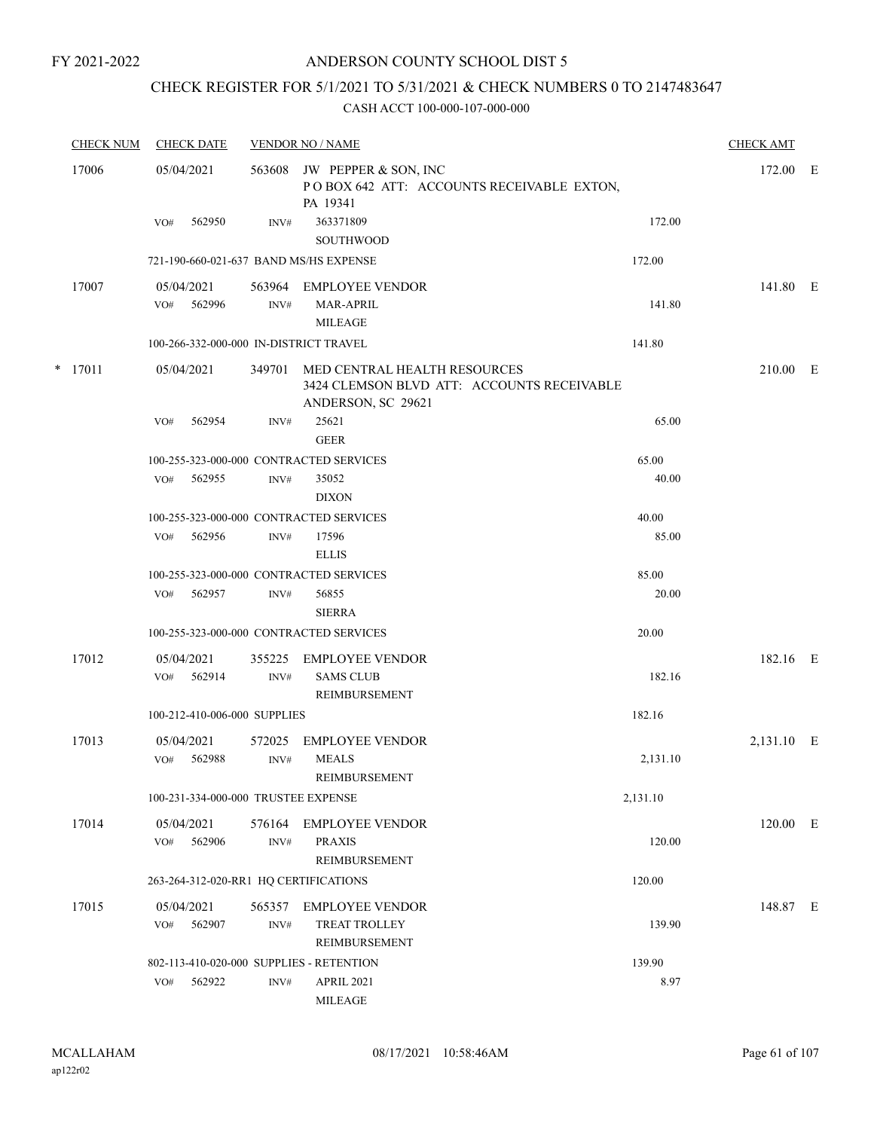### CHECK REGISTER FOR 5/1/2021 TO 5/31/2021 & CHECK NUMBERS 0 TO 2147483647

| <b>CHECK NUM</b> | <b>CHECK DATE</b>                        |                | <b>VENDOR NO / NAME</b>                                                                          |          | <b>CHECK AMT</b> |  |
|------------------|------------------------------------------|----------------|--------------------------------------------------------------------------------------------------|----------|------------------|--|
| 17006            | 05/04/2021                               | 563608         | JW PEPPER & SON, INC<br>POBOX 642 ATT: ACCOUNTS RECEIVABLE EXTON,<br>PA 19341                    |          | 172.00 E         |  |
|                  | 562950<br>VO#                            | INV#           | 363371809<br><b>SOUTHWOOD</b>                                                                    | 172.00   |                  |  |
|                  | 721-190-660-021-637 BAND MS/HS EXPENSE   |                |                                                                                                  | 172.00   |                  |  |
| 17007            | 05/04/2021                               |                | 563964 EMPLOYEE VENDOR                                                                           |          | 141.80 E         |  |
|                  | 562996<br>VO#                            | INV#           | <b>MAR-APRIL</b><br><b>MILEAGE</b>                                                               | 141.80   |                  |  |
|                  | 100-266-332-000-000 IN-DISTRICT TRAVEL   |                |                                                                                                  | 141.80   |                  |  |
| $*$ 17011        | 05/04/2021                               | 349701         | MED CENTRAL HEALTH RESOURCES<br>3424 CLEMSON BLVD ATT: ACCOUNTS RECEIVABLE<br>ANDERSON, SC 29621 |          | 210.00 E         |  |
|                  | 562954<br>VO#                            | INV#           | 25621<br><b>GEER</b>                                                                             | 65.00    |                  |  |
|                  | 100-255-323-000-000 CONTRACTED SERVICES  |                |                                                                                                  | 65.00    |                  |  |
|                  | 562955<br>VO#                            | INV#           | 35052<br><b>DIXON</b>                                                                            | 40.00    |                  |  |
|                  | 100-255-323-000-000 CONTRACTED SERVICES  |                |                                                                                                  | 40.00    |                  |  |
|                  | 562956<br>VO#                            | INV#           | 17596<br><b>ELLIS</b>                                                                            | 85.00    |                  |  |
|                  | 100-255-323-000-000 CONTRACTED SERVICES  |                |                                                                                                  | 85.00    |                  |  |
|                  | 562957<br>VO#                            | INV#           | 56855<br><b>SIERRA</b>                                                                           | 20.00    |                  |  |
|                  | 100-255-323-000-000 CONTRACTED SERVICES  |                |                                                                                                  | 20.00    |                  |  |
| 17012            | 05/04/2021<br>562914<br>VO#              | 355225<br>INV# | <b>EMPLOYEE VENDOR</b><br><b>SAMS CLUB</b>                                                       | 182.16   | 182.16 E         |  |
|                  |                                          |                | <b>REIMBURSEMENT</b>                                                                             |          |                  |  |
|                  | 100-212-410-006-000 SUPPLIES             |                |                                                                                                  | 182.16   |                  |  |
| 17013            | 05/04/2021<br>562988<br>VO#              | 572025<br>INV# | <b>EMPLOYEE VENDOR</b><br><b>MEALS</b><br>REIMBURSEMENT                                          | 2,131.10 | 2,131.10 E       |  |
|                  | 100-231-334-000-000 TRUSTEE EXPENSE      |                |                                                                                                  | 2,131.10 |                  |  |
| 17014            | 05/04/2021<br>562906<br>VO#              | 576164<br>INV# | EMPLOYEE VENDOR<br><b>PRAXIS</b><br>REIMBURSEMENT                                                | 120.00   | 120.00 E         |  |
|                  | 263-264-312-020-RR1 HQ CERTIFICATIONS    |                |                                                                                                  | 120.00   |                  |  |
| 17015            | 05/04/2021                               | 565357         | <b>EMPLOYEE VENDOR</b>                                                                           |          | 148.87 E         |  |
|                  | 562907<br>VO#                            | $\text{INV}\#$ | <b>TREAT TROLLEY</b><br>REIMBURSEMENT                                                            | 139.90   |                  |  |
|                  | 802-113-410-020-000 SUPPLIES - RETENTION |                |                                                                                                  | 139.90   |                  |  |
|                  | 562922<br>VO#                            | $\text{INV}\#$ | <b>APRIL 2021</b><br><b>MILEAGE</b>                                                              | 8.97     |                  |  |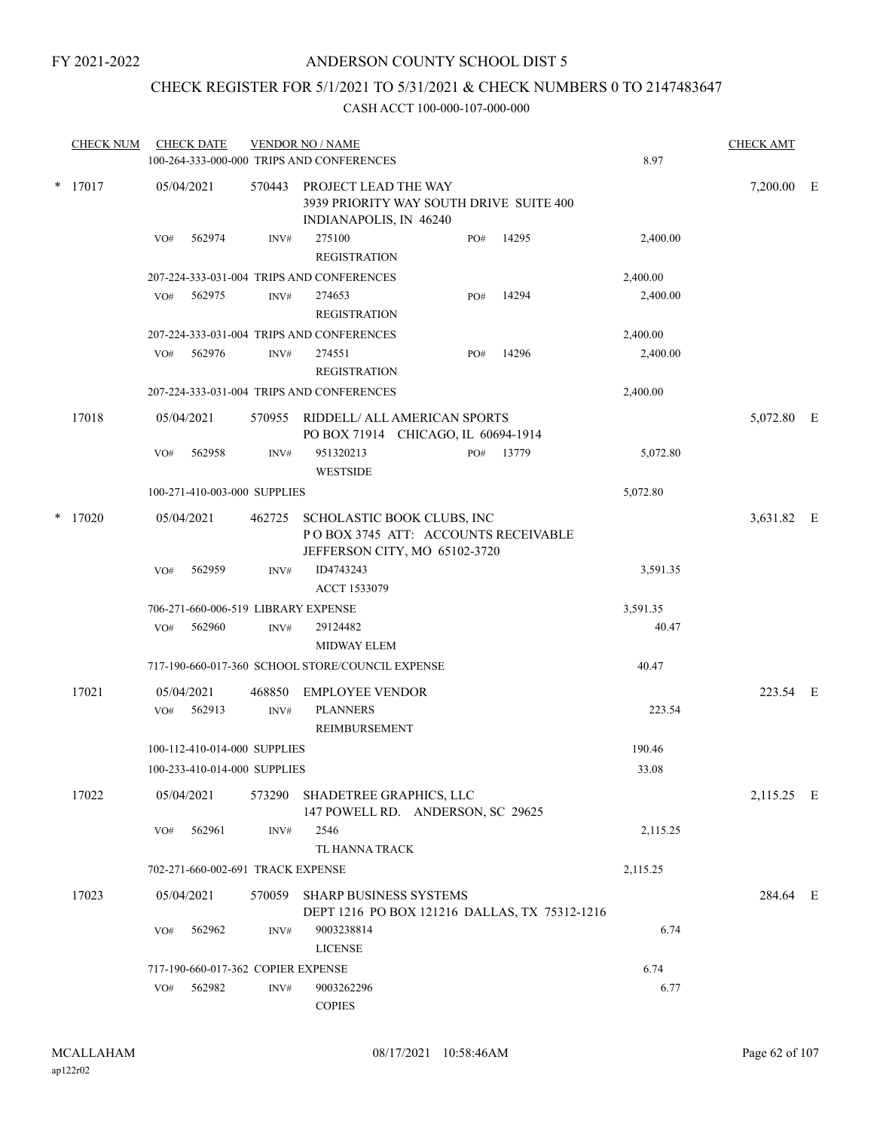### CHECK REGISTER FOR 5/1/2021 TO 5/31/2021 & CHECK NUMBERS 0 TO 2147483647

| <b>CHECK NUM</b> |     | <b>CHECK DATE</b> |                                    | <b>VENDOR NO / NAME</b><br>100-264-333-000-000 TRIPS AND CONFERENCES                               |     |                                               | 8.97     | <b>CHECK AMT</b> |  |
|------------------|-----|-------------------|------------------------------------|----------------------------------------------------------------------------------------------------|-----|-----------------------------------------------|----------|------------------|--|
| $*$ 17017        |     | 05/04/2021        | 570443                             | PROJECT LEAD THE WAY<br>3939 PRIORITY WAY SOUTH DRIVE SUITE 400<br>INDIANAPOLIS, IN 46240          |     |                                               |          | 7,200.00 E       |  |
|                  | VO# | 562974            | INV#                               | 275100<br><b>REGISTRATION</b>                                                                      | PO# | 14295                                         | 2,400.00 |                  |  |
|                  |     |                   |                                    | 207-224-333-031-004 TRIPS AND CONFERENCES                                                          |     |                                               | 2,400.00 |                  |  |
|                  | VO# | 562975            | INV#                               | 274653<br><b>REGISTRATION</b>                                                                      | PO# | 14294                                         | 2,400.00 |                  |  |
|                  |     |                   |                                    | 207-224-333-031-004 TRIPS AND CONFERENCES                                                          |     |                                               | 2,400.00 |                  |  |
|                  | VO# | 562976            | INV#                               | 274551<br><b>REGISTRATION</b>                                                                      | PO# | 14296                                         | 2,400.00 |                  |  |
|                  |     |                   |                                    | 207-224-333-031-004 TRIPS AND CONFERENCES                                                          |     |                                               | 2,400.00 |                  |  |
| 17018            |     | 05/04/2021        | 570955                             | RIDDELL/ ALL AMERICAN SPORTS<br>PO BOX 71914 CHICAGO, IL 60694-1914                                |     |                                               |          | 5,072.80 E       |  |
|                  | VO# | 562958            | INV#                               | 951320213<br><b>WESTSIDE</b>                                                                       | PO# | 13779                                         | 5,072.80 |                  |  |
|                  |     |                   | 100-271-410-003-000 SUPPLIES       |                                                                                                    |     |                                               | 5,072.80 |                  |  |
| $*$ 17020        |     | 05/04/2021        | 462725                             | SCHOLASTIC BOOK CLUBS, INC<br>POBOX 3745 ATT: ACCOUNTS RECEIVABLE<br>JEFFERSON CITY, MO 65102-3720 |     |                                               |          | 3,631.82 E       |  |
|                  | VO# | 562959            | INV#                               | ID4743243<br>ACCT 1533079                                                                          |     |                                               | 3,591.35 |                  |  |
|                  |     |                   |                                    | 706-271-660-006-519 LIBRARY EXPENSE                                                                |     |                                               | 3,591.35 |                  |  |
|                  | VO# | 562960            | INV#                               | 29124482<br><b>MIDWAY ELEM</b>                                                                     |     |                                               | 40.47    |                  |  |
|                  |     |                   |                                    | 717-190-660-017-360 SCHOOL STORE/COUNCIL EXPENSE                                                   |     |                                               | 40.47    |                  |  |
| 17021            |     | 05/04/2021        | 468850                             | <b>EMPLOYEE VENDOR</b>                                                                             |     |                                               |          | 223.54 E         |  |
|                  | VO# | 562913            | INV#                               | <b>PLANNERS</b><br>REIMBURSEMENT                                                                   |     |                                               | 223.54   |                  |  |
|                  |     |                   | 100-112-410-014-000 SUPPLIES       |                                                                                                    |     |                                               | 190.46   |                  |  |
|                  |     |                   | 100-233-410-014-000 SUPPLIES       |                                                                                                    |     |                                               | 33.08    |                  |  |
| 17022            |     | 05/04/2021        |                                    | 573290 SHADETREE GRAPHICS, LLC<br>147 POWELL RD. ANDERSON, SC 29625                                |     |                                               |          | 2,115.25 E       |  |
|                  | VO# | 562961            | INV#                               | 2546                                                                                               |     |                                               | 2,115.25 |                  |  |
|                  |     |                   |                                    | TL HANNA TRACK                                                                                     |     |                                               |          |                  |  |
|                  |     |                   | 702-271-660-002-691 TRACK EXPENSE  |                                                                                                    |     |                                               | 2,115.25 |                  |  |
| 17023            |     | 05/04/2021        | 570059                             | <b>SHARP BUSINESS SYSTEMS</b>                                                                      |     | DEPT 1216 PO BOX 121216 DALLAS, TX 75312-1216 |          | 284.64 E         |  |
|                  | VO# | 562962            | INV#                               | 9003238814<br><b>LICENSE</b>                                                                       |     |                                               | 6.74     |                  |  |
|                  |     |                   | 717-190-660-017-362 COPIER EXPENSE |                                                                                                    |     |                                               | 6.74     |                  |  |
|                  | VO# | 562982            | INV#                               | 9003262296<br><b>COPIES</b>                                                                        |     |                                               | 6.77     |                  |  |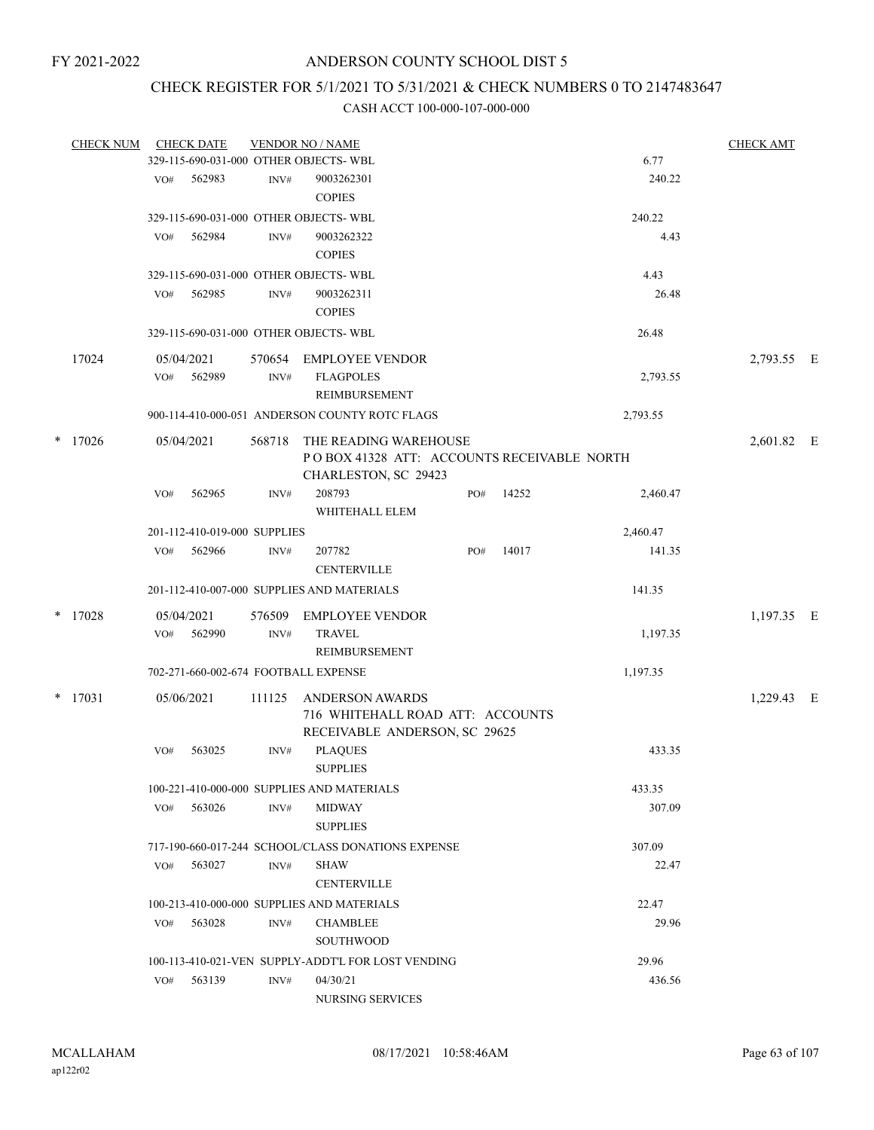### CHECK REGISTER FOR 5/1/2021 TO 5/31/2021 & CHECK NUMBERS 0 TO 2147483647

| <b>CHECK NUM</b> |     | <b>CHECK DATE</b>            |        | <b>VENDOR NO / NAME</b><br>329-115-690-031-000 OTHER OBJECTS- WBL                           |     |       |          | <b>CHECK AMT</b> |     |
|------------------|-----|------------------------------|--------|---------------------------------------------------------------------------------------------|-----|-------|----------|------------------|-----|
|                  |     |                              |        |                                                                                             |     |       | 6.77     |                  |     |
|                  | VO# | 562983                       | INV#   | 9003262301<br><b>COPIES</b>                                                                 |     |       | 240.22   |                  |     |
|                  |     |                              |        | 329-115-690-031-000 OTHER OBJECTS- WBL                                                      |     |       | 240.22   |                  |     |
|                  | VO# | 562984                       | INV#   | 9003262322<br><b>COPIES</b>                                                                 |     |       | 4.43     |                  |     |
|                  |     |                              |        | 329-115-690-031-000 OTHER OBJECTS-WBL                                                       |     |       | 4.43     |                  |     |
|                  | VO# | 562985                       | INV#   | 9003262311<br><b>COPIES</b>                                                                 |     |       | 26.48    |                  |     |
|                  |     |                              |        | 329-115-690-031-000 OTHER OBJECTS-WBL                                                       |     |       | 26.48    |                  |     |
| 17024            |     | 05/04/2021                   | 570654 | <b>EMPLOYEE VENDOR</b>                                                                      |     |       |          | 2,793.55 E       |     |
|                  | VO# | 562989                       | INV#   | <b>FLAGPOLES</b><br>REIMBURSEMENT                                                           |     |       | 2,793.55 |                  |     |
|                  |     |                              |        | 900-114-410-000-051 ANDERSON COUNTY ROTC FLAGS                                              |     |       | 2,793.55 |                  |     |
| $*$ 17026        |     | 05/04/2021                   | 568718 | THE READING WAREHOUSE<br>POBOX 41328 ATT: ACCOUNTS RECEIVABLE NORTH<br>CHARLESTON, SC 29423 |     |       |          | 2,601.82 E       |     |
|                  | VO# | 562965                       | INV#   | 208793<br>WHITEHALL ELEM                                                                    | PO# | 14252 | 2,460.47 |                  |     |
|                  |     | 201-112-410-019-000 SUPPLIES |        |                                                                                             |     |       | 2,460.47 |                  |     |
|                  | VO# | 562966                       | INV#   | 207782<br><b>CENTERVILLE</b>                                                                | PO# | 14017 | 141.35   |                  |     |
|                  |     |                              |        | 201-112-410-007-000 SUPPLIES AND MATERIALS                                                  |     |       | 141.35   |                  |     |
| $*$ 17028        |     | 05/04/2021                   | 576509 | <b>EMPLOYEE VENDOR</b>                                                                      |     |       |          | 1,197.35 E       |     |
|                  | VO# | 562990                       | INV#   | <b>TRAVEL</b><br>REIMBURSEMENT                                                              |     |       | 1,197.35 |                  |     |
|                  |     |                              |        | 702-271-660-002-674 FOOTBALL EXPENSE                                                        |     |       | 1,197.35 |                  |     |
| $*$ 17031        |     | 05/06/2021                   | 111125 | <b>ANDERSON AWARDS</b><br>716 WHITEHALL ROAD ATT: ACCOUNTS<br>RECEIVABLE ANDERSON, SC 29625 |     |       |          | 1,229.43         | – E |
|                  | VO# | 563025                       | INV#   | <b>PLAQUES</b><br><b>SUPPLIES</b>                                                           |     |       | 433.35   |                  |     |
|                  |     |                              |        | 100-221-410-000-000 SUPPLIES AND MATERIALS                                                  |     |       | 433.35   |                  |     |
|                  | VO# | 563026                       | INV#   | <b>MIDWAY</b><br><b>SUPPLIES</b>                                                            |     |       | 307.09   |                  |     |
|                  |     |                              |        | 717-190-660-017-244 SCHOOL/CLASS DONATIONS EXPENSE                                          |     |       | 307.09   |                  |     |
|                  | VO# | 563027                       | INV#   | <b>SHAW</b><br><b>CENTERVILLE</b>                                                           |     |       | 22.47    |                  |     |
|                  |     |                              |        | 100-213-410-000-000 SUPPLIES AND MATERIALS                                                  |     |       | 22.47    |                  |     |
|                  | VO# | 563028                       | INV#   | <b>CHAMBLEE</b>                                                                             |     |       | 29.96    |                  |     |
|                  |     |                              |        | SOUTHWOOD                                                                                   |     |       |          |                  |     |
|                  |     |                              |        | 100-113-410-021-VEN SUPPLY-ADDT'L FOR LOST VENDING                                          |     |       | 29.96    |                  |     |
|                  | VO# | 563139                       | INV#   | 04/30/21<br>NURSING SERVICES                                                                |     |       | 436.56   |                  |     |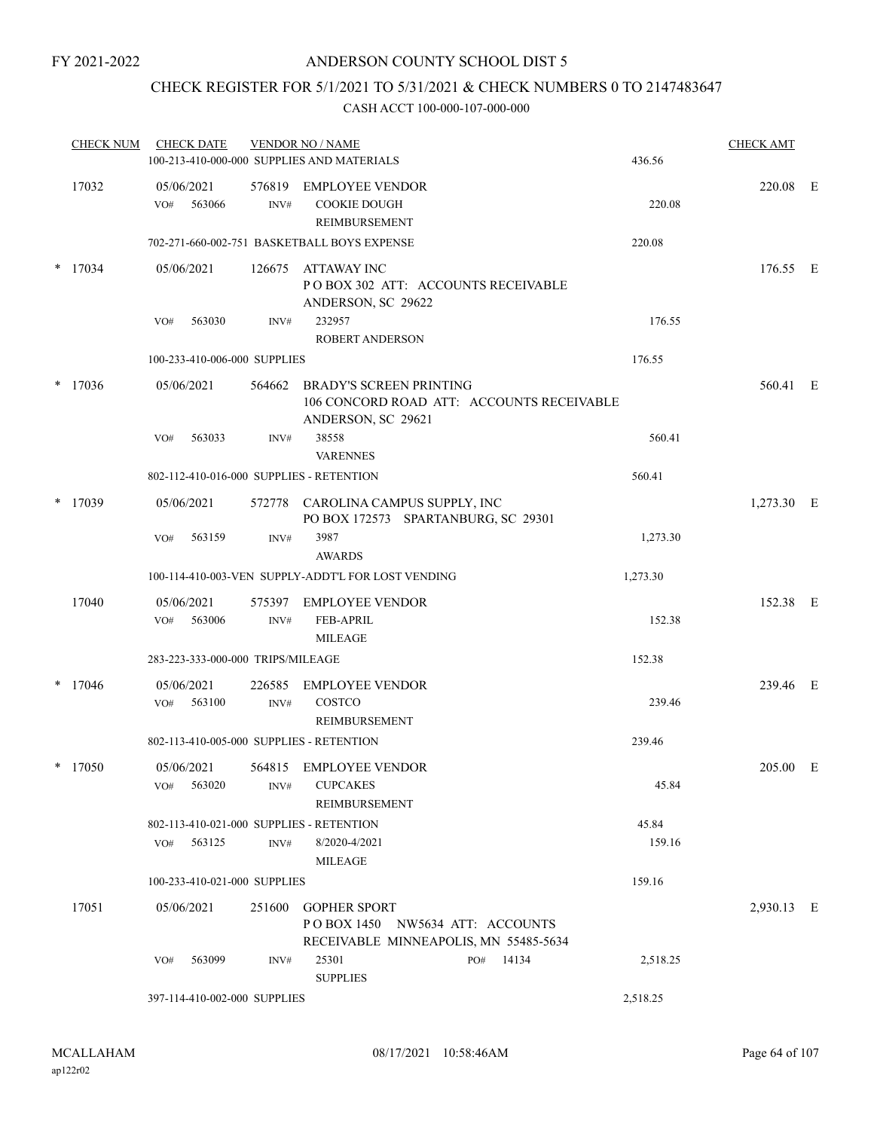### CHECK REGISTER FOR 5/1/2021 TO 5/31/2021 & CHECK NUMBERS 0 TO 2147483647

|        | <b>CHECK NUM</b> | <b>CHECK DATE</b> |                                   |                  | <b>VENDOR NO / NAME</b><br>100-213-410-000-000 SUPPLIES AND MATERIALS |                                                                           | 436.56   | <b>CHECK AMT</b> |  |
|--------|------------------|-------------------|-----------------------------------|------------------|-----------------------------------------------------------------------|---------------------------------------------------------------------------|----------|------------------|--|
|        | 17032            | 05/06/2021<br>VO# | 563066                            | 576819<br>INV#   | <b>EMPLOYEE VENDOR</b><br><b>COOKIE DOUGH</b><br>REIMBURSEMENT        |                                                                           | 220.08   | 220.08 E         |  |
|        |                  |                   |                                   |                  | 702-271-660-002-751 BASKETBALL BOYS EXPENSE                           |                                                                           | 220.08   |                  |  |
| $\ast$ | 17034            | 05/06/2021        |                                   | 126675           | ATTAWAY INC<br>ANDERSON, SC 29622                                     | POBOX 302 ATT: ACCOUNTS RECEIVABLE                                        |          | 176.55 E         |  |
|        |                  | VO#               | 563030                            | INV#             | 232957<br><b>ROBERT ANDERSON</b>                                      |                                                                           | 176.55   |                  |  |
|        |                  |                   | 100-233-410-006-000 SUPPLIES      |                  |                                                                       |                                                                           | 176.55   |                  |  |
| $\ast$ | 17036            | 05/06/2021        |                                   | 564662           | <b>BRADY'S SCREEN PRINTING</b><br>ANDERSON, SC 29621                  | 106 CONCORD ROAD ATT: ACCOUNTS RECEIVABLE                                 |          | 560.41 E         |  |
|        |                  | VO#               | 563033                            | INV#             | 38558<br><b>VARENNES</b>                                              |                                                                           | 560.41   |                  |  |
|        |                  |                   |                                   |                  | 802-112-410-016-000 SUPPLIES - RETENTION                              |                                                                           | 560.41   |                  |  |
| $\ast$ | 17039            | 05/06/2021        |                                   |                  |                                                                       | 572778 CAROLINA CAMPUS SUPPLY, INC<br>PO BOX 172573 SPARTANBURG, SC 29301 |          | $1,273.30$ E     |  |
|        |                  | VO#               | 563159                            | INV#             | 3987<br><b>AWARDS</b>                                                 |                                                                           | 1,273.30 |                  |  |
|        |                  |                   |                                   |                  | 100-114-410-003-VEN SUPPLY-ADDT'L FOR LOST VENDING                    |                                                                           | 1,273.30 |                  |  |
|        | 17040            | 05/06/2021        |                                   |                  | 575397 EMPLOYEE VENDOR                                                |                                                                           |          | 152.38 E         |  |
|        |                  | VO#               | 563006                            | $\text{INV}\#$   | <b>FEB-APRIL</b><br><b>MILEAGE</b>                                    |                                                                           | 152.38   |                  |  |
|        |                  |                   | 283-223-333-000-000 TRIPS/MILEAGE |                  |                                                                       |                                                                           | 152.38   |                  |  |
| $\ast$ | 17046            | 05/06/2021<br>VO# | 563100                            | 226585<br>INV#   | <b>EMPLOYEE VENDOR</b><br>COSTCO<br>REIMBURSEMENT                     |                                                                           | 239.46   | 239.46 E         |  |
|        |                  |                   |                                   |                  | 802-113-410-005-000 SUPPLIES - RETENTION                              |                                                                           | 239.46   |                  |  |
|        | $*$ 17050        | 05/06/2021<br>VO# | 563020                            | 564815<br>INV#   | EMPLOYEE VENDOR<br><b>CUPCAKES</b><br>REIMBURSEMENT                   |                                                                           | 45.84    | 205.00 E         |  |
|        |                  |                   |                                   |                  | 802-113-410-021-000 SUPPLIES - RETENTION                              |                                                                           | 45.84    |                  |  |
|        |                  | VO#               | 563125                            | $\mathrm{INV}\#$ | 8/2020-4/2021<br>MILEAGE                                              |                                                                           | 159.16   |                  |  |
|        |                  |                   | 100-233-410-021-000 SUPPLIES      |                  |                                                                       |                                                                           | 159.16   |                  |  |
|        | 17051            | 05/06/2021        |                                   | 251600           | <b>GOPHER SPORT</b>                                                   | POBOX 1450 NW5634 ATT: ACCOUNTS<br>RECEIVABLE MINNEAPOLIS, MN 55485-5634  |          | 2,930.13 E       |  |
|        |                  | VO#               | 563099                            | INV#             | 25301<br><b>SUPPLIES</b>                                              | PO# 14134                                                                 | 2,518.25 |                  |  |
|        |                  |                   | 397-114-410-002-000 SUPPLIES      |                  |                                                                       |                                                                           | 2,518.25 |                  |  |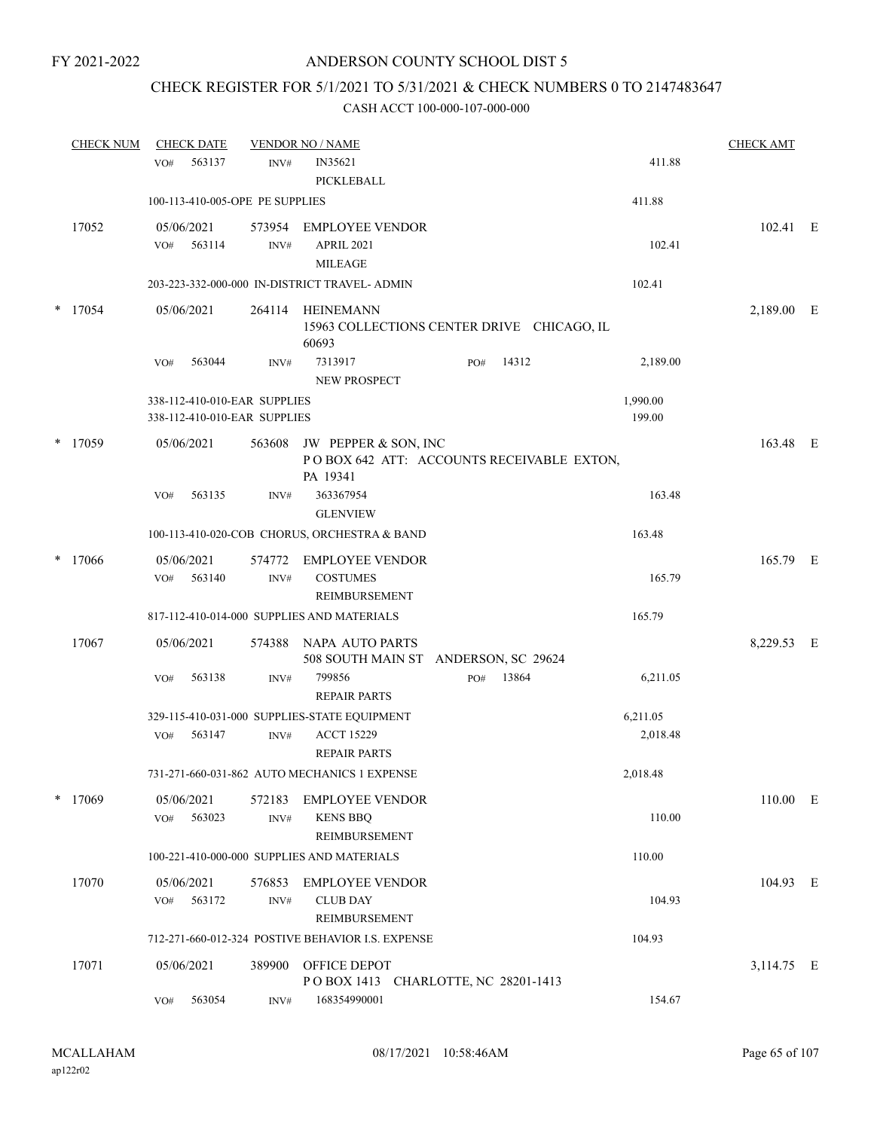### CHECK REGISTER FOR 5/1/2021 TO 5/31/2021 & CHECK NUMBERS 0 TO 2147483647

|        | <b>CHECK NUM</b> | <b>CHECK DATE</b>               |                | <b>VENDOR NO / NAME</b>                                 |     |       |          | <b>CHECK AMT</b> |  |
|--------|------------------|---------------------------------|----------------|---------------------------------------------------------|-----|-------|----------|------------------|--|
|        |                  | 563137<br>VO#                   | INV#           | IN35621                                                 |     |       | 411.88   |                  |  |
|        |                  |                                 |                | <b>PICKLEBALL</b>                                       |     |       |          |                  |  |
|        |                  | 100-113-410-005-OPE PE SUPPLIES |                |                                                         |     |       | 411.88   |                  |  |
|        | 17052            | 05/06/2021                      | 573954         | <b>EMPLOYEE VENDOR</b>                                  |     |       |          | 102.41 E         |  |
|        |                  | 563114<br>VO#                   | INV#           | APRIL 2021                                              |     |       | 102.41   |                  |  |
|        |                  |                                 |                | <b>MILEAGE</b>                                          |     |       |          |                  |  |
|        |                  |                                 |                | 203-223-332-000-000 IN-DISTRICT TRAVEL- ADMIN           |     |       | 102.41   |                  |  |
|        | $*$ 17054        | 05/06/2021                      | 264114         | <b>HEINEMANN</b>                                        |     |       |          | 2,189.00 E       |  |
|        |                  |                                 |                | 15963 COLLECTIONS CENTER DRIVE CHICAGO, IL<br>60693     |     |       |          |                  |  |
|        |                  | 563044<br>VO#                   | INV#           | 7313917<br>NEW PROSPECT                                 | PO# | 14312 | 2,189.00 |                  |  |
|        |                  | 338-112-410-010-EAR SUPPLIES    |                |                                                         |     |       | 1,990.00 |                  |  |
|        |                  | 338-112-410-010-EAR SUPPLIES    |                |                                                         |     |       | 199.00   |                  |  |
|        | $*$ 17059        | 05/06/2021                      | 563608         | JW PEPPER & SON, INC                                    |     |       |          | 163.48 E         |  |
|        |                  |                                 |                | POBOX 642 ATT: ACCOUNTS RECEIVABLE EXTON,<br>PA 19341   |     |       |          |                  |  |
|        |                  | 563135<br>VO#                   | INV#           | 363367954<br><b>GLENVIEW</b>                            |     |       | 163.48   |                  |  |
|        |                  |                                 |                | 100-113-410-020-COB CHORUS, ORCHESTRA & BAND            |     |       | 163.48   |                  |  |
| $\ast$ | 17066            | 05/06/2021                      |                | 574772 EMPLOYEE VENDOR                                  |     |       |          | 165.79 E         |  |
|        |                  | 563140<br>VO#                   | INV#           | <b>COSTUMES</b>                                         |     |       | 165.79   |                  |  |
|        |                  |                                 |                | REIMBURSEMENT                                           |     |       |          |                  |  |
|        |                  |                                 |                | 817-112-410-014-000 SUPPLIES AND MATERIALS              |     |       | 165.79   |                  |  |
|        | 17067            | 05/06/2021                      | 574388         | NAPA AUTO PARTS<br>508 SOUTH MAIN ST ANDERSON, SC 29624 |     |       |          | 8,229.53 E       |  |
|        |                  | VO#<br>563138                   | INV#           | 799856<br><b>REPAIR PARTS</b>                           | PO# | 13864 | 6,211.05 |                  |  |
|        |                  |                                 |                | 329-115-410-031-000 SUPPLIES-STATE EQUIPMENT            |     |       | 6,211.05 |                  |  |
|        |                  | 563147<br>VO#                   | INV#           | <b>ACCT 15229</b>                                       |     |       | 2,018.48 |                  |  |
|        |                  |                                 |                | <b>REPAIR PARTS</b>                                     |     |       |          |                  |  |
|        |                  |                                 |                | 731-271-660-031-862 AUTO MECHANICS 1 EXPENSE            |     |       | 2,018.48 |                  |  |
|        | $*$ 17069        | 05/06/2021                      | 572183         | <b>EMPLOYEE VENDOR</b>                                  |     |       |          | 110.00 E         |  |
|        |                  | 563023<br>VO#                   | $\text{INV}\#$ | <b>KENS BBQ</b>                                         |     |       | 110.00   |                  |  |
|        |                  |                                 |                | REIMBURSEMENT                                           |     |       |          |                  |  |
|        |                  |                                 |                | 100-221-410-000-000 SUPPLIES AND MATERIALS              |     |       | 110.00   |                  |  |
|        | 17070            | 05/06/2021                      | 576853         | <b>EMPLOYEE VENDOR</b>                                  |     |       |          | 104.93 E         |  |
|        |                  | 563172<br>VO#                   | INV#           | <b>CLUB DAY</b>                                         |     |       | 104.93   |                  |  |
|        |                  |                                 |                | REIMBURSEMENT                                           |     |       |          |                  |  |
|        |                  |                                 |                | 712-271-660-012-324 POSTIVE BEHAVIOR I.S. EXPENSE       |     |       | 104.93   |                  |  |
|        | 17071            | 05/06/2021                      | 389900         | OFFICE DEPOT                                            |     |       |          | 3,114.75 E       |  |
|        |                  |                                 |                | POBOX 1413 CHARLOTTE, NC 28201-1413                     |     |       |          |                  |  |
|        |                  | 563054<br>VO#                   | INV#           | 168354990001                                            |     |       | 154.67   |                  |  |
|        |                  |                                 |                |                                                         |     |       |          |                  |  |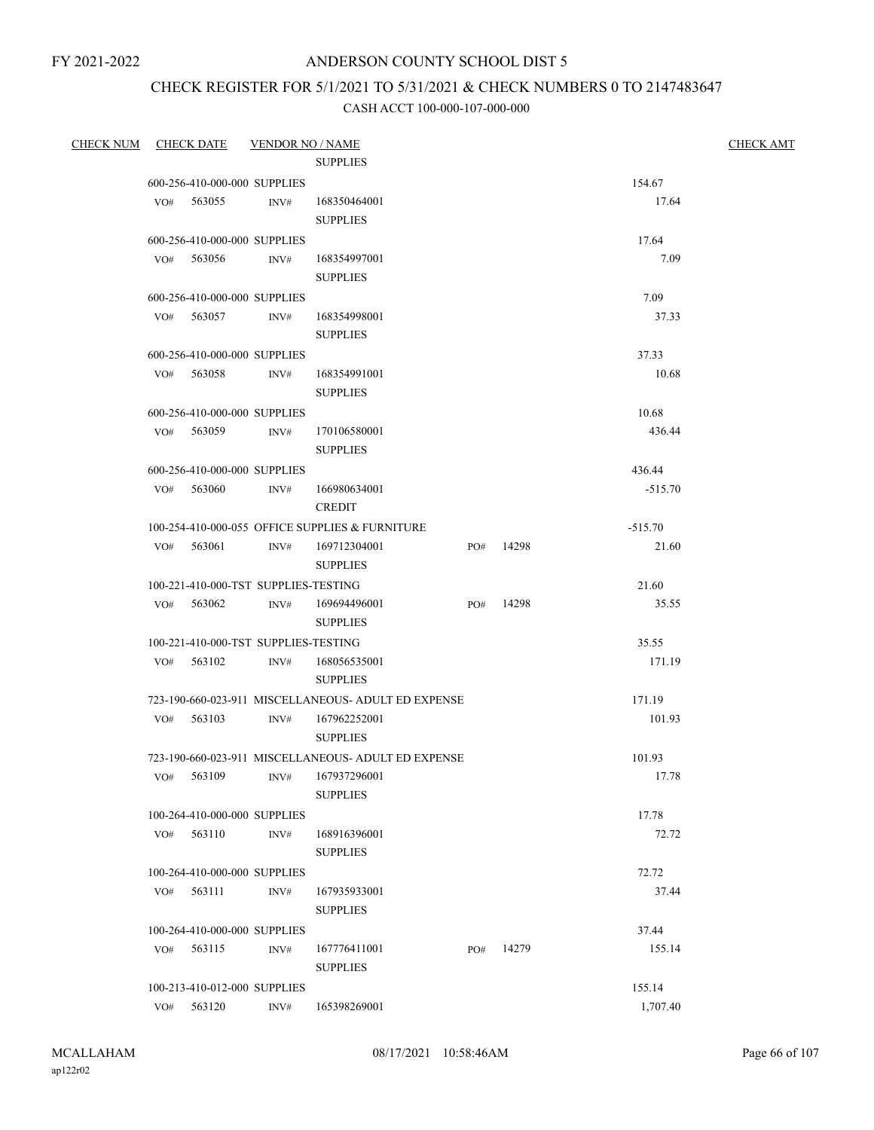### ANDERSON COUNTY SCHOOL DIST 5

# CHECK REGISTER FOR 5/1/2021 TO 5/31/2021 & CHECK NUMBERS 0 TO 2147483647

| <b>CHECK NUM</b> |     | <u>CHECK DATE</u> | <b>VENDOR NO / NAME</b>              |                                                     |     |           |           | <b>CHECK AMT</b> |
|------------------|-----|-------------------|--------------------------------------|-----------------------------------------------------|-----|-----------|-----------|------------------|
|                  |     |                   |                                      | <b>SUPPLIES</b>                                     |     |           |           |                  |
|                  |     |                   | 600-256-410-000-000 SUPPLIES         |                                                     |     |           | 154.67    |                  |
|                  |     | VO# 563055        | INV#                                 | 168350464001                                        |     |           | 17.64     |                  |
|                  |     |                   |                                      | <b>SUPPLIES</b>                                     |     |           |           |                  |
|                  |     |                   | 600-256-410-000-000 SUPPLIES         |                                                     |     |           | 17.64     |                  |
|                  |     | VO# 563056        | INV#                                 | 168354997001                                        |     |           | 7.09      |                  |
|                  |     |                   |                                      | <b>SUPPLIES</b>                                     |     |           |           |                  |
|                  |     |                   | 600-256-410-000-000 SUPPLIES         |                                                     |     |           | 7.09      |                  |
|                  |     | VO# 563057        | INV#                                 | 168354998001                                        |     |           | 37.33     |                  |
|                  |     |                   |                                      | <b>SUPPLIES</b>                                     |     |           |           |                  |
|                  |     |                   | 600-256-410-000-000 SUPPLIES         |                                                     |     |           | 37.33     |                  |
|                  |     | VO# 563058        | INV#                                 | 168354991001                                        |     |           | 10.68     |                  |
|                  |     |                   |                                      | <b>SUPPLIES</b>                                     |     |           |           |                  |
|                  |     |                   | 600-256-410-000-000 SUPPLIES         |                                                     |     |           | 10.68     |                  |
|                  |     | VO# 563059        | INV#                                 | 170106580001                                        |     |           | 436.44    |                  |
|                  |     |                   |                                      | <b>SUPPLIES</b>                                     |     |           |           |                  |
|                  |     |                   | 600-256-410-000-000 SUPPLIES         |                                                     |     |           | 436.44    |                  |
|                  |     | VO# 563060        | INV#                                 | 166980634001                                        |     |           | $-515.70$ |                  |
|                  |     |                   |                                      | <b>CREDIT</b>                                       |     |           |           |                  |
|                  |     |                   |                                      | 100-254-410-000-055 OFFICE SUPPLIES & FURNITURE     |     |           | $-515.70$ |                  |
|                  |     | VO# 563061        | INV#                                 | 169712304001<br><b>SUPPLIES</b>                     |     | PO# 14298 | 21.60     |                  |
|                  |     |                   | 100-221-410-000-TST SUPPLIES-TESTING |                                                     |     |           | 21.60     |                  |
|                  |     | VO# 563062        | INV#                                 | 169694496001                                        |     | PO# 14298 | 35.55     |                  |
|                  |     |                   |                                      | <b>SUPPLIES</b>                                     |     |           |           |                  |
|                  |     |                   | 100-221-410-000-TST SUPPLIES-TESTING |                                                     |     |           | 35.55     |                  |
|                  |     | VO# 563102        | INV#                                 | 168056535001                                        |     |           | 171.19    |                  |
|                  |     |                   |                                      | <b>SUPPLIES</b>                                     |     |           |           |                  |
|                  |     |                   |                                      | 723-190-660-023-911 MISCELLANEOUS- ADULT ED EXPENSE |     |           | 171.19    |                  |
|                  |     | VO# 563103        | INV#                                 | 167962252001                                        |     |           | 101.93    |                  |
|                  |     |                   |                                      | <b>SUPPLIES</b>                                     |     |           |           |                  |
|                  |     |                   |                                      | 723-190-660-023-911 MISCELLANEOUS- ADULT ED EXPENSE |     |           | 101.93    |                  |
|                  | VO# | 563109            |                                      | INV# 167937296001<br><b>SUPPLIES</b>                |     |           | 17.78     |                  |
|                  |     |                   | 100-264-410-000-000 SUPPLIES         |                                                     |     |           | 17.78     |                  |
|                  |     | VO# 563110        | INV#                                 | 168916396001                                        |     |           | 72.72     |                  |
|                  |     |                   |                                      | <b>SUPPLIES</b>                                     |     |           |           |                  |
|                  |     |                   | 100-264-410-000-000 SUPPLIES         |                                                     |     |           | 72.72     |                  |
|                  | VO# | 563111            | INV#                                 | 167935933001                                        |     |           | 37.44     |                  |
|                  |     |                   |                                      | <b>SUPPLIES</b>                                     |     |           |           |                  |
|                  |     |                   | 100-264-410-000-000 SUPPLIES         |                                                     |     |           | 37.44     |                  |
|                  | VO# | 563115            | INV#                                 | 167776411001                                        | PO# | 14279     | 155.14    |                  |
|                  |     |                   |                                      | <b>SUPPLIES</b>                                     |     |           |           |                  |
|                  |     |                   | 100-213-410-012-000 SUPPLIES         |                                                     |     |           | 155.14    |                  |
|                  |     | VO# 563120        | INV#                                 | 165398269001                                        |     |           | 1,707.40  |                  |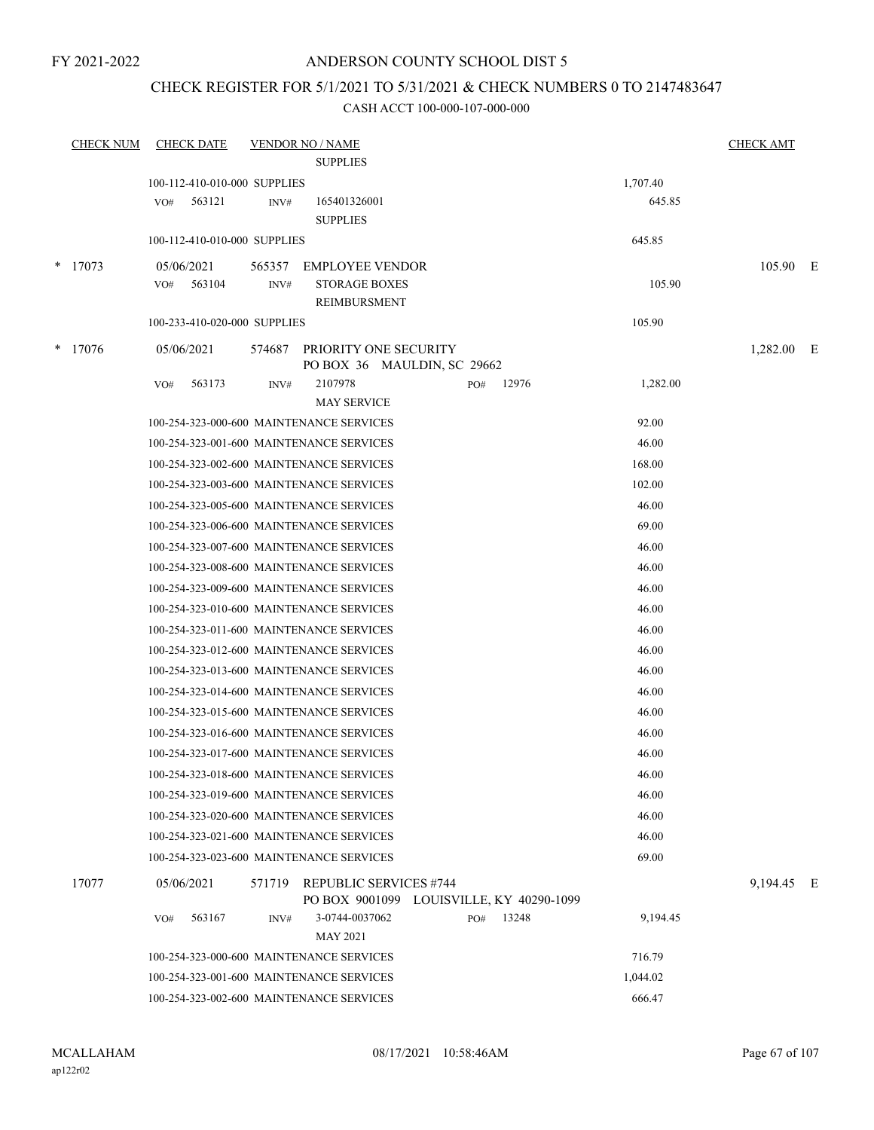### ANDERSON COUNTY SCHOOL DIST 5

### CHECK REGISTER FOR 5/1/2021 TO 5/31/2021 & CHECK NUMBERS 0 TO 2147483647

|        | <b>CHECK NUM</b> | <b>CHECK DATE</b>            |        | <b>VENDOR NO / NAME</b>                                                   |           |       |          | <b>CHECK AMT</b> |  |
|--------|------------------|------------------------------|--------|---------------------------------------------------------------------------|-----------|-------|----------|------------------|--|
|        |                  |                              |        | <b>SUPPLIES</b>                                                           |           |       |          |                  |  |
|        |                  | 100-112-410-010-000 SUPPLIES |        |                                                                           |           |       | 1,707.40 |                  |  |
|        |                  | 563121<br>VO#                | INV#   | 165401326001                                                              |           |       | 645.85   |                  |  |
|        |                  |                              |        | <b>SUPPLIES</b>                                                           |           |       |          |                  |  |
|        |                  | 100-112-410-010-000 SUPPLIES |        |                                                                           |           |       | 645.85   |                  |  |
| $\ast$ | 17073            | 05/06/2021                   | 565357 | <b>EMPLOYEE VENDOR</b>                                                    |           |       |          | 105.90 E         |  |
|        |                  | 563104<br>VO#                | INV#   | <b>STORAGE BOXES</b>                                                      |           |       | 105.90   |                  |  |
|        |                  |                              |        | REIMBURSMENT                                                              |           |       |          |                  |  |
|        |                  | 100-233-410-020-000 SUPPLIES |        |                                                                           |           |       | 105.90   |                  |  |
|        | $*$ 17076        | 05/06/2021                   | 574687 | PRIORITY ONE SECURITY<br>PO BOX 36 MAULDIN, SC 29662                      |           |       |          | 1,282.00 E       |  |
|        |                  | VO#<br>563173                | INV#   | 2107978                                                                   | PO# 12976 |       | 1,282.00 |                  |  |
|        |                  |                              |        | <b>MAY SERVICE</b>                                                        |           |       |          |                  |  |
|        |                  |                              |        | 100-254-323-000-600 MAINTENANCE SERVICES                                  |           |       | 92.00    |                  |  |
|        |                  |                              |        | 100-254-323-001-600 MAINTENANCE SERVICES                                  |           |       | 46.00    |                  |  |
|        |                  |                              |        | 100-254-323-002-600 MAINTENANCE SERVICES                                  |           |       | 168.00   |                  |  |
|        |                  |                              |        | 100-254-323-003-600 MAINTENANCE SERVICES                                  |           |       | 102.00   |                  |  |
|        |                  |                              |        | 100-254-323-005-600 MAINTENANCE SERVICES                                  |           |       | 46.00    |                  |  |
|        |                  |                              |        | 100-254-323-006-600 MAINTENANCE SERVICES                                  |           |       | 69.00    |                  |  |
|        |                  |                              |        | 100-254-323-007-600 MAINTENANCE SERVICES                                  |           |       | 46.00    |                  |  |
|        |                  |                              |        | 100-254-323-008-600 MAINTENANCE SERVICES                                  |           |       | 46.00    |                  |  |
|        |                  |                              |        | 100-254-323-009-600 MAINTENANCE SERVICES                                  |           |       | 46.00    |                  |  |
|        |                  |                              |        | 100-254-323-010-600 MAINTENANCE SERVICES                                  |           |       | 46.00    |                  |  |
|        |                  |                              |        | 100-254-323-011-600 MAINTENANCE SERVICES                                  |           |       | 46.00    |                  |  |
|        |                  |                              |        | 100-254-323-012-600 MAINTENANCE SERVICES                                  |           |       | 46.00    |                  |  |
|        |                  |                              |        | 100-254-323-013-600 MAINTENANCE SERVICES                                  |           |       | 46.00    |                  |  |
|        |                  |                              |        | 100-254-323-014-600 MAINTENANCE SERVICES                                  |           |       | 46.00    |                  |  |
|        |                  |                              |        | 100-254-323-015-600 MAINTENANCE SERVICES                                  |           |       | 46.00    |                  |  |
|        |                  |                              |        | 100-254-323-016-600 MAINTENANCE SERVICES                                  |           |       | 46.00    |                  |  |
|        |                  |                              |        | 100-254-323-017-600 MAINTENANCE SERVICES                                  |           |       | 46.00    |                  |  |
|        |                  |                              |        | 100-254-323-018-600 MAINTENANCE SERVICES                                  |           |       | 46.00    |                  |  |
|        |                  |                              |        | 100-254-323-019-600 MAINTENANCE SERVICES                                  |           |       | 46.00    |                  |  |
|        |                  |                              |        | 100-254-323-020-600 MAINTENANCE SERVICES                                  |           |       | 46.00    |                  |  |
|        |                  |                              |        | 100-254-323-021-600 MAINTENANCE SERVICES                                  |           |       | 46.00    |                  |  |
|        |                  |                              |        | 100-254-323-023-600 MAINTENANCE SERVICES                                  |           |       | 69.00    |                  |  |
|        | 17077            | 05/06/2021                   | 571719 | <b>REPUBLIC SERVICES #744</b><br>PO BOX 9001099 LOUISVILLE, KY 40290-1099 |           |       |          | 9,194.45 E       |  |
|        |                  | 563167<br>VO#                | INV#   | 3-0744-0037062                                                            | PO#       | 13248 | 9,194.45 |                  |  |
|        |                  |                              |        | <b>MAY 2021</b>                                                           |           |       |          |                  |  |
|        |                  |                              |        | 100-254-323-000-600 MAINTENANCE SERVICES                                  |           |       | 716.79   |                  |  |
|        |                  |                              |        | 100-254-323-001-600 MAINTENANCE SERVICES                                  |           |       | 1,044.02 |                  |  |
|        |                  |                              |        | 100-254-323-002-600 MAINTENANCE SERVICES                                  |           |       | 666.47   |                  |  |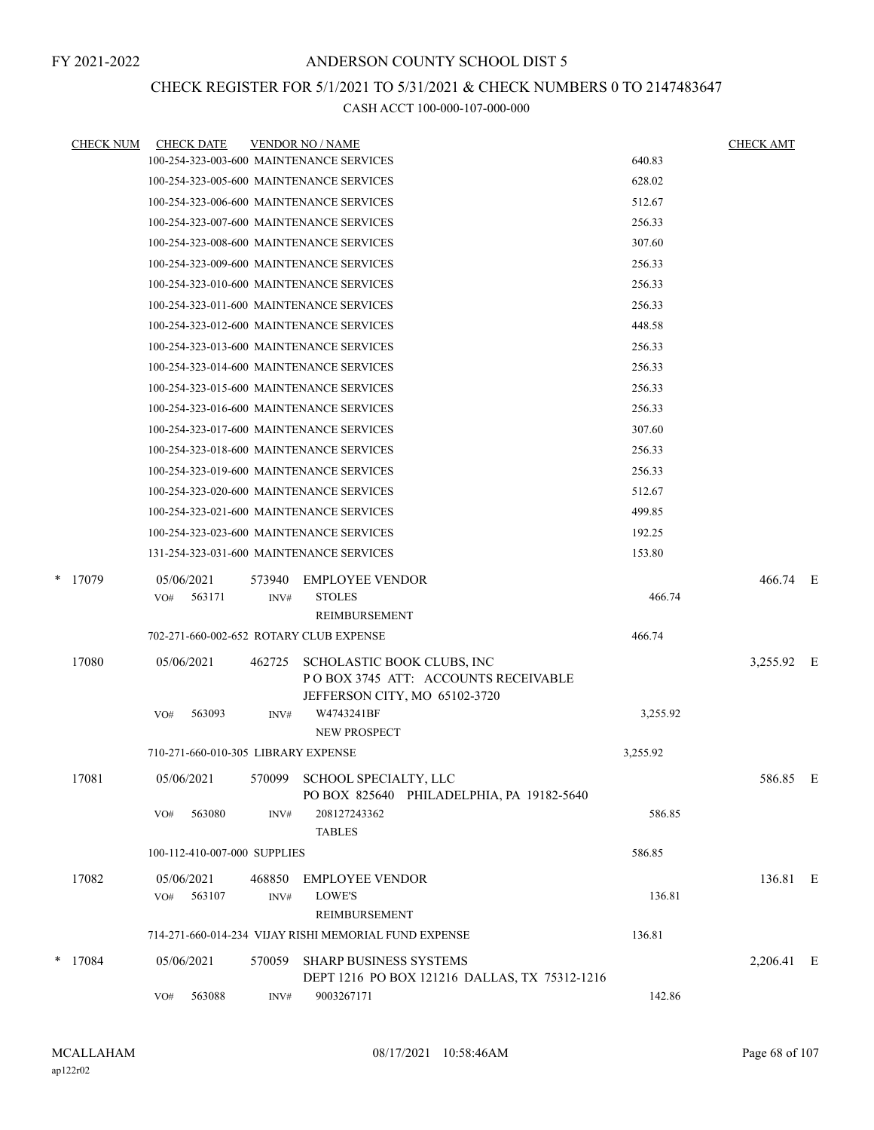### CHECK REGISTER FOR 5/1/2021 TO 5/31/2021 & CHECK NUMBERS 0 TO 2147483647

| <b>CHECK NUM</b> |            | <b>CHECK DATE</b>                   |        | <b>VENDOR NO / NAME</b>                                                                            |          | <b>CHECK AMT</b> |  |
|------------------|------------|-------------------------------------|--------|----------------------------------------------------------------------------------------------------|----------|------------------|--|
|                  |            |                                     |        | 100-254-323-003-600 MAINTENANCE SERVICES                                                           | 640.83   |                  |  |
|                  |            |                                     |        | 100-254-323-005-600 MAINTENANCE SERVICES                                                           | 628.02   |                  |  |
|                  |            |                                     |        | 100-254-323-006-600 MAINTENANCE SERVICES                                                           | 512.67   |                  |  |
|                  |            |                                     |        | 100-254-323-007-600 MAINTENANCE SERVICES                                                           | 256.33   |                  |  |
|                  |            |                                     |        | 100-254-323-008-600 MAINTENANCE SERVICES                                                           | 307.60   |                  |  |
|                  |            |                                     |        | 100-254-323-009-600 MAINTENANCE SERVICES                                                           | 256.33   |                  |  |
|                  |            |                                     |        | 100-254-323-010-600 MAINTENANCE SERVICES                                                           | 256.33   |                  |  |
|                  |            |                                     |        | 100-254-323-011-600 MAINTENANCE SERVICES                                                           | 256.33   |                  |  |
|                  |            |                                     |        | 100-254-323-012-600 MAINTENANCE SERVICES                                                           | 448.58   |                  |  |
|                  |            |                                     |        | 100-254-323-013-600 MAINTENANCE SERVICES                                                           | 256.33   |                  |  |
|                  |            |                                     |        | 100-254-323-014-600 MAINTENANCE SERVICES                                                           | 256.33   |                  |  |
|                  |            |                                     |        | 100-254-323-015-600 MAINTENANCE SERVICES                                                           | 256.33   |                  |  |
|                  |            |                                     |        | 100-254-323-016-600 MAINTENANCE SERVICES                                                           | 256.33   |                  |  |
|                  |            |                                     |        | 100-254-323-017-600 MAINTENANCE SERVICES                                                           | 307.60   |                  |  |
|                  |            |                                     |        | 100-254-323-018-600 MAINTENANCE SERVICES                                                           | 256.33   |                  |  |
|                  |            |                                     |        | 100-254-323-019-600 MAINTENANCE SERVICES                                                           | 256.33   |                  |  |
|                  |            |                                     |        | 100-254-323-020-600 MAINTENANCE SERVICES                                                           | 512.67   |                  |  |
|                  |            |                                     |        | 100-254-323-021-600 MAINTENANCE SERVICES                                                           | 499.85   |                  |  |
|                  |            |                                     |        | 100-254-323-023-600 MAINTENANCE SERVICES                                                           | 192.25   |                  |  |
|                  |            |                                     |        | 131-254-323-031-600 MAINTENANCE SERVICES                                                           | 153.80   |                  |  |
| * 17079          | 05/06/2021 |                                     | 573940 | <b>EMPLOYEE VENDOR</b>                                                                             |          | 466.74 E         |  |
|                  | VO#        | 563171                              | INV#   | <b>STOLES</b>                                                                                      | 466.74   |                  |  |
|                  |            |                                     |        | REIMBURSEMENT                                                                                      |          |                  |  |
|                  |            |                                     |        | 702-271-660-002-652 ROTARY CLUB EXPENSE                                                            | 466.74   |                  |  |
| 17080            | 05/06/2021 |                                     | 462725 | SCHOLASTIC BOOK CLUBS, INC<br>POBOX 3745 ATT: ACCOUNTS RECEIVABLE<br>JEFFERSON CITY, MO 65102-3720 |          | 3,255.92 E       |  |
|                  | VO#        | 563093                              | INV#   | W4743241BF<br><b>NEW PROSPECT</b>                                                                  | 3,255.92 |                  |  |
|                  |            | 710-271-660-010-305 LIBRARY EXPENSE |        |                                                                                                    | 3,255.92 |                  |  |
| 17081            | 05/06/2021 |                                     |        | 570099 SCHOOL SPECIALTY, LLC<br>PO BOX 825640 PHILADELPHIA, PA 19182-5640                          |          | 586.85 E         |  |
|                  | VO#        | 563080                              | INV#   | 208127243362<br><b>TABLES</b>                                                                      | 586.85   |                  |  |
|                  |            | 100-112-410-007-000 SUPPLIES        |        |                                                                                                    | 586.85   |                  |  |
| 17082            | 05/06/2021 |                                     | 468850 | <b>EMPLOYEE VENDOR</b>                                                                             |          | 136.81 E         |  |
|                  | VO#        | 563107                              | INV#   | LOWE'S<br>REIMBURSEMENT                                                                            | 136.81   |                  |  |
|                  |            |                                     |        | 714-271-660-014-234 VIJAY RISHI MEMORIAL FUND EXPENSE                                              | 136.81   |                  |  |
| $*$ 17084        | 05/06/2021 |                                     | 570059 | <b>SHARP BUSINESS SYSTEMS</b><br>DEPT 1216 PO BOX 121216 DALLAS, TX 75312-1216                     |          | 2,206.41 E       |  |
|                  | VO#        | 563088                              | INV#   | 9003267171                                                                                         | 142.86   |                  |  |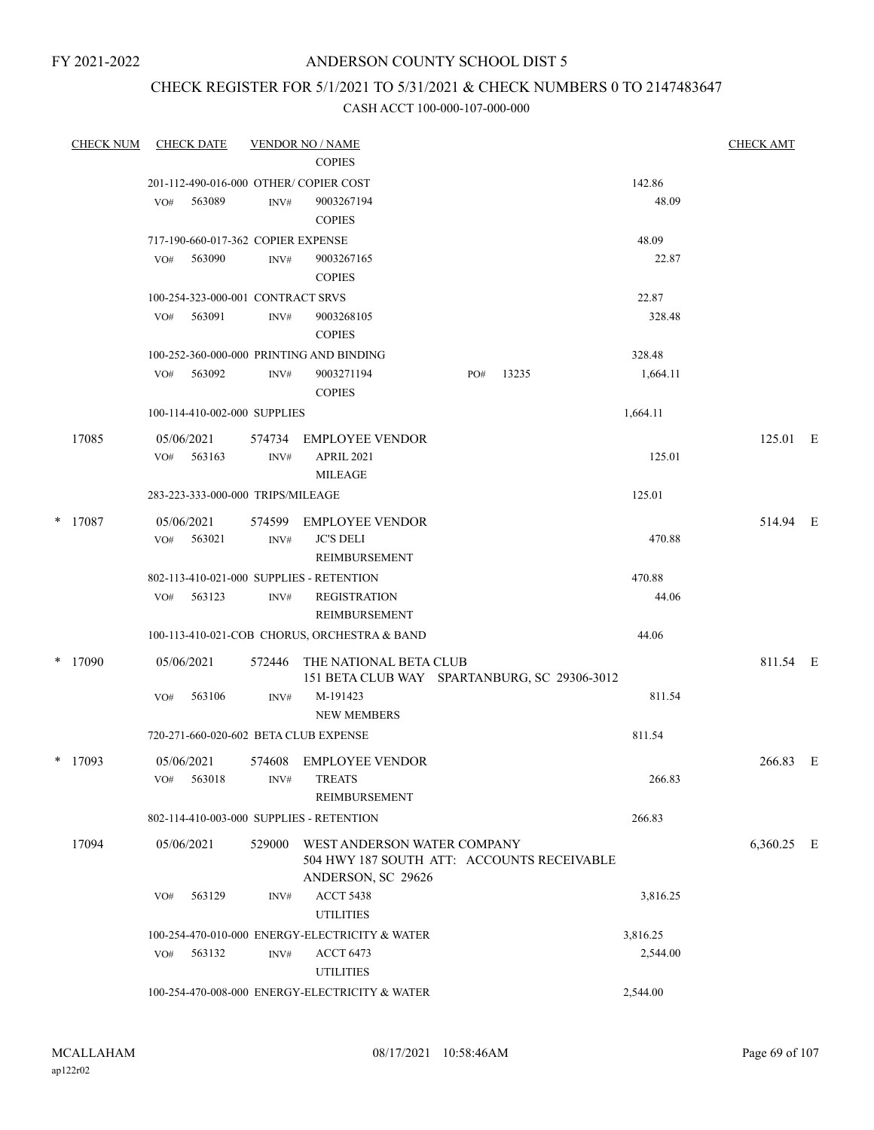### ANDERSON COUNTY SCHOOL DIST 5

### CHECK REGISTER FOR 5/1/2021 TO 5/31/2021 & CHECK NUMBERS 0 TO 2147483647

| <b>CHECK NUM</b> |     | <b>CHECK DATE</b>                  |                | <b>VENDOR NO / NAME</b><br><b>COPIES</b>                                                        |     |       |          | <b>CHECK AMT</b> |  |
|------------------|-----|------------------------------------|----------------|-------------------------------------------------------------------------------------------------|-----|-------|----------|------------------|--|
|                  |     |                                    |                | 201-112-490-016-000 OTHER/ COPIER COST                                                          |     |       | 142.86   |                  |  |
|                  | VO# | 563089                             | INV#           | 9003267194<br><b>COPIES</b>                                                                     |     |       | 48.09    |                  |  |
|                  |     | 717-190-660-017-362 COPIER EXPENSE |                |                                                                                                 |     |       | 48.09    |                  |  |
|                  | VO# | 563090                             | INV#           | 9003267165<br><b>COPIES</b>                                                                     |     |       | 22.87    |                  |  |
|                  |     | 100-254-323-000-001 CONTRACT SRVS  |                |                                                                                                 |     |       | 22.87    |                  |  |
|                  | VO# | 563091                             | INV#           | 9003268105<br><b>COPIES</b>                                                                     |     |       | 328.48   |                  |  |
|                  |     |                                    |                | 100-252-360-000-000 PRINTING AND BINDING                                                        |     |       | 328.48   |                  |  |
|                  | VO# | 563092                             | INV#           | 9003271194<br><b>COPIES</b>                                                                     | PO# | 13235 | 1,664.11 |                  |  |
|                  |     | 100-114-410-002-000 SUPPLIES       |                |                                                                                                 |     |       | 1,664.11 |                  |  |
| 17085            | VO# | 05/06/2021<br>563163               | 574734<br>INV# | EMPLOYEE VENDOR<br><b>APRIL 2021</b>                                                            |     |       | 125.01   | 125.01 E         |  |
|                  |     | 283-223-333-000-000 TRIPS/MILEAGE  |                | MILEAGE                                                                                         |     |       | 125.01   |                  |  |
| $*$ 17087        | VO# | 05/06/2021<br>563021               | INV#           | 574599 EMPLOYEE VENDOR<br><b>JC'S DELI</b><br>REIMBURSEMENT                                     |     |       | 470.88   | 514.94 E         |  |
|                  |     |                                    |                | 802-113-410-021-000 SUPPLIES - RETENTION                                                        |     |       | 470.88   |                  |  |
|                  | VO# | 563123                             | INV#           | <b>REGISTRATION</b><br>REIMBURSEMENT                                                            |     |       | 44.06    |                  |  |
|                  |     |                                    |                | 100-113-410-021-COB CHORUS, ORCHESTRA & BAND                                                    |     |       | 44.06    |                  |  |
| $*$ 17090        |     | 05/06/2021                         | 572446         | THE NATIONAL BETA CLUB<br>151 BETA CLUB WAY SPARTANBURG, SC 29306-3012                          |     |       |          | 811.54 E         |  |
|                  | VO# | 563106                             | INV#           | M-191423<br><b>NEW MEMBERS</b>                                                                  |     |       | 811.54   |                  |  |
|                  |     |                                    |                | 720-271-660-020-602 BETA CLUB EXPENSE                                                           |     |       | 811.54   |                  |  |
| $*$ 17093        | VO# | 05/06/2021<br>563018               | INV#           | 574608 EMPLOYEE VENDOR<br><b>TREATS</b>                                                         |     |       | 266.83   | 266.83 E         |  |
|                  |     |                                    |                | REIMBURSEMENT                                                                                   |     |       |          |                  |  |
|                  |     |                                    |                | 802-114-410-003-000 SUPPLIES - RETENTION                                                        |     |       | 266.83   |                  |  |
| 17094            |     | 05/06/2021                         | 529000         | WEST ANDERSON WATER COMPANY<br>504 HWY 187 SOUTH ATT: ACCOUNTS RECEIVABLE<br>ANDERSON, SC 29626 |     |       |          | 6,360.25 E       |  |
|                  | VO# | 563129                             | INV#           | <b>ACCT 5438</b><br><b>UTILITIES</b>                                                            |     |       | 3,816.25 |                  |  |
|                  |     |                                    |                | 100-254-470-010-000 ENERGY-ELECTRICITY & WATER                                                  |     |       | 3,816.25 |                  |  |
|                  | VO# | 563132                             | INV#           | <b>ACCT 6473</b><br><b>UTILITIES</b>                                                            |     |       | 2,544.00 |                  |  |
|                  |     |                                    |                | 100-254-470-008-000 ENERGY-ELECTRICITY & WATER                                                  |     |       | 2,544.00 |                  |  |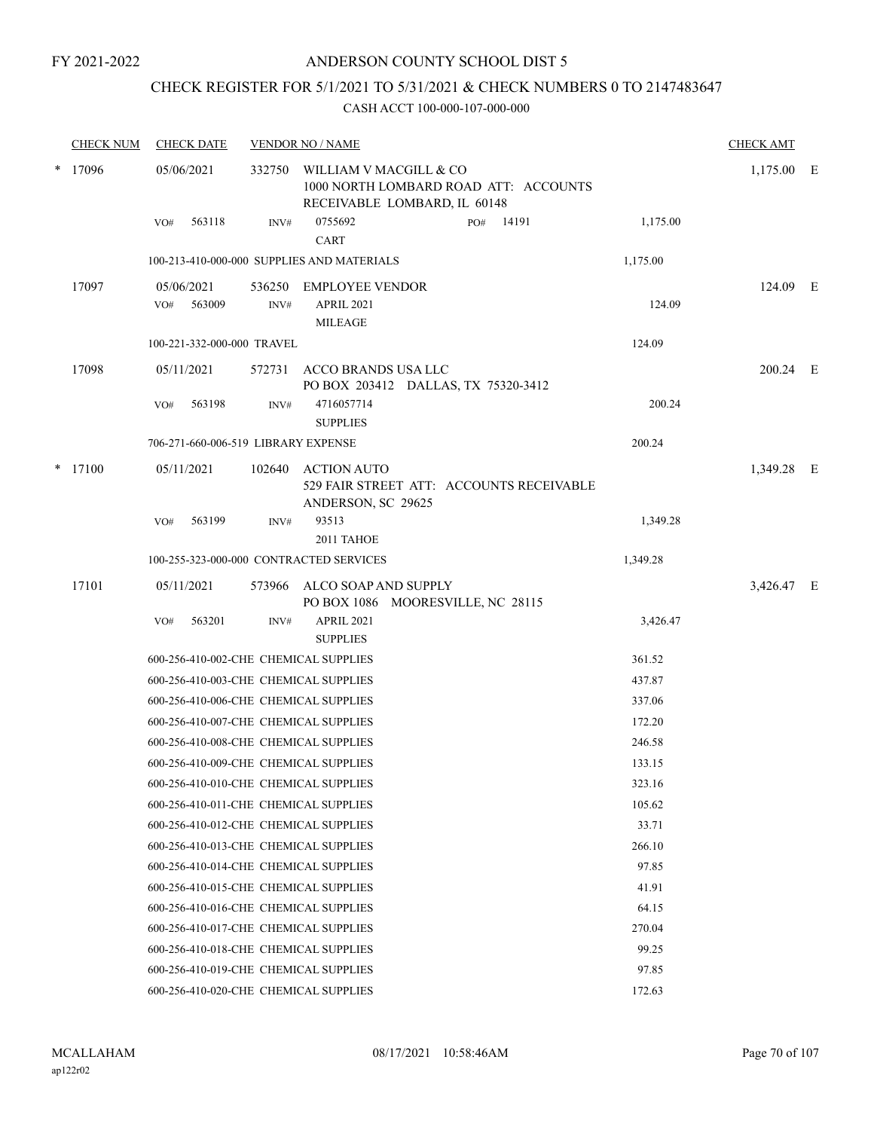### CHECK REGISTER FOR 5/1/2021 TO 5/31/2021 & CHECK NUMBERS 0 TO 2147483647

| <b>CHECK NUM</b> |     | <b>CHECK DATE</b> |                                     | <b>VENDOR NO / NAME</b>                                                                         |          | <b>CHECK AMT</b> |  |
|------------------|-----|-------------------|-------------------------------------|-------------------------------------------------------------------------------------------------|----------|------------------|--|
| * 17096          |     | 05/06/2021        | 332750                              | WILLIAM V MACGILL & CO<br>1000 NORTH LOMBARD ROAD ATT: ACCOUNTS<br>RECEIVABLE LOMBARD, IL 60148 |          | $1,175.00$ E     |  |
|                  | VO# | 563118            | INV#                                | 0755692<br>14191<br>PO#<br><b>CART</b>                                                          | 1,175.00 |                  |  |
|                  |     |                   |                                     | 100-213-410-000-000 SUPPLIES AND MATERIALS                                                      | 1,175.00 |                  |  |
| 17097            |     | 05/06/2021        |                                     | 536250 EMPLOYEE VENDOR                                                                          |          | 124.09 E         |  |
|                  | VO# | 563009            | INV#                                | APRIL 2021<br><b>MILEAGE</b>                                                                    | 124.09   |                  |  |
|                  |     |                   | 100-221-332-000-000 TRAVEL          |                                                                                                 | 124.09   |                  |  |
| 17098            |     | 05/11/2021        | 572731                              | ACCO BRANDS USA LLC<br>PO BOX 203412 DALLAS, TX 75320-3412                                      |          | 200.24 E         |  |
|                  | VO# | 563198            | INV#                                | 4716057714<br><b>SUPPLIES</b>                                                                   | 200.24   |                  |  |
|                  |     |                   | 706-271-660-006-519 LIBRARY EXPENSE |                                                                                                 | 200.24   |                  |  |
| $*$ 17100        |     | 05/11/2021        | 102640                              | <b>ACTION AUTO</b><br>529 FAIR STREET ATT: ACCOUNTS RECEIVABLE<br>ANDERSON, SC 29625            |          | 1,349.28 E       |  |
|                  | VO# | 563199            | INV#                                | 93513                                                                                           | 1,349.28 |                  |  |
|                  |     |                   |                                     | 2011 TAHOE                                                                                      |          |                  |  |
|                  |     |                   |                                     | 100-255-323-000-000 CONTRACTED SERVICES                                                         | 1,349.28 |                  |  |
| 17101            |     | 05/11/2021        | 573966                              | ALCO SOAP AND SUPPLY<br>PO BOX 1086 MOORESVILLE, NC 28115                                       |          | 3,426.47 E       |  |
|                  | VO# | 563201            | INV#                                | <b>APRIL 2021</b><br><b>SUPPLIES</b>                                                            | 3,426.47 |                  |  |
|                  |     |                   |                                     | 600-256-410-002-CHE CHEMICAL SUPPLIES                                                           | 361.52   |                  |  |
|                  |     |                   |                                     | 600-256-410-003-CHE CHEMICAL SUPPLIES                                                           | 437.87   |                  |  |
|                  |     |                   |                                     | 600-256-410-006-CHE CHEMICAL SUPPLIES                                                           | 337.06   |                  |  |
|                  |     |                   |                                     | 600-256-410-007-CHE CHEMICAL SUPPLIES                                                           | 172.20   |                  |  |
|                  |     |                   |                                     | 600-256-410-008-CHE CHEMICAL SUPPLIES                                                           | 246.58   |                  |  |
|                  |     |                   |                                     | 600-256-410-009-CHE CHEMICAL SUPPLIES                                                           | 133.15   |                  |  |
|                  |     |                   |                                     | 600-256-410-010-CHE CHEMICAL SUPPLIES                                                           | 323.16   |                  |  |
|                  |     |                   |                                     | 600-256-410-011-CHE CHEMICAL SUPPLIES                                                           | 105.62   |                  |  |
|                  |     |                   |                                     | 600-256-410-012-CHE CHEMICAL SUPPLIES                                                           | 33.71    |                  |  |
|                  |     |                   |                                     | 600-256-410-013-CHE CHEMICAL SUPPLIES                                                           | 266.10   |                  |  |
|                  |     |                   |                                     | 600-256-410-014-CHE CHEMICAL SUPPLIES                                                           | 97.85    |                  |  |
|                  |     |                   |                                     | 600-256-410-015-CHE CHEMICAL SUPPLIES                                                           | 41.91    |                  |  |
|                  |     |                   |                                     | 600-256-410-016-CHE CHEMICAL SUPPLIES                                                           | 64.15    |                  |  |
|                  |     |                   |                                     | 600-256-410-017-CHE CHEMICAL SUPPLIES                                                           | 270.04   |                  |  |
|                  |     |                   |                                     | 600-256-410-018-CHE CHEMICAL SUPPLIES                                                           | 99.25    |                  |  |
|                  |     |                   |                                     | 600-256-410-019-CHE CHEMICAL SUPPLIES                                                           | 97.85    |                  |  |
|                  |     |                   |                                     | 600-256-410-020-CHE CHEMICAL SUPPLIES                                                           | 172.63   |                  |  |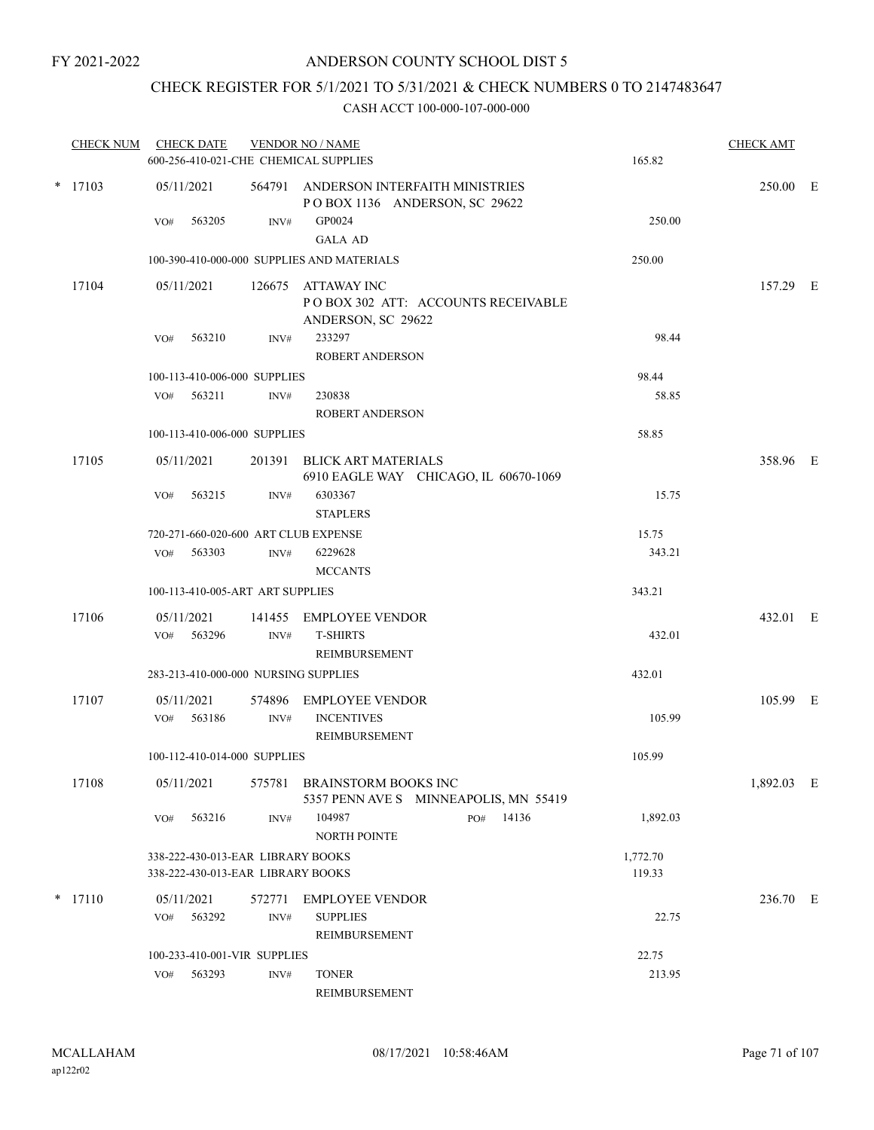### CHECK REGISTER FOR 5/1/2021 TO 5/31/2021 & CHECK NUMBERS 0 TO 2147483647

| <b>CHECK NUM</b> | <b>CHECK DATE</b><br>600-256-410-021-CHE CHEMICAL SUPPLIES             |                | <b>VENDOR NO / NAME</b>                                                 |           | 165.82             | <b>CHECK AMT</b> |  |
|------------------|------------------------------------------------------------------------|----------------|-------------------------------------------------------------------------|-----------|--------------------|------------------|--|
| $*$ 17103        | 05/11/2021                                                             |                | 564791 ANDERSON INTERFAITH MINISTRIES<br>POBOX 1136 ANDERSON, SC 29622  |           |                    | 250.00 E         |  |
|                  | VO#<br>563205                                                          | INV#           | GP0024                                                                  |           | 250.00             |                  |  |
|                  |                                                                        |                | <b>GALA AD</b>                                                          |           |                    |                  |  |
|                  |                                                                        |                | 100-390-410-000-000 SUPPLIES AND MATERIALS                              |           | 250.00             |                  |  |
| 17104            | 05/11/2021                                                             | 126675         | ATTAWAY INC<br>POBOX 302 ATT: ACCOUNTS RECEIVABLE<br>ANDERSON, SC 29622 |           |                    | 157.29 E         |  |
|                  | 563210<br>VO#                                                          | INV#           | 233297                                                                  |           | 98.44              |                  |  |
|                  |                                                                        |                | <b>ROBERT ANDERSON</b>                                                  |           |                    |                  |  |
|                  | 100-113-410-006-000 SUPPLIES                                           |                |                                                                         |           | 98.44              |                  |  |
|                  | VO# 563211                                                             | INV#           | 230838<br><b>ROBERT ANDERSON</b>                                        |           | 58.85              |                  |  |
|                  | 100-113-410-006-000 SUPPLIES                                           |                |                                                                         |           | 58.85              |                  |  |
| 17105            | 05/11/2021                                                             | 201391         | BLICK ART MATERIALS<br>6910 EAGLE WAY CHICAGO, IL 60670-1069            |           |                    | 358.96 E         |  |
|                  | VO#<br>563215                                                          | INV#           | 6303367<br><b>STAPLERS</b>                                              |           | 15.75              |                  |  |
|                  | 720-271-660-020-600 ART CLUB EXPENSE                                   |                |                                                                         |           | 15.75              |                  |  |
|                  | VO# 563303                                                             | INV#           | 6229628<br><b>MCCANTS</b>                                               |           | 343.21             |                  |  |
|                  | 100-113-410-005-ART ART SUPPLIES                                       |                |                                                                         |           | 343.21             |                  |  |
| 17106            | 05/11/2021<br>VO#<br>563296                                            | 141455<br>INV# | EMPLOYEE VENDOR<br><b>T-SHIRTS</b>                                      |           | 432.01             | 432.01 E         |  |
|                  |                                                                        |                | REIMBURSEMENT                                                           |           |                    |                  |  |
|                  | 283-213-410-000-000 NURSING SUPPLIES                                   |                |                                                                         |           | 432.01             |                  |  |
| 17107            | 05/11/2021<br>563186<br>VO#                                            | 574896<br>INV# | EMPLOYEE VENDOR<br><b>INCENTIVES</b>                                    |           | 105.99             | 105.99 E         |  |
|                  |                                                                        |                | REIMBURSEMENT                                                           |           |                    |                  |  |
|                  | 100-112-410-014-000 SUPPLIES                                           |                |                                                                         |           | 105.99             |                  |  |
| 17108            | 05/11/2021                                                             |                | 575781 BRAINSTORM BOOKS INC<br>5357 PENN AVE S MINNEAPOLIS, MN 55419    |           |                    | 1,892.03 E       |  |
|                  | 563216<br>VO#                                                          | INV#           | 104987<br><b>NORTH POINTE</b>                                           | PO# 14136 | 1,892.03           |                  |  |
|                  | 338-222-430-013-EAR LIBRARY BOOKS<br>338-222-430-013-EAR LIBRARY BOOKS |                |                                                                         |           | 1,772.70<br>119.33 |                  |  |
| $*$ 17110        | 05/11/2021                                                             | 572771         | <b>EMPLOYEE VENDOR</b>                                                  |           |                    | 236.70 E         |  |
|                  | 563292<br>VO#                                                          | INV#           | <b>SUPPLIES</b>                                                         |           | 22.75              |                  |  |
|                  |                                                                        |                | REIMBURSEMENT                                                           |           |                    |                  |  |
|                  | 100-233-410-001-VIR SUPPLIES                                           |                |                                                                         |           | 22.75              |                  |  |
|                  | 563293<br>VO#                                                          | INV#           | <b>TONER</b><br>REIMBURSEMENT                                           |           | 213.95             |                  |  |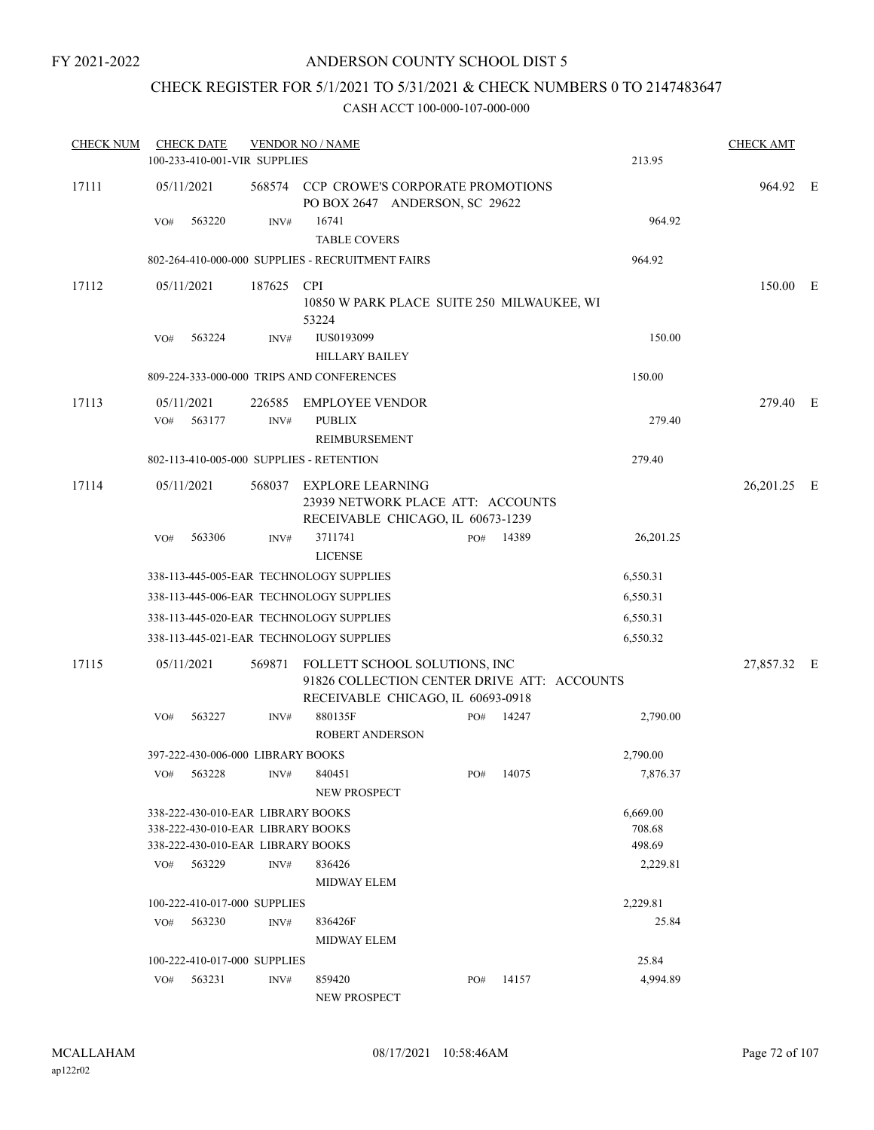### ANDERSON COUNTY SCHOOL DIST 5

### CHECK REGISTER FOR 5/1/2021 TO 5/31/2021 & CHECK NUMBERS 0 TO 2147483647

| <b>CHECK NUM</b> |     | <b>CHECK DATE</b> | 100-233-410-001-VIR SUPPLIES                                                                                | <b>VENDOR NO / NAME</b>                                                                                                  |     |           | 213.95                       | <b>CHECK AMT</b> |  |
|------------------|-----|-------------------|-------------------------------------------------------------------------------------------------------------|--------------------------------------------------------------------------------------------------------------------------|-----|-----------|------------------------------|------------------|--|
| 17111            |     | 05/11/2021        |                                                                                                             | 568574 CCP CROWE'S CORPORATE PROMOTIONS<br>PO BOX 2647 ANDERSON, SC 29622                                                |     |           |                              | 964.92 E         |  |
|                  | VO# | 563220            | INV#                                                                                                        | 16741                                                                                                                    |     |           | 964.92                       |                  |  |
|                  |     |                   |                                                                                                             | <b>TABLE COVERS</b>                                                                                                      |     |           |                              |                  |  |
|                  |     |                   |                                                                                                             | 802-264-410-000-000 SUPPLIES - RECRUITMENT FAIRS                                                                         |     |           | 964.92                       |                  |  |
| 17112            |     | 05/11/2021        | 187625                                                                                                      | <b>CPI</b><br>10850 W PARK PLACE SUITE 250 MILWAUKEE, WI<br>53224                                                        |     |           |                              | 150.00 E         |  |
|                  | VO# | 563224            | INV#                                                                                                        | IUS0193099                                                                                                               |     |           | 150.00                       |                  |  |
|                  |     |                   |                                                                                                             | <b>HILLARY BAILEY</b>                                                                                                    |     |           |                              |                  |  |
|                  |     |                   |                                                                                                             | 809-224-333-000-000 TRIPS AND CONFERENCES                                                                                |     |           | 150.00                       |                  |  |
| 17113            |     | 05/11/2021        |                                                                                                             | 226585 EMPLOYEE VENDOR                                                                                                   |     |           |                              | 279.40 E         |  |
|                  | VO# | 563177            | INV#                                                                                                        | <b>PUBLIX</b>                                                                                                            |     |           | 279.40                       |                  |  |
|                  |     |                   |                                                                                                             | REIMBURSEMENT                                                                                                            |     |           |                              |                  |  |
|                  |     |                   |                                                                                                             | 802-113-410-005-000 SUPPLIES - RETENTION                                                                                 |     |           | 279.40                       |                  |  |
| 17114            |     | 05/11/2021        |                                                                                                             | 568037 EXPLORE LEARNING<br>23939 NETWORK PLACE ATT: ACCOUNTS<br>RECEIVABLE CHICAGO, IL 60673-1239                        |     |           |                              | 26,201.25 E      |  |
|                  | VO# | 563306            | INV#                                                                                                        | 3711741<br><b>LICENSE</b>                                                                                                | PO# | 14389     | 26, 201. 25                  |                  |  |
|                  |     |                   |                                                                                                             | 338-113-445-005-EAR TECHNOLOGY SUPPLIES                                                                                  |     |           | 6,550.31                     |                  |  |
|                  |     |                   |                                                                                                             | 338-113-445-006-EAR TECHNOLOGY SUPPLIES                                                                                  |     |           | 6,550.31                     |                  |  |
|                  |     |                   |                                                                                                             | 338-113-445-020-EAR TECHNOLOGY SUPPLIES                                                                                  |     |           | 6,550.31                     |                  |  |
|                  |     |                   |                                                                                                             | 338-113-445-021-EAR TECHNOLOGY SUPPLIES                                                                                  |     |           | 6,550.32                     |                  |  |
| 17115            |     | 05/11/2021        |                                                                                                             | 569871 FOLLETT SCHOOL SOLUTIONS, INC<br>91826 COLLECTION CENTER DRIVE ATT: ACCOUNTS<br>RECEIVABLE CHICAGO, IL 60693-0918 |     |           | 27,857.32 E                  |                  |  |
|                  | VO# | 563227            | INV#                                                                                                        | 880135F<br>ROBERT ANDERSON                                                                                               | PO# | 14247     | 2,790.00                     |                  |  |
|                  |     |                   | 397-222-430-006-000 LIBRARY BOOKS                                                                           |                                                                                                                          |     |           | 2,790.00                     |                  |  |
|                  |     |                   | VO# 563228 INV# 840451                                                                                      | NEW PROSPECT                                                                                                             |     | PO# 14075 | 7,876.37                     |                  |  |
|                  |     |                   | 338-222-430-010-EAR LIBRARY BOOKS<br>338-222-430-010-EAR LIBRARY BOOKS<br>338-222-430-010-EAR LIBRARY BOOKS |                                                                                                                          |     |           | 6.669.00<br>708.68<br>498.69 |                  |  |
|                  |     | VO# 563229        | INV#                                                                                                        | 836426<br><b>MIDWAY ELEM</b>                                                                                             |     |           | 2,229.81                     |                  |  |
|                  |     |                   | 100-222-410-017-000 SUPPLIES                                                                                |                                                                                                                          |     |           | 2,229.81                     |                  |  |
|                  |     | VO# 563230        | INV#                                                                                                        | 836426F<br><b>MIDWAY ELEM</b>                                                                                            |     |           | 25.84                        |                  |  |
|                  |     |                   | 100-222-410-017-000 SUPPLIES                                                                                |                                                                                                                          |     |           | 25.84                        |                  |  |
|                  | VO# | 563231            | INV#                                                                                                        | 859420<br><b>NEW PROSPECT</b>                                                                                            | PO# | 14157     | 4,994.89                     |                  |  |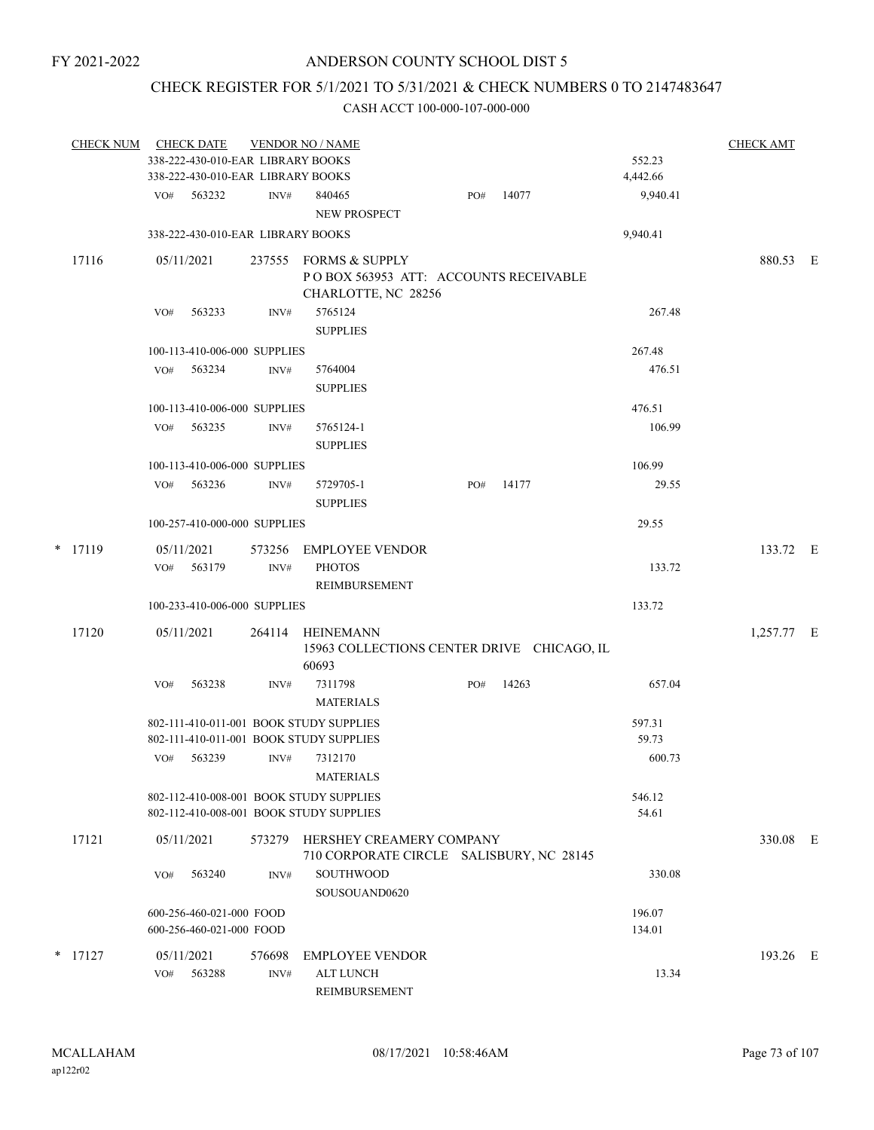# CHECK REGISTER FOR 5/1/2021 TO 5/31/2021 & CHECK NUMBERS 0 TO 2147483647

|   | <b>CHECK NUM</b> |                   | <b>CHECK DATE</b>        |                                   | <b>VENDOR NO / NAME</b>                                                                                |     |       |                           | <b>CHECK AMT</b> |  |
|---|------------------|-------------------|--------------------------|-----------------------------------|--------------------------------------------------------------------------------------------------------|-----|-------|---------------------------|------------------|--|
|   |                  |                   |                          | 338-222-430-010-EAR LIBRARY BOOKS |                                                                                                        |     |       | 552.23                    |                  |  |
|   |                  |                   |                          | 338-222-430-010-EAR LIBRARY BOOKS |                                                                                                        |     |       | 4,442.66                  |                  |  |
|   |                  | VO#               | 563232                   | INV#                              | 840465<br>NEW PROSPECT                                                                                 | PO# | 14077 | 9,940.41                  |                  |  |
|   |                  |                   |                          | 338-222-430-010-EAR LIBRARY BOOKS |                                                                                                        |     |       | 9,940.41                  |                  |  |
|   | 17116            |                   | 05/11/2021               | 237555                            | FORMS & SUPPLY<br>POBOX 563953 ATT: ACCOUNTS RECEIVABLE<br>CHARLOTTE, NC 28256                         |     |       |                           | 880.53 E         |  |
|   |                  | VO#               | 563233                   | INV#                              | 5765124<br><b>SUPPLIES</b>                                                                             |     |       | 267.48                    |                  |  |
|   |                  |                   |                          | 100-113-410-006-000 SUPPLIES      |                                                                                                        |     |       | 267.48                    |                  |  |
|   |                  | VO#               | 563234                   | INV#                              | 5764004<br><b>SUPPLIES</b>                                                                             |     |       | 476.51                    |                  |  |
|   |                  |                   |                          | 100-113-410-006-000 SUPPLIES      |                                                                                                        |     |       | 476.51                    |                  |  |
|   |                  | VO#               | 563235                   | INV#                              | 5765124-1<br><b>SUPPLIES</b>                                                                           |     |       | 106.99                    |                  |  |
|   |                  |                   |                          | 100-113-410-006-000 SUPPLIES      |                                                                                                        |     |       | 106.99                    |                  |  |
|   |                  | VO#               | 563236                   | INV#                              | 5729705-1<br><b>SUPPLIES</b>                                                                           | PO# | 14177 | 29.55                     |                  |  |
|   |                  |                   |                          | 100-257-410-000-000 SUPPLIES      |                                                                                                        |     |       | 29.55                     |                  |  |
| * | 17119            |                   | 05/11/2021               | 573256                            | <b>EMPLOYEE VENDOR</b>                                                                                 |     |       |                           | 133.72 E         |  |
|   |                  | VO#               | 563179                   | INV#                              | <b>PHOTOS</b><br><b>REIMBURSEMENT</b>                                                                  |     |       | 133.72                    |                  |  |
|   |                  |                   |                          | 100-233-410-006-000 SUPPLIES      |                                                                                                        |     |       | 133.72                    |                  |  |
|   | 17120            |                   | 05/11/2021               | 264114                            | HEINEMANN<br>15963 COLLECTIONS CENTER DRIVE CHICAGO, IL<br>60693                                       |     |       |                           | 1,257.77 E       |  |
|   |                  | VO#               | 563238                   | INV#                              | 7311798<br><b>MATERIALS</b>                                                                            | PO# | 14263 | 657.04                    |                  |  |
|   |                  | VO#               | 563239                   | INV#                              | 802-111-410-011-001 BOOK STUDY SUPPLIES<br>802-111-410-011-001 BOOK STUDY SUPPLIES<br>7312170          |     |       | 597.31<br>59.73<br>600.73 |                  |  |
|   |                  |                   |                          |                                   | <b>MATERIALS</b><br>802-112-410-008-001 BOOK STUDY SUPPLIES<br>802-112-410-008-001 BOOK STUDY SUPPLIES |     |       | 546.12<br>54.61           |                  |  |
|   | 17121            |                   | 05/11/2021               | 573279                            | HERSHEY CREAMERY COMPANY<br>710 CORPORATE CIRCLE SALISBURY, NC 28145                                   |     |       |                           | 330.08 E         |  |
|   |                  | VO#               | 563240                   | INV#                              | SOUTHWOOD<br>SOUSOUAND0620                                                                             |     |       | 330.08                    |                  |  |
|   |                  |                   | 600-256-460-021-000 FOOD |                                   |                                                                                                        |     |       | 196.07                    |                  |  |
|   |                  |                   | 600-256-460-021-000 FOOD |                                   |                                                                                                        |     |       | 134.01                    |                  |  |
|   | $*$ 17127        | 05/11/2021<br>VO# | 563288                   | 576698<br>INV#                    | <b>EMPLOYEE VENDOR</b><br><b>ALT LUNCH</b><br>REIMBURSEMENT                                            |     |       | 13.34                     | 193.26 E         |  |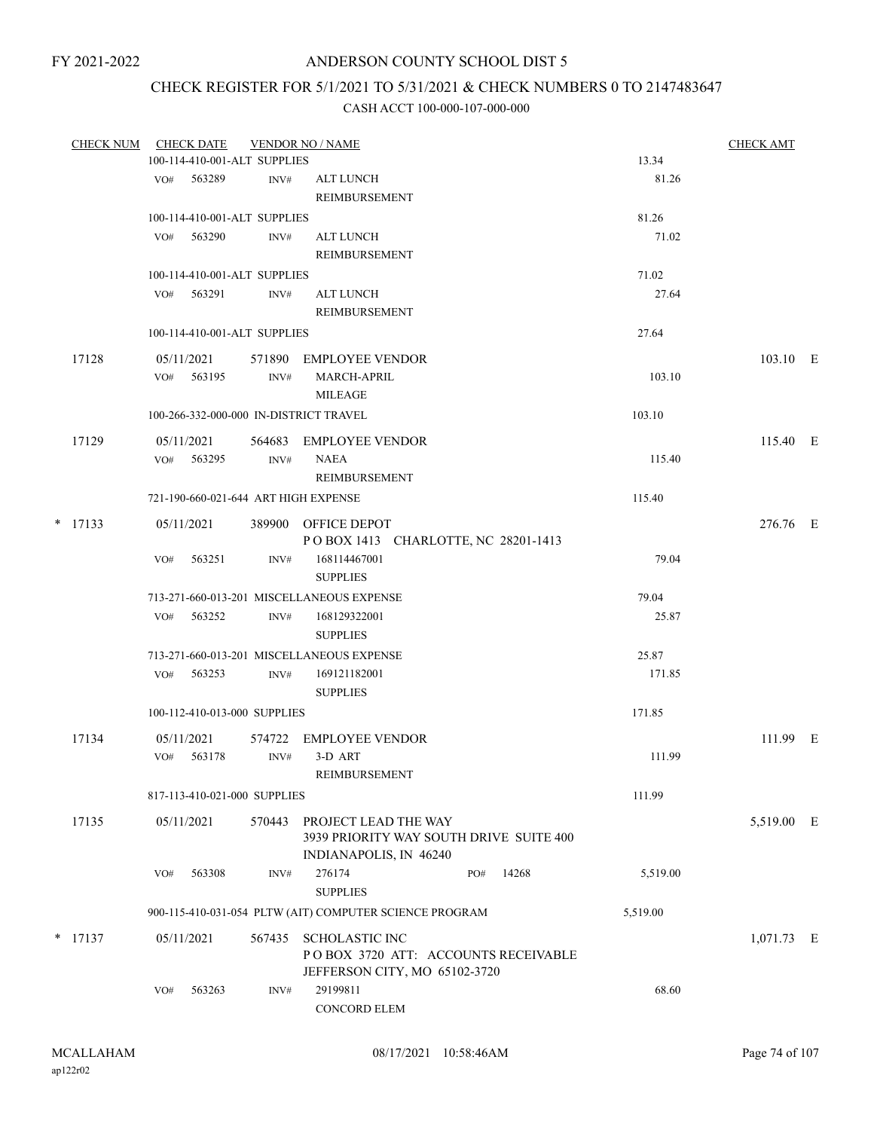# CHECK REGISTER FOR 5/1/2021 TO 5/31/2021 & CHECK NUMBERS 0 TO 2147483647

| <b>CHECK NUM</b> |     | <b>CHECK DATE</b> |                              | <b>VENDOR NO / NAME</b>                                 |     |       |          | <b>CHECK AMT</b> |  |
|------------------|-----|-------------------|------------------------------|---------------------------------------------------------|-----|-------|----------|------------------|--|
|                  |     |                   | 100-114-410-001-ALT SUPPLIES |                                                         |     |       | 13.34    |                  |  |
|                  |     | VO# 563289        | INV#                         | ALT LUNCH                                               |     |       | 81.26    |                  |  |
|                  |     |                   |                              | REIMBURSEMENT                                           |     |       |          |                  |  |
|                  |     |                   | 100-114-410-001-ALT SUPPLIES |                                                         |     |       | 81.26    |                  |  |
|                  |     | VO# 563290        | INV#                         | ALT LUNCH                                               |     |       | 71.02    |                  |  |
|                  |     |                   |                              | REIMBURSEMENT                                           |     |       |          |                  |  |
|                  |     |                   | 100-114-410-001-ALT SUPPLIES |                                                         |     |       | 71.02    |                  |  |
|                  |     | VO# 563291        | INV#                         | <b>ALT LUNCH</b>                                        |     |       | 27.64    |                  |  |
|                  |     |                   |                              | <b>REIMBURSEMENT</b>                                    |     |       |          |                  |  |
|                  |     |                   | 100-114-410-001-ALT SUPPLIES |                                                         |     |       | 27.64    |                  |  |
|                  |     |                   |                              |                                                         |     |       |          |                  |  |
| 17128            |     | 05/11/2021        |                              | 571890 EMPLOYEE VENDOR                                  |     |       |          | 103.10 E         |  |
|                  |     | $VO#$ 563195      | INV#                         | <b>MARCH-APRIL</b>                                      |     |       | 103.10   |                  |  |
|                  |     |                   |                              | MILEAGE                                                 |     |       |          |                  |  |
|                  |     |                   |                              | 100-266-332-000-000 IN-DISTRICT TRAVEL                  |     |       | 103.10   |                  |  |
| 17129            |     | 05/11/2021        |                              | 564683 EMPLOYEE VENDOR                                  |     |       |          | 115.40 E         |  |
|                  |     | VO# 563295        | INV#                         | NAEA                                                    |     |       | 115.40   |                  |  |
|                  |     |                   |                              | REIMBURSEMENT                                           |     |       |          |                  |  |
|                  |     |                   |                              | 721-190-660-021-644 ART HIGH EXPENSE                    |     |       | 115.40   |                  |  |
| $*$ 17133        |     | 05/11/2021        |                              | 389900 OFFICE DEPOT                                     |     |       |          | 276.76 E         |  |
|                  |     |                   |                              | POBOX 1413 CHARLOTTE, NC 28201-1413                     |     |       |          |                  |  |
|                  | VO# | 563251            | INV#                         | 168114467001                                            |     |       | 79.04    |                  |  |
|                  |     |                   |                              | <b>SUPPLIES</b>                                         |     |       |          |                  |  |
|                  |     |                   |                              | 713-271-660-013-201 MISCELLANEOUS EXPENSE               |     |       | 79.04    |                  |  |
|                  | VO# | 563252            | INV#                         | 168129322001                                            |     |       | 25.87    |                  |  |
|                  |     |                   |                              | <b>SUPPLIES</b>                                         |     |       |          |                  |  |
|                  |     |                   |                              | 713-271-660-013-201 MISCELLANEOUS EXPENSE               |     |       | 25.87    |                  |  |
|                  |     | VO# 563253        | INV#                         | 169121182001                                            |     |       | 171.85   |                  |  |
|                  |     |                   |                              | <b>SUPPLIES</b>                                         |     |       |          |                  |  |
|                  |     |                   | 100-112-410-013-000 SUPPLIES |                                                         |     |       | 171.85   |                  |  |
|                  |     |                   |                              |                                                         |     |       |          |                  |  |
| 17134            |     | 05/11/2021        |                              | 574722 EMPLOYEE VENDOR                                  |     |       |          | 111.99 E         |  |
|                  |     | VO# 563178        | INV#                         | 3-D ART                                                 |     |       | 111.99   |                  |  |
|                  |     |                   |                              | REIMBURSEMENT                                           |     |       |          |                  |  |
|                  |     |                   | 817-113-410-021-000 SUPPLIES |                                                         |     |       | 111.99   |                  |  |
| 17135            |     | 05/11/2021        | 570443                       | PROJECT LEAD THE WAY                                    |     |       |          | 5,519.00 E       |  |
|                  |     |                   |                              | 3939 PRIORITY WAY SOUTH DRIVE SUITE 400                 |     |       |          |                  |  |
|                  |     |                   |                              | INDIANAPOLIS, IN 46240                                  |     |       |          |                  |  |
|                  | VO# | 563308            | INV#                         | 276174                                                  | PO# | 14268 | 5,519.00 |                  |  |
|                  |     |                   |                              | <b>SUPPLIES</b>                                         |     |       |          |                  |  |
|                  |     |                   |                              | 900-115-410-031-054 PLTW (AIT) COMPUTER SCIENCE PROGRAM |     |       | 5,519.00 |                  |  |
| $*$ 17137        |     | 05/11/2021        | 567435                       | SCHOLASTIC INC                                          |     |       |          | 1,071.73 E       |  |
|                  |     |                   |                              | POBOX 3720 ATT: ACCOUNTS RECEIVABLE                     |     |       |          |                  |  |
|                  |     |                   |                              | JEFFERSON CITY, MO 65102-3720                           |     |       |          |                  |  |
|                  | VO# | 563263            | INV#                         | 29199811                                                |     |       | 68.60    |                  |  |
|                  |     |                   |                              | CONCORD ELEM                                            |     |       |          |                  |  |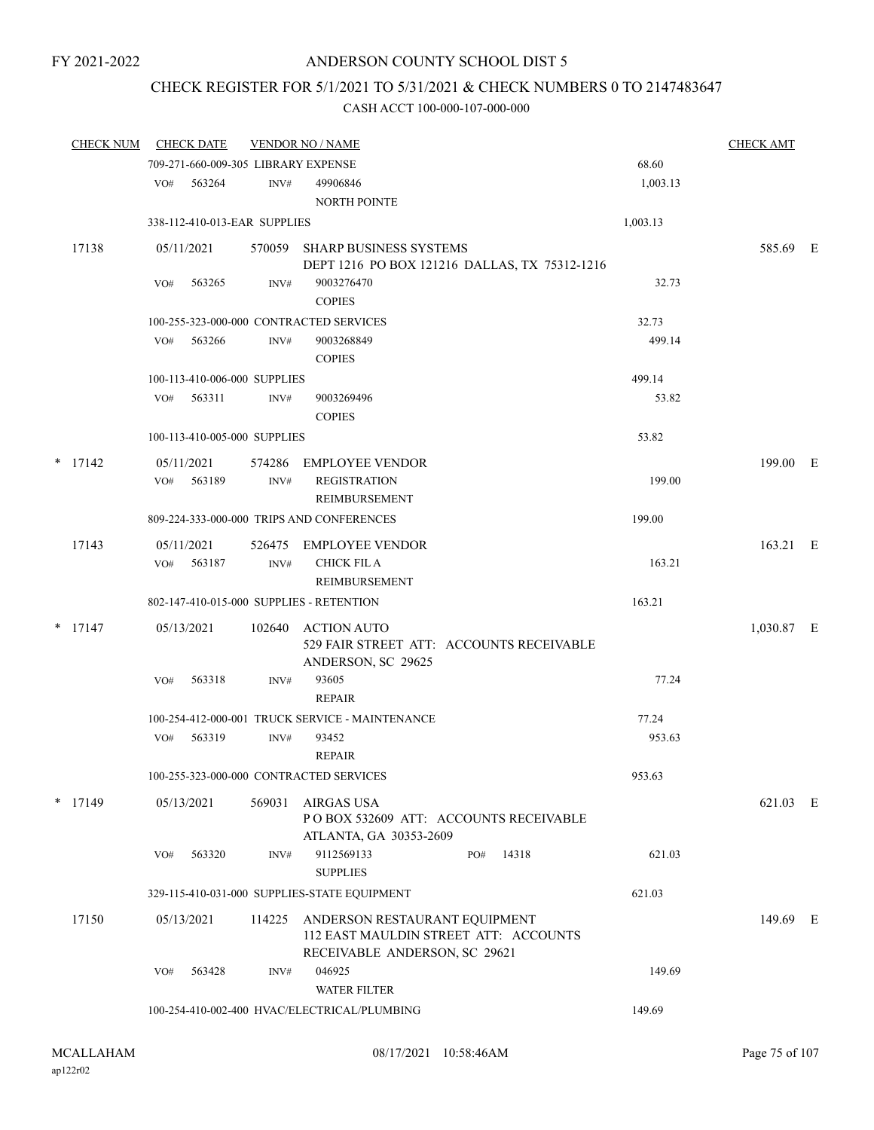# ANDERSON COUNTY SCHOOL DIST 5

# CHECK REGISTER FOR 5/1/2021 TO 5/31/2021 & CHECK NUMBERS 0 TO 2147483647

| <b>CHECK NUM</b> |     | <b>CHECK DATE</b>            |        | <b>VENDOR NO / NAME</b>                                                        |          | <b>CHECK AMT</b> |  |
|------------------|-----|------------------------------|--------|--------------------------------------------------------------------------------|----------|------------------|--|
|                  |     |                              |        | 709-271-660-009-305 LIBRARY EXPENSE                                            | 68.60    |                  |  |
|                  | VO# | 563264                       | INV#   | 49906846<br>NORTH POINTE                                                       | 1,003.13 |                  |  |
|                  |     | 338-112-410-013-EAR SUPPLIES |        |                                                                                | 1,003.13 |                  |  |
|                  |     |                              |        |                                                                                |          |                  |  |
| 17138            |     | 05/11/2021                   |        | 570059 SHARP BUSINESS SYSTEMS<br>DEPT 1216 PO BOX 121216 DALLAS, TX 75312-1216 |          | 585.69 E         |  |
|                  | VO# | 563265                       | INV#   | 9003276470                                                                     | 32.73    |                  |  |
|                  |     |                              |        | <b>COPIES</b>                                                                  |          |                  |  |
|                  |     |                              |        | 100-255-323-000-000 CONTRACTED SERVICES                                        | 32.73    |                  |  |
|                  | VO# | 563266                       | INV#   | 9003268849<br><b>COPIES</b>                                                    | 499.14   |                  |  |
|                  |     | 100-113-410-006-000 SUPPLIES |        |                                                                                | 499.14   |                  |  |
|                  | VO# | 563311                       | INV#   | 9003269496                                                                     | 53.82    |                  |  |
|                  |     |                              |        | <b>COPIES</b>                                                                  |          |                  |  |
|                  |     | 100-113-410-005-000 SUPPLIES |        |                                                                                | 53.82    |                  |  |
| $*$ 17142        |     | 05/11/2021                   | 574286 |                                                                                |          | 199.00 E         |  |
|                  | VO# | 563189                       | INV#   | <b>EMPLOYEE VENDOR</b><br><b>REGISTRATION</b>                                  | 199.00   |                  |  |
|                  |     |                              |        | REIMBURSEMENT                                                                  |          |                  |  |
|                  |     |                              |        | 809-224-333-000-000 TRIPS AND CONFERENCES                                      | 199.00   |                  |  |
| 17143            |     | 05/11/2021                   | 526475 | <b>EMPLOYEE VENDOR</b>                                                         |          | 163.21 E         |  |
|                  | VO# | 563187                       | INV#   | <b>CHICK FIL A</b>                                                             | 163.21   |                  |  |
|                  |     |                              |        | REIMBURSEMENT                                                                  |          |                  |  |
|                  |     |                              |        | 802-147-410-015-000 SUPPLIES - RETENTION                                       | 163.21   |                  |  |
| $*$ 17147        |     | 05/13/2021                   | 102640 | <b>ACTION AUTO</b>                                                             |          | 1,030.87 E       |  |
|                  |     |                              |        | 529 FAIR STREET ATT: ACCOUNTS RECEIVABLE                                       |          |                  |  |
|                  | VO# | 563318                       | INV#   | ANDERSON, SC 29625<br>93605                                                    | 77.24    |                  |  |
|                  |     |                              |        | <b>REPAIR</b>                                                                  |          |                  |  |
|                  |     |                              |        | 100-254-412-000-001 TRUCK SERVICE - MAINTENANCE                                | 77.24    |                  |  |
|                  | VO# | 563319                       | INV#   | 93452                                                                          | 953.63   |                  |  |
|                  |     |                              |        | <b>REPAIR</b>                                                                  |          |                  |  |
|                  |     |                              |        | 100-255-323-000-000 CONTRACTED SERVICES                                        | 953.63   |                  |  |
| $*$ 17149        |     | 05/13/2021                   | 569031 | AIRGAS USA                                                                     |          | 621.03 E         |  |
|                  |     |                              |        | POBOX 532609 ATT: ACCOUNTS RECEIVABLE                                          |          |                  |  |
|                  |     |                              |        | ATLANTA, GA 30353-2609                                                         |          |                  |  |
|                  | VO# | 563320                       | INV#   | 9112569133<br>14318<br>PO#<br><b>SUPPLIES</b>                                  | 621.03   |                  |  |
|                  |     |                              |        | 329-115-410-031-000 SUPPLIES-STATE EQUIPMENT                                   | 621.03   |                  |  |
|                  |     |                              |        |                                                                                |          |                  |  |
| 17150            |     | 05/13/2021                   | 114225 | ANDERSON RESTAURANT EQUIPMENT<br>112 EAST MAULDIN STREET ATT: ACCOUNTS         |          | 149.69 E         |  |
|                  |     |                              |        | RECEIVABLE ANDERSON, SC 29621                                                  |          |                  |  |
|                  | VO# | 563428                       | INV#   | 046925                                                                         | 149.69   |                  |  |
|                  |     |                              |        | <b>WATER FILTER</b>                                                            |          |                  |  |
|                  |     |                              |        | 100-254-410-002-400 HVAC/ELECTRICAL/PLUMBING                                   | 149.69   |                  |  |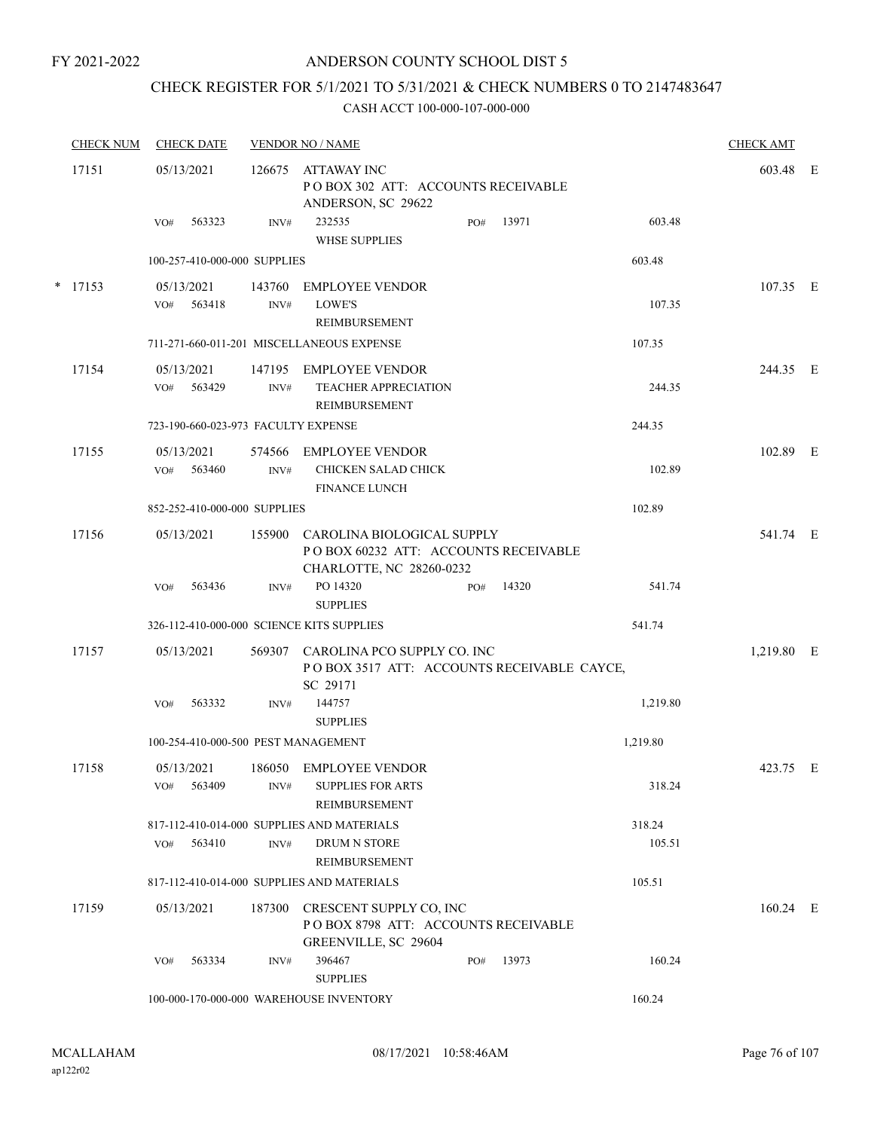# ANDERSON COUNTY SCHOOL DIST 5

# CHECK REGISTER FOR 5/1/2021 TO 5/31/2021 & CHECK NUMBERS 0 TO 2147483647

| <b>CHECK NUM</b> | <b>CHECK DATE</b>                         |                | <b>VENDOR NO / NAME</b>                                                                        |     |       |          | <b>CHECK AMT</b> |  |
|------------------|-------------------------------------------|----------------|------------------------------------------------------------------------------------------------|-----|-------|----------|------------------|--|
| 17151            | 05/13/2021                                | 126675         | ATTAWAY INC<br>PO BOX 302 ATT: ACCOUNTS RECEIVABLE<br>ANDERSON, SC 29622                       |     |       |          | 603.48 E         |  |
|                  | 563323<br>VO#                             | INV#           | 232535<br><b>WHSE SUPPLIES</b>                                                                 | PO# | 13971 | 603.48   |                  |  |
|                  | 100-257-410-000-000 SUPPLIES              |                |                                                                                                |     |       | 603.48   |                  |  |
| $*$ 17153        | 05/13/2021<br>563418<br>VO#               | 143760<br>INV# | <b>EMPLOYEE VENDOR</b><br>LOWE'S<br>REIMBURSEMENT                                              |     |       | 107.35   | 107.35 E         |  |
|                  |                                           |                | 711-271-660-011-201 MISCELLANEOUS EXPENSE                                                      |     |       | 107.35   |                  |  |
| 17154            | 05/13/2021<br>VO#<br>563429               | 147195<br>INV# | EMPLOYEE VENDOR<br><b>TEACHER APPRECIATION</b><br>REIMBURSEMENT                                |     |       | 244.35   | 244.35 E         |  |
|                  | 723-190-660-023-973 FACULTY EXPENSE       |                |                                                                                                |     |       | 244.35   |                  |  |
| 17155            | 05/13/2021<br>563460<br>VO#               | 574566<br>INV# | EMPLOYEE VENDOR<br>CHICKEN SALAD CHICK<br><b>FINANCE LUNCH</b>                                 |     |       | 102.89   | 102.89 E         |  |
|                  | 852-252-410-000-000 SUPPLIES              |                |                                                                                                |     |       | 102.89   |                  |  |
| 17156            | 05/13/2021                                | 155900         | CAROLINA BIOLOGICAL SUPPLY<br>POBOX 60232 ATT: ACCOUNTS RECEIVABLE<br>CHARLOTTE, NC 28260-0232 |     |       |          | 541.74 E         |  |
|                  | 563436<br>VO#                             | INV#           | PO 14320<br><b>SUPPLIES</b>                                                                    | PO# | 14320 | 541.74   |                  |  |
|                  | 326-112-410-000-000 SCIENCE KITS SUPPLIES |                |                                                                                                |     |       | 541.74   |                  |  |
| 17157            | 05/13/2021                                | 569307         | CAROLINA PCO SUPPLY CO. INC<br>POBOX 3517 ATT: ACCOUNTS RECEIVABLE CAYCE,<br>SC 29171          |     |       |          | 1,219.80 E       |  |
|                  | 563332<br>VO#                             | INV#           | 144757<br><b>SUPPLIES</b>                                                                      |     |       | 1,219.80 |                  |  |
|                  | 100-254-410-000-500 PEST MANAGEMENT       |                |                                                                                                |     |       | 1,219.80 |                  |  |
| 17158            | 05/13/2021<br>563409<br>VO#               | INV#           | 186050 EMPLOYEE VENDOR<br><b>SUPPLIES FOR ARTS</b><br><b>REIMBURSEMENT</b>                     |     |       | 318.24   | 423.75 E         |  |
|                  |                                           |                | 817-112-410-014-000 SUPPLIES AND MATERIALS                                                     |     |       | 318.24   |                  |  |
|                  | VO#<br>563410                             | INV#           | DRUM N STORE<br><b>REIMBURSEMENT</b>                                                           |     |       | 105.51   |                  |  |
|                  |                                           |                | 817-112-410-014-000 SUPPLIES AND MATERIALS                                                     |     |       | 105.51   |                  |  |
| 17159            | 05/13/2021                                | 187300         | CRESCENT SUPPLY CO, INC<br>POBOX 8798 ATT: ACCOUNTS RECEIVABLE<br>GREENVILLE, SC 29604         |     |       |          | $160.24$ E       |  |
|                  | 563334<br>VO#                             | INV#           | 396467<br><b>SUPPLIES</b>                                                                      | PO# | 13973 | 160.24   |                  |  |
|                  |                                           |                | 100-000-170-000-000 WAREHOUSE INVENTORY                                                        |     |       | 160.24   |                  |  |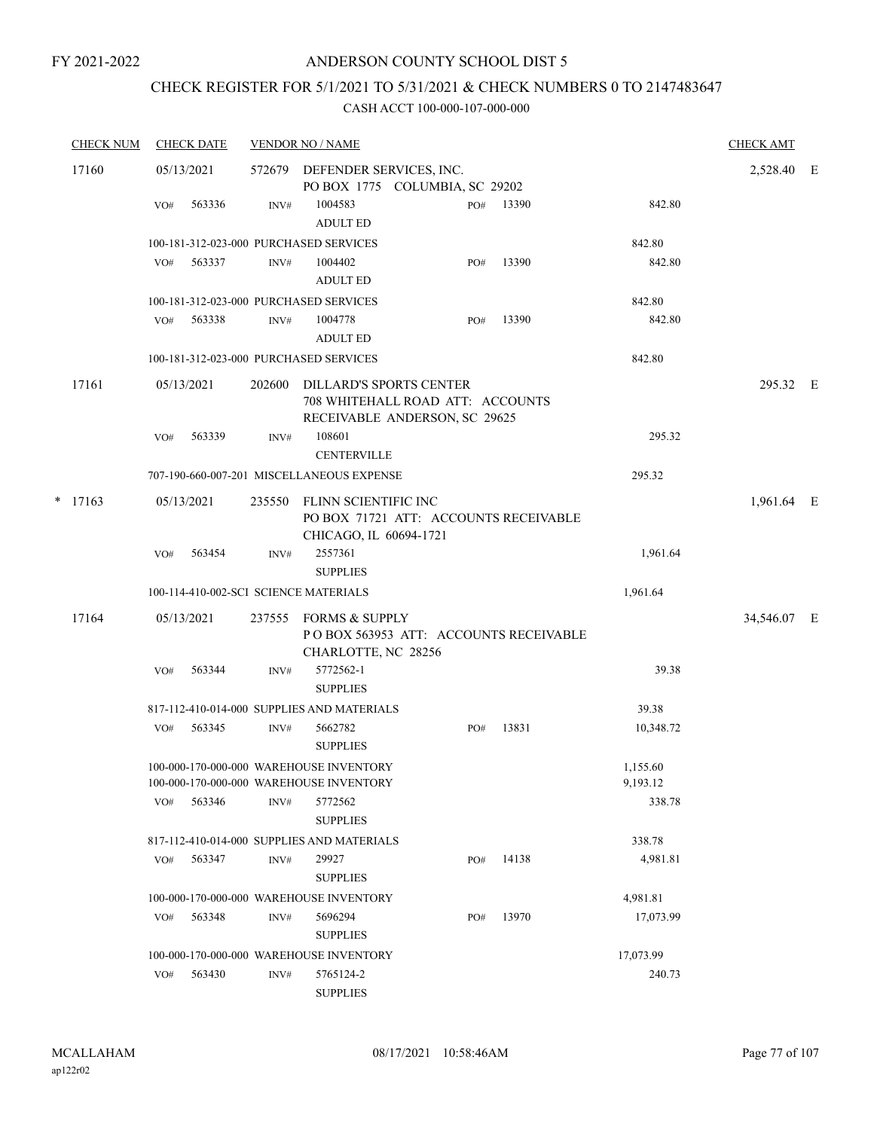# CHECK REGISTER FOR 5/1/2021 TO 5/31/2021 & CHECK NUMBERS 0 TO 2147483647

|   | <b>CHECK NUM</b> |     | <b>CHECK DATE</b> |        | <b>VENDOR NO / NAME</b>                                                                      |     |       |                      | <b>CHECK AMT</b> |  |
|---|------------------|-----|-------------------|--------|----------------------------------------------------------------------------------------------|-----|-------|----------------------|------------------|--|
|   | 17160            |     | 05/13/2021        | 572679 | DEFENDER SERVICES, INC.<br>PO BOX 1775 COLUMBIA, SC 29202                                    |     |       |                      | 2,528.40 E       |  |
|   |                  | VO# | 563336            | INV#   | 1004583<br><b>ADULT ED</b>                                                                   | PO# | 13390 | 842.80               |                  |  |
|   |                  |     |                   |        | 100-181-312-023-000 PURCHASED SERVICES                                                       |     |       | 842.80               |                  |  |
|   |                  | VO# | 563337            | INV#   | 1004402<br><b>ADULT ED</b>                                                                   | PO# | 13390 | 842.80               |                  |  |
|   |                  |     |                   |        | 100-181-312-023-000 PURCHASED SERVICES                                                       |     |       | 842.80               |                  |  |
|   |                  | VO# | 563338            | INV#   | 1004778<br><b>ADULT ED</b>                                                                   | PO# | 13390 | 842.80               |                  |  |
|   |                  |     |                   |        | 100-181-312-023-000 PURCHASED SERVICES                                                       |     |       | 842.80               |                  |  |
|   | 17161            |     | 05/13/2021        | 202600 | DILLARD'S SPORTS CENTER<br>708 WHITEHALL ROAD ATT: ACCOUNTS<br>RECEIVABLE ANDERSON, SC 29625 |     |       |                      | 295.32 E         |  |
|   |                  | VO# | 563339            | INV#   | 108601<br><b>CENTERVILLE</b>                                                                 |     |       | 295.32               |                  |  |
|   |                  |     |                   |        | 707-190-660-007-201 MISCELLANEOUS EXPENSE                                                    |     |       | 295.32               |                  |  |
| * | 17163            |     | 05/13/2021        | 235550 | FLINN SCIENTIFIC INC<br>PO BOX 71721 ATT: ACCOUNTS RECEIVABLE<br>CHICAGO, IL 60694-1721      |     |       |                      | 1,961.64 E       |  |
|   |                  | VO# | 563454            | INV#   | 2557361<br><b>SUPPLIES</b>                                                                   |     |       | 1,961.64             |                  |  |
|   |                  |     |                   |        | 100-114-410-002-SCI SCIENCE MATERIALS                                                        |     |       | 1,961.64             |                  |  |
|   | 17164            |     | 05/13/2021        | 237555 | <b>FORMS &amp; SUPPLY</b><br>POBOX 563953 ATT: ACCOUNTS RECEIVABLE<br>CHARLOTTE, NC 28256    |     |       |                      | 34,546.07 E      |  |
|   |                  | VO# | 563344            | INV#   | 5772562-1<br><b>SUPPLIES</b>                                                                 |     |       | 39.38                |                  |  |
|   |                  |     |                   |        | 817-112-410-014-000 SUPPLIES AND MATERIALS                                                   |     |       | 39.38                |                  |  |
|   |                  | VO# | 563345            | INV#   | 5662782<br><b>SUPPLIES</b>                                                                   | PO# | 13831 | 10,348.72            |                  |  |
|   |                  |     |                   |        | 100-000-170-000-000 WAREHOUSE INVENTORY<br>100-000-170-000-000 WAREHOUSE INVENTORY           |     |       | 1,155.60<br>9,193.12 |                  |  |
|   |                  | VO# | 563346            | INV#   | 5772562<br><b>SUPPLIES</b>                                                                   |     |       | 338.78               |                  |  |
|   |                  |     |                   |        | 817-112-410-014-000 SUPPLIES AND MATERIALS                                                   |     |       | 338.78               |                  |  |
|   |                  | VO# | 563347            | INV#   | 29927<br><b>SUPPLIES</b>                                                                     | PO# | 14138 | 4,981.81             |                  |  |
|   |                  |     |                   |        | 100-000-170-000-000 WAREHOUSE INVENTORY                                                      |     |       | 4,981.81             |                  |  |
|   |                  | VO# | 563348            | INV#   | 5696294<br><b>SUPPLIES</b>                                                                   | PO# | 13970 | 17,073.99            |                  |  |
|   |                  |     |                   |        | 100-000-170-000-000 WAREHOUSE INVENTORY                                                      |     |       | 17,073.99            |                  |  |
|   |                  | VO# | 563430            | INV#   | 5765124-2<br><b>SUPPLIES</b>                                                                 |     |       | 240.73               |                  |  |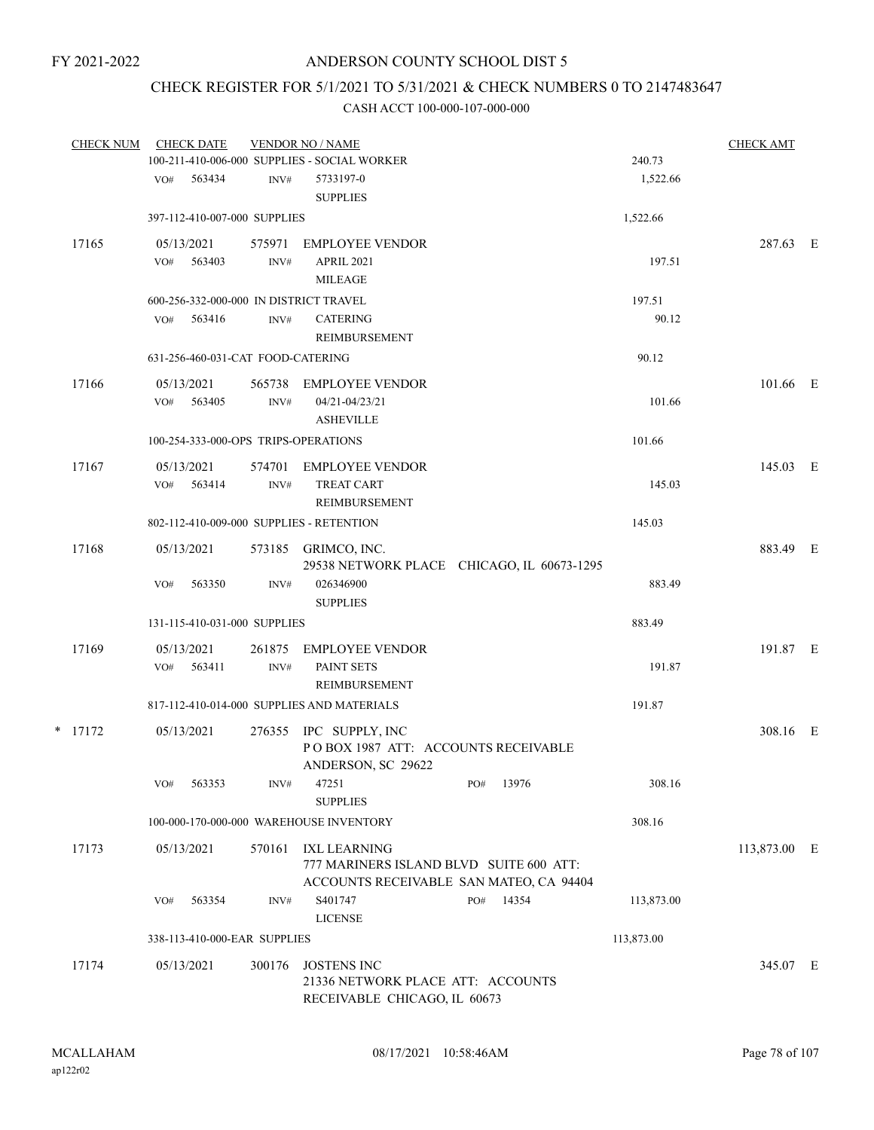# CHECK REGISTER FOR 5/1/2021 TO 5/31/2021 & CHECK NUMBERS 0 TO 2147483647

| <b>CHECK NUM</b> |     | <b>CHECK DATE</b>          |                                   | <b>VENDOR NO / NAME</b>                                                                            |     |       |            | <b>CHECK AMT</b> |  |
|------------------|-----|----------------------------|-----------------------------------|----------------------------------------------------------------------------------------------------|-----|-------|------------|------------------|--|
|                  |     |                            |                                   | 100-211-410-006-000 SUPPLIES - SOCIAL WORKER<br>5733197-0                                          |     |       | 240.73     |                  |  |
|                  | VO# | 563434                     | INV#                              | <b>SUPPLIES</b>                                                                                    |     |       | 1,522.66   |                  |  |
|                  |     |                            | 397-112-410-007-000 SUPPLIES      |                                                                                                    |     |       | 1,522.66   |                  |  |
| 17165            |     | 05/13/2021                 | 575971                            | EMPLOYEE VENDOR                                                                                    |     |       |            | 287.63 E         |  |
|                  | VO# | 563403                     | INV#                              | <b>APRIL 2021</b><br><b>MILEAGE</b>                                                                |     |       | 197.51     |                  |  |
|                  |     |                            |                                   | 600-256-332-000-000 IN DISTRICT TRAVEL                                                             |     |       | 197.51     |                  |  |
|                  | VO# | 563416                     | INV#                              | <b>CATERING</b><br>REIMBURSEMENT                                                                   |     |       | 90.12      |                  |  |
|                  |     |                            | 631-256-460-031-CAT FOOD-CATERING |                                                                                                    |     |       | 90.12      |                  |  |
| 17166            | VO# | 05/13/2021<br>563405       | 565738<br>$\text{INV}\#$          | EMPLOYEE VENDOR<br>04/21-04/23/21<br><b>ASHEVILLE</b>                                              |     |       | 101.66     | 101.66 E         |  |
|                  |     |                            |                                   | 100-254-333-000-OPS TRIPS-OPERATIONS                                                               |     |       | 101.66     |                  |  |
| 17167            |     | 05/13/2021<br>$VO#$ 563414 | 574701<br>$\text{INV}\#$          | EMPLOYEE VENDOR<br><b>TREAT CART</b>                                                               |     |       | 145.03     | 145.03 E         |  |
|                  |     |                            |                                   | REIMBURSEMENT                                                                                      |     |       |            |                  |  |
|                  |     |                            |                                   | 802-112-410-009-000 SUPPLIES - RETENTION                                                           |     |       | 145.03     |                  |  |
| 17168            |     | 05/13/2021                 |                                   | 573185 GRIMCO, INC.<br>29538 NETWORK PLACE CHICAGO, IL 60673-1295                                  |     |       |            | 883.49 E         |  |
|                  | VO# | 563350                     | INV#                              | 026346900<br><b>SUPPLIES</b>                                                                       |     |       | 883.49     |                  |  |
|                  |     |                            | 131-115-410-031-000 SUPPLIES      |                                                                                                    |     |       | 883.49     |                  |  |
| 17169            | VO# | 05/13/2021<br>563411       | 261875<br>INV#                    | <b>EMPLOYEE VENDOR</b><br>PAINT SETS<br>REIMBURSEMENT                                              |     |       | 191.87     | 191.87 E         |  |
|                  |     |                            |                                   | 817-112-410-014-000 SUPPLIES AND MATERIALS                                                         |     |       | 191.87     |                  |  |
| $*$ 17172        |     | 05/13/2021                 |                                   | 276355 IPC SUPPLY, INC                                                                             |     |       |            | 308.16 E         |  |
|                  |     |                            |                                   | POBOX 1987 ATT: ACCOUNTS RECEIVABLE<br>ANDERSON, SC 29622                                          |     |       |            |                  |  |
|                  | VO# | 563353                     | INV#                              | 47251<br><b>SUPPLIES</b>                                                                           | PO# | 13976 | 308.16     |                  |  |
|                  |     |                            |                                   | 100-000-170-000-000 WAREHOUSE INVENTORY                                                            |     |       | 308.16     |                  |  |
| 17173            |     | 05/13/2021                 | 570161                            | IXL LEARNING<br>777 MARINERS ISLAND BLVD SUITE 600 ATT:<br>ACCOUNTS RECEIVABLE SAN MATEO, CA 94404 |     |       |            | 113,873.00 E     |  |
|                  | VO# | 563354                     | INV#                              | S401747<br><b>LICENSE</b>                                                                          | PO# | 14354 | 113,873.00 |                  |  |
|                  |     |                            | 338-113-410-000-EAR SUPPLIES      |                                                                                                    |     |       | 113,873.00 |                  |  |
| 17174            |     | 05/13/2021                 | 300176                            | <b>JOSTENS INC</b><br>21336 NETWORK PLACE ATT: ACCOUNTS<br>RECEIVABLE CHICAGO, IL 60673            |     |       |            | 345.07 E         |  |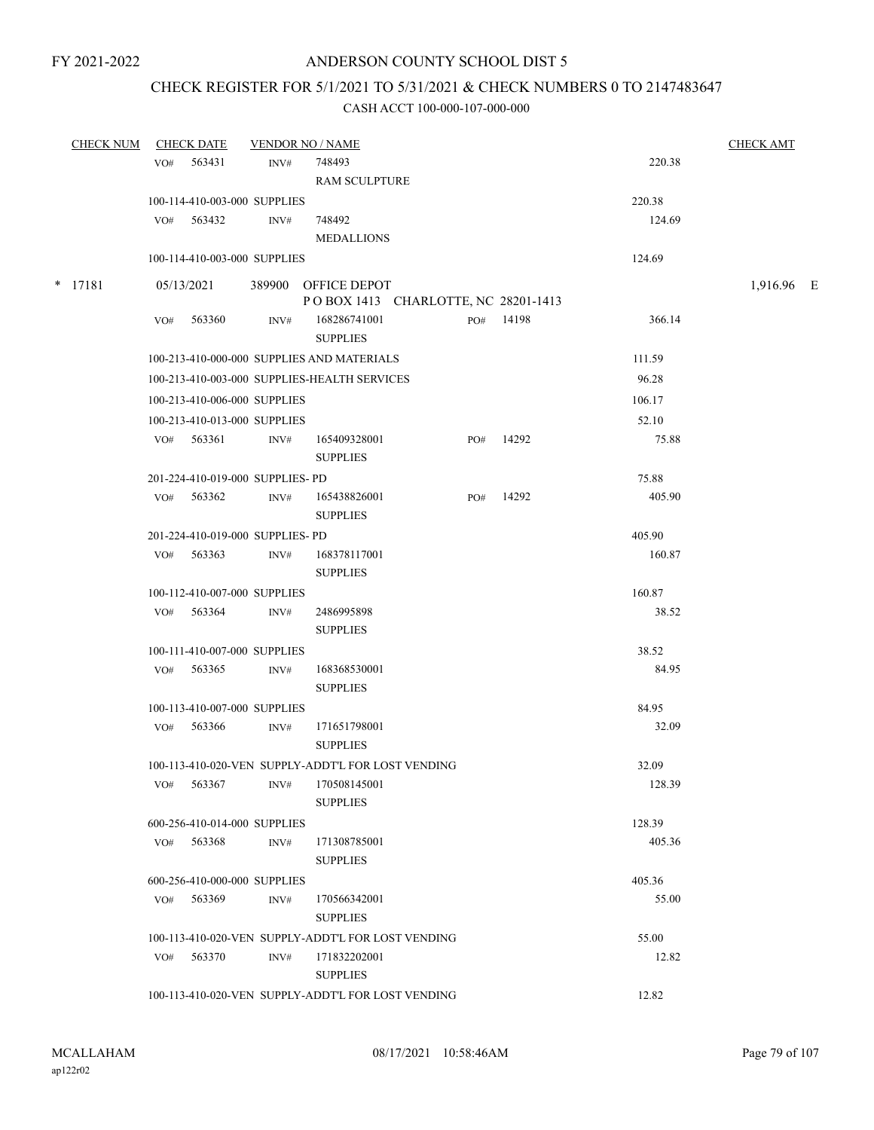# CHECK REGISTER FOR 5/1/2021 TO 5/31/2021 & CHECK NUMBERS 0 TO 2147483647

| <b>CHECK NUM</b> |     | <b>CHECK DATE</b>                          |      | <b>VENDOR NO / NAME</b>                            |     |           |        | <b>CHECK AMT</b> |  |
|------------------|-----|--------------------------------------------|------|----------------------------------------------------|-----|-----------|--------|------------------|--|
|                  | VO# | 563431                                     | INV# | 748493                                             |     |           | 220.38 |                  |  |
|                  |     |                                            |      | <b>RAM SCULPTURE</b>                               |     |           |        |                  |  |
|                  |     | 100-114-410-003-000 SUPPLIES               |      |                                                    |     |           | 220.38 |                  |  |
|                  |     | VO# 563432                                 | INV# | 748492                                             |     |           | 124.69 |                  |  |
|                  |     |                                            |      | <b>MEDALLIONS</b>                                  |     |           |        |                  |  |
|                  |     | 100-114-410-003-000 SUPPLIES               |      |                                                    |     |           | 124.69 |                  |  |
| * 17181          |     | 05/13/2021                                 |      | 389900 OFFICE DEPOT                                |     |           |        | 1,916.96 E       |  |
|                  |     |                                            |      | POBOX 1413 CHARLOTTE, NC 28201-1413                |     |           |        |                  |  |
|                  | VO# | 563360                                     | INV# | 168286741001<br><b>SUPPLIES</b>                    |     | PO# 14198 | 366.14 |                  |  |
|                  |     |                                            |      | 100-213-410-000-000 SUPPLIES AND MATERIALS         |     |           | 111.59 |                  |  |
|                  |     |                                            |      | 100-213-410-003-000 SUPPLIES-HEALTH SERVICES       |     |           | 96.28  |                  |  |
|                  |     | 100-213-410-006-000 SUPPLIES               |      |                                                    |     |           | 106.17 |                  |  |
|                  |     | 100-213-410-013-000 SUPPLIES               |      |                                                    |     |           | 52.10  |                  |  |
|                  |     | $VO#$ 563361                               | INV# | 165409328001<br><b>SUPPLIES</b>                    | PO# | 14292     | 75.88  |                  |  |
|                  |     | 201-224-410-019-000 SUPPLIES- PD           |      |                                                    |     |           | 75.88  |                  |  |
|                  |     | VO# 563362                                 | INV# | 165438826001<br><b>SUPPLIES</b>                    | PO# | 14292     | 405.90 |                  |  |
|                  |     | 201-224-410-019-000 SUPPLIES- PD           |      |                                                    |     |           | 405.90 |                  |  |
|                  | VO# | 563363                                     | INV# | 168378117001                                       |     |           | 160.87 |                  |  |
|                  |     |                                            |      | <b>SUPPLIES</b>                                    |     |           |        |                  |  |
|                  |     | 100-112-410-007-000 SUPPLIES               |      |                                                    |     |           | 160.87 |                  |  |
|                  |     | VO# 563364                                 | INV# | 2486995898<br><b>SUPPLIES</b>                      |     |           | 38.52  |                  |  |
|                  |     | 100-111-410-007-000 SUPPLIES               |      |                                                    |     |           | 38.52  |                  |  |
|                  |     | VO# 563365                                 | INV# | 168368530001<br><b>SUPPLIES</b>                    |     |           | 84.95  |                  |  |
|                  |     | 100-113-410-007-000 SUPPLIES               |      |                                                    |     |           | 84.95  |                  |  |
|                  |     | VO# 563366                                 | INV# | 171651798001<br><b>SUPPLIES</b>                    |     |           | 32.09  |                  |  |
|                  |     |                                            |      | 100-113-410-020-VEN SUPPLY-ADDT'L FOR LOST VENDING |     |           | 32.09  |                  |  |
|                  | VO# | 563367                                     | INV# | 170508145001<br><b>SUPPLIES</b>                    |     |           | 128.39 |                  |  |
|                  |     |                                            |      |                                                    |     |           | 128.39 |                  |  |
|                  |     | 600-256-410-014-000 SUPPLIES<br>VO# 563368 | INV# | 171308785001                                       |     |           | 405.36 |                  |  |
|                  |     |                                            |      | <b>SUPPLIES</b>                                    |     |           |        |                  |  |
|                  |     | 600-256-410-000-000 SUPPLIES               |      |                                                    |     |           | 405.36 |                  |  |
|                  | VO# | 563369                                     | INV# | 170566342001<br><b>SUPPLIES</b>                    |     |           | 55.00  |                  |  |
|                  |     |                                            |      | 100-113-410-020-VEN SUPPLY-ADDT'L FOR LOST VENDING |     |           | 55.00  |                  |  |
|                  |     | VO# 563370                                 | INV# | 171832202001<br><b>SUPPLIES</b>                    |     |           | 12.82  |                  |  |
|                  |     |                                            |      | 100-113-410-020-VEN SUPPLY-ADDT'L FOR LOST VENDING |     |           | 12.82  |                  |  |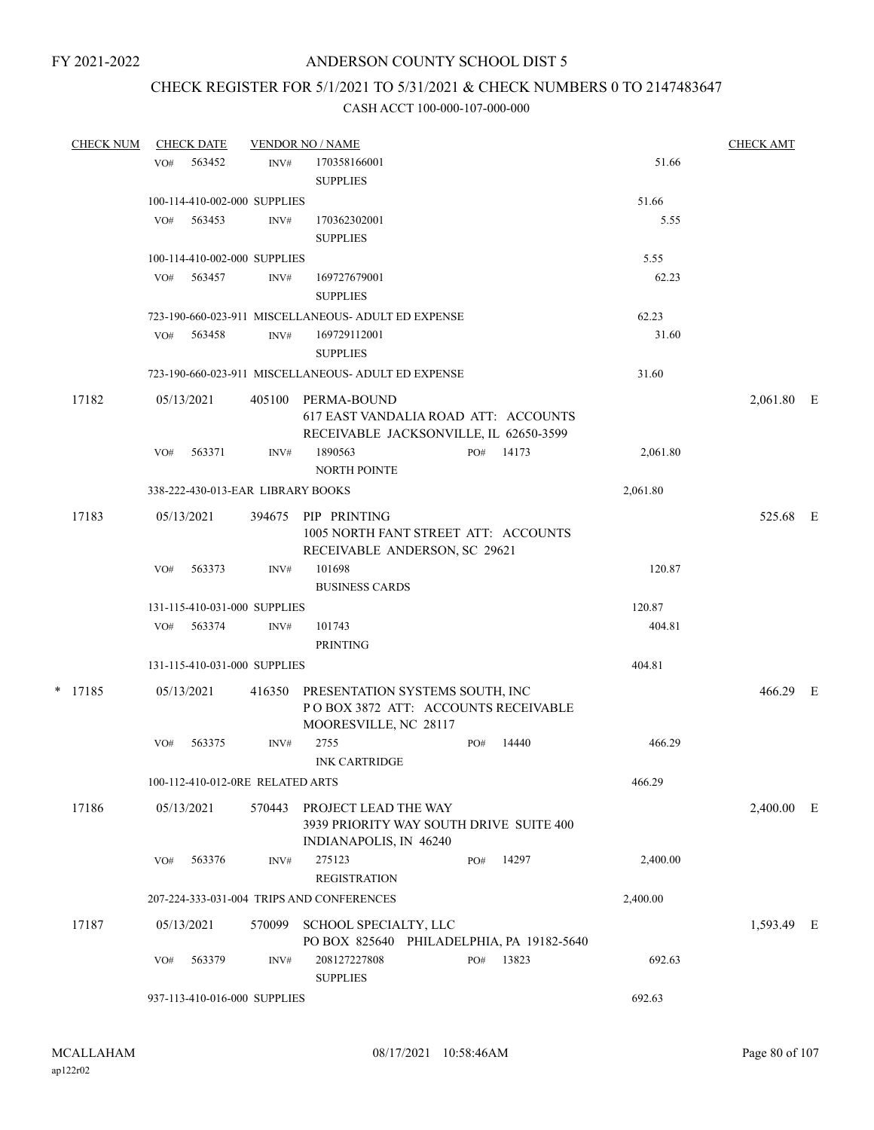# CHECK REGISTER FOR 5/1/2021 TO 5/31/2021 & CHECK NUMBERS 0 TO 2147483647

| <b>CHECK NUM</b> |     | <b>CHECK DATE</b> |                                   | <b>VENDOR NO / NAME</b>                                                                         |     |       |          | <b>CHECK AMT</b> |  |
|------------------|-----|-------------------|-----------------------------------|-------------------------------------------------------------------------------------------------|-----|-------|----------|------------------|--|
|                  | VO# | 563452            | INV#                              | 170358166001<br><b>SUPPLIES</b>                                                                 |     |       | 51.66    |                  |  |
|                  |     |                   | 100-114-410-002-000 SUPPLIES      |                                                                                                 |     |       | 51.66    |                  |  |
|                  | VO# | 563453            | INV#                              | 170362302001<br><b>SUPPLIES</b>                                                                 |     |       | 5.55     |                  |  |
|                  |     |                   | 100-114-410-002-000 SUPPLIES      |                                                                                                 |     |       | 5.55     |                  |  |
|                  | VO# | 563457            | INV#                              | 169727679001<br><b>SUPPLIES</b>                                                                 |     |       | 62.23    |                  |  |
|                  |     |                   |                                   | 723-190-660-023-911 MISCELLANEOUS- ADULT ED EXPENSE                                             |     |       | 62.23    |                  |  |
|                  | VO# | 563458            | INV#                              | 169729112001<br><b>SUPPLIES</b>                                                                 |     |       | 31.60    |                  |  |
|                  |     |                   |                                   | 723-190-660-023-911 MISCELLANEOUS- ADULT ED EXPENSE                                             |     |       | 31.60    |                  |  |
|                  |     |                   |                                   |                                                                                                 |     |       |          |                  |  |
| 17182            |     | 05/13/2021        | 405100                            | PERMA-BOUND<br>617 EAST VANDALIA ROAD ATT: ACCOUNTS<br>RECEIVABLE JACKSONVILLE, IL 62650-3599   |     |       |          | 2,061.80 E       |  |
|                  | VO# | 563371            | INV#                              | 1890563<br><b>NORTH POINTE</b>                                                                  | PO# | 14173 | 2,061.80 |                  |  |
|                  |     |                   | 338-222-430-013-EAR LIBRARY BOOKS |                                                                                                 |     |       | 2,061.80 |                  |  |
| 17183            |     | 05/13/2021        | 394675                            | PIP PRINTING<br>1005 NORTH FANT STREET ATT: ACCOUNTS                                            |     |       |          | 525.68 E         |  |
|                  |     |                   |                                   | RECEIVABLE ANDERSON, SC 29621                                                                   |     |       |          |                  |  |
|                  | VO# | 563373            | INV#                              | 101698<br><b>BUSINESS CARDS</b>                                                                 |     |       | 120.87   |                  |  |
|                  |     |                   | 131-115-410-031-000 SUPPLIES      |                                                                                                 |     |       | 120.87   |                  |  |
|                  | VO# | 563374            | INV#                              | 101743<br><b>PRINTING</b>                                                                       |     |       | 404.81   |                  |  |
|                  |     |                   | 131-115-410-031-000 SUPPLIES      |                                                                                                 |     |       | 404.81   |                  |  |
|                  |     |                   |                                   |                                                                                                 |     |       |          |                  |  |
| $*$ 17185        |     | 05/13/2021        | 416350                            | PRESENTATION SYSTEMS SOUTH, INC<br>POBOX 3872 ATT: ACCOUNTS RECEIVABLE<br>MOORESVILLE, NC 28117 |     |       |          | 466.29 E         |  |
|                  | VO# | 563375            | INV#                              | 2755<br><b>INK CARTRIDGE</b>                                                                    | PO# | 14440 | 466.29   |                  |  |
|                  |     |                   | 100-112-410-012-0RE RELATED ARTS  |                                                                                                 |     |       | 466.29   |                  |  |
| 17186            |     | 05/13/2021        | 570443                            | PROJECT LEAD THE WAY<br>3939 PRIORITY WAY SOUTH DRIVE SUITE 400                                 |     |       |          | $2,400.00$ E     |  |
|                  | VO# | 563376            | INV#                              | INDIANAPOLIS, IN 46240<br>275123<br><b>REGISTRATION</b>                                         | PO# | 14297 | 2,400.00 |                  |  |
|                  |     |                   |                                   | 207-224-333-031-004 TRIPS AND CONFERENCES                                                       |     |       | 2,400.00 |                  |  |
|                  |     |                   |                                   |                                                                                                 |     |       |          |                  |  |
| 17187            |     | 05/13/2021        | 570099                            | SCHOOL SPECIALTY, LLC<br>PO BOX 825640 PHILADELPHIA, PA 19182-5640                              |     |       |          | 1,593.49 E       |  |
|                  | VO# | 563379            | INV#                              | 208127227808<br><b>SUPPLIES</b>                                                                 | PO# | 13823 | 692.63   |                  |  |
|                  |     |                   | 937-113-410-016-000 SUPPLIES      |                                                                                                 |     |       | 692.63   |                  |  |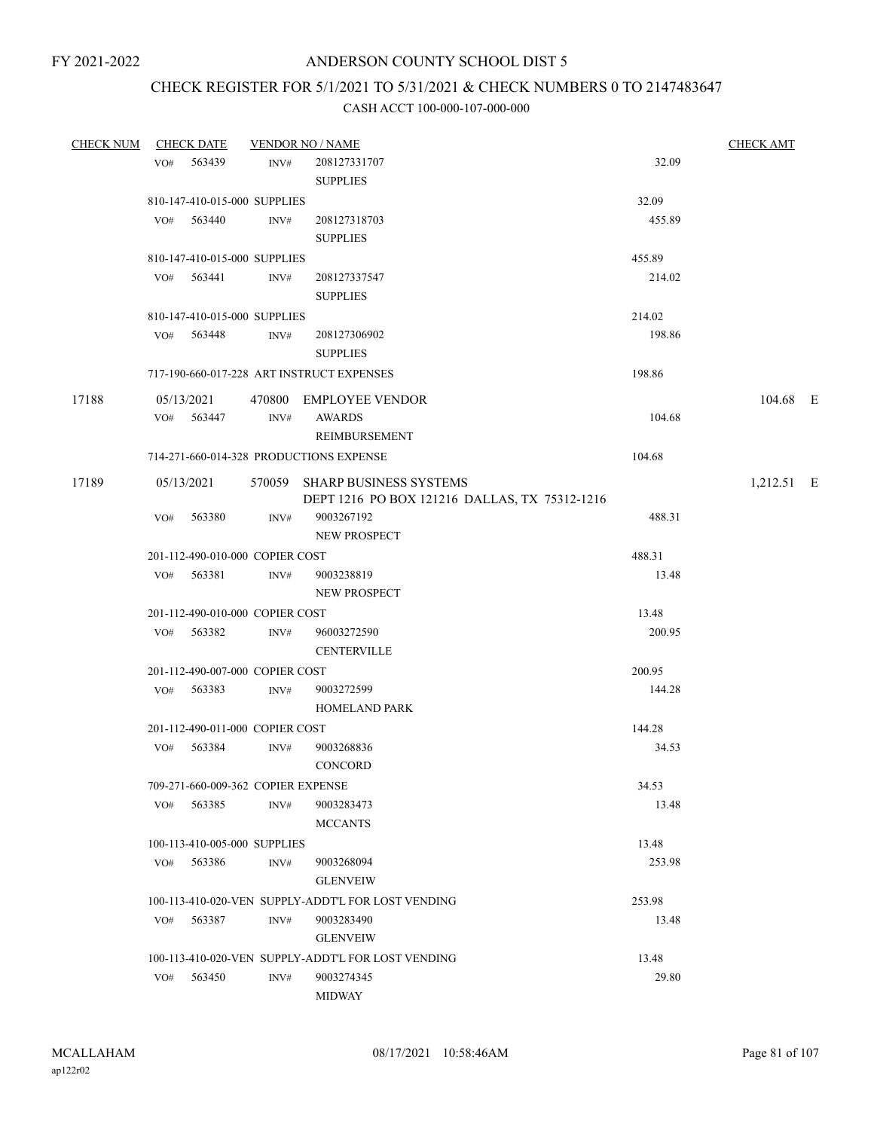# CHECK REGISTER FOR 5/1/2021 TO 5/31/2021 & CHECK NUMBERS 0 TO 2147483647

| <b>CHECK NUM</b> |     | <b>CHECK DATE</b>                  |      | <b>VENDOR NO / NAME</b>                            |        | <b>CHECK AMT</b> |  |
|------------------|-----|------------------------------------|------|----------------------------------------------------|--------|------------------|--|
|                  | VO# | 563439                             | INV# | 208127331707                                       | 32.09  |                  |  |
|                  |     |                                    |      | <b>SUPPLIES</b>                                    |        |                  |  |
|                  |     | 810-147-410-015-000 SUPPLIES       |      |                                                    | 32.09  |                  |  |
|                  |     | VO# 563440                         | INV# | 208127318703                                       | 455.89 |                  |  |
|                  |     |                                    |      | <b>SUPPLIES</b>                                    |        |                  |  |
|                  |     | 810-147-410-015-000 SUPPLIES       |      |                                                    | 455.89 |                  |  |
|                  |     | VO# 563441                         | INV# | 208127337547                                       | 214.02 |                  |  |
|                  |     |                                    |      | <b>SUPPLIES</b>                                    |        |                  |  |
|                  |     | 810-147-410-015-000 SUPPLIES       |      |                                                    | 214.02 |                  |  |
|                  |     | VO# 563448                         | INV# | 208127306902                                       | 198.86 |                  |  |
|                  |     |                                    |      | <b>SUPPLIES</b>                                    |        |                  |  |
|                  |     |                                    |      | 717-190-660-017-228 ART INSTRUCT EXPENSES          | 198.86 |                  |  |
| 17188            |     | 05/13/2021                         |      | 470800 EMPLOYEE VENDOR                             |        | 104.68 E         |  |
|                  |     | VO# 563447                         | INV# | <b>AWARDS</b>                                      | 104.68 |                  |  |
|                  |     |                                    |      | <b>REIMBURSEMENT</b>                               |        |                  |  |
|                  |     |                                    |      | 714-271-660-014-328 PRODUCTIONS EXPENSE            | 104.68 |                  |  |
| 17189            |     | 05/13/2021                         |      | 570059 SHARP BUSINESS SYSTEMS                      |        | 1,212.51 E       |  |
|                  |     |                                    |      | DEPT 1216 PO BOX 121216 DALLAS, TX 75312-1216      |        |                  |  |
|                  | VO# | 563380                             | INV# | 9003267192                                         | 488.31 |                  |  |
|                  |     |                                    |      | NEW PROSPECT                                       |        |                  |  |
|                  |     | 201-112-490-010-000 COPIER COST    |      |                                                    | 488.31 |                  |  |
|                  |     | VO# 563381                         | INV# | 9003238819                                         | 13.48  |                  |  |
|                  |     |                                    |      | NEW PROSPECT                                       |        |                  |  |
|                  |     | 201-112-490-010-000 COPIER COST    |      |                                                    | 13.48  |                  |  |
|                  |     | VO# 563382                         | INV# | 96003272590<br><b>CENTERVILLE</b>                  | 200.95 |                  |  |
|                  |     | 201-112-490-007-000 COPIER COST    |      |                                                    | 200.95 |                  |  |
|                  |     | VO# 563383                         | INV# | 9003272599                                         | 144.28 |                  |  |
|                  |     |                                    |      | <b>HOMELAND PARK</b>                               |        |                  |  |
|                  |     | 201-112-490-011-000 COPIER COST    |      |                                                    | 144.28 |                  |  |
|                  | VO# | 563384                             | INV# | 9003268836                                         | 34.53  |                  |  |
|                  |     |                                    |      | <b>CONCORD</b>                                     |        |                  |  |
|                  |     | 709-271-660-009-362 COPIER EXPENSE |      |                                                    | 34.53  |                  |  |
|                  | VO# | 563385                             | INV# | 9003283473                                         | 13.48  |                  |  |
|                  |     |                                    |      | <b>MCCANTS</b>                                     |        |                  |  |
|                  |     | 100-113-410-005-000 SUPPLIES       |      |                                                    | 13.48  |                  |  |
|                  | VO# | 563386                             | INV# | 9003268094                                         | 253.98 |                  |  |
|                  |     |                                    |      | <b>GLENVEIW</b>                                    |        |                  |  |
|                  |     |                                    |      | 100-113-410-020-VEN SUPPLY-ADDT'L FOR LOST VENDING | 253.98 |                  |  |
|                  |     | VO# 563387                         | INV# | 9003283490                                         | 13.48  |                  |  |
|                  |     |                                    |      | <b>GLENVEIW</b>                                    |        |                  |  |
|                  |     |                                    |      | 100-113-410-020-VEN SUPPLY-ADDT'L FOR LOST VENDING | 13.48  |                  |  |
|                  | VO# | 563450                             | INV# | 9003274345                                         | 29.80  |                  |  |
|                  |     |                                    |      | <b>MIDWAY</b>                                      |        |                  |  |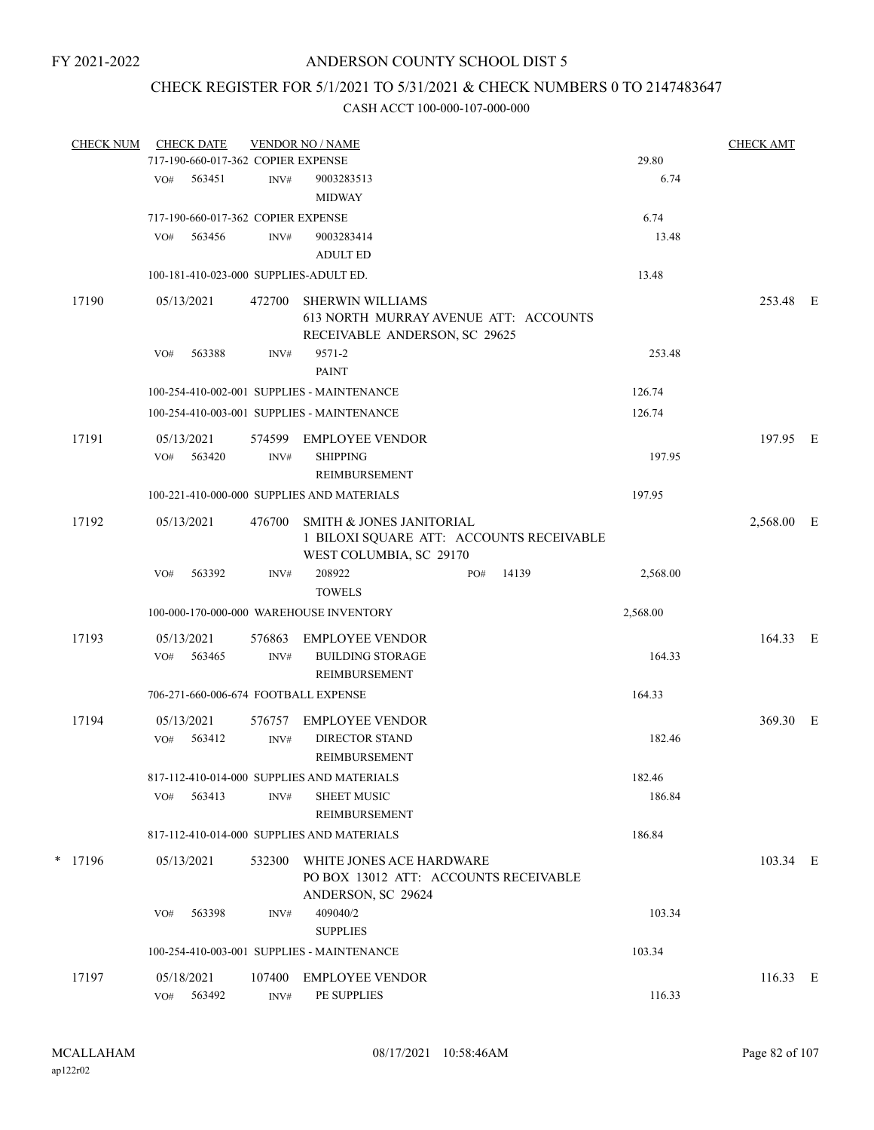# CHECK REGISTER FOR 5/1/2021 TO 5/31/2021 & CHECK NUMBERS 0 TO 2147483647

| <b>CHECK NUM</b> |     | <b>CHECK DATE</b>                  |                | <b>VENDOR NO / NAME</b>                                                                           |     |       |          | <b>CHECK AMT</b> |  |
|------------------|-----|------------------------------------|----------------|---------------------------------------------------------------------------------------------------|-----|-------|----------|------------------|--|
|                  |     | 717-190-660-017-362 COPIER EXPENSE |                |                                                                                                   |     |       | 29.80    |                  |  |
|                  | VO# | 563451                             | INV#           | 9003283513<br><b>MIDWAY</b>                                                                       |     |       | 6.74     |                  |  |
|                  |     | 717-190-660-017-362 COPIER EXPENSE |                |                                                                                                   |     |       | 6.74     |                  |  |
|                  | VO# | 563456                             | INV#           | 9003283414<br><b>ADULT ED</b>                                                                     |     |       | 13.48    |                  |  |
|                  |     |                                    |                | 100-181-410-023-000 SUPPLIES-ADULT ED.                                                            |     |       | 13.48    |                  |  |
| 17190            |     | 05/13/2021                         | 472700         | <b>SHERWIN WILLIAMS</b><br>613 NORTH MURRAY AVENUE ATT: ACCOUNTS<br>RECEIVABLE ANDERSON, SC 29625 |     |       |          | 253.48 E         |  |
|                  | VO# | 563388                             | INV#           | 9571-2<br><b>PAINT</b>                                                                            |     |       | 253.48   |                  |  |
|                  |     |                                    |                | 100-254-410-002-001 SUPPLIES - MAINTENANCE                                                        |     |       | 126.74   |                  |  |
|                  |     |                                    |                | 100-254-410-003-001 SUPPLIES - MAINTENANCE                                                        |     |       | 126.74   |                  |  |
| 17191            | VO# | 05/13/2021<br>563420               | 574599<br>INV# | EMPLOYEE VENDOR<br><b>SHIPPING</b><br><b>REIMBURSEMENT</b>                                        |     |       | 197.95   | 197.95 E         |  |
|                  |     |                                    |                | 100-221-410-000-000 SUPPLIES AND MATERIALS                                                        |     |       | 197.95   |                  |  |
| 17192            |     | 05/13/2021                         | 476700         | SMITH & JONES JANITORIAL<br>1 BILOXI SQUARE ATT: ACCOUNTS RECEIVABLE<br>WEST COLUMBIA, SC 29170   |     |       |          | 2,568.00 E       |  |
|                  | VO# | 563392                             | INV#           | 208922<br><b>TOWELS</b>                                                                           | PO# | 14139 | 2,568.00 |                  |  |
|                  |     |                                    |                | 100-000-170-000-000 WAREHOUSE INVENTORY                                                           |     |       | 2,568.00 |                  |  |
| 17193            |     | 05/13/2021                         | 576863         | <b>EMPLOYEE VENDOR</b>                                                                            |     |       |          | 164.33 E         |  |
|                  | VO# | 563465                             | INV#           | <b>BUILDING STORAGE</b><br>REIMBURSEMENT                                                          |     |       | 164.33   |                  |  |
|                  |     |                                    |                | 706-271-660-006-674 FOOTBALL EXPENSE                                                              |     |       | 164.33   |                  |  |
| 17194            | VO# | 05/13/2021<br>563412               | 576757<br>INV# | <b>EMPLOYEE VENDOR</b><br><b>DIRECTOR STAND</b><br><b>REIMBURSEMENT</b>                           |     |       | 182.46   | 369.30 E         |  |
|                  |     |                                    |                | 817-112-410-014-000 SUPPLIES AND MATERIALS                                                        |     |       | 182.46   |                  |  |
|                  | VO# | 563413                             | INV#           | <b>SHEET MUSIC</b><br>REIMBURSEMENT                                                               |     |       | 186.84   |                  |  |
|                  |     |                                    |                | 817-112-410-014-000 SUPPLIES AND MATERIALS                                                        |     |       | 186.84   |                  |  |
| $*$ 17196        |     | 05/13/2021                         | 532300         | WHITE JONES ACE HARDWARE<br>PO BOX 13012 ATT: ACCOUNTS RECEIVABLE<br>ANDERSON, SC 29624           |     |       |          | 103.34 E         |  |
|                  | VO# | 563398                             | INV#           | 409040/2<br><b>SUPPLIES</b>                                                                       |     |       | 103.34   |                  |  |
|                  |     |                                    |                | 100-254-410-003-001 SUPPLIES - MAINTENANCE                                                        |     |       | 103.34   |                  |  |
| 17197            |     | 05/18/2021                         | 107400         | <b>EMPLOYEE VENDOR</b>                                                                            |     |       |          | 116.33 E         |  |
|                  | VO# | 563492                             | INV#           | PE SUPPLIES                                                                                       |     |       | 116.33   |                  |  |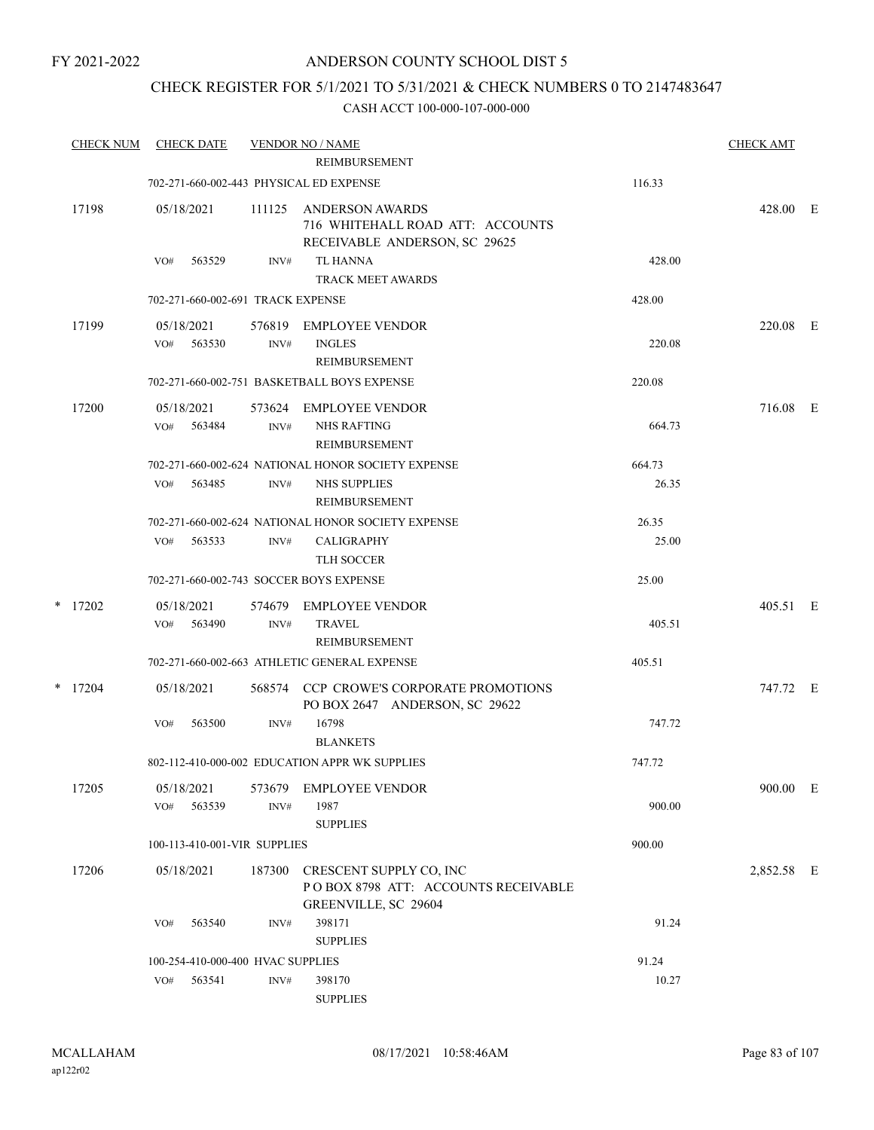# ANDERSON COUNTY SCHOOL DIST 5

# CHECK REGISTER FOR 5/1/2021 TO 5/31/2021 & CHECK NUMBERS 0 TO 2147483647

| <b>CHECK NUM</b> | <b>CHECK DATE</b>                       |                | <b>VENDOR NO / NAME</b><br><b>REIMBURSEMENT</b>                                                   |                 | <b>CHECK AMT</b> |  |
|------------------|-----------------------------------------|----------------|---------------------------------------------------------------------------------------------------|-----------------|------------------|--|
|                  | 702-271-660-002-443 PHYSICAL ED EXPENSE |                |                                                                                                   | 116.33          |                  |  |
| 17198            | 05/18/2021                              | 111125         | ANDERSON AWARDS<br>716 WHITEHALL ROAD ATT: ACCOUNTS<br>RECEIVABLE ANDERSON, SC 29625              |                 | 428.00 E         |  |
|                  | 563529<br>VO#                           | INV#           | <b>TL HANNA</b><br><b>TRACK MEET AWARDS</b>                                                       | 428.00          |                  |  |
|                  | 702-271-660-002-691 TRACK EXPENSE       |                |                                                                                                   | 428.00          |                  |  |
| 17199            | 05/18/2021<br>563530<br>VO#             | 576819<br>INV# | <b>EMPLOYEE VENDOR</b><br><b>INGLES</b><br><b>REIMBURSEMENT</b>                                   | 220.08          | 220.08 E         |  |
|                  |                                         |                | 702-271-660-002-751 BASKETBALL BOYS EXPENSE                                                       | 220.08          |                  |  |
| 17200            | 05/18/2021<br>563484<br>VO#             | 573624<br>INV# | EMPLOYEE VENDOR<br><b>NHS RAFTING</b><br>REIMBURSEMENT                                            | 664.73          | 716.08 E         |  |
|                  | 563485<br>VO#                           | INV#           | 702-271-660-002-624 NATIONAL HONOR SOCIETY EXPENSE<br><b>NHS SUPPLIES</b><br><b>REIMBURSEMENT</b> | 664.73<br>26.35 |                  |  |
|                  | VO#<br>563533                           | INV#           | 702-271-660-002-624 NATIONAL HONOR SOCIETY EXPENSE<br><b>CALIGRAPHY</b><br><b>TLH SOCCER</b>      | 26.35<br>25.00  |                  |  |
|                  |                                         |                | 702-271-660-002-743 SOCCER BOYS EXPENSE                                                           | 25.00           |                  |  |
| $*$ 17202        | 05/18/2021<br>VO#<br>563490             | 574679<br>INV# | EMPLOYEE VENDOR<br><b>TRAVEL</b><br><b>REIMBURSEMENT</b>                                          | 405.51          | 405.51 E         |  |
|                  |                                         |                | 702-271-660-002-663 ATHLETIC GENERAL EXPENSE                                                      | 405.51          |                  |  |
| $*$ 17204        | 05/18/2021                              |                | 568574 CCP CROWE'S CORPORATE PROMOTIONS<br>PO BOX 2647 ANDERSON, SC 29622                         |                 | 747.72 E         |  |
|                  | 563500<br>VO#                           | $\text{INV}\#$ | 16798<br><b>BLANKETS</b>                                                                          | 747.72          |                  |  |
|                  |                                         |                | 802-112-410-000-002 EDUCATION APPR WK SUPPLIES                                                    | 747.72          |                  |  |
| 17205            | 05/18/2021<br>563539<br>VO#             | 573679<br>INV# | <b>EMPLOYEE VENDOR</b><br>1987<br><b>SUPPLIES</b>                                                 | 900.00          | 900.00 E         |  |
|                  | 100-113-410-001-VIR SUPPLIES            |                |                                                                                                   | 900.00          |                  |  |
| 17206            | 05/18/2021                              | 187300         | CRESCENT SUPPLY CO, INC<br>POBOX 8798 ATT: ACCOUNTS RECEIVABLE<br>GREENVILLE, SC 29604            |                 | 2,852.58 E       |  |
|                  | 563540<br>VO#                           | INV#           | 398171<br><b>SUPPLIES</b>                                                                         | 91.24           |                  |  |
|                  | 100-254-410-000-400 HVAC SUPPLIES       |                |                                                                                                   | 91.24           |                  |  |
|                  | VO#<br>563541                           | $\text{INV}\#$ | 398170<br><b>SUPPLIES</b>                                                                         | 10.27           |                  |  |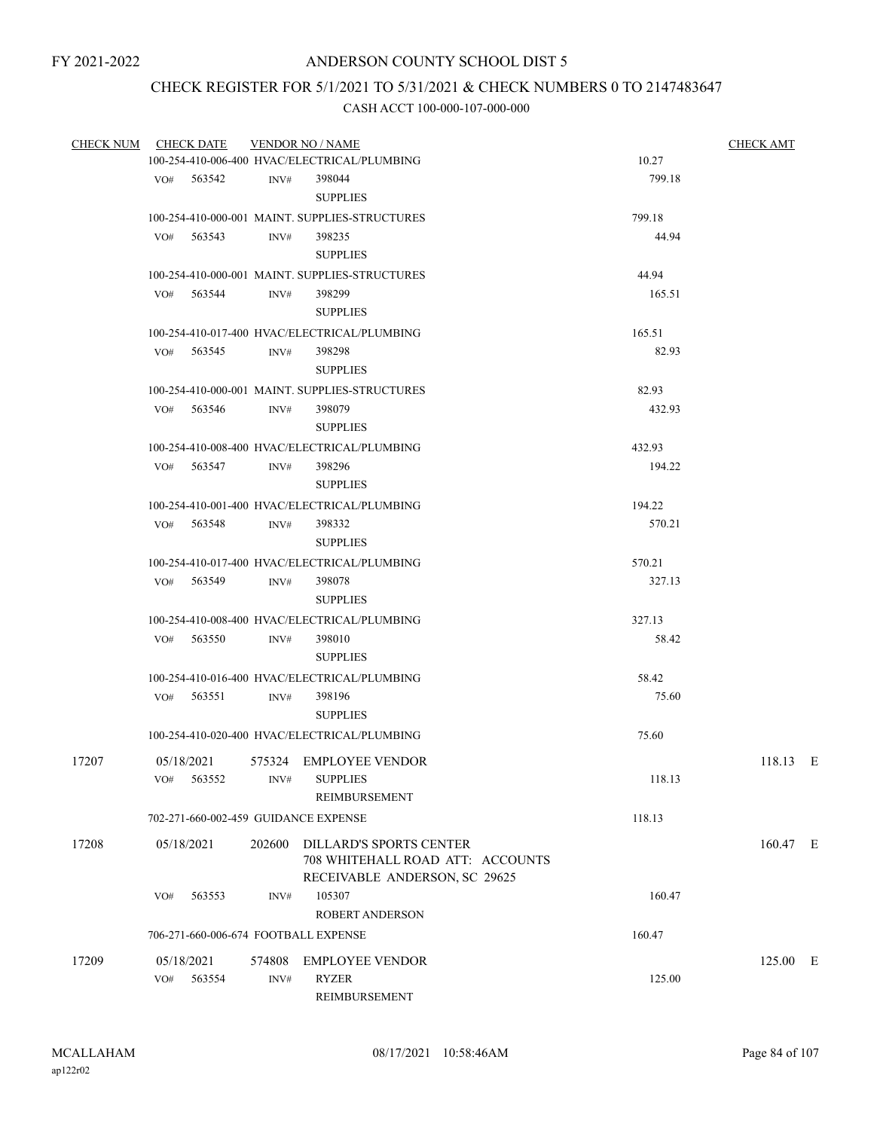# CHECK REGISTER FOR 5/1/2021 TO 5/31/2021 & CHECK NUMBERS 0 TO 2147483647

|       | CHECK NUM CHECK DATE                   |                | <b>VENDOR NO / NAME</b>                                                                             |        | <b>CHECK AMT</b> |
|-------|----------------------------------------|----------------|-----------------------------------------------------------------------------------------------------|--------|------------------|
|       |                                        |                | 100-254-410-006-400 HVAC/ELECTRICAL/PLUMBING                                                        | 10.27  |                  |
|       | VO# 563542                             | INV#           | 398044<br><b>SUPPLIES</b>                                                                           | 799.18 |                  |
|       |                                        |                | 100-254-410-000-001 MAINT. SUPPLIES-STRUCTURES                                                      | 799.18 |                  |
|       | $VO#$ 563543                           | INV#           | 398235<br><b>SUPPLIES</b>                                                                           | 44.94  |                  |
|       |                                        |                | 100-254-410-000-001 MAINT. SUPPLIES-STRUCTURES                                                      | 44.94  |                  |
|       | VO# 563544                             | INV#           | 398299<br><b>SUPPLIES</b>                                                                           | 165.51 |                  |
|       |                                        |                | 100-254-410-017-400 HVAC/ELECTRICAL/PLUMBING                                                        | 165.51 |                  |
|       | VO# 563545                             | INV#           | 398298<br><b>SUPPLIES</b>                                                                           | 82.93  |                  |
|       |                                        |                | 100-254-410-000-001 MAINT. SUPPLIES-STRUCTURES                                                      | 82.93  |                  |
|       | VO# 563546                             | INV#           | 398079<br><b>SUPPLIES</b>                                                                           | 432.93 |                  |
|       |                                        |                | 100-254-410-008-400 HVAC/ELECTRICAL/PLUMBING                                                        | 432.93 |                  |
|       | VO# 563547                             | INV#           | 398296<br><b>SUPPLIES</b>                                                                           | 194.22 |                  |
|       |                                        |                | 100-254-410-001-400 HVAC/ELECTRICAL/PLUMBING                                                        | 194.22 |                  |
|       | VO# 563548                             | INV#           | 398332<br><b>SUPPLIES</b>                                                                           | 570.21 |                  |
|       |                                        |                | 100-254-410-017-400 HVAC/ELECTRICAL/PLUMBING                                                        | 570.21 |                  |
|       | VO# 563549                             | INV#           | 398078<br><b>SUPPLIES</b>                                                                           | 327.13 |                  |
|       |                                        |                | 100-254-410-008-400 HVAC/ELECTRICAL/PLUMBING                                                        | 327.13 |                  |
|       | VO# 563550                             | INV#           | 398010<br><b>SUPPLIES</b>                                                                           | 58.42  |                  |
|       |                                        |                | 100-254-410-016-400 HVAC/ELECTRICAL/PLUMBING                                                        | 58.42  |                  |
|       | $VO#$ 563551                           | INV#           | 398196<br><b>SUPPLIES</b>                                                                           | 75.60  |                  |
|       |                                        |                | 100-254-410-020-400 HVAC/ELECTRICAL/PLUMBING                                                        | 75.60  |                  |
| 17207 | 05/18/2021<br>VO# 563552 INV# SUPPLIES |                | 575324 EMPLOYEE VENDOR<br>REIMBURSEMENT                                                             | 118.13 | 118.13 E         |
|       | 702-271-660-002-459 GUIDANCE EXPENSE   |                |                                                                                                     | 118.13 |                  |
| 17208 | 05/18/2021                             |                | 202600 DILLARD'S SPORTS CENTER<br>708 WHITEHALL ROAD ATT: ACCOUNTS<br>RECEIVABLE ANDERSON, SC 29625 |        | 160.47 E         |
|       | 563553<br>VO#                          | INV#           | 105307<br><b>ROBERT ANDERSON</b>                                                                    | 160.47 |                  |
|       | 706-271-660-006-674 FOOTBALL EXPENSE   |                |                                                                                                     | 160.47 |                  |
| 17209 | 05/18/2021<br>563554<br>VO#            | 574808<br>INV# | <b>EMPLOYEE VENDOR</b><br><b>RYZER</b><br>REIMBURSEMENT                                             | 125.00 | $125.00$ E       |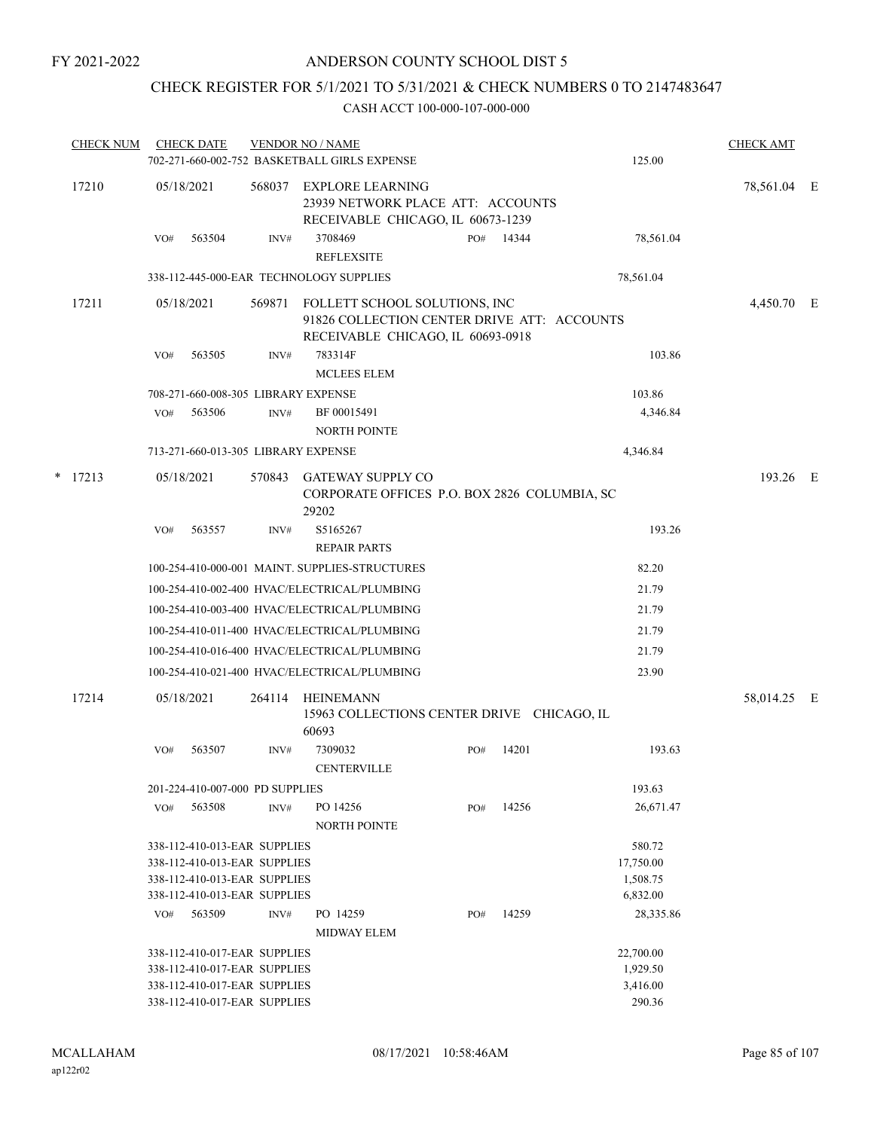# CHECK REGISTER FOR 5/1/2021 TO 5/31/2021 & CHECK NUMBERS 0 TO 2147483647

| <b>CHECK NUM</b> |     | <b>CHECK DATE</b>                   |        | <b>VENDOR NO / NAME</b><br>702-271-660-002-752 BASKETBALL GIRLS EXPENSE                                           |     |       | 125.00    | <b>CHECK AMT</b> |  |
|------------------|-----|-------------------------------------|--------|-------------------------------------------------------------------------------------------------------------------|-----|-------|-----------|------------------|--|
| 17210            |     | 05/18/2021                          | 568037 | EXPLORE LEARNING<br>23939 NETWORK PLACE ATT: ACCOUNTS<br>RECEIVABLE CHICAGO, IL 60673-1239                        |     |       |           | 78,561.04 E      |  |
|                  | VO# | 563504                              | INV#   | 3708469<br><b>REFLEXSITE</b>                                                                                      | PO# | 14344 | 78,561.04 |                  |  |
|                  |     |                                     |        | 338-112-445-000-EAR TECHNOLOGY SUPPLIES                                                                           |     |       | 78,561.04 |                  |  |
| 17211            |     | 05/18/2021                          | 569871 | FOLLETT SCHOOL SOLUTIONS, INC<br>91826 COLLECTION CENTER DRIVE ATT: ACCOUNTS<br>RECEIVABLE CHICAGO, IL 60693-0918 |     |       |           | 4,450.70 E       |  |
|                  | VO# | 563505                              | INV#   | 783314F<br><b>MCLEES ELEM</b>                                                                                     |     |       | 103.86    |                  |  |
|                  |     | 708-271-660-008-305 LIBRARY EXPENSE |        |                                                                                                                   |     |       | 103.86    |                  |  |
|                  | VO# | 563506                              | INV#   | BF 00015491                                                                                                       |     |       | 4,346.84  |                  |  |
|                  |     |                                     |        | <b>NORTH POINTE</b>                                                                                               |     |       |           |                  |  |
|                  |     | 713-271-660-013-305 LIBRARY EXPENSE |        |                                                                                                                   |     |       | 4,346.84  |                  |  |
| $*$ 17213        |     | 05/18/2021                          | 570843 | <b>GATEWAY SUPPLY CO</b><br>CORPORATE OFFICES P.O. BOX 2826 COLUMBIA, SC<br>29202                                 |     |       |           | 193.26 E         |  |
|                  | VO# | 563557                              | INV#   | S5165267<br><b>REPAIR PARTS</b>                                                                                   |     |       | 193.26    |                  |  |
|                  |     |                                     |        | 100-254-410-000-001 MAINT. SUPPLIES-STRUCTURES                                                                    |     |       | 82.20     |                  |  |
|                  |     |                                     |        | 100-254-410-002-400 HVAC/ELECTRICAL/PLUMBING                                                                      |     |       | 21.79     |                  |  |
|                  |     |                                     |        | 100-254-410-003-400 HVAC/ELECTRICAL/PLUMBING                                                                      |     |       | 21.79     |                  |  |
|                  |     |                                     |        | 100-254-410-011-400 HVAC/ELECTRICAL/PLUMBING                                                                      |     |       | 21.79     |                  |  |
|                  |     |                                     |        | 100-254-410-016-400 HVAC/ELECTRICAL/PLUMBING                                                                      |     |       | 21.79     |                  |  |
|                  |     |                                     |        | 100-254-410-021-400 HVAC/ELECTRICAL/PLUMBING                                                                      |     |       | 23.90     |                  |  |
|                  |     |                                     |        |                                                                                                                   |     |       |           |                  |  |
| 17214            |     | 05/18/2021                          | 264114 | HEINEMANN<br>15963 COLLECTIONS CENTER DRIVE CHICAGO, IL<br>60693                                                  |     |       |           | 58,014.25 E      |  |
|                  | VO# | 563507                              | INV#   | 7309032<br><b>CENTERVILLE</b>                                                                                     | PO# | 14201 | 193.63    |                  |  |
|                  |     | 201-224-410-007-000 PD SUPPLIES     |        |                                                                                                                   |     |       | 193.63    |                  |  |
|                  | VO# | 563508                              | INV#   | PO 14256<br><b>NORTH POINTE</b>                                                                                   | PO# | 14256 | 26,671.47 |                  |  |
|                  |     | 338-112-410-013-EAR SUPPLIES        |        |                                                                                                                   |     |       | 580.72    |                  |  |
|                  |     | 338-112-410-013-EAR SUPPLIES        |        |                                                                                                                   |     |       | 17,750.00 |                  |  |
|                  |     | 338-112-410-013-EAR SUPPLIES        |        |                                                                                                                   |     |       | 1,508.75  |                  |  |
|                  |     | 338-112-410-013-EAR SUPPLIES        |        |                                                                                                                   |     |       | 6,832.00  |                  |  |
|                  | VO# | 563509                              | INV#   | PO 14259<br><b>MIDWAY ELEM</b>                                                                                    | PO# | 14259 | 28,335.86 |                  |  |
|                  |     | 338-112-410-017-EAR SUPPLIES        |        |                                                                                                                   |     |       | 22,700.00 |                  |  |
|                  |     | 338-112-410-017-EAR SUPPLIES        |        |                                                                                                                   |     |       | 1,929.50  |                  |  |
|                  |     | 338-112-410-017-EAR SUPPLIES        |        |                                                                                                                   |     |       | 3,416.00  |                  |  |
|                  |     | 338-112-410-017-EAR SUPPLIES        |        |                                                                                                                   |     |       | 290.36    |                  |  |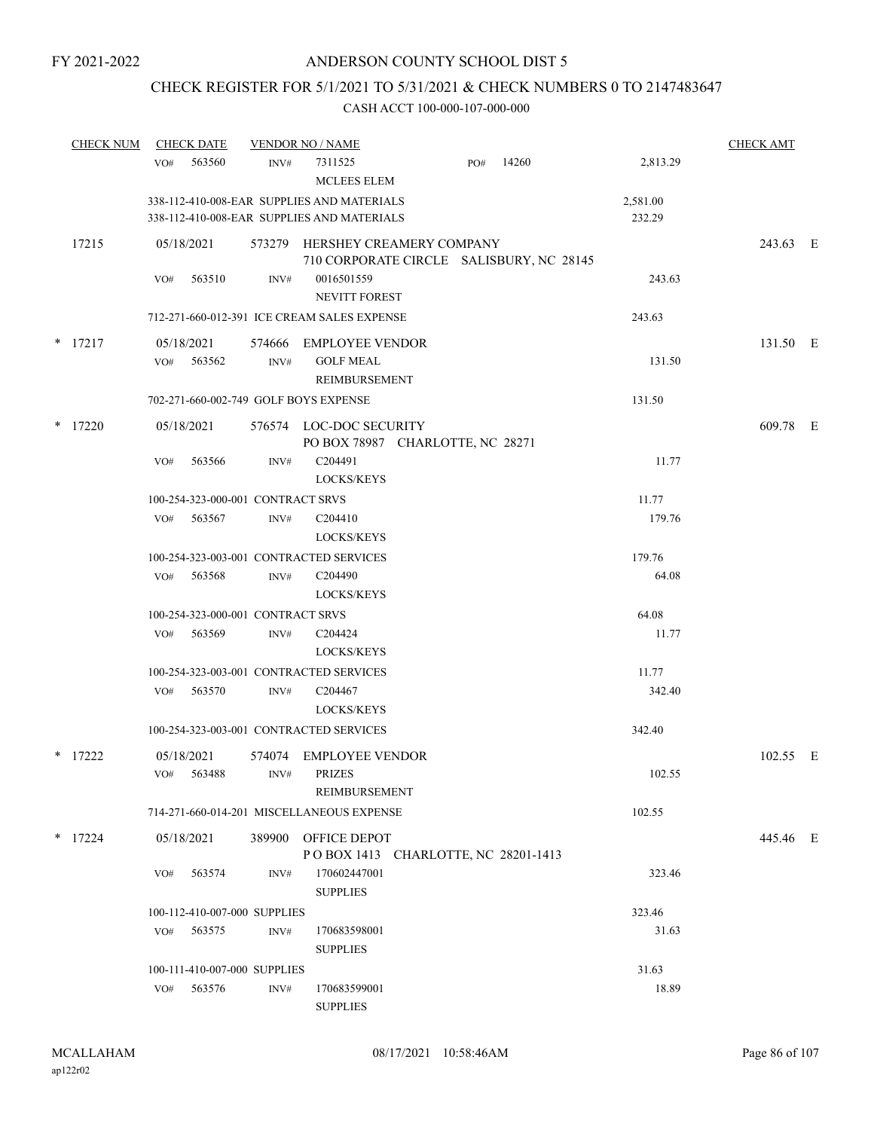# CHECK REGISTER FOR 5/1/2021 TO 5/31/2021 & CHECK NUMBERS 0 TO 2147483647

| <b>CHECK NUM</b> | <b>CHECK DATE</b>                     |                | <b>VENDOR NO / NAME</b>                                                                  |                                                                             |       |                    | <b>CHECK AMT</b> |  |
|------------------|---------------------------------------|----------------|------------------------------------------------------------------------------------------|-----------------------------------------------------------------------------|-------|--------------------|------------------|--|
|                  | 563560<br>VO#                         | INV#           | 7311525<br><b>MCLEES ELEM</b>                                                            | PO#                                                                         | 14260 | 2,813.29           |                  |  |
|                  |                                       |                | 338-112-410-008-EAR SUPPLIES AND MATERIALS<br>338-112-410-008-EAR SUPPLIES AND MATERIALS |                                                                             |       | 2,581.00<br>232.29 |                  |  |
| 17215            | 05/18/2021                            |                |                                                                                          | 573279 HERSHEY CREAMERY COMPANY<br>710 CORPORATE CIRCLE SALISBURY, NC 28145 |       |                    | 243.63 E         |  |
|                  | 563510<br>VO#                         | INV#           | 0016501559<br><b>NEVITT FOREST</b>                                                       |                                                                             |       | 243.63             |                  |  |
|                  |                                       |                | 712-271-660-012-391 ICE CREAM SALES EXPENSE                                              |                                                                             |       | 243.63             |                  |  |
| $*$ 17217        | 05/18/2021                            | 574666         | EMPLOYEE VENDOR                                                                          |                                                                             |       |                    | 131.50 E         |  |
|                  | 563562<br>VO#                         | INV#           | <b>GOLF MEAL</b><br>REIMBURSEMENT                                                        |                                                                             |       | 131.50             |                  |  |
|                  | 702-271-660-002-749 GOLF BOYS EXPENSE |                |                                                                                          |                                                                             |       | 131.50             |                  |  |
| $*$ 17220        | 05/18/2021                            |                | 576574 LOC-DOC SECURITY                                                                  | PO BOX 78987 CHARLOTTE, NC 28271                                            |       |                    | 609.78 E         |  |
|                  | VO#<br>563566                         | INV#           | C <sub>204491</sub><br>LOCKS/KEYS                                                        |                                                                             |       | 11.77              |                  |  |
|                  | 100-254-323-000-001 CONTRACT SRVS     |                |                                                                                          |                                                                             |       | 11.77              |                  |  |
|                  | VO# 563567                            | INV#           | C <sub>204410</sub><br>LOCKS/KEYS                                                        |                                                                             |       | 179.76             |                  |  |
|                  |                                       |                | 100-254-323-003-001 CONTRACTED SERVICES                                                  |                                                                             |       | 179.76             |                  |  |
|                  | VO#<br>563568                         | INV#           | C <sub>204490</sub><br><b>LOCKS/KEYS</b>                                                 |                                                                             |       | 64.08              |                  |  |
|                  | 100-254-323-000-001 CONTRACT SRVS     |                |                                                                                          |                                                                             |       | 64.08              |                  |  |
|                  | 563569<br>VO#                         | INV#           | C <sub>204424</sub><br>LOCKS/KEYS                                                        |                                                                             |       | 11.77              |                  |  |
|                  |                                       |                | 100-254-323-003-001 CONTRACTED SERVICES                                                  |                                                                             |       | 11.77              |                  |  |
|                  | 563570<br>VO#                         | INV#           | C <sub>204467</sub><br>LOCKS/KEYS                                                        |                                                                             |       | 342.40             |                  |  |
|                  |                                       |                | 100-254-323-003-001 CONTRACTED SERVICES                                                  |                                                                             |       | 342.40             |                  |  |
| $*$ 17222        | 05/18/2021<br>VO# 563488              | INV# PRIZES    | 574074 EMPLOYEE VENDOR                                                                   |                                                                             |       | 102.55             | 102.55 E         |  |
|                  |                                       |                | REIMBURSEMENT                                                                            |                                                                             |       |                    |                  |  |
|                  |                                       |                | 714-271-660-014-201 MISCELLANEOUS EXPENSE                                                |                                                                             |       | 102.55             |                  |  |
| $*$ 17224        | 05/18/2021                            |                | 389900 OFFICE DEPOT                                                                      | POBOX 1413 CHARLOTTE, NC 28201-1413                                         |       |                    | 445.46 E         |  |
|                  | 563574<br>VO#                         | INV#           | 170602447001<br><b>SUPPLIES</b>                                                          |                                                                             |       | 323.46             |                  |  |
|                  | 100-112-410-007-000 SUPPLIES          |                |                                                                                          |                                                                             |       | 323.46             |                  |  |
|                  | 563575<br>VO#                         | INV#           | 170683598001<br><b>SUPPLIES</b>                                                          |                                                                             |       | 31.63              |                  |  |
|                  | 100-111-410-007-000 SUPPLIES          |                |                                                                                          |                                                                             |       | 31.63              |                  |  |
|                  | 563576<br>VO#                         | $\text{INV}\#$ | 170683599001<br><b>SUPPLIES</b>                                                          |                                                                             |       | 18.89              |                  |  |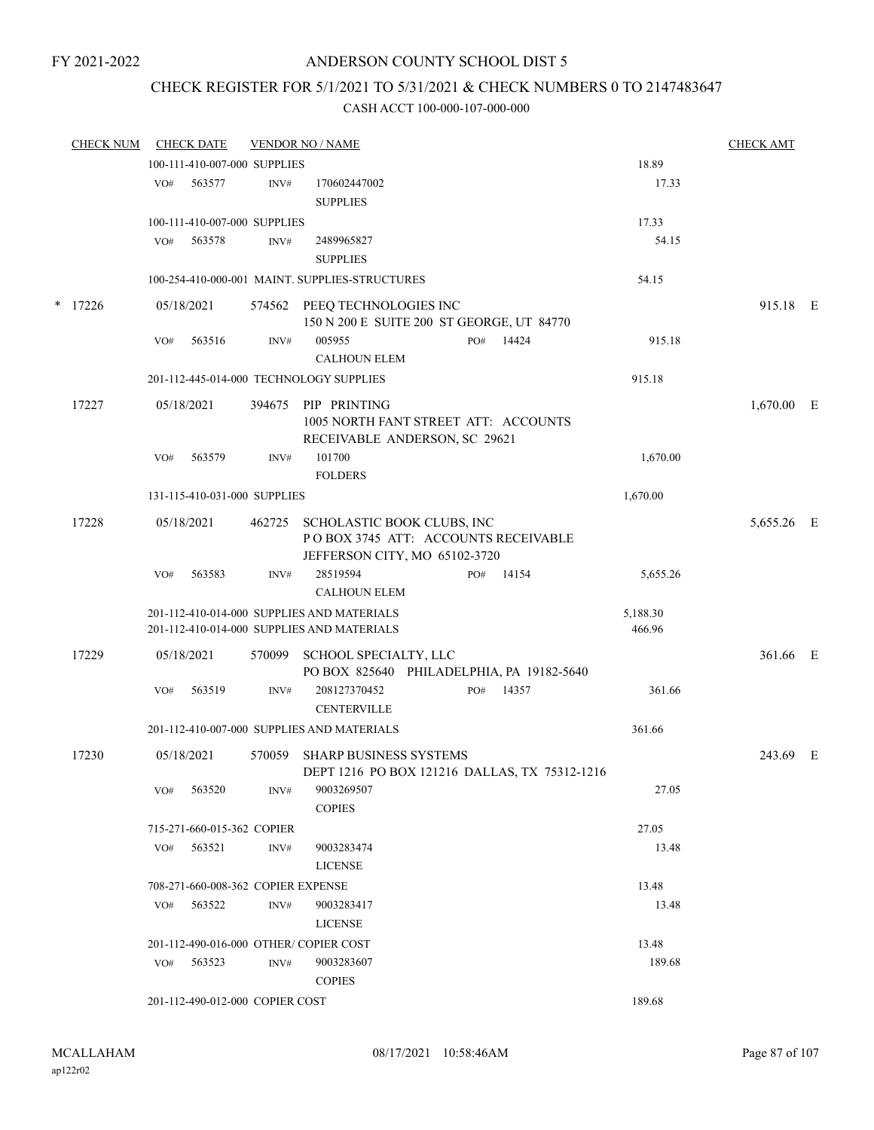# CHECK REGISTER FOR 5/1/2021 TO 5/31/2021 & CHECK NUMBERS 0 TO 2147483647

| <b>CHECK NUM</b> |     | <b>CHECK DATE</b>                  |        | <b>VENDOR NO / NAME</b>                                                                            |     |       |                    | <b>CHECK AMT</b> |  |
|------------------|-----|------------------------------------|--------|----------------------------------------------------------------------------------------------------|-----|-------|--------------------|------------------|--|
|                  |     | 100-111-410-007-000 SUPPLIES       |        |                                                                                                    |     |       | 18.89              |                  |  |
|                  | VO# | 563577                             | INV#   | 170602447002<br><b>SUPPLIES</b>                                                                    |     |       | 17.33              |                  |  |
|                  |     | 100-111-410-007-000 SUPPLIES       |        |                                                                                                    |     |       | 17.33              |                  |  |
|                  | VO# | 563578                             | INV#   | 2489965827<br><b>SUPPLIES</b>                                                                      |     |       | 54.15              |                  |  |
|                  |     |                                    |        | 100-254-410-000-001 MAINT. SUPPLIES-STRUCTURES                                                     |     |       | 54.15              |                  |  |
| $*$ 17226        |     | 05/18/2021                         |        | 574562 PEEQ TECHNOLOGIES INC<br>150 N 200 E SUITE 200 ST GEORGE, UT 84770                          |     |       |                    | 915.18 E         |  |
|                  | VO# | 563516                             | INV#   | 005955<br><b>CALHOUN ELEM</b>                                                                      | PO# | 14424 | 915.18             |                  |  |
|                  |     |                                    |        | 201-112-445-014-000 TECHNOLOGY SUPPLIES                                                            |     |       | 915.18             |                  |  |
| 17227            |     | 05/18/2021                         | 394675 | PIP PRINTING<br>1005 NORTH FANT STREET ATT: ACCOUNTS<br>RECEIVABLE ANDERSON, SC 29621              |     |       |                    | $1,670.00$ E     |  |
|                  | VO# | 563579                             | INV#   | 101700<br><b>FOLDERS</b>                                                                           |     |       | 1,670.00           |                  |  |
|                  |     | 131-115-410-031-000 SUPPLIES       |        |                                                                                                    |     |       | 1,670.00           |                  |  |
| 17228            |     | 05/18/2021                         | 462725 | SCHOLASTIC BOOK CLUBS, INC<br>POBOX 3745 ATT: ACCOUNTS RECEIVABLE<br>JEFFERSON CITY, MO 65102-3720 |     |       |                    | 5,655.26 E       |  |
|                  | VO# | 563583                             | INV#   | 28519594<br><b>CALHOUN ELEM</b>                                                                    | PO# | 14154 | 5,655.26           |                  |  |
|                  |     |                                    |        | 201-112-410-014-000 SUPPLIES AND MATERIALS<br>201-112-410-014-000 SUPPLIES AND MATERIALS           |     |       | 5,188.30<br>466.96 |                  |  |
| 17229            |     | 05/18/2021                         | 570099 | SCHOOL SPECIALTY, LLC<br>PO BOX 825640 PHILADELPHIA, PA 19182-5640                                 |     |       |                    | 361.66 E         |  |
|                  | VO# | 563519                             | INV#   | 208127370452<br><b>CENTERVILLE</b>                                                                 | PO# | 14357 | 361.66             |                  |  |
|                  |     |                                    |        | 201-112-410-007-000 SUPPLIES AND MATERIALS                                                         |     |       | 361.66             |                  |  |
| 17230            |     | 05/18/2021                         | 570059 | SHARP BUSINESS SYSTEMS<br>DEPT 1216 PO BOX 121216 DALLAS, TX 75312-1216                            |     |       |                    | 243.69 E         |  |
|                  | VO# | 563520                             | INV#   | 9003269507<br><b>COPIES</b>                                                                        |     |       | 27.05              |                  |  |
|                  |     | 715-271-660-015-362 COPIER         |        |                                                                                                    |     |       | 27.05              |                  |  |
|                  | VO# | 563521                             | INV#   | 9003283474<br><b>LICENSE</b>                                                                       |     |       | 13.48              |                  |  |
|                  |     | 708-271-660-008-362 COPIER EXPENSE |        |                                                                                                    |     |       | 13.48              |                  |  |
|                  |     | VO# 563522                         | INV#   | 9003283417<br><b>LICENSE</b>                                                                       |     |       | 13.48              |                  |  |
|                  |     |                                    |        | 201-112-490-016-000 OTHER/COPIER COST                                                              |     |       | 13.48              |                  |  |
|                  |     | $VO#$ 563523                       | INV#   | 9003283607<br><b>COPIES</b>                                                                        |     |       | 189.68             |                  |  |
|                  |     | 201-112-490-012-000 COPIER COST    |        |                                                                                                    |     |       | 189.68             |                  |  |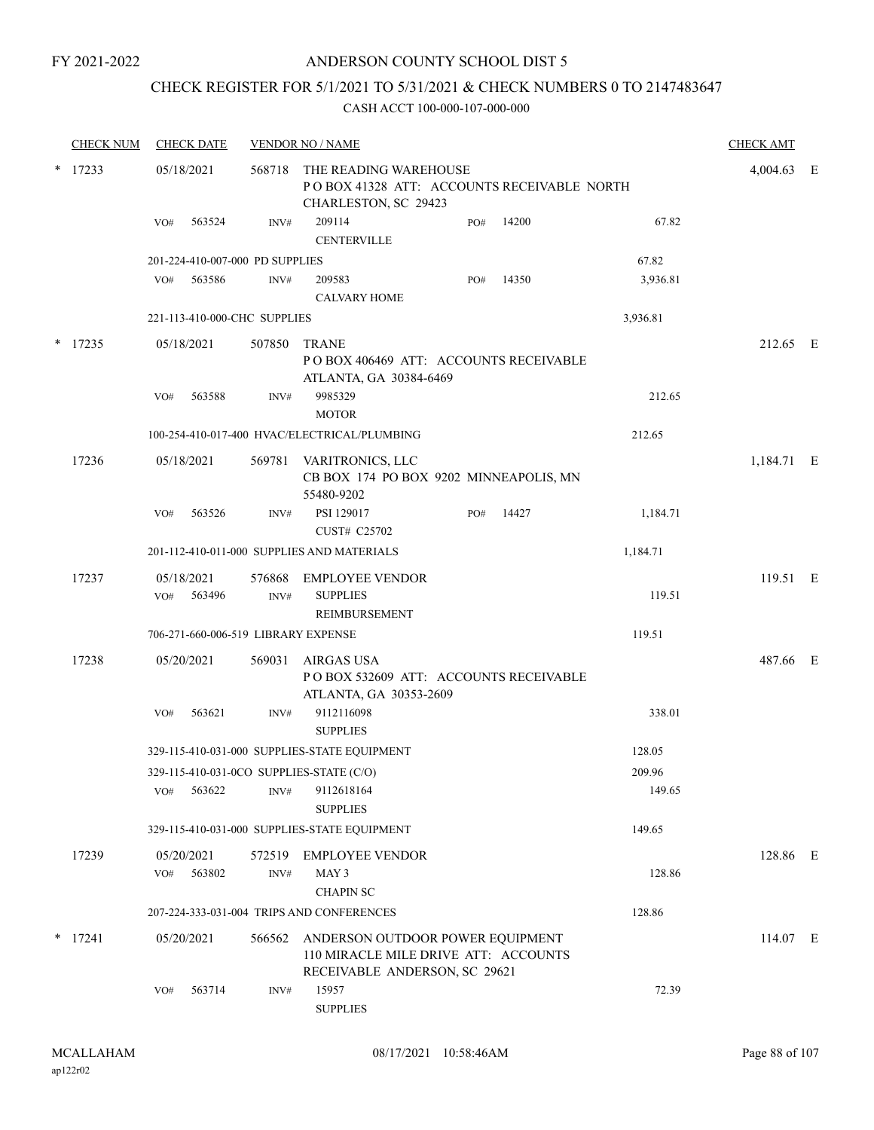# ANDERSON COUNTY SCHOOL DIST 5

# CHECK REGISTER FOR 5/1/2021 TO 5/31/2021 & CHECK NUMBERS 0 TO 2147483647

|           | <b>CHECK NUM</b> |            | <b>CHECK DATE</b>    |                                                                                             | <b>VENDOR NO / NAME</b>                                                                                   |     |       |            | <b>CHECK AMT</b> |  |
|-----------|------------------|------------|----------------------|---------------------------------------------------------------------------------------------|-----------------------------------------------------------------------------------------------------------|-----|-------|------------|------------------|--|
| $*$ 17233 |                  | 05/18/2021 | 568718               | THE READING WAREHOUSE<br>POBOX 41328 ATT: ACCOUNTS RECEIVABLE NORTH<br>CHARLESTON, SC 29423 |                                                                                                           |     |       | 4,004.63 E |                  |  |
|           |                  | VO#        | 563524               | INV#                                                                                        | 209114<br><b>CENTERVILLE</b>                                                                              | PO# | 14200 | 67.82      |                  |  |
|           |                  |            |                      | 201-224-410-007-000 PD SUPPLIES                                                             |                                                                                                           |     |       | 67.82      |                  |  |
|           |                  | VO#        | 563586               | INV#                                                                                        | 209583<br><b>CALVARY HOME</b>                                                                             | PO# | 14350 | 3,936.81   |                  |  |
|           |                  |            |                      | 221-113-410-000-CHC SUPPLIES                                                                |                                                                                                           |     |       | 3,936.81   |                  |  |
| *         | 17235            |            | 05/18/2021           | 507850                                                                                      | <b>TRANE</b><br>PO BOX 406469 ATT: ACCOUNTS RECEIVABLE<br>ATLANTA, GA 30384-6469                          |     |       |            | 212.65 E         |  |
|           |                  | VO#        | 563588               | INV#                                                                                        | 9985329<br><b>MOTOR</b>                                                                                   |     |       | 212.65     |                  |  |
|           |                  |            |                      |                                                                                             | 100-254-410-017-400 HVAC/ELECTRICAL/PLUMBING                                                              |     |       | 212.65     |                  |  |
|           | 17236            |            | 05/18/2021           |                                                                                             | 569781 VARITRONICS, LLC<br>CB BOX 174 PO BOX 9202 MINNEAPOLIS, MN<br>55480-9202                           |     |       |            | 1,184.71 E       |  |
|           |                  | VO#        | 563526               | INV#                                                                                        | PSI 129017<br>CUST# C25702                                                                                | PO# | 14427 | 1,184.71   |                  |  |
|           |                  |            |                      |                                                                                             | 201-112-410-011-000 SUPPLIES AND MATERIALS                                                                |     |       | 1,184.71   |                  |  |
|           | 17237            | VO#        | 05/18/2021<br>563496 | 576868<br>INV#                                                                              | <b>EMPLOYEE VENDOR</b><br><b>SUPPLIES</b><br>REIMBURSEMENT                                                |     |       | 119.51     | 119.51 E         |  |
|           |                  |            |                      |                                                                                             | 706-271-660-006-519 LIBRARY EXPENSE                                                                       |     |       | 119.51     |                  |  |
|           | 17238            |            | 05/20/2021           | 569031                                                                                      | AIRGAS USA<br>POBOX 532609 ATT: ACCOUNTS RECEIVABLE<br>ATLANTA, GA 30353-2609                             |     |       |            | 487.66 E         |  |
|           |                  | VO#        | 563621               | INV#                                                                                        | 9112116098<br><b>SUPPLIES</b>                                                                             |     |       | 338.01     |                  |  |
|           |                  |            |                      |                                                                                             | 329-115-410-031-000 SUPPLIES-STATE EQUIPMENT                                                              |     |       | 128.05     |                  |  |
|           |                  |            |                      |                                                                                             | 329-115-410-031-0CO SUPPLIES-STATE (C/O)                                                                  |     |       | 209.96     |                  |  |
|           |                  | VO#        | 563622               | INV#                                                                                        | 9112618164<br><b>SUPPLIES</b>                                                                             |     |       | 149.65     |                  |  |
|           |                  |            |                      |                                                                                             | 329-115-410-031-000 SUPPLIES-STATE EQUIPMENT                                                              |     |       | 149.65     |                  |  |
|           | 17239            |            | 05/20/2021           | 572519                                                                                      | <b>EMPLOYEE VENDOR</b>                                                                                    |     |       |            | 128.86 E         |  |
|           |                  | VO#        | 563802               | INV#                                                                                        | MAY 3<br><b>CHAPIN SC</b>                                                                                 |     |       | 128.86     |                  |  |
|           |                  |            |                      |                                                                                             | 207-224-333-031-004 TRIPS AND CONFERENCES                                                                 |     |       | 128.86     |                  |  |
|           | $*$ 17241        |            | 05/20/2021           | 566562                                                                                      | ANDERSON OUTDOOR POWER EQUIPMENT<br>110 MIRACLE MILE DRIVE ATT: ACCOUNTS<br>RECEIVABLE ANDERSON, SC 29621 |     |       |            | 114.07 E         |  |
|           |                  | VO#        | 563714               | INV#                                                                                        | 15957<br><b>SUPPLIES</b>                                                                                  |     |       | 72.39      |                  |  |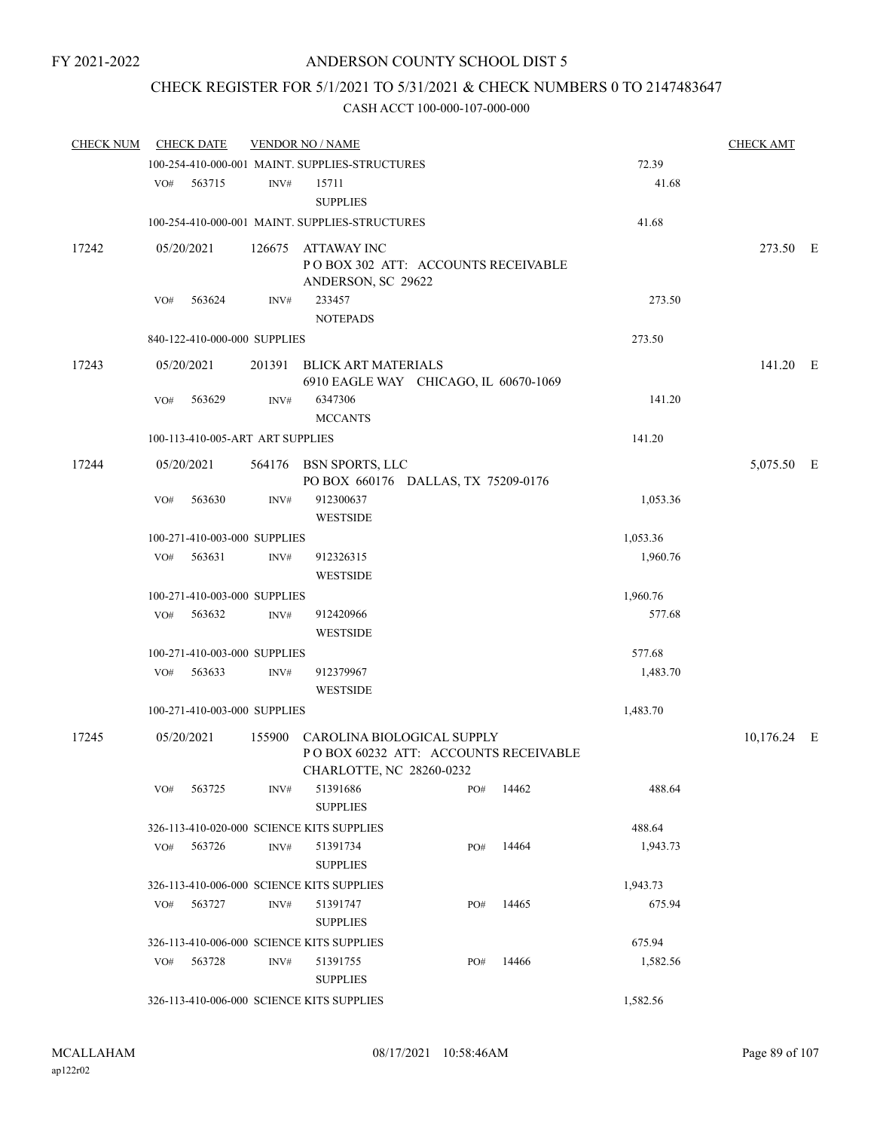# CHECK REGISTER FOR 5/1/2021 TO 5/31/2021 & CHECK NUMBERS 0 TO 2147483647

| <b>CHECK NUM</b> |     | <b>CHECK DATE</b>                |      | <b>VENDOR NO / NAME</b>                                                                               |     |       |          | <b>CHECK AMT</b> |  |
|------------------|-----|----------------------------------|------|-------------------------------------------------------------------------------------------------------|-----|-------|----------|------------------|--|
|                  |     |                                  |      | 100-254-410-000-001 MAINT. SUPPLIES-STRUCTURES                                                        |     |       | 72.39    |                  |  |
|                  |     | VO# 563715                       | INV# | 15711<br><b>SUPPLIES</b>                                                                              |     |       | 41.68    |                  |  |
|                  |     |                                  |      | 100-254-410-000-001 MAINT. SUPPLIES-STRUCTURES                                                        |     |       | 41.68    |                  |  |
| 17242            |     | 05/20/2021                       |      | 126675 ATTAWAY INC<br>PO BOX 302 ATT: ACCOUNTS RECEIVABLE<br>ANDERSON, SC 29622                       |     |       |          | 273.50 E         |  |
|                  | VO# | 563624                           | INV# | 233457<br><b>NOTEPADS</b>                                                                             |     |       | 273.50   |                  |  |
|                  |     | 840-122-410-000-000 SUPPLIES     |      |                                                                                                       |     |       | 273.50   |                  |  |
| 17243            |     | 05/20/2021                       |      | 201391 BLICK ART MATERIALS<br>6910 EAGLE WAY CHICAGO, IL 60670-1069                                   |     |       |          | 141.20 E         |  |
|                  | VO# | 563629                           | INV# | 6347306<br><b>MCCANTS</b>                                                                             |     |       | 141.20   |                  |  |
|                  |     | 100-113-410-005-ART ART SUPPLIES |      |                                                                                                       |     |       | 141.20   |                  |  |
| 17244            |     | 05/20/2021                       |      | 564176 BSN SPORTS, LLC<br>PO BOX 660176 DALLAS, TX 75209-0176                                         |     |       |          | 5,075.50 E       |  |
|                  | VO# | 563630                           | INV# | 912300637<br><b>WESTSIDE</b>                                                                          |     |       | 1,053.36 |                  |  |
|                  |     | 100-271-410-003-000 SUPPLIES     |      |                                                                                                       |     |       | 1,053.36 |                  |  |
|                  | VO# | 563631                           | INV# | 912326315<br><b>WESTSIDE</b>                                                                          |     |       | 1,960.76 |                  |  |
|                  |     | 100-271-410-003-000 SUPPLIES     |      |                                                                                                       |     |       | 1,960.76 |                  |  |
|                  | VO# | 563632                           | INV# | 912420966<br><b>WESTSIDE</b>                                                                          |     |       | 577.68   |                  |  |
|                  |     | 100-271-410-003-000 SUPPLIES     |      |                                                                                                       |     |       | 577.68   |                  |  |
|                  | VO# | 563633                           | INV# | 912379967<br><b>WESTSIDE</b>                                                                          |     |       | 1,483.70 |                  |  |
|                  |     | 100-271-410-003-000 SUPPLIES     |      |                                                                                                       |     |       | 1,483.70 |                  |  |
| 17245            |     | 05/20/2021                       |      | 155900 CAROLINA BIOLOGICAL SUPPLY<br>POBOX 60232 ATT: ACCOUNTS RECEIVABLE<br>CHARLOTTE, NC 28260-0232 |     |       |          | $10,176.24$ E    |  |
|                  | VO# | 563725                           | INV# | 51391686<br><b>SUPPLIES</b>                                                                           | PO# | 14462 | 488.64   |                  |  |
|                  |     |                                  |      | 326-113-410-020-000 SCIENCE KITS SUPPLIES                                                             |     |       | 488.64   |                  |  |
|                  | VO# | 563726                           | INV# | 51391734<br><b>SUPPLIES</b>                                                                           | PO# | 14464 | 1,943.73 |                  |  |
|                  |     |                                  |      | 326-113-410-006-000 SCIENCE KITS SUPPLIES                                                             |     |       | 1,943.73 |                  |  |
|                  |     | VO# 563727                       | INV# | 51391747<br><b>SUPPLIES</b>                                                                           | PO# | 14465 | 675.94   |                  |  |
|                  |     |                                  |      | 326-113-410-006-000 SCIENCE KITS SUPPLIES                                                             |     |       | 675.94   |                  |  |
|                  | VO# | 563728                           | INV# | 51391755<br><b>SUPPLIES</b>                                                                           | PO# | 14466 | 1,582.56 |                  |  |
|                  |     |                                  |      | 326-113-410-006-000 SCIENCE KITS SUPPLIES                                                             |     |       | 1,582.56 |                  |  |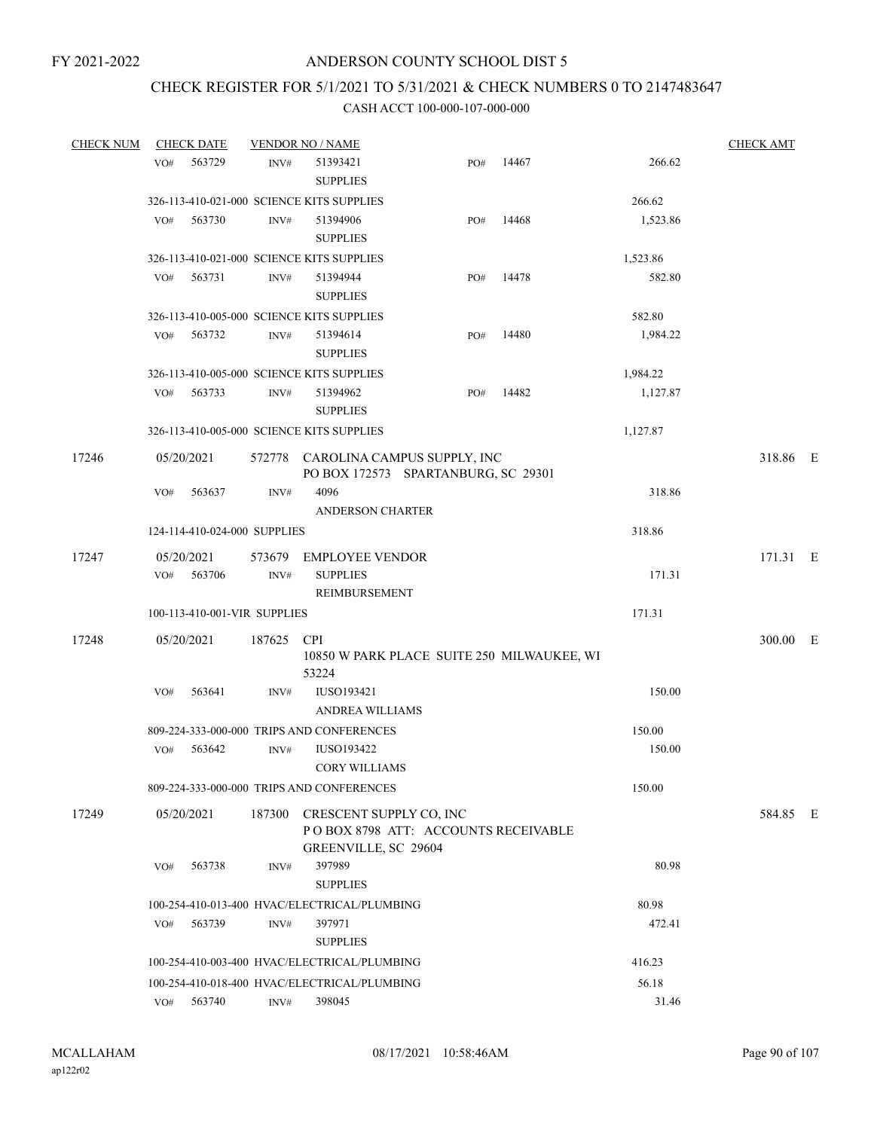# CHECK REGISTER FOR 5/1/2021 TO 5/31/2021 & CHECK NUMBERS 0 TO 2147483647

| <b>CHECK NUM</b> |     | <b>CHECK DATE</b>            |                | <b>VENDOR NO / NAME</b>                                |                                                                           |                                            |          | <b>CHECK AMT</b> |  |
|------------------|-----|------------------------------|----------------|--------------------------------------------------------|---------------------------------------------------------------------------|--------------------------------------------|----------|------------------|--|
|                  | VO# | 563729                       | INV#           | 51393421<br><b>SUPPLIES</b>                            | PO#                                                                       | 14467                                      | 266.62   |                  |  |
|                  |     |                              |                | 326-113-410-021-000 SCIENCE KITS SUPPLIES              |                                                                           |                                            | 266.62   |                  |  |
|                  | VO# | 563730                       | INV#           | 51394906<br><b>SUPPLIES</b>                            | PO#                                                                       | 14468                                      | 1,523.86 |                  |  |
|                  |     |                              |                | 326-113-410-021-000 SCIENCE KITS SUPPLIES              |                                                                           |                                            | 1,523.86 |                  |  |
|                  | VO# | 563731                       | $\text{INV}\#$ | 51394944<br><b>SUPPLIES</b>                            | PO#                                                                       | 14478                                      | 582.80   |                  |  |
|                  |     |                              |                | 326-113-410-005-000 SCIENCE KITS SUPPLIES              |                                                                           |                                            | 582.80   |                  |  |
|                  | VO# | 563732                       | INV#           | 51394614<br><b>SUPPLIES</b>                            | PO#                                                                       | 14480                                      | 1,984.22 |                  |  |
|                  |     |                              |                | 326-113-410-005-000 SCIENCE KITS SUPPLIES              |                                                                           |                                            | 1,984.22 |                  |  |
|                  | VO# | 563733                       | INV#           | 51394962<br><b>SUPPLIES</b>                            | PO#                                                                       | 14482                                      | 1,127.87 |                  |  |
|                  |     |                              |                | 326-113-410-005-000 SCIENCE KITS SUPPLIES              |                                                                           |                                            | 1,127.87 |                  |  |
| 17246            |     | 05/20/2021                   |                |                                                        | 572778 CAROLINA CAMPUS SUPPLY, INC<br>PO BOX 172573 SPARTANBURG, SC 29301 |                                            |          | 318.86 E         |  |
|                  | VO# | 563637                       | INV#           | 4096<br><b>ANDERSON CHARTER</b>                        |                                                                           |                                            | 318.86   |                  |  |
|                  |     | 124-114-410-024-000 SUPPLIES |                |                                                        |                                                                           |                                            | 318.86   |                  |  |
| 17247            | VO# | 05/20/2021<br>563706         | INV#           | 573679 EMPLOYEE VENDOR<br><b>SUPPLIES</b>              |                                                                           |                                            | 171.31   | 171.31 E         |  |
|                  |     |                              |                | REIMBURSEMENT                                          |                                                                           |                                            |          |                  |  |
|                  |     | 100-113-410-001-VIR SUPPLIES |                |                                                        |                                                                           |                                            | 171.31   |                  |  |
| 17248            |     | 05/20/2021                   | 187625 CPI     | 53224                                                  |                                                                           | 10850 W PARK PLACE SUITE 250 MILWAUKEE, WI |          | 300.00 E         |  |
|                  | VO# | 563641                       | INV#           | <b>IUSO193421</b><br><b>ANDREA WILLIAMS</b>            |                                                                           |                                            | 150.00   |                  |  |
|                  |     |                              |                | 809-224-333-000-000 TRIPS AND CONFERENCES              |                                                                           |                                            | 150.00   |                  |  |
|                  | VO# | 563642                       | INV#           | <b>IUSO193422</b><br>CORY WILLIAMS                     |                                                                           |                                            | 150.00   |                  |  |
|                  |     |                              |                | 809-224-333-000-000 TRIPS AND CONFERENCES              |                                                                           |                                            | 150.00   |                  |  |
| 17249            |     | 05/20/2021                   |                | 187300 CRESCENT SUPPLY CO, INC<br>GREENVILLE, SC 29604 | POBOX 8798 ATT: ACCOUNTS RECEIVABLE                                       |                                            |          | 584.85 E         |  |
|                  | VO# | 563738                       | INV#           | 397989<br><b>SUPPLIES</b>                              |                                                                           |                                            | 80.98    |                  |  |
|                  |     |                              |                | 100-254-410-013-400 HVAC/ELECTRICAL/PLUMBING           |                                                                           |                                            | 80.98    |                  |  |
|                  | VO# | 563739                       | INV#           | 397971                                                 |                                                                           |                                            | 472.41   |                  |  |
|                  |     |                              |                | <b>SUPPLIES</b>                                        |                                                                           |                                            |          |                  |  |
|                  |     |                              |                | 100-254-410-003-400 HVAC/ELECTRICAL/PLUMBING           |                                                                           |                                            | 416.23   |                  |  |
|                  |     |                              |                | 100-254-410-018-400 HVAC/ELECTRICAL/PLUMBING           |                                                                           |                                            | 56.18    |                  |  |
|                  | VO# | 563740                       | INV#           | 398045                                                 |                                                                           |                                            | 31.46    |                  |  |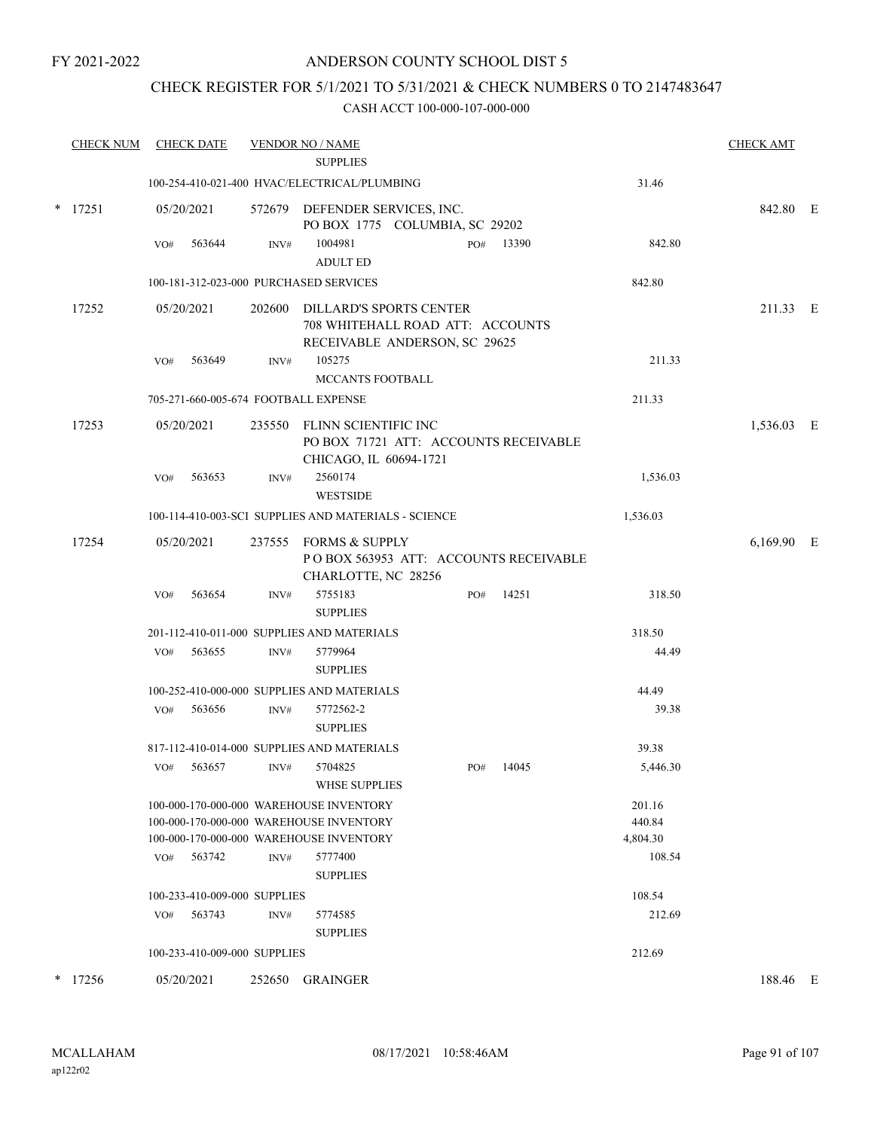# ANDERSON COUNTY SCHOOL DIST 5

# CHECK REGISTER FOR 5/1/2021 TO 5/31/2021 & CHECK NUMBERS 0 TO 2147483647

|   | <b>CHECK NUM</b> | <b>CHECK DATE</b> |                              |        | <b>VENDOR NO / NAME</b>                                                                                                                  |     |       |                                        | <b>CHECK AMT</b> |  |
|---|------------------|-------------------|------------------------------|--------|------------------------------------------------------------------------------------------------------------------------------------------|-----|-------|----------------------------------------|------------------|--|
|   |                  |                   |                              |        | <b>SUPPLIES</b><br>100-254-410-021-400 HVAC/ELECTRICAL/PLUMBING                                                                          |     |       | 31.46                                  |                  |  |
| * | 17251            | 05/20/2021        |                              |        | 572679 DEFENDER SERVICES, INC.<br>PO BOX 1775 COLUMBIA, SC 29202                                                                         |     |       |                                        | 842.80 E         |  |
|   |                  | VO#               | 563644                       | INV#   | 1004981<br><b>ADULT ED</b>                                                                                                               | PO# | 13390 | 842.80                                 |                  |  |
|   |                  |                   |                              |        | 100-181-312-023-000 PURCHASED SERVICES                                                                                                   |     |       | 842.80                                 |                  |  |
|   | 17252            | 05/20/2021        |                              |        | 202600 DILLARD'S SPORTS CENTER<br>708 WHITEHALL ROAD ATT: ACCOUNTS<br>RECEIVABLE ANDERSON, SC 29625                                      |     |       |                                        | 211.33 E         |  |
|   |                  | VO#               | 563649                       | INV#   | 105275<br><b>MCCANTS FOOTBALL</b>                                                                                                        |     |       | 211.33                                 |                  |  |
|   |                  |                   |                              |        | 705-271-660-005-674 FOOTBALL EXPENSE                                                                                                     |     |       | 211.33                                 |                  |  |
|   | 17253            | 05/20/2021        |                              |        | 235550 FLINN SCIENTIFIC INC<br>PO BOX 71721 ATT: ACCOUNTS RECEIVABLE<br>CHICAGO, IL 60694-1721                                           |     |       |                                        | 1,536.03 E       |  |
|   |                  | VO#               | 563653                       | INV#   | 2560174<br><b>WESTSIDE</b>                                                                                                               |     |       | 1,536.03                               |                  |  |
|   |                  |                   |                              |        | 100-114-410-003-SCI SUPPLIES AND MATERIALS - SCIENCE                                                                                     |     |       | 1,536.03                               |                  |  |
|   | 17254            | 05/20/2021        |                              |        | 237555 FORMS & SUPPLY<br>POBOX 563953 ATT: ACCOUNTS RECEIVABLE<br>CHARLOTTE, NC 28256                                                    |     |       |                                        | 6,169.90 E       |  |
|   |                  | VO#               | 563654                       | INV#   | 5755183<br><b>SUPPLIES</b>                                                                                                               | PO# | 14251 | 318.50                                 |                  |  |
|   |                  |                   |                              |        | 201-112-410-011-000 SUPPLIES AND MATERIALS                                                                                               |     |       | 318.50                                 |                  |  |
|   |                  | VO#               | 563655                       | INV#   | 5779964<br><b>SUPPLIES</b>                                                                                                               |     |       | 44.49                                  |                  |  |
|   |                  |                   |                              |        | 100-252-410-000-000 SUPPLIES AND MATERIALS                                                                                               |     |       | 44.49                                  |                  |  |
|   |                  | VO#               | 563656                       | INV#   | 5772562-2<br><b>SUPPLIES</b>                                                                                                             |     |       | 39.38                                  |                  |  |
|   |                  |                   |                              |        | 817-112-410-014-000 SUPPLIES AND MATERIALS                                                                                               |     |       | 39.38                                  |                  |  |
|   |                  | VO#               | 563657                       | INV#   | 5704825<br><b>WHSE SUPPLIES</b>                                                                                                          | PO# | 14045 | 5,446.30                               |                  |  |
|   |                  | VO#               | 563742                       | INV#   | 100-000-170-000-000 WAREHOUSE INVENTORY<br>100-000-170-000-000 WAREHOUSE INVENTORY<br>100-000-170-000-000 WAREHOUSE INVENTORY<br>5777400 |     |       | 201.16<br>440.84<br>4,804.30<br>108.54 |                  |  |
|   |                  |                   | 100-233-410-009-000 SUPPLIES |        | <b>SUPPLIES</b>                                                                                                                          |     |       | 108.54                                 |                  |  |
|   |                  | VO#               | 563743                       | INV#   | 5774585<br><b>SUPPLIES</b>                                                                                                               |     |       | 212.69                                 |                  |  |
|   |                  |                   | 100-233-410-009-000 SUPPLIES |        |                                                                                                                                          |     |       | 212.69                                 |                  |  |
|   | $*$ 17256        | 05/20/2021        |                              | 252650 | GRAINGER                                                                                                                                 |     |       |                                        | 188.46 E         |  |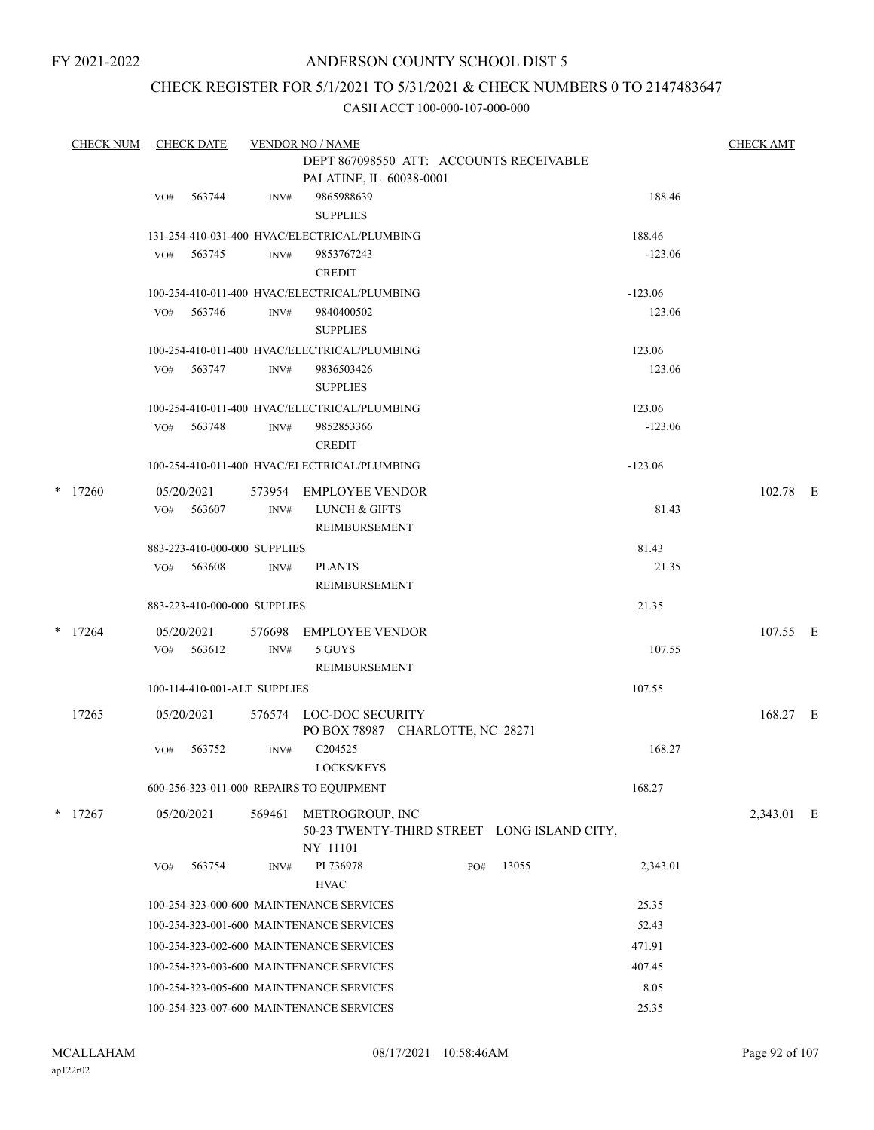# ANDERSON COUNTY SCHOOL DIST 5

# CHECK REGISTER FOR 5/1/2021 TO 5/31/2021 & CHECK NUMBERS 0 TO 2147483647

| <b>CHECK NUM</b> |            | <b>CHECK DATE</b>            |        | <b>VENDOR NO / NAME</b>                                    |                  | <b>CHECK AMT</b> |  |
|------------------|------------|------------------------------|--------|------------------------------------------------------------|------------------|------------------|--|
|                  |            |                              |        | DEPT 867098550 ATT: ACCOUNTS RECEIVABLE                    |                  |                  |  |
|                  |            |                              |        | PALATINE, IL 60038-0001                                    |                  |                  |  |
|                  | VO#        | 563744                       | INV#   | 9865988639                                                 | 188.46           |                  |  |
|                  |            |                              |        | <b>SUPPLIES</b>                                            |                  |                  |  |
|                  |            |                              |        | 131-254-410-031-400 HVAC/ELECTRICAL/PLUMBING               | 188.46           |                  |  |
|                  | VO#        | 563745                       | INV#   | 9853767243                                                 | $-123.06$        |                  |  |
|                  |            |                              |        | <b>CREDIT</b>                                              |                  |                  |  |
|                  |            |                              |        | 100-254-410-011-400 HVAC/ELECTRICAL/PLUMBING               | $-123.06$        |                  |  |
|                  |            | VO# 563746                   | INV#   | 9840400502<br><b>SUPPLIES</b>                              | 123.06           |                  |  |
|                  |            |                              |        |                                                            |                  |                  |  |
|                  | VO#        | 563747                       | INV#   | 100-254-410-011-400 HVAC/ELECTRICAL/PLUMBING<br>9836503426 | 123.06<br>123.06 |                  |  |
|                  |            |                              |        | <b>SUPPLIES</b>                                            |                  |                  |  |
|                  |            |                              |        | 100-254-410-011-400 HVAC/ELECTRICAL/PLUMBING               | 123.06           |                  |  |
|                  | VO#        | 563748                       | INV#   | 9852853366                                                 | $-123.06$        |                  |  |
|                  |            |                              |        | <b>CREDIT</b>                                              |                  |                  |  |
|                  |            |                              |        | 100-254-410-011-400 HVAC/ELECTRICAL/PLUMBING               | $-123.06$        |                  |  |
| $*$ 17260        | 05/20/2021 |                              |        | 573954 EMPLOYEE VENDOR                                     |                  | 102.78 E         |  |
|                  | VO#        | 563607                       | INV#   | LUNCH & GIFTS                                              | 81.43            |                  |  |
|                  |            |                              |        | REIMBURSEMENT                                              |                  |                  |  |
|                  |            | 883-223-410-000-000 SUPPLIES |        |                                                            | 81.43            |                  |  |
|                  | VO#        | 563608                       | INV#   | <b>PLANTS</b>                                              | 21.35            |                  |  |
|                  |            |                              |        | REIMBURSEMENT                                              |                  |                  |  |
|                  |            | 883-223-410-000-000 SUPPLIES |        |                                                            | 21.35            |                  |  |
| $*$ 17264        | 05/20/2021 |                              | 576698 | <b>EMPLOYEE VENDOR</b>                                     |                  | 107.55 E         |  |
|                  | VO#        | 563612                       | INV#   | 5 GUYS                                                     | 107.55           |                  |  |
|                  |            |                              |        | REIMBURSEMENT                                              |                  |                  |  |
|                  |            | 100-114-410-001-ALT SUPPLIES |        |                                                            | 107.55           |                  |  |
| 17265            | 05/20/2021 |                              |        | 576574 LOC-DOC SECURITY                                    |                  | 168.27 E         |  |
|                  |            |                              |        | PO BOX 78987 CHARLOTTE, NC 28271                           |                  |                  |  |
|                  | VO#        | 563752                       | INV#   | C <sub>204525</sub>                                        | 168.27           |                  |  |
|                  |            |                              |        | LOCKS/KEYS                                                 |                  |                  |  |
|                  |            |                              |        | 600-256-323-011-000 REPAIRS TO EQUIPMENT                   | 168.27           |                  |  |
| $*$ 17267        | 05/20/2021 |                              | 569461 | METROGROUP, INC                                            |                  | 2,343.01 E       |  |
|                  |            |                              |        | 50-23 TWENTY-THIRD STREET LONG ISLAND CITY,                |                  |                  |  |
|                  |            |                              |        | NY 11101                                                   |                  |                  |  |
|                  | VO#        | 563754                       | INV#   | 13055<br>PI 736978<br>PO#                                  | 2,343.01         |                  |  |
|                  |            |                              |        | <b>HVAC</b>                                                |                  |                  |  |
|                  |            |                              |        | 100-254-323-000-600 MAINTENANCE SERVICES                   | 25.35            |                  |  |
|                  |            |                              |        | 100-254-323-001-600 MAINTENANCE SERVICES                   | 52.43            |                  |  |
|                  |            |                              |        | 100-254-323-002-600 MAINTENANCE SERVICES                   | 471.91           |                  |  |
|                  |            |                              |        | 100-254-323-003-600 MAINTENANCE SERVICES                   | 407.45           |                  |  |
|                  |            |                              |        | 100-254-323-005-600 MAINTENANCE SERVICES                   | 8.05             |                  |  |
|                  |            |                              |        | 100-254-323-007-600 MAINTENANCE SERVICES                   | 25.35            |                  |  |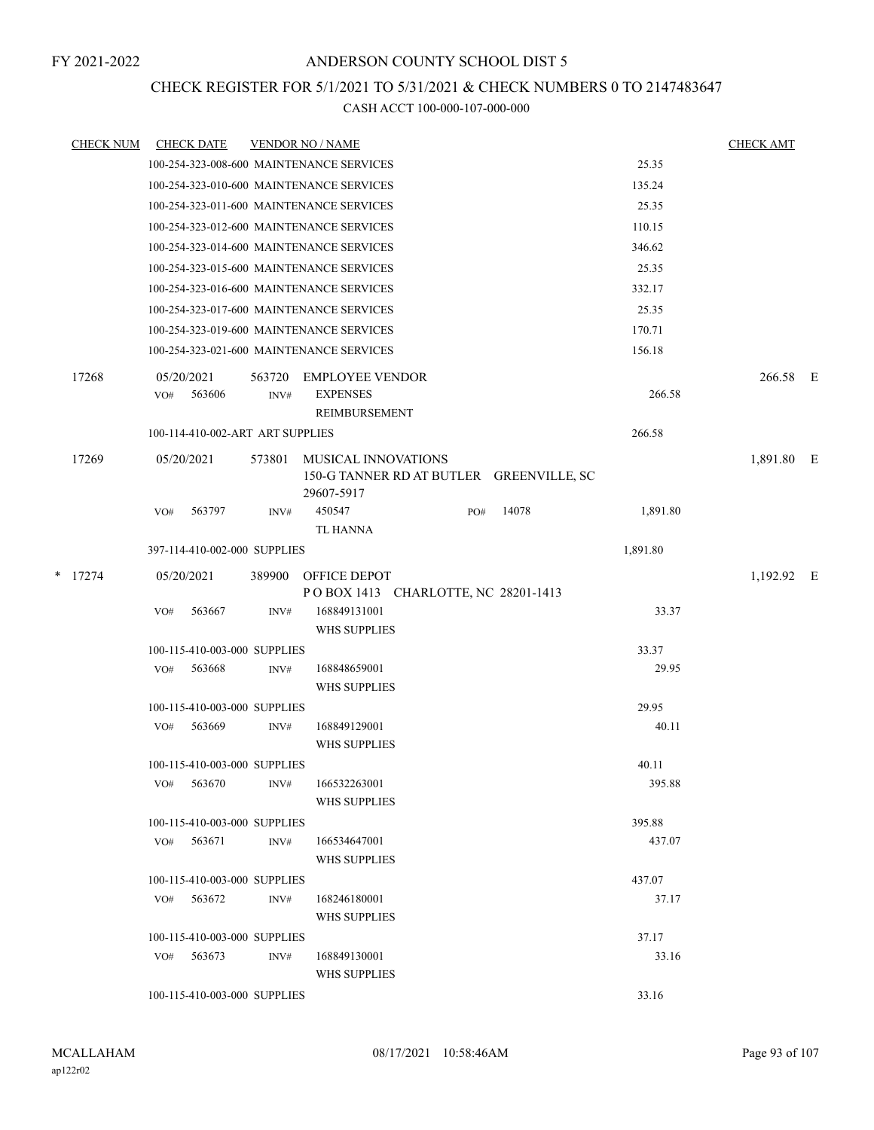# CHECK REGISTER FOR 5/1/2021 TO 5/31/2021 & CHECK NUMBERS 0 TO 2147483647

| <b>CHECK NUM</b> |                   | <b>CHECK DATE</b>                |                | <b>VENDOR NO / NAME</b>                                                              |     |       |          | <b>CHECK AMT</b> |  |
|------------------|-------------------|----------------------------------|----------------|--------------------------------------------------------------------------------------|-----|-------|----------|------------------|--|
|                  |                   |                                  |                | 100-254-323-008-600 MAINTENANCE SERVICES                                             |     |       | 25.35    |                  |  |
|                  |                   |                                  |                | 100-254-323-010-600 MAINTENANCE SERVICES                                             |     |       | 135.24   |                  |  |
|                  |                   |                                  |                | 100-254-323-011-600 MAINTENANCE SERVICES                                             |     |       | 25.35    |                  |  |
|                  |                   |                                  |                | 100-254-323-012-600 MAINTENANCE SERVICES                                             |     |       | 110.15   |                  |  |
|                  |                   |                                  |                | 100-254-323-014-600 MAINTENANCE SERVICES                                             |     |       | 346.62   |                  |  |
|                  |                   |                                  |                | 100-254-323-015-600 MAINTENANCE SERVICES                                             |     |       | 25.35    |                  |  |
|                  |                   |                                  |                | 100-254-323-016-600 MAINTENANCE SERVICES                                             |     |       | 332.17   |                  |  |
|                  |                   |                                  |                | 100-254-323-017-600 MAINTENANCE SERVICES                                             |     |       | 25.35    |                  |  |
|                  |                   |                                  |                | 100-254-323-019-600 MAINTENANCE SERVICES                                             |     |       | 170.71   |                  |  |
|                  |                   |                                  |                | 100-254-323-021-600 MAINTENANCE SERVICES                                             |     |       | 156.18   |                  |  |
| 17268            | 05/20/2021<br>VO# | 563606                           | 563720<br>INV# | <b>EMPLOYEE VENDOR</b><br><b>EXPENSES</b><br>REIMBURSEMENT                           |     |       | 266.58   | 266.58 E         |  |
|                  |                   | 100-114-410-002-ART ART SUPPLIES |                |                                                                                      |     |       | 266.58   |                  |  |
| 17269            | 05/20/2021        |                                  | 573801         | <b>MUSICAL INNOVATIONS</b><br>150-G TANNER RD AT BUTLER GREENVILLE, SC<br>29607-5917 |     |       |          | 1,891.80 E       |  |
|                  | VO#               | 563797                           | INV#           | 450547<br>TL HANNA                                                                   | PO# | 14078 | 1,891.80 |                  |  |
|                  |                   | 397-114-410-002-000 SUPPLIES     |                |                                                                                      |     |       | 1,891.80 |                  |  |
| $*$ 17274        | 05/20/2021        |                                  | 389900         | OFFICE DEPOT<br>POBOX 1413 CHARLOTTE, NC 28201-1413                                  |     |       |          | 1,192.92 E       |  |
|                  | VO#               | 563667                           | INV#           | 168849131001<br><b>WHS SUPPLIES</b>                                                  |     |       | 33.37    |                  |  |
|                  |                   | 100-115-410-003-000 SUPPLIES     |                |                                                                                      |     |       | 33.37    |                  |  |
|                  | VO#               | 563668                           | INV#           | 168848659001<br><b>WHS SUPPLIES</b>                                                  |     |       | 29.95    |                  |  |
|                  |                   | 100-115-410-003-000 SUPPLIES     |                |                                                                                      |     |       | 29.95    |                  |  |
|                  | VO#               | 563669                           | INV#           | 168849129001<br><b>WHS SUPPLIES</b>                                                  |     |       | 40.11    |                  |  |
|                  |                   | 100-115-410-003-000 SUPPLIES     |                |                                                                                      |     |       | 40.11    |                  |  |
|                  | VO#               | 563670                           | INV#           | 166532263001<br><b>WHS SUPPLIES</b>                                                  |     |       | 395.88   |                  |  |
|                  |                   | 100-115-410-003-000 SUPPLIES     |                |                                                                                      |     |       | 395.88   |                  |  |
|                  | VO#               | 563671                           | INV#           | 166534647001<br>WHS SUPPLIES                                                         |     |       | 437.07   |                  |  |
|                  |                   | 100-115-410-003-000 SUPPLIES     |                |                                                                                      |     |       | 437.07   |                  |  |
|                  | VO#               | 563672                           | INV#           | 168246180001<br>WHS SUPPLIES                                                         |     |       | 37.17    |                  |  |
|                  |                   | 100-115-410-003-000 SUPPLIES     |                |                                                                                      |     |       | 37.17    |                  |  |
|                  |                   | $VO#$ 563673                     | INV#           | 168849130001<br>WHS SUPPLIES                                                         |     |       | 33.16    |                  |  |
|                  |                   | 100-115-410-003-000 SUPPLIES     |                |                                                                                      |     |       | 33.16    |                  |  |
|                  |                   |                                  |                |                                                                                      |     |       |          |                  |  |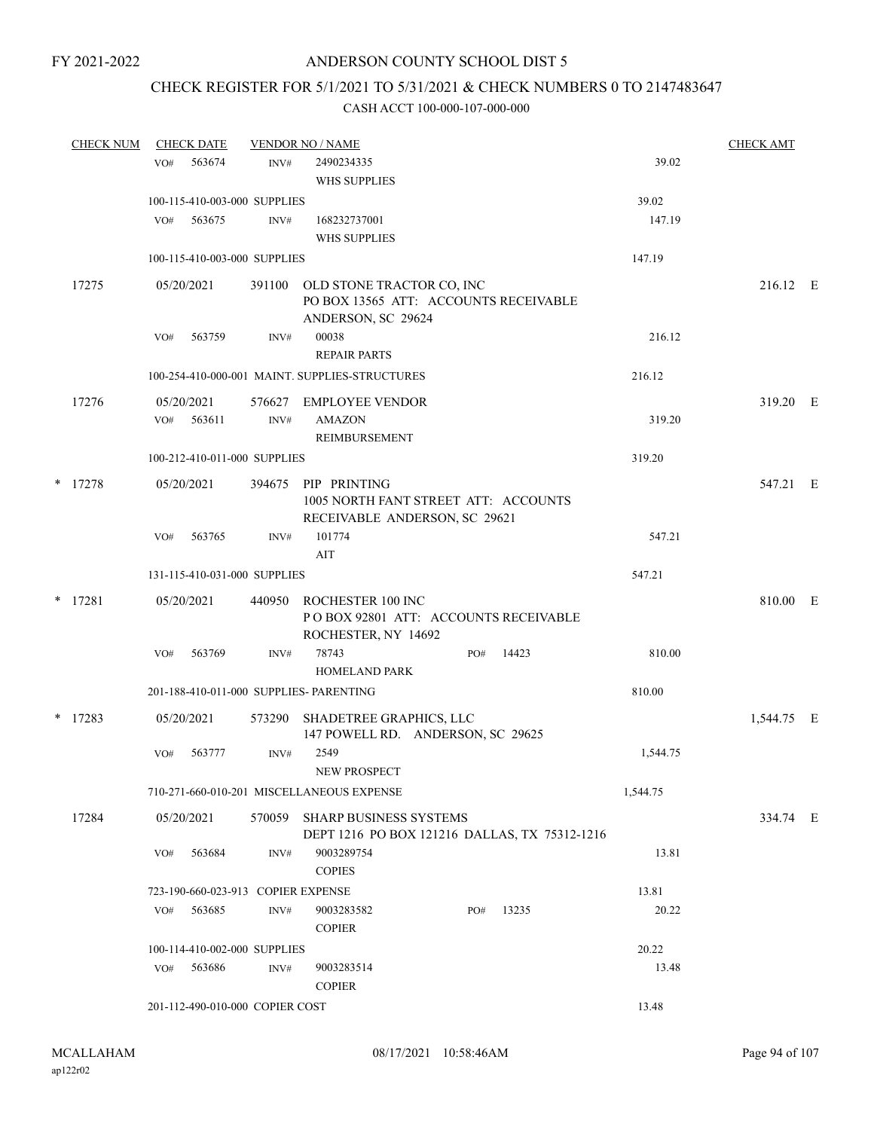# CHECK REGISTER FOR 5/1/2021 TO 5/31/2021 & CHECK NUMBERS 0 TO 2147483647

| <b>CHECK NUM</b> |     | <b>CHECK DATE</b> |                                    | <b>VENDOR NO / NAME</b>                                                                  |     |       |          | <b>CHECK AMT</b> |  |
|------------------|-----|-------------------|------------------------------------|------------------------------------------------------------------------------------------|-----|-------|----------|------------------|--|
|                  | VO# | 563674            | INV#                               | 2490234335                                                                               |     |       | 39.02    |                  |  |
|                  |     |                   |                                    | WHS SUPPLIES                                                                             |     |       |          |                  |  |
|                  |     |                   | 100-115-410-003-000 SUPPLIES       |                                                                                          |     |       | 39.02    |                  |  |
|                  | VO# | 563675            | INV#                               | 168232737001                                                                             |     |       | 147.19   |                  |  |
|                  |     |                   |                                    | <b>WHS SUPPLIES</b>                                                                      |     |       |          |                  |  |
|                  |     |                   | 100-115-410-003-000 SUPPLIES       |                                                                                          |     |       | 147.19   |                  |  |
| 17275            |     | 05/20/2021        | 391100                             | OLD STONE TRACTOR CO, INC<br>PO BOX 13565 ATT: ACCOUNTS RECEIVABLE<br>ANDERSON, SC 29624 |     |       |          | 216.12 E         |  |
|                  | VO# | 563759            | INV#                               | 00038                                                                                    |     |       | 216.12   |                  |  |
|                  |     |                   |                                    | <b>REPAIR PARTS</b>                                                                      |     |       |          |                  |  |
|                  |     |                   |                                    | 100-254-410-000-001 MAINT. SUPPLIES-STRUCTURES                                           |     |       | 216.12   |                  |  |
| 17276            |     | 05/20/2021        |                                    | 576627 EMPLOYEE VENDOR                                                                   |     |       |          | 319.20 E         |  |
|                  |     | VO# 563611        | INV#                               | <b>AMAZON</b>                                                                            |     |       | 319.20   |                  |  |
|                  |     |                   |                                    | REIMBURSEMENT                                                                            |     |       |          |                  |  |
|                  |     |                   | 100-212-410-011-000 SUPPLIES       |                                                                                          |     |       | 319.20   |                  |  |
| * 17278          |     | 05/20/2021        | 394675                             | PIP PRINTING                                                                             |     |       |          | 547.21 E         |  |
|                  |     |                   |                                    | 1005 NORTH FANT STREET ATT: ACCOUNTS<br>RECEIVABLE ANDERSON, SC 29621                    |     |       |          |                  |  |
|                  | VO# | 563765            | INV#                               | 101774                                                                                   |     |       | 547.21   |                  |  |
|                  |     |                   |                                    | AIT                                                                                      |     |       |          |                  |  |
|                  |     |                   | 131-115-410-031-000 SUPPLIES       |                                                                                          |     |       | 547.21   |                  |  |
| $*$ 17281        |     | 05/20/2021        | 440950                             | ROCHESTER 100 INC<br>POBOX 92801 ATT: ACCOUNTS RECEIVABLE<br>ROCHESTER, NY 14692         |     |       |          | 810.00 E         |  |
|                  | VO# | 563769            | INV#                               | 78743<br><b>HOMELAND PARK</b>                                                            | PO# | 14423 | 810.00   |                  |  |
|                  |     |                   |                                    | 201-188-410-011-000 SUPPLIES- PARENTING                                                  |     |       | 810.00   |                  |  |
| $*$ 17283        |     | 05/20/2021        | 573290                             | SHADETREE GRAPHICS, LLC<br>147 POWELL RD. ANDERSON, SC 29625                             |     |       |          | 1,544.75 E       |  |
|                  | VO# | 563777            | INV#                               | 2549<br><b>NEW PROSPECT</b>                                                              |     |       | 1,544.75 |                  |  |
|                  |     |                   |                                    | 710-271-660-010-201 MISCELLANEOUS EXPENSE                                                |     |       | 1,544.75 |                  |  |
| 17284            |     | 05/20/2021        |                                    | 570059 SHARP BUSINESS SYSTEMS<br>DEPT 1216 PO BOX 121216 DALLAS, TX 75312-1216           |     |       |          | 334.74 E         |  |
|                  | VO# | 563684            | INV#                               | 9003289754<br><b>COPIES</b>                                                              |     |       | 13.81    |                  |  |
|                  |     |                   | 723-190-660-023-913 COPIER EXPENSE |                                                                                          |     |       | 13.81    |                  |  |
|                  | VO# | 563685            | $\text{INV}\#$                     | 9003283582<br><b>COPIER</b>                                                              | PO# | 13235 | 20.22    |                  |  |
|                  |     |                   | 100-114-410-002-000 SUPPLIES       |                                                                                          |     |       | 20.22    |                  |  |
|                  | VO# | 563686            | INV#                               | 9003283514<br><b>COPIER</b>                                                              |     |       | 13.48    |                  |  |
|                  |     |                   | 201-112-490-010-000 COPIER COST    |                                                                                          |     |       | 13.48    |                  |  |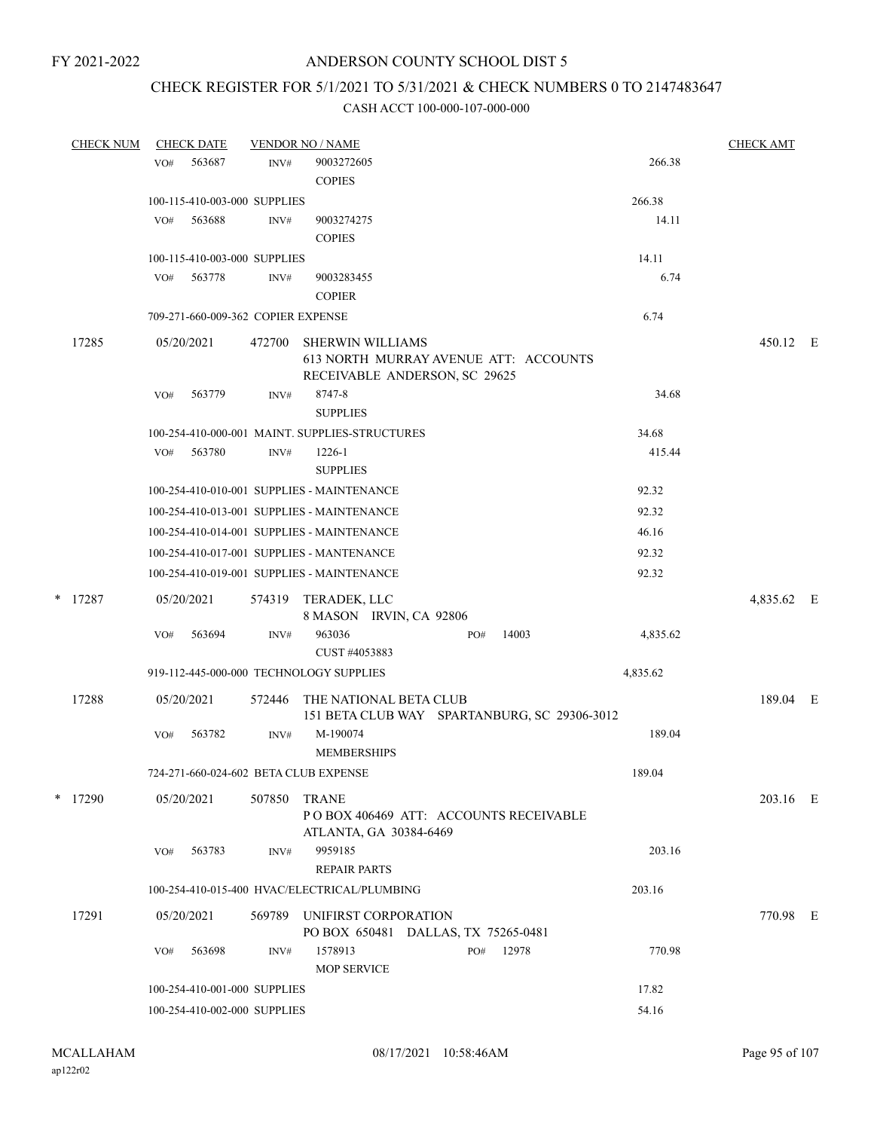# CHECK REGISTER FOR 5/1/2021 TO 5/31/2021 & CHECK NUMBERS 0 TO 2147483647

|   | <b>CHECK NUM</b> |     | <b>CHECK DATE</b>                  |        | <b>VENDOR NO / NAME</b>                        |          | <b>CHECK AMT</b> |  |
|---|------------------|-----|------------------------------------|--------|------------------------------------------------|----------|------------------|--|
|   |                  | VO# | 563687                             | INV#   | 9003272605                                     | 266.38   |                  |  |
|   |                  |     |                                    |        | <b>COPIES</b>                                  |          |                  |  |
|   |                  |     | 100-115-410-003-000 SUPPLIES       |        |                                                | 266.38   |                  |  |
|   |                  | VO# | 563688                             | INV#   | 9003274275                                     | 14.11    |                  |  |
|   |                  |     |                                    |        | <b>COPIES</b>                                  |          |                  |  |
|   |                  |     | 100-115-410-003-000 SUPPLIES       |        |                                                | 14.11    |                  |  |
|   |                  | VO# | 563778                             | INV#   | 9003283455                                     | 6.74     |                  |  |
|   |                  |     |                                    |        | <b>COPIER</b>                                  |          |                  |  |
|   |                  |     | 709-271-660-009-362 COPIER EXPENSE |        |                                                | 6.74     |                  |  |
|   | 17285            |     | 05/20/2021                         | 472700 | <b>SHERWIN WILLIAMS</b>                        |          | 450.12 E         |  |
|   |                  |     |                                    |        | 613 NORTH MURRAY AVENUE ATT: ACCOUNTS          |          |                  |  |
|   |                  |     |                                    |        | RECEIVABLE ANDERSON, SC 29625                  |          |                  |  |
|   |                  | VO# | 563779                             | INV#   | 8747-8                                         | 34.68    |                  |  |
|   |                  |     |                                    |        | <b>SUPPLIES</b>                                |          |                  |  |
|   |                  |     |                                    |        | 100-254-410-000-001 MAINT. SUPPLIES-STRUCTURES | 34.68    |                  |  |
|   |                  | VO# | 563780                             | INV#   | 1226-1                                         | 415.44   |                  |  |
|   |                  |     |                                    |        | <b>SUPPLIES</b>                                |          |                  |  |
|   |                  |     |                                    |        | 100-254-410-010-001 SUPPLIES - MAINTENANCE     | 92.32    |                  |  |
|   |                  |     |                                    |        | 100-254-410-013-001 SUPPLIES - MAINTENANCE     | 92.32    |                  |  |
|   |                  |     |                                    |        | 100-254-410-014-001 SUPPLIES - MAINTENANCE     | 46.16    |                  |  |
|   |                  |     |                                    |        | 100-254-410-017-001 SUPPLIES - MANTENANCE      | 92.32    |                  |  |
|   |                  |     |                                    |        | 100-254-410-019-001 SUPPLIES - MAINTENANCE     | 92.32    |                  |  |
| * | 17287            |     | 05/20/2021                         | 574319 | TERADEK, LLC<br>8 MASON IRVIN, CA 92806        |          | 4,835.62 E       |  |
|   |                  | VO# | 563694                             | INV#   | 963036<br>14003<br>PO#                         | 4,835.62 |                  |  |
|   |                  |     |                                    |        | CUST #4053883                                  |          |                  |  |
|   |                  |     |                                    |        | 919-112-445-000-000 TECHNOLOGY SUPPLIES        | 4,835.62 |                  |  |
|   | 17288            |     | 05/20/2021                         | 572446 | THE NATIONAL BETA CLUB                         |          | 189.04 E         |  |
|   |                  |     |                                    |        | 151 BETA CLUB WAY SPARTANBURG, SC 29306-3012   |          |                  |  |
|   |                  | VO# | 563782                             | INV#   | M-190074                                       | 189.04   |                  |  |
|   |                  |     |                                    |        | <b>MEMBERSHIPS</b>                             |          |                  |  |
|   |                  |     |                                    |        | 724-271-660-024-602 BETA CLUB EXPENSE          | 189.04   |                  |  |
|   | $*$ 17290        |     | 05/20/2021                         | 507850 | <b>TRANE</b>                                   |          | 203.16 E         |  |
|   |                  |     |                                    |        | POBOX 406469 ATT: ACCOUNTS RECEIVABLE          |          |                  |  |
|   |                  |     |                                    |        | ATLANTA, GA 30384-6469                         |          |                  |  |
|   |                  | VO# | 563783                             | INV#   | 9959185                                        | 203.16   |                  |  |
|   |                  |     |                                    |        | <b>REPAIR PARTS</b>                            |          |                  |  |
|   |                  |     |                                    |        | 100-254-410-015-400 HVAC/ELECTRICAL/PLUMBING   | 203.16   |                  |  |
|   | 17291            |     | 05/20/2021                         | 569789 | UNIFIRST CORPORATION                           |          | 770.98 E         |  |
|   |                  |     |                                    |        | PO BOX 650481 DALLAS, TX 75265-0481            |          |                  |  |
|   |                  | VO# | 563698                             | INV#   | 1578913<br>12978<br>PO#<br><b>MOP SERVICE</b>  | 770.98   |                  |  |
|   |                  |     | 100-254-410-001-000 SUPPLIES       |        |                                                | 17.82    |                  |  |
|   |                  |     | 100-254-410-002-000 SUPPLIES       |        |                                                | 54.16    |                  |  |
|   |                  |     |                                    |        |                                                |          |                  |  |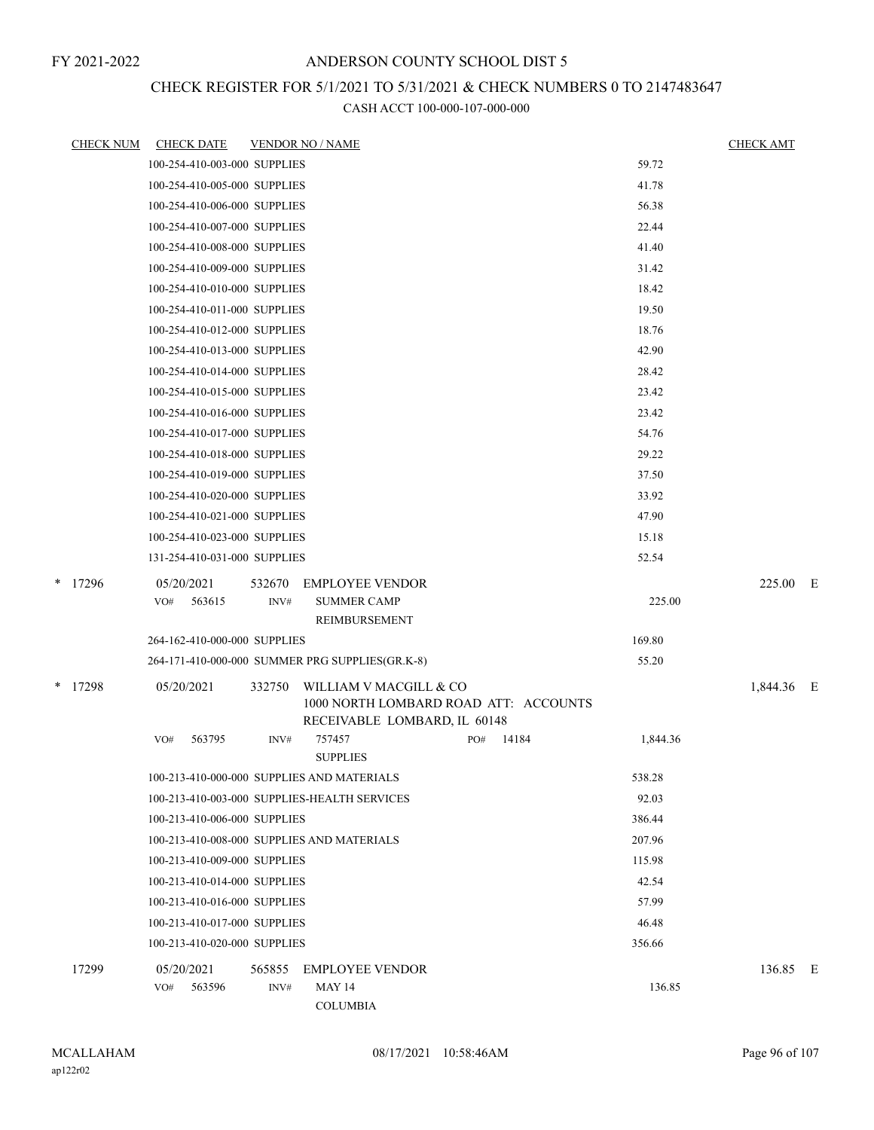# CHECK REGISTER FOR 5/1/2021 TO 5/31/2021 & CHECK NUMBERS 0 TO 2147483647

| <b>CHECK NUM</b> | <b>CHECK DATE</b>                          |        | <b>VENDOR NO / NAME</b>                                         |     |       |          | <b>CHECK AMT</b> |  |
|------------------|--------------------------------------------|--------|-----------------------------------------------------------------|-----|-------|----------|------------------|--|
|                  | 100-254-410-003-000 SUPPLIES               |        |                                                                 |     |       | 59.72    |                  |  |
|                  | 100-254-410-005-000 SUPPLIES               |        |                                                                 |     |       | 41.78    |                  |  |
|                  | 100-254-410-006-000 SUPPLIES               |        |                                                                 |     |       | 56.38    |                  |  |
|                  | 100-254-410-007-000 SUPPLIES               |        |                                                                 |     |       | 22.44    |                  |  |
|                  | 100-254-410-008-000 SUPPLIES               |        |                                                                 |     |       | 41.40    |                  |  |
|                  | 100-254-410-009-000 SUPPLIES               |        |                                                                 |     |       | 31.42    |                  |  |
|                  | 100-254-410-010-000 SUPPLIES               |        |                                                                 |     |       | 18.42    |                  |  |
|                  | 100-254-410-011-000 SUPPLIES               |        |                                                                 |     |       | 19.50    |                  |  |
|                  | 100-254-410-012-000 SUPPLIES               |        |                                                                 |     |       | 18.76    |                  |  |
|                  | 100-254-410-013-000 SUPPLIES               |        |                                                                 |     |       | 42.90    |                  |  |
|                  | 100-254-410-014-000 SUPPLIES               |        |                                                                 |     |       | 28.42    |                  |  |
|                  | 100-254-410-015-000 SUPPLIES               |        |                                                                 |     |       | 23.42    |                  |  |
|                  | 100-254-410-016-000 SUPPLIES               |        |                                                                 |     |       | 23.42    |                  |  |
|                  | 100-254-410-017-000 SUPPLIES               |        |                                                                 |     |       | 54.76    |                  |  |
|                  | 100-254-410-018-000 SUPPLIES               |        |                                                                 |     |       | 29.22    |                  |  |
|                  | 100-254-410-019-000 SUPPLIES               |        |                                                                 |     |       | 37.50    |                  |  |
|                  | 100-254-410-020-000 SUPPLIES               |        |                                                                 |     |       | 33.92    |                  |  |
|                  | 100-254-410-021-000 SUPPLIES               |        |                                                                 |     |       | 47.90    |                  |  |
|                  | 100-254-410-023-000 SUPPLIES               |        |                                                                 |     |       | 15.18    |                  |  |
|                  | 131-254-410-031-000 SUPPLIES               |        |                                                                 |     |       | 52.54    |                  |  |
| $*$ 17296        | 05/20/2021                                 | 532670 | <b>EMPLOYEE VENDOR</b>                                          |     |       |          | 225.00 E         |  |
|                  | 563615<br>VO#                              | INV#   | <b>SUMMER CAMP</b><br>REIMBURSEMENT                             |     |       | 225.00   |                  |  |
|                  | 264-162-410-000-000 SUPPLIES               |        |                                                                 |     |       | 169.80   |                  |  |
|                  |                                            |        | 264-171-410-000-000 SUMMER PRG SUPPLIES(GR.K-8)                 |     |       | 55.20    |                  |  |
|                  |                                            |        |                                                                 |     |       |          |                  |  |
| * 17298          | 05/20/2021                                 | 332750 | WILLIAM V MACGILL & CO<br>1000 NORTH LOMBARD ROAD ATT: ACCOUNTS |     |       |          | 1,844.36 E       |  |
|                  |                                            |        | RECEIVABLE LOMBARD, IL 60148                                    |     |       |          |                  |  |
|                  | 563795<br>VO#                              | INV#   | 757457<br><b>SUPPLIES</b>                                       | PO# | 14184 | 1,844.36 |                  |  |
|                  | 100-213-410-000-000 SUPPLIES AND MATERIALS |        |                                                                 |     |       | 538.28   |                  |  |
|                  |                                            |        | 100-213-410-003-000 SUPPLIES-HEALTH SERVICES                    |     |       | 92.03    |                  |  |
|                  | 100-213-410-006-000 SUPPLIES               |        |                                                                 |     |       | 386.44   |                  |  |
|                  | 100-213-410-008-000 SUPPLIES AND MATERIALS |        |                                                                 |     |       | 207.96   |                  |  |
|                  | 100-213-410-009-000 SUPPLIES               |        |                                                                 |     |       | 115.98   |                  |  |
|                  | 100-213-410-014-000 SUPPLIES               |        |                                                                 |     |       | 42.54    |                  |  |
|                  | 100-213-410-016-000 SUPPLIES               |        |                                                                 |     |       | 57.99    |                  |  |
|                  | 100-213-410-017-000 SUPPLIES               |        |                                                                 |     |       | 46.48    |                  |  |
|                  | 100-213-410-020-000 SUPPLIES               |        |                                                                 |     |       | 356.66   |                  |  |
| 17299            | 05/20/2021                                 | 565855 | <b>EMPLOYEE VENDOR</b>                                          |     |       |          | 136.85 E         |  |
|                  | 563596<br>VO#                              | INV#   | <b>MAY 14</b>                                                   |     |       | 136.85   |                  |  |
|                  |                                            |        | <b>COLUMBIA</b>                                                 |     |       |          |                  |  |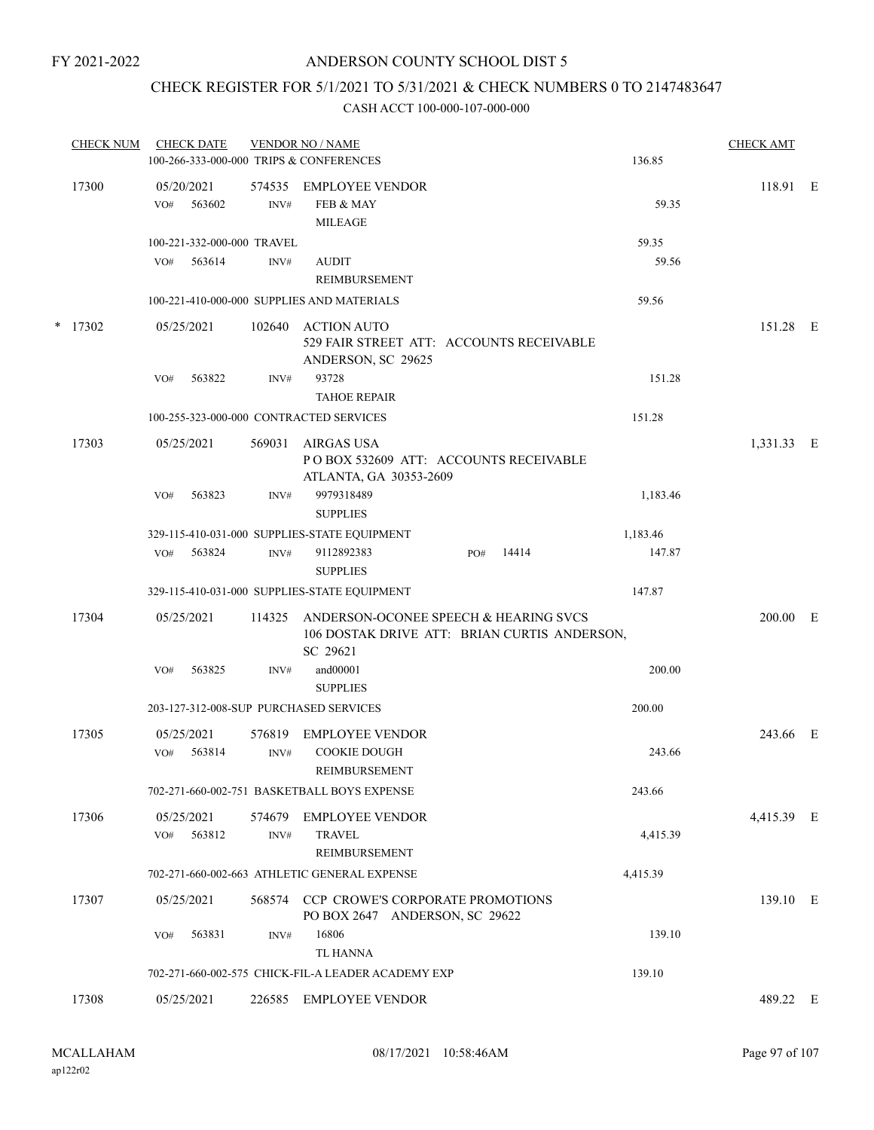# CHECK REGISTER FOR 5/1/2021 TO 5/31/2021 & CHECK NUMBERS 0 TO 2147483647

| <b>CHECK NUM</b> |     | <b>CHECK DATE</b>          |        | <b>VENDOR NO / NAME</b>                                                                           |     |       |          | <b>CHECK AMT</b> |   |
|------------------|-----|----------------------------|--------|---------------------------------------------------------------------------------------------------|-----|-------|----------|------------------|---|
|                  |     |                            |        | 100-266-333-000-000 TRIPS & CONFERENCES                                                           |     |       | 136.85   |                  |   |
| 17300            |     | 05/20/2021                 |        | 574535 EMPLOYEE VENDOR                                                                            |     |       |          | 118.91 E         |   |
|                  | VO# | 563602                     | INV#   | FEB & MAY<br><b>MILEAGE</b>                                                                       |     |       | 59.35    |                  |   |
|                  |     | 100-221-332-000-000 TRAVEL |        |                                                                                                   |     |       | 59.35    |                  |   |
|                  | VO# | 563614                     | INV#   | <b>AUDIT</b>                                                                                      |     |       | 59.56    |                  |   |
|                  |     |                            |        | REIMBURSEMENT                                                                                     |     |       |          |                  |   |
|                  |     |                            |        | 100-221-410-000-000 SUPPLIES AND MATERIALS                                                        |     |       | 59.56    |                  |   |
| $*$ 17302        |     | 05/25/2021                 | 102640 | <b>ACTION AUTO</b>                                                                                |     |       |          | 151.28 E         |   |
|                  |     |                            |        | 529 FAIR STREET ATT: ACCOUNTS RECEIVABLE                                                          |     |       |          |                  |   |
|                  |     |                            |        | ANDERSON, SC 29625<br>93728                                                                       |     |       | 151.28   |                  |   |
|                  | VO# | 563822                     | INV#   | <b>TAHOE REPAIR</b>                                                                               |     |       |          |                  |   |
|                  |     |                            |        | 100-255-323-000-000 CONTRACTED SERVICES                                                           |     |       | 151.28   |                  |   |
| 17303            |     | 05/25/2021                 | 569031 | AIRGAS USA                                                                                        |     |       |          | 1,331.33 E       |   |
|                  |     |                            |        | PO BOX 532609 ATT: ACCOUNTS RECEIVABLE<br>ATLANTA, GA 30353-2609                                  |     |       |          |                  |   |
|                  | VO# | 563823                     | INV#   | 9979318489                                                                                        |     |       | 1,183.46 |                  |   |
|                  |     |                            |        | <b>SUPPLIES</b>                                                                                   |     |       |          |                  |   |
|                  |     |                            |        | 329-115-410-031-000 SUPPLIES-STATE EQUIPMENT                                                      |     |       | 1,183.46 |                  |   |
|                  | VO# | 563824                     | INV#   | 9112892383<br><b>SUPPLIES</b>                                                                     | PO# | 14414 | 147.87   |                  |   |
|                  |     |                            |        | 329-115-410-031-000 SUPPLIES-STATE EQUIPMENT                                                      |     |       | 147.87   |                  |   |
| 17304            |     | 05/25/2021                 | 114325 | ANDERSON-OCONEE SPEECH & HEARING SVCS<br>106 DOSTAK DRIVE ATT: BRIAN CURTIS ANDERSON,<br>SC 29621 |     |       |          | 200.00           | E |
|                  | VO# | 563825                     | INV#   | and00001<br><b>SUPPLIES</b>                                                                       |     |       | 200.00   |                  |   |
|                  |     |                            |        | 203-127-312-008-SUP PURCHASED SERVICES                                                            |     |       | 200.00   |                  |   |
| 17305            |     | 05/25/2021                 | 576819 | <b>EMPLOYEE VENDOR</b>                                                                            |     |       |          | 243.66 E         |   |
|                  | VO# | 563814                     | INV#   | <b>COOKIE DOUGH</b><br><b>REIMBURSEMENT</b>                                                       |     |       | 243.66   |                  |   |
|                  |     |                            |        | 702-271-660-002-751 BASKETBALL BOYS EXPENSE                                                       |     |       | 243.66   |                  |   |
| 17306            |     | 05/25/2021                 | 574679 | <b>EMPLOYEE VENDOR</b>                                                                            |     |       |          | 4,415.39 E       |   |
|                  | VO# | 563812                     | INV#   | <b>TRAVEL</b><br>REIMBURSEMENT                                                                    |     |       | 4,415.39 |                  |   |
|                  |     |                            |        | 702-271-660-002-663 ATHLETIC GENERAL EXPENSE                                                      |     |       | 4,415.39 |                  |   |
| 17307            |     | 05/25/2021                 |        | 568574 CCP CROWE'S CORPORATE PROMOTIONS<br>PO BOX 2647 ANDERSON, SC 29622                         |     |       |          | 139.10 E         |   |
|                  | VO# | 563831                     | INV#   | 16806<br><b>TL HANNA</b>                                                                          |     |       | 139.10   |                  |   |
|                  |     |                            |        | 702-271-660-002-575 CHICK-FIL-A LEADER ACADEMY EXP                                                |     |       | 139.10   |                  |   |
| 17308            |     | 05/25/2021                 | 226585 | <b>EMPLOYEE VENDOR</b>                                                                            |     |       |          | 489.22 E         |   |
|                  |     |                            |        |                                                                                                   |     |       |          |                  |   |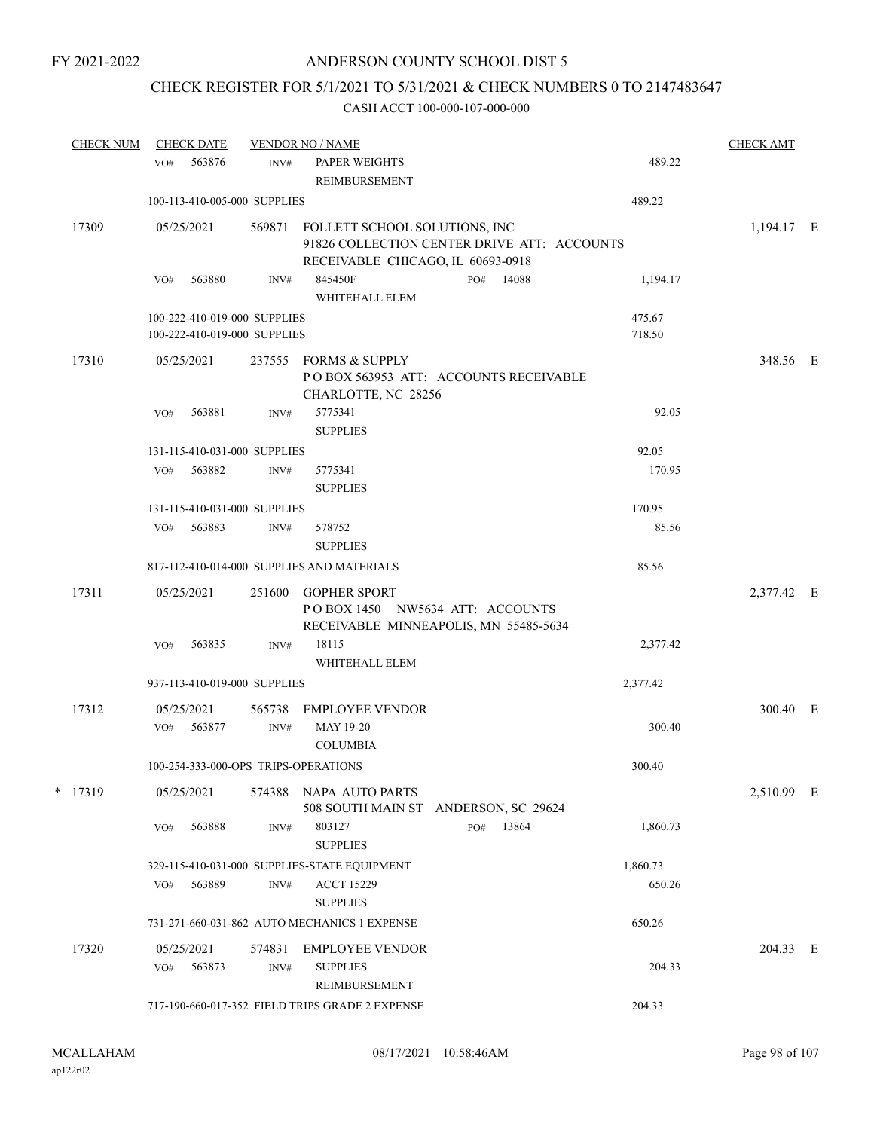# CHECK REGISTER FOR 5/1/2021 TO 5/31/2021 & CHECK NUMBERS 0 TO 2147483647

| <b>CHECK NUM</b> | <b>CHECK DATE</b>                                            |                | <b>VENDOR NO / NAME</b>                                            |                                             | <b>CHECK AMT</b> |            |  |
|------------------|--------------------------------------------------------------|----------------|--------------------------------------------------------------------|---------------------------------------------|------------------|------------|--|
|                  | 563876<br>VO#                                                | INV#           | <b>PAPER WEIGHTS</b><br>REIMBURSEMENT                              |                                             | 489.22           |            |  |
|                  | 100-113-410-005-000 SUPPLIES                                 |                |                                                                    |                                             | 489.22           |            |  |
| 17309            | 05/25/2021                                                   | 569871         | FOLLETT SCHOOL SOLUTIONS, INC<br>RECEIVABLE CHICAGO, IL 60693-0918 | 91826 COLLECTION CENTER DRIVE ATT: ACCOUNTS |                  | 1,194.17 E |  |
|                  | 563880<br>VO#                                                | INV#           | 845450F<br>WHITEHALL ELEM                                          | 14088<br>PO#                                | 1,194.17         |            |  |
|                  | 100-222-410-019-000 SUPPLIES<br>100-222-410-019-000 SUPPLIES |                |                                                                    |                                             | 475.67<br>718.50 |            |  |
| 17310            | 05/25/2021                                                   | 237555         | FORMS & SUPPLY<br>CHARLOTTE, NC 28256                              | POBOX 563953 ATT: ACCOUNTS RECEIVABLE       |                  | 348.56 E   |  |
|                  | VO#<br>563881                                                | INV#           | 5775341<br><b>SUPPLIES</b>                                         |                                             | 92.05            |            |  |
|                  | 131-115-410-031-000 SUPPLIES                                 |                |                                                                    |                                             | 92.05            |            |  |
|                  | 563882<br>VO#                                                | INV#           | 5775341<br><b>SUPPLIES</b>                                         |                                             | 170.95           |            |  |
|                  | 131-115-410-031-000 SUPPLIES                                 |                |                                                                    |                                             | 170.95           |            |  |
|                  | 563883<br>VO#                                                | INV#           | 578752<br><b>SUPPLIES</b>                                          |                                             | 85.56            |            |  |
|                  |                                                              |                | 817-112-410-014-000 SUPPLIES AND MATERIALS                         |                                             | 85.56            |            |  |
| 17311            | 05/25/2021                                                   | 251600         | <b>GOPHER SPORT</b><br>POBOX 1450 NW5634 ATT: ACCOUNTS             | RECEIVABLE MINNEAPOLIS, MN 55485-5634       |                  | 2,377.42 E |  |
|                  | 563835<br>VO#                                                | INV#           | 18115<br>WHITEHALL ELEM                                            |                                             | 2,377.42         |            |  |
|                  | 937-113-410-019-000 SUPPLIES                                 |                |                                                                    |                                             | 2,377.42         |            |  |
| 17312            | 05/25/2021                                                   | 565738         | <b>EMPLOYEE VENDOR</b>                                             |                                             |                  | 300.40 E   |  |
|                  | 563877<br>VO#                                                | INV#           | MAY 19-20<br><b>COLUMBIA</b>                                       |                                             | 300.40           |            |  |
|                  | 100-254-333-000-OPS TRIPS-OPERATIONS                         |                |                                                                    |                                             | 300.40           |            |  |
| * 17319          | 05/25/2021                                                   | 574388         | NAPA AUTO PARTS                                                    | 508 SOUTH MAIN ST ANDERSON, SC 29624        |                  | 2,510.99 E |  |
|                  | 563888<br>VO#                                                | INV#           | 803127<br><b>SUPPLIES</b>                                          | PO#<br>13864                                | 1,860.73         |            |  |
|                  |                                                              |                | 329-115-410-031-000 SUPPLIES-STATE EQUIPMENT                       |                                             | 1,860.73         |            |  |
|                  | 563889<br>VO#                                                | INV#           | <b>ACCT 15229</b><br><b>SUPPLIES</b>                               |                                             | 650.26           |            |  |
|                  |                                                              |                | 731-271-660-031-862 AUTO MECHANICS 1 EXPENSE                       |                                             | 650.26           |            |  |
| 17320            | 05/25/2021<br>563873<br>VO#                                  | 574831<br>INV# | <b>EMPLOYEE VENDOR</b><br><b>SUPPLIES</b>                          |                                             | 204.33           | 204.33 E   |  |
|                  |                                                              |                | REIMBURSEMENT<br>717-190-660-017-352 FIELD TRIPS GRADE 2 EXPENSE   |                                             | 204.33           |            |  |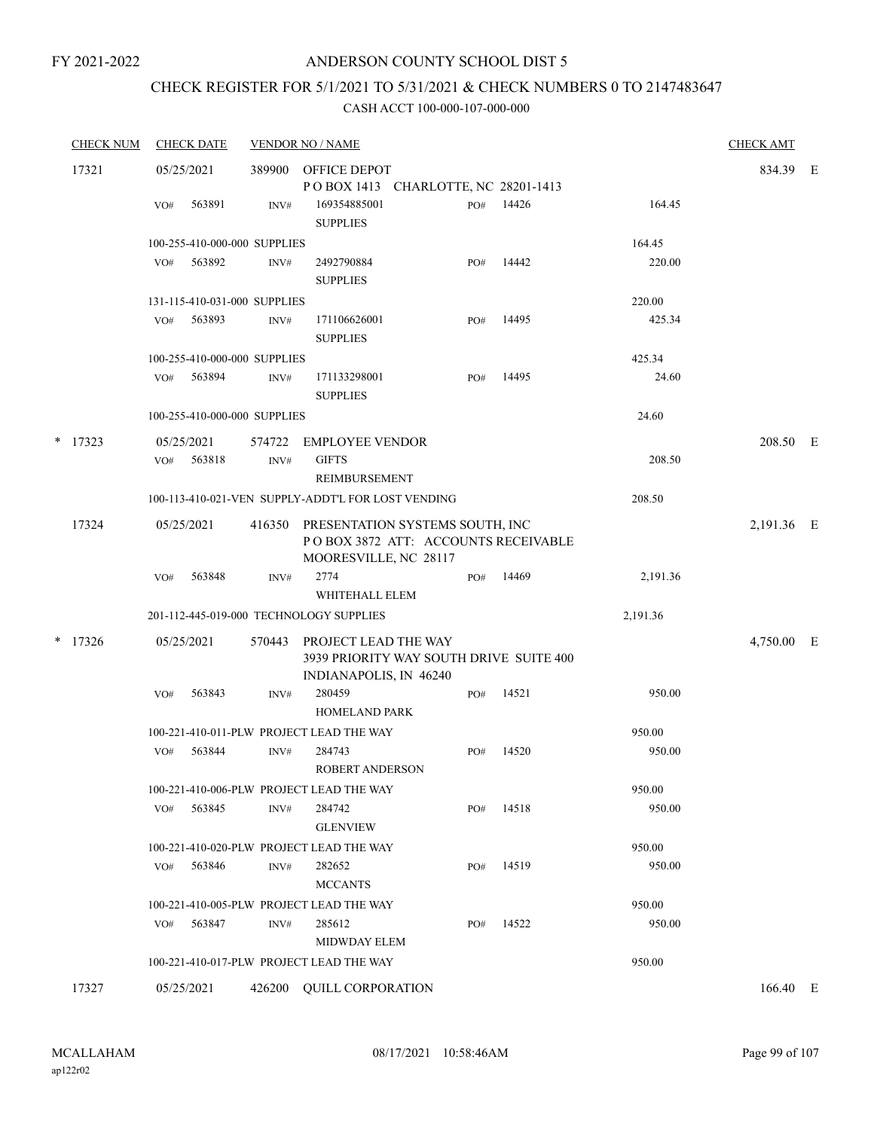# CHECK REGISTER FOR 5/1/2021 TO 5/31/2021 & CHECK NUMBERS 0 TO 2147483647

| <b>CHECK NUM</b> |     | <b>CHECK DATE</b>    |                              | <b>VENDOR NO / NAME</b>                                                                                |     |            |          | <b>CHECK AMT</b> |  |
|------------------|-----|----------------------|------------------------------|--------------------------------------------------------------------------------------------------------|-----|------------|----------|------------------|--|
| 17321            |     | 05/25/2021           | 389900                       | OFFICE DEPOT                                                                                           |     |            |          | 834.39 E         |  |
|                  |     |                      |                              | POBOX 1413 CHARLOTTE, NC 28201-1413                                                                    |     |            |          |                  |  |
|                  | VO# | 563891               | INV#                         | 169354885001<br><b>SUPPLIES</b>                                                                        | PO# | 14426      | 164.45   |                  |  |
|                  |     |                      | 100-255-410-000-000 SUPPLIES |                                                                                                        |     |            | 164.45   |                  |  |
|                  |     | VO# 563892           | INV#                         | 2492790884<br><b>SUPPLIES</b>                                                                          | PO# | 14442      | 220.00   |                  |  |
|                  |     |                      | 131-115-410-031-000 SUPPLIES |                                                                                                        |     |            | 220.00   |                  |  |
|                  | VO# | 563893               | INV#                         | 171106626001<br><b>SUPPLIES</b>                                                                        | PO# | 14495      | 425.34   |                  |  |
|                  |     |                      | 100-255-410-000-000 SUPPLIES |                                                                                                        |     |            | 425.34   |                  |  |
|                  | VO# | 563894               | INV#                         | 171133298001<br><b>SUPPLIES</b>                                                                        | PO# | 14495      | 24.60    |                  |  |
|                  |     |                      | 100-255-410-000-000 SUPPLIES |                                                                                                        |     |            | 24.60    |                  |  |
| $*$ 17323        | VO# | 05/25/2021<br>563818 | INV#                         | 574722 EMPLOYEE VENDOR<br><b>GIFTS</b><br><b>REIMBURSEMENT</b>                                         |     |            | 208.50   | 208.50 E         |  |
|                  |     |                      |                              | 100-113-410-021-VEN SUPPLY-ADDT'L FOR LOST VENDING                                                     |     |            | 208.50   |                  |  |
| 17324            |     | 05/25/2021           |                              | 416350 PRESENTATION SYSTEMS SOUTH, INC<br>POBOX 3872 ATT: ACCOUNTS RECEIVABLE<br>MOORESVILLE, NC 28117 |     | 2,191.36 E |          |                  |  |
|                  | VO# | 563848               | INV#                         | 2774<br>WHITEHALL ELEM                                                                                 | PO# | 14469      | 2,191.36 |                  |  |
|                  |     |                      |                              | 201-112-445-019-000 TECHNOLOGY SUPPLIES                                                                |     |            | 2,191.36 |                  |  |
| $*$ 17326        |     | 05/25/2021           |                              | 570443 PROJECT LEAD THE WAY<br>3939 PRIORITY WAY SOUTH DRIVE SUITE 400<br>INDIANAPOLIS, IN 46240       |     |            |          | 4,750.00 E       |  |
|                  | VO# | 563843               | INV#                         | 280459<br><b>HOMELAND PARK</b>                                                                         | PO# | 14521      | 950.00   |                  |  |
|                  |     |                      |                              | 100-221-410-011-PLW PROJECT LEAD THE WAY                                                               |     |            | 950.00   |                  |  |
|                  | VO# | 563844               | INV#                         | 284743<br>ROBERT ANDERSON                                                                              | PO# | 14520      | 950.00   |                  |  |
|                  |     |                      |                              | 100-221-410-006-PLW PROJECT LEAD THE WAY                                                               |     |            | 950.00   |                  |  |
|                  | VO# | 563845               | INV#                         | 284742<br><b>GLENVIEW</b>                                                                              | PO# | 14518      | 950.00   |                  |  |
|                  |     |                      |                              | 100-221-410-020-PLW PROJECT LEAD THE WAY                                                               |     |            | 950.00   |                  |  |
|                  | VO# | 563846               | INV#                         | 282652<br><b>MCCANTS</b>                                                                               | PO# | 14519      | 950.00   |                  |  |
|                  |     |                      |                              | 100-221-410-005-PLW PROJECT LEAD THE WAY                                                               |     |            | 950.00   |                  |  |
|                  | VO# | 563847               | INV#                         | 285612<br>MIDWDAY ELEM                                                                                 | PO# | 14522      | 950.00   |                  |  |
|                  |     |                      |                              | 100-221-410-017-PLW PROJECT LEAD THE WAY                                                               |     |            | 950.00   |                  |  |
| 17327            |     | 05/25/2021           |                              | 426200 QUILL CORPORATION                                                                               |     |            |          | 166.40 E         |  |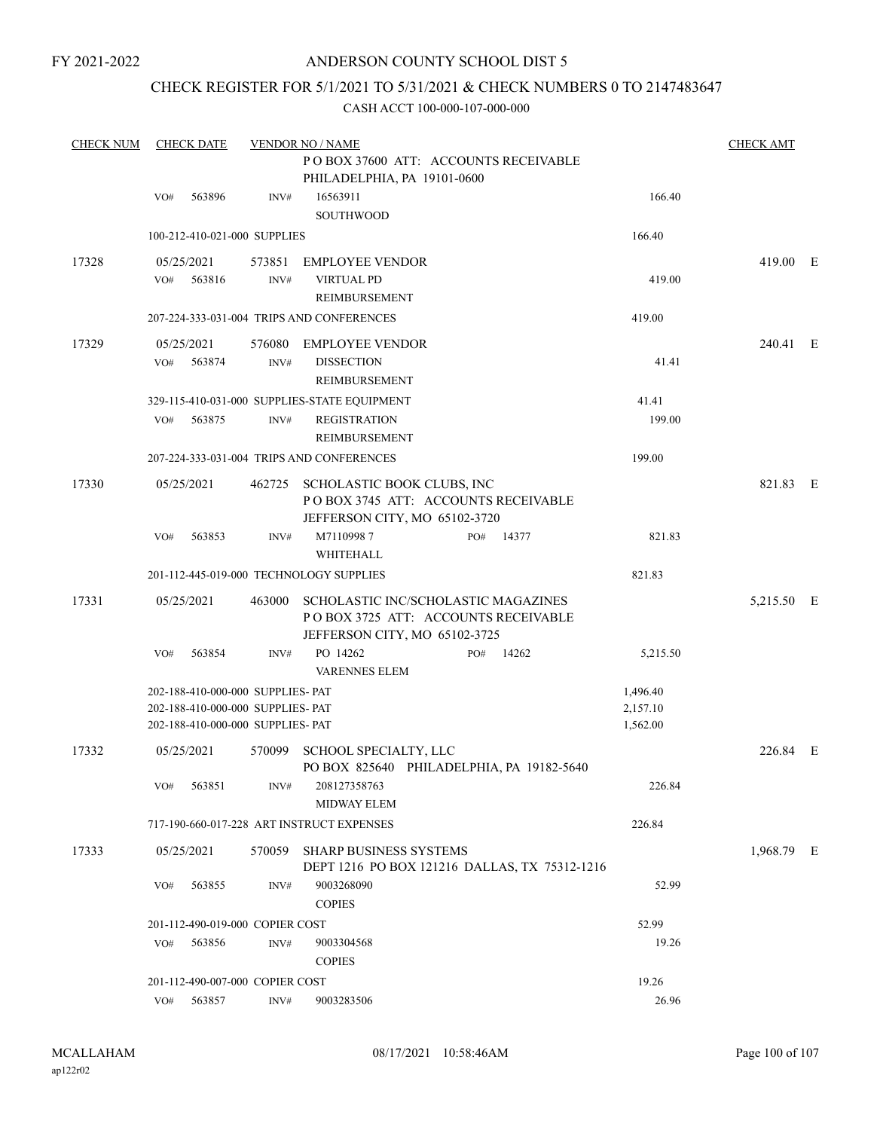# ANDERSON COUNTY SCHOOL DIST 5

# CHECK REGISTER FOR 5/1/2021 TO 5/31/2021 & CHECK NUMBERS 0 TO 2147483647

| <b>CHECK NUM</b> |     | <b>CHECK DATE</b>                 |        | <b>VENDOR NO / NAME</b>                                                   |     |       |          | <b>CHECK AMT</b> |  |
|------------------|-----|-----------------------------------|--------|---------------------------------------------------------------------------|-----|-------|----------|------------------|--|
|                  |     |                                   |        | PO BOX 37600 ATT: ACCOUNTS RECEIVABLE                                     |     |       |          |                  |  |
|                  |     |                                   |        | PHILADELPHIA, PA 19101-0600                                               |     |       |          |                  |  |
|                  | VO# | 563896                            | INV#   | 16563911                                                                  |     |       | 166.40   |                  |  |
|                  |     |                                   |        | SOUTHWOOD                                                                 |     |       |          |                  |  |
|                  |     | 100-212-410-021-000 SUPPLIES      |        |                                                                           |     |       | 166.40   |                  |  |
| 17328            |     | 05/25/2021                        | 573851 | <b>EMPLOYEE VENDOR</b>                                                    |     |       |          | 419.00 E         |  |
|                  | VO# | 563816                            | INV#   | <b>VIRTUAL PD</b>                                                         |     |       | 419.00   |                  |  |
|                  |     |                                   |        | REIMBURSEMENT                                                             |     |       |          |                  |  |
|                  |     |                                   |        | 207-224-333-031-004 TRIPS AND CONFERENCES                                 |     |       | 419.00   |                  |  |
| 17329            |     | 05/25/2021                        |        | 576080 EMPLOYEE VENDOR                                                    |     |       |          | 240.41 E         |  |
|                  | VO# | 563874                            | INV#   | <b>DISSECTION</b>                                                         |     |       | 41.41    |                  |  |
|                  |     |                                   |        | REIMBURSEMENT                                                             |     |       |          |                  |  |
|                  |     |                                   |        | 329-115-410-031-000 SUPPLIES-STATE EQUIPMENT                              |     |       | 41.41    |                  |  |
|                  | VO# | 563875                            | INV#   | <b>REGISTRATION</b>                                                       |     |       | 199.00   |                  |  |
|                  |     |                                   |        | <b>REIMBURSEMENT</b>                                                      |     |       |          |                  |  |
|                  |     |                                   |        | 207-224-333-031-004 TRIPS AND CONFERENCES                                 |     |       | 199.00   |                  |  |
| 17330            |     | 05/25/2021                        |        | 462725 SCHOLASTIC BOOK CLUBS, INC                                         |     |       |          | 821.83 E         |  |
|                  |     |                                   |        | PO BOX 3745 ATT: ACCOUNTS RECEIVABLE                                      |     |       |          |                  |  |
|                  |     |                                   |        | JEFFERSON CITY, MO 65102-3720                                             |     |       |          |                  |  |
|                  | VO# | 563853                            | INV#   | M71109987                                                                 | PO# | 14377 | 821.83   |                  |  |
|                  |     |                                   |        | WHITEHALL                                                                 |     |       |          |                  |  |
|                  |     |                                   |        | 201-112-445-019-000 TECHNOLOGY SUPPLIES                                   |     |       | 821.83   |                  |  |
| 17331            |     | 05/25/2021                        |        | 463000 SCHOLASTIC INC/SCHOLASTIC MAGAZINES                                |     |       |          | 5,215.50 E       |  |
|                  |     |                                   |        | POBOX 3725 ATT: ACCOUNTS RECEIVABLE                                       |     |       |          |                  |  |
|                  |     |                                   |        | JEFFERSON CITY, MO 65102-3725                                             |     |       |          |                  |  |
|                  | VO# | 563854                            | INV#   | PO 14262<br><b>VARENNES ELEM</b>                                          | PO# | 14262 | 5,215.50 |                  |  |
|                  |     | 202-188-410-000-000 SUPPLIES- PAT |        |                                                                           |     |       | 1,496.40 |                  |  |
|                  |     | 202-188-410-000-000 SUPPLIES- PAT |        |                                                                           |     |       | 2,157.10 |                  |  |
|                  |     | 202-188-410-000-000 SUPPLIES- PAT |        |                                                                           |     |       | 1,562.00 |                  |  |
| 17332            |     | 05/25/2021                        | 570099 | <b>SCHOOL SPECIALTY, LLC</b><br>PO BOX 825640 PHILADELPHIA, PA 19182-5640 |     |       |          | 226.84 E         |  |
|                  | VO# | 563851                            | INV#   | 208127358763<br>MIDWAY ELEM                                               |     |       | 226.84   |                  |  |
|                  |     |                                   |        | 717-190-660-017-228 ART INSTRUCT EXPENSES                                 |     |       | 226.84   |                  |  |
| 17333            |     | 05/25/2021                        | 570059 | <b>SHARP BUSINESS SYSTEMS</b>                                             |     |       |          | 1,968.79 E       |  |
|                  |     |                                   |        | DEPT 1216 PO BOX 121216 DALLAS, TX 75312-1216                             |     |       |          |                  |  |
|                  | VO# | 563855                            | INV#   | 9003268090                                                                |     |       | 52.99    |                  |  |
|                  |     |                                   |        | <b>COPIES</b>                                                             |     |       |          |                  |  |
|                  |     | 201-112-490-019-000 COPIER COST   |        |                                                                           |     |       | 52.99    |                  |  |
|                  | VO# | 563856                            | INV#   | 9003304568                                                                |     |       | 19.26    |                  |  |
|                  |     |                                   |        | <b>COPIES</b>                                                             |     |       |          |                  |  |
|                  |     | 201-112-490-007-000 COPIER COST   |        |                                                                           |     |       | 19.26    |                  |  |
|                  |     | VO# 563857                        | INV#   | 9003283506                                                                |     |       | 26.96    |                  |  |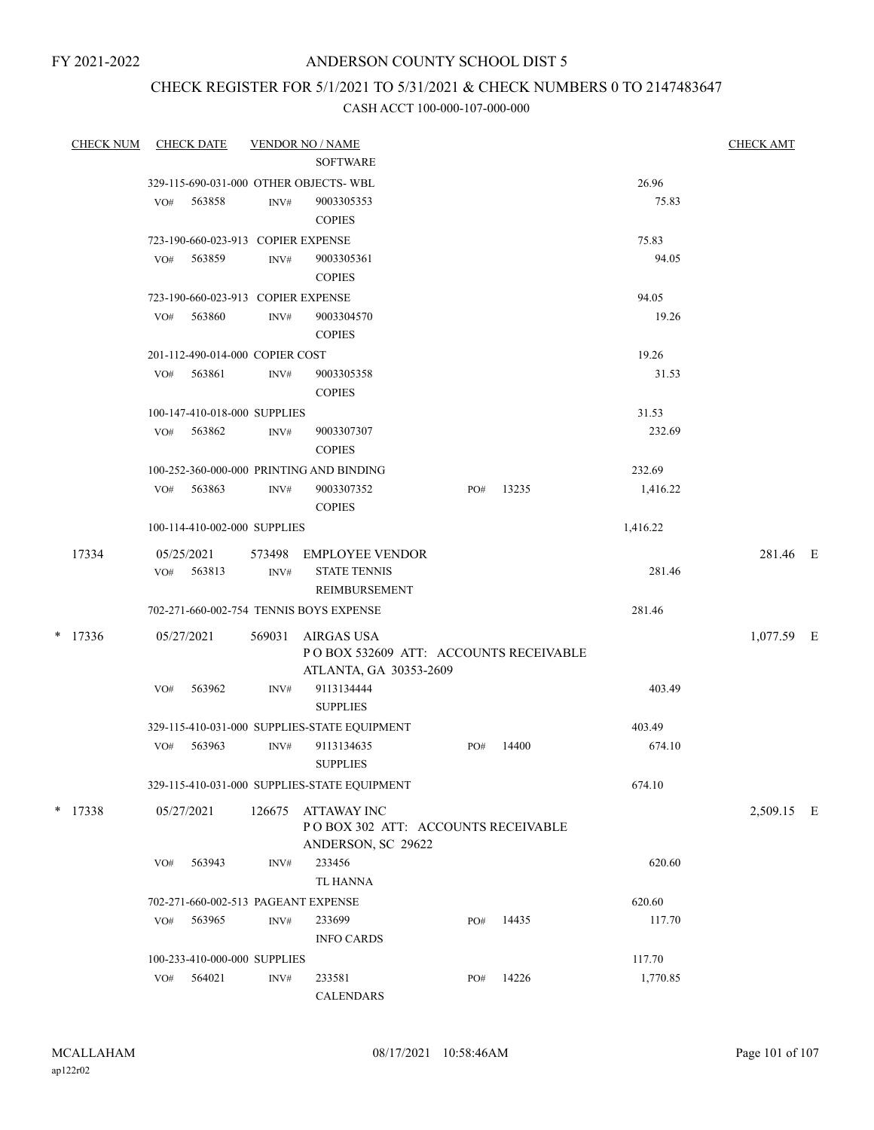# ANDERSON COUNTY SCHOOL DIST 5

# CHECK REGISTER FOR 5/1/2021 TO 5/31/2021 & CHECK NUMBERS 0 TO 2147483647

| <b>CHECK NUM</b> | <b>CHECK DATE</b>                                      |                | <b>VENDOR NO / NAME</b>                                                        |     |       |                | <b>CHECK AMT</b> |  |
|------------------|--------------------------------------------------------|----------------|--------------------------------------------------------------------------------|-----|-------|----------------|------------------|--|
|                  |                                                        |                | <b>SOFTWARE</b>                                                                |     |       |                |                  |  |
|                  | 329-115-690-031-000 OTHER OBJECTS-WBL<br>VO#<br>563858 | INV#           | 9003305353<br><b>COPIES</b>                                                    |     |       | 26.96<br>75.83 |                  |  |
|                  | 723-190-660-023-913 COPIER EXPENSE                     |                |                                                                                |     |       | 75.83          |                  |  |
|                  | 563859<br>VO#                                          | INV#           | 9003305361<br><b>COPIES</b>                                                    |     |       | 94.05          |                  |  |
|                  | 723-190-660-023-913 COPIER EXPENSE                     |                |                                                                                |     |       | 94.05          |                  |  |
|                  | VO#<br>563860                                          | $\text{INV}\#$ | 9003304570<br><b>COPIES</b>                                                    |     |       | 19.26          |                  |  |
|                  | 201-112-490-014-000 COPIER COST                        |                |                                                                                |     |       | 19.26          |                  |  |
|                  | 563861<br>VO#                                          | INV#           | 9003305358<br><b>COPIES</b>                                                    |     |       | 31.53          |                  |  |
|                  | 100-147-410-018-000 SUPPLIES                           |                |                                                                                |     |       | 31.53          |                  |  |
|                  | 563862<br>VO#                                          | INV#           | 9003307307<br><b>COPIES</b>                                                    |     |       | 232.69         |                  |  |
|                  | 100-252-360-000-000 PRINTING AND BINDING               |                |                                                                                |     |       | 232.69         |                  |  |
|                  | 563863<br>VO#                                          | INV#           | 9003307352<br><b>COPIES</b>                                                    | PO# | 13235 | 1,416.22       |                  |  |
|                  | 100-114-410-002-000 SUPPLIES                           |                |                                                                                |     |       | 1,416.22       |                  |  |
| 17334            | 05/25/2021                                             | 573498         | EMPLOYEE VENDOR                                                                |     |       |                | 281.46 E         |  |
|                  | VO#<br>563813                                          | INV#           | <b>STATE TENNIS</b><br>REIMBURSEMENT                                           |     |       | 281.46         |                  |  |
|                  | 702-271-660-002-754 TENNIS BOYS EXPENSE                |                |                                                                                |     |       | 281.46         |                  |  |
| $*$ 17336        | 05/27/2021                                             | 569031         | AIRGAS USA<br>POBOX 532609 ATT: ACCOUNTS RECEIVABLE<br>ATLANTA, GA 30353-2609  |     |       |                | 1,077.59 E       |  |
|                  | 563962<br>VO#                                          | INV#           | 9113134444<br><b>SUPPLIES</b>                                                  |     |       | 403.49         |                  |  |
|                  |                                                        |                | 329-115-410-031-000 SUPPLIES-STATE EQUIPMENT                                   |     |       | 403.49         |                  |  |
|                  | 563963<br>VO#                                          | INV#           | 9113134635<br><b>SUPPLIES</b>                                                  | PO# | 14400 | 674.10         |                  |  |
|                  |                                                        |                | 329-115-410-031-000 SUPPLIES-STATE EQUIPMENT                                   |     |       | 674.10         |                  |  |
| $*$ 17338        | 05/27/2021                                             | 126675         | <b>ATTAWAY INC</b><br>POBOX 302 ATT: ACCOUNTS RECEIVABLE<br>ANDERSON, SC 29622 |     |       |                | 2,509.15 E       |  |
|                  | VO#<br>563943                                          | INV#           | 233456<br><b>TL HANNA</b>                                                      |     |       | 620.60         |                  |  |
|                  | 702-271-660-002-513 PAGEANT EXPENSE                    |                |                                                                                |     |       | 620.60         |                  |  |
|                  | 563965<br>VO#                                          | INV#           | 233699<br><b>INFO CARDS</b>                                                    | PO# | 14435 | 117.70         |                  |  |
|                  | 100-233-410-000-000 SUPPLIES                           |                |                                                                                |     |       | 117.70         |                  |  |
|                  | 564021<br>VO#                                          | INV#           | 233581<br><b>CALENDARS</b>                                                     | PO# | 14226 | 1,770.85       |                  |  |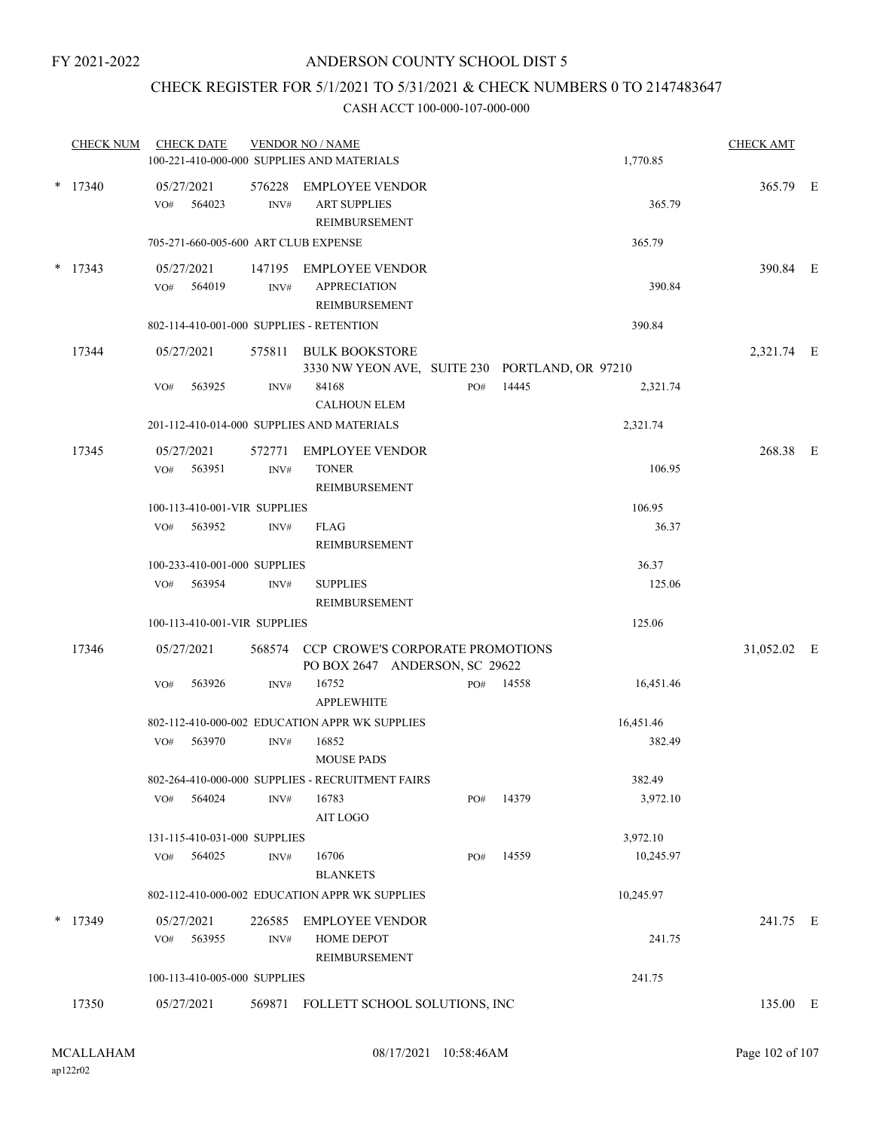# CHECK REGISTER FOR 5/1/2021 TO 5/31/2021 & CHECK NUMBERS 0 TO 2147483647

|   | <b>CHECK NUM</b> |     | <b>CHECK DATE</b>            |                | <b>VENDOR NO / NAME</b><br>100-221-410-000-000 SUPPLIES AND MATERIALS     |     |       | 1,770.85  | <b>CHECK AMT</b> |  |
|---|------------------|-----|------------------------------|----------------|---------------------------------------------------------------------------|-----|-------|-----------|------------------|--|
|   | $*$ 17340        | VO# | 05/27/2021<br>564023         | 576228<br>INV# | EMPLOYEE VENDOR<br><b>ART SUPPLIES</b><br>REIMBURSEMENT                   |     |       | 365.79    | 365.79 E         |  |
|   |                  |     |                              |                | 705-271-660-005-600 ART CLUB EXPENSE                                      |     |       | 365.79    |                  |  |
|   | $*$ 17343        |     | 05/27/2021<br>VO# 564019     | INV#           | 147195 EMPLOYEE VENDOR<br><b>APPRECIATION</b><br>REIMBURSEMENT            |     |       | 390.84    | 390.84 E         |  |
|   |                  |     |                              |                | 802-114-410-001-000 SUPPLIES - RETENTION                                  |     |       | 390.84    |                  |  |
|   | 17344            |     | 05/27/2021                   |                | 575811 BULK BOOKSTORE<br>3330 NW YEON AVE, SUITE 230 PORTLAND, OR 97210   |     |       |           | 2,321.74 E       |  |
|   |                  | VO# | 563925                       | INV#           | 84168<br><b>CALHOUN ELEM</b>                                              | PO# | 14445 | 2,321.74  |                  |  |
|   |                  |     |                              |                | 201-112-410-014-000 SUPPLIES AND MATERIALS                                |     |       | 2,321.74  |                  |  |
|   | 17345            | VO# | 05/27/2021<br>563951         | INV#           | 572771 EMPLOYEE VENDOR<br><b>TONER</b><br>REIMBURSEMENT                   |     |       | 106.95    | 268.38 E         |  |
|   |                  |     | 100-113-410-001-VIR SUPPLIES |                |                                                                           |     |       | 106.95    |                  |  |
|   |                  |     | VO# 563952                   | INV#           | FLAG<br>REIMBURSEMENT                                                     |     |       | 36.37     |                  |  |
|   |                  |     | 100-233-410-001-000 SUPPLIES |                |                                                                           |     |       | 36.37     |                  |  |
|   |                  | VO# | 563954                       | INV#           | <b>SUPPLIES</b><br>REIMBURSEMENT                                          |     |       | 125.06    |                  |  |
|   |                  |     | 100-113-410-001-VIR SUPPLIES |                |                                                                           |     |       | 125.06    |                  |  |
|   | 17346            |     | 05/27/2021                   |                | 568574 CCP CROWE'S CORPORATE PROMOTIONS<br>PO BOX 2647 ANDERSON, SC 29622 |     |       |           | 31,052.02 E      |  |
|   |                  | VO# | 563926                       | INV#           | 16752<br><b>APPLEWHITE</b>                                                | PO# | 14558 | 16,451.46 |                  |  |
|   |                  |     |                              |                | 802-112-410-000-002 EDUCATION APPR WK SUPPLIES                            |     |       | 16,451.46 |                  |  |
|   |                  | VO# | 563970                       | INV#           | 16852<br><b>MOUSE PADS</b>                                                |     |       | 382.49    |                  |  |
|   |                  |     |                              |                | 802-264-410-000-000 SUPPLIES - RECRUITMENT FAIRS                          |     |       | 382.49    |                  |  |
|   |                  | VO# | 564024                       | INV#           | 16783<br><b>AIT LOGO</b>                                                  | PO# | 14379 | 3,972.10  |                  |  |
|   |                  |     | 131-115-410-031-000 SUPPLIES |                |                                                                           |     |       | 3,972.10  |                  |  |
|   |                  | VO# | 564025                       | INV#           | 16706<br><b>BLANKETS</b>                                                  | PO# | 14559 | 10,245.97 |                  |  |
|   |                  |     |                              |                | 802-112-410-000-002 EDUCATION APPR WK SUPPLIES                            |     |       | 10,245.97 |                  |  |
| * | 17349            | VO# | 05/27/2021<br>563955         | 226585<br>INV# | <b>EMPLOYEE VENDOR</b><br>HOME DEPOT<br>REIMBURSEMENT                     |     |       | 241.75    | 241.75 E         |  |
|   |                  |     | 100-113-410-005-000 SUPPLIES |                |                                                                           |     |       | 241.75    |                  |  |
|   | 17350            |     | 05/27/2021                   |                | 569871 FOLLETT SCHOOL SOLUTIONS, INC                                      |     |       |           | 135.00 E         |  |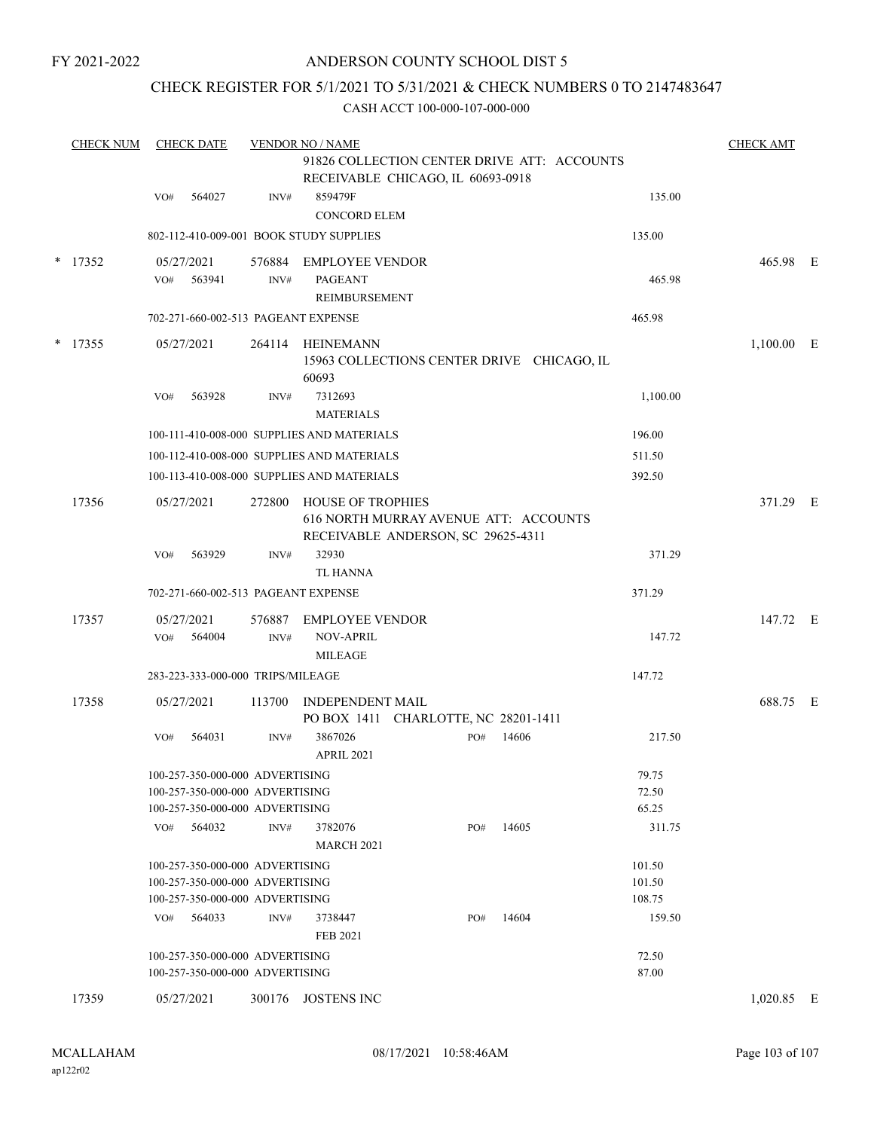# ANDERSON COUNTY SCHOOL DIST 5

# CHECK REGISTER FOR 5/1/2021 TO 5/31/2021 & CHECK NUMBERS 0 TO 2147483647

| <b>CHECK NUM</b> |           | <b>CHECK DATE</b>                                                                                     |                | <b>VENDOR NO / NAME</b>            | <b>CHECK AMT</b>                     |     |                                             |                            |              |  |
|------------------|-----------|-------------------------------------------------------------------------------------------------------|----------------|------------------------------------|--------------------------------------|-----|---------------------------------------------|----------------------------|--------------|--|
|                  |           |                                                                                                       |                |                                    | RECEIVABLE CHICAGO, IL 60693-0918    |     | 91826 COLLECTION CENTER DRIVE ATT: ACCOUNTS |                            |              |  |
|                  |           | 564027<br>VO#                                                                                         | INV#           | 859479F<br><b>CONCORD ELEM</b>     |                                      |     |                                             | 135.00                     |              |  |
|                  |           | 802-112-410-009-001 BOOK STUDY SUPPLIES                                                               |                |                                    |                                      |     |                                             | 135.00                     |              |  |
|                  | $*$ 17352 | 05/27/2021                                                                                            | 576884         | <b>EMPLOYEE VENDOR</b>             |                                      |     |                                             |                            | 465.98 E     |  |
|                  |           | 563941<br>VO#                                                                                         | INV#           | PAGEANT<br>REIMBURSEMENT           |                                      |     |                                             | 465.98                     |              |  |
|                  |           | 702-271-660-002-513 PAGEANT EXPENSE                                                                   |                |                                    |                                      |     |                                             | 465.98                     |              |  |
|                  | $*$ 17355 | 05/27/2021                                                                                            | 264114         | HEINEMANN<br>60693                 |                                      |     | 15963 COLLECTIONS CENTER DRIVE CHICAGO, IL  |                            | $1,100.00$ E |  |
|                  |           | 563928<br>VO#                                                                                         | INV#           | 7312693<br><b>MATERIALS</b>        |                                      |     |                                             | 1,100.00                   |              |  |
|                  |           | 100-111-410-008-000 SUPPLIES AND MATERIALS                                                            |                |                                    |                                      |     |                                             | 196.00                     |              |  |
|                  |           | 100-112-410-008-000 SUPPLIES AND MATERIALS                                                            |                |                                    |                                      |     |                                             | 511.50                     |              |  |
|                  |           | 100-113-410-008-000 SUPPLIES AND MATERIALS                                                            |                |                                    |                                      |     |                                             | 392.50                     |              |  |
|                  | 17356     | 05/27/2021                                                                                            | 272800         | <b>HOUSE OF TROPHIES</b>           | RECEIVABLE ANDERSON, SC 29625-4311   |     | 616 NORTH MURRAY AVENUE ATT: ACCOUNTS       |                            | 371.29 E     |  |
|                  |           | 563929<br>VO#                                                                                         | INV#           | 32930<br><b>TL HANNA</b>           |                                      |     |                                             | 371.29                     |              |  |
|                  |           | 702-271-660-002-513 PAGEANT EXPENSE                                                                   |                |                                    |                                      |     |                                             | 371.29                     |              |  |
|                  | 17357     | 05/27/2021                                                                                            | 576887         | <b>EMPLOYEE VENDOR</b>             |                                      |     |                                             |                            | 147.72 E     |  |
|                  |           | 564004<br>VO#                                                                                         | $\text{INV}\#$ | <b>NOV-APRIL</b><br><b>MILEAGE</b> |                                      |     |                                             | 147.72                     |              |  |
|                  |           | 283-223-333-000-000 TRIPS/MILEAGE                                                                     |                |                                    |                                      |     |                                             | 147.72                     |              |  |
|                  | 17358     | 05/27/2021                                                                                            | 113700         | <b>INDEPENDENT MAIL</b>            | PO BOX 1411 CHARLOTTE, NC 28201-1411 |     |                                             |                            | 688.75 E     |  |
|                  |           | 564031<br>VO#                                                                                         | INV#           | 3867026<br><b>APRIL 2021</b>       |                                      | PO# | 14606                                       | 217.50                     |              |  |
|                  |           | 100-257-350-000-000 ADVERTISING<br>100-257-350-000-000 ADVERTISING<br>100-257-350-000-000 ADVERTISING |                |                                    |                                      |     |                                             | 79.75<br>72.50<br>65.25    |              |  |
|                  |           | VO# 564032                                                                                            | INV#           | 3782076<br><b>MARCH 2021</b>       |                                      | PO# | 14605                                       | 311.75                     |              |  |
|                  |           | 100-257-350-000-000 ADVERTISING<br>100-257-350-000-000 ADVERTISING<br>100-257-350-000-000 ADVERTISING |                |                                    |                                      |     |                                             | 101.50<br>101.50<br>108.75 |              |  |
|                  |           | $VO#$ 564033                                                                                          | INV#           | 3738447<br>FEB 2021                |                                      | PO# | 14604                                       | 159.50                     |              |  |
|                  |           | 100-257-350-000-000 ADVERTISING<br>100-257-350-000-000 ADVERTISING                                    |                |                                    |                                      |     |                                             | 72.50<br>87.00             |              |  |
|                  | 17359     | 05/27/2021                                                                                            |                | 300176 JOSTENS INC                 |                                      |     |                                             |                            | $1,020.85$ E |  |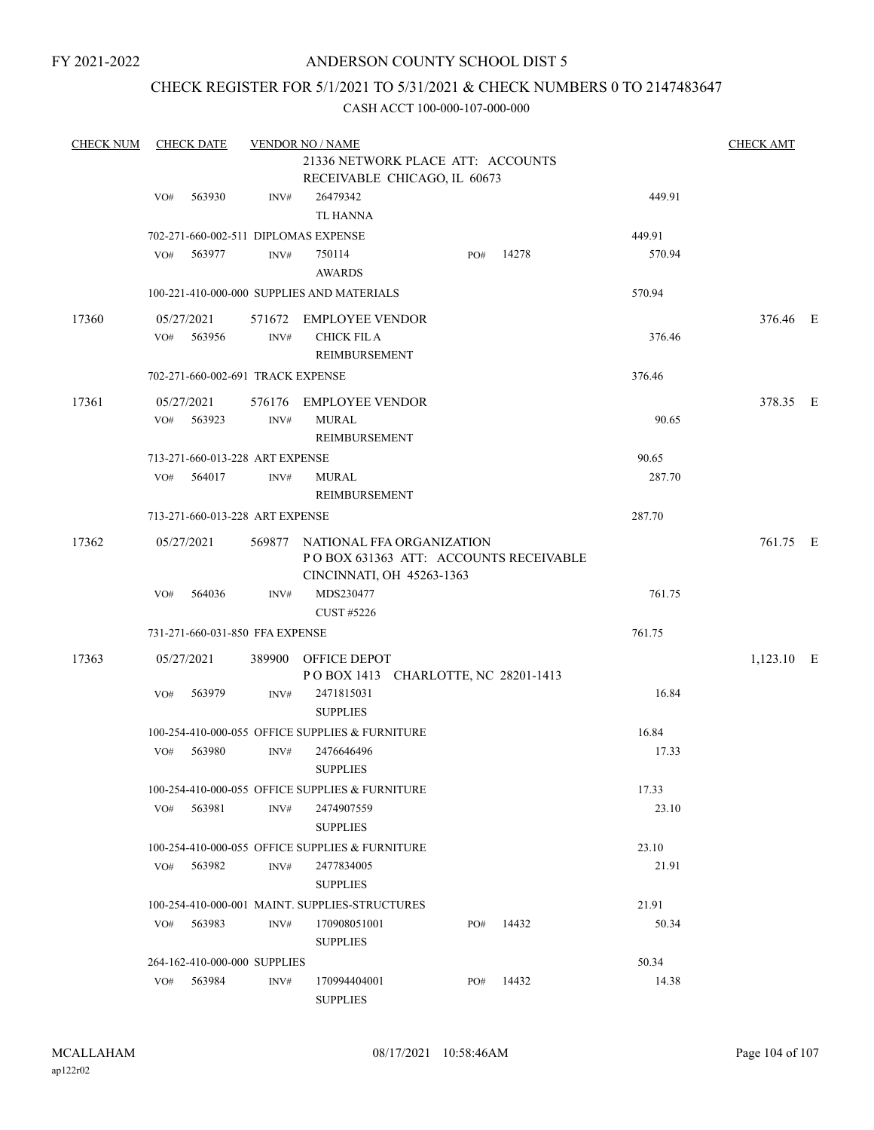# ANDERSON COUNTY SCHOOL DIST 5

# CHECK REGISTER FOR 5/1/2021 TO 5/31/2021 & CHECK NUMBERS 0 TO 2147483647

| <b>CHECK NUM</b> | <b>CHECK DATE</b><br><b>VENDOR NO / NAME</b> |                                   |      |                                                                           |  |     |       |        |              |  |
|------------------|----------------------------------------------|-----------------------------------|------|---------------------------------------------------------------------------|--|-----|-------|--------|--------------|--|
|                  |                                              |                                   |      | 21336 NETWORK PLACE ATT: ACCOUNTS                                         |  |     |       |        |              |  |
|                  |                                              |                                   |      | RECEIVABLE CHICAGO, IL 60673                                              |  |     |       |        |              |  |
|                  | VO#                                          | 563930                            | INV# | 26479342                                                                  |  |     |       | 449.91 |              |  |
|                  |                                              |                                   |      | TL HANNA                                                                  |  |     |       |        |              |  |
|                  |                                              |                                   |      | 702-271-660-002-511 DIPLOMAS EXPENSE                                      |  |     |       | 449.91 |              |  |
|                  | VO#                                          | 563977                            | INV# | 750114<br><b>AWARDS</b>                                                   |  | PO# | 14278 | 570.94 |              |  |
|                  |                                              |                                   |      | 100-221-410-000-000 SUPPLIES AND MATERIALS                                |  |     |       | 570.94 |              |  |
| 17360            |                                              | 05/27/2021                        |      | 571672 EMPLOYEE VENDOR                                                    |  |     |       |        | 376.46 E     |  |
|                  | VO#                                          | 563956                            | INV# | <b>CHICK FIL A</b>                                                        |  |     |       | 376.46 |              |  |
|                  |                                              |                                   |      | REIMBURSEMENT                                                             |  |     |       |        |              |  |
|                  |                                              | 702-271-660-002-691 TRACK EXPENSE |      |                                                                           |  |     |       | 376.46 |              |  |
| 17361            |                                              | 05/27/2021                        |      | 576176 EMPLOYEE VENDOR                                                    |  |     |       |        | 378.35 E     |  |
|                  | VO#                                          | 563923                            | INV# | <b>MURAL</b>                                                              |  |     |       | 90.65  |              |  |
|                  |                                              |                                   |      | <b>REIMBURSEMENT</b>                                                      |  |     |       |        |              |  |
|                  |                                              | 713-271-660-013-228 ART EXPENSE   |      |                                                                           |  |     |       | 90.65  |              |  |
|                  | VO#                                          | 564017                            | INV# | MURAL                                                                     |  |     |       | 287.70 |              |  |
|                  |                                              |                                   |      | REIMBURSEMENT                                                             |  |     |       |        |              |  |
|                  |                                              | 713-271-660-013-228 ART EXPENSE   |      |                                                                           |  |     |       | 287.70 |              |  |
| 17362            |                                              | 05/27/2021                        |      | 569877 NATIONAL FFA ORGANIZATION<br>POBOX 631363 ATT: ACCOUNTS RECEIVABLE |  |     |       |        | 761.75 E     |  |
|                  |                                              |                                   |      | CINCINNATI, OH 45263-1363                                                 |  |     |       |        |              |  |
|                  | VO#                                          | 564036                            | INV# | MDS230477<br><b>CUST #5226</b>                                            |  |     |       | 761.75 |              |  |
|                  |                                              | 731-271-660-031-850 FFA EXPENSE   |      |                                                                           |  |     |       | 761.75 |              |  |
| 17363            |                                              | 05/27/2021                        |      | 389900 OFFICE DEPOT                                                       |  |     |       |        | $1,123.10$ E |  |
|                  |                                              |                                   |      | POBOX 1413 CHARLOTTE, NC 28201-1413                                       |  |     |       |        |              |  |
|                  | VO#                                          | 563979                            | INV# | 2471815031<br><b>SUPPLIES</b>                                             |  |     |       | 16.84  |              |  |
|                  |                                              |                                   |      | 100-254-410-000-055 OFFICE SUPPLIES & FURNITURE                           |  |     |       | 16.84  |              |  |
|                  | VO#                                          | 563980                            | INV# | 2476646496                                                                |  |     |       | 17.33  |              |  |
|                  |                                              |                                   |      | <b>SUPPLIES</b>                                                           |  |     |       |        |              |  |
|                  |                                              |                                   |      | 100-254-410-000-055 OFFICE SUPPLIES & FURNITURE                           |  |     |       | 17.33  |              |  |
|                  | VO#                                          | 563981                            | INV# | 2474907559                                                                |  |     |       | 23.10  |              |  |
|                  |                                              |                                   |      | <b>SUPPLIES</b>                                                           |  |     |       |        |              |  |
|                  |                                              |                                   |      | 100-254-410-000-055 OFFICE SUPPLIES & FURNITURE                           |  |     |       | 23.10  |              |  |
|                  | VO#                                          | 563982                            | INV# | 2477834005<br><b>SUPPLIES</b>                                             |  |     |       | 21.91  |              |  |
|                  |                                              |                                   |      | 100-254-410-000-001 MAINT. SUPPLIES-STRUCTURES                            |  |     |       | 21.91  |              |  |
|                  |                                              | VO# 563983                        | INV# | 170908051001                                                              |  | PO# | 14432 | 50.34  |              |  |
|                  |                                              |                                   |      | <b>SUPPLIES</b>                                                           |  |     |       |        |              |  |
|                  |                                              | 264-162-410-000-000 SUPPLIES      |      |                                                                           |  |     |       | 50.34  |              |  |
|                  | VO#                                          | 563984                            | INV# | 170994404001                                                              |  | PO# | 14432 | 14.38  |              |  |
|                  |                                              |                                   |      | <b>SUPPLIES</b>                                                           |  |     |       |        |              |  |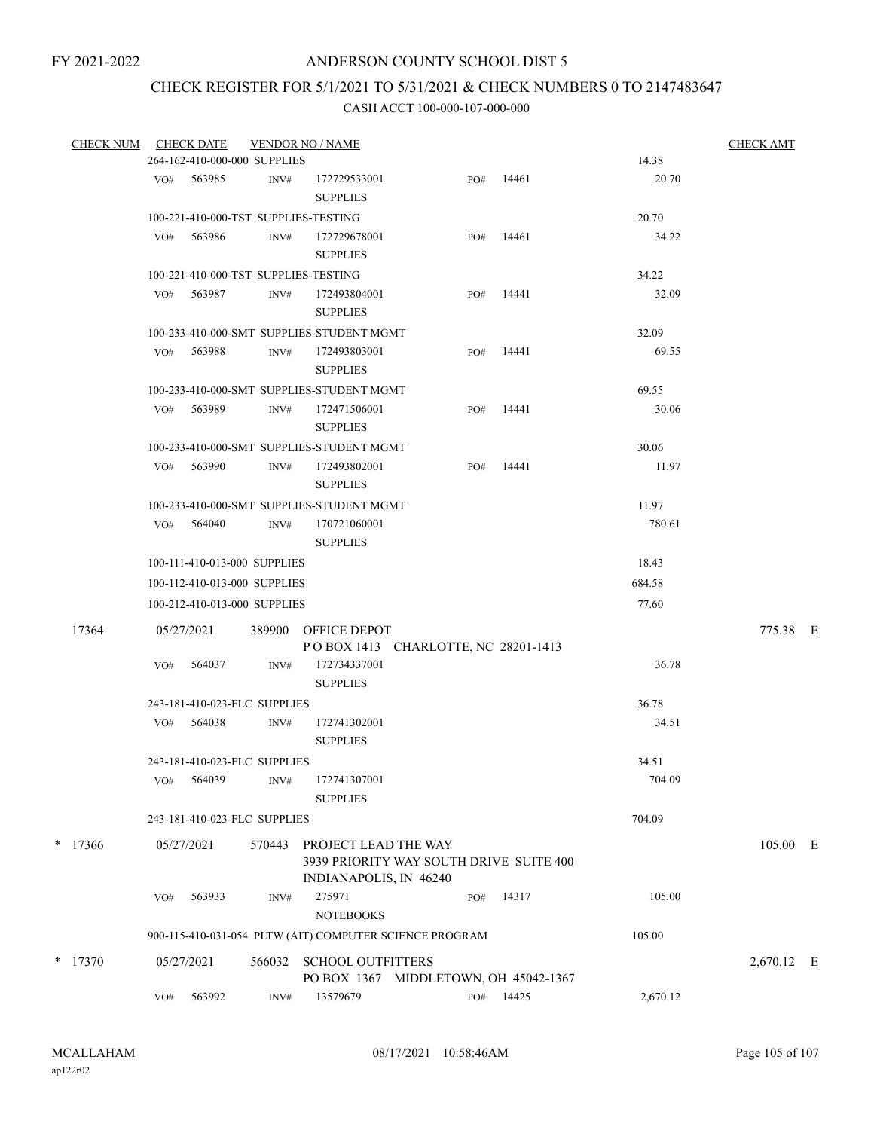# CHECK REGISTER FOR 5/1/2021 TO 5/31/2021 & CHECK NUMBERS 0 TO 2147483647

| <b>CHECK NUM</b> |     | <b>CHECK DATE</b>            |                | <b>VENDOR NO / NAME</b>                   |                                                         |           |          | <b>CHECK AMT</b> |  |
|------------------|-----|------------------------------|----------------|-------------------------------------------|---------------------------------------------------------|-----------|----------|------------------|--|
|                  |     | 264-162-410-000-000 SUPPLIES |                |                                           |                                                         |           | 14.38    |                  |  |
|                  |     | VO# 563985                   | INV#           | 172729533001<br><b>SUPPLIES</b>           | PO#                                                     | 14461     | 20.70    |                  |  |
|                  |     |                              |                | 100-221-410-000-TST SUPPLIES-TESTING      |                                                         |           | 20.70    |                  |  |
|                  | VO# | 563986                       | INV#           | 172729678001                              | PO#                                                     | 14461     | 34.22    |                  |  |
|                  |     |                              |                | <b>SUPPLIES</b>                           |                                                         |           |          |                  |  |
|                  |     |                              |                | 100-221-410-000-TST SUPPLIES-TESTING      |                                                         |           | 34.22    |                  |  |
|                  |     | VO# 563987                   | INV#           | 172493804001                              | PO#                                                     | 14441     | 32.09    |                  |  |
|                  |     |                              |                | <b>SUPPLIES</b>                           |                                                         |           |          |                  |  |
|                  |     |                              |                | 100-233-410-000-SMT SUPPLIES-STUDENT MGMT |                                                         |           | 32.09    |                  |  |
|                  |     | VO# 563988                   | INV#           | 172493803001                              | PO#                                                     | 14441     | 69.55    |                  |  |
|                  |     |                              |                | <b>SUPPLIES</b>                           |                                                         |           |          |                  |  |
|                  |     |                              |                | 100-233-410-000-SMT SUPPLIES-STUDENT MGMT |                                                         |           | 69.55    |                  |  |
|                  |     | VO# 563989                   | INV#           | 172471506001                              | PO#                                                     | 14441     | 30.06    |                  |  |
|                  |     |                              |                | <b>SUPPLIES</b>                           |                                                         |           |          |                  |  |
|                  |     |                              |                | 100-233-410-000-SMT SUPPLIES-STUDENT MGMT |                                                         |           | 30.06    |                  |  |
|                  |     | $VO#$ 563990                 | INV#           | 172493802001                              | PO#                                                     | 14441     | 11.97    |                  |  |
|                  |     |                              |                | <b>SUPPLIES</b>                           |                                                         |           |          |                  |  |
|                  |     |                              |                | 100-233-410-000-SMT SUPPLIES-STUDENT MGMT |                                                         |           | 11.97    |                  |  |
|                  |     | VO# 564040                   | INV#           | 170721060001                              |                                                         |           | 780.61   |                  |  |
|                  |     |                              |                | <b>SUPPLIES</b>                           |                                                         |           |          |                  |  |
|                  |     | 100-111-410-013-000 SUPPLIES |                |                                           |                                                         |           | 18.43    |                  |  |
|                  |     | 100-112-410-013-000 SUPPLIES |                |                                           |                                                         |           | 684.58   |                  |  |
|                  |     | 100-212-410-013-000 SUPPLIES |                |                                           |                                                         |           | 77.60    |                  |  |
|                  |     |                              |                |                                           |                                                         |           |          |                  |  |
| 17364            |     | 05/27/2021                   |                | 389900 OFFICE DEPOT                       |                                                         |           |          | 775.38 E         |  |
|                  | VO# | 564037                       | INV#           | 172734337001                              | POBOX 1413 CHARLOTTE, NC 28201-1413                     |           | 36.78    |                  |  |
|                  |     |                              |                | <b>SUPPLIES</b>                           |                                                         |           |          |                  |  |
|                  |     | 243-181-410-023-FLC SUPPLIES |                |                                           |                                                         |           | 36.78    |                  |  |
|                  |     | VO# 564038                   | INV#           | 172741302001                              |                                                         |           | 34.51    |                  |  |
|                  |     |                              |                | <b>SUPPLIES</b>                           |                                                         |           |          |                  |  |
|                  |     | 243-181-410-023-FLC SUPPLIES |                |                                           |                                                         |           | 34.51    |                  |  |
|                  | VO# | 564039                       | $\text{INV}\#$ | 172741307001                              |                                                         |           | 704.09   |                  |  |
|                  |     |                              |                | <b>SUPPLIES</b>                           |                                                         |           |          |                  |  |
|                  |     | 243-181-410-023-FLC SUPPLIES |                |                                           |                                                         |           | 704.09   |                  |  |
|                  |     |                              |                |                                           |                                                         |           |          |                  |  |
| $*$ 17366        |     | 05/27/2021                   | 570443         | PROJECT LEAD THE WAY                      | 3939 PRIORITY WAY SOUTH DRIVE SUITE 400                 |           |          | 105.00 E         |  |
|                  |     |                              |                | INDIANAPOLIS, IN 46240                    | PO#                                                     |           | 105.00   |                  |  |
|                  | VO# | 563933                       | INV#           | 275971<br><b>NOTEBOOKS</b>                |                                                         | 14317     |          |                  |  |
|                  |     |                              |                |                                           |                                                         |           | 105.00   |                  |  |
|                  |     |                              |                |                                           | 900-115-410-031-054 PLTW (AIT) COMPUTER SCIENCE PROGRAM |           |          |                  |  |
| $*$ 17370        |     | 05/27/2021                   | 566032         | <b>SCHOOL OUTFITTERS</b>                  |                                                         |           |          | 2,670.12 E       |  |
|                  |     |                              |                |                                           | PO BOX 1367 MIDDLETOWN, OH 45042-1367                   |           |          |                  |  |
|                  | VO# | 563992                       | INV#           | 13579679                                  |                                                         | PO# 14425 | 2,670.12 |                  |  |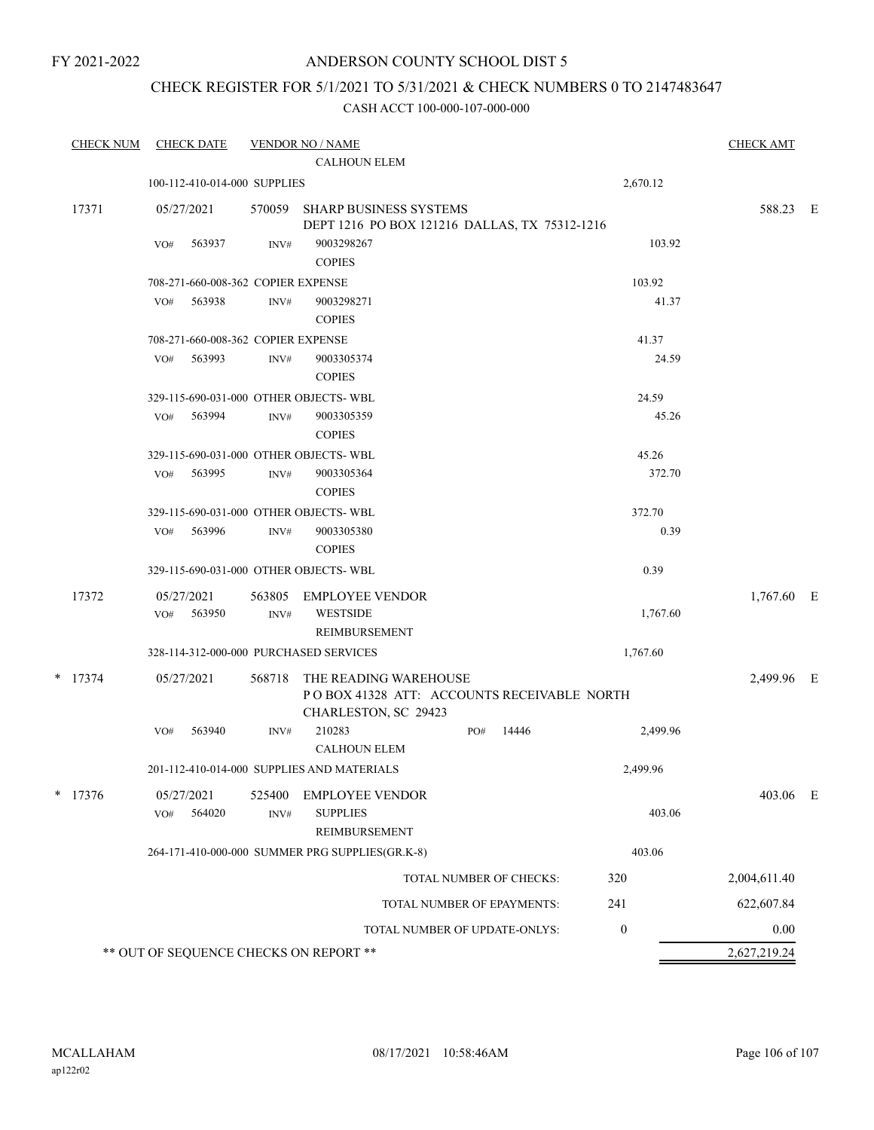# ANDERSON COUNTY SCHOOL DIST 5

# CHECK REGISTER FOR 5/1/2021 TO 5/31/2021 & CHECK NUMBERS 0 TO 2147483647

|       | <b>CHECK NUM</b> |     | <b>CHECK DATE</b>    |                                    | <b>VENDOR NO / NAME</b><br><b>CALHOUN ELEM</b>                                              |               |                            |                  | <b>CHECK AMT</b> |  |
|-------|------------------|-----|----------------------|------------------------------------|---------------------------------------------------------------------------------------------|---------------|----------------------------|------------------|------------------|--|
|       |                  |     |                      | 100-112-410-014-000 SUPPLIES       |                                                                                             |               |                            | 2,670.12         |                  |  |
| 17371 |                  |     | 05/27/2021           | 570059                             | <b>SHARP BUSINESS SYSTEMS</b><br>DEPT 1216 PO BOX 121216 DALLAS, TX 75312-1216              |               |                            |                  | 588.23 E         |  |
|       |                  | VO# | 563937               | INV#                               | 9003298267<br><b>COPIES</b>                                                                 |               |                            | 103.92           |                  |  |
|       |                  |     |                      | 708-271-660-008-362 COPIER EXPENSE |                                                                                             |               |                            | 103.92           |                  |  |
|       |                  | VO# | 563938               | INV#                               | 9003298271<br><b>COPIES</b>                                                                 |               |                            | 41.37            |                  |  |
|       |                  |     |                      | 708-271-660-008-362 COPIER EXPENSE |                                                                                             |               |                            | 41.37            |                  |  |
|       |                  | VO# | 563993               | INV#                               | 9003305374<br><b>COPIES</b>                                                                 |               |                            | 24.59            |                  |  |
|       |                  |     |                      |                                    | 329-115-690-031-000 OTHER OBJECTS-WBL                                                       |               |                            | 24.59            |                  |  |
|       |                  | VO# | 563994               | INV#                               | 9003305359<br><b>COPIES</b>                                                                 |               |                            | 45.26            |                  |  |
|       |                  |     |                      |                                    | 329-115-690-031-000 OTHER OBJECTS-WBL                                                       |               |                            | 45.26            |                  |  |
|       |                  | VO# | 563995               | INV#                               | 9003305364<br><b>COPIES</b>                                                                 |               |                            | 372.70           |                  |  |
|       |                  |     |                      |                                    | 329-115-690-031-000 OTHER OBJECTS- WBL                                                      |               |                            | 372.70           |                  |  |
|       |                  | VO# | 563996               | INV#                               | 9003305380<br><b>COPIES</b>                                                                 |               |                            | 0.39             |                  |  |
|       |                  |     |                      |                                    | 329-115-690-031-000 OTHER OBJECTS-WBL                                                       |               |                            | 0.39             |                  |  |
|       | 17372            | VO# | 05/27/2021<br>563950 | 563805<br>INV#                     | <b>EMPLOYEE VENDOR</b><br><b>WESTSIDE</b><br>REIMBURSEMENT                                  |               |                            | 1,767.60         | $1,767.60$ E     |  |
|       |                  |     |                      |                                    | 328-114-312-000-000 PURCHASED SERVICES                                                      |               | 1,767.60                   |                  |                  |  |
|       | $*$ 17374        |     | 05/27/2021           | 568718                             | THE READING WAREHOUSE<br>POBOX 41328 ATT: ACCOUNTS RECEIVABLE NORTH<br>CHARLESTON, SC 29423 |               |                            |                  | 2,499.96 E       |  |
|       |                  | VO# | 563940               | INV#                               | 210283<br><b>CALHOUN ELEM</b>                                                               | PO#           | 14446                      | 2,499.96         |                  |  |
|       |                  |     |                      |                                    | 201-112-410-014-000 SUPPLIES AND MATERIALS                                                  |               |                            | 2,499.96         |                  |  |
|       | $*$ 17376        | VO# | 05/27/2021<br>564020 | 525400<br>INV#                     | <b>EMPLOYEE VENDOR</b><br><b>SUPPLIES</b>                                                   |               |                            | 403.06           | 403.06 E         |  |
|       |                  |     |                      |                                    | 264-171-410-000-000 SUMMER PRG SUPPLIES(GR.K-8)                                             | REIMBURSEMENT |                            |                  |                  |  |
|       |                  |     |                      |                                    |                                                                                             |               | TOTAL NUMBER OF CHECKS:    | 403.06<br>320    | 2,004,611.40     |  |
|       |                  |     |                      |                                    |                                                                                             |               |                            |                  |                  |  |
|       |                  |     |                      |                                    |                                                                                             |               | TOTAL NUMBER OF EPAYMENTS: | 241              | 622,607.84       |  |
|       |                  |     |                      |                                    | TOTAL NUMBER OF UPDATE-ONLYS:                                                               |               |                            | $\boldsymbol{0}$ | 0.00             |  |
|       |                  |     |                      |                                    | ** OUT OF SEQUENCE CHECKS ON REPORT **                                                      |               |                            |                  | 2,627,219.24     |  |